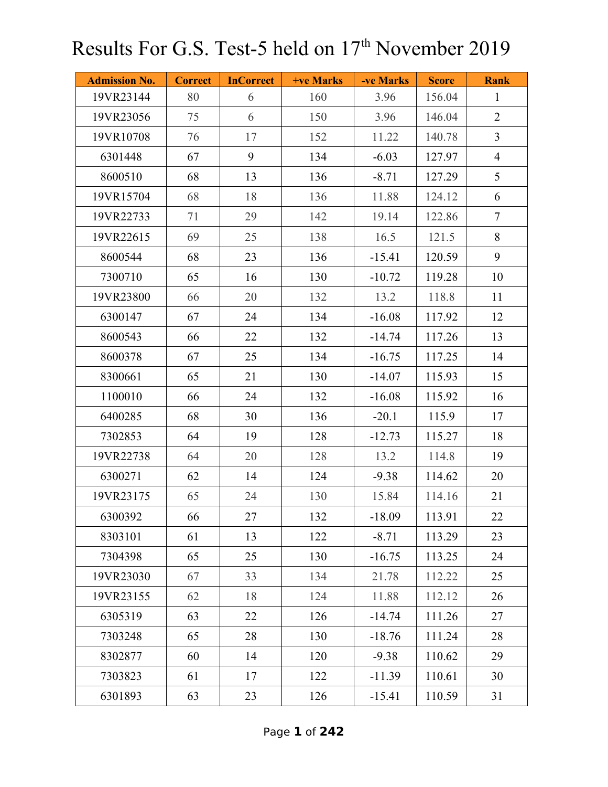| <b>Admission No.</b> | <b>Correct</b> | <b>InCorrect</b> | +ve Marks | -ve Marks | <b>Score</b> | <b>Rank</b>    |
|----------------------|----------------|------------------|-----------|-----------|--------------|----------------|
| 19VR23144            | 80             | 6                | 160       | 3.96      | 156.04       | $\mathbf{1}$   |
| 19VR23056            | 75             | 6                | 150       | 3.96      | 146.04       | $\overline{2}$ |
| 19VR10708            | 76             | 17               | 152       | 11.22     | 140.78       | $\overline{3}$ |
| 6301448              | 67             | 9                | 134       | $-6.03$   | 127.97       | $\overline{4}$ |
| 8600510              | 68             | 13               | 136       | $-8.71$   | 127.29       | 5              |
| 19VR15704            | 68             | 18               | 136       | 11.88     | 124.12       | 6              |
| 19VR22733            | 71             | 29               | 142       | 19.14     | 122.86       | $\overline{7}$ |
| 19VR22615            | 69             | 25               | 138       | 16.5      | 121.5        | $8\,$          |
| 8600544              | 68             | 23               | 136       | $-15.41$  | 120.59       | 9              |
| 7300710              | 65             | 16               | 130       | $-10.72$  | 119.28       | 10             |
| 19VR23800            | 66             | 20               | 132       | 13.2      | 118.8        | 11             |
| 6300147              | 67             | 24               | 134       | $-16.08$  | 117.92       | 12             |
| 8600543              | 66             | 22               | 132       | $-14.74$  | 117.26       | 13             |
| 8600378              | 67             | 25               | 134       | $-16.75$  | 117.25       | 14             |
| 8300661              | 65             | 21               | 130       | $-14.07$  | 115.93       | 15             |
| 1100010              | 66             | 24               | 132       | $-16.08$  | 115.92       | 16             |
| 6400285              | 68             | 30               | 136       | $-20.1$   | 115.9        | 17             |
| 7302853              | 64             | 19               | 128       | $-12.73$  | 115.27       | 18             |
| 19VR22738            | 64             | 20               | 128       | 13.2      | 114.8        | 19             |
| 6300271              | 62             | 14               | 124       | $-9.38$   | 114.62       | 20             |
| 19VR23175            | 65             | 24               | 130       | 15.84     | 114.16       | 21             |
| 6300392              | 66             | 27               | 132       | $-18.09$  | 113.91       | 22             |
| 8303101              | 61             | 13               | 122       | $-8.71$   | 113.29       | 23             |
| 7304398              | 65             | 25               | 130       | $-16.75$  | 113.25       | 24             |
| 19VR23030            | 67             | 33               | 134       | 21.78     | 112.22       | 25             |
| 19VR23155            | 62             | 18               | 124       | 11.88     | 112.12       | 26             |
| 6305319              | 63             | 22               | 126       | $-14.74$  | 111.26       | 27             |
| 7303248              | 65             | 28               | 130       | $-18.76$  | 111.24       | 28             |
| 8302877              | 60             | 14               | 120       | $-9.38$   | 110.62       | 29             |
| 7303823              | 61             | 17               | 122       | $-11.39$  | 110.61       | 30             |
| 6301893              | 63             | 23               | 126       | $-15.41$  | 110.59       | 31             |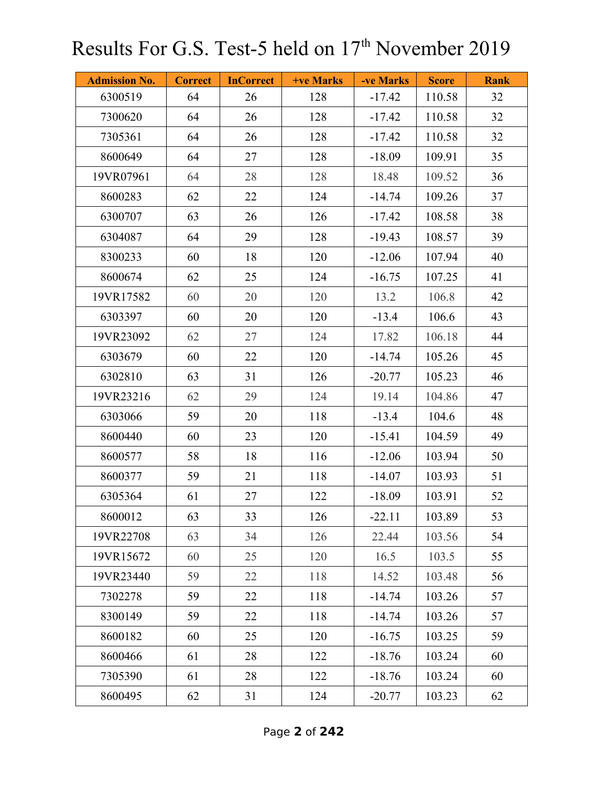| <b>Admission No.</b> | <b>Correct</b> | <b>InCorrect</b> | +ve Marks | -ve Marks | <b>Score</b> | <b>Rank</b> |
|----------------------|----------------|------------------|-----------|-----------|--------------|-------------|
| 6300519              | 64             | 26               | 128       | $-17.42$  | 110.58       | 32          |
| 7300620              | 64             | 26               | 128       | $-17.42$  | 110.58       | 32          |
| 7305361              | 64             | 26               | 128       | $-17.42$  | 110.58       | 32          |
| 8600649              | 64             | 27               | 128       | $-18.09$  | 109.91       | 35          |
| 19VR07961            | 64             | 28               | 128       | 18.48     | 109.52       | 36          |
| 8600283              | 62             | 22               | 124       | $-14.74$  | 109.26       | 37          |
| 6300707              | 63             | 26               | 126       | $-17.42$  | 108.58       | 38          |
| 6304087              | 64             | 29               | 128       | $-19.43$  | 108.57       | 39          |
| 8300233              | 60             | 18               | 120       | $-12.06$  | 107.94       | 40          |
| 8600674              | 62             | 25               | 124       | $-16.75$  | 107.25       | 41          |
| 19VR17582            | 60             | 20               | 120       | 13.2      | 106.8        | 42          |
| 6303397              | 60             | 20               | 120       | $-13.4$   | 106.6        | 43          |
| 19VR23092            | 62             | 27               | 124       | 17.82     | 106.18       | 44          |
| 6303679              | 60             | 22               | 120       | $-14.74$  | 105.26       | 45          |
| 6302810              | 63             | 31               | 126       | $-20.77$  | 105.23       | 46          |
| 19VR23216            | 62             | 29               | 124       | 19.14     | 104.86       | 47          |
| 6303066              | 59             | 20               | 118       | $-13.4$   | 104.6        | 48          |
| 8600440              | 60             | 23               | 120       | $-15.41$  | 104.59       | 49          |
| 8600577              | 58             | 18               | 116       | $-12.06$  | 103.94       | 50          |
| 8600377              | 59             | 21               | 118       | $-14.07$  | 103.93       | 51          |
| 6305364              | 61             | 27               | 122       | $-18.09$  | 103.91       | 52          |
| 8600012              | 63             | 33               | 126       | $-22.11$  | 103.89       | 53          |
| 19VR22708            | 63             | 34               | 126       | 22.44     | 103.56       | 54          |
| 19VR15672            | 60             | 25               | 120       | 16.5      | 103.5        | 55          |
| 19VR23440            | 59             | 22               | 118       | 14.52     | 103.48       | 56          |
| 7302278              | 59             | 22               | 118       | $-14.74$  | 103.26       | 57          |
| 8300149              | 59             | 22               | 118       | $-14.74$  | 103.26       | 57          |
| 8600182              | 60             | 25               | 120       | $-16.75$  | 103.25       | 59          |
| 8600466              | 61             | 28               | 122       | $-18.76$  | 103.24       | 60          |
| 7305390              | 61             | 28               | 122       | $-18.76$  | 103.24       | 60          |
| 8600495              | 62             | 31               | 124       | $-20.77$  | 103.23       | 62          |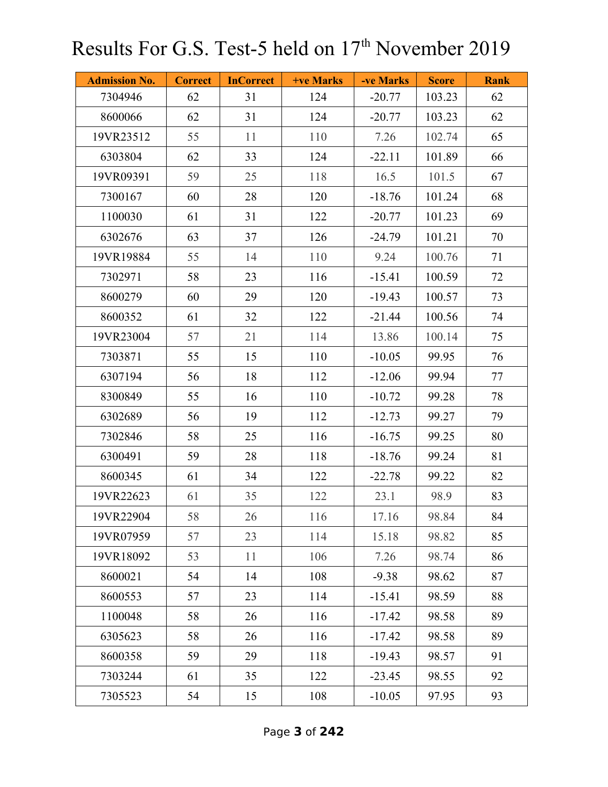| <b>Admission No.</b> | <b>Correct</b> | <b>InCorrect</b> | +ve Marks | -ve Marks | <b>Score</b> | <b>Rank</b> |
|----------------------|----------------|------------------|-----------|-----------|--------------|-------------|
| 7304946              | 62             | 31               | 124       | $-20.77$  | 103.23       | 62          |
| 8600066              | 62             | 31               | 124       | $-20.77$  | 103.23       | 62          |
| 19VR23512            | 55             | 11               | 110       | 7.26      | 102.74       | 65          |
| 6303804              | 62             | 33               | 124       | $-22.11$  | 101.89       | 66          |
| 19VR09391            | 59             | 25               | 118       | 16.5      | 101.5        | 67          |
| 7300167              | 60             | 28               | 120       | $-18.76$  | 101.24       | 68          |
| 1100030              | 61             | 31               | 122       | $-20.77$  | 101.23       | 69          |
| 6302676              | 63             | 37               | 126       | $-24.79$  | 101.21       | 70          |
| 19VR19884            | 55             | 14               | 110       | 9.24      | 100.76       | 71          |
| 7302971              | 58             | 23               | 116       | $-15.41$  | 100.59       | 72          |
| 8600279              | 60             | 29               | 120       | $-19.43$  | 100.57       | 73          |
| 8600352              | 61             | 32               | 122       | $-21.44$  | 100.56       | 74          |
| 19VR23004            | 57             | 21               | 114       | 13.86     | 100.14       | 75          |
| 7303871              | 55             | 15               | 110       | $-10.05$  | 99.95        | 76          |
| 6307194              | 56             | 18               | 112       | $-12.06$  | 99.94        | 77          |
| 8300849              | 55             | 16               | 110       | $-10.72$  | 99.28        | 78          |
| 6302689              | 56             | 19               | 112       | $-12.73$  | 99.27        | 79          |
| 7302846              | 58             | 25               | 116       | $-16.75$  | 99.25        | 80          |
| 6300491              | 59             | 28               | 118       | $-18.76$  | 99.24        | 81          |
| 8600345              | 61             | 34               | 122       | $-22.78$  | 99.22        | 82          |
| 19VR22623            | 61             | 35               | 122       | 23.1      | 98.9         | 83          |
| 19VR22904            | 58             | 26               | 116       | 17.16     | 98.84        | 84          |
| 19VR07959            | 57             | 23               | 114       | 15.18     | 98.82        | 85          |
| 19VR18092            | 53             | 11               | 106       | 7.26      | 98.74        | 86          |
| 8600021              | 54             | 14               | 108       | $-9.38$   | 98.62        | 87          |
| 8600553              | 57             | 23               | 114       | $-15.41$  | 98.59        | 88          |
| 1100048              | 58             | 26               | 116       | $-17.42$  | 98.58        | 89          |
| 6305623              | 58             | 26               | 116       | $-17.42$  | 98.58        | 89          |
| 8600358              | 59             | 29               | 118       | $-19.43$  | 98.57        | 91          |
| 7303244              | 61             | 35               | 122       | $-23.45$  | 98.55        | 92          |
| 7305523              | 54             | 15               | 108       | $-10.05$  | 97.95        | 93          |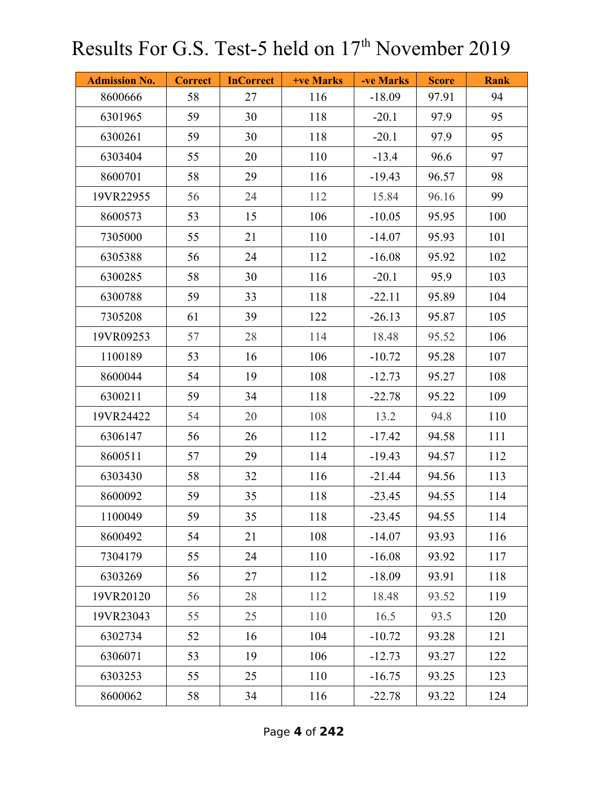| <b>Admission No.</b> | <b>Correct</b> | <b>InCorrect</b> | +ve Marks | -ve Marks | <b>Score</b> | <b>Rank</b> |
|----------------------|----------------|------------------|-----------|-----------|--------------|-------------|
| 8600666              | 58             | 27               | 116       | $-18.09$  | 97.91        | 94          |
| 6301965              | 59             | 30               | 118       | $-20.1$   | 97.9         | 95          |
| 6300261              | 59             | 30               | 118       | $-20.1$   | 97.9         | 95          |
| 6303404              | 55             | 20               | 110       | $-13.4$   | 96.6         | 97          |
| 8600701              | 58             | 29               | 116       | $-19.43$  | 96.57        | 98          |
| 19VR22955            | 56             | 24               | 112       | 15.84     | 96.16        | 99          |
| 8600573              | 53             | 15               | 106       | $-10.05$  | 95.95        | 100         |
| 7305000              | 55             | 21               | 110       | $-14.07$  | 95.93        | 101         |
| 6305388              | 56             | 24               | 112       | $-16.08$  | 95.92        | 102         |
| 6300285              | 58             | 30               | 116       | $-20.1$   | 95.9         | 103         |
| 6300788              | 59             | 33               | 118       | $-22.11$  | 95.89        | 104         |
| 7305208              | 61             | 39               | 122       | $-26.13$  | 95.87        | 105         |
| 19VR09253            | 57             | 28               | 114       | 18.48     | 95.52        | 106         |
| 1100189              | 53             | 16               | 106       | $-10.72$  | 95.28        | 107         |
| 8600044              | 54             | 19               | 108       | $-12.73$  | 95.27        | 108         |
| 6300211              | 59             | 34               | 118       | $-22.78$  | 95.22        | 109         |
| 19VR24422            | 54             | 20               | 108       | 13.2      | 94.8         | 110         |
| 6306147              | 56             | 26               | 112       | $-17.42$  | 94.58        | 111         |
| 8600511              | 57             | 29               | 114       | $-19.43$  | 94.57        | 112         |
| 6303430              | 58             | 32               | 116       | $-21.44$  | 94.56        | 113         |
| 8600092              | 59             | 35               | 118       | $-23.45$  | 94.55        | 114         |
| 1100049              | 59             | 35               | 118       | $-23.45$  | 94.55        | 114         |
| 8600492              | 54             | 21               | 108       | $-14.07$  | 93.93        | 116         |
| 7304179              | 55             | 24               | 110       | $-16.08$  | 93.92        | 117         |
| 6303269              | 56             | 27               | 112       | $-18.09$  | 93.91        | 118         |
| 19VR20120            | 56             | 28               | 112       | 18.48     | 93.52        | 119         |
| 19VR23043            | 55             | 25               | 110       | 16.5      | 93.5         | 120         |
| 6302734              | 52             | 16               | 104       | $-10.72$  | 93.28        | 121         |
| 6306071              | 53             | 19               | 106       | $-12.73$  | 93.27        | 122         |
| 6303253              | 55             | 25               | 110       | $-16.75$  | 93.25        | 123         |
| 8600062              | 58             | 34               | 116       | $-22.78$  | 93.22        | 124         |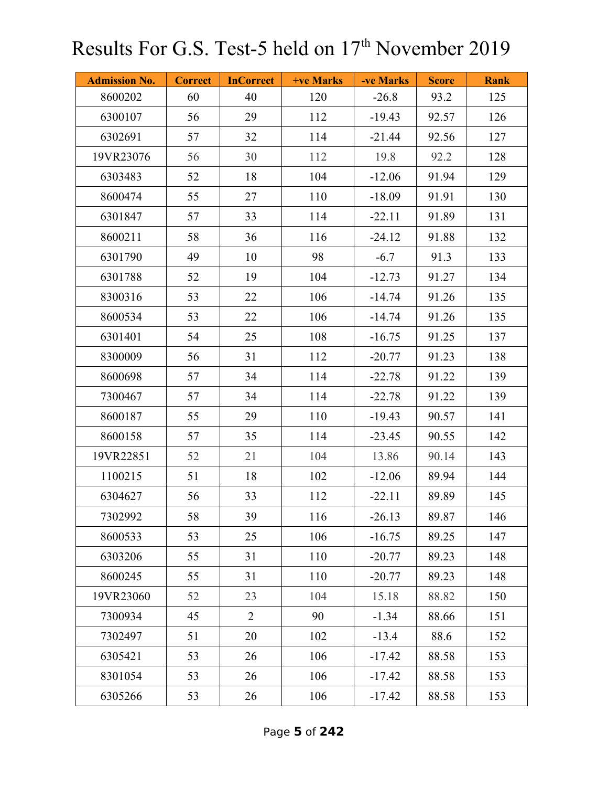| <b>Admission No.</b> | <b>Correct</b> | <b>InCorrect</b> | <b>+ve Marks</b> | -ve Marks | <b>Score</b> | <b>Rank</b> |
|----------------------|----------------|------------------|------------------|-----------|--------------|-------------|
| 8600202              | 60             | 40               | 120              | $-26.8$   | 93.2         | 125         |
| 6300107              | 56             | 29               | 112              | $-19.43$  | 92.57        | 126         |
| 6302691              | 57             | 32               | 114              | $-21.44$  | 92.56        | 127         |
| 19VR23076            | 56             | 30               | 112              | 19.8      | 92.2         | 128         |
| 6303483              | 52             | 18               | 104              | $-12.06$  | 91.94        | 129         |
| 8600474              | 55             | 27               | 110              | $-18.09$  | 91.91        | 130         |
| 6301847              | 57             | 33               | 114              | $-22.11$  | 91.89        | 131         |
| 8600211              | 58             | 36               | 116              | $-24.12$  | 91.88        | 132         |
| 6301790              | 49             | 10               | 98               | $-6.7$    | 91.3         | 133         |
| 6301788              | 52             | 19               | 104              | $-12.73$  | 91.27        | 134         |
| 8300316              | 53             | 22               | 106              | $-14.74$  | 91.26        | 135         |
| 8600534              | 53             | 22               | 106              | $-14.74$  | 91.26        | 135         |
| 6301401              | 54             | 25               | 108              | $-16.75$  | 91.25        | 137         |
| 8300009              | 56             | 31               | 112              | $-20.77$  | 91.23        | 138         |
| 8600698              | 57             | 34               | 114              | $-22.78$  | 91.22        | 139         |
| 7300467              | 57             | 34               | 114              | $-22.78$  | 91.22        | 139         |
| 8600187              | 55             | 29               | 110              | $-19.43$  | 90.57        | 141         |
| 8600158              | 57             | 35               | 114              | $-23.45$  | 90.55        | 142         |
| 19VR22851            | 52             | 21               | 104              | 13.86     | 90.14        | 143         |
| 1100215              | 51             | 18               | 102              | $-12.06$  | 89.94        | 144         |
| 6304627              | 56             | 33               | 112              | $-22.11$  | 89.89        | 145         |
| 7302992              | 58             | 39               | 116              | $-26.13$  | 89.87        | 146         |
| 8600533              | 53             | 25               | 106              | $-16.75$  | 89.25        | 147         |
| 6303206              | 55             | 31               | 110              | $-20.77$  | 89.23        | 148         |
| 8600245              | 55             | 31               | 110              | $-20.77$  | 89.23        | 148         |
| 19VR23060            | 52             | 23               | 104              | 15.18     | 88.82        | 150         |
| 7300934              | 45             | $\overline{2}$   | 90               | $-1.34$   | 88.66        | 151         |
| 7302497              | 51             | 20               | 102              | $-13.4$   | 88.6         | 152         |
| 6305421              | 53             | 26               | 106              | $-17.42$  | 88.58        | 153         |
| 8301054              | 53             | 26               | 106              | $-17.42$  | 88.58        | 153         |
| 6305266              | 53             | 26               | 106              | $-17.42$  | 88.58        | 153         |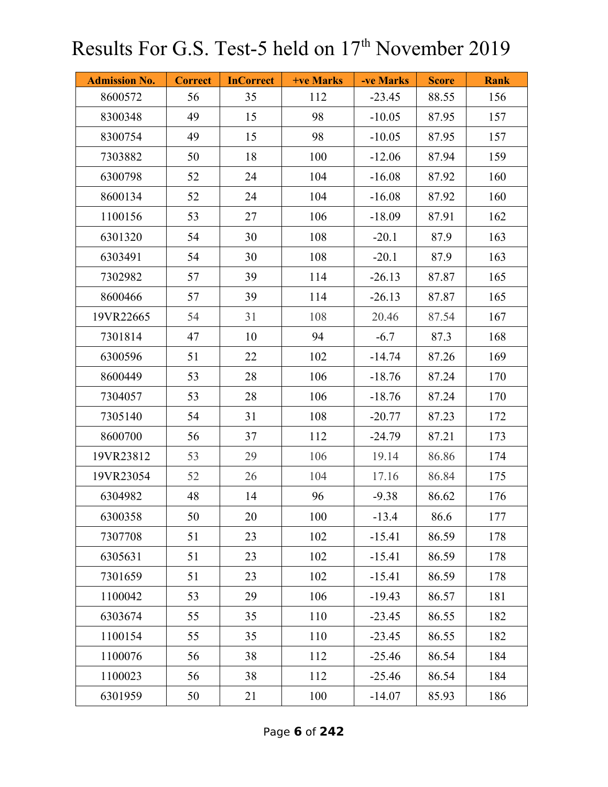| <b>Admission No.</b> | <b>Correct</b> | <b>InCorrect</b> | +ve Marks | -ve Marks | <b>Score</b> | <b>Rank</b> |
|----------------------|----------------|------------------|-----------|-----------|--------------|-------------|
| 8600572              | 56             | 35               | 112       | $-23.45$  | 88.55        | 156         |
| 8300348              | 49             | 15               | 98        | $-10.05$  | 87.95        | 157         |
| 8300754              | 49             | 15               | 98        | $-10.05$  | 87.95        | 157         |
| 7303882              | 50             | 18               | 100       | $-12.06$  | 87.94        | 159         |
| 6300798              | 52             | 24               | 104       | $-16.08$  | 87.92        | 160         |
| 8600134              | 52             | 24               | 104       | $-16.08$  | 87.92        | 160         |
| 1100156              | 53             | 27               | 106       | $-18.09$  | 87.91        | 162         |
| 6301320              | 54             | 30               | 108       | $-20.1$   | 87.9         | 163         |
| 6303491              | 54             | 30               | 108       | $-20.1$   | 87.9         | 163         |
| 7302982              | 57             | 39               | 114       | $-26.13$  | 87.87        | 165         |
| 8600466              | 57             | 39               | 114       | $-26.13$  | 87.87        | 165         |
| 19VR22665            | 54             | 31               | 108       | 20.46     | 87.54        | 167         |
| 7301814              | 47             | 10               | 94        | $-6.7$    | 87.3         | 168         |
| 6300596              | 51             | 22               | 102       | $-14.74$  | 87.26        | 169         |
| 8600449              | 53             | 28               | 106       | $-18.76$  | 87.24        | 170         |
| 7304057              | 53             | 28               | 106       | $-18.76$  | 87.24        | 170         |
| 7305140              | 54             | 31               | 108       | $-20.77$  | 87.23        | 172         |
| 8600700              | 56             | 37               | 112       | $-24.79$  | 87.21        | 173         |
| 19VR23812            | 53             | 29               | 106       | 19.14     | 86.86        | 174         |
| 19VR23054            | 52             | 26               | 104       | 17.16     | 86.84        | 175         |
| 6304982              | 48             | 14               | 96        | $-9.38$   | 86.62        | 176         |
| 6300358              | 50             | 20               | 100       | $-13.4$   | 86.6         | 177         |
| 7307708              | 51             | 23               | 102       | $-15.41$  | 86.59        | 178         |
| 6305631              | 51             | 23               | 102       | $-15.41$  | 86.59        | 178         |
| 7301659              | 51             | 23               | 102       | $-15.41$  | 86.59        | 178         |
| 1100042              | 53             | 29               | 106       | $-19.43$  | 86.57        | 181         |
| 6303674              | 55             | 35               | 110       | $-23.45$  | 86.55        | 182         |
| 1100154              | 55             | 35               | 110       | $-23.45$  | 86.55        | 182         |
| 1100076              | 56             | 38               | 112       | $-25.46$  | 86.54        | 184         |
| 1100023              | 56             | 38               | 112       | $-25.46$  | 86.54        | 184         |
| 6301959              | 50             | 21               | 100       | $-14.07$  | 85.93        | 186         |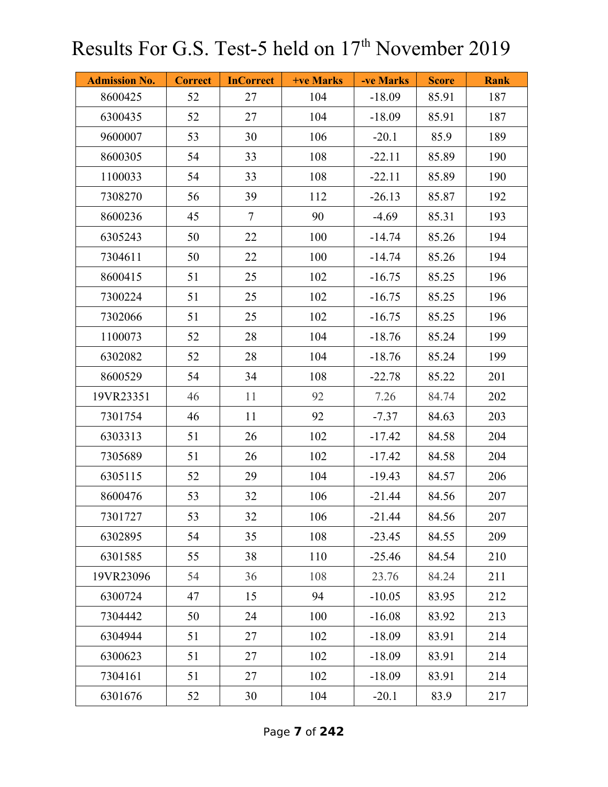| <b>Admission No.</b> | <b>Correct</b> | <b>InCorrect</b> | +ve Marks | -ve Marks | <b>Score</b> | <b>Rank</b> |
|----------------------|----------------|------------------|-----------|-----------|--------------|-------------|
| 8600425              | 52             | 27               | 104       | $-18.09$  | 85.91        | 187         |
| 6300435              | 52             | 27               | 104       | $-18.09$  | 85.91        | 187         |
| 9600007              | 53             | 30               | 106       | $-20.1$   | 85.9         | 189         |
| 8600305              | 54             | 33               | 108       | $-22.11$  | 85.89        | 190         |
| 1100033              | 54             | 33               | 108       | $-22.11$  | 85.89        | 190         |
| 7308270              | 56             | 39               | 112       | $-26.13$  | 85.87        | 192         |
| 8600236              | 45             | $\overline{7}$   | 90        | $-4.69$   | 85.31        | 193         |
| 6305243              | 50             | 22               | 100       | $-14.74$  | 85.26        | 194         |
| 7304611              | 50             | 22               | 100       | $-14.74$  | 85.26        | 194         |
| 8600415              | 51             | 25               | 102       | $-16.75$  | 85.25        | 196         |
| 7300224              | 51             | 25               | 102       | $-16.75$  | 85.25        | 196         |
| 7302066              | 51             | 25               | 102       | $-16.75$  | 85.25        | 196         |
| 1100073              | 52             | 28               | 104       | $-18.76$  | 85.24        | 199         |
| 6302082              | 52             | 28               | 104       | $-18.76$  | 85.24        | 199         |
| 8600529              | 54             | 34               | 108       | $-22.78$  | 85.22        | 201         |
| 19VR23351            | 46             | 11               | 92        | 7.26      | 84.74        | 202         |
| 7301754              | 46             | 11               | 92        | $-7.37$   | 84.63        | 203         |
| 6303313              | 51             | 26               | 102       | $-17.42$  | 84.58        | 204         |
| 7305689              | 51             | 26               | 102       | $-17.42$  | 84.58        | 204         |
| 6305115              | 52             | 29               | 104       | $-19.43$  | 84.57        | 206         |
| 8600476              | 53             | 32               | 106       | $-21.44$  | 84.56        | 207         |
| 7301727              | 53             | 32               | 106       | $-21.44$  | 84.56        | 207         |
| 6302895              | 54             | 35               | 108       | $-23.45$  | 84.55        | 209         |
| 6301585              | 55             | 38               | 110       | $-25.46$  | 84.54        | 210         |
| 19VR23096            | 54             | 36               | 108       | 23.76     | 84.24        | 211         |
| 6300724              | 47             | 15               | 94        | $-10.05$  | 83.95        | 212         |
| 7304442              | 50             | 24               | 100       | $-16.08$  | 83.92        | 213         |
| 6304944              | 51             | 27               | 102       | $-18.09$  | 83.91        | 214         |
| 6300623              | 51             | 27               | 102       | $-18.09$  | 83.91        | 214         |
| 7304161              | 51             | 27               | 102       | $-18.09$  | 83.91        | 214         |
| 6301676              | 52             | 30               | 104       | $-20.1$   | 83.9         | 217         |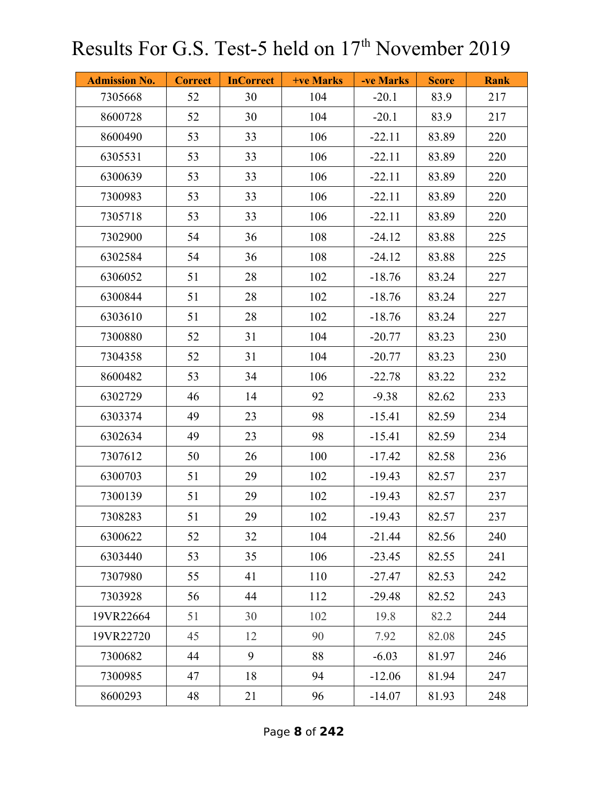| <b>Admission No.</b> | <b>Correct</b> | <b>InCorrect</b> | <b>+ve Marks</b> | -ve Marks | <b>Score</b> | <b>Rank</b> |
|----------------------|----------------|------------------|------------------|-----------|--------------|-------------|
| 7305668              | 52             | 30               | 104              | $-20.1$   | 83.9         | 217         |
| 8600728              | 52             | 30               | 104              | $-20.1$   | 83.9         | 217         |
| 8600490              | 53             | 33               | 106              | $-22.11$  | 83.89        | 220         |
| 6305531              | 53             | 33               | 106              | $-22.11$  | 83.89        | 220         |
| 6300639              | 53             | 33               | 106              | $-22.11$  | 83.89        | 220         |
| 7300983              | 53             | 33               | 106              | $-22.11$  | 83.89        | 220         |
| 7305718              | 53             | 33               | 106              | $-22.11$  | 83.89        | 220         |
| 7302900              | 54             | 36               | 108              | $-24.12$  | 83.88        | 225         |
| 6302584              | 54             | 36               | 108              | $-24.12$  | 83.88        | 225         |
| 6306052              | 51             | 28               | 102              | $-18.76$  | 83.24        | 227         |
| 6300844              | 51             | 28               | 102              | $-18.76$  | 83.24        | 227         |
| 6303610              | 51             | 28               | 102              | $-18.76$  | 83.24        | 227         |
| 7300880              | 52             | 31               | 104              | $-20.77$  | 83.23        | 230         |
| 7304358              | 52             | 31               | 104              | $-20.77$  | 83.23        | 230         |
| 8600482              | 53             | 34               | 106              | $-22.78$  | 83.22        | 232         |
| 6302729              | 46             | 14               | 92               | $-9.38$   | 82.62        | 233         |
| 6303374              | 49             | 23               | 98               | $-15.41$  | 82.59        | 234         |
| 6302634              | 49             | 23               | 98               | $-15.41$  | 82.59        | 234         |
| 7307612              | 50             | 26               | 100              | $-17.42$  | 82.58        | 236         |
| 6300703              | 51             | 29               | 102              | $-19.43$  | 82.57        | 237         |
| 7300139              | 51             | 29               | 102              | $-19.43$  | 82.57        | 237         |
| 7308283              | 51             | 29               | 102              | $-19.43$  | 82.57        | 237         |
| 6300622              | 52             | 32               | 104              | $-21.44$  | 82.56        | 240         |
| 6303440              | 53             | 35               | 106              | $-23.45$  | 82.55        | 241         |
| 7307980              | 55             | 41               | 110              | $-27.47$  | 82.53        | 242         |
| 7303928              | 56             | 44               | 112              | $-29.48$  | 82.52        | 243         |
| 19VR22664            | 51             | 30               | 102              | 19.8      | 82.2         | 244         |
| 19VR22720            | 45             | 12               | 90               | 7.92      | 82.08        | 245         |
| 7300682              | 44             | 9                | 88               | $-6.03$   | 81.97        | 246         |
| 7300985              | 47             | 18               | 94               | $-12.06$  | 81.94        | 247         |
| 8600293              | 48             | 21               | 96               | $-14.07$  | 81.93        | 248         |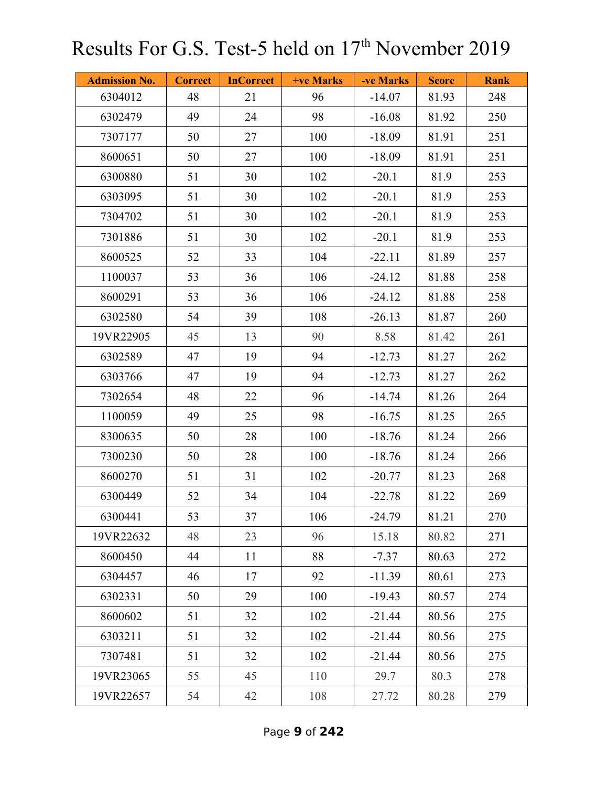| <b>Admission No.</b> | <b>Correct</b> | <b>InCorrect</b> | <b>+ve Marks</b> | -ve Marks | <b>Score</b> | <b>Rank</b> |
|----------------------|----------------|------------------|------------------|-----------|--------------|-------------|
| 6304012              | 48             | 21               | 96               | $-14.07$  | 81.93        | 248         |
| 6302479              | 49             | 24               | 98               | $-16.08$  | 81.92        | 250         |
| 7307177              | 50             | 27               | 100              | $-18.09$  | 81.91        | 251         |
| 8600651              | 50             | 27               | 100              | $-18.09$  | 81.91        | 251         |
| 6300880              | 51             | 30               | 102              | $-20.1$   | 81.9         | 253         |
| 6303095              | 51             | 30               | 102              | $-20.1$   | 81.9         | 253         |
| 7304702              | 51             | 30               | 102              | $-20.1$   | 81.9         | 253         |
| 7301886              | 51             | 30               | 102              | $-20.1$   | 81.9         | 253         |
| 8600525              | 52             | 33               | 104              | $-22.11$  | 81.89        | 257         |
| 1100037              | 53             | 36               | 106              | $-24.12$  | 81.88        | 258         |
| 8600291              | 53             | 36               | 106              | $-24.12$  | 81.88        | 258         |
| 6302580              | 54             | 39               | 108              | $-26.13$  | 81.87        | 260         |
| 19VR22905            | 45             | 13               | 90               | 8.58      | 81.42        | 261         |
| 6302589              | 47             | 19               | 94               | $-12.73$  | 81.27        | 262         |
| 6303766              | 47             | 19               | 94               | $-12.73$  | 81.27        | 262         |
| 7302654              | 48             | 22               | 96               | $-14.74$  | 81.26        | 264         |
| 1100059              | 49             | 25               | 98               | $-16.75$  | 81.25        | 265         |
| 8300635              | 50             | 28               | 100              | $-18.76$  | 81.24        | 266         |
| 7300230              | 50             | 28               | 100              | $-18.76$  | 81.24        | 266         |
| 8600270              | 51             | 31               | 102              | $-20.77$  | 81.23        | 268         |
| 6300449              | 52             | 34               | 104              | $-22.78$  | 81.22        | 269         |
| 6300441              | 53             | 37               | 106              | $-24.79$  | 81.21        | 270         |
| 19VR22632            | 48             | 23               | 96               | 15.18     | 80.82        | 271         |
| 8600450              | 44             | 11               | 88               | $-7.37$   | 80.63        | 272         |
| 6304457              | 46             | 17               | 92               | $-11.39$  | 80.61        | 273         |
| 6302331              | 50             | 29               | 100              | $-19.43$  | 80.57        | 274         |
| 8600602              | 51             | 32               | 102              | $-21.44$  | 80.56        | 275         |
| 6303211              | 51             | 32               | 102              | $-21.44$  | 80.56        | 275         |
| 7307481              | 51             | 32               | 102              | $-21.44$  | 80.56        | 275         |
| 19VR23065            | 55             | 45               | 110              | 29.7      | 80.3         | 278         |
| 19VR22657            | 54             | 42               | 108              | 27.72     | 80.28        | 279         |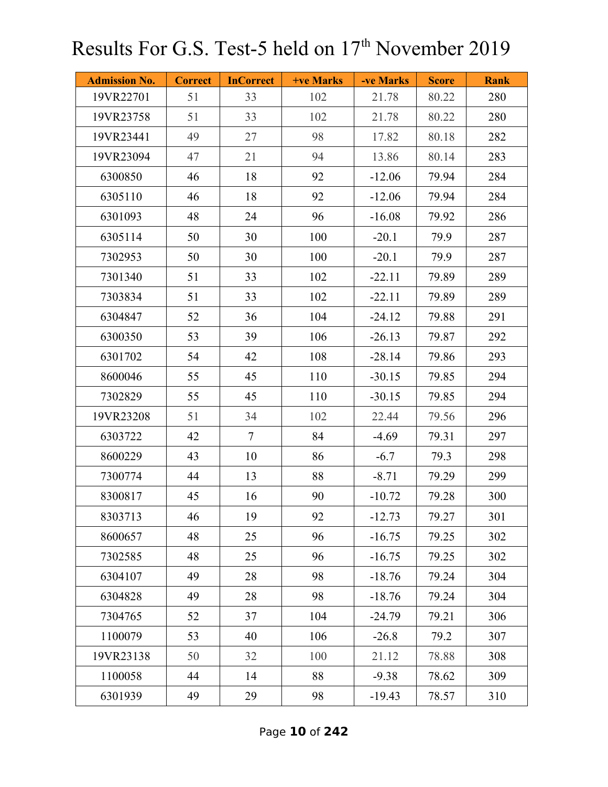| <b>Admission No.</b> | <b>Correct</b> | <b>InCorrect</b> | <b>+ve Marks</b> | -ve Marks | <b>Score</b> | <b>Rank</b> |
|----------------------|----------------|------------------|------------------|-----------|--------------|-------------|
| 19VR22701            | 51             | 33               | 102              | 21.78     | 80.22        | 280         |
| 19VR23758            | 51             | 33               | 102              | 21.78     | 80.22        | 280         |
| 19VR23441            | 49             | 27               | 98               | 17.82     | 80.18        | 282         |
| 19VR23094            | 47             | 21               | 94               | 13.86     | 80.14        | 283         |
| 6300850              | 46             | 18               | 92               | $-12.06$  | 79.94        | 284         |
| 6305110              | 46             | 18               | 92               | $-12.06$  | 79.94        | 284         |
| 6301093              | 48             | 24               | 96               | $-16.08$  | 79.92        | 286         |
| 6305114              | 50             | 30               | 100              | $-20.1$   | 79.9         | 287         |
| 7302953              | 50             | 30               | 100              | $-20.1$   | 79.9         | 287         |
| 7301340              | 51             | 33               | 102              | $-22.11$  | 79.89        | 289         |
| 7303834              | 51             | 33               | 102              | $-22.11$  | 79.89        | 289         |
| 6304847              | 52             | 36               | 104              | $-24.12$  | 79.88        | 291         |
| 6300350              | 53             | 39               | 106              | $-26.13$  | 79.87        | 292         |
| 6301702              | 54             | 42               | 108              | $-28.14$  | 79.86        | 293         |
| 8600046              | 55             | 45               | 110              | $-30.15$  | 79.85        | 294         |
| 7302829              | 55             | 45               | 110              | $-30.15$  | 79.85        | 294         |
| 19VR23208            | 51             | 34               | 102              | 22.44     | 79.56        | 296         |
| 6303722              | 42             | $\overline{7}$   | 84               | $-4.69$   | 79.31        | 297         |
| 8600229              | 43             | 10               | 86               | $-6.7$    | 79.3         | 298         |
| 7300774              | 44             | 13               | 88               | $-8.71$   | 79.29        | 299         |
| 8300817              | 45             | 16               | 90               | $-10.72$  | 79.28        | 300         |
| 8303713              | 46             | 19               | 92               | $-12.73$  | 79.27        | 301         |
| 8600657              | 48             | 25               | 96               | $-16.75$  | 79.25        | 302         |
| 7302585              | 48             | 25               | 96               | $-16.75$  | 79.25        | 302         |
| 6304107              | 49             | 28               | 98               | $-18.76$  | 79.24        | 304         |
| 6304828              | 49             | 28               | 98               | $-18.76$  | 79.24        | 304         |
| 7304765              | 52             | 37               | 104              | $-24.79$  | 79.21        | 306         |
| 1100079              | 53             | 40               | 106              | $-26.8$   | 79.2         | 307         |
| 19VR23138            | 50             | 32               | 100              | 21.12     | 78.88        | 308         |
| 1100058              | 44             | 14               | 88               | $-9.38$   | 78.62        | 309         |
| 6301939              | 49             | 29               | 98               | $-19.43$  | 78.57        | 310         |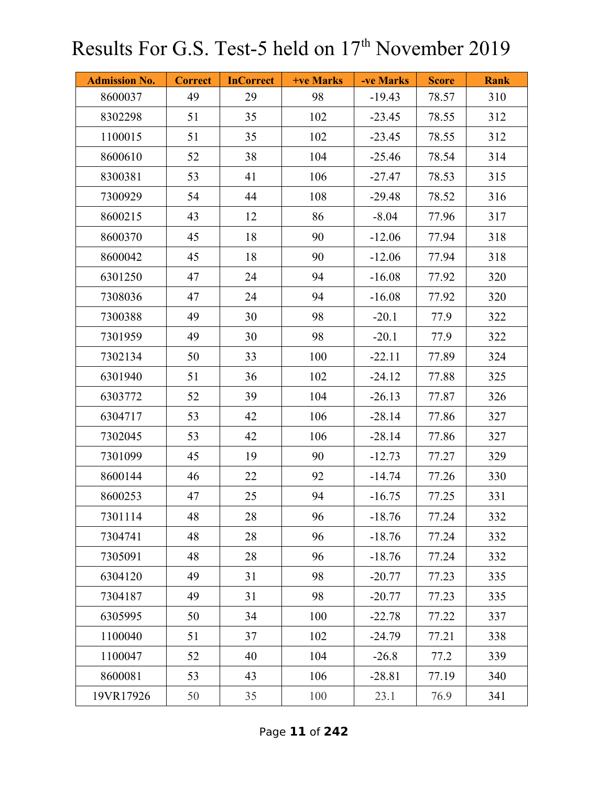| <b>Admission No.</b> | <b>Correct</b> | <b>InCorrect</b> | <b>+ve Marks</b> | -ve Marks | <b>Score</b> | <b>Rank</b> |
|----------------------|----------------|------------------|------------------|-----------|--------------|-------------|
| 8600037              | 49             | 29               | 98               | $-19.43$  | 78.57        | 310         |
| 8302298              | 51             | 35               | 102              | $-23.45$  | 78.55        | 312         |
| 1100015              | 51             | 35               | 102              | $-23.45$  | 78.55        | 312         |
| 8600610              | 52             | 38               | 104              | $-25.46$  | 78.54        | 314         |
| 8300381              | 53             | 41               | 106              | $-27.47$  | 78.53        | 315         |
| 7300929              | 54             | 44               | 108              | $-29.48$  | 78.52        | 316         |
| 8600215              | 43             | 12               | 86               | $-8.04$   | 77.96        | 317         |
| 8600370              | 45             | 18               | 90               | $-12.06$  | 77.94        | 318         |
| 8600042              | 45             | 18               | 90               | $-12.06$  | 77.94        | 318         |
| 6301250              | 47             | 24               | 94               | $-16.08$  | 77.92        | 320         |
| 7308036              | 47             | 24               | 94               | $-16.08$  | 77.92        | 320         |
| 7300388              | 49             | 30               | 98               | $-20.1$   | 77.9         | 322         |
| 7301959              | 49             | 30               | 98               | $-20.1$   | 77.9         | 322         |
| 7302134              | 50             | 33               | 100              | $-22.11$  | 77.89        | 324         |
| 6301940              | 51             | 36               | 102              | $-24.12$  | 77.88        | 325         |
| 6303772              | 52             | 39               | 104              | $-26.13$  | 77.87        | 326         |
| 6304717              | 53             | 42               | 106              | $-28.14$  | 77.86        | 327         |
| 7302045              | 53             | 42               | 106              | $-28.14$  | 77.86        | 327         |
| 7301099              | 45             | 19               | 90               | $-12.73$  | 77.27        | 329         |
| 8600144              | 46             | 22               | 92               | $-14.74$  | 77.26        | 330         |
| 8600253              | 47             | 25               | 94               | $-16.75$  | 77.25        | 331         |
| 7301114              | 48             | 28               | 96               | $-18.76$  | 77.24        | 332         |
| 7304741              | 48             | 28               | 96               | $-18.76$  | 77.24        | 332         |
| 7305091              | 48             | 28               | 96               | $-18.76$  | 77.24        | 332         |
| 6304120              | 49             | 31               | 98               | $-20.77$  | 77.23        | 335         |
| 7304187              | 49             | 31               | 98               | $-20.77$  | 77.23        | 335         |
| 6305995              | 50             | 34               | 100              | $-22.78$  | 77.22        | 337         |
| 1100040              | 51             | 37               | 102              | $-24.79$  | 77.21        | 338         |
| 1100047              | 52             | 40               | 104              | $-26.8$   | 77.2         | 339         |
| 8600081              | 53             | 43               | 106              | $-28.81$  | 77.19        | 340         |
| 19VR17926            | 50             | 35               | 100              | 23.1      | 76.9         | 341         |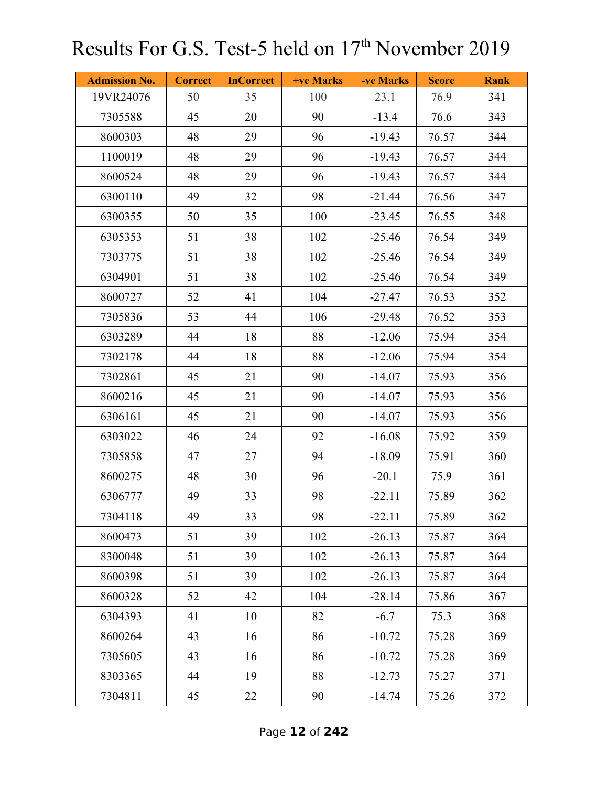| <b>Admission No.</b> | <b>Correct</b> | <b>InCorrect</b> | +ve Marks | -ve Marks | <b>Score</b> | <b>Rank</b> |
|----------------------|----------------|------------------|-----------|-----------|--------------|-------------|
| 19VR24076            | 50             | 35               | 100       | 23.1      | 76.9         | 341         |
| 7305588              | 45             | 20               | 90        | $-13.4$   | 76.6         | 343         |
| 8600303              | 48             | 29               | 96        | $-19.43$  | 76.57        | 344         |
| 1100019              | 48             | 29               | 96        | $-19.43$  | 76.57        | 344         |
| 8600524              | 48             | 29               | 96        | $-19.43$  | 76.57        | 344         |
| 6300110              | 49             | 32               | 98        | $-21.44$  | 76.56        | 347         |
| 6300355              | 50             | 35               | 100       | $-23.45$  | 76.55        | 348         |
| 6305353              | 51             | 38               | 102       | $-25.46$  | 76.54        | 349         |
| 7303775              | 51             | 38               | 102       | $-25.46$  | 76.54        | 349         |
| 6304901              | 51             | 38               | 102       | $-25.46$  | 76.54        | 349         |
| 8600727              | 52             | 41               | 104       | $-27.47$  | 76.53        | 352         |
| 7305836              | 53             | 44               | 106       | $-29.48$  | 76.52        | 353         |
| 6303289              | 44             | 18               | 88        | $-12.06$  | 75.94        | 354         |
| 7302178              | 44             | 18               | 88        | $-12.06$  | 75.94        | 354         |
| 7302861              | 45             | 21               | 90        | $-14.07$  | 75.93        | 356         |
| 8600216              | 45             | 21               | 90        | $-14.07$  | 75.93        | 356         |
| 6306161              | 45             | 21               | 90        | $-14.07$  | 75.93        | 356         |
| 6303022              | 46             | 24               | 92        | $-16.08$  | 75.92        | 359         |
| 7305858              | 47             | 27               | 94        | $-18.09$  | 75.91        | 360         |
| 8600275              | 48             | 30               | 96        | $-20.1$   | 75.9         | 361         |
| 6306777              | 49             | 33               | 98        | $-22.11$  | 75.89        | 362         |
| 7304118              | 49             | 33               | 98        | $-22.11$  | 75.89        | 362         |
| 8600473              | 51             | 39               | 102       | $-26.13$  | 75.87        | 364         |
| 8300048              | 51             | 39               | 102       | $-26.13$  | 75.87        | 364         |
| 8600398              | 51             | 39               | 102       | $-26.13$  | 75.87        | 364         |
| 8600328              | 52             | 42               | 104       | $-28.14$  | 75.86        | 367         |
| 6304393              | 41             | 10               | 82        | $-6.7$    | 75.3         | 368         |
| 8600264              | 43             | 16               | 86        | $-10.72$  | 75.28        | 369         |
| 7305605              | 43             | 16               | 86        | $-10.72$  | 75.28        | 369         |
| 8303365              | 44             | 19               | 88        | $-12.73$  | 75.27        | 371         |
| 7304811              | 45             | 22               | 90        | $-14.74$  | 75.26        | 372         |

Page **12** of **242**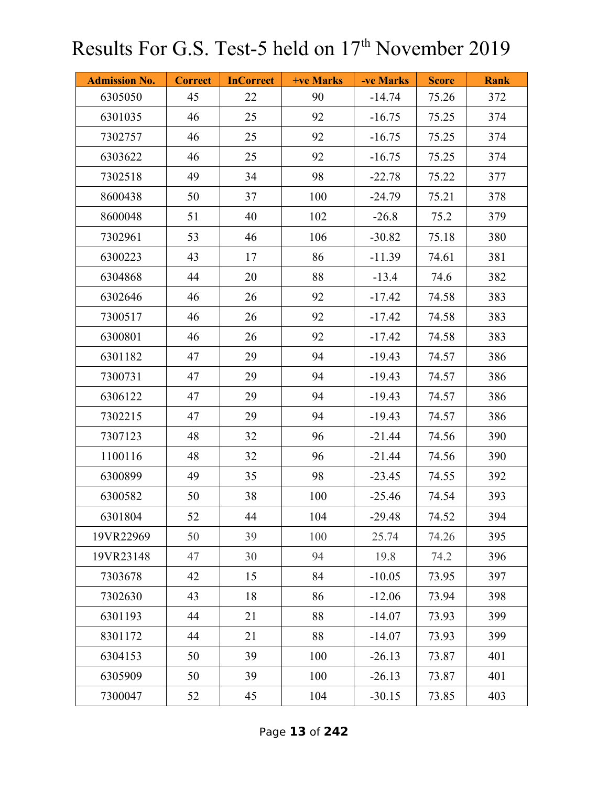| <b>Admission No.</b> | <b>Correct</b> | <b>InCorrect</b> | +ve Marks | -ve Marks | <b>Score</b> | <b>Rank</b> |
|----------------------|----------------|------------------|-----------|-----------|--------------|-------------|
| 6305050              | 45             | 22               | 90        | $-14.74$  | 75.26        | 372         |
| 6301035              | 46             | 25               | 92        | $-16.75$  | 75.25        | 374         |
| 7302757              | 46             | 25               | 92        | $-16.75$  | 75.25        | 374         |
| 6303622              | 46             | 25               | 92        | $-16.75$  | 75.25        | 374         |
| 7302518              | 49             | 34               | 98        | $-22.78$  | 75.22        | 377         |
| 8600438              | 50             | 37               | 100       | $-24.79$  | 75.21        | 378         |
| 8600048              | 51             | 40               | 102       | $-26.8$   | 75.2         | 379         |
| 7302961              | 53             | 46               | 106       | $-30.82$  | 75.18        | 380         |
| 6300223              | 43             | 17               | 86        | $-11.39$  | 74.61        | 381         |
| 6304868              | 44             | 20               | 88        | $-13.4$   | 74.6         | 382         |
| 6302646              | 46             | 26               | 92        | $-17.42$  | 74.58        | 383         |
| 7300517              | 46             | 26               | 92        | $-17.42$  | 74.58        | 383         |
| 6300801              | 46             | 26               | 92        | $-17.42$  | 74.58        | 383         |
| 6301182              | 47             | 29               | 94        | $-19.43$  | 74.57        | 386         |
| 7300731              | 47             | 29               | 94        | $-19.43$  | 74.57        | 386         |
| 6306122              | 47             | 29               | 94        | $-19.43$  | 74.57        | 386         |
| 7302215              | 47             | 29               | 94        | $-19.43$  | 74.57        | 386         |
| 7307123              | 48             | 32               | 96        | $-21.44$  | 74.56        | 390         |
| 1100116              | 48             | 32               | 96        | $-21.44$  | 74.56        | 390         |
| 6300899              | 49             | 35               | 98        | $-23.45$  | 74.55        | 392         |
| 6300582              | 50             | 38               | 100       | $-25.46$  | 74.54        | 393         |
| 6301804              | 52             | 44               | 104       | $-29.48$  | 74.52        | 394         |
| 19VR22969            | 50             | 39               | 100       | 25.74     | 74.26        | 395         |
| 19VR23148            | 47             | 30               | 94        | 19.8      | 74.2         | 396         |
| 7303678              | 42             | 15               | 84        | $-10.05$  | 73.95        | 397         |
| 7302630              | 43             | 18               | 86        | $-12.06$  | 73.94        | 398         |
| 6301193              | 44             | 21               | 88        | $-14.07$  | 73.93        | 399         |
| 8301172              | 44             | 21               | 88        | $-14.07$  | 73.93        | 399         |
| 6304153              | 50             | 39               | 100       | $-26.13$  | 73.87        | 401         |
| 6305909              | 50             | 39               | 100       | $-26.13$  | 73.87        | 401         |
| 7300047              | 52             | 45               | 104       | $-30.15$  | 73.85        | 403         |

Page **13** of **242**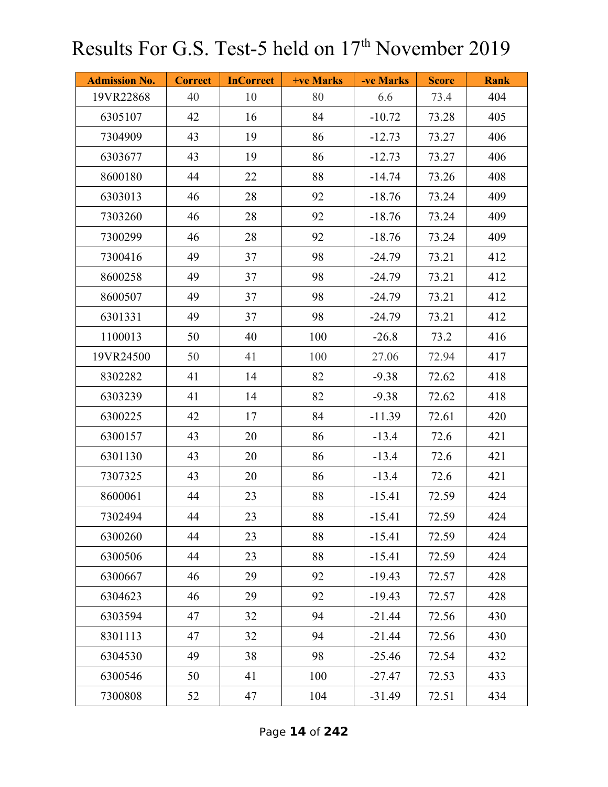| <b>Admission No.</b> | <b>Correct</b> | <b>InCorrect</b> | <b>+ve Marks</b> | -ve Marks | <b>Score</b> | <b>Rank</b> |
|----------------------|----------------|------------------|------------------|-----------|--------------|-------------|
| 19VR22868            | 40             | 10               | 80               | 6.6       | 73.4         | 404         |
| 6305107              | 42             | 16               | 84               | $-10.72$  | 73.28        | 405         |
| 7304909              | 43             | 19               | 86               | $-12.73$  | 73.27        | 406         |
| 6303677              | 43             | 19               | 86               | $-12.73$  | 73.27        | 406         |
| 8600180              | 44             | 22               | 88               | $-14.74$  | 73.26        | 408         |
| 6303013              | 46             | 28               | 92               | $-18.76$  | 73.24        | 409         |
| 7303260              | 46             | 28               | 92               | $-18.76$  | 73.24        | 409         |
| 7300299              | 46             | 28               | 92               | $-18.76$  | 73.24        | 409         |
| 7300416              | 49             | 37               | 98               | $-24.79$  | 73.21        | 412         |
| 8600258              | 49             | 37               | 98               | $-24.79$  | 73.21        | 412         |
| 8600507              | 49             | 37               | 98               | $-24.79$  | 73.21        | 412         |
| 6301331              | 49             | 37               | 98               | $-24.79$  | 73.21        | 412         |
| 1100013              | 50             | 40               | 100              | $-26.8$   | 73.2         | 416         |
| 19VR24500            | 50             | 41               | 100              | 27.06     | 72.94        | 417         |
| 8302282              | 41             | 14               | 82               | $-9.38$   | 72.62        | 418         |
| 6303239              | 41             | 14               | 82               | $-9.38$   | 72.62        | 418         |
| 6300225              | 42             | 17               | 84               | $-11.39$  | 72.61        | 420         |
| 6300157              | 43             | 20               | 86               | $-13.4$   | 72.6         | 421         |
| 6301130              | 43             | 20               | 86               | $-13.4$   | 72.6         | 421         |
| 7307325              | 43             | 20               | 86               | $-13.4$   | 72.6         | 421         |
| 8600061              | 44             | 23               | 88               | $-15.41$  | 72.59        | 424         |
| 7302494              | 44             | 23               | 88               | $-15.41$  | 72.59        | 424         |
| 6300260              | 44             | 23               | 88               | $-15.41$  | 72.59        | 424         |
| 6300506              | 44             | 23               | 88               | $-15.41$  | 72.59        | 424         |
| 6300667              | 46             | 29               | 92               | $-19.43$  | 72.57        | 428         |
| 6304623              | 46             | 29               | 92               | $-19.43$  | 72.57        | 428         |
| 6303594              | 47             | 32               | 94               | $-21.44$  | 72.56        | 430         |
| 8301113              | 47             | 32               | 94               | $-21.44$  | 72.56        | 430         |
| 6304530              | 49             | 38               | 98               | $-25.46$  | 72.54        | 432         |
| 6300546              | 50             | 41               | 100              | $-27.47$  | 72.53        | 433         |
| 7300808              | 52             | 47               | 104              | $-31.49$  | 72.51        | 434         |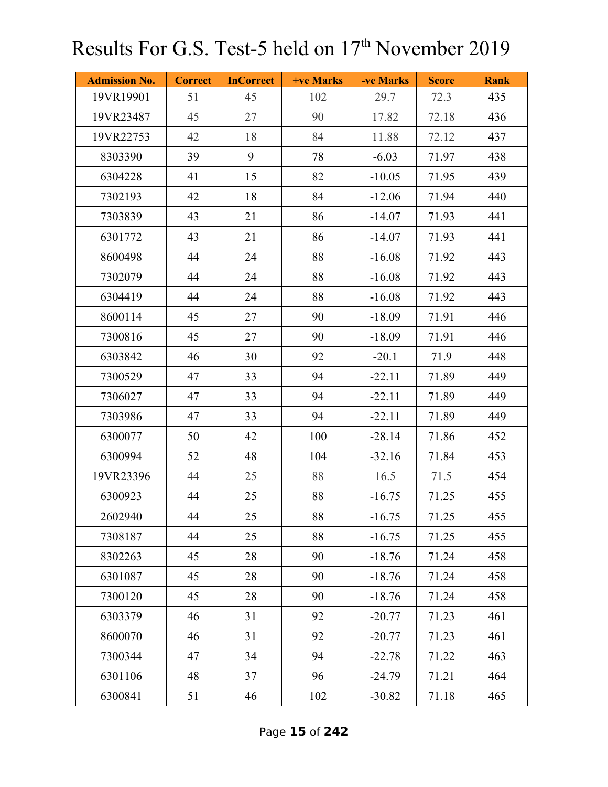| <b>Admission No.</b> | <b>Correct</b> | <b>InCorrect</b> | +ve Marks | -ve Marks | <b>Score</b> | <b>Rank</b> |
|----------------------|----------------|------------------|-----------|-----------|--------------|-------------|
| 19VR19901            | 51             | 45               | 102       | 29.7      | 72.3         | 435         |
| 19VR23487            | 45             | 27               | 90        | 17.82     | 72.18        | 436         |
| 19VR22753            | 42             | 18               | 84        | 11.88     | 72.12        | 437         |
| 8303390              | 39             | 9                | 78        | $-6.03$   | 71.97        | 438         |
| 6304228              | 41             | 15               | 82        | $-10.05$  | 71.95        | 439         |
| 7302193              | 42             | 18               | 84        | $-12.06$  | 71.94        | 440         |
| 7303839              | 43             | 21               | 86        | $-14.07$  | 71.93        | 441         |
| 6301772              | 43             | 21               | 86        | $-14.07$  | 71.93        | 441         |
| 8600498              | 44             | 24               | 88        | $-16.08$  | 71.92        | 443         |
| 7302079              | 44             | 24               | 88        | $-16.08$  | 71.92        | 443         |
| 6304419              | 44             | 24               | 88        | $-16.08$  | 71.92        | 443         |
| 8600114              | 45             | 27               | 90        | $-18.09$  | 71.91        | 446         |
| 7300816              | 45             | 27               | 90        | $-18.09$  | 71.91        | 446         |
| 6303842              | 46             | 30               | 92        | $-20.1$   | 71.9         | 448         |
| 7300529              | 47             | 33               | 94        | $-22.11$  | 71.89        | 449         |
| 7306027              | 47             | 33               | 94        | $-22.11$  | 71.89        | 449         |
| 7303986              | 47             | 33               | 94        | $-22.11$  | 71.89        | 449         |
| 6300077              | 50             | 42               | 100       | $-28.14$  | 71.86        | 452         |
| 6300994              | 52             | 48               | 104       | $-32.16$  | 71.84        | 453         |
| 19VR23396            | 44             | 25               | 88        | 16.5      | 71.5         | 454         |
| 6300923              | 44             | 25               | 88        | $-16.75$  | 71.25        | 455         |
| 2602940              | 44             | 25               | 88        | $-16.75$  | 71.25        | 455         |
| 7308187              | 44             | 25               | 88        | $-16.75$  | 71.25        | 455         |
| 8302263              | 45             | 28               | 90        | $-18.76$  | 71.24        | 458         |
| 6301087              | 45             | 28               | 90        | $-18.76$  | 71.24        | 458         |
| 7300120              | 45             | 28               | 90        | $-18.76$  | 71.24        | 458         |
| 6303379              | 46             | 31               | 92        | $-20.77$  | 71.23        | 461         |
| 8600070              | 46             | 31               | 92        | $-20.77$  | 71.23        | 461         |
| 7300344              | 47             | 34               | 94        | $-22.78$  | 71.22        | 463         |
| 6301106              | 48             | 37               | 96        | $-24.79$  | 71.21        | 464         |
| 6300841              | 51             | 46               | 102       | $-30.82$  | 71.18        | 465         |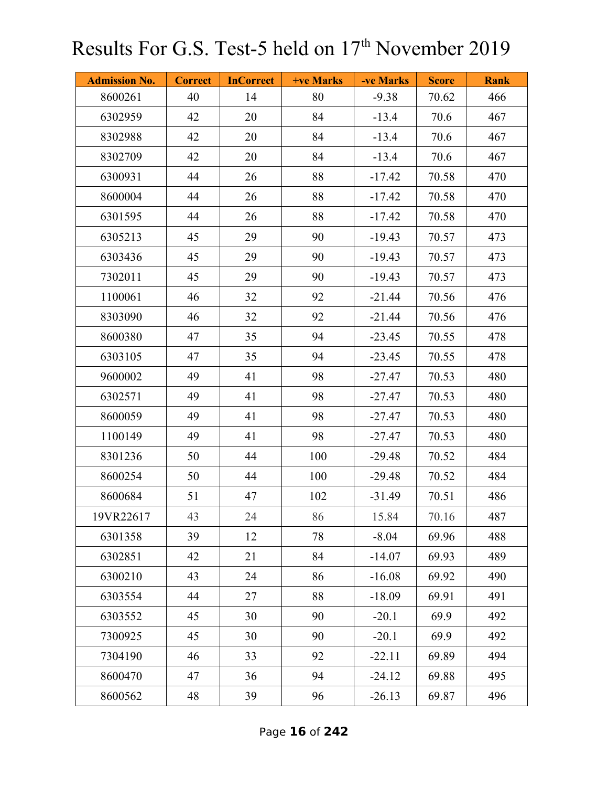| <b>Admission No.</b> | <b>Correct</b> | <b>InCorrect</b> | +ve Marks | -ve Marks | <b>Score</b> | <b>Rank</b> |
|----------------------|----------------|------------------|-----------|-----------|--------------|-------------|
| 8600261              | 40             | 14               | 80        | $-9.38$   | 70.62        | 466         |
| 6302959              | 42             | 20               | 84        | $-13.4$   | 70.6         | 467         |
| 8302988              | 42             | 20               | 84        | $-13.4$   | 70.6         | 467         |
| 8302709              | 42             | 20               | 84        | $-13.4$   | 70.6         | 467         |
| 6300931              | 44             | 26               | 88        | $-17.42$  | 70.58        | 470         |
| 8600004              | 44             | 26               | 88        | $-17.42$  | 70.58        | 470         |
| 6301595              | 44             | 26               | 88        | $-17.42$  | 70.58        | 470         |
| 6305213              | 45             | 29               | 90        | $-19.43$  | 70.57        | 473         |
| 6303436              | 45             | 29               | 90        | $-19.43$  | 70.57        | 473         |
| 7302011              | 45             | 29               | 90        | $-19.43$  | 70.57        | 473         |
| 1100061              | 46             | 32               | 92        | $-21.44$  | 70.56        | 476         |
| 8303090              | 46             | 32               | 92        | $-21.44$  | 70.56        | 476         |
| 8600380              | 47             | 35               | 94        | $-23.45$  | 70.55        | 478         |
| 6303105              | 47             | 35               | 94        | $-23.45$  | 70.55        | 478         |
| 9600002              | 49             | 41               | 98        | $-27.47$  | 70.53        | 480         |
| 6302571              | 49             | 41               | 98        | $-27.47$  | 70.53        | 480         |
| 8600059              | 49             | 41               | 98        | $-27.47$  | 70.53        | 480         |
| 1100149              | 49             | 41               | 98        | $-27.47$  | 70.53        | 480         |
| 8301236              | 50             | 44               | 100       | $-29.48$  | 70.52        | 484         |
| 8600254              | 50             | 44               | 100       | $-29.48$  | 70.52        | 484         |
| 8600684              | 51             | 47               | 102       | $-31.49$  | 70.51        | 486         |
| 19VR22617            | 43             | 24               | 86        | 15.84     | 70.16        | 487         |
| 6301358              | 39             | 12               | 78        | $-8.04$   | 69.96        | 488         |
| 6302851              | 42             | 21               | 84        | $-14.07$  | 69.93        | 489         |
| 6300210              | 43             | 24               | 86        | $-16.08$  | 69.92        | 490         |
| 6303554              | 44             | 27               | 88        | $-18.09$  | 69.91        | 491         |
| 6303552              | 45             | 30               | 90        | $-20.1$   | 69.9         | 492         |
| 7300925              | 45             | 30               | 90        | $-20.1$   | 69.9         | 492         |
| 7304190              | 46             | 33               | 92        | $-22.11$  | 69.89        | 494         |
| 8600470              | 47             | 36               | 94        | $-24.12$  | 69.88        | 495         |
| 8600562              | 48             | 39               | 96        | $-26.13$  | 69.87        | 496         |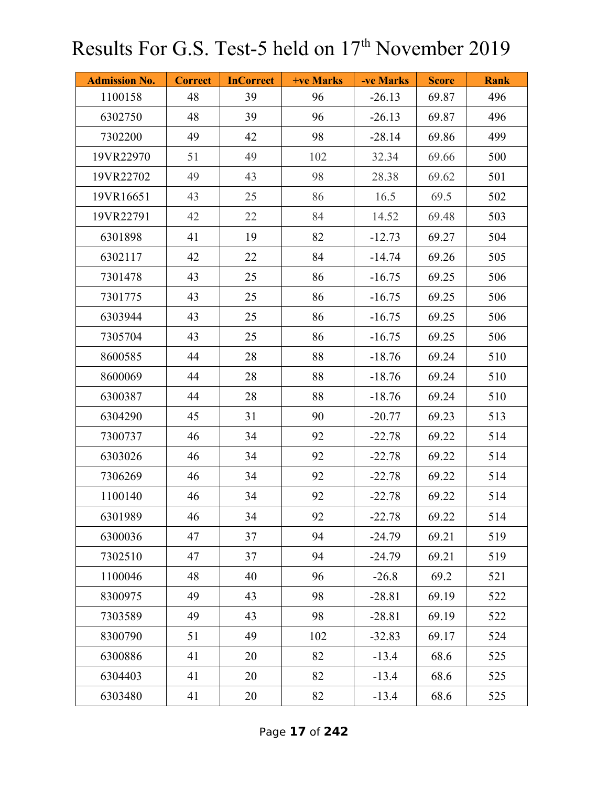| <b>Admission No.</b> | <b>Correct</b> | <b>InCorrect</b> | +ve Marks | -ve Marks | <b>Score</b> | <b>Rank</b> |
|----------------------|----------------|------------------|-----------|-----------|--------------|-------------|
| 1100158              | 48             | 39               | 96        | $-26.13$  | 69.87        | 496         |
| 6302750              | 48             | 39               | 96        | $-26.13$  | 69.87        | 496         |
| 7302200              | 49             | 42               | 98        | $-28.14$  | 69.86        | 499         |
| 19VR22970            | 51             | 49               | 102       | 32.34     | 69.66        | 500         |
| 19VR22702            | 49             | 43               | 98        | 28.38     | 69.62        | 501         |
| 19VR16651            | 43             | 25               | 86        | 16.5      | 69.5         | 502         |
| 19VR22791            | 42             | 22               | 84        | 14.52     | 69.48        | 503         |
| 6301898              | 41             | 19               | 82        | $-12.73$  | 69.27        | 504         |
| 6302117              | 42             | 22               | 84        | $-14.74$  | 69.26        | 505         |
| 7301478              | 43             | 25               | 86        | $-16.75$  | 69.25        | 506         |
| 7301775              | 43             | 25               | 86        | $-16.75$  | 69.25        | 506         |
| 6303944              | 43             | 25               | 86        | $-16.75$  | 69.25        | 506         |
| 7305704              | 43             | 25               | 86        | $-16.75$  | 69.25        | 506         |
| 8600585              | 44             | 28               | 88        | $-18.76$  | 69.24        | 510         |
| 8600069              | 44             | 28               | 88        | $-18.76$  | 69.24        | 510         |
| 6300387              | 44             | 28               | 88        | $-18.76$  | 69.24        | 510         |
| 6304290              | 45             | 31               | 90        | $-20.77$  | 69.23        | 513         |
| 7300737              | 46             | 34               | 92        | $-22.78$  | 69.22        | 514         |
| 6303026              | 46             | 34               | 92        | $-22.78$  | 69.22        | 514         |
| 7306269              | 46             | 34               | 92        | $-22.78$  | 69.22        | 514         |
| 1100140              | 46             | 34               | 92        | $-22.78$  | 69.22        | 514         |
| 6301989              | 46             | 34               | 92        | $-22.78$  | 69.22        | 514         |
| 6300036              | 47             | 37               | 94        | $-24.79$  | 69.21        | 519         |
| 7302510              | 47             | 37               | 94        | $-24.79$  | 69.21        | 519         |
| 1100046              | 48             | 40               | 96        | $-26.8$   | 69.2         | 521         |
| 8300975              | 49             | 43               | 98        | $-28.81$  | 69.19        | 522         |
| 7303589              | 49             | 43               | 98        | $-28.81$  | 69.19        | 522         |
| 8300790              | 51             | 49               | 102       | $-32.83$  | 69.17        | 524         |
| 6300886              | 41             | 20               | 82        | $-13.4$   | 68.6         | 525         |
| 6304403              | 41             | 20               | 82        | $-13.4$   | 68.6         | 525         |
| 6303480              | 41             | 20               | 82        | $-13.4$   | 68.6         | 525         |

Page **17** of **242**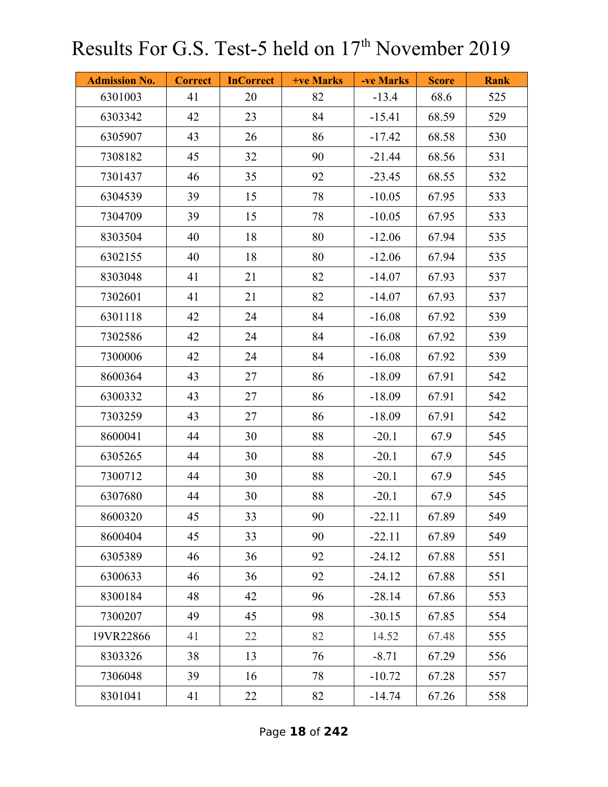| <b>Admission No.</b> | <b>Correct</b> | <b>InCorrect</b> | +ve Marks | -ve Marks | <b>Score</b> | <b>Rank</b> |
|----------------------|----------------|------------------|-----------|-----------|--------------|-------------|
| 6301003              | 41             | 20               | 82        | $-13.4$   | 68.6         | 525         |
| 6303342              | 42             | 23               | 84        | $-15.41$  | 68.59        | 529         |
| 6305907              | 43             | 26               | 86        | $-17.42$  | 68.58        | 530         |
| 7308182              | 45             | 32               | 90        | $-21.44$  | 68.56        | 531         |
| 7301437              | 46             | 35               | 92        | $-23.45$  | 68.55        | 532         |
| 6304539              | 39             | 15               | 78        | $-10.05$  | 67.95        | 533         |
| 7304709              | 39             | 15               | 78        | $-10.05$  | 67.95        | 533         |
| 8303504              | 40             | 18               | 80        | $-12.06$  | 67.94        | 535         |
| 6302155              | 40             | 18               | 80        | $-12.06$  | 67.94        | 535         |
| 8303048              | 41             | 21               | 82        | $-14.07$  | 67.93        | 537         |
| 7302601              | 41             | 21               | 82        | $-14.07$  | 67.93        | 537         |
| 6301118              | 42             | 24               | 84        | $-16.08$  | 67.92        | 539         |
| 7302586              | 42             | 24               | 84        | $-16.08$  | 67.92        | 539         |
| 7300006              | 42             | 24               | 84        | $-16.08$  | 67.92        | 539         |
| 8600364              | 43             | 27               | 86        | $-18.09$  | 67.91        | 542         |
| 6300332              | 43             | 27               | 86        | $-18.09$  | 67.91        | 542         |
| 7303259              | 43             | 27               | 86        | $-18.09$  | 67.91        | 542         |
| 8600041              | 44             | 30               | 88        | $-20.1$   | 67.9         | 545         |
| 6305265              | 44             | 30               | 88        | $-20.1$   | 67.9         | 545         |
| 7300712              | 44             | 30               | 88        | $-20.1$   | 67.9         | 545         |
| 6307680              | 44             | 30               | 88        | $-20.1$   | 67.9         | 545         |
| 8600320              | 45             | 33               | 90        | $-22.11$  | 67.89        | 549         |
| 8600404              | 45             | 33               | 90        | $-22.11$  | 67.89        | 549         |
| 6305389              | 46             | 36               | 92        | $-24.12$  | 67.88        | 551         |
| 6300633              | 46             | 36               | 92        | $-24.12$  | 67.88        | 551         |
| 8300184              | 48             | 42               | 96        | $-28.14$  | 67.86        | 553         |
| 7300207              | 49             | 45               | 98        | $-30.15$  | 67.85        | 554         |
| 19VR22866            | 41             | 22               | 82        | 14.52     | 67.48        | 555         |
| 8303326              | 38             | 13               | 76        | $-8.71$   | 67.29        | 556         |
| 7306048              | 39             | 16               | 78        | $-10.72$  | 67.28        | 557         |
| 8301041              | 41             | 22               | 82        | $-14.74$  | 67.26        | 558         |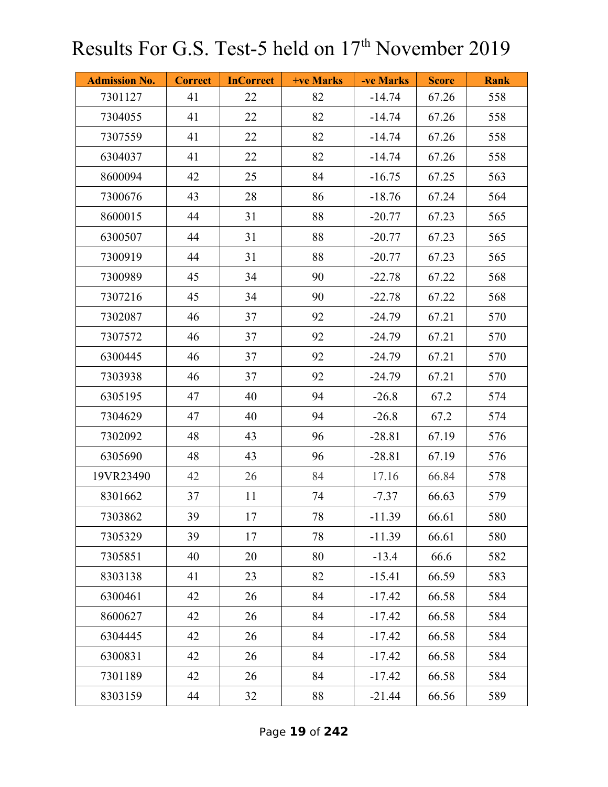| <b>Admission No.</b> | <b>Correct</b> | <b>InCorrect</b> | +ve Marks | -ve Marks | <b>Score</b> | <b>Rank</b> |
|----------------------|----------------|------------------|-----------|-----------|--------------|-------------|
| 7301127              | 41             | 22               | 82        | $-14.74$  | 67.26        | 558         |
| 7304055              | 41             | 22               | 82        | $-14.74$  | 67.26        | 558         |
| 7307559              | 41             | 22               | 82        | $-14.74$  | 67.26        | 558         |
| 6304037              | 41             | 22               | 82        | $-14.74$  | 67.26        | 558         |
| 8600094              | 42             | 25               | 84        | $-16.75$  | 67.25        | 563         |
| 7300676              | 43             | 28               | 86        | $-18.76$  | 67.24        | 564         |
| 8600015              | 44             | 31               | 88        | $-20.77$  | 67.23        | 565         |
| 6300507              | 44             | 31               | 88        | $-20.77$  | 67.23        | 565         |
| 7300919              | 44             | 31               | 88        | $-20.77$  | 67.23        | 565         |
| 7300989              | 45             | 34               | 90        | $-22.78$  | 67.22        | 568         |
| 7307216              | 45             | 34               | 90        | $-22.78$  | 67.22        | 568         |
| 7302087              | 46             | 37               | 92        | $-24.79$  | 67.21        | 570         |
| 7307572              | 46             | 37               | 92        | $-24.79$  | 67.21        | 570         |
| 6300445              | 46             | 37               | 92        | $-24.79$  | 67.21        | 570         |
| 7303938              | 46             | 37               | 92        | $-24.79$  | 67.21        | 570         |
| 6305195              | 47             | 40               | 94        | $-26.8$   | 67.2         | 574         |
| 7304629              | 47             | 40               | 94        | $-26.8$   | 67.2         | 574         |
| 7302092              | 48             | 43               | 96        | $-28.81$  | 67.19        | 576         |
| 6305690              | 48             | 43               | 96        | $-28.81$  | 67.19        | 576         |
| 19VR23490            | 42             | 26               | 84        | 17.16     | 66.84        | 578         |
| 8301662              | 37             | 11               | 74        | $-7.37$   | 66.63        | 579         |
| 7303862              | 39             | 17               | 78        | $-11.39$  | 66.61        | 580         |
| 7305329              | 39             | 17               | 78        | $-11.39$  | 66.61        | 580         |
| 7305851              | 40             | 20               | 80        | $-13.4$   | 66.6         | 582         |
| 8303138              | 41             | 23               | 82        | $-15.41$  | 66.59        | 583         |
| 6300461              | 42             | 26               | 84        | $-17.42$  | 66.58        | 584         |
| 8600627              | 42             | 26               | 84        | $-17.42$  | 66.58        | 584         |
| 6304445              | 42             | 26               | 84        | $-17.42$  | 66.58        | 584         |
| 6300831              | 42             | 26               | 84        | $-17.42$  | 66.58        | 584         |
| 7301189              | 42             | 26               | 84        | $-17.42$  | 66.58        | 584         |
| 8303159              | 44             | 32               | 88        | $-21.44$  | 66.56        | 589         |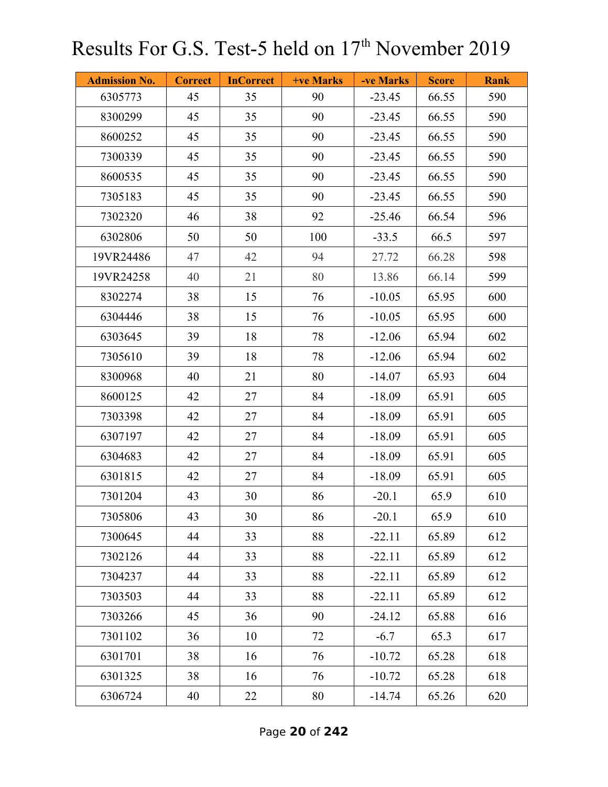| <b>Admission No.</b> | <b>Correct</b> | <b>InCorrect</b> | +ve Marks | -ve Marks | <b>Score</b> | <b>Rank</b> |
|----------------------|----------------|------------------|-----------|-----------|--------------|-------------|
| 6305773              | 45             | 35               | 90        | $-23.45$  | 66.55        | 590         |
| 8300299              | 45             | 35               | 90        | $-23.45$  | 66.55        | 590         |
| 8600252              | 45             | 35               | 90        | $-23.45$  | 66.55        | 590         |
| 7300339              | 45             | 35               | 90        | $-23.45$  | 66.55        | 590         |
| 8600535              | 45             | 35               | 90        | $-23.45$  | 66.55        | 590         |
| 7305183              | 45             | 35               | 90        | $-23.45$  | 66.55        | 590         |
| 7302320              | 46             | 38               | 92        | $-25.46$  | 66.54        | 596         |
| 6302806              | 50             | 50               | 100       | $-33.5$   | 66.5         | 597         |
| 19VR24486            | 47             | 42               | 94        | 27.72     | 66.28        | 598         |
| 19VR24258            | 40             | 21               | 80        | 13.86     | 66.14        | 599         |
| 8302274              | 38             | 15               | 76        | $-10.05$  | 65.95        | 600         |
| 6304446              | 38             | 15               | 76        | $-10.05$  | 65.95        | 600         |
| 6303645              | 39             | 18               | 78        | $-12.06$  | 65.94        | 602         |
| 7305610              | 39             | 18               | 78        | $-12.06$  | 65.94        | 602         |
| 8300968              | 40             | 21               | 80        | $-14.07$  | 65.93        | 604         |
| 8600125              | 42             | 27               | 84        | $-18.09$  | 65.91        | 605         |
| 7303398              | 42             | 27               | 84        | $-18.09$  | 65.91        | 605         |
| 6307197              | 42             | 27               | 84        | $-18.09$  | 65.91        | 605         |
| 6304683              | 42             | 27               | 84        | $-18.09$  | 65.91        | 605         |
| 6301815              | 42             | 27               | 84        | $-18.09$  | 65.91        | 605         |
| 7301204              | 43             | 30               | 86        | $-20.1$   | 65.9         | 610         |
| 7305806              | 43             | 30               | 86        | $-20.1$   | 65.9         | 610         |
| 7300645              | 44             | 33               | 88        | $-22.11$  | 65.89        | 612         |
| 7302126              | 44             | 33               | 88        | $-22.11$  | 65.89        | 612         |
| 7304237              | 44             | 33               | 88        | $-22.11$  | 65.89        | 612         |
| 7303503              | 44             | 33               | 88        | $-22.11$  | 65.89        | 612         |
| 7303266              | 45             | 36               | 90        | $-24.12$  | 65.88        | 616         |
| 7301102              | 36             | 10               | 72        | $-6.7$    | 65.3         | 617         |
| 6301701              | 38             | 16               | 76        | $-10.72$  | 65.28        | 618         |
| 6301325              | 38             | 16               | 76        | $-10.72$  | 65.28        | 618         |
| 6306724              | 40             | 22               | $80\,$    | $-14.74$  | 65.26        | 620         |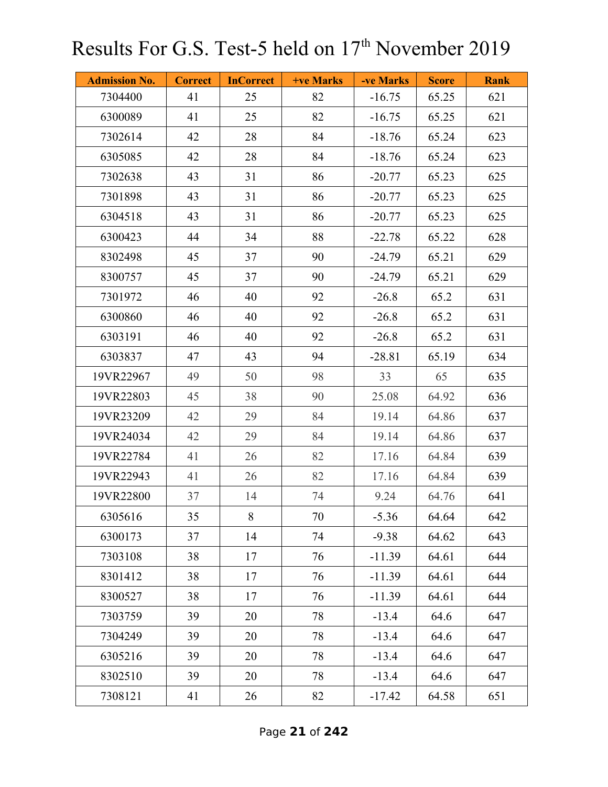| <b>Admission No.</b> | <b>Correct</b> | <b>InCorrect</b> | +ve Marks | -ve Marks | <b>Score</b> | <b>Rank</b> |
|----------------------|----------------|------------------|-----------|-----------|--------------|-------------|
| 7304400              | 41             | 25               | 82        | $-16.75$  | 65.25        | 621         |
| 6300089              | 41             | 25               | 82        | $-16.75$  | 65.25        | 621         |
| 7302614              | 42             | 28               | 84        | $-18.76$  | 65.24        | 623         |
| 6305085              | 42             | 28               | 84        | $-18.76$  | 65.24        | 623         |
| 7302638              | 43             | 31               | 86        | $-20.77$  | 65.23        | 625         |
| 7301898              | 43             | 31               | 86        | $-20.77$  | 65.23        | 625         |
| 6304518              | 43             | 31               | 86        | $-20.77$  | 65.23        | 625         |
| 6300423              | 44             | 34               | 88        | $-22.78$  | 65.22        | 628         |
| 8302498              | 45             | 37               | 90        | $-24.79$  | 65.21        | 629         |
| 8300757              | 45             | 37               | 90        | $-24.79$  | 65.21        | 629         |
| 7301972              | 46             | 40               | 92        | $-26.8$   | 65.2         | 631         |
| 6300860              | 46             | 40               | 92        | $-26.8$   | 65.2         | 631         |
| 6303191              | 46             | 40               | 92        | $-26.8$   | 65.2         | 631         |
| 6303837              | 47             | 43               | 94        | $-28.81$  | 65.19        | 634         |
| 19VR22967            | 49             | 50               | 98        | 33        | 65           | 635         |
| 19VR22803            | 45             | 38               | 90        | 25.08     | 64.92        | 636         |
| 19VR23209            | 42             | 29               | 84        | 19.14     | 64.86        | 637         |
| 19VR24034            | 42             | 29               | 84        | 19.14     | 64.86        | 637         |
| 19VR22784            | 41             | 26               | 82        | 17.16     | 64.84        | 639         |
| 19VR22943            | 41             | 26               | 82        | 17.16     | 64.84        | 639         |
| 19VR22800            | 37             | 14               | 74        | 9.24      | 64.76        | 641         |
| 6305616              | 35             | 8                | 70        | $-5.36$   | 64.64        | 642         |
| 6300173              | 37             | 14               | 74        | $-9.38$   | 64.62        | 643         |
| 7303108              | 38             | 17               | 76        | $-11.39$  | 64.61        | 644         |
| 8301412              | 38             | 17               | 76        | $-11.39$  | 64.61        | 644         |
| 8300527              | 38             | 17               | 76        | $-11.39$  | 64.61        | 644         |
| 7303759              | 39             | 20               | 78        | $-13.4$   | 64.6         | 647         |
| 7304249              | 39             | 20               | 78        | $-13.4$   | 64.6         | 647         |
| 6305216              | 39             | 20               | 78        | $-13.4$   | 64.6         | 647         |
| 8302510              | 39             | 20               | 78        | $-13.4$   | 64.6         | 647         |
| 7308121              | 41             | 26               | 82        | $-17.42$  | 64.58        | 651         |

Page **21** of **242**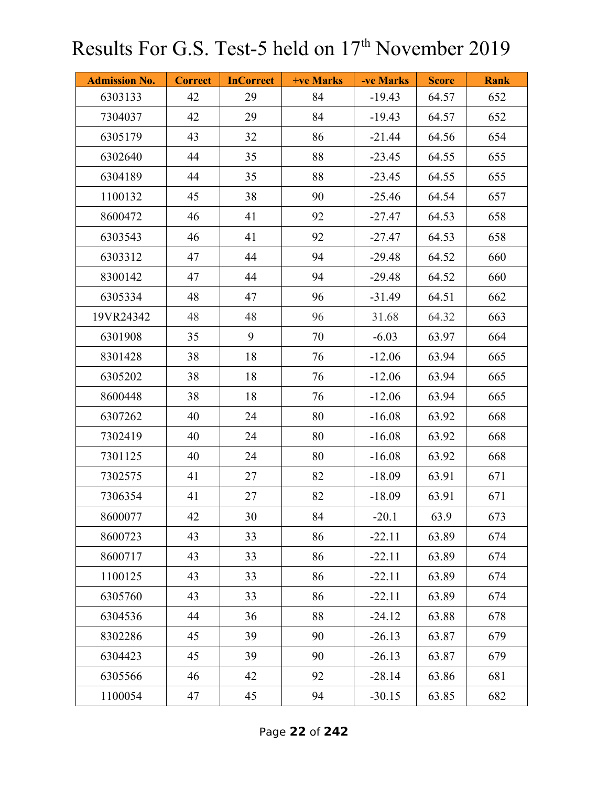| <b>Admission No.</b> | <b>Correct</b> | <b>InCorrect</b> | <b>+ve Marks</b> | -ve Marks | <b>Score</b> | <b>Rank</b> |
|----------------------|----------------|------------------|------------------|-----------|--------------|-------------|
| 6303133              | 42             | 29               | 84               | $-19.43$  | 64.57        | 652         |
| 7304037              | 42             | 29               | 84               | $-19.43$  | 64.57        | 652         |
| 6305179              | 43             | 32               | 86               | $-21.44$  | 64.56        | 654         |
| 6302640              | 44             | 35               | 88               | $-23.45$  | 64.55        | 655         |
| 6304189              | 44             | 35               | 88               | $-23.45$  | 64.55        | 655         |
| 1100132              | 45             | 38               | 90               | $-25.46$  | 64.54        | 657         |
| 8600472              | 46             | 41               | 92               | $-27.47$  | 64.53        | 658         |
| 6303543              | 46             | 41               | 92               | $-27.47$  | 64.53        | 658         |
| 6303312              | 47             | 44               | 94               | $-29.48$  | 64.52        | 660         |
| 8300142              | 47             | 44               | 94               | $-29.48$  | 64.52        | 660         |
| 6305334              | 48             | 47               | 96               | $-31.49$  | 64.51        | 662         |
| 19VR24342            | 48             | 48               | 96               | 31.68     | 64.32        | 663         |
| 6301908              | 35             | 9                | 70               | $-6.03$   | 63.97        | 664         |
| 8301428              | 38             | 18               | 76               | $-12.06$  | 63.94        | 665         |
| 6305202              | 38             | 18               | 76               | $-12.06$  | 63.94        | 665         |
| 8600448              | 38             | 18               | 76               | $-12.06$  | 63.94        | 665         |
| 6307262              | 40             | 24               | 80               | $-16.08$  | 63.92        | 668         |
| 7302419              | 40             | 24               | 80               | $-16.08$  | 63.92        | 668         |
| 7301125              | 40             | 24               | 80               | $-16.08$  | 63.92        | 668         |
| 7302575              | 41             | 27               | 82               | $-18.09$  | 63.91        | 671         |
| 7306354              | 41             | 27               | 82               | $-18.09$  | 63.91        | 671         |
| 8600077              | 42             | 30               | 84               | $-20.1$   | 63.9         | 673         |
| 8600723              | 43             | 33               | 86               | $-22.11$  | 63.89        | 674         |
| 8600717              | 43             | 33               | 86               | $-22.11$  | 63.89        | 674         |
| 1100125              | 43             | 33               | 86               | $-22.11$  | 63.89        | 674         |
| 6305760              | 43             | 33               | 86               | $-22.11$  | 63.89        | 674         |
| 6304536              | 44             | 36               | 88               | $-24.12$  | 63.88        | 678         |
| 8302286              | 45             | 39               | 90               | $-26.13$  | 63.87        | 679         |
| 6304423              | 45             | 39               | 90               | $-26.13$  | 63.87        | 679         |
| 6305566              | 46             | 42               | 92               | $-28.14$  | 63.86        | 681         |
| 1100054              | 47             | 45               | 94               | $-30.15$  | 63.85        | 682         |

Page **22** of **242**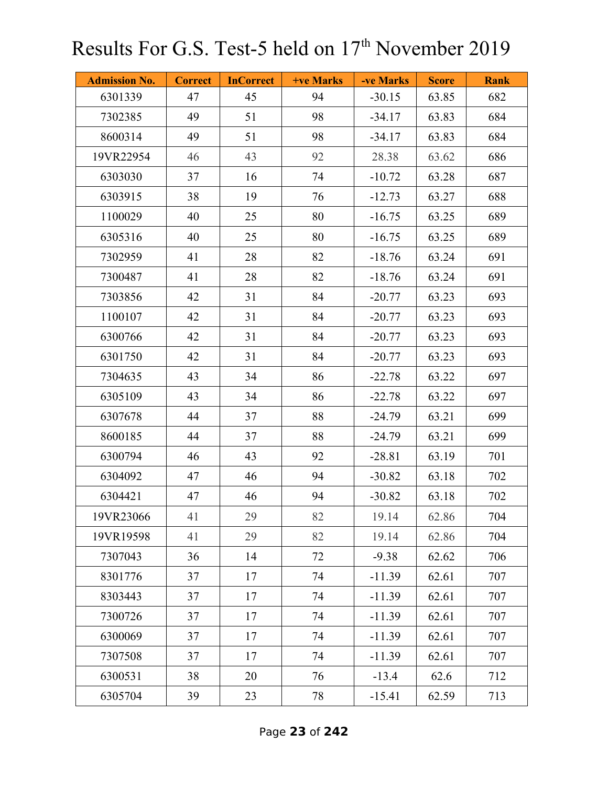| <b>Admission No.</b> | <b>Correct</b> | <b>InCorrect</b> | +ve Marks | -ve Marks | <b>Score</b> | <b>Rank</b> |
|----------------------|----------------|------------------|-----------|-----------|--------------|-------------|
| 6301339              | 47             | 45               | 94        | $-30.15$  | 63.85        | 682         |
| 7302385              | 49             | 51               | 98        | $-34.17$  | 63.83        | 684         |
| 8600314              | 49             | 51               | 98        | $-34.17$  | 63.83        | 684         |
| 19VR22954            | 46             | 43               | 92        | 28.38     | 63.62        | 686         |
| 6303030              | 37             | 16               | 74        | $-10.72$  | 63.28        | 687         |
| 6303915              | 38             | 19               | 76        | $-12.73$  | 63.27        | 688         |
| 1100029              | 40             | 25               | 80        | $-16.75$  | 63.25        | 689         |
| 6305316              | 40             | 25               | 80        | $-16.75$  | 63.25        | 689         |
| 7302959              | 41             | 28               | 82        | $-18.76$  | 63.24        | 691         |
| 7300487              | 41             | 28               | 82        | $-18.76$  | 63.24        | 691         |
| 7303856              | 42             | 31               | 84        | $-20.77$  | 63.23        | 693         |
| 1100107              | 42             | 31               | 84        | $-20.77$  | 63.23        | 693         |
| 6300766              | 42             | 31               | 84        | $-20.77$  | 63.23        | 693         |
| 6301750              | 42             | 31               | 84        | $-20.77$  | 63.23        | 693         |
| 7304635              | 43             | 34               | 86        | $-22.78$  | 63.22        | 697         |
| 6305109              | 43             | 34               | 86        | $-22.78$  | 63.22        | 697         |
| 6307678              | 44             | 37               | 88        | $-24.79$  | 63.21        | 699         |
| 8600185              | 44             | 37               | 88        | $-24.79$  | 63.21        | 699         |
| 6300794              | 46             | 43               | 92        | $-28.81$  | 63.19        | 701         |
| 6304092              | 47             | 46               | 94        | $-30.82$  | 63.18        | 702         |
| 6304421              | 47             | 46               | 94        | $-30.82$  | 63.18        | 702         |
| 19VR23066            | 41             | 29               | 82        | 19.14     | 62.86        | 704         |
| 19VR19598            | 41             | 29               | 82        | 19.14     | 62.86        | 704         |
| 7307043              | 36             | 14               | 72        | $-9.38$   | 62.62        | 706         |
| 8301776              | 37             | 17               | 74        | $-11.39$  | 62.61        | 707         |
| 8303443              | 37             | 17               | 74        | $-11.39$  | 62.61        | 707         |
| 7300726              | 37             | 17               | 74        | $-11.39$  | 62.61        | 707         |
| 6300069              | 37             | 17               | 74        | $-11.39$  | 62.61        | 707         |
| 7307508              | 37             | 17               | 74        | $-11.39$  | 62.61        | 707         |
| 6300531              | 38             | 20               | 76        | $-13.4$   | 62.6         | 712         |
| 6305704              | 39             | 23               | 78        | $-15.41$  | 62.59        | 713         |

Page **23** of **242**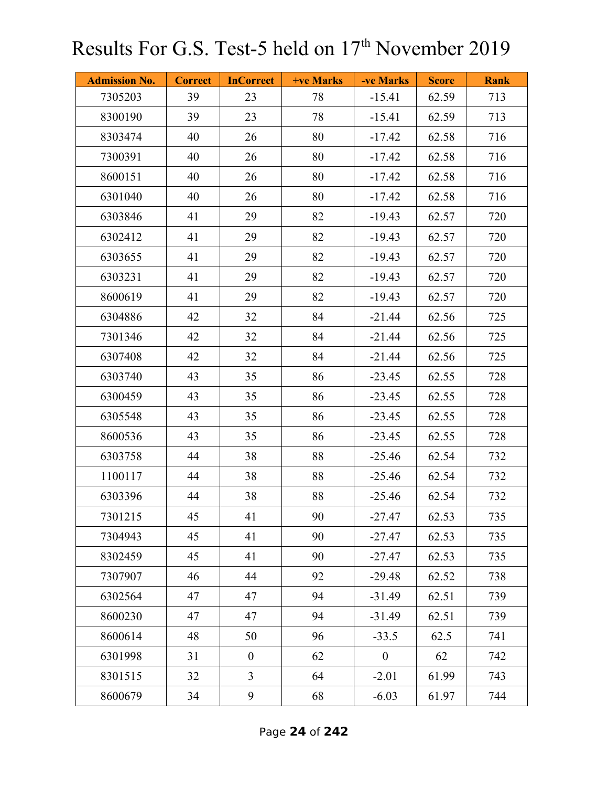| <b>Admission No.</b> | <b>Correct</b> | <b>InCorrect</b> | <b>+ve Marks</b> | -ve Marks      | <b>Score</b> | <b>Rank</b> |
|----------------------|----------------|------------------|------------------|----------------|--------------|-------------|
| 7305203              | 39             | 23               | 78               | $-15.41$       | 62.59        | 713         |
| 8300190              | 39             | 23               | 78               | $-15.41$       | 62.59        | 713         |
| 8303474              | 40             | 26               | 80               | $-17.42$       | 62.58        | 716         |
| 7300391              | 40             | 26               | 80               | $-17.42$       | 62.58        | 716         |
| 8600151              | 40             | 26               | 80               | $-17.42$       | 62.58        | 716         |
| 6301040              | 40             | 26               | 80               | $-17.42$       | 62.58        | 716         |
| 6303846              | 41             | 29               | 82               | $-19.43$       | 62.57        | 720         |
| 6302412              | 41             | 29               | 82               | $-19.43$       | 62.57        | 720         |
| 6303655              | 41             | 29               | 82               | $-19.43$       | 62.57        | 720         |
| 6303231              | 41             | 29               | 82               | $-19.43$       | 62.57        | 720         |
| 8600619              | 41             | 29               | 82               | $-19.43$       | 62.57        | 720         |
| 6304886              | 42             | 32               | 84               | $-21.44$       | 62.56        | 725         |
| 7301346              | 42             | 32               | 84               | $-21.44$       | 62.56        | 725         |
| 6307408              | 42             | 32               | 84               | $-21.44$       | 62.56        | 725         |
| 6303740              | 43             | 35               | 86               | $-23.45$       | 62.55        | 728         |
| 6300459              | 43             | 35               | 86               | $-23.45$       | 62.55        | 728         |
| 6305548              | 43             | 35               | 86               | $-23.45$       | 62.55        | 728         |
| 8600536              | 43             | 35               | 86               | $-23.45$       | 62.55        | 728         |
| 6303758              | 44             | 38               | 88               | $-25.46$       | 62.54        | 732         |
| 1100117              | 44             | 38               | 88               | $-25.46$       | 62.54        | 732         |
| 6303396              | 44             | 38               | 88               | $-25.46$       | 62.54        | 732         |
| 7301215              | 45             | 41               | 90               | $-27.47$       | 62.53        | 735         |
| 7304943              | 45             | 41               | 90               | $-27.47$       | 62.53        | 735         |
| 8302459              | 45             | 41               | 90               | $-27.47$       | 62.53        | 735         |
| 7307907              | 46             | 44               | 92               | $-29.48$       | 62.52        | 738         |
| 6302564              | 47             | 47               | 94               | $-31.49$       | 62.51        | 739         |
| 8600230              | 47             | 47               | 94               | $-31.49$       | 62.51        | 739         |
| 8600614              | 48             | 50               | 96               | $-33.5$        | 62.5         | 741         |
| 6301998              | 31             | $\boldsymbol{0}$ | 62               | $\overline{0}$ | 62           | 742         |
| 8301515              | 32             | $\overline{3}$   | 64               | $-2.01$        | 61.99        | 743         |
| 8600679              | 34             | 9                | 68               | $-6.03$        | 61.97        | 744         |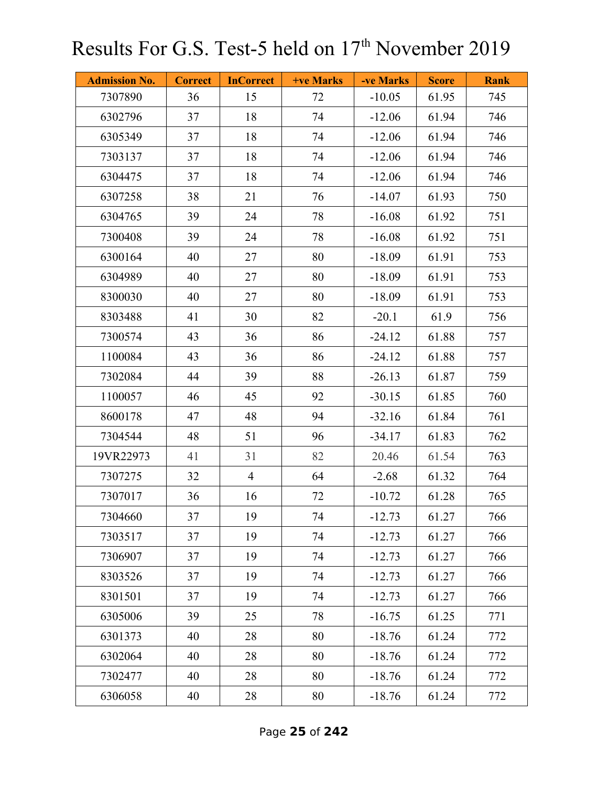| <b>Admission No.</b> | <b>Correct</b> | <b>InCorrect</b> | +ve Marks | -ve Marks | <b>Score</b> | <b>Rank</b> |
|----------------------|----------------|------------------|-----------|-----------|--------------|-------------|
| 7307890              | 36             | 15               | 72        | $-10.05$  | 61.95        | 745         |
| 6302796              | 37             | 18               | 74        | $-12.06$  | 61.94        | 746         |
| 6305349              | 37             | 18               | 74        | $-12.06$  | 61.94        | 746         |
| 7303137              | 37             | 18               | 74        | $-12.06$  | 61.94        | 746         |
| 6304475              | 37             | 18               | 74        | $-12.06$  | 61.94        | 746         |
| 6307258              | 38             | 21               | 76        | $-14.07$  | 61.93        | 750         |
| 6304765              | 39             | 24               | 78        | $-16.08$  | 61.92        | 751         |
| 7300408              | 39             | 24               | 78        | $-16.08$  | 61.92        | 751         |
| 6300164              | 40             | 27               | 80        | $-18.09$  | 61.91        | 753         |
| 6304989              | 40             | 27               | 80        | $-18.09$  | 61.91        | 753         |
| 8300030              | 40             | 27               | 80        | $-18.09$  | 61.91        | 753         |
| 8303488              | 41             | 30               | 82        | $-20.1$   | 61.9         | 756         |
| 7300574              | 43             | 36               | 86        | $-24.12$  | 61.88        | 757         |
| 1100084              | 43             | 36               | 86        | $-24.12$  | 61.88        | 757         |
| 7302084              | 44             | 39               | 88        | $-26.13$  | 61.87        | 759         |
| 1100057              | 46             | 45               | 92        | $-30.15$  | 61.85        | 760         |
| 8600178              | 47             | 48               | 94        | $-32.16$  | 61.84        | 761         |
| 7304544              | 48             | 51               | 96        | $-34.17$  | 61.83        | 762         |
| 19VR22973            | 41             | 31               | 82        | 20.46     | 61.54        | 763         |
| 7307275              | 32             | $\overline{4}$   | 64        | $-2.68$   | 61.32        | 764         |
| 7307017              | 36             | 16               | 72        | $-10.72$  | 61.28        | 765         |
| 7304660              | 37             | 19               | 74        | $-12.73$  | 61.27        | 766         |
| 7303517              | 37             | 19               | 74        | $-12.73$  | 61.27        | 766         |
| 7306907              | 37             | 19               | 74        | $-12.73$  | 61.27        | 766         |
| 8303526              | 37             | 19               | 74        | $-12.73$  | 61.27        | 766         |
| 8301501              | 37             | 19               | 74        | $-12.73$  | 61.27        | 766         |
| 6305006              | 39             | 25               | 78        | $-16.75$  | 61.25        | 771         |
| 6301373              | 40             | 28               | 80        | $-18.76$  | 61.24        | 772         |
| 6302064              | 40             | 28               | 80        | $-18.76$  | 61.24        | 772         |
| 7302477              | 40             | 28               | 80        | $-18.76$  | 61.24        | 772         |
| 6306058              | 40             | 28               | 80        | $-18.76$  | 61.24        | 772         |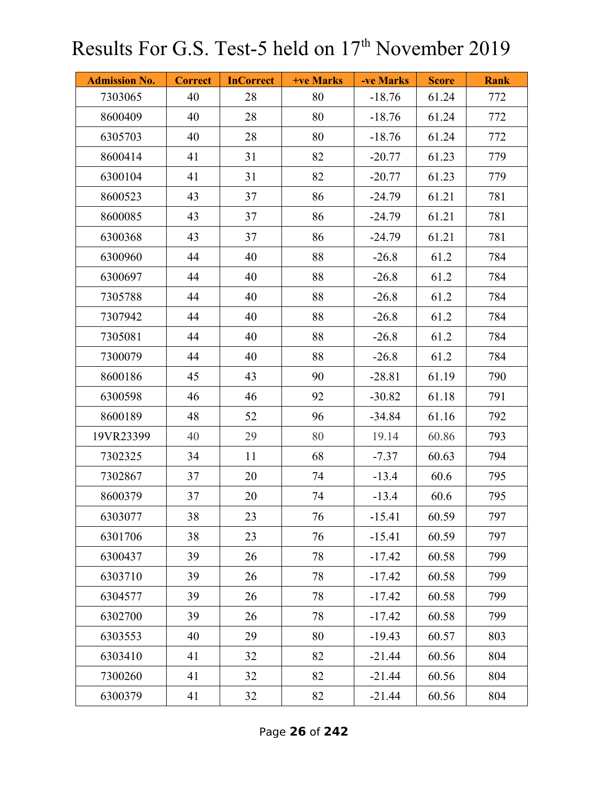| <b>Admission No.</b> | <b>Correct</b> | <b>InCorrect</b> | +ve Marks | -ve Marks | <b>Score</b> | <b>Rank</b> |
|----------------------|----------------|------------------|-----------|-----------|--------------|-------------|
| 7303065              | 40             | 28               | 80        | $-18.76$  | 61.24        | 772         |
| 8600409              | 40             | 28               | 80        | $-18.76$  | 61.24        | 772         |
| 6305703              | 40             | 28               | 80        | $-18.76$  | 61.24        | 772         |
| 8600414              | 41             | 31               | 82        | $-20.77$  | 61.23        | 779         |
| 6300104              | 41             | 31               | 82        | $-20.77$  | 61.23        | 779         |
| 8600523              | 43             | 37               | 86        | $-24.79$  | 61.21        | 781         |
| 8600085              | 43             | 37               | 86        | $-24.79$  | 61.21        | 781         |
| 6300368              | 43             | 37               | 86        | $-24.79$  | 61.21        | 781         |
| 6300960              | 44             | 40               | 88        | $-26.8$   | 61.2         | 784         |
| 6300697              | 44             | 40               | 88        | $-26.8$   | 61.2         | 784         |
| 7305788              | 44             | 40               | 88        | $-26.8$   | 61.2         | 784         |
| 7307942              | 44             | 40               | 88        | $-26.8$   | 61.2         | 784         |
| 7305081              | 44             | 40               | 88        | $-26.8$   | 61.2         | 784         |
| 7300079              | 44             | 40               | 88        | $-26.8$   | 61.2         | 784         |
| 8600186              | 45             | 43               | 90        | $-28.81$  | 61.19        | 790         |
| 6300598              | 46             | 46               | 92        | $-30.82$  | 61.18        | 791         |
| 8600189              | 48             | 52               | 96        | $-34.84$  | 61.16        | 792         |
| 19VR23399            | 40             | 29               | 80        | 19.14     | 60.86        | 793         |
| 7302325              | 34             | 11               | 68        | $-7.37$   | 60.63        | 794         |
| 7302867              | 37             | 20               | 74        | $-13.4$   | 60.6         | 795         |
| 8600379              | 37             | 20               | 74        | $-13.4$   | 60.6         | 795         |
| 6303077              | 38             | 23               | 76        | $-15.41$  | 60.59        | 797         |
| 6301706              | 38             | 23               | 76        | $-15.41$  | 60.59        | 797         |
| 6300437              | 39             | 26               | 78        | $-17.42$  | 60.58        | 799         |
| 6303710              | 39             | 26               | 78        | $-17.42$  | 60.58        | 799         |
| 6304577              | 39             | 26               | 78        | $-17.42$  | 60.58        | 799         |
| 6302700              | 39             | 26               | 78        | $-17.42$  | 60.58        | 799         |
| 6303553              | 40             | 29               | 80        | $-19.43$  | 60.57        | 803         |
| 6303410              | 41             | 32               | 82        | $-21.44$  | 60.56        | 804         |
| 7300260              | 41             | 32               | 82        | $-21.44$  | 60.56        | 804         |
| 6300379              | 41             | 32               | 82        | $-21.44$  | 60.56        | 804         |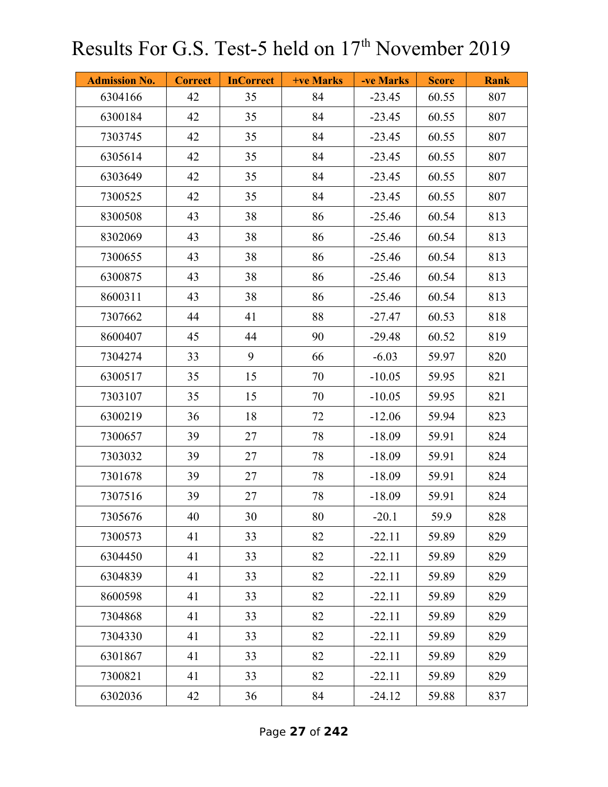| <b>Admission No.</b> | <b>Correct</b> | <b>InCorrect</b> | +ve Marks | -ve Marks | <b>Score</b> | <b>Rank</b> |
|----------------------|----------------|------------------|-----------|-----------|--------------|-------------|
| 6304166              | 42             | 35               | 84        | $-23.45$  | 60.55        | 807         |
| 6300184              | 42             | 35               | 84        | $-23.45$  | 60.55        | 807         |
| 7303745              | 42             | 35               | 84        | $-23.45$  | 60.55        | 807         |
| 6305614              | 42             | 35               | 84        | $-23.45$  | 60.55        | 807         |
| 6303649              | 42             | 35               | 84        | $-23.45$  | 60.55        | 807         |
| 7300525              | 42             | 35               | 84        | $-23.45$  | 60.55        | 807         |
| 8300508              | 43             | 38               | 86        | $-25.46$  | 60.54        | 813         |
| 8302069              | 43             | 38               | 86        | $-25.46$  | 60.54        | 813         |
| 7300655              | 43             | 38               | 86        | $-25.46$  | 60.54        | 813         |
| 6300875              | 43             | 38               | 86        | $-25.46$  | 60.54        | 813         |
| 8600311              | 43             | 38               | 86        | $-25.46$  | 60.54        | 813         |
| 7307662              | 44             | 41               | 88        | $-27.47$  | 60.53        | 818         |
| 8600407              | 45             | 44               | 90        | $-29.48$  | 60.52        | 819         |
| 7304274              | 33             | 9                | 66        | $-6.03$   | 59.97        | 820         |
| 6300517              | 35             | 15               | 70        | $-10.05$  | 59.95        | 821         |
| 7303107              | 35             | 15               | 70        | $-10.05$  | 59.95        | 821         |
| 6300219              | 36             | 18               | 72        | $-12.06$  | 59.94        | 823         |
| 7300657              | 39             | 27               | 78        | $-18.09$  | 59.91        | 824         |
| 7303032              | 39             | 27               | 78        | $-18.09$  | 59.91        | 824         |
| 7301678              | 39             | 27               | 78        | $-18.09$  | 59.91        | 824         |
| 7307516              | 39             | 27               | 78        | $-18.09$  | 59.91        | 824         |
| 7305676              | 40             | 30               | 80        | $-20.1$   | 59.9         | 828         |
| 7300573              | 41             | 33               | 82        | $-22.11$  | 59.89        | 829         |
| 6304450              | 41             | 33               | 82        | $-22.11$  | 59.89        | 829         |
| 6304839              | 41             | 33               | 82        | $-22.11$  | 59.89        | 829         |
| 8600598              | 41             | 33               | 82        | $-22.11$  | 59.89        | 829         |
| 7304868              | 41             | 33               | 82        | $-22.11$  | 59.89        | 829         |
| 7304330              | 41             | 33               | 82        | $-22.11$  | 59.89        | 829         |
| 6301867              | 41             | 33               | 82        | $-22.11$  | 59.89        | 829         |
| 7300821              | 41             | 33               | 82        | $-22.11$  | 59.89        | 829         |
| 6302036              | 42             | 36               | 84        | $-24.12$  | 59.88        | 837         |

Page **27** of **242**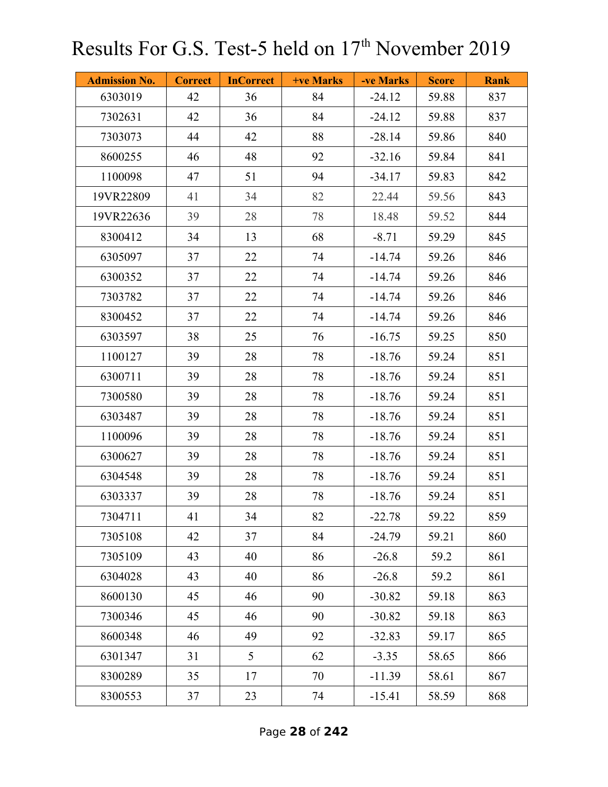| <b>Admission No.</b> | <b>Correct</b> | <b>InCorrect</b> | +ve Marks | -ve Marks | <b>Score</b> | <b>Rank</b> |
|----------------------|----------------|------------------|-----------|-----------|--------------|-------------|
| 6303019              | 42             | 36               | 84        | $-24.12$  | 59.88        | 837         |
| 7302631              | 42             | 36               | 84        | $-24.12$  | 59.88        | 837         |
| 7303073              | 44             | 42               | 88        | $-28.14$  | 59.86        | 840         |
| 8600255              | 46             | 48               | 92        | $-32.16$  | 59.84        | 841         |
| 1100098              | 47             | 51               | 94        | $-34.17$  | 59.83        | 842         |
| 19VR22809            | 41             | 34               | 82        | 22.44     | 59.56        | 843         |
| 19VR22636            | 39             | 28               | 78        | 18.48     | 59.52        | 844         |
| 8300412              | 34             | 13               | 68        | $-8.71$   | 59.29        | 845         |
| 6305097              | 37             | 22               | 74        | $-14.74$  | 59.26        | 846         |
| 6300352              | 37             | 22               | 74        | $-14.74$  | 59.26        | 846         |
| 7303782              | 37             | 22               | 74        | $-14.74$  | 59.26        | 846         |
| 8300452              | 37             | 22               | 74        | $-14.74$  | 59.26        | 846         |
| 6303597              | 38             | 25               | 76        | $-16.75$  | 59.25        | 850         |
| 1100127              | 39             | 28               | 78        | $-18.76$  | 59.24        | 851         |
| 6300711              | 39             | 28               | 78        | $-18.76$  | 59.24        | 851         |
| 7300580              | 39             | 28               | 78        | $-18.76$  | 59.24        | 851         |
| 6303487              | 39             | 28               | 78        | $-18.76$  | 59.24        | 851         |
| 1100096              | 39             | 28               | 78        | $-18.76$  | 59.24        | 851         |
| 6300627              | 39             | 28               | 78        | $-18.76$  | 59.24        | 851         |
| 6304548              | 39             | 28               | 78        | $-18.76$  | 59.24        | 851         |
| 6303337              | 39             | 28               | 78        | $-18.76$  | 59.24        | 851         |
| 7304711              | 41             | 34               | 82        | $-22.78$  | 59.22        | 859         |
| 7305108              | 42             | 37               | 84        | $-24.79$  | 59.21        | 860         |
| 7305109              | 43             | 40               | 86        | $-26.8$   | 59.2         | 861         |
| 6304028              | 43             | 40               | 86        | $-26.8$   | 59.2         | 861         |
| 8600130              | 45             | 46               | 90        | $-30.82$  | 59.18        | 863         |
| 7300346              | 45             | 46               | 90        | $-30.82$  | 59.18        | 863         |
| 8600348              | 46             | 49               | 92        | $-32.83$  | 59.17        | 865         |
| 6301347              | 31             | 5                | 62        | $-3.35$   | 58.65        | 866         |
| 8300289              | 35             | 17               | 70        | $-11.39$  | 58.61        | 867         |
| 8300553              | 37             | 23               | 74        | $-15.41$  | 58.59        | 868         |

Page **28** of **242**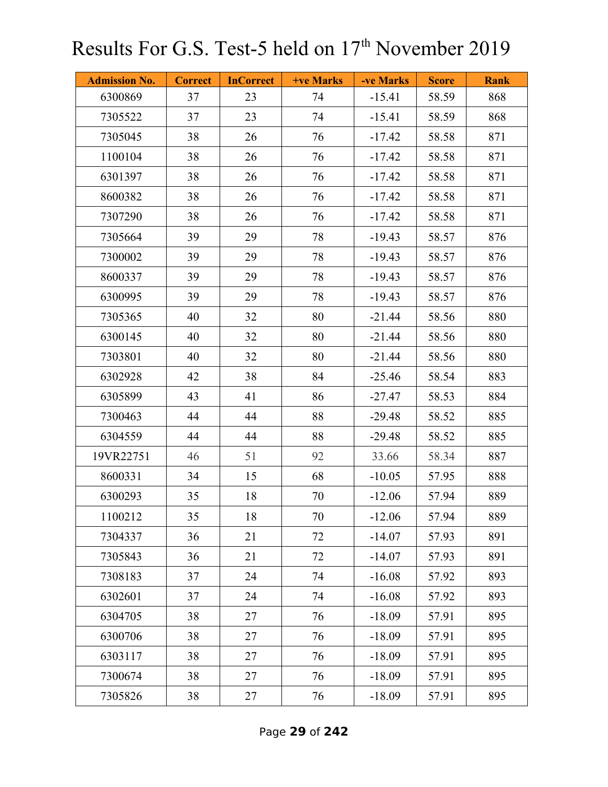| <b>Admission No.</b> | <b>Correct</b> | <b>InCorrect</b> | +ve Marks | -ve Marks | <b>Score</b> | <b>Rank</b> |
|----------------------|----------------|------------------|-----------|-----------|--------------|-------------|
| 6300869              | 37             | 23               | 74        | $-15.41$  | 58.59        | 868         |
| 7305522              | 37             | 23               | 74        | $-15.41$  | 58.59        | 868         |
| 7305045              | 38             | 26               | 76        | $-17.42$  | 58.58        | 871         |
| 1100104              | 38             | 26               | 76        | $-17.42$  | 58.58        | 871         |
| 6301397              | 38             | 26               | 76        | $-17.42$  | 58.58        | 871         |
| 8600382              | 38             | 26               | 76        | $-17.42$  | 58.58        | 871         |
| 7307290              | 38             | 26               | 76        | $-17.42$  | 58.58        | 871         |
| 7305664              | 39             | 29               | 78        | $-19.43$  | 58.57        | 876         |
| 7300002              | 39             | 29               | 78        | $-19.43$  | 58.57        | 876         |
| 8600337              | 39             | 29               | 78        | $-19.43$  | 58.57        | 876         |
| 6300995              | 39             | 29               | 78        | $-19.43$  | 58.57        | 876         |
| 7305365              | 40             | 32               | 80        | $-21.44$  | 58.56        | 880         |
| 6300145              | 40             | 32               | 80        | $-21.44$  | 58.56        | 880         |
| 7303801              | 40             | 32               | 80        | $-21.44$  | 58.56        | 880         |
| 6302928              | 42             | 38               | 84        | $-25.46$  | 58.54        | 883         |
| 6305899              | 43             | 41               | 86        | $-27.47$  | 58.53        | 884         |
| 7300463              | 44             | 44               | 88        | $-29.48$  | 58.52        | 885         |
| 6304559              | 44             | 44               | 88        | $-29.48$  | 58.52        | 885         |
| 19VR22751            | 46             | 51               | 92        | 33.66     | 58.34        | 887         |
| 8600331              | 34             | 15               | 68        | $-10.05$  | 57.95        | 888         |
| 6300293              | 35             | 18               | 70        | $-12.06$  | 57.94        | 889         |
| 1100212              | 35             | 18               | 70        | $-12.06$  | 57.94        | 889         |
| 7304337              | 36             | 21               | 72        | $-14.07$  | 57.93        | 891         |
| 7305843              | 36             | 21               | 72        | $-14.07$  | 57.93        | 891         |
| 7308183              | 37             | 24               | 74        | $-16.08$  | 57.92        | 893         |
| 6302601              | 37             | 24               | 74        | $-16.08$  | 57.92        | 893         |
| 6304705              | 38             | 27               | 76        | $-18.09$  | 57.91        | 895         |
| 6300706              | 38             | 27               | 76        | $-18.09$  | 57.91        | 895         |
| 6303117              | 38             | 27               | 76        | $-18.09$  | 57.91        | 895         |
| 7300674              | 38             | 27               | 76        | $-18.09$  | 57.91        | 895         |
| 7305826              | 38             | 27               | 76        | $-18.09$  | 57.91        | 895         |

Page **29** of **242**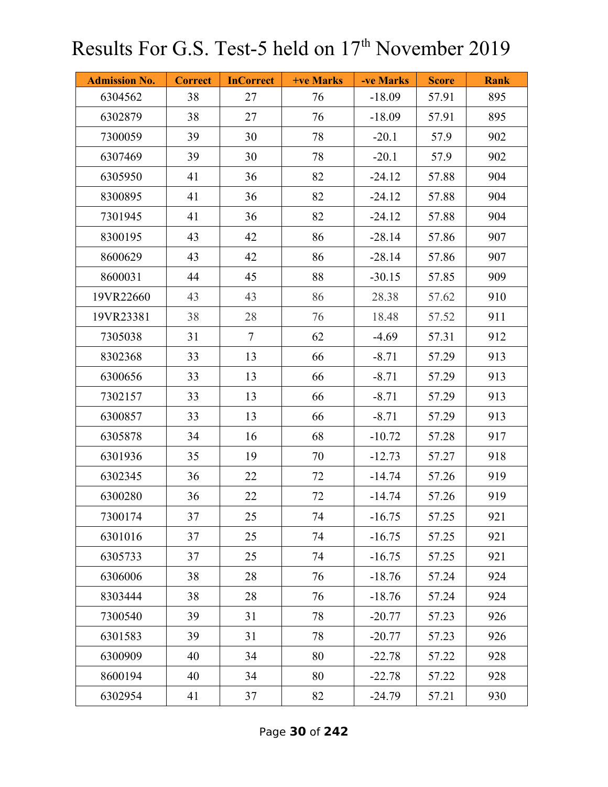| <b>Admission No.</b> | <b>Correct</b> | <b>InCorrect</b> | <b>+ve Marks</b> | -ve Marks | <b>Score</b> | <b>Rank</b> |
|----------------------|----------------|------------------|------------------|-----------|--------------|-------------|
| 6304562              | 38             | 27               | 76               | $-18.09$  | 57.91        | 895         |
| 6302879              | 38             | 27               | 76               | $-18.09$  | 57.91        | 895         |
| 7300059              | 39             | 30               | 78               | $-20.1$   | 57.9         | 902         |
| 6307469              | 39             | 30               | 78               | $-20.1$   | 57.9         | 902         |
| 6305950              | 41             | 36               | 82               | $-24.12$  | 57.88        | 904         |
| 8300895              | 41             | 36               | 82               | $-24.12$  | 57.88        | 904         |
| 7301945              | 41             | 36               | 82               | $-24.12$  | 57.88        | 904         |
| 8300195              | 43             | 42               | 86               | $-28.14$  | 57.86        | 907         |
| 8600629              | 43             | 42               | 86               | $-28.14$  | 57.86        | 907         |
| 8600031              | 44             | 45               | 88               | $-30.15$  | 57.85        | 909         |
| 19VR22660            | 43             | 43               | 86               | 28.38     | 57.62        | 910         |
| 19VR23381            | 38             | 28               | 76               | 18.48     | 57.52        | 911         |
| 7305038              | 31             | $\overline{7}$   | 62               | $-4.69$   | 57.31        | 912         |
| 8302368              | 33             | 13               | 66               | $-8.71$   | 57.29        | 913         |
| 6300656              | 33             | 13               | 66               | $-8.71$   | 57.29        | 913         |
| 7302157              | 33             | 13               | 66               | $-8.71$   | 57.29        | 913         |
| 6300857              | 33             | 13               | 66               | $-8.71$   | 57.29        | 913         |
| 6305878              | 34             | 16               | 68               | $-10.72$  | 57.28        | 917         |
| 6301936              | 35             | 19               | 70               | $-12.73$  | 57.27        | 918         |
| 6302345              | 36             | 22               | 72               | $-14.74$  | 57.26        | 919         |
| 6300280              | 36             | 22               | 72               | $-14.74$  | 57.26        | 919         |
| 7300174              | 37             | 25               | 74               | $-16.75$  | 57.25        | 921         |
| 6301016              | 37             | 25               | 74               | $-16.75$  | 57.25        | 921         |
| 6305733              | 37             | 25               | 74               | $-16.75$  | 57.25        | 921         |
| 6306006              | 38             | 28               | 76               | $-18.76$  | 57.24        | 924         |
| 8303444              | 38             | 28               | 76               | $-18.76$  | 57.24        | 924         |
| 7300540              | 39             | 31               | 78               | $-20.77$  | 57.23        | 926         |
| 6301583              | 39             | 31               | 78               | $-20.77$  | 57.23        | 926         |
| 6300909              | 40             | 34               | 80               | $-22.78$  | 57.22        | 928         |
| 8600194              | 40             | 34               | 80               | $-22.78$  | 57.22        | 928         |
| 6302954              | 41             | 37               | 82               | $-24.79$  | 57.21        | 930         |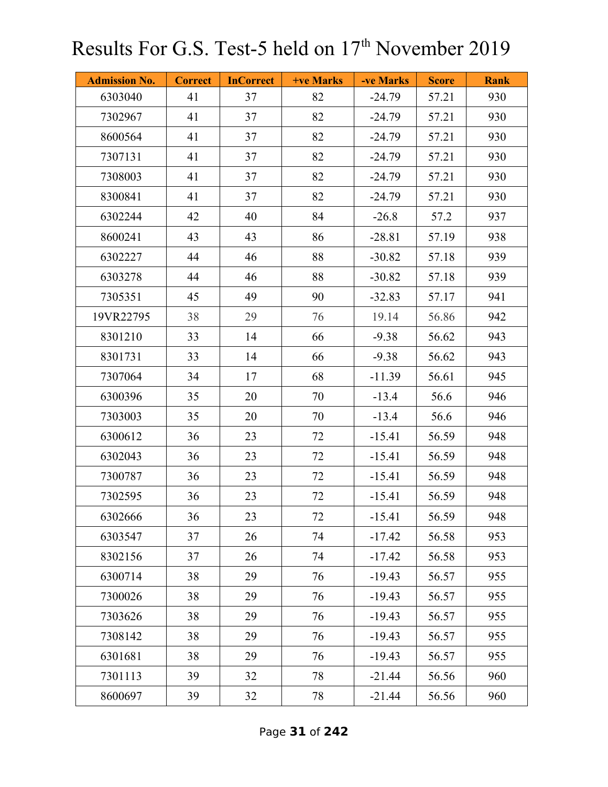| <b>Admission No.</b> | <b>Correct</b> | <b>InCorrect</b> | +ve Marks | -ve Marks | <b>Score</b> | <b>Rank</b> |
|----------------------|----------------|------------------|-----------|-----------|--------------|-------------|
| 6303040              | 41             | 37               | 82        | $-24.79$  | 57.21        | 930         |
| 7302967              | 41             | 37               | 82        | $-24.79$  | 57.21        | 930         |
| 8600564              | 41             | 37               | 82        | $-24.79$  | 57.21        | 930         |
| 7307131              | 41             | 37               | 82        | $-24.79$  | 57.21        | 930         |
| 7308003              | 41             | 37               | 82        | $-24.79$  | 57.21        | 930         |
| 8300841              | 41             | 37               | 82        | $-24.79$  | 57.21        | 930         |
| 6302244              | 42             | 40               | 84        | $-26.8$   | 57.2         | 937         |
| 8600241              | 43             | 43               | 86        | $-28.81$  | 57.19        | 938         |
| 6302227              | 44             | 46               | 88        | $-30.82$  | 57.18        | 939         |
| 6303278              | 44             | 46               | 88        | $-30.82$  | 57.18        | 939         |
| 7305351              | 45             | 49               | 90        | $-32.83$  | 57.17        | 941         |
| 19VR22795            | 38             | 29               | 76        | 19.14     | 56.86        | 942         |
| 8301210              | 33             | 14               | 66        | $-9.38$   | 56.62        | 943         |
| 8301731              | 33             | 14               | 66        | $-9.38$   | 56.62        | 943         |
| 7307064              | 34             | 17               | 68        | $-11.39$  | 56.61        | 945         |
| 6300396              | 35             | 20               | 70        | $-13.4$   | 56.6         | 946         |
| 7303003              | 35             | 20               | 70        | $-13.4$   | 56.6         | 946         |
| 6300612              | 36             | 23               | 72        | $-15.41$  | 56.59        | 948         |
| 6302043              | 36             | 23               | 72        | $-15.41$  | 56.59        | 948         |
| 7300787              | 36             | 23               | 72        | $-15.41$  | 56.59        | 948         |
| 7302595              | 36             | 23               | 72        | $-15.41$  | 56.59        | 948         |
| 6302666              | 36             | 23               | 72        | $-15.41$  | 56.59        | 948         |
| 6303547              | 37             | 26               | 74        | $-17.42$  | 56.58        | 953         |
| 8302156              | 37             | 26               | 74        | $-17.42$  | 56.58        | 953         |
| 6300714              | 38             | 29               | 76        | $-19.43$  | 56.57        | 955         |
| 7300026              | 38             | 29               | 76        | $-19.43$  | 56.57        | 955         |
| 7303626              | 38             | 29               | 76        | $-19.43$  | 56.57        | 955         |
| 7308142              | 38             | 29               | 76        | $-19.43$  | 56.57        | 955         |
| 6301681              | 38             | 29               | 76        | $-19.43$  | 56.57        | 955         |
| 7301113              | 39             | 32               | 78        | $-21.44$  | 56.56        | 960         |
| 8600697              | 39             | 32               | 78        | $-21.44$  | 56.56        | 960         |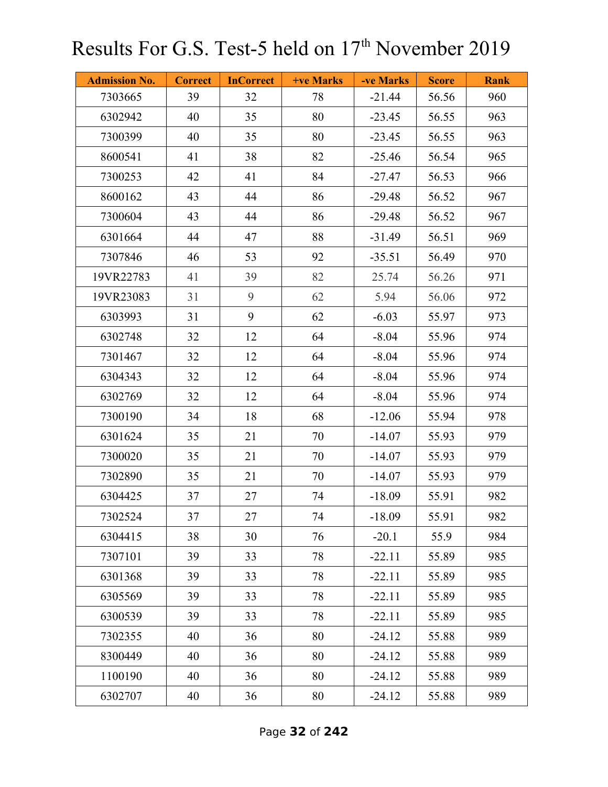| <b>Admission No.</b> | <b>Correct</b> | <b>InCorrect</b> | +ve Marks | -ve Marks | <b>Score</b> | <b>Rank</b> |
|----------------------|----------------|------------------|-----------|-----------|--------------|-------------|
| 7303665              | 39             | 32               | 78        | $-21.44$  | 56.56        | 960         |
| 6302942              | 40             | 35               | 80        | $-23.45$  | 56.55        | 963         |
| 7300399              | 40             | 35               | 80        | $-23.45$  | 56.55        | 963         |
| 8600541              | 41             | 38               | 82        | $-25.46$  | 56.54        | 965         |
| 7300253              | 42             | 41               | 84        | $-27.47$  | 56.53        | 966         |
| 8600162              | 43             | 44               | 86        | $-29.48$  | 56.52        | 967         |
| 7300604              | 43             | 44               | 86        | $-29.48$  | 56.52        | 967         |
| 6301664              | 44             | 47               | 88        | $-31.49$  | 56.51        | 969         |
| 7307846              | 46             | 53               | 92        | $-35.51$  | 56.49        | 970         |
| 19VR22783            | 41             | 39               | 82        | 25.74     | 56.26        | 971         |
| 19VR23083            | 31             | 9                | 62        | 5.94      | 56.06        | 972         |
| 6303993              | 31             | 9                | 62        | $-6.03$   | 55.97        | 973         |
| 6302748              | 32             | 12               | 64        | $-8.04$   | 55.96        | 974         |
| 7301467              | 32             | 12               | 64        | $-8.04$   | 55.96        | 974         |
| 6304343              | 32             | 12               | 64        | $-8.04$   | 55.96        | 974         |
| 6302769              | 32             | 12               | 64        | $-8.04$   | 55.96        | 974         |
| 7300190              | 34             | 18               | 68        | $-12.06$  | 55.94        | 978         |
| 6301624              | 35             | 21               | 70        | $-14.07$  | 55.93        | 979         |
| 7300020              | 35             | 21               | 70        | $-14.07$  | 55.93        | 979         |
| 7302890              | 35             | 21               | 70        | $-14.07$  | 55.93        | 979         |
| 6304425              | 37             | 27               | 74        | $-18.09$  | 55.91        | 982         |
| 7302524              | 37             | 27               | 74        | $-18.09$  | 55.91        | 982         |
| 6304415              | 38             | 30               | 76        | $-20.1$   | 55.9         | 984         |
| 7307101              | 39             | 33               | 78        | $-22.11$  | 55.89        | 985         |
| 6301368              | 39             | 33               | 78        | $-22.11$  | 55.89        | 985         |
| 6305569              | 39             | 33               | 78        | $-22.11$  | 55.89        | 985         |
| 6300539              | 39             | 33               | 78        | $-22.11$  | 55.89        | 985         |
| 7302355              | 40             | 36               | 80        | $-24.12$  | 55.88        | 989         |
| 8300449              | 40             | 36               | 80        | $-24.12$  | 55.88        | 989         |
| 1100190              | 40             | 36               | 80        | $-24.12$  | 55.88        | 989         |
| 6302707              | 40             | 36               | 80        | $-24.12$  | 55.88        | 989         |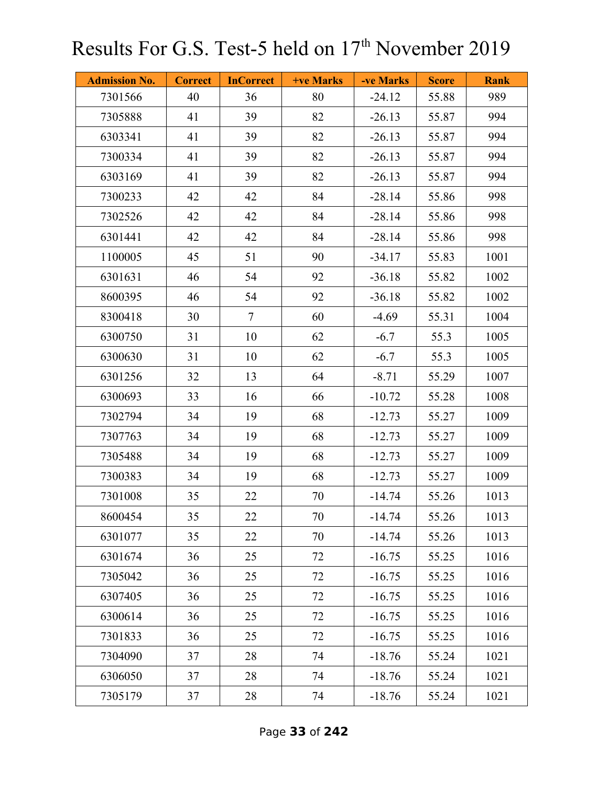| <b>Admission No.</b> | <b>Correct</b> | <b>InCorrect</b> | +ve Marks | -ve Marks | <b>Score</b> | <b>Rank</b> |
|----------------------|----------------|------------------|-----------|-----------|--------------|-------------|
| 7301566              | 40             | 36               | 80        | $-24.12$  | 55.88        | 989         |
| 7305888              | 41             | 39               | 82        | $-26.13$  | 55.87        | 994         |
| 6303341              | 41             | 39               | 82        | $-26.13$  | 55.87        | 994         |
| 7300334              | 41             | 39               | 82        | $-26.13$  | 55.87        | 994         |
| 6303169              | 41             | 39               | 82        | $-26.13$  | 55.87        | 994         |
| 7300233              | 42             | 42               | 84        | $-28.14$  | 55.86        | 998         |
| 7302526              | 42             | 42               | 84        | $-28.14$  | 55.86        | 998         |
| 6301441              | 42             | 42               | 84        | $-28.14$  | 55.86        | 998         |
| 1100005              | 45             | 51               | 90        | $-34.17$  | 55.83        | 1001        |
| 6301631              | 46             | 54               | 92        | $-36.18$  | 55.82        | 1002        |
| 8600395              | 46             | 54               | 92        | $-36.18$  | 55.82        | 1002        |
| 8300418              | 30             | $\overline{7}$   | 60        | $-4.69$   | 55.31        | 1004        |
| 6300750              | 31             | 10               | 62        | $-6.7$    | 55.3         | 1005        |
| 6300630              | 31             | 10               | 62        | $-6.7$    | 55.3         | 1005        |
| 6301256              | 32             | 13               | 64        | $-8.71$   | 55.29        | 1007        |
| 6300693              | 33             | 16               | 66        | $-10.72$  | 55.28        | 1008        |
| 7302794              | 34             | 19               | 68        | $-12.73$  | 55.27        | 1009        |
| 7307763              | 34             | 19               | 68        | $-12.73$  | 55.27        | 1009        |
| 7305488              | 34             | 19               | 68        | $-12.73$  | 55.27        | 1009        |
| 7300383              | 34             | 19               | 68        | $-12.73$  | 55.27        | 1009        |
| 7301008              | 35             | 22               | 70        | $-14.74$  | 55.26        | 1013        |
| 8600454              | 35             | 22               | 70        | $-14.74$  | 55.26        | 1013        |
| 6301077              | 35             | 22               | 70        | $-14.74$  | 55.26        | 1013        |
| 6301674              | 36             | 25               | 72        | $-16.75$  | 55.25        | 1016        |
| 7305042              | 36             | 25               | 72        | $-16.75$  | 55.25        | 1016        |
| 6307405              | 36             | 25               | 72        | $-16.75$  | 55.25        | 1016        |
| 6300614              | 36             | 25               | 72        | $-16.75$  | 55.25        | 1016        |
| 7301833              | 36             | 25               | 72        | $-16.75$  | 55.25        | 1016        |
| 7304090              | 37             | 28               | 74        | $-18.76$  | 55.24        | 1021        |
| 6306050              | 37             | 28               | 74        | $-18.76$  | 55.24        | 1021        |
| 7305179              | 37             | 28               | 74        | $-18.76$  | 55.24        | 1021        |

Page **33** of **242**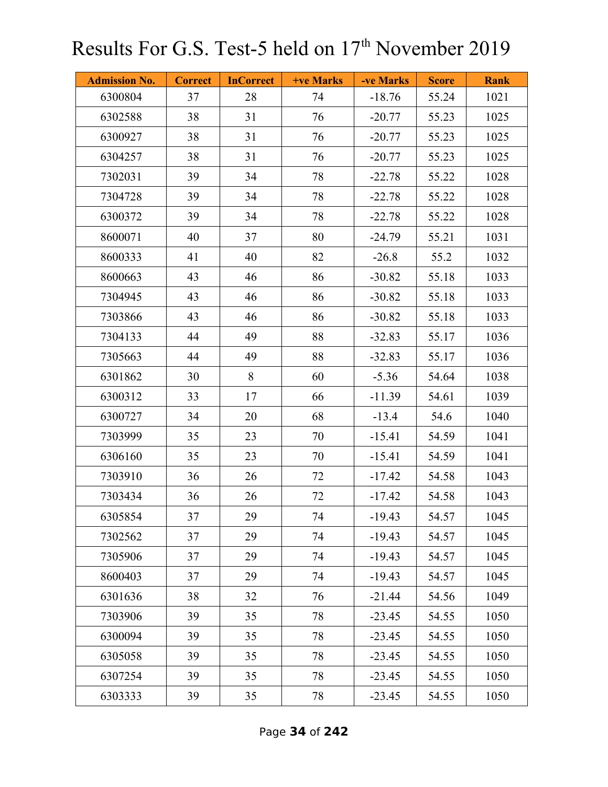| <b>Admission No.</b> | <b>Correct</b> | <b>InCorrect</b> | +ve Marks | -ve Marks | <b>Score</b> | <b>Rank</b> |
|----------------------|----------------|------------------|-----------|-----------|--------------|-------------|
| 6300804              | 37             | 28               | 74        | $-18.76$  | 55.24        | 1021        |
| 6302588              | 38             | 31               | 76        | $-20.77$  | 55.23        | 1025        |
| 6300927              | 38             | 31               | 76        | $-20.77$  | 55.23        | 1025        |
| 6304257              | 38             | 31               | 76        | $-20.77$  | 55.23        | 1025        |
| 7302031              | 39             | 34               | 78        | $-22.78$  | 55.22        | 1028        |
| 7304728              | 39             | 34               | 78        | $-22.78$  | 55.22        | 1028        |
| 6300372              | 39             | 34               | 78        | $-22.78$  | 55.22        | 1028        |
| 8600071              | 40             | 37               | 80        | $-24.79$  | 55.21        | 1031        |
| 8600333              | 41             | 40               | 82        | $-26.8$   | 55.2         | 1032        |
| 8600663              | 43             | 46               | 86        | $-30.82$  | 55.18        | 1033        |
| 7304945              | 43             | 46               | 86        | $-30.82$  | 55.18        | 1033        |
| 7303866              | 43             | 46               | 86        | $-30.82$  | 55.18        | 1033        |
| 7304133              | 44             | 49               | 88        | $-32.83$  | 55.17        | 1036        |
| 7305663              | 44             | 49               | 88        | $-32.83$  | 55.17        | 1036        |
| 6301862              | 30             | 8                | 60        | $-5.36$   | 54.64        | 1038        |
| 6300312              | 33             | 17               | 66        | $-11.39$  | 54.61        | 1039        |
| 6300727              | 34             | 20               | 68        | $-13.4$   | 54.6         | 1040        |
| 7303999              | 35             | 23               | 70        | $-15.41$  | 54.59        | 1041        |
| 6306160              | 35             | 23               | 70        | $-15.41$  | 54.59        | 1041        |
| 7303910              | 36             | 26               | 72        | $-17.42$  | 54.58        | 1043        |
| 7303434              | 36             | 26               | 72        | $-17.42$  | 54.58        | 1043        |
| 6305854              | 37             | 29               | 74        | $-19.43$  | 54.57        | 1045        |
| 7302562              | 37             | 29               | 74        | $-19.43$  | 54.57        | 1045        |
| 7305906              | 37             | 29               | 74        | $-19.43$  | 54.57        | 1045        |
| 8600403              | 37             | 29               | 74        | $-19.43$  | 54.57        | 1045        |
| 6301636              | 38             | 32               | 76        | $-21.44$  | 54.56        | 1049        |
| 7303906              | 39             | 35               | 78        | $-23.45$  | 54.55        | 1050        |
| 6300094              | 39             | 35               | 78        | $-23.45$  | 54.55        | 1050        |
| 6305058              | 39             | 35               | 78        | $-23.45$  | 54.55        | 1050        |
| 6307254              | 39             | 35               | 78        | $-23.45$  | 54.55        | 1050        |
| 6303333              | 39             | 35               | 78        | $-23.45$  | 54.55        | 1050        |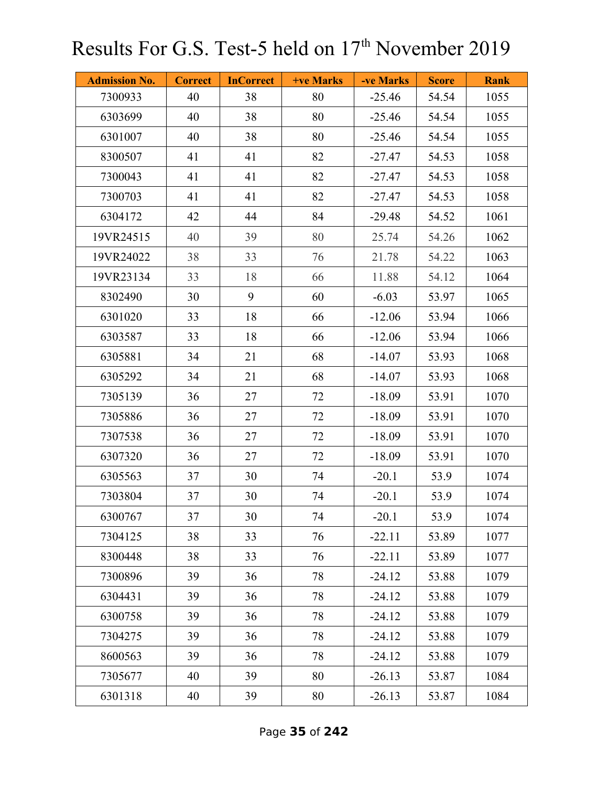| <b>Admission No.</b> | <b>Correct</b> | <b>InCorrect</b> | +ve Marks | -ve Marks | <b>Score</b> | <b>Rank</b> |
|----------------------|----------------|------------------|-----------|-----------|--------------|-------------|
| 7300933              | 40             | 38               | 80        | $-25.46$  | 54.54        | 1055        |
| 6303699              | 40             | 38               | 80        | $-25.46$  | 54.54        | 1055        |
| 6301007              | 40             | 38               | 80        | $-25.46$  | 54.54        | 1055        |
| 8300507              | 41             | 41               | 82        | $-27.47$  | 54.53        | 1058        |
| 7300043              | 41             | 41               | 82        | $-27.47$  | 54.53        | 1058        |
| 7300703              | 41             | 41               | 82        | $-27.47$  | 54.53        | 1058        |
| 6304172              | 42             | 44               | 84        | $-29.48$  | 54.52        | 1061        |
| 19VR24515            | 40             | 39               | 80        | 25.74     | 54.26        | 1062        |
| 19VR24022            | 38             | 33               | 76        | 21.78     | 54.22        | 1063        |
| 19VR23134            | 33             | 18               | 66        | 11.88     | 54.12        | 1064        |
| 8302490              | 30             | 9                | 60        | $-6.03$   | 53.97        | 1065        |
| 6301020              | 33             | 18               | 66        | $-12.06$  | 53.94        | 1066        |
| 6303587              | 33             | 18               | 66        | $-12.06$  | 53.94        | 1066        |
| 6305881              | 34             | 21               | 68        | $-14.07$  | 53.93        | 1068        |
| 6305292              | 34             | 21               | 68        | $-14.07$  | 53.93        | 1068        |
| 7305139              | 36             | 27               | 72        | $-18.09$  | 53.91        | 1070        |
| 7305886              | 36             | 27               | 72        | $-18.09$  | 53.91        | 1070        |
| 7307538              | 36             | 27               | 72        | $-18.09$  | 53.91        | 1070        |
| 6307320              | 36             | 27               | 72        | $-18.09$  | 53.91        | 1070        |
| 6305563              | 37             | 30               | 74        | $-20.1$   | 53.9         | 1074        |
| 7303804              | 37             | 30               | 74        | $-20.1$   | 53.9         | 1074        |
| 6300767              | 37             | 30               | 74        | $-20.1$   | 53.9         | 1074        |
| 7304125              | 38             | 33               | 76        | $-22.11$  | 53.89        | 1077        |
| 8300448              | 38             | 33               | 76        | $-22.11$  | 53.89        | 1077        |
| 7300896              | 39             | 36               | 78        | $-24.12$  | 53.88        | 1079        |
| 6304431              | 39             | 36               | 78        | $-24.12$  | 53.88        | 1079        |
| 6300758              | 39             | 36               | 78        | $-24.12$  | 53.88        | 1079        |
| 7304275              | 39             | 36               | 78        | $-24.12$  | 53.88        | 1079        |
| 8600563              | 39             | 36               | 78        | $-24.12$  | 53.88        | 1079        |
| 7305677              | 40             | 39               | 80        | $-26.13$  | 53.87        | 1084        |
| 6301318              | 40             | 39               | 80        | $-26.13$  | 53.87        | 1084        |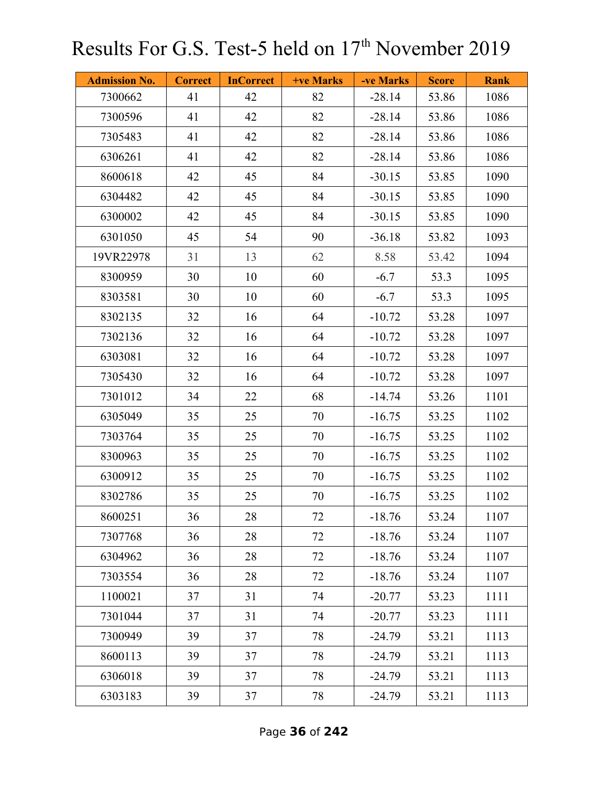| <b>Admission No.</b> | <b>Correct</b> | <b>InCorrect</b> | <b>+ve Marks</b> | -ve Marks | <b>Score</b> | <b>Rank</b> |
|----------------------|----------------|------------------|------------------|-----------|--------------|-------------|
| 7300662              | 41             | 42               | 82               | $-28.14$  | 53.86        | 1086        |
| 7300596              | 41             | 42               | 82               | $-28.14$  | 53.86        | 1086        |
| 7305483              | 41             | 42               | 82               | $-28.14$  | 53.86        | 1086        |
| 6306261              | 41             | 42               | 82               | $-28.14$  | 53.86        | 1086        |
| 8600618              | 42             | 45               | 84               | $-30.15$  | 53.85        | 1090        |
| 6304482              | 42             | 45               | 84               | $-30.15$  | 53.85        | 1090        |
| 6300002              | 42             | 45               | 84               | $-30.15$  | 53.85        | 1090        |
| 6301050              | 45             | 54               | 90               | $-36.18$  | 53.82        | 1093        |
| 19VR22978            | 31             | 13               | 62               | 8.58      | 53.42        | 1094        |
| 8300959              | 30             | 10               | 60               | $-6.7$    | 53.3         | 1095        |
| 8303581              | 30             | 10               | 60               | $-6.7$    | 53.3         | 1095        |
| 8302135              | 32             | 16               | 64               | $-10.72$  | 53.28        | 1097        |
| 7302136              | 32             | 16               | 64               | $-10.72$  | 53.28        | 1097        |
| 6303081              | 32             | 16               | 64               | $-10.72$  | 53.28        | 1097        |
| 7305430              | 32             | 16               | 64               | $-10.72$  | 53.28        | 1097        |
| 7301012              | 34             | 22               | 68               | $-14.74$  | 53.26        | 1101        |
| 6305049              | 35             | 25               | 70               | $-16.75$  | 53.25        | 1102        |
| 7303764              | 35             | 25               | 70               | $-16.75$  | 53.25        | 1102        |
| 8300963              | 35             | 25               | 70               | $-16.75$  | 53.25        | 1102        |
| 6300912              | 35             | 25               | 70               | $-16.75$  | 53.25        | 1102        |
| 8302786              | 35             | 25               | 70               | $-16.75$  | 53.25        | 1102        |
| 8600251              | 36             | 28               | 72               | $-18.76$  | 53.24        | 1107        |
| 7307768              | 36             | 28               | 72               | $-18.76$  | 53.24        | 1107        |
| 6304962              | 36             | 28               | 72               | $-18.76$  | 53.24        | 1107        |
| 7303554              | 36             | 28               | 72               | $-18.76$  | 53.24        | 1107        |
| 1100021              | 37             | 31               | 74               | $-20.77$  | 53.23        | 1111        |
| 7301044              | 37             | 31               | 74               | $-20.77$  | 53.23        | 1111        |
| 7300949              | 39             | 37               | 78               | $-24.79$  | 53.21        | 1113        |
| 8600113              | 39             | 37               | 78               | $-24.79$  | 53.21        | 1113        |
| 6306018              | 39             | 37               | 78               | $-24.79$  | 53.21        | 1113        |
| 6303183              | 39             | 37               | 78               | $-24.79$  | 53.21        | 1113        |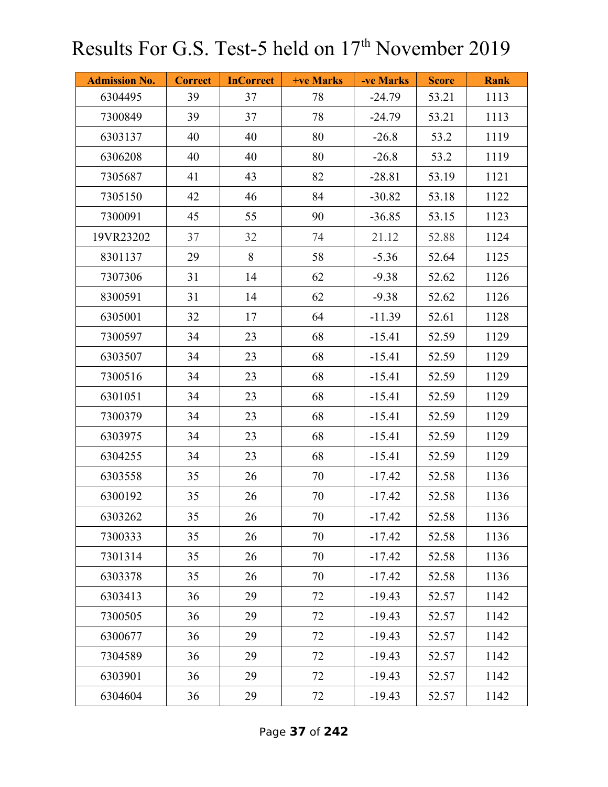| <b>Admission No.</b> | <b>Correct</b> | <b>InCorrect</b> | <b>+ve Marks</b> | -ve Marks | <b>Score</b> | <b>Rank</b> |
|----------------------|----------------|------------------|------------------|-----------|--------------|-------------|
| 6304495              | 39             | 37               | 78               | $-24.79$  | 53.21        | 1113        |
| 7300849              | 39             | 37               | 78               | $-24.79$  | 53.21        | 1113        |
| 6303137              | 40             | 40               | 80               | $-26.8$   | 53.2         | 1119        |
| 6306208              | 40             | 40               | 80               | $-26.8$   | 53.2         | 1119        |
| 7305687              | 41             | 43               | 82               | $-28.81$  | 53.19        | 1121        |
| 7305150              | 42             | 46               | 84               | $-30.82$  | 53.18        | 1122        |
| 7300091              | 45             | 55               | 90               | $-36.85$  | 53.15        | 1123        |
| 19VR23202            | 37             | 32               | 74               | 21.12     | 52.88        | 1124        |
| 8301137              | 29             | 8                | 58               | $-5.36$   | 52.64        | 1125        |
| 7307306              | 31             | 14               | 62               | $-9.38$   | 52.62        | 1126        |
| 8300591              | 31             | 14               | 62               | $-9.38$   | 52.62        | 1126        |
| 6305001              | 32             | 17               | 64               | $-11.39$  | 52.61        | 1128        |
| 7300597              | 34             | 23               | 68               | $-15.41$  | 52.59        | 1129        |
| 6303507              | 34             | 23               | 68               | $-15.41$  | 52.59        | 1129        |
| 7300516              | 34             | 23               | 68               | $-15.41$  | 52.59        | 1129        |
| 6301051              | 34             | 23               | 68               | $-15.41$  | 52.59        | 1129        |
| 7300379              | 34             | 23               | 68               | $-15.41$  | 52.59        | 1129        |
| 6303975              | 34             | 23               | 68               | $-15.41$  | 52.59        | 1129        |
| 6304255              | 34             | 23               | 68               | $-15.41$  | 52.59        | 1129        |
| 6303558              | 35             | 26               | 70               | $-17.42$  | 52.58        | 1136        |
| 6300192              | 35             | 26               | 70               | $-17.42$  | 52.58        | 1136        |
| 6303262              | 35             | 26               | 70               | $-17.42$  | 52.58        | 1136        |
| 7300333              | 35             | 26               | 70               | $-17.42$  | 52.58        | 1136        |
| 7301314              | 35             | 26               | 70               | $-17.42$  | 52.58        | 1136        |
| 6303378              | 35             | 26               | 70               | $-17.42$  | 52.58        | 1136        |
| 6303413              | 36             | 29               | 72               | $-19.43$  | 52.57        | 1142        |
| 7300505              | 36             | 29               | 72               | $-19.43$  | 52.57        | 1142        |
| 6300677              | 36             | 29               | 72               | $-19.43$  | 52.57        | 1142        |
| 7304589              | 36             | 29               | 72               | $-19.43$  | 52.57        | 1142        |
| 6303901              | 36             | 29               | 72               | $-19.43$  | 52.57        | 1142        |
| 6304604              | 36             | 29               | 72               | $-19.43$  | 52.57        | 1142        |

Page **37** of **242**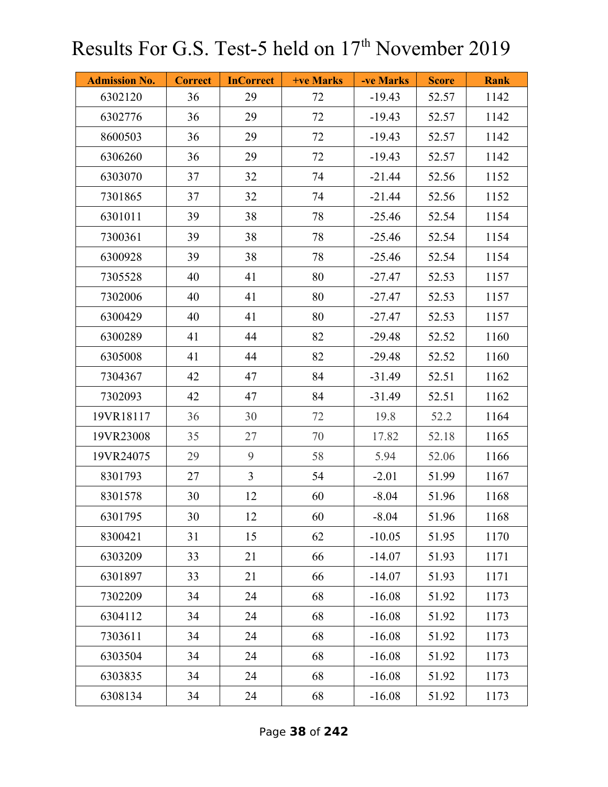| <b>Admission No.</b> | <b>Correct</b> | <b>InCorrect</b> | <b>+ve Marks</b> | -ve Marks | <b>Score</b> | <b>Rank</b> |
|----------------------|----------------|------------------|------------------|-----------|--------------|-------------|
| 6302120              | 36             | 29               | 72               | $-19.43$  | 52.57        | 1142        |
| 6302776              | 36             | 29               | 72               | $-19.43$  | 52.57        | 1142        |
| 8600503              | 36             | 29               | 72               | $-19.43$  | 52.57        | 1142        |
| 6306260              | 36             | 29               | 72               | $-19.43$  | 52.57        | 1142        |
| 6303070              | 37             | 32               | 74               | $-21.44$  | 52.56        | 1152        |
| 7301865              | 37             | 32               | 74               | $-21.44$  | 52.56        | 1152        |
| 6301011              | 39             | 38               | 78               | $-25.46$  | 52.54        | 1154        |
| 7300361              | 39             | 38               | 78               | $-25.46$  | 52.54        | 1154        |
| 6300928              | 39             | 38               | 78               | $-25.46$  | 52.54        | 1154        |
| 7305528              | 40             | 41               | 80               | $-27.47$  | 52.53        | 1157        |
| 7302006              | 40             | 41               | 80               | $-27.47$  | 52.53        | 1157        |
| 6300429              | 40             | 41               | 80               | $-27.47$  | 52.53        | 1157        |
| 6300289              | 41             | 44               | 82               | $-29.48$  | 52.52        | 1160        |
| 6305008              | 41             | 44               | 82               | $-29.48$  | 52.52        | 1160        |
| 7304367              | 42             | 47               | 84               | $-31.49$  | 52.51        | 1162        |
| 7302093              | 42             | 47               | 84               | $-31.49$  | 52.51        | 1162        |
| 19VR18117            | 36             | 30               | 72               | 19.8      | 52.2         | 1164        |
| 19VR23008            | 35             | 27               | 70               | 17.82     | 52.18        | 1165        |
| 19VR24075            | 29             | 9                | 58               | 5.94      | 52.06        | 1166        |
| 8301793              | 27             | $\overline{3}$   | 54               | $-2.01$   | 51.99        | 1167        |
| 8301578              | 30             | 12               | 60               | $-8.04$   | 51.96        | 1168        |
| 6301795              | 30             | 12               | 60               | $-8.04$   | 51.96        | 1168        |
| 8300421              | 31             | 15               | 62               | $-10.05$  | 51.95        | 1170        |
| 6303209              | 33             | 21               | 66               | $-14.07$  | 51.93        | 1171        |
| 6301897              | 33             | 21               | 66               | $-14.07$  | 51.93        | 1171        |
| 7302209              | 34             | 24               | 68               | $-16.08$  | 51.92        | 1173        |
| 6304112              | 34             | 24               | 68               | $-16.08$  | 51.92        | 1173        |
| 7303611              | 34             | 24               | 68               | $-16.08$  | 51.92        | 1173        |
| 6303504              | 34             | 24               | 68               | $-16.08$  | 51.92        | 1173        |
| 6303835              | 34             | 24               | 68               | $-16.08$  | 51.92        | 1173        |
| 6308134              | 34             | 24               | 68               | $-16.08$  | 51.92        | 1173        |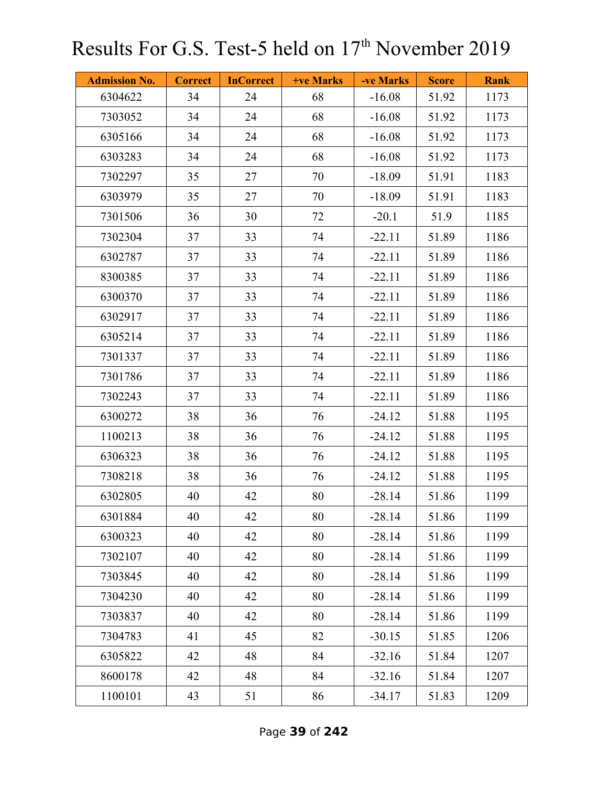| <b>Admission No.</b> | <b>Correct</b> | <b>InCorrect</b> | <b>+ve Marks</b> | -ve Marks | <b>Score</b> | <b>Rank</b> |
|----------------------|----------------|------------------|------------------|-----------|--------------|-------------|
| 6304622              | 34             | 24               | 68               | $-16.08$  | 51.92        | 1173        |
| 7303052              | 34             | 24               | 68               | $-16.08$  | 51.92        | 1173        |
| 6305166              | 34             | 24               | 68               | $-16.08$  | 51.92        | 1173        |
| 6303283              | 34             | 24               | 68               | $-16.08$  | 51.92        | 1173        |
| 7302297              | 35             | 27               | 70               | $-18.09$  | 51.91        | 1183        |
| 6303979              | 35             | 27               | 70               | $-18.09$  | 51.91        | 1183        |
| 7301506              | 36             | 30               | 72               | $-20.1$   | 51.9         | 1185        |
| 7302304              | 37             | 33               | 74               | $-22.11$  | 51.89        | 1186        |
| 6302787              | 37             | 33               | 74               | $-22.11$  | 51.89        | 1186        |
| 8300385              | 37             | 33               | 74               | $-22.11$  | 51.89        | 1186        |
| 6300370              | 37             | 33               | 74               | $-22.11$  | 51.89        | 1186        |
| 6302917              | 37             | 33               | 74               | $-22.11$  | 51.89        | 1186        |
| 6305214              | 37             | 33               | 74               | $-22.11$  | 51.89        | 1186        |
| 7301337              | 37             | 33               | 74               | $-22.11$  | 51.89        | 1186        |
| 7301786              | 37             | 33               | 74               | $-22.11$  | 51.89        | 1186        |
| 7302243              | 37             | 33               | 74               | $-22.11$  | 51.89        | 1186        |
| 6300272              | 38             | 36               | 76               | $-24.12$  | 51.88        | 1195        |
| 1100213              | 38             | 36               | 76               | $-24.12$  | 51.88        | 1195        |
| 6306323              | 38             | 36               | 76               | $-24.12$  | 51.88        | 1195        |
| 7308218              | 38             | 36               | 76               | $-24.12$  | 51.88        | 1195        |
| 6302805              | 40             | 42               | 80               | $-28.14$  | 51.86        | 1199        |
| 6301884              | 40             | 42               | 80               | $-28.14$  | 51.86        | 1199        |
| 6300323              | 40             | 42               | 80               | $-28.14$  | 51.86        | 1199        |
| 7302107              | 40             | 42               | 80               | $-28.14$  | 51.86        | 1199        |
| 7303845              | 40             | 42               | 80               | $-28.14$  | 51.86        | 1199        |
| 7304230              | 40             | 42               | 80               | $-28.14$  | 51.86        | 1199        |
| 7303837              | 40             | 42               | 80               | $-28.14$  | 51.86        | 1199        |
| 7304783              | 41             | 45               | 82               | $-30.15$  | 51.85        | 1206        |
| 6305822              | 42             | 48               | 84               | $-32.16$  | 51.84        | 1207        |
| 8600178              | 42             | 48               | 84               | $-32.16$  | 51.84        | 1207        |
| 1100101              | 43             | 51               | 86               | $-34.17$  | 51.83        | 1209        |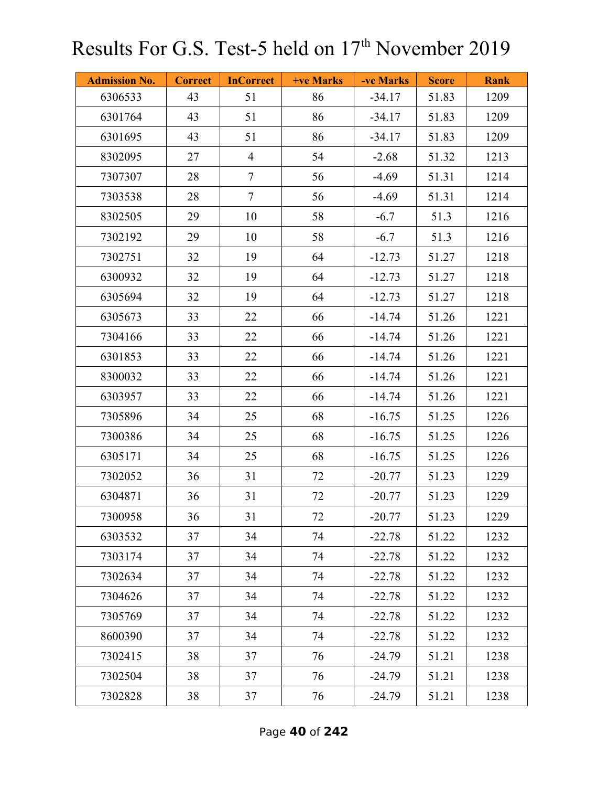| <b>Admission No.</b> | <b>Correct</b> | <b>InCorrect</b> | <b>+ve Marks</b> | -ve Marks | <b>Score</b> | <b>Rank</b> |
|----------------------|----------------|------------------|------------------|-----------|--------------|-------------|
| 6306533              | 43             | 51               | 86               | $-34.17$  | 51.83        | 1209        |
| 6301764              | 43             | 51               | 86               | $-34.17$  | 51.83        | 1209        |
| 6301695              | 43             | 51               | 86               | $-34.17$  | 51.83        | 1209        |
| 8302095              | 27             | $\overline{4}$   | 54               | $-2.68$   | 51.32        | 1213        |
| 7307307              | 28             | $\tau$           | 56               | $-4.69$   | 51.31        | 1214        |
| 7303538              | 28             | $\overline{7}$   | 56               | $-4.69$   | 51.31        | 1214        |
| 8302505              | 29             | 10               | 58               | $-6.7$    | 51.3         | 1216        |
| 7302192              | 29             | 10               | 58               | $-6.7$    | 51.3         | 1216        |
| 7302751              | 32             | 19               | 64               | $-12.73$  | 51.27        | 1218        |
| 6300932              | 32             | 19               | 64               | $-12.73$  | 51.27        | 1218        |
| 6305694              | 32             | 19               | 64               | $-12.73$  | 51.27        | 1218        |
| 6305673              | 33             | 22               | 66               | $-14.74$  | 51.26        | 1221        |
| 7304166              | 33             | 22               | 66               | $-14.74$  | 51.26        | 1221        |
| 6301853              | 33             | 22               | 66               | $-14.74$  | 51.26        | 1221        |
| 8300032              | 33             | 22               | 66               | $-14.74$  | 51.26        | 1221        |
| 6303957              | 33             | 22               | 66               | $-14.74$  | 51.26        | 1221        |
| 7305896              | 34             | 25               | 68               | $-16.75$  | 51.25        | 1226        |
| 7300386              | 34             | 25               | 68               | $-16.75$  | 51.25        | 1226        |
| 6305171              | 34             | 25               | 68               | $-16.75$  | 51.25        | 1226        |
| 7302052              | 36             | 31               | 72               | $-20.77$  | 51.23        | 1229        |
| 6304871              | 36             | 31               | 72               | $-20.77$  | 51.23        | 1229        |
| 7300958              | 36             | 31               | 72               | $-20.77$  | 51.23        | 1229        |
| 6303532              | 37             | 34               | 74               | $-22.78$  | 51.22        | 1232        |
| 7303174              | 37             | 34               | 74               | $-22.78$  | 51.22        | 1232        |
| 7302634              | 37             | 34               | 74               | $-22.78$  | 51.22        | 1232        |
| 7304626              | 37             | 34               | 74               | $-22.78$  | 51.22        | 1232        |
| 7305769              | 37             | 34               | 74               | $-22.78$  | 51.22        | 1232        |
| 8600390              | 37             | 34               | 74               | $-22.78$  | 51.22        | 1232        |
| 7302415              | 38             | 37               | 76               | $-24.79$  | 51.21        | 1238        |
| 7302504              | 38             | 37               | 76               | $-24.79$  | 51.21        | 1238        |
| 7302828              | 38             | 37               | 76               | $-24.79$  | 51.21        | 1238        |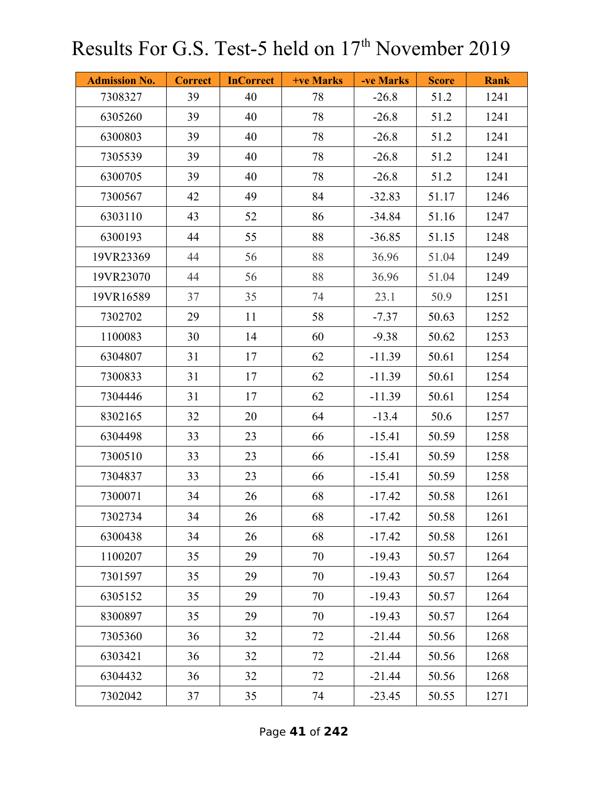| <b>Admission No.</b> | <b>Correct</b> | <b>InCorrect</b> | +ve Marks | -ve Marks | <b>Score</b> | <b>Rank</b> |
|----------------------|----------------|------------------|-----------|-----------|--------------|-------------|
| 7308327              | 39             | 40               | 78        | $-26.8$   | 51.2         | 1241        |
| 6305260              | 39             | 40               | 78        | $-26.8$   | 51.2         | 1241        |
| 6300803              | 39             | 40               | 78        | $-26.8$   | 51.2         | 1241        |
| 7305539              | 39             | 40               | 78        | $-26.8$   | 51.2         | 1241        |
| 6300705              | 39             | 40               | 78        | $-26.8$   | 51.2         | 1241        |
| 7300567              | 42             | 49               | 84        | $-32.83$  | 51.17        | 1246        |
| 6303110              | 43             | 52               | 86        | $-34.84$  | 51.16        | 1247        |
| 6300193              | 44             | 55               | 88        | $-36.85$  | 51.15        | 1248        |
| 19VR23369            | 44             | 56               | 88        | 36.96     | 51.04        | 1249        |
| 19VR23070            | 44             | 56               | 88        | 36.96     | 51.04        | 1249        |
| 19VR16589            | 37             | 35               | 74        | 23.1      | 50.9         | 1251        |
| 7302702              | 29             | 11               | 58        | $-7.37$   | 50.63        | 1252        |
| 1100083              | 30             | 14               | 60        | $-9.38$   | 50.62        | 1253        |
| 6304807              | 31             | 17               | 62        | $-11.39$  | 50.61        | 1254        |
| 7300833              | 31             | 17               | 62        | $-11.39$  | 50.61        | 1254        |
| 7304446              | 31             | 17               | 62        | $-11.39$  | 50.61        | 1254        |
| 8302165              | 32             | 20               | 64        | $-13.4$   | 50.6         | 1257        |
| 6304498              | 33             | 23               | 66        | $-15.41$  | 50.59        | 1258        |
| 7300510              | 33             | 23               | 66        | $-15.41$  | 50.59        | 1258        |
| 7304837              | 33             | 23               | 66        | $-15.41$  | 50.59        | 1258        |
| 7300071              | 34             | 26               | 68        | $-17.42$  | 50.58        | 1261        |
| 7302734              | 34             | 26               | 68        | $-17.42$  | 50.58        | 1261        |
| 6300438              | 34             | 26               | 68        | $-17.42$  | 50.58        | 1261        |
| 1100207              | 35             | 29               | 70        | $-19.43$  | 50.57        | 1264        |
| 7301597              | 35             | 29               | 70        | $-19.43$  | 50.57        | 1264        |
| 6305152              | 35             | 29               | 70        | $-19.43$  | 50.57        | 1264        |
| 8300897              | 35             | 29               | 70        | $-19.43$  | 50.57        | 1264        |
| 7305360              | 36             | 32               | 72        | $-21.44$  | 50.56        | 1268        |
| 6303421              | 36             | 32               | 72        | $-21.44$  | 50.56        | 1268        |
| 6304432              | 36             | 32               | 72        | $-21.44$  | 50.56        | 1268        |
| 7302042              | 37             | 35               | 74        | $-23.45$  | 50.55        | 1271        |

Page **41** of **242**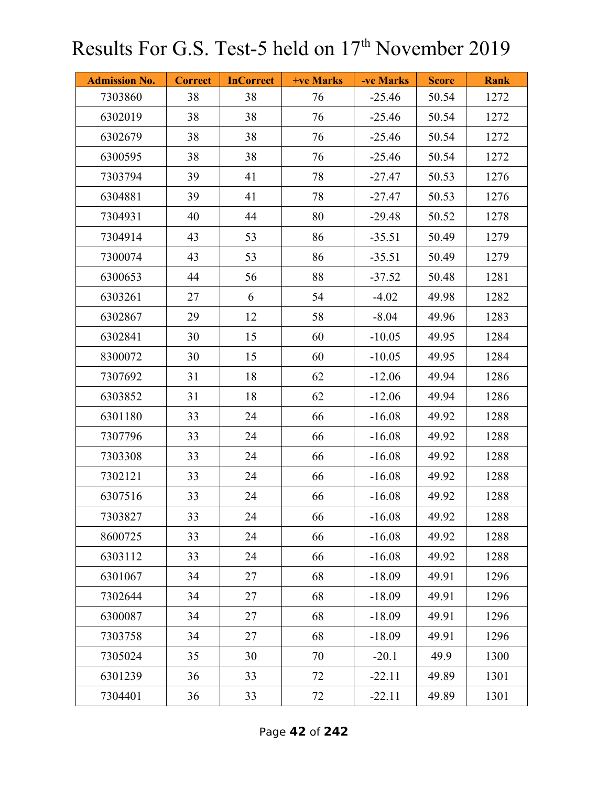| <b>Admission No.</b> | <b>Correct</b> | <b>InCorrect</b> | <b>+ve Marks</b> | -ve Marks | <b>Score</b> | <b>Rank</b> |
|----------------------|----------------|------------------|------------------|-----------|--------------|-------------|
| 7303860              | 38             | 38               | 76               | $-25.46$  | 50.54        | 1272        |
| 6302019              | 38             | 38               | 76               | $-25.46$  | 50.54        | 1272        |
| 6302679              | 38             | 38               | 76               | $-25.46$  | 50.54        | 1272        |
| 6300595              | 38             | 38               | 76               | $-25.46$  | 50.54        | 1272        |
| 7303794              | 39             | 41               | 78               | $-27.47$  | 50.53        | 1276        |
| 6304881              | 39             | 41               | 78               | $-27.47$  | 50.53        | 1276        |
| 7304931              | 40             | 44               | 80               | $-29.48$  | 50.52        | 1278        |
| 7304914              | 43             | 53               | 86               | $-35.51$  | 50.49        | 1279        |
| 7300074              | 43             | 53               | 86               | $-35.51$  | 50.49        | 1279        |
| 6300653              | 44             | 56               | 88               | $-37.52$  | 50.48        | 1281        |
| 6303261              | 27             | 6                | 54               | $-4.02$   | 49.98        | 1282        |
| 6302867              | 29             | 12               | 58               | $-8.04$   | 49.96        | 1283        |
| 6302841              | 30             | 15               | 60               | $-10.05$  | 49.95        | 1284        |
| 8300072              | 30             | 15               | 60               | $-10.05$  | 49.95        | 1284        |
| 7307692              | 31             | 18               | 62               | $-12.06$  | 49.94        | 1286        |
| 6303852              | 31             | 18               | 62               | $-12.06$  | 49.94        | 1286        |
| 6301180              | 33             | 24               | 66               | $-16.08$  | 49.92        | 1288        |
| 7307796              | 33             | 24               | 66               | $-16.08$  | 49.92        | 1288        |
| 7303308              | 33             | 24               | 66               | $-16.08$  | 49.92        | 1288        |
| 7302121              | 33             | 24               | 66               | $-16.08$  | 49.92        | 1288        |
| 6307516              | 33             | 24               | 66               | $-16.08$  | 49.92        | 1288        |
| 7303827              | 33             | 24               | 66               | $-16.08$  | 49.92        | 1288        |
| 8600725              | 33             | 24               | 66               | $-16.08$  | 49.92        | 1288        |
| 6303112              | 33             | 24               | 66               | $-16.08$  | 49.92        | 1288        |
| 6301067              | 34             | 27               | 68               | $-18.09$  | 49.91        | 1296        |
| 7302644              | 34             | 27               | 68               | $-18.09$  | 49.91        | 1296        |
| 6300087              | 34             | 27               | 68               | $-18.09$  | 49.91        | 1296        |
| 7303758              | 34             | 27               | 68               | $-18.09$  | 49.91        | 1296        |
| 7305024              | 35             | 30               | 70               | $-20.1$   | 49.9         | 1300        |
| 6301239              | 36             | 33               | 72               | $-22.11$  | 49.89        | 1301        |
| 7304401              | 36             | 33               | 72               | $-22.11$  | 49.89        | 1301        |

Page **42** of **242**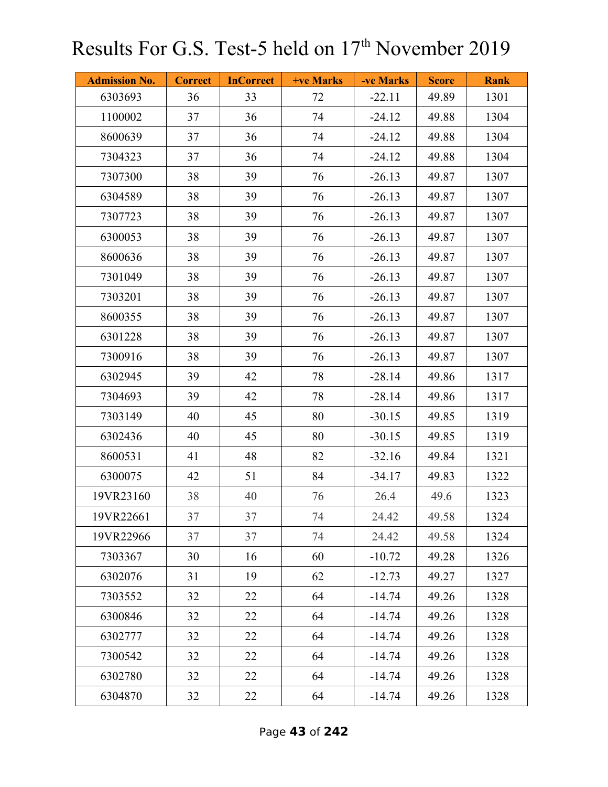| <b>Admission No.</b> | <b>Correct</b> | <b>InCorrect</b> | <b>+ve Marks</b> | -ve Marks | <b>Score</b> | <b>Rank</b> |
|----------------------|----------------|------------------|------------------|-----------|--------------|-------------|
| 6303693              | 36             | 33               | 72               | $-22.11$  | 49.89        | 1301        |
| 1100002              | 37             | 36               | 74               | $-24.12$  | 49.88        | 1304        |
| 8600639              | 37             | 36               | 74               | $-24.12$  | 49.88        | 1304        |
| 7304323              | 37             | 36               | 74               | $-24.12$  | 49.88        | 1304        |
| 7307300              | 38             | 39               | 76               | $-26.13$  | 49.87        | 1307        |
| 6304589              | 38             | 39               | 76               | $-26.13$  | 49.87        | 1307        |
| 7307723              | 38             | 39               | 76               | $-26.13$  | 49.87        | 1307        |
| 6300053              | 38             | 39               | 76               | $-26.13$  | 49.87        | 1307        |
| 8600636              | 38             | 39               | 76               | $-26.13$  | 49.87        | 1307        |
| 7301049              | 38             | 39               | 76               | $-26.13$  | 49.87        | 1307        |
| 7303201              | 38             | 39               | 76               | $-26.13$  | 49.87        | 1307        |
| 8600355              | 38             | 39               | 76               | $-26.13$  | 49.87        | 1307        |
| 6301228              | 38             | 39               | 76               | $-26.13$  | 49.87        | 1307        |
| 7300916              | 38             | 39               | 76               | $-26.13$  | 49.87        | 1307        |
| 6302945              | 39             | 42               | 78               | $-28.14$  | 49.86        | 1317        |
| 7304693              | 39             | 42               | 78               | $-28.14$  | 49.86        | 1317        |
| 7303149              | 40             | 45               | 80               | $-30.15$  | 49.85        | 1319        |
| 6302436              | 40             | 45               | 80               | $-30.15$  | 49.85        | 1319        |
| 8600531              | 41             | 48               | 82               | $-32.16$  | 49.84        | 1321        |
| 6300075              | 42             | 51               | 84               | $-34.17$  | 49.83        | 1322        |
| 19VR23160            | 38             | 40               | 76               | 26.4      | 49.6         | 1323        |
| 19VR22661            | 37             | 37               | 74               | 24.42     | 49.58        | 1324        |
| 19VR22966            | 37             | 37               | 74               | 24.42     | 49.58        | 1324        |
| 7303367              | 30             | 16               | 60               | $-10.72$  | 49.28        | 1326        |
| 6302076              | 31             | 19               | 62               | $-12.73$  | 49.27        | 1327        |
| 7303552              | 32             | 22               | 64               | $-14.74$  | 49.26        | 1328        |
| 6300846              | 32             | 22               | 64               | $-14.74$  | 49.26        | 1328        |
| 6302777              | 32             | 22               | 64               | $-14.74$  | 49.26        | 1328        |
| 7300542              | 32             | 22               | 64               | $-14.74$  | 49.26        | 1328        |
| 6302780              | 32             | 22               | 64               | $-14.74$  | 49.26        | 1328        |
| 6304870              | 32             | 22               | 64               | $-14.74$  | 49.26        | 1328        |

Page **43** of **242**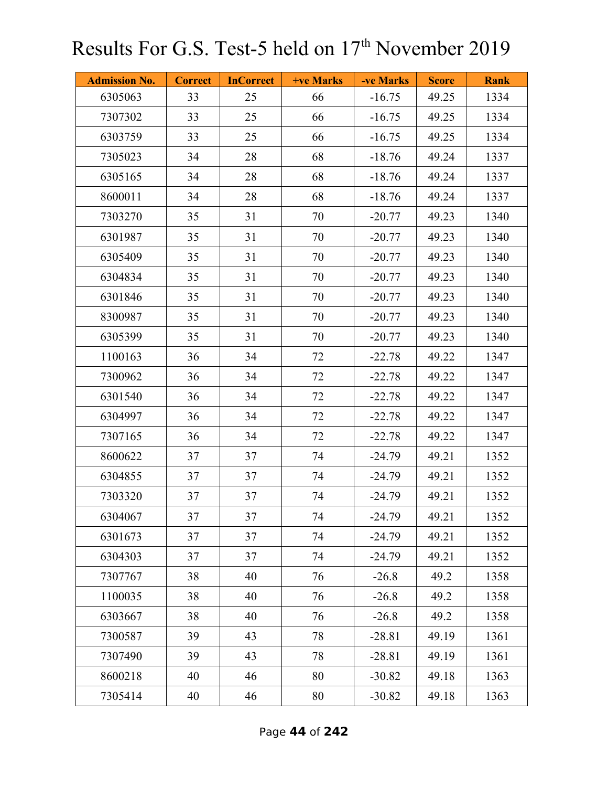| <b>Admission No.</b> | <b>Correct</b> | <b>InCorrect</b> | <b>+ve Marks</b> | -ve Marks | <b>Score</b> | <b>Rank</b> |
|----------------------|----------------|------------------|------------------|-----------|--------------|-------------|
| 6305063              | 33             | 25               | 66               | $-16.75$  | 49.25        | 1334        |
| 7307302              | 33             | 25               | 66               | $-16.75$  | 49.25        | 1334        |
| 6303759              | 33             | 25               | 66               | $-16.75$  | 49.25        | 1334        |
| 7305023              | 34             | 28               | 68               | $-18.76$  | 49.24        | 1337        |
| 6305165              | 34             | 28               | 68               | $-18.76$  | 49.24        | 1337        |
| 8600011              | 34             | 28               | 68               | $-18.76$  | 49.24        | 1337        |
| 7303270              | 35             | 31               | 70               | $-20.77$  | 49.23        | 1340        |
| 6301987              | 35             | 31               | 70               | $-20.77$  | 49.23        | 1340        |
| 6305409              | 35             | 31               | 70               | $-20.77$  | 49.23        | 1340        |
| 6304834              | 35             | 31               | 70               | $-20.77$  | 49.23        | 1340        |
| 6301846              | 35             | 31               | 70               | $-20.77$  | 49.23        | 1340        |
| 8300987              | 35             | 31               | 70               | $-20.77$  | 49.23        | 1340        |
| 6305399              | 35             | 31               | 70               | $-20.77$  | 49.23        | 1340        |
| 1100163              | 36             | 34               | 72               | $-22.78$  | 49.22        | 1347        |
| 7300962              | 36             | 34               | 72               | $-22.78$  | 49.22        | 1347        |
| 6301540              | 36             | 34               | 72               | $-22.78$  | 49.22        | 1347        |
| 6304997              | 36             | 34               | 72               | $-22.78$  | 49.22        | 1347        |
| 7307165              | 36             | 34               | 72               | $-22.78$  | 49.22        | 1347        |
| 8600622              | 37             | 37               | 74               | $-24.79$  | 49.21        | 1352        |
| 6304855              | 37             | 37               | 74               | $-24.79$  | 49.21        | 1352        |
| 7303320              | 37             | 37               | 74               | $-24.79$  | 49.21        | 1352        |
| 6304067              | 37             | 37               | 74               | $-24.79$  | 49.21        | 1352        |
| 6301673              | 37             | 37               | 74               | $-24.79$  | 49.21        | 1352        |
| 6304303              | 37             | 37               | 74               | $-24.79$  | 49.21        | 1352        |
| 7307767              | 38             | 40               | 76               | $-26.8$   | 49.2         | 1358        |
| 1100035              | 38             | 40               | 76               | $-26.8$   | 49.2         | 1358        |
| 6303667              | 38             | 40               | 76               | $-26.8$   | 49.2         | 1358        |
| 7300587              | 39             | 43               | 78               | $-28.81$  | 49.19        | 1361        |
| 7307490              | 39             | 43               | 78               | $-28.81$  | 49.19        | 1361        |
| 8600218              | 40             | 46               | 80               | $-30.82$  | 49.18        | 1363        |
| 7305414              | 40             | 46               | $80\,$           | $-30.82$  | 49.18        | 1363        |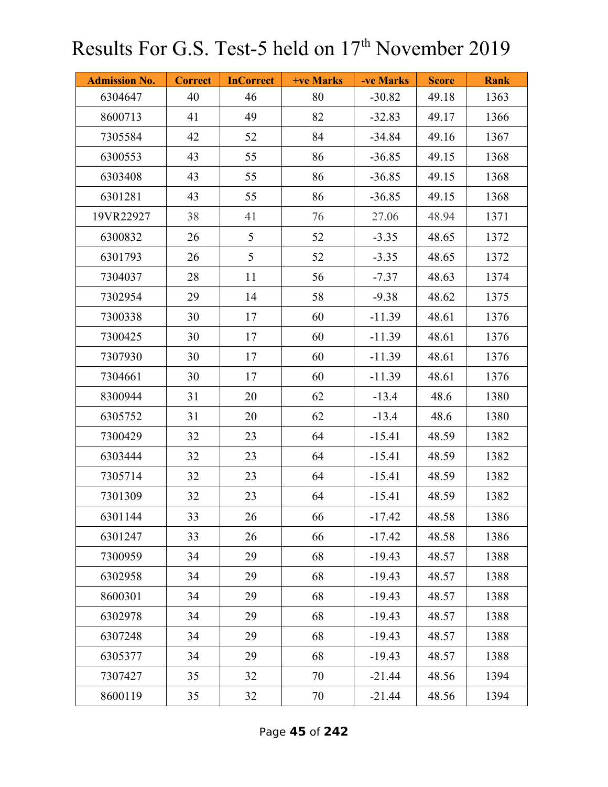| <b>Admission No.</b> | <b>Correct</b> | <b>InCorrect</b> | +ve Marks | -ve Marks | <b>Score</b> | <b>Rank</b> |
|----------------------|----------------|------------------|-----------|-----------|--------------|-------------|
| 6304647              | 40             | 46               | 80        | $-30.82$  | 49.18        | 1363        |
| 8600713              | 41             | 49               | 82        | $-32.83$  | 49.17        | 1366        |
| 7305584              | 42             | 52               | 84        | $-34.84$  | 49.16        | 1367        |
| 6300553              | 43             | 55               | 86        | $-36.85$  | 49.15        | 1368        |
| 6303408              | 43             | 55               | 86        | $-36.85$  | 49.15        | 1368        |
| 6301281              | 43             | 55               | 86        | $-36.85$  | 49.15        | 1368        |
| 19VR22927            | 38             | 41               | 76        | 27.06     | 48.94        | 1371        |
| 6300832              | 26             | 5                | 52        | $-3.35$   | 48.65        | 1372        |
| 6301793              | 26             | 5                | 52        | $-3.35$   | 48.65        | 1372        |
| 7304037              | 28             | 11               | 56        | $-7.37$   | 48.63        | 1374        |
| 7302954              | 29             | 14               | 58        | $-9.38$   | 48.62        | 1375        |
| 7300338              | 30             | 17               | 60        | $-11.39$  | 48.61        | 1376        |
| 7300425              | 30             | 17               | 60        | $-11.39$  | 48.61        | 1376        |
| 7307930              | 30             | 17               | 60        | $-11.39$  | 48.61        | 1376        |
| 7304661              | 30             | 17               | 60        | $-11.39$  | 48.61        | 1376        |
| 8300944              | 31             | 20               | 62        | $-13.4$   | 48.6         | 1380        |
| 6305752              | 31             | 20               | 62        | $-13.4$   | 48.6         | 1380        |
| 7300429              | 32             | 23               | 64        | $-15.41$  | 48.59        | 1382        |
| 6303444              | 32             | 23               | 64        | $-15.41$  | 48.59        | 1382        |
| 7305714              | 32             | 23               | 64        | $-15.41$  | 48.59        | 1382        |
| 7301309              | 32             | 23               | 64        | $-15.41$  | 48.59        | 1382        |
| 6301144              | 33             | 26               | 66        | $-17.42$  | 48.58        | 1386        |
| 6301247              | 33             | 26               | 66        | $-17.42$  | 48.58        | 1386        |
| 7300959              | 34             | 29               | 68        | $-19.43$  | 48.57        | 1388        |
| 6302958              | 34             | 29               | 68        | $-19.43$  | 48.57        | 1388        |
| 8600301              | 34             | 29               | 68        | $-19.43$  | 48.57        | 1388        |
| 6302978              | 34             | 29               | 68        | $-19.43$  | 48.57        | 1388        |
| 6307248              | 34             | 29               | 68        | $-19.43$  | 48.57        | 1388        |
| 6305377              | 34             | 29               | 68        | $-19.43$  | 48.57        | 1388        |
| 7307427              | 35             | 32               | 70        | $-21.44$  | 48.56        | 1394        |
| 8600119              | 35             | 32               | 70        | $-21.44$  | 48.56        | 1394        |

Page **45** of **242**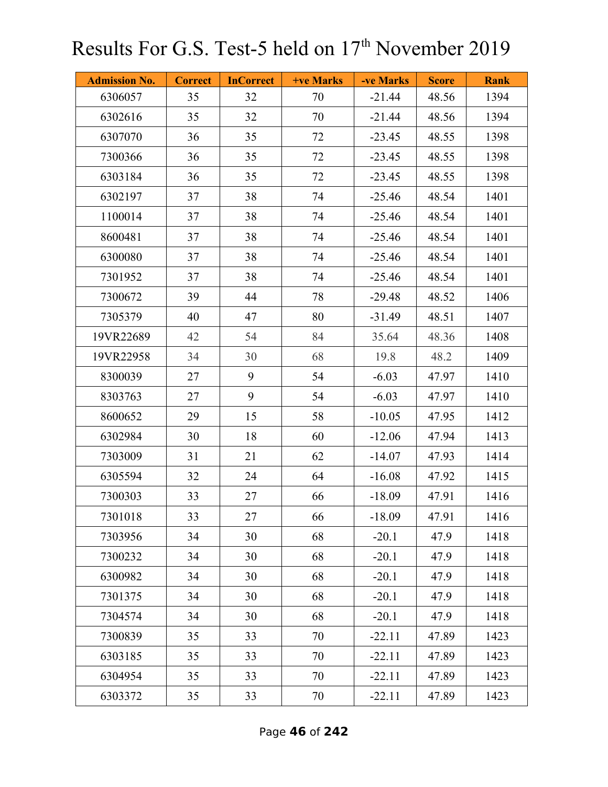| <b>Admission No.</b> | <b>Correct</b> | <b>InCorrect</b> | <b>+ve Marks</b> | -ve Marks | <b>Score</b> | <b>Rank</b> |
|----------------------|----------------|------------------|------------------|-----------|--------------|-------------|
| 6306057              | 35             | 32               | 70               | $-21.44$  | 48.56        | 1394        |
| 6302616              | 35             | 32               | 70               | $-21.44$  | 48.56        | 1394        |
| 6307070              | 36             | 35               | 72               | $-23.45$  | 48.55        | 1398        |
| 7300366              | 36             | 35               | 72               | $-23.45$  | 48.55        | 1398        |
| 6303184              | 36             | 35               | 72               | $-23.45$  | 48.55        | 1398        |
| 6302197              | 37             | 38               | 74               | $-25.46$  | 48.54        | 1401        |
| 1100014              | 37             | 38               | 74               | $-25.46$  | 48.54        | 1401        |
| 8600481              | 37             | 38               | 74               | $-25.46$  | 48.54        | 1401        |
| 6300080              | 37             | 38               | 74               | $-25.46$  | 48.54        | 1401        |
| 7301952              | 37             | 38               | 74               | $-25.46$  | 48.54        | 1401        |
| 7300672              | 39             | 44               | 78               | $-29.48$  | 48.52        | 1406        |
| 7305379              | 40             | 47               | 80               | $-31.49$  | 48.51        | 1407        |
| 19VR22689            | 42             | 54               | 84               | 35.64     | 48.36        | 1408        |
| 19VR22958            | 34             | 30               | 68               | 19.8      | 48.2         | 1409        |
| 8300039              | 27             | 9                | 54               | $-6.03$   | 47.97        | 1410        |
| 8303763              | 27             | 9                | 54               | $-6.03$   | 47.97        | 1410        |
| 8600652              | 29             | 15               | 58               | $-10.05$  | 47.95        | 1412        |
| 6302984              | 30             | 18               | 60               | $-12.06$  | 47.94        | 1413        |
| 7303009              | 31             | 21               | 62               | $-14.07$  | 47.93        | 1414        |
| 6305594              | 32             | 24               | 64               | $-16.08$  | 47.92        | 1415        |
| 7300303              | 33             | 27               | 66               | $-18.09$  | 47.91        | 1416        |
| 7301018              | 33             | 27               | 66               | $-18.09$  | 47.91        | 1416        |
| 7303956              | 34             | 30               | 68               | $-20.1$   | 47.9         | 1418        |
| 7300232              | 34             | 30               | 68               | $-20.1$   | 47.9         | 1418        |
| 6300982              | 34             | 30               | 68               | $-20.1$   | 47.9         | 1418        |
| 7301375              | 34             | 30               | 68               | $-20.1$   | 47.9         | 1418        |
| 7304574              | 34             | 30               | 68               | $-20.1$   | 47.9         | 1418        |
| 7300839              | 35             | 33               | 70               | $-22.11$  | 47.89        | 1423        |
| 6303185              | 35             | 33               | 70               | $-22.11$  | 47.89        | 1423        |
| 6304954              | 35             | 33               | 70               | $-22.11$  | 47.89        | 1423        |
| 6303372              | 35             | 33               | 70               | $-22.11$  | 47.89        | 1423        |

Page **46** of **242**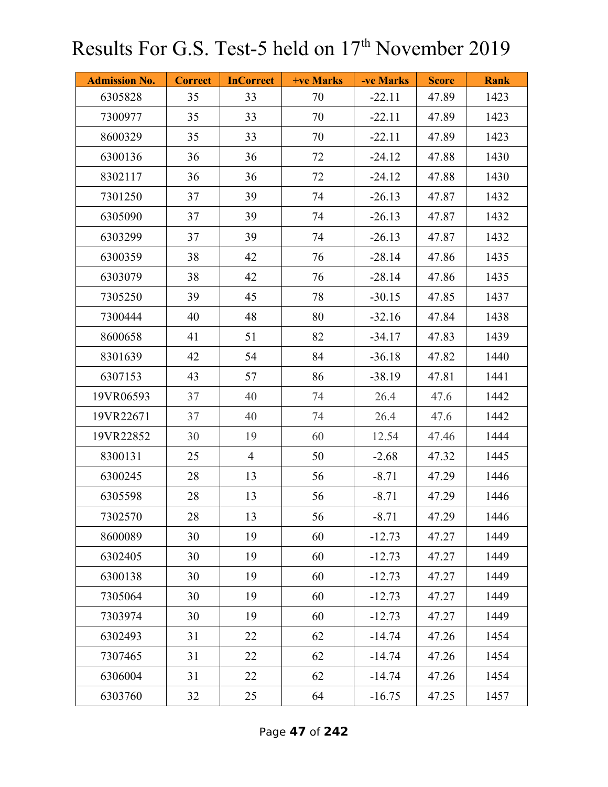| <b>Admission No.</b> | <b>Correct</b> | <b>InCorrect</b> | <b>+ve Marks</b> | -ve Marks | <b>Score</b> | <b>Rank</b> |
|----------------------|----------------|------------------|------------------|-----------|--------------|-------------|
| 6305828              | 35             | 33               | 70               | $-22.11$  | 47.89        | 1423        |
| 7300977              | 35             | 33               | 70               | $-22.11$  | 47.89        | 1423        |
| 8600329              | 35             | 33               | 70               | $-22.11$  | 47.89        | 1423        |
| 6300136              | 36             | 36               | 72               | $-24.12$  | 47.88        | 1430        |
| 8302117              | 36             | 36               | 72               | $-24.12$  | 47.88        | 1430        |
| 7301250              | 37             | 39               | 74               | $-26.13$  | 47.87        | 1432        |
| 6305090              | 37             | 39               | 74               | $-26.13$  | 47.87        | 1432        |
| 6303299              | 37             | 39               | 74               | $-26.13$  | 47.87        | 1432        |
| 6300359              | 38             | 42               | 76               | $-28.14$  | 47.86        | 1435        |
| 6303079              | 38             | 42               | 76               | $-28.14$  | 47.86        | 1435        |
| 7305250              | 39             | 45               | 78               | $-30.15$  | 47.85        | 1437        |
| 7300444              | 40             | 48               | 80               | $-32.16$  | 47.84        | 1438        |
| 8600658              | 41             | 51               | 82               | $-34.17$  | 47.83        | 1439        |
| 8301639              | 42             | 54               | 84               | $-36.18$  | 47.82        | 1440        |
| 6307153              | 43             | 57               | 86               | $-38.19$  | 47.81        | 1441        |
| 19VR06593            | 37             | 40               | 74               | 26.4      | 47.6         | 1442        |
| 19VR22671            | 37             | 40               | 74               | 26.4      | 47.6         | 1442        |
| 19VR22852            | 30             | 19               | 60               | 12.54     | 47.46        | 1444        |
| 8300131              | 25             | $\overline{4}$   | 50               | $-2.68$   | 47.32        | 1445        |
| 6300245              | 28             | 13               | 56               | $-8.71$   | 47.29        | 1446        |
| 6305598              | 28             | 13               | 56               | $-8.71$   | 47.29        | 1446        |
| 7302570              | 28             | 13               | 56               | $-8.71$   | 47.29        | 1446        |
| 8600089              | 30             | 19               | 60               | $-12.73$  | 47.27        | 1449        |
| 6302405              | 30             | 19               | 60               | $-12.73$  | 47.27        | 1449        |
| 6300138              | 30             | 19               | 60               | $-12.73$  | 47.27        | 1449        |
| 7305064              | 30             | 19               | 60               | $-12.73$  | 47.27        | 1449        |
| 7303974              | 30             | 19               | 60               | $-12.73$  | 47.27        | 1449        |
| 6302493              | 31             | 22               | 62               | $-14.74$  | 47.26        | 1454        |
| 7307465              | 31             | 22               | 62               | $-14.74$  | 47.26        | 1454        |
| 6306004              | 31             | 22               | 62               | $-14.74$  | 47.26        | 1454        |
| 6303760              | 32             | 25               | 64               | $-16.75$  | 47.25        | 1457        |

Page **47** of **242**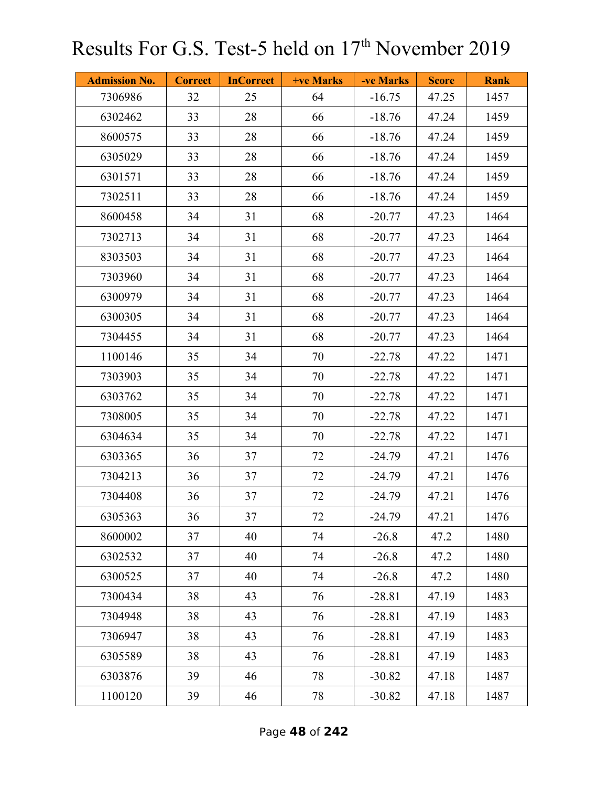| <b>Admission No.</b> | <b>Correct</b> | <b>InCorrect</b> | <b>+ve Marks</b> | -ve Marks | <b>Score</b> | <b>Rank</b> |
|----------------------|----------------|------------------|------------------|-----------|--------------|-------------|
| 7306986              | 32             | 25               | 64               | $-16.75$  | 47.25        | 1457        |
| 6302462              | 33             | 28               | 66               | $-18.76$  | 47.24        | 1459        |
| 8600575              | 33             | 28               | 66               | $-18.76$  | 47.24        | 1459        |
| 6305029              | 33             | 28               | 66               | $-18.76$  | 47.24        | 1459        |
| 6301571              | 33             | 28               | 66               | $-18.76$  | 47.24        | 1459        |
| 7302511              | 33             | 28               | 66               | $-18.76$  | 47.24        | 1459        |
| 8600458              | 34             | 31               | 68               | $-20.77$  | 47.23        | 1464        |
| 7302713              | 34             | 31               | 68               | $-20.77$  | 47.23        | 1464        |
| 8303503              | 34             | 31               | 68               | $-20.77$  | 47.23        | 1464        |
| 7303960              | 34             | 31               | 68               | $-20.77$  | 47.23        | 1464        |
| 6300979              | 34             | 31               | 68               | $-20.77$  | 47.23        | 1464        |
| 6300305              | 34             | 31               | 68               | $-20.77$  | 47.23        | 1464        |
| 7304455              | 34             | 31               | 68               | $-20.77$  | 47.23        | 1464        |
| 1100146              | 35             | 34               | 70               | $-22.78$  | 47.22        | 1471        |
| 7303903              | 35             | 34               | 70               | $-22.78$  | 47.22        | 1471        |
| 6303762              | 35             | 34               | 70               | $-22.78$  | 47.22        | 1471        |
| 7308005              | 35             | 34               | 70               | $-22.78$  | 47.22        | 1471        |
| 6304634              | 35             | 34               | 70               | $-22.78$  | 47.22        | 1471        |
| 6303365              | 36             | 37               | 72               | $-24.79$  | 47.21        | 1476        |
| 7304213              | 36             | 37               | 72               | $-24.79$  | 47.21        | 1476        |
| 7304408              | 36             | 37               | 72               | $-24.79$  | 47.21        | 1476        |
| 6305363              | 36             | 37               | 72               | $-24.79$  | 47.21        | 1476        |
| 8600002              | 37             | 40               | 74               | $-26.8$   | 47.2         | 1480        |
| 6302532              | 37             | 40               | 74               | $-26.8$   | 47.2         | 1480        |
| 6300525              | 37             | 40               | 74               | $-26.8$   | 47.2         | 1480        |
| 7300434              | 38             | 43               | 76               | $-28.81$  | 47.19        | 1483        |
| 7304948              | 38             | 43               | 76               | $-28.81$  | 47.19        | 1483        |
| 7306947              | 38             | 43               | 76               | $-28.81$  | 47.19        | 1483        |
| 6305589              | 38             | 43               | 76               | $-28.81$  | 47.19        | 1483        |
| 6303876              | 39             | 46               | 78               | $-30.82$  | 47.18        | 1487        |
| 1100120              | 39             | 46               | 78               | $-30.82$  | 47.18        | 1487        |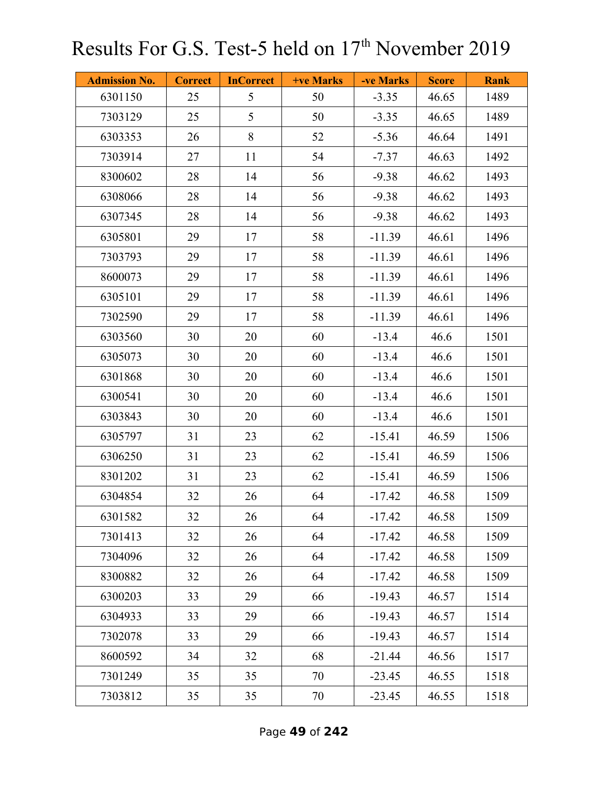| <b>Admission No.</b> | <b>Correct</b> | <b>InCorrect</b> | +ve Marks | -ve Marks | <b>Score</b> | <b>Rank</b> |
|----------------------|----------------|------------------|-----------|-----------|--------------|-------------|
| 6301150              | 25             | 5                | 50        | $-3.35$   | 46.65        | 1489        |
| 7303129              | 25             | 5                | 50        | $-3.35$   | 46.65        | 1489        |
| 6303353              | 26             | 8                | 52        | $-5.36$   | 46.64        | 1491        |
| 7303914              | 27             | 11               | 54        | $-7.37$   | 46.63        | 1492        |
| 8300602              | 28             | 14               | 56        | $-9.38$   | 46.62        | 1493        |
| 6308066              | 28             | 14               | 56        | $-9.38$   | 46.62        | 1493        |
| 6307345              | 28             | 14               | 56        | $-9.38$   | 46.62        | 1493        |
| 6305801              | 29             | 17               | 58        | $-11.39$  | 46.61        | 1496        |
| 7303793              | 29             | 17               | 58        | $-11.39$  | 46.61        | 1496        |
| 8600073              | 29             | 17               | 58        | $-11.39$  | 46.61        | 1496        |
| 6305101              | 29             | 17               | 58        | $-11.39$  | 46.61        | 1496        |
| 7302590              | 29             | 17               | 58        | $-11.39$  | 46.61        | 1496        |
| 6303560              | 30             | 20               | 60        | $-13.4$   | 46.6         | 1501        |
| 6305073              | 30             | 20               | 60        | $-13.4$   | 46.6         | 1501        |
| 6301868              | 30             | 20               | 60        | $-13.4$   | 46.6         | 1501        |
| 6300541              | 30             | 20               | 60        | $-13.4$   | 46.6         | 1501        |
| 6303843              | 30             | 20               | 60        | $-13.4$   | 46.6         | 1501        |
| 6305797              | 31             | 23               | 62        | $-15.41$  | 46.59        | 1506        |
| 6306250              | 31             | 23               | 62        | $-15.41$  | 46.59        | 1506        |
| 8301202              | 31             | 23               | 62        | $-15.41$  | 46.59        | 1506        |
| 6304854              | 32             | 26               | 64        | $-17.42$  | 46.58        | 1509        |
| 6301582              | 32             | 26               | 64        | $-17.42$  | 46.58        | 1509        |
| 7301413              | 32             | 26               | 64        | $-17.42$  | 46.58        | 1509        |
| 7304096              | 32             | 26               | 64        | $-17.42$  | 46.58        | 1509        |
| 8300882              | 32             | 26               | 64        | $-17.42$  | 46.58        | 1509        |
| 6300203              | 33             | 29               | 66        | $-19.43$  | 46.57        | 1514        |
| 6304933              | 33             | 29               | 66        | $-19.43$  | 46.57        | 1514        |
| 7302078              | 33             | 29               | 66        | $-19.43$  | 46.57        | 1514        |
| 8600592              | 34             | 32               | 68        | $-21.44$  | 46.56        | 1517        |
| 7301249              | 35             | 35               | 70        | $-23.45$  | 46.55        | 1518        |
| 7303812              | 35             | 35               | 70        | $-23.45$  | 46.55        | 1518        |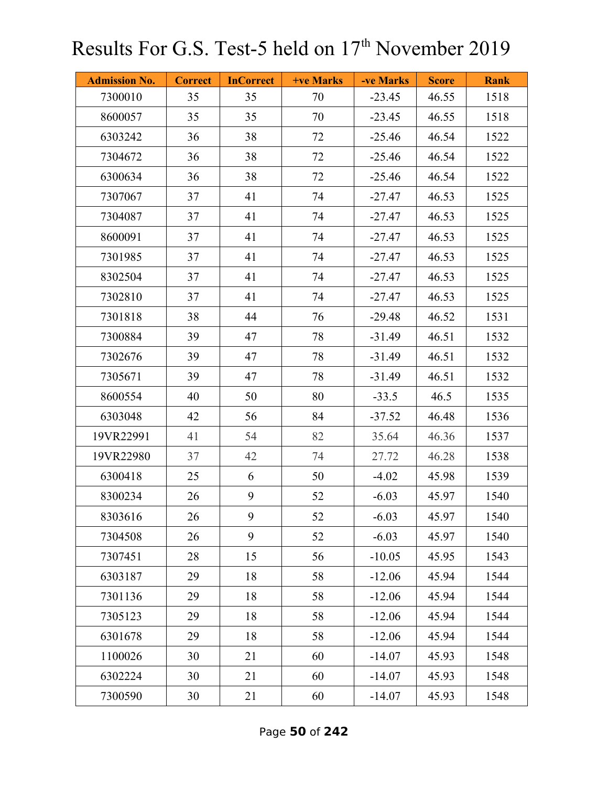| <b>Admission No.</b> | <b>Correct</b> | <b>InCorrect</b> | <b>+ve Marks</b> | -ve Marks | <b>Score</b> | <b>Rank</b> |
|----------------------|----------------|------------------|------------------|-----------|--------------|-------------|
| 7300010              | 35             | 35               | 70               | $-23.45$  | 46.55        | 1518        |
| 8600057              | 35             | 35               | 70               | $-23.45$  | 46.55        | 1518        |
| 6303242              | 36             | 38               | 72               | $-25.46$  | 46.54        | 1522        |
| 7304672              | 36             | 38               | 72               | $-25.46$  | 46.54        | 1522        |
| 6300634              | 36             | 38               | 72               | $-25.46$  | 46.54        | 1522        |
| 7307067              | 37             | 41               | 74               | $-27.47$  | 46.53        | 1525        |
| 7304087              | 37             | 41               | 74               | $-27.47$  | 46.53        | 1525        |
| 8600091              | 37             | 41               | 74               | $-27.47$  | 46.53        | 1525        |
| 7301985              | 37             | 41               | 74               | $-27.47$  | 46.53        | 1525        |
| 8302504              | 37             | 41               | 74               | $-27.47$  | 46.53        | 1525        |
| 7302810              | 37             | 41               | 74               | $-27.47$  | 46.53        | 1525        |
| 7301818              | 38             | 44               | 76               | $-29.48$  | 46.52        | 1531        |
| 7300884              | 39             | 47               | 78               | $-31.49$  | 46.51        | 1532        |
| 7302676              | 39             | 47               | 78               | $-31.49$  | 46.51        | 1532        |
| 7305671              | 39             | 47               | 78               | $-31.49$  | 46.51        | 1532        |
| 8600554              | 40             | 50               | 80               | $-33.5$   | 46.5         | 1535        |
| 6303048              | 42             | 56               | 84               | $-37.52$  | 46.48        | 1536        |
| 19VR22991            | 41             | 54               | 82               | 35.64     | 46.36        | 1537        |
| 19VR22980            | 37             | 42               | 74               | 27.72     | 46.28        | 1538        |
| 6300418              | 25             | 6                | 50               | $-4.02$   | 45.98        | 1539        |
| 8300234              | 26             | 9                | 52               | $-6.03$   | 45.97        | 1540        |
| 8303616              | 26             | 9                | 52               | $-6.03$   | 45.97        | 1540        |
| 7304508              | 26             | 9                | 52               | $-6.03$   | 45.97        | 1540        |
| 7307451              | 28             | 15               | 56               | $-10.05$  | 45.95        | 1543        |
| 6303187              | 29             | 18               | 58               | $-12.06$  | 45.94        | 1544        |
| 7301136              | 29             | 18               | 58               | $-12.06$  | 45.94        | 1544        |
| 7305123              | 29             | 18               | 58               | $-12.06$  | 45.94        | 1544        |
| 6301678              | 29             | 18               | 58               | $-12.06$  | 45.94        | 1544        |
| 1100026              | 30             | 21               | 60               | $-14.07$  | 45.93        | 1548        |
| 6302224              | 30             | 21               | 60               | $-14.07$  | 45.93        | 1548        |
| 7300590              | 30             | 21               | 60               | $-14.07$  | 45.93        | 1548        |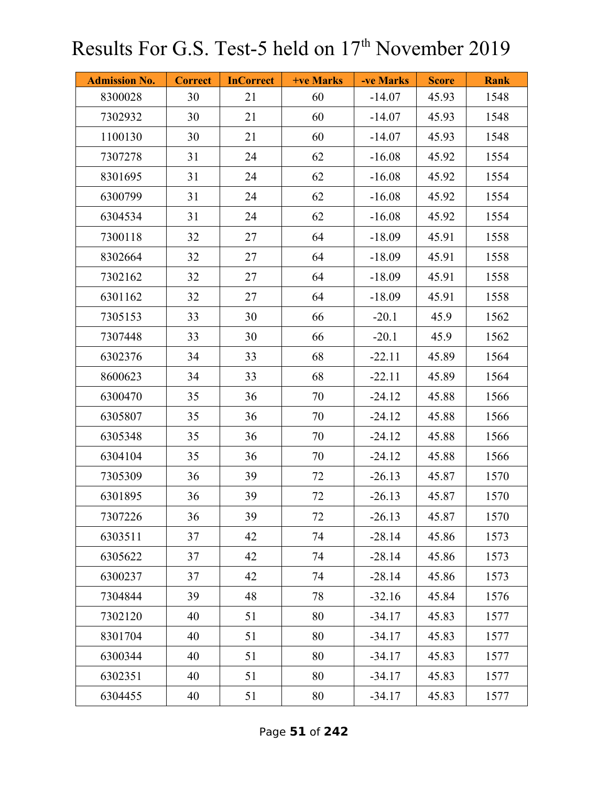| <b>Admission No.</b> | <b>Correct</b> | <b>InCorrect</b> | +ve Marks | -ve Marks | <b>Score</b> | <b>Rank</b> |
|----------------------|----------------|------------------|-----------|-----------|--------------|-------------|
| 8300028              | 30             | 21               | 60        | $-14.07$  | 45.93        | 1548        |
| 7302932              | 30             | 21               | 60        | $-14.07$  | 45.93        | 1548        |
| 1100130              | 30             | 21               | 60        | $-14.07$  | 45.93        | 1548        |
| 7307278              | 31             | 24               | 62        | $-16.08$  | 45.92        | 1554        |
| 8301695              | 31             | 24               | 62        | $-16.08$  | 45.92        | 1554        |
| 6300799              | 31             | 24               | 62        | $-16.08$  | 45.92        | 1554        |
| 6304534              | 31             | 24               | 62        | $-16.08$  | 45.92        | 1554        |
| 7300118              | 32             | 27               | 64        | $-18.09$  | 45.91        | 1558        |
| 8302664              | 32             | 27               | 64        | $-18.09$  | 45.91        | 1558        |
| 7302162              | 32             | 27               | 64        | $-18.09$  | 45.91        | 1558        |
| 6301162              | 32             | 27               | 64        | $-18.09$  | 45.91        | 1558        |
| 7305153              | 33             | 30               | 66        | $-20.1$   | 45.9         | 1562        |
| 7307448              | 33             | 30               | 66        | $-20.1$   | 45.9         | 1562        |
| 6302376              | 34             | 33               | 68        | $-22.11$  | 45.89        | 1564        |
| 8600623              | 34             | 33               | 68        | $-22.11$  | 45.89        | 1564        |
| 6300470              | 35             | 36               | 70        | $-24.12$  | 45.88        | 1566        |
| 6305807              | 35             | 36               | 70        | $-24.12$  | 45.88        | 1566        |
| 6305348              | 35             | 36               | 70        | $-24.12$  | 45.88        | 1566        |
| 6304104              | 35             | 36               | 70        | $-24.12$  | 45.88        | 1566        |
| 7305309              | 36             | 39               | 72        | $-26.13$  | 45.87        | 1570        |
| 6301895              | 36             | 39               | 72        | $-26.13$  | 45.87        | 1570        |
| 7307226              | 36             | 39               | 72        | $-26.13$  | 45.87        | 1570        |
| 6303511              | 37             | 42               | 74        | $-28.14$  | 45.86        | 1573        |
| 6305622              | 37             | 42               | 74        | $-28.14$  | 45.86        | 1573        |
| 6300237              | 37             | 42               | 74        | $-28.14$  | 45.86        | 1573        |
| 7304844              | 39             | 48               | 78        | $-32.16$  | 45.84        | 1576        |
| 7302120              | 40             | 51               | 80        | $-34.17$  | 45.83        | 1577        |
| 8301704              | 40             | 51               | 80        | $-34.17$  | 45.83        | 1577        |
| 6300344              | 40             | 51               | 80        | $-34.17$  | 45.83        | 1577        |
| 6302351              | 40             | 51               | 80        | $-34.17$  | 45.83        | 1577        |
| 6304455              | 40             | 51               | 80        | $-34.17$  | 45.83        | 1577        |

Page **51** of **242**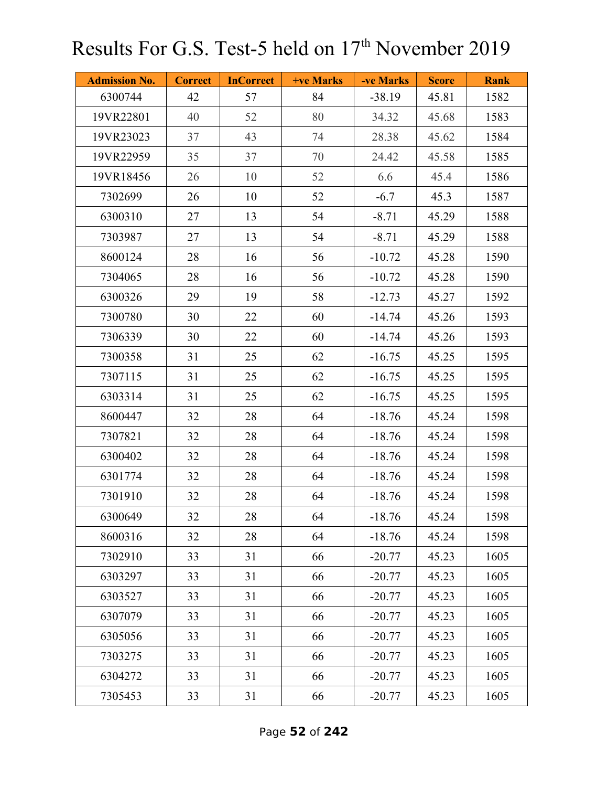| <b>Admission No.</b> | <b>Correct</b> | <b>InCorrect</b> | +ve Marks | -ve Marks | <b>Score</b> | <b>Rank</b> |
|----------------------|----------------|------------------|-----------|-----------|--------------|-------------|
| 6300744              | 42             | 57               | 84        | $-38.19$  | 45.81        | 1582        |
| 19VR22801            | 40             | 52               | 80        | 34.32     | 45.68        | 1583        |
| 19VR23023            | 37             | 43               | 74        | 28.38     | 45.62        | 1584        |
| 19VR22959            | 35             | 37               | 70        | 24.42     | 45.58        | 1585        |
| 19VR18456            | 26             | 10               | 52        | 6.6       | 45.4         | 1586        |
| 7302699              | 26             | 10               | 52        | $-6.7$    | 45.3         | 1587        |
| 6300310              | 27             | 13               | 54        | $-8.71$   | 45.29        | 1588        |
| 7303987              | 27             | 13               | 54        | $-8.71$   | 45.29        | 1588        |
| 8600124              | 28             | 16               | 56        | $-10.72$  | 45.28        | 1590        |
| 7304065              | 28             | 16               | 56        | $-10.72$  | 45.28        | 1590        |
| 6300326              | 29             | 19               | 58        | $-12.73$  | 45.27        | 1592        |
| 7300780              | 30             | 22               | 60        | $-14.74$  | 45.26        | 1593        |
| 7306339              | 30             | 22               | 60        | $-14.74$  | 45.26        | 1593        |
| 7300358              | 31             | 25               | 62        | $-16.75$  | 45.25        | 1595        |
| 7307115              | 31             | 25               | 62        | $-16.75$  | 45.25        | 1595        |
| 6303314              | 31             | 25               | 62        | $-16.75$  | 45.25        | 1595        |
| 8600447              | 32             | 28               | 64        | $-18.76$  | 45.24        | 1598        |
| 7307821              | 32             | 28               | 64        | $-18.76$  | 45.24        | 1598        |
| 6300402              | 32             | 28               | 64        | $-18.76$  | 45.24        | 1598        |
| 6301774              | 32             | 28               | 64        | $-18.76$  | 45.24        | 1598        |
| 7301910              | 32             | 28               | 64        | $-18.76$  | 45.24        | 1598        |
| 6300649              | 32             | $28\,$           | 64        | $-18.76$  | 45.24        | 1598        |
| 8600316              | 32             | 28               | 64        | $-18.76$  | 45.24        | 1598        |
| 7302910              | 33             | 31               | 66        | $-20.77$  | 45.23        | 1605        |
| 6303297              | 33             | 31               | 66        | $-20.77$  | 45.23        | 1605        |
| 6303527              | 33             | 31               | 66        | $-20.77$  | 45.23        | 1605        |
| 6307079              | 33             | 31               | 66        | $-20.77$  | 45.23        | 1605        |
| 6305056              | 33             | 31               | 66        | $-20.77$  | 45.23        | 1605        |
| 7303275              | 33             | 31               | 66        | $-20.77$  | 45.23        | 1605        |
| 6304272              | 33             | 31               | 66        | $-20.77$  | 45.23        | 1605        |
| 7305453              | 33             | 31               | 66        | $-20.77$  | 45.23        | 1605        |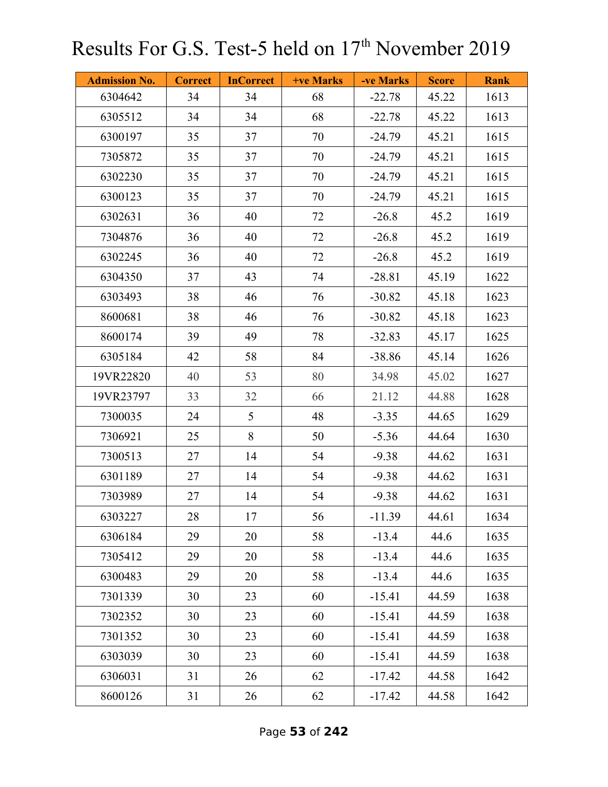| <b>Admission No.</b> | <b>Correct</b> | <b>InCorrect</b> | <b>+ve Marks</b> | -ve Marks | <b>Score</b> | <b>Rank</b> |
|----------------------|----------------|------------------|------------------|-----------|--------------|-------------|
| 6304642              | 34             | 34               | 68               | $-22.78$  | 45.22        | 1613        |
| 6305512              | 34             | 34               | 68               | $-22.78$  | 45.22        | 1613        |
| 6300197              | 35             | 37               | 70               | $-24.79$  | 45.21        | 1615        |
| 7305872              | 35             | 37               | 70               | $-24.79$  | 45.21        | 1615        |
| 6302230              | 35             | 37               | 70               | $-24.79$  | 45.21        | 1615        |
| 6300123              | 35             | 37               | 70               | $-24.79$  | 45.21        | 1615        |
| 6302631              | 36             | 40               | 72               | $-26.8$   | 45.2         | 1619        |
| 7304876              | 36             | 40               | 72               | $-26.8$   | 45.2         | 1619        |
| 6302245              | 36             | 40               | 72               | $-26.8$   | 45.2         | 1619        |
| 6304350              | 37             | 43               | 74               | $-28.81$  | 45.19        | 1622        |
| 6303493              | 38             | 46               | 76               | $-30.82$  | 45.18        | 1623        |
| 8600681              | 38             | 46               | 76               | $-30.82$  | 45.18        | 1623        |
| 8600174              | 39             | 49               | 78               | $-32.83$  | 45.17        | 1625        |
| 6305184              | 42             | 58               | 84               | $-38.86$  | 45.14        | 1626        |
| 19VR22820            | 40             | 53               | 80               | 34.98     | 45.02        | 1627        |
| 19VR23797            | 33             | 32               | 66               | 21.12     | 44.88        | 1628        |
| 7300035              | 24             | 5                | 48               | $-3.35$   | 44.65        | 1629        |
| 7306921              | 25             | 8                | 50               | $-5.36$   | 44.64        | 1630        |
| 7300513              | 27             | 14               | 54               | $-9.38$   | 44.62        | 1631        |
| 6301189              | 27             | 14               | 54               | $-9.38$   | 44.62        | 1631        |
| 7303989              | 27             | 14               | 54               | $-9.38$   | 44.62        | 1631        |
| 6303227              | 28             | 17               | 56               | $-11.39$  | 44.61        | 1634        |
| 6306184              | 29             | 20               | 58               | $-13.4$   | 44.6         | 1635        |
| 7305412              | 29             | 20               | 58               | $-13.4$   | 44.6         | 1635        |
| 6300483              | 29             | 20               | 58               | $-13.4$   | 44.6         | 1635        |
| 7301339              | 30             | 23               | 60               | $-15.41$  | 44.59        | 1638        |
| 7302352              | 30             | 23               | 60               | $-15.41$  | 44.59        | 1638        |
| 7301352              | 30             | 23               | 60               | $-15.41$  | 44.59        | 1638        |
| 6303039              | 30             | 23               | 60               | $-15.41$  | 44.59        | 1638        |
| 6306031              | 31             | 26               | 62               | $-17.42$  | 44.58        | 1642        |
| 8600126              | 31             | 26               | 62               | $-17.42$  | 44.58        | 1642        |

Page **53** of **242**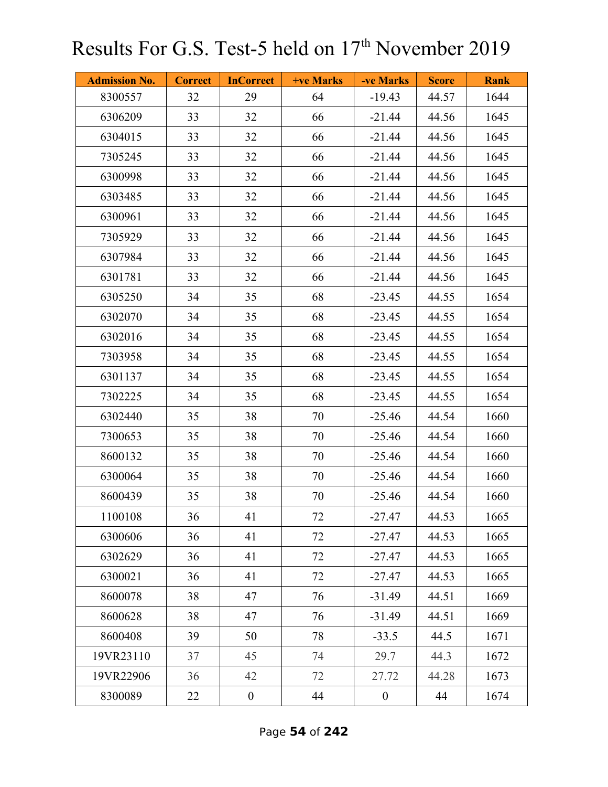| <b>Admission No.</b> | <b>Correct</b> | <b>InCorrect</b> | <b>+ve Marks</b> | -ve Marks        | <b>Score</b> | <b>Rank</b> |
|----------------------|----------------|------------------|------------------|------------------|--------------|-------------|
| 8300557              | 32             | 29               | 64               | $-19.43$         | 44.57        | 1644        |
| 6306209              | 33             | 32               | 66               | $-21.44$         | 44.56        | 1645        |
| 6304015              | 33             | 32               | 66               | $-21.44$         | 44.56        | 1645        |
| 7305245              | 33             | 32               | 66               | $-21.44$         | 44.56        | 1645        |
| 6300998              | 33             | 32               | 66               | $-21.44$         | 44.56        | 1645        |
| 6303485              | 33             | 32               | 66               | $-21.44$         | 44.56        | 1645        |
| 6300961              | 33             | 32               | 66               | $-21.44$         | 44.56        | 1645        |
| 7305929              | 33             | 32               | 66               | $-21.44$         | 44.56        | 1645        |
| 6307984              | 33             | 32               | 66               | $-21.44$         | 44.56        | 1645        |
| 6301781              | 33             | 32               | 66               | $-21.44$         | 44.56        | 1645        |
| 6305250              | 34             | 35               | 68               | $-23.45$         | 44.55        | 1654        |
| 6302070              | 34             | 35               | 68               | $-23.45$         | 44.55        | 1654        |
| 6302016              | 34             | 35               | 68               | $-23.45$         | 44.55        | 1654        |
| 7303958              | 34             | 35               | 68               | $-23.45$         | 44.55        | 1654        |
| 6301137              | 34             | 35               | 68               | $-23.45$         | 44.55        | 1654        |
| 7302225              | 34             | 35               | 68               | $-23.45$         | 44.55        | 1654        |
| 6302440              | 35             | 38               | 70               | $-25.46$         | 44.54        | 1660        |
| 7300653              | 35             | 38               | 70               | $-25.46$         | 44.54        | 1660        |
| 8600132              | 35             | 38               | 70               | $-25.46$         | 44.54        | 1660        |
| 6300064              | 35             | 38               | 70               | $-25.46$         | 44.54        | 1660        |
| 8600439              | 35             | 38               | 70               | $-25.46$         | 44.54        | 1660        |
| 1100108              | 36             | 41               | 72               | $-27.47$         | 44.53        | 1665        |
| 6300606              | 36             | 41               | 72               | $-27.47$         | 44.53        | 1665        |
| 6302629              | 36             | 41               | 72               | $-27.47$         | 44.53        | 1665        |
| 6300021              | 36             | 41               | 72               | $-27.47$         | 44.53        | 1665        |
| 8600078              | 38             | 47               | 76               | $-31.49$         | 44.51        | 1669        |
| 8600628              | 38             | 47               | 76               | $-31.49$         | 44.51        | 1669        |
| 8600408              | 39             | 50               | 78               | $-33.5$          | 44.5         | 1671        |
| 19VR23110            | 37             | 45               | 74               | 29.7             | 44.3         | 1672        |
| 19VR22906            | 36             | 42               | 72               | 27.72            | 44.28        | 1673        |
| 8300089              | 22             | $\boldsymbol{0}$ | 44               | $\boldsymbol{0}$ | 44           | 1674        |

Page **54** of **242**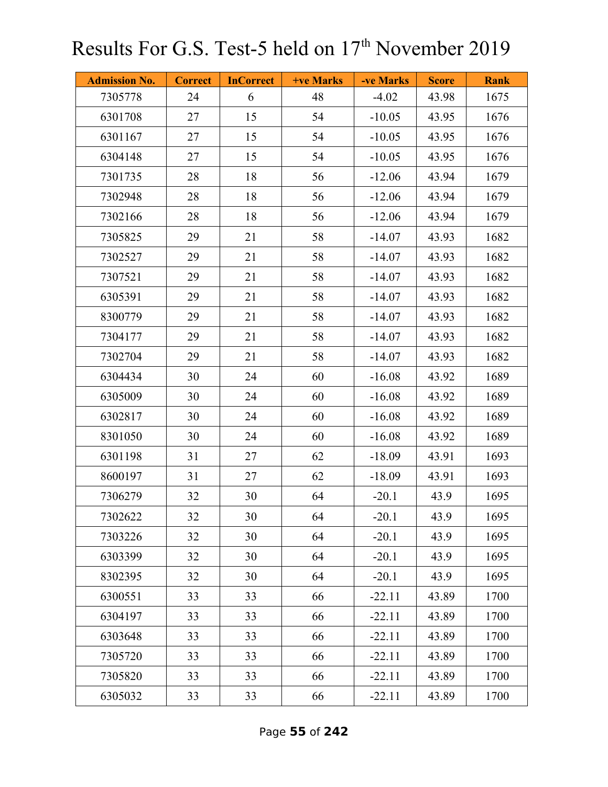| <b>Admission No.</b> | <b>Correct</b> | <b>InCorrect</b> | +ve Marks | -ve Marks | <b>Score</b> | <b>Rank</b> |
|----------------------|----------------|------------------|-----------|-----------|--------------|-------------|
| 7305778              | 24             | 6                | 48        | $-4.02$   | 43.98        | 1675        |
| 6301708              | 27             | 15               | 54        | $-10.05$  | 43.95        | 1676        |
| 6301167              | 27             | 15               | 54        | $-10.05$  | 43.95        | 1676        |
| 6304148              | 27             | 15               | 54        | $-10.05$  | 43.95        | 1676        |
| 7301735              | 28             | 18               | 56        | $-12.06$  | 43.94        | 1679        |
| 7302948              | 28             | 18               | 56        | $-12.06$  | 43.94        | 1679        |
| 7302166              | 28             | 18               | 56        | $-12.06$  | 43.94        | 1679        |
| 7305825              | 29             | 21               | 58        | $-14.07$  | 43.93        | 1682        |
| 7302527              | 29             | 21               | 58        | $-14.07$  | 43.93        | 1682        |
| 7307521              | 29             | 21               | 58        | $-14.07$  | 43.93        | 1682        |
| 6305391              | 29             | 21               | 58        | $-14.07$  | 43.93        | 1682        |
| 8300779              | 29             | 21               | 58        | $-14.07$  | 43.93        | 1682        |
| 7304177              | 29             | 21               | 58        | $-14.07$  | 43.93        | 1682        |
| 7302704              | 29             | 21               | 58        | $-14.07$  | 43.93        | 1682        |
| 6304434              | 30             | 24               | 60        | $-16.08$  | 43.92        | 1689        |
| 6305009              | 30             | 24               | 60        | $-16.08$  | 43.92        | 1689        |
| 6302817              | 30             | 24               | 60        | $-16.08$  | 43.92        | 1689        |
| 8301050              | 30             | 24               | 60        | $-16.08$  | 43.92        | 1689        |
| 6301198              | 31             | 27               | 62        | $-18.09$  | 43.91        | 1693        |
| 8600197              | 31             | 27               | 62        | $-18.09$  | 43.91        | 1693        |
| 7306279              | 32             | 30               | 64        | $-20.1$   | 43.9         | 1695        |
| 7302622              | 32             | 30               | 64        | $-20.1$   | 43.9         | 1695        |
| 7303226              | 32             | 30               | 64        | $-20.1$   | 43.9         | 1695        |
| 6303399              | 32             | 30               | 64        | $-20.1$   | 43.9         | 1695        |
| 8302395              | 32             | 30               | 64        | $-20.1$   | 43.9         | 1695        |
| 6300551              | 33             | 33               | 66        | $-22.11$  | 43.89        | 1700        |
| 6304197              | 33             | 33               | 66        | $-22.11$  | 43.89        | 1700        |
| 6303648              | 33             | 33               | 66        | $-22.11$  | 43.89        | 1700        |
| 7305720              | 33             | 33               | 66        | $-22.11$  | 43.89        | 1700        |
| 7305820              | 33             | 33               | 66        | $-22.11$  | 43.89        | 1700        |
| 6305032              | 33             | 33               | 66        | $-22.11$  | 43.89        | 1700        |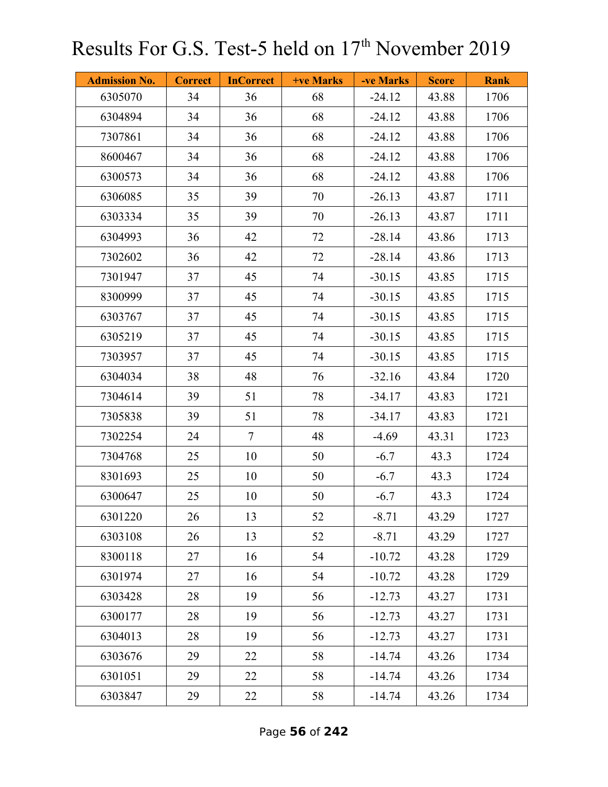| <b>Admission No.</b> | <b>Correct</b> | <b>InCorrect</b> | +ve Marks | -ve Marks | <b>Score</b> | <b>Rank</b> |
|----------------------|----------------|------------------|-----------|-----------|--------------|-------------|
| 6305070              | 34             | 36               | 68        | $-24.12$  | 43.88        | 1706        |
| 6304894              | 34             | 36               | 68        | $-24.12$  | 43.88        | 1706        |
| 7307861              | 34             | 36               | 68        | $-24.12$  | 43.88        | 1706        |
| 8600467              | 34             | 36               | 68        | $-24.12$  | 43.88        | 1706        |
| 6300573              | 34             | 36               | 68        | $-24.12$  | 43.88        | 1706        |
| 6306085              | 35             | 39               | 70        | $-26.13$  | 43.87        | 1711        |
| 6303334              | 35             | 39               | 70        | $-26.13$  | 43.87        | 1711        |
| 6304993              | 36             | 42               | 72        | $-28.14$  | 43.86        | 1713        |
| 7302602              | 36             | 42               | 72        | $-28.14$  | 43.86        | 1713        |
| 7301947              | 37             | 45               | 74        | $-30.15$  | 43.85        | 1715        |
| 8300999              | 37             | 45               | 74        | $-30.15$  | 43.85        | 1715        |
| 6303767              | 37             | 45               | 74        | $-30.15$  | 43.85        | 1715        |
| 6305219              | 37             | 45               | 74        | $-30.15$  | 43.85        | 1715        |
| 7303957              | 37             | 45               | 74        | $-30.15$  | 43.85        | 1715        |
| 6304034              | 38             | 48               | 76        | $-32.16$  | 43.84        | 1720        |
| 7304614              | 39             | 51               | 78        | $-34.17$  | 43.83        | 1721        |
| 7305838              | 39             | 51               | 78        | $-34.17$  | 43.83        | 1721        |
| 7302254              | 24             | $\tau$           | 48        | $-4.69$   | 43.31        | 1723        |
| 7304768              | 25             | 10               | 50        | $-6.7$    | 43.3         | 1724        |
| 8301693              | 25             | 10               | 50        | $-6.7$    | 43.3         | 1724        |
| 6300647              | 25             | 10               | 50        | $-6.7$    | 43.3         | 1724        |
| 6301220              | 26             | 13               | 52        | $-8.71$   | 43.29        | 1727        |
| 6303108              | 26             | 13               | 52        | $-8.71$   | 43.29        | 1727        |
| 8300118              | 27             | 16               | 54        | $-10.72$  | 43.28        | 1729        |
| 6301974              | 27             | 16               | 54        | $-10.72$  | 43.28        | 1729        |
| 6303428              | 28             | 19               | 56        | $-12.73$  | 43.27        | 1731        |
| 6300177              | 28             | 19               | 56        | $-12.73$  | 43.27        | 1731        |
| 6304013              | 28             | 19               | 56        | $-12.73$  | 43.27        | 1731        |
| 6303676              | 29             | 22               | 58        | $-14.74$  | 43.26        | 1734        |
| 6301051              | 29             | 22               | 58        | $-14.74$  | 43.26        | 1734        |
| 6303847              | 29             | 22               | 58        | $-14.74$  | 43.26        | 1734        |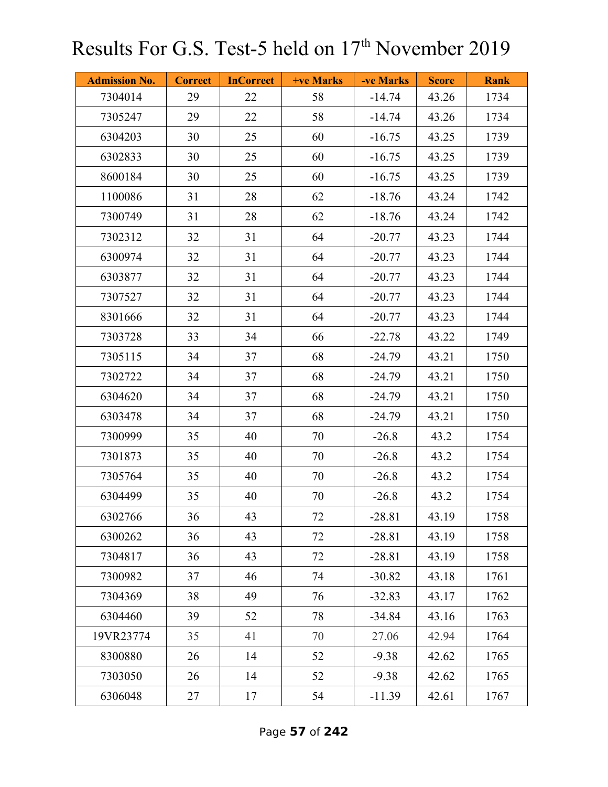| <b>Admission No.</b> | <b>Correct</b> | <b>InCorrect</b> | <b>+ve Marks</b> | -ve Marks | <b>Score</b> | <b>Rank</b> |
|----------------------|----------------|------------------|------------------|-----------|--------------|-------------|
| 7304014              | 29             | 22               | 58               | $-14.74$  | 43.26        | 1734        |
| 7305247              | 29             | 22               | 58               | $-14.74$  | 43.26        | 1734        |
| 6304203              | 30             | 25               | 60               | $-16.75$  | 43.25        | 1739        |
| 6302833              | 30             | 25               | 60               | $-16.75$  | 43.25        | 1739        |
| 8600184              | 30             | 25               | 60               | $-16.75$  | 43.25        | 1739        |
| 1100086              | 31             | 28               | 62               | $-18.76$  | 43.24        | 1742        |
| 7300749              | 31             | 28               | 62               | $-18.76$  | 43.24        | 1742        |
| 7302312              | 32             | 31               | 64               | $-20.77$  | 43.23        | 1744        |
| 6300974              | 32             | 31               | 64               | $-20.77$  | 43.23        | 1744        |
| 6303877              | 32             | 31               | 64               | $-20.77$  | 43.23        | 1744        |
| 7307527              | 32             | 31               | 64               | $-20.77$  | 43.23        | 1744        |
| 8301666              | 32             | 31               | 64               | $-20.77$  | 43.23        | 1744        |
| 7303728              | 33             | 34               | 66               | $-22.78$  | 43.22        | 1749        |
| 7305115              | 34             | 37               | 68               | $-24.79$  | 43.21        | 1750        |
| 7302722              | 34             | 37               | 68               | $-24.79$  | 43.21        | 1750        |
| 6304620              | 34             | 37               | 68               | $-24.79$  | 43.21        | 1750        |
| 6303478              | 34             | 37               | 68               | $-24.79$  | 43.21        | 1750        |
| 7300999              | 35             | 40               | 70               | $-26.8$   | 43.2         | 1754        |
| 7301873              | 35             | 40               | 70               | $-26.8$   | 43.2         | 1754        |
| 7305764              | 35             | 40               | 70               | $-26.8$   | 43.2         | 1754        |
| 6304499              | 35             | 40               | 70               | $-26.8$   | 43.2         | 1754        |
| 6302766              | 36             | 43               | 72               | $-28.81$  | 43.19        | 1758        |
| 6300262              | 36             | 43               | 72               | $-28.81$  | 43.19        | 1758        |
| 7304817              | 36             | 43               | 72               | $-28.81$  | 43.19        | 1758        |
| 7300982              | 37             | 46               | 74               | $-30.82$  | 43.18        | 1761        |
| 7304369              | 38             | 49               | 76               | $-32.83$  | 43.17        | 1762        |
| 6304460              | 39             | 52               | 78               | $-34.84$  | 43.16        | 1763        |
| 19VR23774            | 35             | 41               | 70               | 27.06     | 42.94        | 1764        |
| 8300880              | 26             | 14               | 52               | $-9.38$   | 42.62        | 1765        |
| 7303050              | 26             | 14               | 52               | $-9.38$   | 42.62        | 1765        |
| 6306048              | 27             | 17               | 54               | $-11.39$  | 42.61        | 1767        |

Page **57** of **242**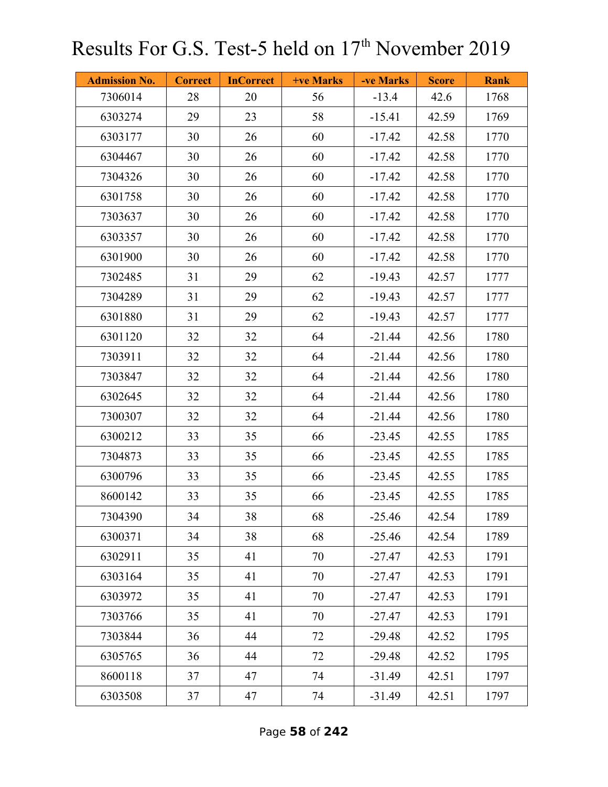| <b>Admission No.</b> | <b>Correct</b> | <b>InCorrect</b> | +ve Marks | -ve Marks | <b>Score</b> | <b>Rank</b> |
|----------------------|----------------|------------------|-----------|-----------|--------------|-------------|
| 7306014              | 28             | 20               | 56        | $-13.4$   | 42.6         | 1768        |
| 6303274              | 29             | 23               | 58        | $-15.41$  | 42.59        | 1769        |
| 6303177              | 30             | 26               | 60        | $-17.42$  | 42.58        | 1770        |
| 6304467              | 30             | 26               | 60        | $-17.42$  | 42.58        | 1770        |
| 7304326              | 30             | 26               | 60        | $-17.42$  | 42.58        | 1770        |
| 6301758              | 30             | 26               | 60        | $-17.42$  | 42.58        | 1770        |
| 7303637              | 30             | 26               | 60        | $-17.42$  | 42.58        | 1770        |
| 6303357              | 30             | 26               | 60        | $-17.42$  | 42.58        | 1770        |
| 6301900              | 30             | 26               | 60        | $-17.42$  | 42.58        | 1770        |
| 7302485              | 31             | 29               | 62        | $-19.43$  | 42.57        | 1777        |
| 7304289              | 31             | 29               | 62        | $-19.43$  | 42.57        | 1777        |
| 6301880              | 31             | 29               | 62        | $-19.43$  | 42.57        | 1777        |
| 6301120              | 32             | 32               | 64        | $-21.44$  | 42.56        | 1780        |
| 7303911              | 32             | 32               | 64        | $-21.44$  | 42.56        | 1780        |
| 7303847              | 32             | 32               | 64        | $-21.44$  | 42.56        | 1780        |
| 6302645              | 32             | 32               | 64        | $-21.44$  | 42.56        | 1780        |
| 7300307              | 32             | 32               | 64        | $-21.44$  | 42.56        | 1780        |
| 6300212              | 33             | 35               | 66        | $-23.45$  | 42.55        | 1785        |
| 7304873              | 33             | 35               | 66        | $-23.45$  | 42.55        | 1785        |
| 6300796              | 33             | 35               | 66        | $-23.45$  | 42.55        | 1785        |
| 8600142              | 33             | 35               | 66        | $-23.45$  | 42.55        | 1785        |
| 7304390              | 34             | 38               | 68        | $-25.46$  | 42.54        | 1789        |
| 6300371              | 34             | 38               | 68        | $-25.46$  | 42.54        | 1789        |
| 6302911              | 35             | 41               | 70        | $-27.47$  | 42.53        | 1791        |
| 6303164              | 35             | 41               | 70        | $-27.47$  | 42.53        | 1791        |
| 6303972              | 35             | 41               | 70        | $-27.47$  | 42.53        | 1791        |
| 7303766              | 35             | 41               | 70        | $-27.47$  | 42.53        | 1791        |
| 7303844              | 36             | 44               | 72        | $-29.48$  | 42.52        | 1795        |
| 6305765              | 36             | 44               | 72        | $-29.48$  | 42.52        | 1795        |
| 8600118              | 37             | 47               | 74        | $-31.49$  | 42.51        | 1797        |
| 6303508              | 37             | 47               | 74        | $-31.49$  | 42.51        | 1797        |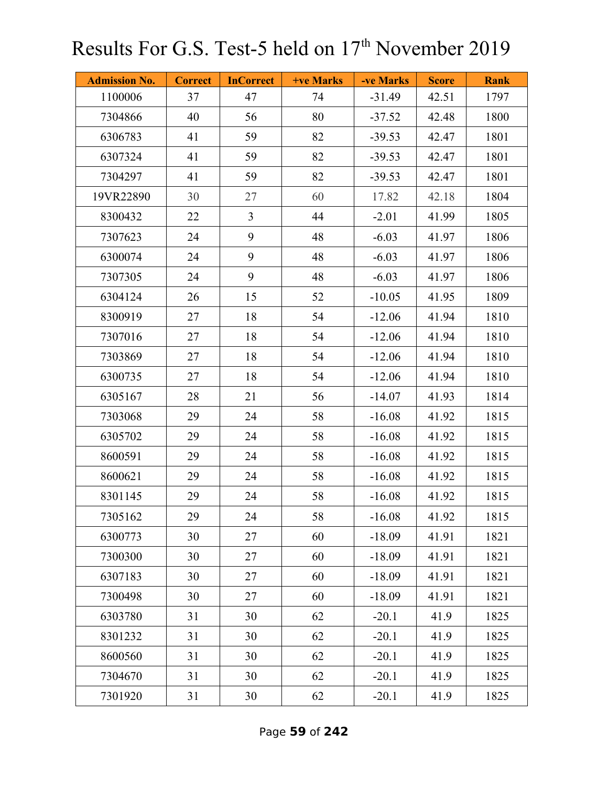| <b>Admission No.</b> | <b>Correct</b> | <b>InCorrect</b> | <b>+ve Marks</b> | -ve Marks | <b>Score</b> | <b>Rank</b> |
|----------------------|----------------|------------------|------------------|-----------|--------------|-------------|
| 1100006              | 37             | 47               | 74               | $-31.49$  | 42.51        | 1797        |
| 7304866              | 40             | 56               | 80               | $-37.52$  | 42.48        | 1800        |
| 6306783              | 41             | 59               | 82               | $-39.53$  | 42.47        | 1801        |
| 6307324              | 41             | 59               | 82               | $-39.53$  | 42.47        | 1801        |
| 7304297              | 41             | 59               | 82               | $-39.53$  | 42.47        | 1801        |
| 19VR22890            | 30             | 27               | 60               | 17.82     | 42.18        | 1804        |
| 8300432              | 22             | $\overline{3}$   | 44               | $-2.01$   | 41.99        | 1805        |
| 7307623              | 24             | 9                | 48               | $-6.03$   | 41.97        | 1806        |
| 6300074              | 24             | 9                | 48               | $-6.03$   | 41.97        | 1806        |
| 7307305              | 24             | 9                | 48               | $-6.03$   | 41.97        | 1806        |
| 6304124              | 26             | 15               | 52               | $-10.05$  | 41.95        | 1809        |
| 8300919              | 27             | 18               | 54               | $-12.06$  | 41.94        | 1810        |
| 7307016              | 27             | 18               | 54               | $-12.06$  | 41.94        | 1810        |
| 7303869              | 27             | 18               | 54               | $-12.06$  | 41.94        | 1810        |
| 6300735              | 27             | 18               | 54               | $-12.06$  | 41.94        | 1810        |
| 6305167              | 28             | 21               | 56               | $-14.07$  | 41.93        | 1814        |
| 7303068              | 29             | 24               | 58               | $-16.08$  | 41.92        | 1815        |
| 6305702              | 29             | 24               | 58               | $-16.08$  | 41.92        | 1815        |
| 8600591              | 29             | 24               | 58               | $-16.08$  | 41.92        | 1815        |
| 8600621              | 29             | 24               | 58               | $-16.08$  | 41.92        | 1815        |
| 8301145              | 29             | 24               | 58               | $-16.08$  | 41.92        | 1815        |
| 7305162              | 29             | 24               | 58               | $-16.08$  | 41.92        | 1815        |
| 6300773              | 30             | 27               | 60               | $-18.09$  | 41.91        | 1821        |
| 7300300              | 30             | 27               | 60               | $-18.09$  | 41.91        | 1821        |
| 6307183              | 30             | 27               | 60               | $-18.09$  | 41.91        | 1821        |
| 7300498              | 30             | 27               | 60               | $-18.09$  | 41.91        | 1821        |
| 6303780              | 31             | 30               | 62               | $-20.1$   | 41.9         | 1825        |
| 8301232              | 31             | 30               | 62               | $-20.1$   | 41.9         | 1825        |
| 8600560              | 31             | 30               | 62               | $-20.1$   | 41.9         | 1825        |
| 7304670              | 31             | 30               | 62               | $-20.1$   | 41.9         | 1825        |
| 7301920              | 31             | 30               | 62               | $-20.1$   | 41.9         | 1825        |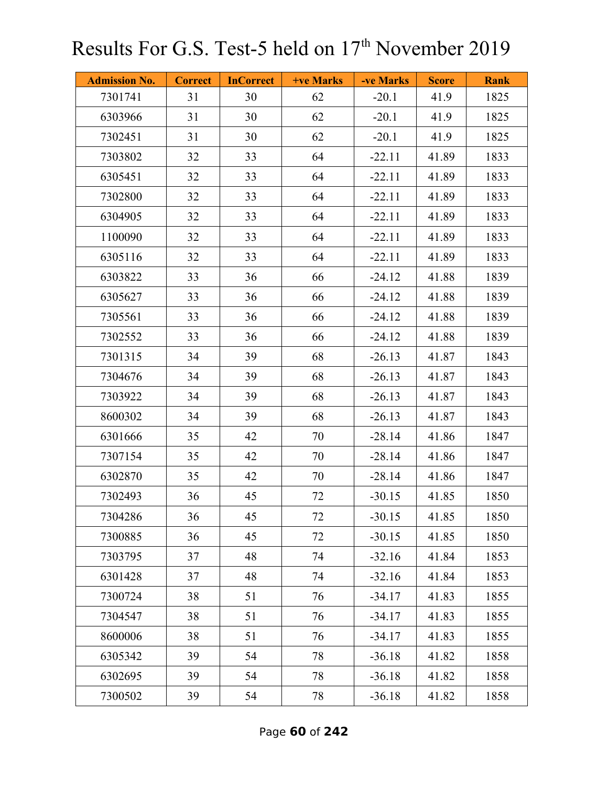| <b>Admission No.</b> | <b>Correct</b> | <b>InCorrect</b> | <b>+ve Marks</b> | -ve Marks | <b>Score</b> | <b>Rank</b> |
|----------------------|----------------|------------------|------------------|-----------|--------------|-------------|
| 7301741              | 31             | 30               | 62               | $-20.1$   | 41.9         | 1825        |
| 6303966              | 31             | 30               | 62               | $-20.1$   | 41.9         | 1825        |
| 7302451              | 31             | 30               | 62               | $-20.1$   | 41.9         | 1825        |
| 7303802              | 32             | 33               | 64               | $-22.11$  | 41.89        | 1833        |
| 6305451              | 32             | 33               | 64               | $-22.11$  | 41.89        | 1833        |
| 7302800              | 32             | 33               | 64               | $-22.11$  | 41.89        | 1833        |
| 6304905              | 32             | 33               | 64               | $-22.11$  | 41.89        | 1833        |
| 1100090              | 32             | 33               | 64               | $-22.11$  | 41.89        | 1833        |
| 6305116              | 32             | 33               | 64               | $-22.11$  | 41.89        | 1833        |
| 6303822              | 33             | 36               | 66               | $-24.12$  | 41.88        | 1839        |
| 6305627              | 33             | 36               | 66               | $-24.12$  | 41.88        | 1839        |
| 7305561              | 33             | 36               | 66               | $-24.12$  | 41.88        | 1839        |
| 7302552              | 33             | 36               | 66               | $-24.12$  | 41.88        | 1839        |
| 7301315              | 34             | 39               | 68               | $-26.13$  | 41.87        | 1843        |
| 7304676              | 34             | 39               | 68               | $-26.13$  | 41.87        | 1843        |
| 7303922              | 34             | 39               | 68               | $-26.13$  | 41.87        | 1843        |
| 8600302              | 34             | 39               | 68               | $-26.13$  | 41.87        | 1843        |
| 6301666              | 35             | 42               | 70               | $-28.14$  | 41.86        | 1847        |
| 7307154              | 35             | 42               | 70               | $-28.14$  | 41.86        | 1847        |
| 6302870              | 35             | 42               | 70               | $-28.14$  | 41.86        | 1847        |
| 7302493              | 36             | 45               | 72               | $-30.15$  | 41.85        | 1850        |
| 7304286              | 36             | 45               | 72               | $-30.15$  | 41.85        | 1850        |
| 7300885              | 36             | 45               | 72               | $-30.15$  | 41.85        | 1850        |
| 7303795              | 37             | 48               | 74               | $-32.16$  | 41.84        | 1853        |
| 6301428              | 37             | 48               | 74               | $-32.16$  | 41.84        | 1853        |
| 7300724              | 38             | 51               | 76               | $-34.17$  | 41.83        | 1855        |
| 7304547              | 38             | 51               | 76               | $-34.17$  | 41.83        | 1855        |
| 8600006              | 38             | 51               | 76               | $-34.17$  | 41.83        | 1855        |
| 6305342              | 39             | 54               | 78               | $-36.18$  | 41.82        | 1858        |
| 6302695              | 39             | 54               | 78               | $-36.18$  | 41.82        | 1858        |
| 7300502              | 39             | 54               | 78               | $-36.18$  | 41.82        | 1858        |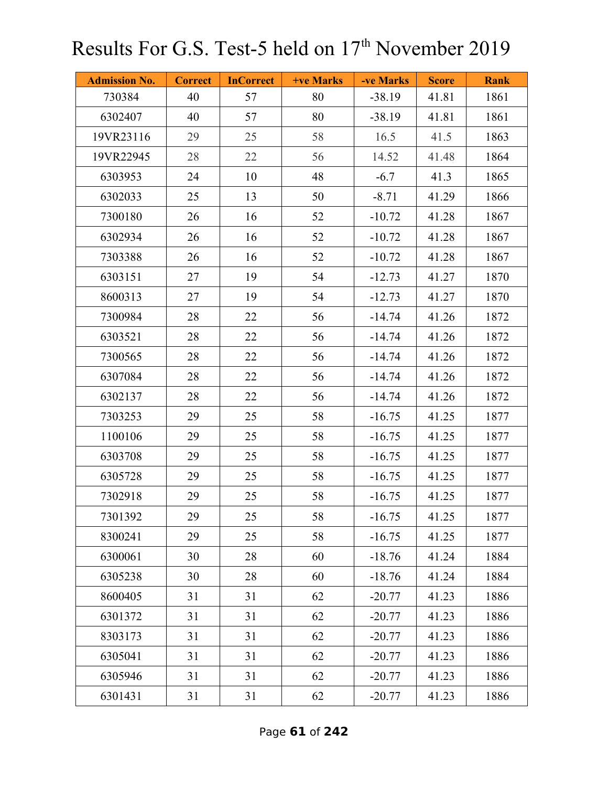| <b>Admission No.</b> | <b>Correct</b> | <b>InCorrect</b> | <b>+ve Marks</b> | -ve Marks | <b>Score</b> | <b>Rank</b> |
|----------------------|----------------|------------------|------------------|-----------|--------------|-------------|
| 730384               | 40             | 57               | 80               | $-38.19$  | 41.81        | 1861        |
| 6302407              | 40             | 57               | 80               | $-38.19$  | 41.81        | 1861        |
| 19VR23116            | 29             | 25               | 58               | 16.5      | 41.5         | 1863        |
| 19VR22945            | 28             | 22               | 56               | 14.52     | 41.48        | 1864        |
| 6303953              | 24             | 10               | 48               | $-6.7$    | 41.3         | 1865        |
| 6302033              | 25             | 13               | 50               | $-8.71$   | 41.29        | 1866        |
| 7300180              | 26             | 16               | 52               | $-10.72$  | 41.28        | 1867        |
| 6302934              | 26             | 16               | 52               | $-10.72$  | 41.28        | 1867        |
| 7303388              | 26             | 16               | 52               | $-10.72$  | 41.28        | 1867        |
| 6303151              | 27             | 19               | 54               | $-12.73$  | 41.27        | 1870        |
| 8600313              | 27             | 19               | 54               | $-12.73$  | 41.27        | 1870        |
| 7300984              | 28             | 22               | 56               | $-14.74$  | 41.26        | 1872        |
| 6303521              | 28             | 22               | 56               | $-14.74$  | 41.26        | 1872        |
| 7300565              | 28             | 22               | 56               | $-14.74$  | 41.26        | 1872        |
| 6307084              | 28             | 22               | 56               | $-14.74$  | 41.26        | 1872        |
| 6302137              | 28             | 22               | 56               | $-14.74$  | 41.26        | 1872        |
| 7303253              | 29             | 25               | 58               | $-16.75$  | 41.25        | 1877        |
| 1100106              | 29             | 25               | 58               | $-16.75$  | 41.25        | 1877        |
| 6303708              | 29             | 25               | 58               | $-16.75$  | 41.25        | 1877        |
| 6305728              | 29             | 25               | 58               | $-16.75$  | 41.25        | 1877        |
| 7302918              | 29             | 25               | 58               | $-16.75$  | 41.25        | 1877        |
| 7301392              | 29             | 25               | 58               | $-16.75$  | 41.25        | 1877        |
| 8300241              | 29             | 25               | 58               | $-16.75$  | 41.25        | 1877        |
| 6300061              | 30             | 28               | 60               | $-18.76$  | 41.24        | 1884        |
| 6305238              | 30             | 28               | 60               | $-18.76$  | 41.24        | 1884        |
| 8600405              | 31             | 31               | 62               | $-20.77$  | 41.23        | 1886        |
| 6301372              | 31             | 31               | 62               | $-20.77$  | 41.23        | 1886        |
| 8303173              | 31             | 31               | 62               | $-20.77$  | 41.23        | 1886        |
| 6305041              | 31             | 31               | 62               | $-20.77$  | 41.23        | 1886        |
| 6305946              | 31             | 31               | 62               | $-20.77$  | 41.23        | 1886        |
| 6301431              | 31             | 31               | 62               | $-20.77$  | 41.23        | 1886        |

Page **61** of **242**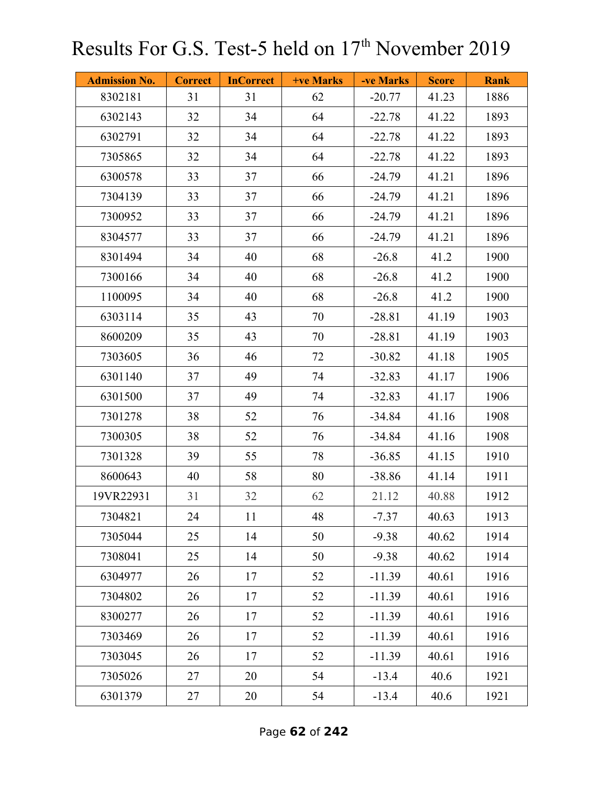| <b>Admission No.</b> | <b>Correct</b> | <b>InCorrect</b> | <b>+ve Marks</b> | -ve Marks | <b>Score</b> | <b>Rank</b> |
|----------------------|----------------|------------------|------------------|-----------|--------------|-------------|
| 8302181              | 31             | 31               | 62               | $-20.77$  | 41.23        | 1886        |
| 6302143              | 32             | 34               | 64               | $-22.78$  | 41.22        | 1893        |
| 6302791              | 32             | 34               | 64               | $-22.78$  | 41.22        | 1893        |
| 7305865              | 32             | 34               | 64               | $-22.78$  | 41.22        | 1893        |
| 6300578              | 33             | 37               | 66               | $-24.79$  | 41.21        | 1896        |
| 7304139              | 33             | 37               | 66               | $-24.79$  | 41.21        | 1896        |
| 7300952              | 33             | 37               | 66               | $-24.79$  | 41.21        | 1896        |
| 8304577              | 33             | 37               | 66               | $-24.79$  | 41.21        | 1896        |
| 8301494              | 34             | 40               | 68               | $-26.8$   | 41.2         | 1900        |
| 7300166              | 34             | 40               | 68               | $-26.8$   | 41.2         | 1900        |
| 1100095              | 34             | 40               | 68               | $-26.8$   | 41.2         | 1900        |
| 6303114              | 35             | 43               | 70               | $-28.81$  | 41.19        | 1903        |
| 8600209              | 35             | 43               | 70               | $-28.81$  | 41.19        | 1903        |
| 7303605              | 36             | 46               | 72               | $-30.82$  | 41.18        | 1905        |
| 6301140              | 37             | 49               | 74               | $-32.83$  | 41.17        | 1906        |
| 6301500              | 37             | 49               | 74               | $-32.83$  | 41.17        | 1906        |
| 7301278              | 38             | 52               | 76               | $-34.84$  | 41.16        | 1908        |
| 7300305              | 38             | 52               | 76               | $-34.84$  | 41.16        | 1908        |
| 7301328              | 39             | 55               | 78               | $-36.85$  | 41.15        | 1910        |
| 8600643              | 40             | 58               | 80               | $-38.86$  | 41.14        | 1911        |
| 19VR22931            | 31             | 32               | 62               | 21.12     | 40.88        | 1912        |
| 7304821              | 24             | 11               | 48               | $-7.37$   | 40.63        | 1913        |
| 7305044              | 25             | 14               | 50               | $-9.38$   | 40.62        | 1914        |
| 7308041              | 25             | 14               | 50               | $-9.38$   | 40.62        | 1914        |
| 6304977              | 26             | 17               | 52               | $-11.39$  | 40.61        | 1916        |
| 7304802              | 26             | 17               | 52               | $-11.39$  | 40.61        | 1916        |
| 8300277              | 26             | 17               | 52               | $-11.39$  | 40.61        | 1916        |
| 7303469              | 26             | 17               | 52               | $-11.39$  | 40.61        | 1916        |
| 7303045              | 26             | 17               | 52               | $-11.39$  | 40.61        | 1916        |
| 7305026              | 27             | 20               | 54               | $-13.4$   | 40.6         | 1921        |
| 6301379              | 27             | 20               | 54               | $-13.4$   | 40.6         | 1921        |

Page **62** of **242**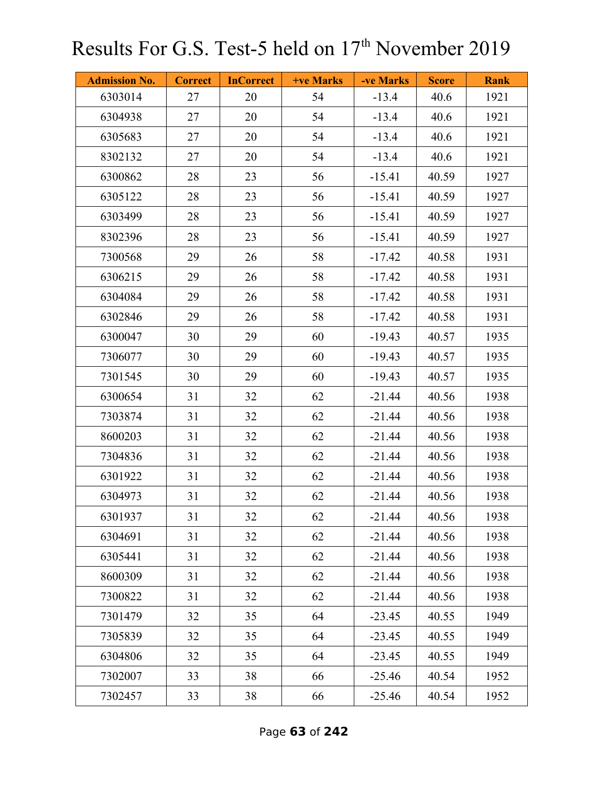| <b>Admission No.</b> | <b>Correct</b> | <b>InCorrect</b> | <b>+ve Marks</b> | -ve Marks | <b>Score</b> | <b>Rank</b> |
|----------------------|----------------|------------------|------------------|-----------|--------------|-------------|
| 6303014              | 27             | 20               | 54               | $-13.4$   | 40.6         | 1921        |
| 6304938              | 27             | 20               | 54               | $-13.4$   | 40.6         | 1921        |
| 6305683              | 27             | 20               | 54               | $-13.4$   | 40.6         | 1921        |
| 8302132              | 27             | 20               | 54               | $-13.4$   | 40.6         | 1921        |
| 6300862              | 28             | 23               | 56               | $-15.41$  | 40.59        | 1927        |
| 6305122              | 28             | 23               | 56               | $-15.41$  | 40.59        | 1927        |
| 6303499              | 28             | 23               | 56               | $-15.41$  | 40.59        | 1927        |
| 8302396              | 28             | 23               | 56               | $-15.41$  | 40.59        | 1927        |
| 7300568              | 29             | 26               | 58               | $-17.42$  | 40.58        | 1931        |
| 6306215              | 29             | 26               | 58               | $-17.42$  | 40.58        | 1931        |
| 6304084              | 29             | 26               | 58               | $-17.42$  | 40.58        | 1931        |
| 6302846              | 29             | 26               | 58               | $-17.42$  | 40.58        | 1931        |
| 6300047              | 30             | 29               | 60               | $-19.43$  | 40.57        | 1935        |
| 7306077              | 30             | 29               | 60               | $-19.43$  | 40.57        | 1935        |
| 7301545              | 30             | 29               | 60               | $-19.43$  | 40.57        | 1935        |
| 6300654              | 31             | 32               | 62               | $-21.44$  | 40.56        | 1938        |
| 7303874              | 31             | 32               | 62               | $-21.44$  | 40.56        | 1938        |
| 8600203              | 31             | 32               | 62               | $-21.44$  | 40.56        | 1938        |
| 7304836              | 31             | 32               | 62               | $-21.44$  | 40.56        | 1938        |
| 6301922              | 31             | 32               | 62               | $-21.44$  | 40.56        | 1938        |
| 6304973              | 31             | 32               | 62               | $-21.44$  | 40.56        | 1938        |
| 6301937              | 31             | 32               | 62               | $-21.44$  | 40.56        | 1938        |
| 6304691              | 31             | 32               | 62               | $-21.44$  | 40.56        | 1938        |
| 6305441              | 31             | 32               | 62               | $-21.44$  | 40.56        | 1938        |
| 8600309              | 31             | 32               | 62               | $-21.44$  | 40.56        | 1938        |
| 7300822              | 31             | 32               | 62               | $-21.44$  | 40.56        | 1938        |
| 7301479              | 32             | 35               | 64               | $-23.45$  | 40.55        | 1949        |
| 7305839              | 32             | 35               | 64               | $-23.45$  | 40.55        | 1949        |
| 6304806              | 32             | 35               | 64               | $-23.45$  | 40.55        | 1949        |
| 7302007              | 33             | 38               | 66               | $-25.46$  | 40.54        | 1952        |
| 7302457              | 33             | 38               | 66               | $-25.46$  | 40.54        | 1952        |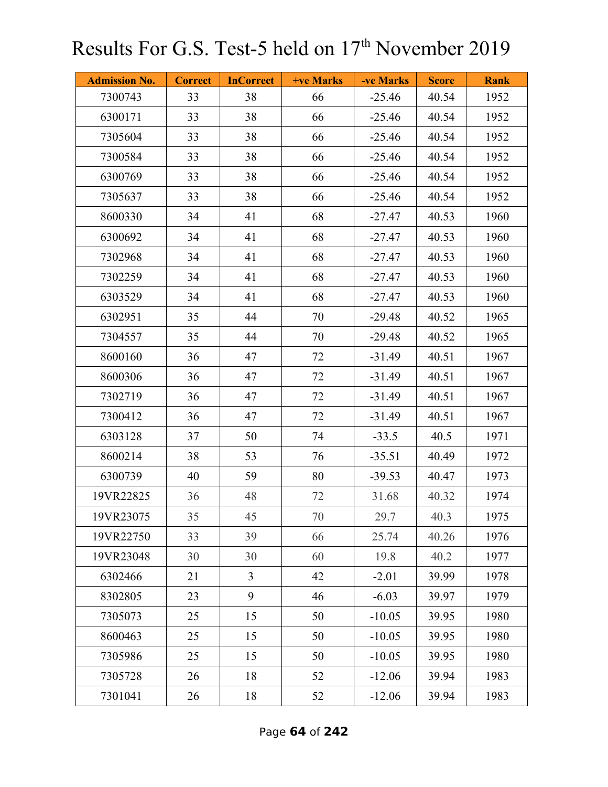| <b>Admission No.</b> | <b>Correct</b> | <b>InCorrect</b> | <b>+ve Marks</b> | -ve Marks | <b>Score</b> | <b>Rank</b> |
|----------------------|----------------|------------------|------------------|-----------|--------------|-------------|
| 7300743              | 33             | 38               | 66               | $-25.46$  | 40.54        | 1952        |
| 6300171              | 33             | 38               | 66               | $-25.46$  | 40.54        | 1952        |
| 7305604              | 33             | 38               | 66               | $-25.46$  | 40.54        | 1952        |
| 7300584              | 33             | 38               | 66               | $-25.46$  | 40.54        | 1952        |
| 6300769              | 33             | 38               | 66               | $-25.46$  | 40.54        | 1952        |
| 7305637              | 33             | 38               | 66               | $-25.46$  | 40.54        | 1952        |
| 8600330              | 34             | 41               | 68               | $-27.47$  | 40.53        | 1960        |
| 6300692              | 34             | 41               | 68               | $-27.47$  | 40.53        | 1960        |
| 7302968              | 34             | 41               | 68               | $-27.47$  | 40.53        | 1960        |
| 7302259              | 34             | 41               | 68               | $-27.47$  | 40.53        | 1960        |
| 6303529              | 34             | 41               | 68               | $-27.47$  | 40.53        | 1960        |
| 6302951              | 35             | 44               | 70               | $-29.48$  | 40.52        | 1965        |
| 7304557              | 35             | 44               | 70               | $-29.48$  | 40.52        | 1965        |
| 8600160              | 36             | 47               | 72               | $-31.49$  | 40.51        | 1967        |
| 8600306              | 36             | 47               | 72               | $-31.49$  | 40.51        | 1967        |
| 7302719              | 36             | 47               | 72               | $-31.49$  | 40.51        | 1967        |
| 7300412              | 36             | 47               | 72               | $-31.49$  | 40.51        | 1967        |
| 6303128              | 37             | 50               | 74               | $-33.5$   | 40.5         | 1971        |
| 8600214              | 38             | 53               | 76               | $-35.51$  | 40.49        | 1972        |
| 6300739              | 40             | 59               | 80               | $-39.53$  | 40.47        | 1973        |
| 19VR22825            | 36             | 48               | 72               | 31.68     | 40.32        | 1974        |
| 19VR23075            | 35             | 45               | 70               | 29.7      | 40.3         | 1975        |
| 19VR22750            | 33             | 39               | 66               | 25.74     | 40.26        | 1976        |
| 19VR23048            | 30             | 30               | 60               | 19.8      | 40.2         | 1977        |
| 6302466              | 21             | $\overline{3}$   | 42               | $-2.01$   | 39.99        | 1978        |
| 8302805              | 23             | 9                | 46               | $-6.03$   | 39.97        | 1979        |
| 7305073              | 25             | 15               | 50               | $-10.05$  | 39.95        | 1980        |
| 8600463              | 25             | 15               | 50               | $-10.05$  | 39.95        | 1980        |
| 7305986              | 25             | 15               | 50               | $-10.05$  | 39.95        | 1980        |
| 7305728              | 26             | 18               | 52               | $-12.06$  | 39.94        | 1983        |
| 7301041              | 26             | 18               | 52               | $-12.06$  | 39.94        | 1983        |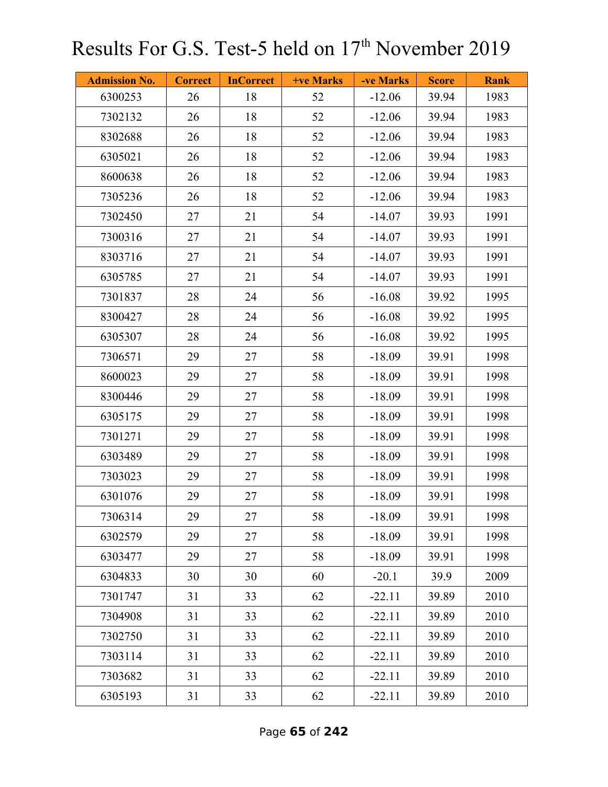| <b>Admission No.</b> | <b>Correct</b> | <b>InCorrect</b> | +ve Marks | -ve Marks | <b>Score</b> | <b>Rank</b> |
|----------------------|----------------|------------------|-----------|-----------|--------------|-------------|
| 6300253              | 26             | 18               | 52        | $-12.06$  | 39.94        | 1983        |
| 7302132              | 26             | 18               | 52        | $-12.06$  | 39.94        | 1983        |
| 8302688              | 26             | 18               | 52        | $-12.06$  | 39.94        | 1983        |
| 6305021              | 26             | 18               | 52        | $-12.06$  | 39.94        | 1983        |
| 8600638              | 26             | 18               | 52        | $-12.06$  | 39.94        | 1983        |
| 7305236              | 26             | 18               | 52        | $-12.06$  | 39.94        | 1983        |
| 7302450              | 27             | 21               | 54        | $-14.07$  | 39.93        | 1991        |
| 7300316              | 27             | 21               | 54        | $-14.07$  | 39.93        | 1991        |
| 8303716              | 27             | 21               | 54        | $-14.07$  | 39.93        | 1991        |
| 6305785              | 27             | 21               | 54        | $-14.07$  | 39.93        | 1991        |
| 7301837              | 28             | 24               | 56        | $-16.08$  | 39.92        | 1995        |
| 8300427              | 28             | 24               | 56        | $-16.08$  | 39.92        | 1995        |
| 6305307              | 28             | 24               | 56        | $-16.08$  | 39.92        | 1995        |
| 7306571              | 29             | 27               | 58        | $-18.09$  | 39.91        | 1998        |
| 8600023              | 29             | 27               | 58        | $-18.09$  | 39.91        | 1998        |
| 8300446              | 29             | 27               | 58        | $-18.09$  | 39.91        | 1998        |
| 6305175              | 29             | 27               | 58        | $-18.09$  | 39.91        | 1998        |
| 7301271              | 29             | 27               | 58        | $-18.09$  | 39.91        | 1998        |
| 6303489              | 29             | 27               | 58        | $-18.09$  | 39.91        | 1998        |
| 7303023              | 29             | 27               | 58        | $-18.09$  | 39.91        | 1998        |
| 6301076              | 29             | 27               | 58        | $-18.09$  | 39.91        | 1998        |
| 7306314              | 29             | 27               | 58        | $-18.09$  | 39.91        | 1998        |
| 6302579              | 29             | 27               | 58        | $-18.09$  | 39.91        | 1998        |
| 6303477              | 29             | 27               | 58        | $-18.09$  | 39.91        | 1998        |
| 6304833              | 30             | 30               | 60        | $-20.1$   | 39.9         | 2009        |
| 7301747              | 31             | 33               | 62        | $-22.11$  | 39.89        | 2010        |
| 7304908              | 31             | 33               | 62        | $-22.11$  | 39.89        | 2010        |
| 7302750              | 31             | 33               | 62        | $-22.11$  | 39.89        | 2010        |
| 7303114              | 31             | 33               | 62        | $-22.11$  | 39.89        | 2010        |
| 7303682              | 31             | 33               | 62        | $-22.11$  | 39.89        | 2010        |
| 6305193              | 31             | 33               | 62        | $-22.11$  | 39.89        | 2010        |

Page **65** of **242**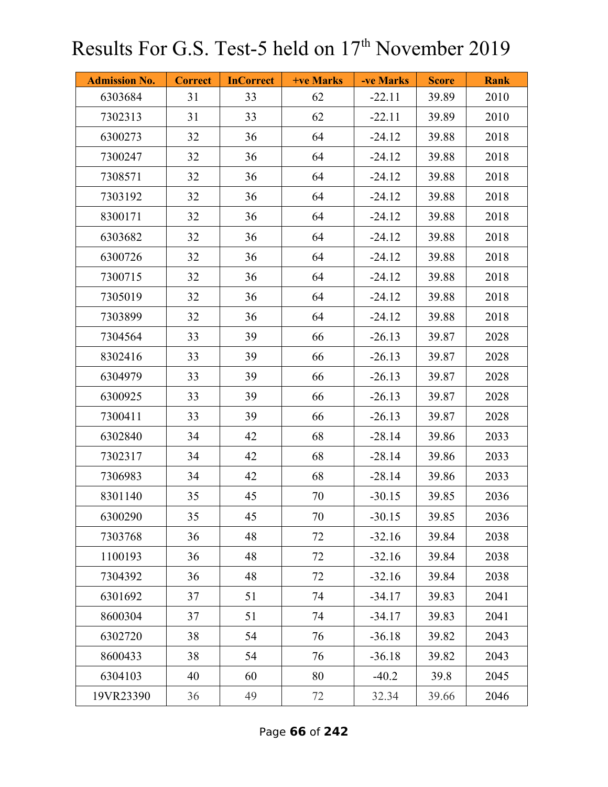| <b>Admission No.</b> | <b>Correct</b> | <b>InCorrect</b> | <b>+ve Marks</b> | -ve Marks | <b>Score</b> | <b>Rank</b> |
|----------------------|----------------|------------------|------------------|-----------|--------------|-------------|
| 6303684              | 31             | 33               | 62               | $-22.11$  | 39.89        | 2010        |
| 7302313              | 31             | 33               | 62               | $-22.11$  | 39.89        | 2010        |
| 6300273              | 32             | 36               | 64               | $-24.12$  | 39.88        | 2018        |
| 7300247              | 32             | 36               | 64               | $-24.12$  | 39.88        | 2018        |
| 7308571              | 32             | 36               | 64               | $-24.12$  | 39.88        | 2018        |
| 7303192              | 32             | 36               | 64               | $-24.12$  | 39.88        | 2018        |
| 8300171              | 32             | 36               | 64               | $-24.12$  | 39.88        | 2018        |
| 6303682              | 32             | 36               | 64               | $-24.12$  | 39.88        | 2018        |
| 6300726              | 32             | 36               | 64               | $-24.12$  | 39.88        | 2018        |
| 7300715              | 32             | 36               | 64               | $-24.12$  | 39.88        | 2018        |
| 7305019              | 32             | 36               | 64               | $-24.12$  | 39.88        | 2018        |
| 7303899              | 32             | 36               | 64               | $-24.12$  | 39.88        | 2018        |
| 7304564              | 33             | 39               | 66               | $-26.13$  | 39.87        | 2028        |
| 8302416              | 33             | 39               | 66               | $-26.13$  | 39.87        | 2028        |
| 6304979              | 33             | 39               | 66               | $-26.13$  | 39.87        | 2028        |
| 6300925              | 33             | 39               | 66               | $-26.13$  | 39.87        | 2028        |
| 7300411              | 33             | 39               | 66               | $-26.13$  | 39.87        | 2028        |
| 6302840              | 34             | 42               | 68               | $-28.14$  | 39.86        | 2033        |
| 7302317              | 34             | 42               | 68               | $-28.14$  | 39.86        | 2033        |
| 7306983              | 34             | 42               | 68               | $-28.14$  | 39.86        | 2033        |
| 8301140              | 35             | 45               | 70               | $-30.15$  | 39.85        | 2036        |
| 6300290              | 35             | 45               | 70               | $-30.15$  | 39.85        | 2036        |
| 7303768              | 36             | 48               | 72               | $-32.16$  | 39.84        | 2038        |
| 1100193              | 36             | 48               | 72               | $-32.16$  | 39.84        | 2038        |
| 7304392              | 36             | 48               | 72               | $-32.16$  | 39.84        | 2038        |
| 6301692              | 37             | 51               | 74               | $-34.17$  | 39.83        | 2041        |
| 8600304              | 37             | 51               | 74               | $-34.17$  | 39.83        | 2041        |
| 6302720              | 38             | 54               | 76               | $-36.18$  | 39.82        | 2043        |
| 8600433              | 38             | 54               | 76               | $-36.18$  | 39.82        | 2043        |
| 6304103              | 40             | 60               | 80               | $-40.2$   | 39.8         | 2045        |
| 19VR23390            | 36             | 49               | 72               | 32.34     | 39.66        | 2046        |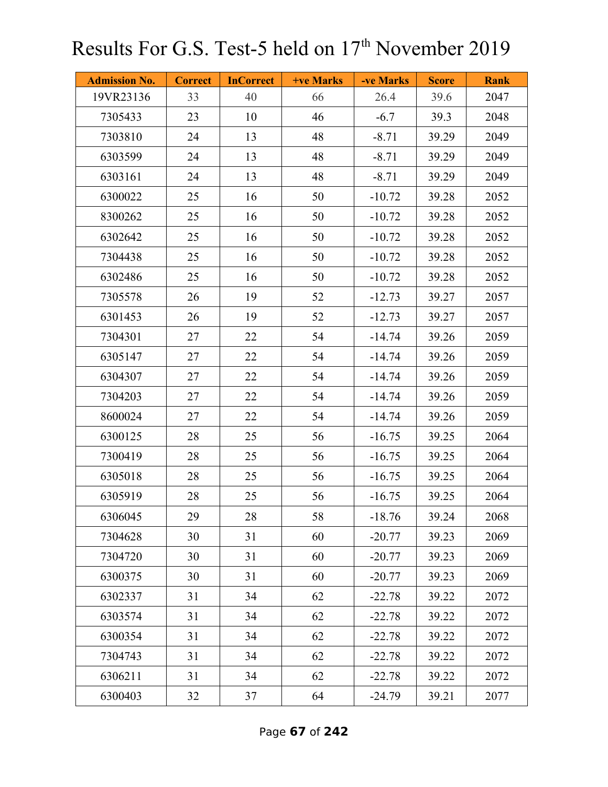| <b>Admission No.</b> | <b>Correct</b> | <b>InCorrect</b> | +ve Marks | -ve Marks | <b>Score</b> | <b>Rank</b> |
|----------------------|----------------|------------------|-----------|-----------|--------------|-------------|
| 19VR23136            | 33             | 40               | 66        | 26.4      | 39.6         | 2047        |
| 7305433              | 23             | 10               | 46        | $-6.7$    | 39.3         | 2048        |
| 7303810              | 24             | 13               | 48        | $-8.71$   | 39.29        | 2049        |
| 6303599              | 24             | 13               | 48        | $-8.71$   | 39.29        | 2049        |
| 6303161              | 24             | 13               | 48        | $-8.71$   | 39.29        | 2049        |
| 6300022              | 25             | 16               | 50        | $-10.72$  | 39.28        | 2052        |
| 8300262              | 25             | 16               | 50        | $-10.72$  | 39.28        | 2052        |
| 6302642              | 25             | 16               | 50        | $-10.72$  | 39.28        | 2052        |
| 7304438              | 25             | 16               | 50        | $-10.72$  | 39.28        | 2052        |
| 6302486              | 25             | 16               | 50        | $-10.72$  | 39.28        | 2052        |
| 7305578              | 26             | 19               | 52        | $-12.73$  | 39.27        | 2057        |
| 6301453              | 26             | 19               | 52        | $-12.73$  | 39.27        | 2057        |
| 7304301              | 27             | 22               | 54        | $-14.74$  | 39.26        | 2059        |
| 6305147              | 27             | 22               | 54        | $-14.74$  | 39.26        | 2059        |
| 6304307              | 27             | 22               | 54        | $-14.74$  | 39.26        | 2059        |
| 7304203              | 27             | 22               | 54        | $-14.74$  | 39.26        | 2059        |
| 8600024              | 27             | 22               | 54        | $-14.74$  | 39.26        | 2059        |
| 6300125              | 28             | 25               | 56        | $-16.75$  | 39.25        | 2064        |
| 7300419              | 28             | 25               | 56        | $-16.75$  | 39.25        | 2064        |
| 6305018              | 28             | 25               | 56        | $-16.75$  | 39.25        | 2064        |
| 6305919              | 28             | 25               | 56        | $-16.75$  | 39.25        | 2064        |
| 6306045              | 29             | 28               | 58        | $-18.76$  | 39.24        | 2068        |
| 7304628              | 30             | 31               | 60        | $-20.77$  | 39.23        | 2069        |
| 7304720              | 30             | 31               | 60        | $-20.77$  | 39.23        | 2069        |
| 6300375              | 30             | 31               | 60        | $-20.77$  | 39.23        | 2069        |
| 6302337              | 31             | 34               | 62        | $-22.78$  | 39.22        | 2072        |
| 6303574              | 31             | 34               | 62        | $-22.78$  | 39.22        | 2072        |
| 6300354              | 31             | 34               | 62        | $-22.78$  | 39.22        | 2072        |
| 7304743              | 31             | 34               | 62        | $-22.78$  | 39.22        | 2072        |
| 6306211              | 31             | 34               | 62        | $-22.78$  | 39.22        | 2072        |
| 6300403              | 32             | 37               | 64        | $-24.79$  | 39.21        | 2077        |

Page **67** of **242**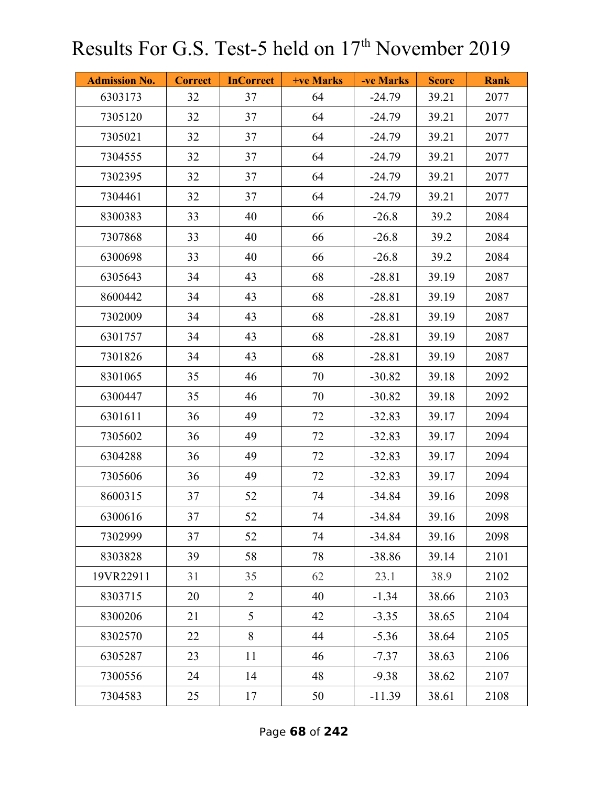| <b>Admission No.</b> | <b>Correct</b> | <b>InCorrect</b> | <b>+ve Marks</b> | -ve Marks | <b>Score</b> | <b>Rank</b> |
|----------------------|----------------|------------------|------------------|-----------|--------------|-------------|
| 6303173              | 32             | 37               | 64               | $-24.79$  | 39.21        | 2077        |
| 7305120              | 32             | 37               | 64               | $-24.79$  | 39.21        | 2077        |
| 7305021              | 32             | 37               | 64               | $-24.79$  | 39.21        | 2077        |
| 7304555              | 32             | 37               | 64               | $-24.79$  | 39.21        | 2077        |
| 7302395              | 32             | 37               | 64               | $-24.79$  | 39.21        | 2077        |
| 7304461              | 32             | 37               | 64               | $-24.79$  | 39.21        | 2077        |
| 8300383              | 33             | 40               | 66               | $-26.8$   | 39.2         | 2084        |
| 7307868              | 33             | 40               | 66               | $-26.8$   | 39.2         | 2084        |
| 6300698              | 33             | 40               | 66               | $-26.8$   | 39.2         | 2084        |
| 6305643              | 34             | 43               | 68               | $-28.81$  | 39.19        | 2087        |
| 8600442              | 34             | 43               | 68               | $-28.81$  | 39.19        | 2087        |
| 7302009              | 34             | 43               | 68               | $-28.81$  | 39.19        | 2087        |
| 6301757              | 34             | 43               | 68               | $-28.81$  | 39.19        | 2087        |
| 7301826              | 34             | 43               | 68               | $-28.81$  | 39.19        | 2087        |
| 8301065              | 35             | 46               | 70               | $-30.82$  | 39.18        | 2092        |
| 6300447              | 35             | 46               | 70               | $-30.82$  | 39.18        | 2092        |
| 6301611              | 36             | 49               | 72               | $-32.83$  | 39.17        | 2094        |
| 7305602              | 36             | 49               | 72               | $-32.83$  | 39.17        | 2094        |
| 6304288              | 36             | 49               | 72               | $-32.83$  | 39.17        | 2094        |
| 7305606              | 36             | 49               | 72               | $-32.83$  | 39.17        | 2094        |
| 8600315              | 37             | 52               | 74               | $-34.84$  | 39.16        | 2098        |
| 6300616              | 37             | 52               | 74               | $-34.84$  | 39.16        | 2098        |
| 7302999              | 37             | 52               | 74               | $-34.84$  | 39.16        | 2098        |
| 8303828              | 39             | 58               | 78               | $-38.86$  | 39.14        | 2101        |
| 19VR22911            | 31             | 35               | 62               | 23.1      | 38.9         | 2102        |
| 8303715              | 20             | $\overline{2}$   | 40               | $-1.34$   | 38.66        | 2103        |
| 8300206              | 21             | 5                | 42               | $-3.35$   | 38.65        | 2104        |
| 8302570              | 22             | 8                | 44               | $-5.36$   | 38.64        | 2105        |
| 6305287              | 23             | 11               | 46               | $-7.37$   | 38.63        | 2106        |
| 7300556              | 24             | 14               | 48               | $-9.38$   | 38.62        | 2107        |
| 7304583              | 25             | 17               | 50               | $-11.39$  | 38.61        | 2108        |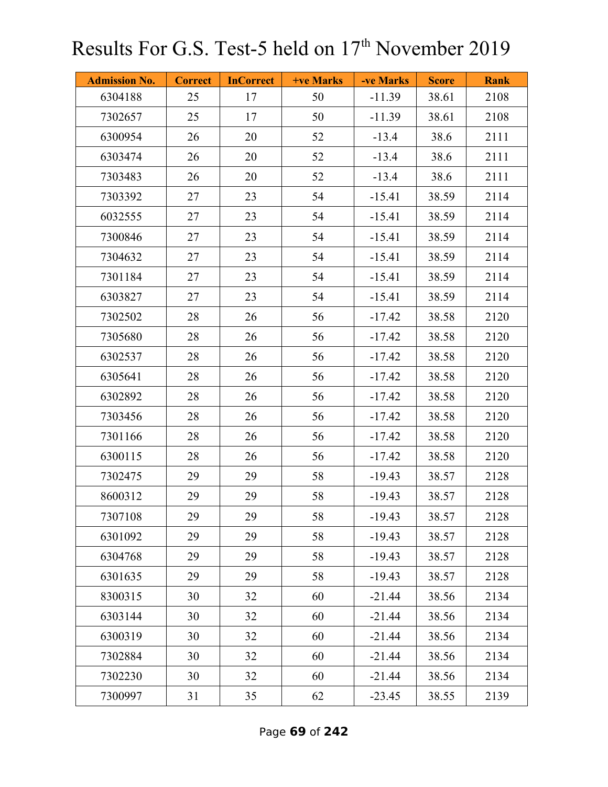| <b>Admission No.</b> | <b>Correct</b> | <b>InCorrect</b> | <b>+ve Marks</b> | -ve Marks | <b>Score</b> | <b>Rank</b> |
|----------------------|----------------|------------------|------------------|-----------|--------------|-------------|
| 6304188              | 25             | 17               | 50               | $-11.39$  | 38.61        | 2108        |
| 7302657              | 25             | 17               | 50               | $-11.39$  | 38.61        | 2108        |
| 6300954              | 26             | 20               | 52               | $-13.4$   | 38.6         | 2111        |
| 6303474              | 26             | 20               | 52               | $-13.4$   | 38.6         | 2111        |
| 7303483              | 26             | 20               | 52               | $-13.4$   | 38.6         | 2111        |
| 7303392              | 27             | 23               | 54               | $-15.41$  | 38.59        | 2114        |
| 6032555              | 27             | 23               | 54               | $-15.41$  | 38.59        | 2114        |
| 7300846              | 27             | 23               | 54               | $-15.41$  | 38.59        | 2114        |
| 7304632              | 27             | 23               | 54               | $-15.41$  | 38.59        | 2114        |
| 7301184              | 27             | 23               | 54               | $-15.41$  | 38.59        | 2114        |
| 6303827              | 27             | 23               | 54               | $-15.41$  | 38.59        | 2114        |
| 7302502              | 28             | 26               | 56               | $-17.42$  | 38.58        | 2120        |
| 7305680              | 28             | 26               | 56               | $-17.42$  | 38.58        | 2120        |
| 6302537              | 28             | 26               | 56               | $-17.42$  | 38.58        | 2120        |
| 6305641              | 28             | 26               | 56               | $-17.42$  | 38.58        | 2120        |
| 6302892              | 28             | 26               | 56               | $-17.42$  | 38.58        | 2120        |
| 7303456              | 28             | 26               | 56               | $-17.42$  | 38.58        | 2120        |
| 7301166              | 28             | 26               | 56               | $-17.42$  | 38.58        | 2120        |
| 6300115              | 28             | 26               | 56               | $-17.42$  | 38.58        | 2120        |
| 7302475              | 29             | 29               | 58               | $-19.43$  | 38.57        | 2128        |
| 8600312              | 29             | 29               | 58               | $-19.43$  | 38.57        | 2128        |
| 7307108              | 29             | 29               | 58               | $-19.43$  | 38.57        | 2128        |
| 6301092              | 29             | 29               | 58               | $-19.43$  | 38.57        | 2128        |
| 6304768              | 29             | 29               | 58               | $-19.43$  | 38.57        | 2128        |
| 6301635              | 29             | 29               | 58               | $-19.43$  | 38.57        | 2128        |
| 8300315              | 30             | 32               | 60               | $-21.44$  | 38.56        | 2134        |
| 6303144              | 30             | 32               | 60               | $-21.44$  | 38.56        | 2134        |
| 6300319              | 30             | 32               | 60               | $-21.44$  | 38.56        | 2134        |
| 7302884              | 30             | 32               | 60               | $-21.44$  | 38.56        | 2134        |
| 7302230              | 30             | 32               | 60               | $-21.44$  | 38.56        | 2134        |
| 7300997              | 31             | 35               | 62               | $-23.45$  | 38.55        | 2139        |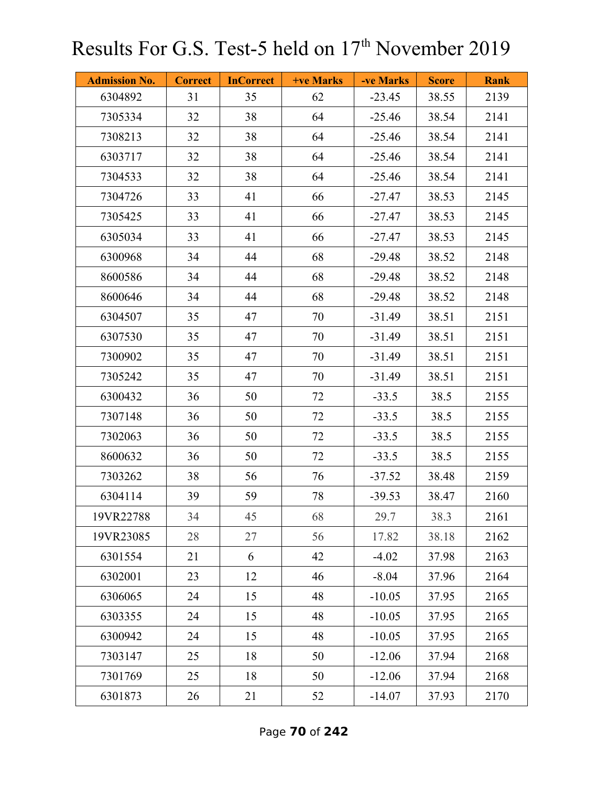| <b>Admission No.</b> | <b>Correct</b> | <b>InCorrect</b> | <b>+ve Marks</b> | -ve Marks | <b>Score</b> | <b>Rank</b> |
|----------------------|----------------|------------------|------------------|-----------|--------------|-------------|
| 6304892              | 31             | 35               | 62               | $-23.45$  | 38.55        | 2139        |
| 7305334              | 32             | 38               | 64               | $-25.46$  | 38.54        | 2141        |
| 7308213              | 32             | 38               | 64               | $-25.46$  | 38.54        | 2141        |
| 6303717              | 32             | 38               | 64               | $-25.46$  | 38.54        | 2141        |
| 7304533              | 32             | 38               | 64               | $-25.46$  | 38.54        | 2141        |
| 7304726              | 33             | 41               | 66               | $-27.47$  | 38.53        | 2145        |
| 7305425              | 33             | 41               | 66               | $-27.47$  | 38.53        | 2145        |
| 6305034              | 33             | 41               | 66               | $-27.47$  | 38.53        | 2145        |
| 6300968              | 34             | 44               | 68               | $-29.48$  | 38.52        | 2148        |
| 8600586              | 34             | 44               | 68               | $-29.48$  | 38.52        | 2148        |
| 8600646              | 34             | 44               | 68               | $-29.48$  | 38.52        | 2148        |
| 6304507              | 35             | 47               | 70               | $-31.49$  | 38.51        | 2151        |
| 6307530              | 35             | 47               | 70               | $-31.49$  | 38.51        | 2151        |
| 7300902              | 35             | 47               | 70               | $-31.49$  | 38.51        | 2151        |
| 7305242              | 35             | 47               | 70               | $-31.49$  | 38.51        | 2151        |
| 6300432              | 36             | 50               | 72               | $-33.5$   | 38.5         | 2155        |
| 7307148              | 36             | 50               | 72               | $-33.5$   | 38.5         | 2155        |
| 7302063              | 36             | 50               | 72               | $-33.5$   | 38.5         | 2155        |
| 8600632              | 36             | 50               | 72               | $-33.5$   | 38.5         | 2155        |
| 7303262              | 38             | 56               | 76               | $-37.52$  | 38.48        | 2159        |
| 6304114              | 39             | 59               | 78               | $-39.53$  | 38.47        | 2160        |
| 19VR22788            | 34             | 45               | 68               | 29.7      | 38.3         | 2161        |
| 19VR23085            | 28             | 27               | 56               | 17.82     | 38.18        | 2162        |
| 6301554              | 21             | 6                | 42               | $-4.02$   | 37.98        | 2163        |
| 6302001              | 23             | 12               | 46               | $-8.04$   | 37.96        | 2164        |
| 6306065              | 24             | 15               | 48               | $-10.05$  | 37.95        | 2165        |
| 6303355              | 24             | 15               | 48               | $-10.05$  | 37.95        | 2165        |
| 6300942              | 24             | 15               | 48               | $-10.05$  | 37.95        | 2165        |
| 7303147              | 25             | 18               | 50               | $-12.06$  | 37.94        | 2168        |
| 7301769              | 25             | 18               | 50               | $-12.06$  | 37.94        | 2168        |
| 6301873              | 26             | 21               | 52               | $-14.07$  | 37.93        | 2170        |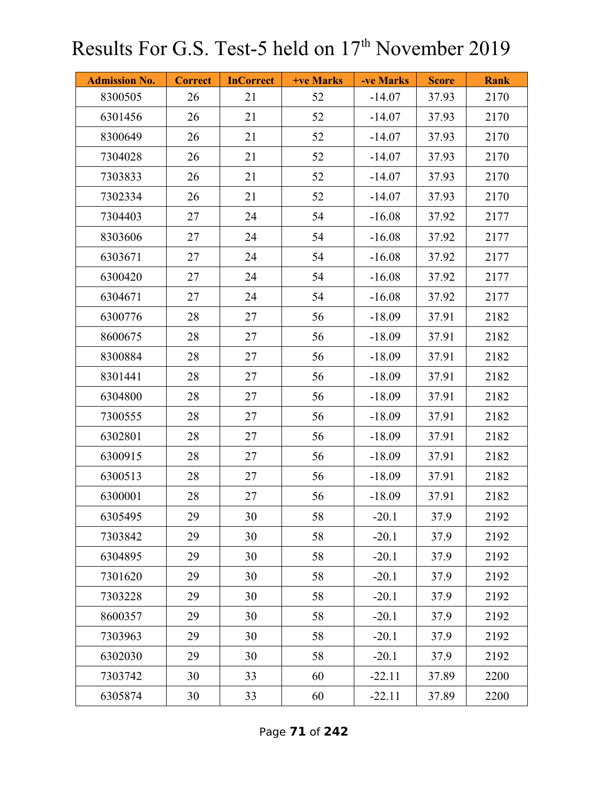| <b>Admission No.</b> | <b>Correct</b> | <b>InCorrect</b> | <b>+ve Marks</b> | -ve Marks | <b>Score</b> | <b>Rank</b> |
|----------------------|----------------|------------------|------------------|-----------|--------------|-------------|
| 8300505              | 26             | 21               | 52               | $-14.07$  | 37.93        | 2170        |
| 6301456              | 26             | 21               | 52               | $-14.07$  | 37.93        | 2170        |
| 8300649              | 26             | 21               | 52               | $-14.07$  | 37.93        | 2170        |
| 7304028              | 26             | 21               | 52               | $-14.07$  | 37.93        | 2170        |
| 7303833              | 26             | 21               | 52               | $-14.07$  | 37.93        | 2170        |
| 7302334              | 26             | 21               | 52               | $-14.07$  | 37.93        | 2170        |
| 7304403              | 27             | 24               | 54               | $-16.08$  | 37.92        | 2177        |
| 8303606              | 27             | 24               | 54               | $-16.08$  | 37.92        | 2177        |
| 6303671              | 27             | 24               | 54               | $-16.08$  | 37.92        | 2177        |
| 6300420              | 27             | 24               | 54               | $-16.08$  | 37.92        | 2177        |
| 6304671              | 27             | 24               | 54               | $-16.08$  | 37.92        | 2177        |
| 6300776              | 28             | 27               | 56               | $-18.09$  | 37.91        | 2182        |
| 8600675              | 28             | 27               | 56               | $-18.09$  | 37.91        | 2182        |
| 8300884              | 28             | 27               | 56               | $-18.09$  | 37.91        | 2182        |
| 8301441              | 28             | 27               | 56               | $-18.09$  | 37.91        | 2182        |
| 6304800              | 28             | 27               | 56               | $-18.09$  | 37.91        | 2182        |
| 7300555              | 28             | 27               | 56               | $-18.09$  | 37.91        | 2182        |
| 6302801              | 28             | 27               | 56               | $-18.09$  | 37.91        | 2182        |
| 6300915              | 28             | 27               | 56               | $-18.09$  | 37.91        | 2182        |
| 6300513              | 28             | 27               | 56               | $-18.09$  | 37.91        | 2182        |
| 6300001              | 28             | 27               | 56               | $-18.09$  | 37.91        | 2182        |
| 6305495              | 29             | 30               | 58               | $-20.1$   | 37.9         | 2192        |
| 7303842              | 29             | 30               | 58               | $-20.1$   | 37.9         | 2192        |
| 6304895              | 29             | 30               | 58               | $-20.1$   | 37.9         | 2192        |
| 7301620              | 29             | 30               | 58               | $-20.1$   | 37.9         | 2192        |
| 7303228              | 29             | 30               | 58               | $-20.1$   | 37.9         | 2192        |
| 8600357              | 29             | 30               | 58               | $-20.1$   | 37.9         | 2192        |
| 7303963              | 29             | 30               | 58               | $-20.1$   | 37.9         | 2192        |
| 6302030              | 29             | 30               | 58               | $-20.1$   | 37.9         | 2192        |
| 7303742              | 30             | 33               | 60               | $-22.11$  | 37.89        | 2200        |
| 6305874              | 30             | 33               | 60               | $-22.11$  | 37.89        | 2200        |

Page **71** of **242**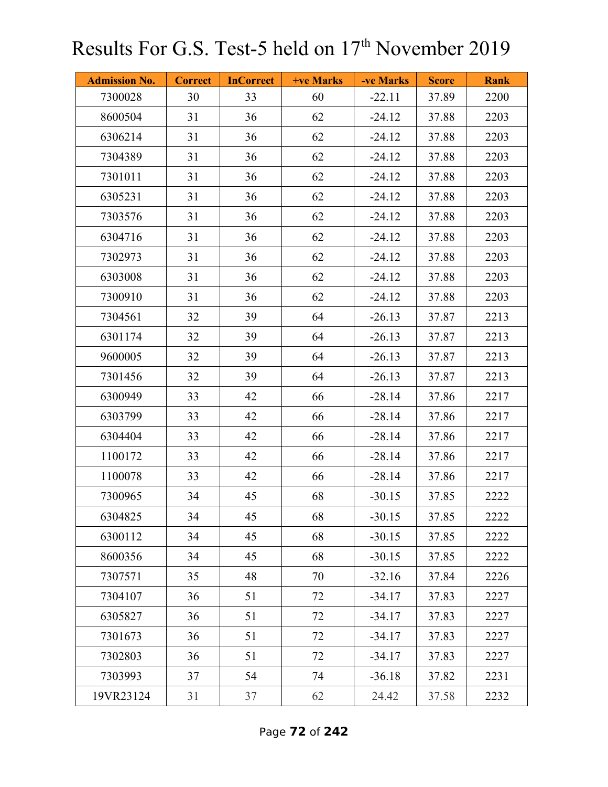| <b>Admission No.</b> | <b>Correct</b> | <b>InCorrect</b> | <b>+ve Marks</b> | -ve Marks | <b>Score</b> | <b>Rank</b> |
|----------------------|----------------|------------------|------------------|-----------|--------------|-------------|
| 7300028              | 30             | 33               | 60               | $-22.11$  | 37.89        | 2200        |
| 8600504              | 31             | 36               | 62               | $-24.12$  | 37.88        | 2203        |
| 6306214              | 31             | 36               | 62               | $-24.12$  | 37.88        | 2203        |
| 7304389              | 31             | 36               | 62               | $-24.12$  | 37.88        | 2203        |
| 7301011              | 31             | 36               | 62               | $-24.12$  | 37.88        | 2203        |
| 6305231              | 31             | 36               | 62               | $-24.12$  | 37.88        | 2203        |
| 7303576              | 31             | 36               | 62               | $-24.12$  | 37.88        | 2203        |
| 6304716              | 31             | 36               | 62               | $-24.12$  | 37.88        | 2203        |
| 7302973              | 31             | 36               | 62               | $-24.12$  | 37.88        | 2203        |
| 6303008              | 31             | 36               | 62               | $-24.12$  | 37.88        | 2203        |
| 7300910              | 31             | 36               | 62               | $-24.12$  | 37.88        | 2203        |
| 7304561              | 32             | 39               | 64               | $-26.13$  | 37.87        | 2213        |
| 6301174              | 32             | 39               | 64               | $-26.13$  | 37.87        | 2213        |
| 9600005              | 32             | 39               | 64               | $-26.13$  | 37.87        | 2213        |
| 7301456              | 32             | 39               | 64               | $-26.13$  | 37.87        | 2213        |
| 6300949              | 33             | 42               | 66               | $-28.14$  | 37.86        | 2217        |
| 6303799              | 33             | 42               | 66               | $-28.14$  | 37.86        | 2217        |
| 6304404              | 33             | 42               | 66               | $-28.14$  | 37.86        | 2217        |
| 1100172              | 33             | 42               | 66               | $-28.14$  | 37.86        | 2217        |
| 1100078              | 33             | 42               | 66               | $-28.14$  | 37.86        | 2217        |
| 7300965              | 34             | 45               | 68               | $-30.15$  | 37.85        | 2222        |
| 6304825              | 34             | 45               | 68               | $-30.15$  | 37.85        | 2222        |
| 6300112              | 34             | 45               | 68               | $-30.15$  | 37.85        | 2222        |
| 8600356              | 34             | 45               | 68               | $-30.15$  | 37.85        | 2222        |
| 7307571              | 35             | 48               | 70               | $-32.16$  | 37.84        | 2226        |
| 7304107              | 36             | 51               | 72               | $-34.17$  | 37.83        | 2227        |
| 6305827              | 36             | 51               | 72               | $-34.17$  | 37.83        | 2227        |
| 7301673              | 36             | 51               | 72               | $-34.17$  | 37.83        | 2227        |
| 7302803              | 36             | 51               | 72               | $-34.17$  | 37.83        | 2227        |
| 7303993              | 37             | 54               | 74               | $-36.18$  | 37.82        | 2231        |
| 19VR23124            | 31             | 37               | 62               | 24.42     | 37.58        | 2232        |

Page **72** of **242**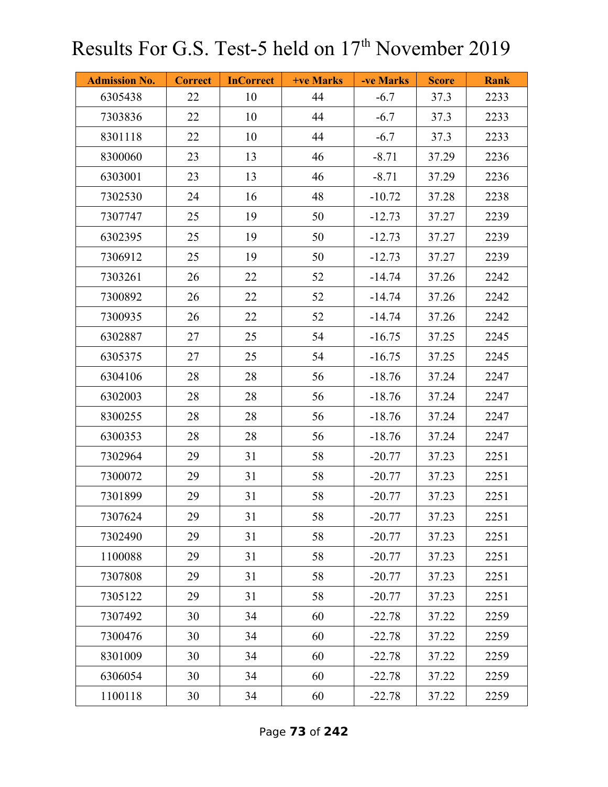| <b>Admission No.</b> | <b>Correct</b> | <b>InCorrect</b> | <b>+ve Marks</b> | -ve Marks | <b>Score</b> | <b>Rank</b> |
|----------------------|----------------|------------------|------------------|-----------|--------------|-------------|
| 6305438              | 22             | 10               | 44               | $-6.7$    | 37.3         | 2233        |
| 7303836              | 22             | 10               | 44               | $-6.7$    | 37.3         | 2233        |
| 8301118              | 22             | 10               | 44               | $-6.7$    | 37.3         | 2233        |
| 8300060              | 23             | 13               | 46               | $-8.71$   | 37.29        | 2236        |
| 6303001              | 23             | 13               | 46               | $-8.71$   | 37.29        | 2236        |
| 7302530              | 24             | 16               | 48               | $-10.72$  | 37.28        | 2238        |
| 7307747              | 25             | 19               | 50               | $-12.73$  | 37.27        | 2239        |
| 6302395              | 25             | 19               | 50               | $-12.73$  | 37.27        | 2239        |
| 7306912              | 25             | 19               | 50               | $-12.73$  | 37.27        | 2239        |
| 7303261              | 26             | 22               | 52               | $-14.74$  | 37.26        | 2242        |
| 7300892              | 26             | 22               | 52               | $-14.74$  | 37.26        | 2242        |
| 7300935              | 26             | 22               | 52               | $-14.74$  | 37.26        | 2242        |
| 6302887              | 27             | 25               | 54               | $-16.75$  | 37.25        | 2245        |
| 6305375              | 27             | 25               | 54               | $-16.75$  | 37.25        | 2245        |
| 6304106              | 28             | 28               | 56               | $-18.76$  | 37.24        | 2247        |
| 6302003              | 28             | 28               | 56               | $-18.76$  | 37.24        | 2247        |
| 8300255              | 28             | 28               | 56               | $-18.76$  | 37.24        | 2247        |
| 6300353              | 28             | 28               | 56               | $-18.76$  | 37.24        | 2247        |
| 7302964              | 29             | 31               | 58               | $-20.77$  | 37.23        | 2251        |
| 7300072              | 29             | 31               | 58               | $-20.77$  | 37.23        | 2251        |
| 7301899              | 29             | 31               | 58               | $-20.77$  | 37.23        | 2251        |
| 7307624              | 29             | 31               | 58               | $-20.77$  | 37.23        | 2251        |
| 7302490              | 29             | 31               | 58               | $-20.77$  | 37.23        | 2251        |
| 1100088              | 29             | 31               | 58               | $-20.77$  | 37.23        | 2251        |
| 7307808              | 29             | 31               | 58               | $-20.77$  | 37.23        | 2251        |
| 7305122              | 29             | 31               | 58               | $-20.77$  | 37.23        | 2251        |
| 7307492              | 30             | 34               | 60               | $-22.78$  | 37.22        | 2259        |
| 7300476              | 30             | 34               | 60               | $-22.78$  | 37.22        | 2259        |
| 8301009              | 30             | 34               | 60               | $-22.78$  | 37.22        | 2259        |
| 6306054              | 30             | 34               | 60               | $-22.78$  | 37.22        | 2259        |
| 1100118              | 30             | 34               | 60               | $-22.78$  | 37.22        | 2259        |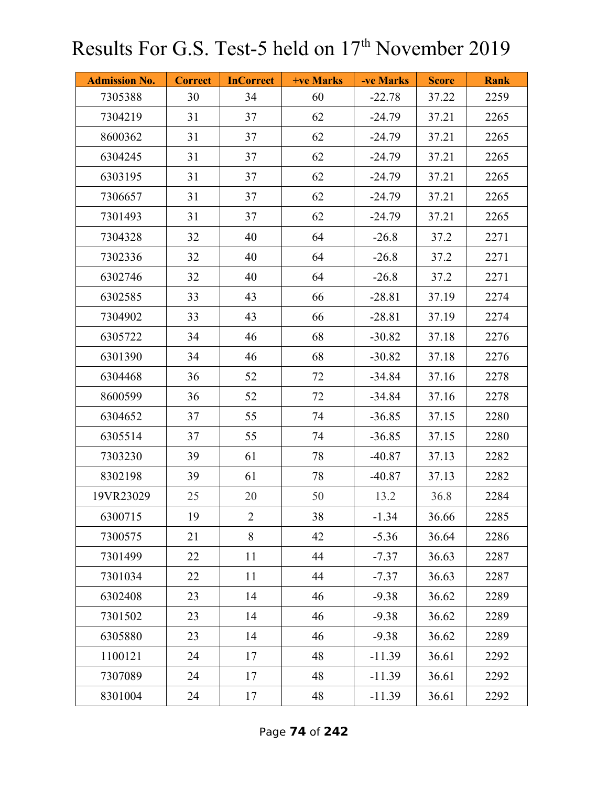| <b>Admission No.</b> | <b>Correct</b> | <b>InCorrect</b> | +ve Marks | -ve Marks | <b>Score</b> | <b>Rank</b> |
|----------------------|----------------|------------------|-----------|-----------|--------------|-------------|
| 7305388              | 30             | 34               | 60        | $-22.78$  | 37.22        | 2259        |
| 7304219              | 31             | 37               | 62        | $-24.79$  | 37.21        | 2265        |
| 8600362              | 31             | 37               | 62        | $-24.79$  | 37.21        | 2265        |
| 6304245              | 31             | 37               | 62        | $-24.79$  | 37.21        | 2265        |
| 6303195              | 31             | 37               | 62        | $-24.79$  | 37.21        | 2265        |
| 7306657              | 31             | 37               | 62        | $-24.79$  | 37.21        | 2265        |
| 7301493              | 31             | 37               | 62        | $-24.79$  | 37.21        | 2265        |
| 7304328              | 32             | 40               | 64        | $-26.8$   | 37.2         | 2271        |
| 7302336              | 32             | 40               | 64        | $-26.8$   | 37.2         | 2271        |
| 6302746              | 32             | 40               | 64        | $-26.8$   | 37.2         | 2271        |
| 6302585              | 33             | 43               | 66        | $-28.81$  | 37.19        | 2274        |
| 7304902              | 33             | 43               | 66        | $-28.81$  | 37.19        | 2274        |
| 6305722              | 34             | 46               | 68        | $-30.82$  | 37.18        | 2276        |
| 6301390              | 34             | 46               | 68        | $-30.82$  | 37.18        | 2276        |
| 6304468              | 36             | 52               | 72        | $-34.84$  | 37.16        | 2278        |
| 8600599              | 36             | 52               | 72        | $-34.84$  | 37.16        | 2278        |
| 6304652              | 37             | 55               | 74        | $-36.85$  | 37.15        | 2280        |
| 6305514              | 37             | 55               | 74        | $-36.85$  | 37.15        | 2280        |
| 7303230              | 39             | 61               | 78        | $-40.87$  | 37.13        | 2282        |
| 8302198              | 39             | 61               | 78        | $-40.87$  | 37.13        | 2282        |
| 19VR23029            | 25             | 20               | 50        | 13.2      | 36.8         | 2284        |
| 6300715              | 19             | $\overline{2}$   | 38        | $-1.34$   | 36.66        | 2285        |
| 7300575              | 21             | 8                | 42        | $-5.36$   | 36.64        | 2286        |
| 7301499              | 22             | 11               | 44        | $-7.37$   | 36.63        | 2287        |
| 7301034              | 22             | 11               | 44        | $-7.37$   | 36.63        | 2287        |
| 6302408              | 23             | 14               | 46        | $-9.38$   | 36.62        | 2289        |
| 7301502              | 23             | 14               | 46        | $-9.38$   | 36.62        | 2289        |
| 6305880              | 23             | 14               | 46        | $-9.38$   | 36.62        | 2289        |
| 1100121              | 24             | 17               | 48        | $-11.39$  | 36.61        | 2292        |
| 7307089              | 24             | 17               | 48        | $-11.39$  | 36.61        | 2292        |
| 8301004              | 24             | 17               | 48        | $-11.39$  | 36.61        | 2292        |

Page **74** of **242**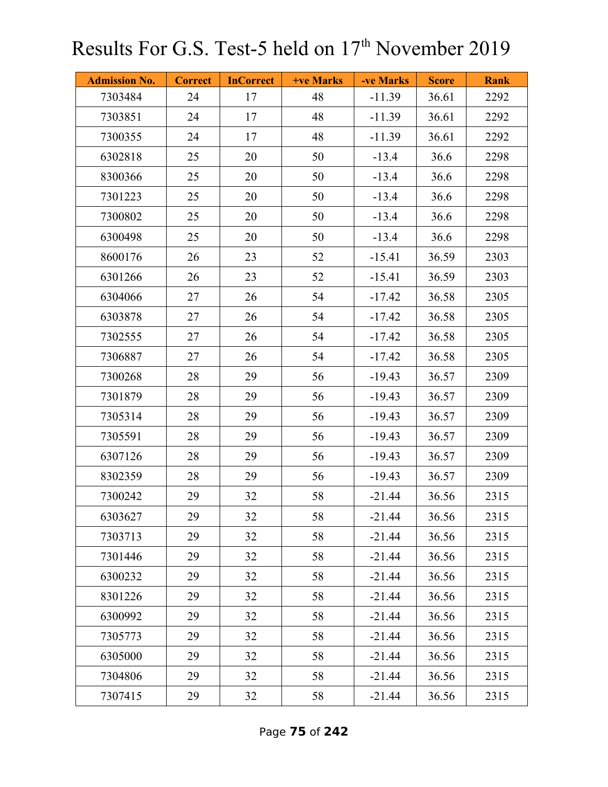| <b>Admission No.</b> | <b>Correct</b> | <b>InCorrect</b> | +ve Marks | -ve Marks | <b>Score</b> | <b>Rank</b> |
|----------------------|----------------|------------------|-----------|-----------|--------------|-------------|
| 7303484              | 24             | 17               | 48        | $-11.39$  | 36.61        | 2292        |
| 7303851              | 24             | 17               | 48        | $-11.39$  | 36.61        | 2292        |
| 7300355              | 24             | 17               | 48        | $-11.39$  | 36.61        | 2292        |
| 6302818              | 25             | 20               | 50        | $-13.4$   | 36.6         | 2298        |
| 8300366              | 25             | 20               | 50        | $-13.4$   | 36.6         | 2298        |
| 7301223              | 25             | 20               | 50        | $-13.4$   | 36.6         | 2298        |
| 7300802              | 25             | 20               | 50        | $-13.4$   | 36.6         | 2298        |
| 6300498              | 25             | 20               | 50        | $-13.4$   | 36.6         | 2298        |
| 8600176              | 26             | 23               | 52        | $-15.41$  | 36.59        | 2303        |
| 6301266              | 26             | 23               | 52        | $-15.41$  | 36.59        | 2303        |
| 6304066              | 27             | 26               | 54        | $-17.42$  | 36.58        | 2305        |
| 6303878              | 27             | 26               | 54        | $-17.42$  | 36.58        | 2305        |
| 7302555              | 27             | 26               | 54        | $-17.42$  | 36.58        | 2305        |
| 7306887              | 27             | 26               | 54        | $-17.42$  | 36.58        | 2305        |
| 7300268              | 28             | 29               | 56        | $-19.43$  | 36.57        | 2309        |
| 7301879              | 28             | 29               | 56        | $-19.43$  | 36.57        | 2309        |
| 7305314              | 28             | 29               | 56        | $-19.43$  | 36.57        | 2309        |
| 7305591              | 28             | 29               | 56        | $-19.43$  | 36.57        | 2309        |
| 6307126              | 28             | 29               | 56        | $-19.43$  | 36.57        | 2309        |
| 8302359              | 28             | 29               | 56        | $-19.43$  | 36.57        | 2309        |
| 7300242              | 29             | 32               | 58        | $-21.44$  | 36.56        | 2315        |
| 6303627              | 29             | 32               | 58        | $-21.44$  | 36.56        | 2315        |
| 7303713              | 29             | 32               | 58        | $-21.44$  | 36.56        | 2315        |
| 7301446              | 29             | 32               | 58        | $-21.44$  | 36.56        | 2315        |
| 6300232              | 29             | 32               | 58        | $-21.44$  | 36.56        | 2315        |
| 8301226              | 29             | 32               | 58        | $-21.44$  | 36.56        | 2315        |
| 6300992              | 29             | 32               | 58        | $-21.44$  | 36.56        | 2315        |
| 7305773              | 29             | 32               | 58        | $-21.44$  | 36.56        | 2315        |
| 6305000              | 29             | 32               | 58        | $-21.44$  | 36.56        | 2315        |
| 7304806              | 29             | 32               | 58        | $-21.44$  | 36.56        | 2315        |
| 7307415              | 29             | 32               | 58        | $-21.44$  | 36.56        | 2315        |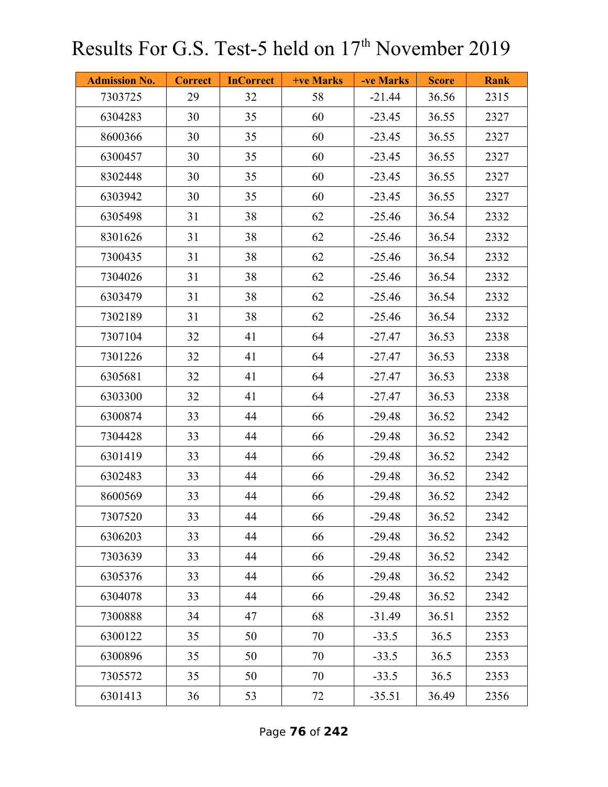| <b>Admission No.</b> | <b>Correct</b> | <b>InCorrect</b> | +ve Marks | -ve Marks | <b>Score</b> | <b>Rank</b> |
|----------------------|----------------|------------------|-----------|-----------|--------------|-------------|
| 7303725              | 29             | 32               | 58        | $-21.44$  | 36.56        | 2315        |
| 6304283              | 30             | 35               | 60        | $-23.45$  | 36.55        | 2327        |
| 8600366              | 30             | 35               | 60        | $-23.45$  | 36.55        | 2327        |
| 6300457              | 30             | 35               | 60        | $-23.45$  | 36.55        | 2327        |
| 8302448              | 30             | 35               | 60        | $-23.45$  | 36.55        | 2327        |
| 6303942              | 30             | 35               | 60        | $-23.45$  | 36.55        | 2327        |
| 6305498              | 31             | 38               | 62        | $-25.46$  | 36.54        | 2332        |
| 8301626              | 31             | 38               | 62        | $-25.46$  | 36.54        | 2332        |
| 7300435              | 31             | 38               | 62        | $-25.46$  | 36.54        | 2332        |
| 7304026              | 31             | 38               | 62        | $-25.46$  | 36.54        | 2332        |
| 6303479              | 31             | 38               | 62        | $-25.46$  | 36.54        | 2332        |
| 7302189              | 31             | 38               | 62        | $-25.46$  | 36.54        | 2332        |
| 7307104              | 32             | 41               | 64        | $-27.47$  | 36.53        | 2338        |
| 7301226              | 32             | 41               | 64        | $-27.47$  | 36.53        | 2338        |
| 6305681              | 32             | 41               | 64        | $-27.47$  | 36.53        | 2338        |
| 6303300              | 32             | 41               | 64        | $-27.47$  | 36.53        | 2338        |
| 6300874              | 33             | 44               | 66        | $-29.48$  | 36.52        | 2342        |
| 7304428              | 33             | 44               | 66        | $-29.48$  | 36.52        | 2342        |
| 6301419              | 33             | 44               | 66        | $-29.48$  | 36.52        | 2342        |
| 6302483              | 33             | 44               | 66        | $-29.48$  | 36.52        | 2342        |
| 8600569              | 33             | 44               | 66        | $-29.48$  | 36.52        | 2342        |
| 7307520              | 33             | 44               | 66        | $-29.48$  | 36.52        | 2342        |
| 6306203              | 33             | 44               | 66        | $-29.48$  | 36.52        | 2342        |
| 7303639              | 33             | 44               | 66        | $-29.48$  | 36.52        | 2342        |
| 6305376              | 33             | 44               | 66        | $-29.48$  | 36.52        | 2342        |
| 6304078              | 33             | 44               | 66        | $-29.48$  | 36.52        | 2342        |
| 7300888              | 34             | 47               | 68        | $-31.49$  | 36.51        | 2352        |
| 6300122              | 35             | 50               | 70        | $-33.5$   | 36.5         | 2353        |
| 6300896              | 35             | 50               | 70        | $-33.5$   | 36.5         | 2353        |
| 7305572              | 35             | 50               | 70        | $-33.5$   | 36.5         | 2353        |
| 6301413              | 36             | 53               | 72        | $-35.51$  | 36.49        | 2356        |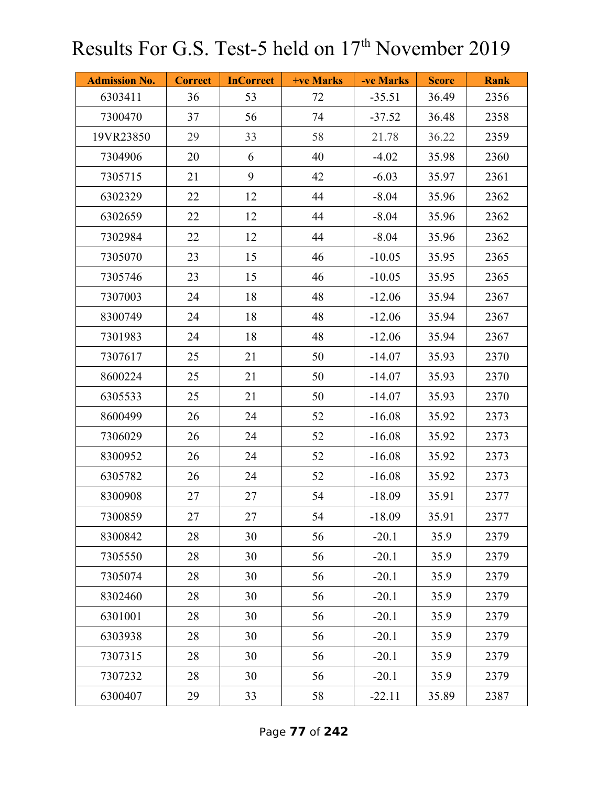| <b>Admission No.</b> | <b>Correct</b> | <b>InCorrect</b> | +ve Marks | -ve Marks | <b>Score</b> | <b>Rank</b> |
|----------------------|----------------|------------------|-----------|-----------|--------------|-------------|
| 6303411              | 36             | 53               | 72        | $-35.51$  | 36.49        | 2356        |
| 7300470              | 37             | 56               | 74        | $-37.52$  | 36.48        | 2358        |
| 19VR23850            | 29             | 33               | 58        | 21.78     | 36.22        | 2359        |
| 7304906              | 20             | 6                | 40        | $-4.02$   | 35.98        | 2360        |
| 7305715              | 21             | 9                | 42        | $-6.03$   | 35.97        | 2361        |
| 6302329              | 22             | 12               | 44        | $-8.04$   | 35.96        | 2362        |
| 6302659              | 22             | 12               | 44        | $-8.04$   | 35.96        | 2362        |
| 7302984              | 22             | 12               | 44        | $-8.04$   | 35.96        | 2362        |
| 7305070              | 23             | 15               | 46        | $-10.05$  | 35.95        | 2365        |
| 7305746              | 23             | 15               | 46        | $-10.05$  | 35.95        | 2365        |
| 7307003              | 24             | 18               | 48        | $-12.06$  | 35.94        | 2367        |
| 8300749              | 24             | 18               | 48        | $-12.06$  | 35.94        | 2367        |
| 7301983              | 24             | 18               | 48        | $-12.06$  | 35.94        | 2367        |
| 7307617              | 25             | 21               | 50        | $-14.07$  | 35.93        | 2370        |
| 8600224              | 25             | 21               | 50        | $-14.07$  | 35.93        | 2370        |
| 6305533              | 25             | 21               | 50        | $-14.07$  | 35.93        | 2370        |
| 8600499              | 26             | 24               | 52        | $-16.08$  | 35.92        | 2373        |
| 7306029              | 26             | 24               | 52        | $-16.08$  | 35.92        | 2373        |
| 8300952              | 26             | 24               | 52        | $-16.08$  | 35.92        | 2373        |
| 6305782              | 26             | 24               | 52        | $-16.08$  | 35.92        | 2373        |
| 8300908              | 27             | 27               | 54        | $-18.09$  | 35.91        | 2377        |
| 7300859              | 27             | 27               | 54        | $-18.09$  | 35.91        | 2377        |
| 8300842              | 28             | 30               | 56        | $-20.1$   | 35.9         | 2379        |
| 7305550              | 28             | 30               | 56        | $-20.1$   | 35.9         | 2379        |
| 7305074              | 28             | 30               | 56        | $-20.1$   | 35.9         | 2379        |
| 8302460              | 28             | 30               | 56        | $-20.1$   | 35.9         | 2379        |
| 6301001              | 28             | 30               | 56        | $-20.1$   | 35.9         | 2379        |
| 6303938              | 28             | 30               | 56        | $-20.1$   | 35.9         | 2379        |
| 7307315              | 28             | 30               | 56        | $-20.1$   | 35.9         | 2379        |
| 7307232              | 28             | 30               | 56        | $-20.1$   | 35.9         | 2379        |
| 6300407              | 29             | 33               | 58        | $-22.11$  | 35.89        | 2387        |

Page **77** of **242**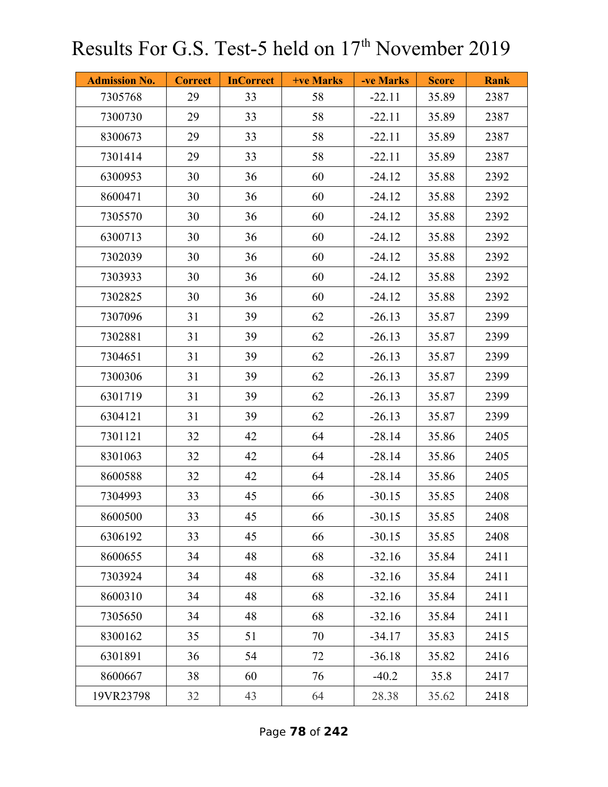| <b>Admission No.</b> | <b>Correct</b> | <b>InCorrect</b> | <b>+ve Marks</b> | -ve Marks | <b>Score</b> | <b>Rank</b> |
|----------------------|----------------|------------------|------------------|-----------|--------------|-------------|
| 7305768              | 29             | 33               | 58               | $-22.11$  | 35.89        | 2387        |
| 7300730              | 29             | 33               | 58               | $-22.11$  | 35.89        | 2387        |
| 8300673              | 29             | 33               | 58               | $-22.11$  | 35.89        | 2387        |
| 7301414              | 29             | 33               | 58               | $-22.11$  | 35.89        | 2387        |
| 6300953              | 30             | 36               | 60               | $-24.12$  | 35.88        | 2392        |
| 8600471              | 30             | 36               | 60               | $-24.12$  | 35.88        | 2392        |
| 7305570              | 30             | 36               | 60               | $-24.12$  | 35.88        | 2392        |
| 6300713              | 30             | 36               | 60               | $-24.12$  | 35.88        | 2392        |
| 7302039              | 30             | 36               | 60               | $-24.12$  | 35.88        | 2392        |
| 7303933              | 30             | 36               | 60               | $-24.12$  | 35.88        | 2392        |
| 7302825              | 30             | 36               | 60               | $-24.12$  | 35.88        | 2392        |
| 7307096              | 31             | 39               | 62               | $-26.13$  | 35.87        | 2399        |
| 7302881              | 31             | 39               | 62               | $-26.13$  | 35.87        | 2399        |
| 7304651              | 31             | 39               | 62               | $-26.13$  | 35.87        | 2399        |
| 7300306              | 31             | 39               | 62               | $-26.13$  | 35.87        | 2399        |
| 6301719              | 31             | 39               | 62               | $-26.13$  | 35.87        | 2399        |
| 6304121              | 31             | 39               | 62               | $-26.13$  | 35.87        | 2399        |
| 7301121              | 32             | 42               | 64               | $-28.14$  | 35.86        | 2405        |
| 8301063              | 32             | 42               | 64               | $-28.14$  | 35.86        | 2405        |
| 8600588              | 32             | 42               | 64               | $-28.14$  | 35.86        | 2405        |
| 7304993              | 33             | 45               | 66               | $-30.15$  | 35.85        | 2408        |
| 8600500              | 33             | 45               | 66               | $-30.15$  | 35.85        | 2408        |
| 6306192              | 33             | 45               | 66               | $-30.15$  | 35.85        | 2408        |
| 8600655              | 34             | 48               | 68               | $-32.16$  | 35.84        | 2411        |
| 7303924              | 34             | 48               | 68               | $-32.16$  | 35.84        | 2411        |
| 8600310              | 34             | 48               | 68               | $-32.16$  | 35.84        | 2411        |
| 7305650              | 34             | 48               | 68               | $-32.16$  | 35.84        | 2411        |
| 8300162              | 35             | 51               | 70               | $-34.17$  | 35.83        | 2415        |
| 6301891              | 36             | 54               | 72               | $-36.18$  | 35.82        | 2416        |
| 8600667              | 38             | 60               | 76               | $-40.2$   | 35.8         | 2417        |
| 19VR23798            | 32             | 43               | 64               | 28.38     | 35.62        | 2418        |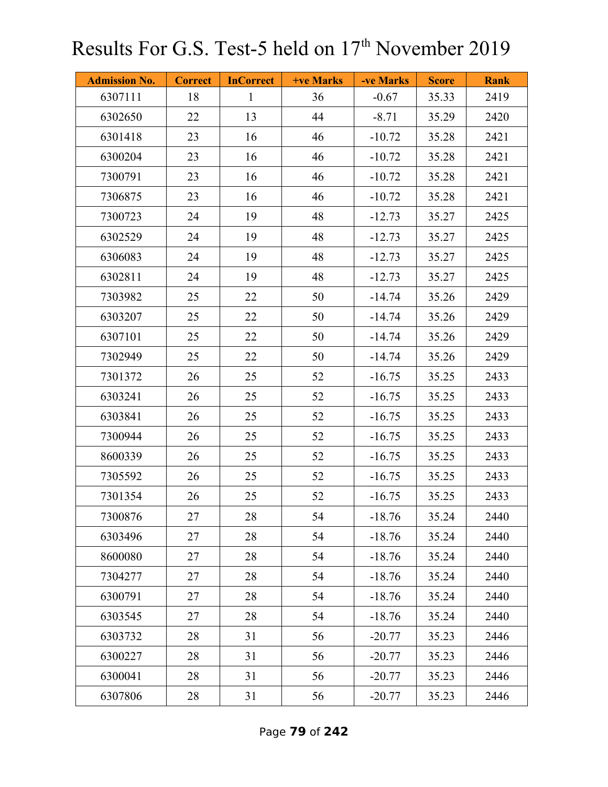| <b>Admission No.</b> | <b>Correct</b> | <b>InCorrect</b> | <b>+ve Marks</b> | -ve Marks | <b>Score</b> | <b>Rank</b> |
|----------------------|----------------|------------------|------------------|-----------|--------------|-------------|
| 6307111              | 18             | $\mathbf{1}$     | 36               | $-0.67$   | 35.33        | 2419        |
| 6302650              | 22             | 13               | 44               | $-8.71$   | 35.29        | 2420        |
| 6301418              | 23             | 16               | 46               | $-10.72$  | 35.28        | 2421        |
| 6300204              | 23             | 16               | 46               | $-10.72$  | 35.28        | 2421        |
| 7300791              | 23             | 16               | 46               | $-10.72$  | 35.28        | 2421        |
| 7306875              | 23             | 16               | 46               | $-10.72$  | 35.28        | 2421        |
| 7300723              | 24             | 19               | 48               | $-12.73$  | 35.27        | 2425        |
| 6302529              | 24             | 19               | 48               | $-12.73$  | 35.27        | 2425        |
| 6306083              | 24             | 19               | 48               | $-12.73$  | 35.27        | 2425        |
| 6302811              | 24             | 19               | 48               | $-12.73$  | 35.27        | 2425        |
| 7303982              | 25             | 22               | 50               | $-14.74$  | 35.26        | 2429        |
| 6303207              | 25             | 22               | 50               | $-14.74$  | 35.26        | 2429        |
| 6307101              | 25             | 22               | 50               | $-14.74$  | 35.26        | 2429        |
| 7302949              | 25             | 22               | 50               | $-14.74$  | 35.26        | 2429        |
| 7301372              | 26             | 25               | 52               | $-16.75$  | 35.25        | 2433        |
| 6303241              | 26             | 25               | 52               | $-16.75$  | 35.25        | 2433        |
| 6303841              | 26             | 25               | 52               | $-16.75$  | 35.25        | 2433        |
| 7300944              | 26             | 25               | 52               | $-16.75$  | 35.25        | 2433        |
| 8600339              | 26             | 25               | 52               | $-16.75$  | 35.25        | 2433        |
| 7305592              | 26             | 25               | 52               | $-16.75$  | 35.25        | 2433        |
| 7301354              | 26             | 25               | 52               | $-16.75$  | 35.25        | 2433        |
| 7300876              | 27             | 28               | 54               | $-18.76$  | 35.24        | 2440        |
| 6303496              | 27             | 28               | 54               | $-18.76$  | 35.24        | 2440        |
| 8600080              | 27             | 28               | 54               | $-18.76$  | 35.24        | 2440        |
| 7304277              | 27             | 28               | 54               | $-18.76$  | 35.24        | 2440        |
| 6300791              | 27             | 28               | 54               | $-18.76$  | 35.24        | 2440        |
| 6303545              | 27             | 28               | 54               | $-18.76$  | 35.24        | 2440        |
| 6303732              | 28             | 31               | 56               | $-20.77$  | 35.23        | 2446        |
| 6300227              | 28             | 31               | 56               | $-20.77$  | 35.23        | 2446        |
| 6300041              | 28             | 31               | 56               | $-20.77$  | 35.23        | 2446        |
| 6307806              | 28             | 31               | 56               | $-20.77$  | 35.23        | 2446        |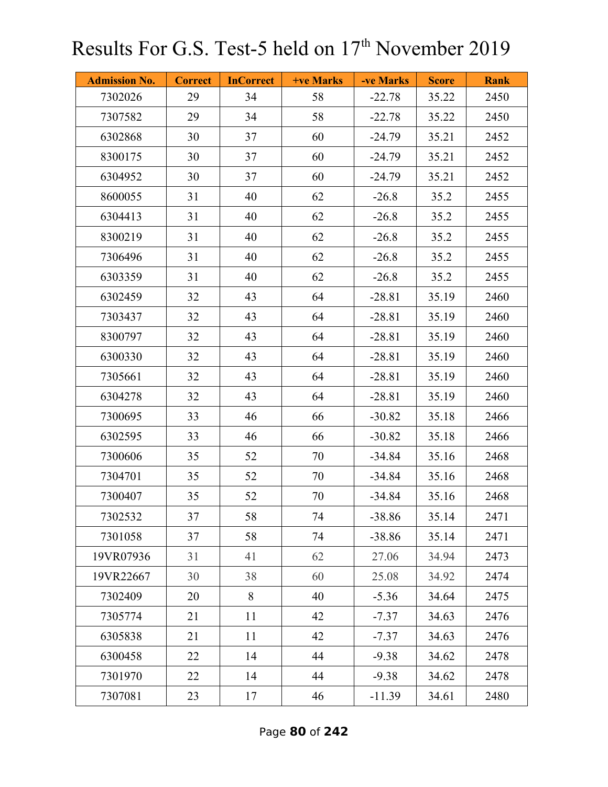| <b>Admission No.</b> | <b>Correct</b> | <b>InCorrect</b> | <b>+ve Marks</b> | -ve Marks | <b>Score</b> | <b>Rank</b> |
|----------------------|----------------|------------------|------------------|-----------|--------------|-------------|
| 7302026              | 29             | 34               | 58               | $-22.78$  | 35.22        | 2450        |
| 7307582              | 29             | 34               | 58               | $-22.78$  | 35.22        | 2450        |
| 6302868              | 30             | 37               | 60               | $-24.79$  | 35.21        | 2452        |
| 8300175              | 30             | 37               | 60               | $-24.79$  | 35.21        | 2452        |
| 6304952              | 30             | 37               | 60               | $-24.79$  | 35.21        | 2452        |
| 8600055              | 31             | 40               | 62               | $-26.8$   | 35.2         | 2455        |
| 6304413              | 31             | 40               | 62               | $-26.8$   | 35.2         | 2455        |
| 8300219              | 31             | 40               | 62               | $-26.8$   | 35.2         | 2455        |
| 7306496              | 31             | 40               | 62               | $-26.8$   | 35.2         | 2455        |
| 6303359              | 31             | 40               | 62               | $-26.8$   | 35.2         | 2455        |
| 6302459              | 32             | 43               | 64               | $-28.81$  | 35.19        | 2460        |
| 7303437              | 32             | 43               | 64               | $-28.81$  | 35.19        | 2460        |
| 8300797              | 32             | 43               | 64               | $-28.81$  | 35.19        | 2460        |
| 6300330              | 32             | 43               | 64               | $-28.81$  | 35.19        | 2460        |
| 7305661              | 32             | 43               | 64               | $-28.81$  | 35.19        | 2460        |
| 6304278              | 32             | 43               | 64               | $-28.81$  | 35.19        | 2460        |
| 7300695              | 33             | 46               | 66               | $-30.82$  | 35.18        | 2466        |
| 6302595              | 33             | 46               | 66               | $-30.82$  | 35.18        | 2466        |
| 7300606              | 35             | 52               | 70               | $-34.84$  | 35.16        | 2468        |
| 7304701              | 35             | 52               | 70               | $-34.84$  | 35.16        | 2468        |
| 7300407              | 35             | 52               | 70               | $-34.84$  | 35.16        | 2468        |
| 7302532              | 37             | 58               | 74               | $-38.86$  | 35.14        | 2471        |
| 7301058              | 37             | 58               | 74               | $-38.86$  | 35.14        | 2471        |
| 19VR07936            | 31             | 41               | 62               | 27.06     | 34.94        | 2473        |
| 19VR22667            | 30             | 38               | 60               | 25.08     | 34.92        | 2474        |
| 7302409              | 20             | 8                | 40               | $-5.36$   | 34.64        | 2475        |
| 7305774              | 21             | 11               | 42               | $-7.37$   | 34.63        | 2476        |
| 6305838              | 21             | 11               | 42               | $-7.37$   | 34.63        | 2476        |
| 6300458              | 22             | 14               | 44               | $-9.38$   | 34.62        | 2478        |
| 7301970              | 22             | 14               | 44               | $-9.38$   | 34.62        | 2478        |
| 7307081              | 23             | 17               | 46               | $-11.39$  | 34.61        | 2480        |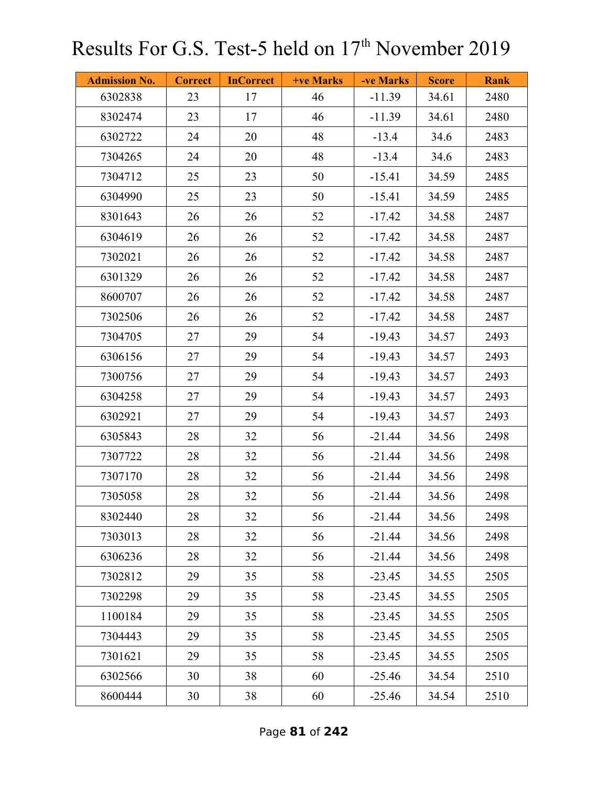| <b>Admission No.</b> | <b>Correct</b> | <b>InCorrect</b> | <b>+ve Marks</b> | -ve Marks | <b>Score</b> | <b>Rank</b> |
|----------------------|----------------|------------------|------------------|-----------|--------------|-------------|
| 6302838              | 23             | 17               | 46               | $-11.39$  | 34.61        | 2480        |
| 8302474              | 23             | 17               | 46               | $-11.39$  | 34.61        | 2480        |
| 6302722              | 24             | 20               | 48               | $-13.4$   | 34.6         | 2483        |
| 7304265              | 24             | 20               | 48               | $-13.4$   | 34.6         | 2483        |
| 7304712              | 25             | 23               | 50               | $-15.41$  | 34.59        | 2485        |
| 6304990              | 25             | 23               | 50               | $-15.41$  | 34.59        | 2485        |
| 8301643              | 26             | 26               | 52               | $-17.42$  | 34.58        | 2487        |
| 6304619              | 26             | 26               | 52               | $-17.42$  | 34.58        | 2487        |
| 7302021              | 26             | 26               | 52               | $-17.42$  | 34.58        | 2487        |
| 6301329              | 26             | 26               | 52               | $-17.42$  | 34.58        | 2487        |
| 8600707              | 26             | 26               | 52               | $-17.42$  | 34.58        | 2487        |
| 7302506              | 26             | 26               | 52               | $-17.42$  | 34.58        | 2487        |
| 7304705              | 27             | 29               | 54               | $-19.43$  | 34.57        | 2493        |
| 6306156              | 27             | 29               | 54               | $-19.43$  | 34.57        | 2493        |
| 7300756              | 27             | 29               | 54               | $-19.43$  | 34.57        | 2493        |
| 6304258              | 27             | 29               | 54               | $-19.43$  | 34.57        | 2493        |
| 6302921              | 27             | 29               | 54               | $-19.43$  | 34.57        | 2493        |
| 6305843              | 28             | 32               | 56               | $-21.44$  | 34.56        | 2498        |
| 7307722              | 28             | 32               | 56               | $-21.44$  | 34.56        | 2498        |
| 7307170              | 28             | 32               | 56               | $-21.44$  | 34.56        | 2498        |
| 7305058              | 28             | 32               | 56               | $-21.44$  | 34.56        | 2498        |
| 8302440              | 28             | 32               | 56               | $-21.44$  | 34.56        | 2498        |
| 7303013              | 28             | 32               | 56               | $-21.44$  | 34.56        | 2498        |
| 6306236              | 28             | 32               | 56               | $-21.44$  | 34.56        | 2498        |
| 7302812              | 29             | 35               | 58               | $-23.45$  | 34.55        | 2505        |
| 7302298              | 29             | 35               | 58               | $-23.45$  | 34.55        | 2505        |
| 1100184              | 29             | 35               | 58               | $-23.45$  | 34.55        | 2505        |
| 7304443              | 29             | 35               | 58               | $-23.45$  | 34.55        | 2505        |
| 7301621              | 29             | 35               | 58               | $-23.45$  | 34.55        | 2505        |
| 6302566              | 30             | 38               | 60               | $-25.46$  | 34.54        | 2510        |
| 8600444              | 30             | 38               | 60               | $-25.46$  | 34.54        | 2510        |

Page **81** of **242**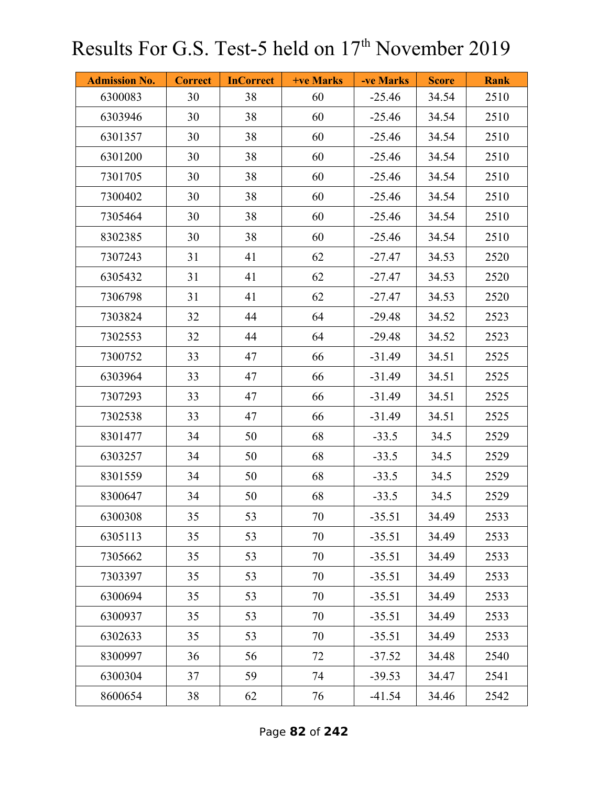| <b>Admission No.</b> | <b>Correct</b> | <b>InCorrect</b> | +ve Marks | -ve Marks | <b>Score</b> | <b>Rank</b> |
|----------------------|----------------|------------------|-----------|-----------|--------------|-------------|
| 6300083              | 30             | 38               | 60        | $-25.46$  | 34.54        | 2510        |
| 6303946              | 30             | 38               | 60        | $-25.46$  | 34.54        | 2510        |
| 6301357              | 30             | 38               | 60        | $-25.46$  | 34.54        | 2510        |
| 6301200              | 30             | 38               | 60        | $-25.46$  | 34.54        | 2510        |
| 7301705              | 30             | 38               | 60        | $-25.46$  | 34.54        | 2510        |
| 7300402              | 30             | 38               | 60        | $-25.46$  | 34.54        | 2510        |
| 7305464              | 30             | 38               | 60        | $-25.46$  | 34.54        | 2510        |
| 8302385              | 30             | 38               | 60        | $-25.46$  | 34.54        | 2510        |
| 7307243              | 31             | 41               | 62        | $-27.47$  | 34.53        | 2520        |
| 6305432              | 31             | 41               | 62        | $-27.47$  | 34.53        | 2520        |
| 7306798              | 31             | 41               | 62        | $-27.47$  | 34.53        | 2520        |
| 7303824              | 32             | 44               | 64        | $-29.48$  | 34.52        | 2523        |
| 7302553              | 32             | 44               | 64        | $-29.48$  | 34.52        | 2523        |
| 7300752              | 33             | 47               | 66        | $-31.49$  | 34.51        | 2525        |
| 6303964              | 33             | 47               | 66        | $-31.49$  | 34.51        | 2525        |
| 7307293              | 33             | 47               | 66        | $-31.49$  | 34.51        | 2525        |
| 7302538              | 33             | 47               | 66        | $-31.49$  | 34.51        | 2525        |
| 8301477              | 34             | 50               | 68        | $-33.5$   | 34.5         | 2529        |
| 6303257              | 34             | 50               | 68        | $-33.5$   | 34.5         | 2529        |
| 8301559              | 34             | 50               | 68        | $-33.5$   | 34.5         | 2529        |
| 8300647              | 34             | 50               | 68        | $-33.5$   | 34.5         | 2529        |
| 6300308              | 35             | 53               | 70        | $-35.51$  | 34.49        | 2533        |
| 6305113              | 35             | 53               | 70        | $-35.51$  | 34.49        | 2533        |
| 7305662              | 35             | 53               | 70        | $-35.51$  | 34.49        | 2533        |
| 7303397              | 35             | 53               | 70        | $-35.51$  | 34.49        | 2533        |
| 6300694              | 35             | 53               | 70        | $-35.51$  | 34.49        | 2533        |
| 6300937              | 35             | 53               | 70        | $-35.51$  | 34.49        | 2533        |
| 6302633              | 35             | 53               | 70        | $-35.51$  | 34.49        | 2533        |
| 8300997              | 36             | 56               | 72        | $-37.52$  | 34.48        | 2540        |
| 6300304              | 37             | 59               | 74        | $-39.53$  | 34.47        | 2541        |
| 8600654              | 38             | 62               | 76        | $-41.54$  | 34.46        | 2542        |

Page **82** of **242**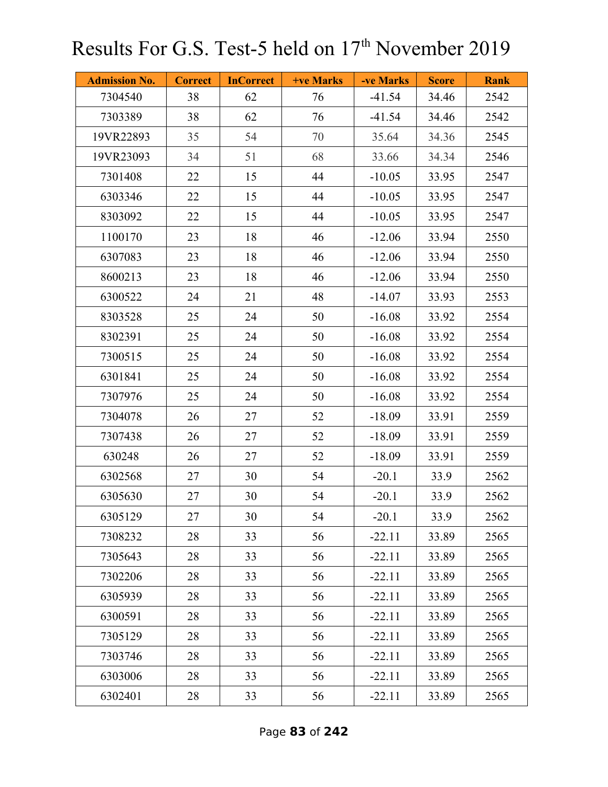| <b>Admission No.</b> | <b>Correct</b> | <b>InCorrect</b> | <b>+ve Marks</b> | -ve Marks | <b>Score</b> | <b>Rank</b> |
|----------------------|----------------|------------------|------------------|-----------|--------------|-------------|
| 7304540              | 38             | 62               | 76               | $-41.54$  | 34.46        | 2542        |
| 7303389              | 38             | 62               | 76               | $-41.54$  | 34.46        | 2542        |
| 19VR22893            | 35             | 54               | 70               | 35.64     | 34.36        | 2545        |
| 19VR23093            | 34             | 51               | 68               | 33.66     | 34.34        | 2546        |
| 7301408              | 22             | 15               | 44               | $-10.05$  | 33.95        | 2547        |
| 6303346              | 22             | 15               | 44               | $-10.05$  | 33.95        | 2547        |
| 8303092              | 22             | 15               | 44               | $-10.05$  | 33.95        | 2547        |
| 1100170              | 23             | 18               | 46               | $-12.06$  | 33.94        | 2550        |
| 6307083              | 23             | 18               | 46               | $-12.06$  | 33.94        | 2550        |
| 8600213              | 23             | 18               | 46               | $-12.06$  | 33.94        | 2550        |
| 6300522              | 24             | 21               | 48               | $-14.07$  | 33.93        | 2553        |
| 8303528              | 25             | 24               | 50               | $-16.08$  | 33.92        | 2554        |
| 8302391              | 25             | 24               | 50               | $-16.08$  | 33.92        | 2554        |
| 7300515              | 25             | 24               | 50               | $-16.08$  | 33.92        | 2554        |
| 6301841              | 25             | 24               | 50               | $-16.08$  | 33.92        | 2554        |
| 7307976              | 25             | 24               | 50               | $-16.08$  | 33.92        | 2554        |
| 7304078              | 26             | 27               | 52               | $-18.09$  | 33.91        | 2559        |
| 7307438              | 26             | 27               | 52               | $-18.09$  | 33.91        | 2559        |
| 630248               | 26             | 27               | 52               | $-18.09$  | 33.91        | 2559        |
| 6302568              | 27             | 30               | 54               | $-20.1$   | 33.9         | 2562        |
| 6305630              | 27             | 30               | 54               | $-20.1$   | 33.9         | 2562        |
| 6305129              | 27             | 30               | 54               | $-20.1$   | 33.9         | 2562        |
| 7308232              | 28             | 33               | 56               | $-22.11$  | 33.89        | 2565        |
| 7305643              | 28             | 33               | 56               | $-22.11$  | 33.89        | 2565        |
| 7302206              | 28             | 33               | 56               | $-22.11$  | 33.89        | 2565        |
| 6305939              | 28             | 33               | 56               | $-22.11$  | 33.89        | 2565        |
| 6300591              | 28             | 33               | 56               | $-22.11$  | 33.89        | 2565        |
| 7305129              | 28             | 33               | 56               | $-22.11$  | 33.89        | 2565        |
| 7303746              | 28             | 33               | 56               | $-22.11$  | 33.89        | 2565        |
| 6303006              | 28             | 33               | 56               | $-22.11$  | 33.89        | 2565        |
| 6302401              | 28             | 33               | 56               | $-22.11$  | 33.89        | 2565        |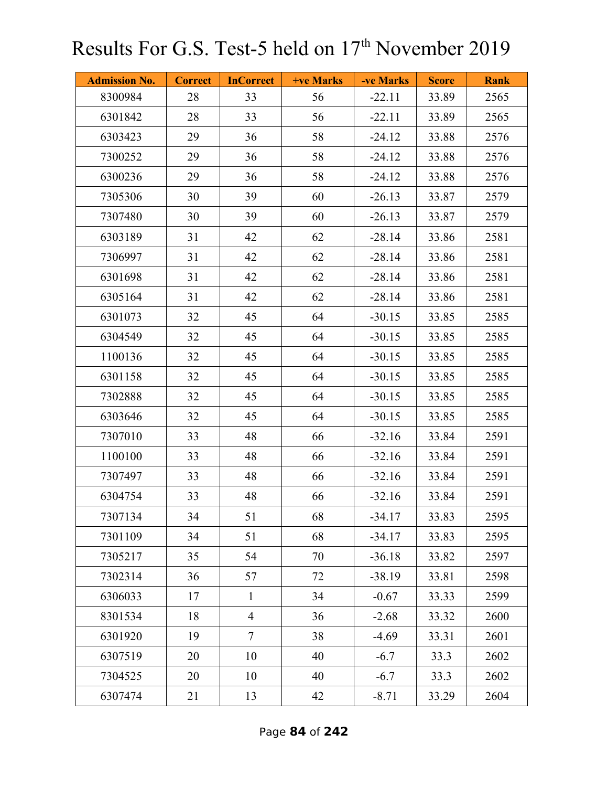| <b>Admission No.</b> | <b>Correct</b> | <b>InCorrect</b> | <b>+ve Marks</b> | -ve Marks | <b>Score</b> | <b>Rank</b> |
|----------------------|----------------|------------------|------------------|-----------|--------------|-------------|
| 8300984              | 28             | 33               | 56               | $-22.11$  | 33.89        | 2565        |
| 6301842              | 28             | 33               | 56               | $-22.11$  | 33.89        | 2565        |
| 6303423              | 29             | 36               | 58               | $-24.12$  | 33.88        | 2576        |
| 7300252              | 29             | 36               | 58               | $-24.12$  | 33.88        | 2576        |
| 6300236              | 29             | 36               | 58               | $-24.12$  | 33.88        | 2576        |
| 7305306              | 30             | 39               | 60               | $-26.13$  | 33.87        | 2579        |
| 7307480              | 30             | 39               | 60               | $-26.13$  | 33.87        | 2579        |
| 6303189              | 31             | 42               | 62               | $-28.14$  | 33.86        | 2581        |
| 7306997              | 31             | 42               | 62               | $-28.14$  | 33.86        | 2581        |
| 6301698              | 31             | 42               | 62               | $-28.14$  | 33.86        | 2581        |
| 6305164              | 31             | 42               | 62               | $-28.14$  | 33.86        | 2581        |
| 6301073              | 32             | 45               | 64               | $-30.15$  | 33.85        | 2585        |
| 6304549              | 32             | 45               | 64               | $-30.15$  | 33.85        | 2585        |
| 1100136              | 32             | 45               | 64               | $-30.15$  | 33.85        | 2585        |
| 6301158              | 32             | 45               | 64               | $-30.15$  | 33.85        | 2585        |
| 7302888              | 32             | 45               | 64               | $-30.15$  | 33.85        | 2585        |
| 6303646              | 32             | 45               | 64               | $-30.15$  | 33.85        | 2585        |
| 7307010              | 33             | 48               | 66               | $-32.16$  | 33.84        | 2591        |
| 1100100              | 33             | 48               | 66               | $-32.16$  | 33.84        | 2591        |
| 7307497              | 33             | 48               | 66               | $-32.16$  | 33.84        | 2591        |
| 6304754              | 33             | 48               | 66               | $-32.16$  | 33.84        | 2591        |
| 7307134              | 34             | 51               | 68               | $-34.17$  | 33.83        | 2595        |
| 7301109              | 34             | 51               | 68               | $-34.17$  | 33.83        | 2595        |
| 7305217              | 35             | 54               | 70               | $-36.18$  | 33.82        | 2597        |
| 7302314              | 36             | 57               | 72               | $-38.19$  | 33.81        | 2598        |
| 6306033              | 17             | $\mathbf{1}$     | 34               | $-0.67$   | 33.33        | 2599        |
| 8301534              | 18             | $\overline{4}$   | 36               | $-2.68$   | 33.32        | 2600        |
| 6301920              | 19             | $\overline{7}$   | 38               | $-4.69$   | 33.31        | 2601        |
| 6307519              | 20             | 10               | 40               | $-6.7$    | 33.3         | 2602        |
| 7304525              | 20             | 10               | 40               | $-6.7$    | 33.3         | 2602        |
| 6307474              | 21             | 13               | 42               | $-8.71$   | 33.29        | 2604        |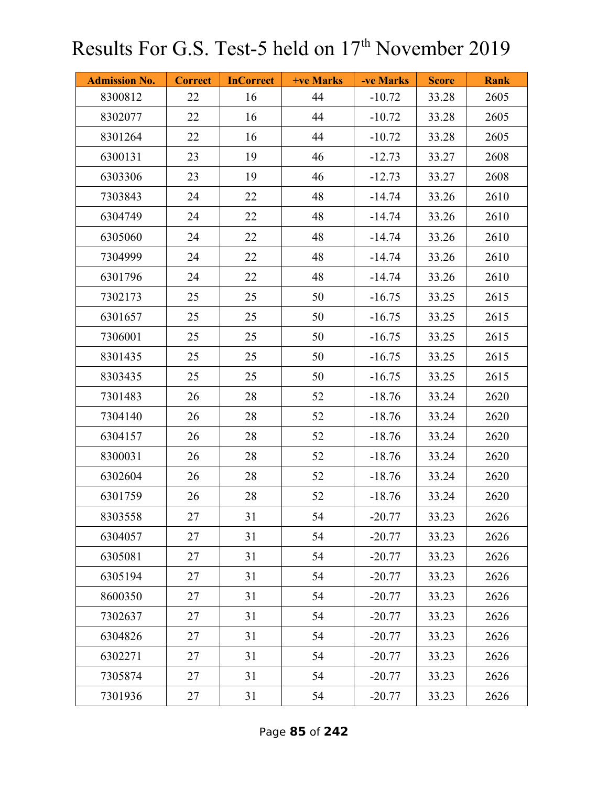| <b>Admission No.</b> | <b>Correct</b> | <b>InCorrect</b> | <b>+ve Marks</b> | -ve Marks | <b>Score</b> | <b>Rank</b> |
|----------------------|----------------|------------------|------------------|-----------|--------------|-------------|
| 8300812              | 22             | 16               | 44               | $-10.72$  | 33.28        | 2605        |
| 8302077              | 22             | 16               | 44               | $-10.72$  | 33.28        | 2605        |
| 8301264              | 22             | 16               | 44               | $-10.72$  | 33.28        | 2605        |
| 6300131              | 23             | 19               | 46               | $-12.73$  | 33.27        | 2608        |
| 6303306              | 23             | 19               | 46               | $-12.73$  | 33.27        | 2608        |
| 7303843              | 24             | 22               | 48               | $-14.74$  | 33.26        | 2610        |
| 6304749              | 24             | 22               | 48               | $-14.74$  | 33.26        | 2610        |
| 6305060              | 24             | 22               | 48               | $-14.74$  | 33.26        | 2610        |
| 7304999              | 24             | 22               | 48               | $-14.74$  | 33.26        | 2610        |
| 6301796              | 24             | 22               | 48               | $-14.74$  | 33.26        | 2610        |
| 7302173              | 25             | 25               | 50               | $-16.75$  | 33.25        | 2615        |
| 6301657              | 25             | 25               | 50               | $-16.75$  | 33.25        | 2615        |
| 7306001              | 25             | 25               | 50               | $-16.75$  | 33.25        | 2615        |
| 8301435              | 25             | 25               | 50               | $-16.75$  | 33.25        | 2615        |
| 8303435              | 25             | 25               | 50               | $-16.75$  | 33.25        | 2615        |
| 7301483              | 26             | 28               | 52               | $-18.76$  | 33.24        | 2620        |
| 7304140              | 26             | 28               | 52               | $-18.76$  | 33.24        | 2620        |
| 6304157              | 26             | 28               | 52               | $-18.76$  | 33.24        | 2620        |
| 8300031              | 26             | 28               | 52               | $-18.76$  | 33.24        | 2620        |
| 6302604              | 26             | 28               | 52               | $-18.76$  | 33.24        | 2620        |
| 6301759              | 26             | 28               | 52               | $-18.76$  | 33.24        | 2620        |
| 8303558              | 27             | 31               | 54               | $-20.77$  | 33.23        | 2626        |
| 6304057              | 27             | 31               | 54               | $-20.77$  | 33.23        | 2626        |
| 6305081              | 27             | 31               | 54               | $-20.77$  | 33.23        | 2626        |
| 6305194              | 27             | 31               | 54               | $-20.77$  | 33.23        | 2626        |
| 8600350              | 27             | 31               | 54               | $-20.77$  | 33.23        | 2626        |
| 7302637              | 27             | 31               | 54               | $-20.77$  | 33.23        | 2626        |
| 6304826              | 27             | 31               | 54               | $-20.77$  | 33.23        | 2626        |
| 6302271              | 27             | 31               | 54               | $-20.77$  | 33.23        | 2626        |
| 7305874              | 27             | 31               | 54               | $-20.77$  | 33.23        | 2626        |
| 7301936              | 27             | 31               | 54               | $-20.77$  | 33.23        | 2626        |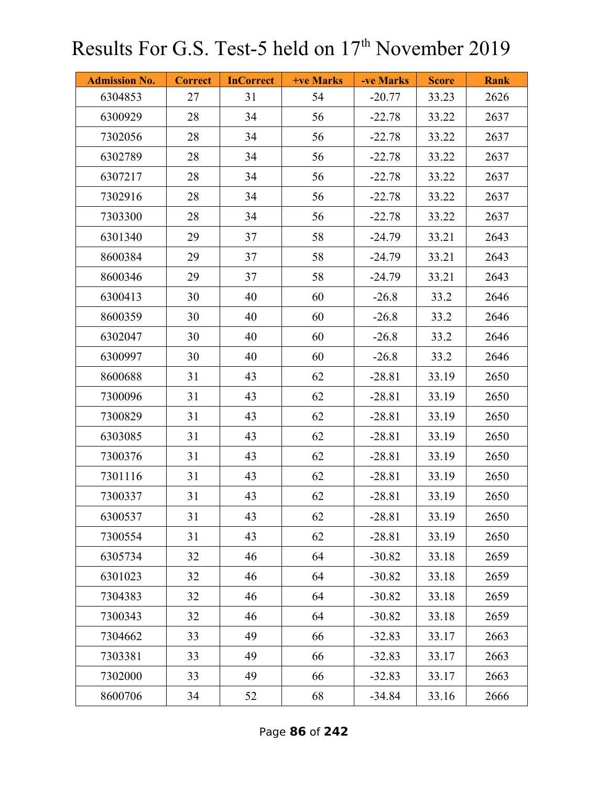| <b>Admission No.</b> | <b>Correct</b> | <b>InCorrect</b> | +ve Marks | -ve Marks | <b>Score</b> | <b>Rank</b> |
|----------------------|----------------|------------------|-----------|-----------|--------------|-------------|
| 6304853              | 27             | 31               | 54        | $-20.77$  | 33.23        | 2626        |
| 6300929              | 28             | 34               | 56        | $-22.78$  | 33.22        | 2637        |
| 7302056              | 28             | 34               | 56        | $-22.78$  | 33.22        | 2637        |
| 6302789              | 28             | 34               | 56        | $-22.78$  | 33.22        | 2637        |
| 6307217              | 28             | 34               | 56        | $-22.78$  | 33.22        | 2637        |
| 7302916              | 28             | 34               | 56        | $-22.78$  | 33.22        | 2637        |
| 7303300              | 28             | 34               | 56        | $-22.78$  | 33.22        | 2637        |
| 6301340              | 29             | 37               | 58        | $-24.79$  | 33.21        | 2643        |
| 8600384              | 29             | 37               | 58        | $-24.79$  | 33.21        | 2643        |
| 8600346              | 29             | 37               | 58        | $-24.79$  | 33.21        | 2643        |
| 6300413              | 30             | 40               | 60        | $-26.8$   | 33.2         | 2646        |
| 8600359              | 30             | 40               | 60        | $-26.8$   | 33.2         | 2646        |
| 6302047              | 30             | 40               | 60        | $-26.8$   | 33.2         | 2646        |
| 6300997              | 30             | 40               | 60        | $-26.8$   | 33.2         | 2646        |
| 8600688              | 31             | 43               | 62        | $-28.81$  | 33.19        | 2650        |
| 7300096              | 31             | 43               | 62        | $-28.81$  | 33.19        | 2650        |
| 7300829              | 31             | 43               | 62        | $-28.81$  | 33.19        | 2650        |
| 6303085              | 31             | 43               | 62        | $-28.81$  | 33.19        | 2650        |
| 7300376              | 31             | 43               | 62        | $-28.81$  | 33.19        | 2650        |
| 7301116              | 31             | 43               | 62        | $-28.81$  | 33.19        | 2650        |
| 7300337              | 31             | 43               | 62        | $-28.81$  | 33.19        | 2650        |
| 6300537              | 31             | 43               | 62        | $-28.81$  | 33.19        | 2650        |
| 7300554              | 31             | 43               | 62        | $-28.81$  | 33.19        | 2650        |
| 6305734              | 32             | 46               | 64        | $-30.82$  | 33.18        | 2659        |
| 6301023              | 32             | 46               | 64        | $-30.82$  | 33.18        | 2659        |
| 7304383              | 32             | 46               | 64        | $-30.82$  | 33.18        | 2659        |
| 7300343              | 32             | 46               | 64        | $-30.82$  | 33.18        | 2659        |
| 7304662              | 33             | 49               | 66        | $-32.83$  | 33.17        | 2663        |
| 7303381              | 33             | 49               | 66        | $-32.83$  | 33.17        | 2663        |
| 7302000              | 33             | 49               | 66        | $-32.83$  | 33.17        | 2663        |
| 8600706              | 34             | 52               | 68        | $-34.84$  | 33.16        | 2666        |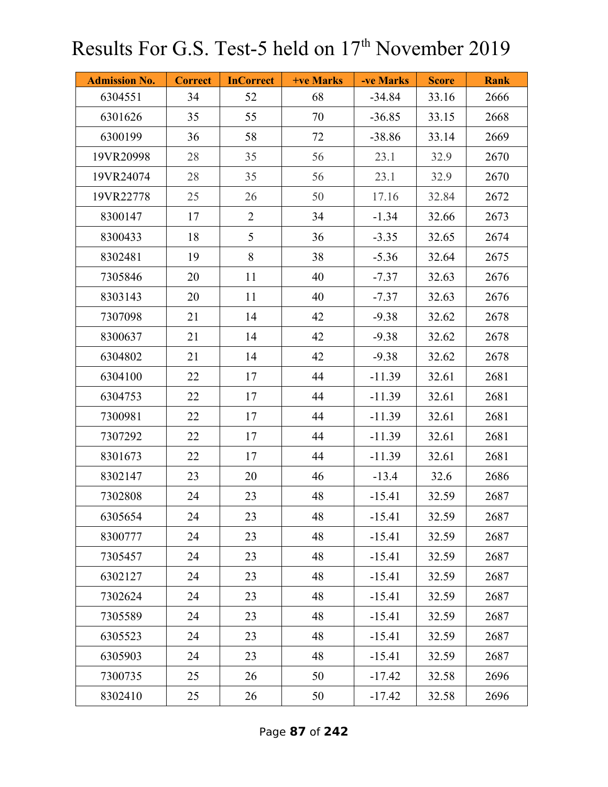| <b>Admission No.</b> | <b>Correct</b> | <b>InCorrect</b> | +ve Marks | -ve Marks | <b>Score</b> | <b>Rank</b> |
|----------------------|----------------|------------------|-----------|-----------|--------------|-------------|
| 6304551              | 34             | 52               | 68        | $-34.84$  | 33.16        | 2666        |
| 6301626              | 35             | 55               | 70        | $-36.85$  | 33.15        | 2668        |
| 6300199              | 36             | 58               | 72        | $-38.86$  | 33.14        | 2669        |
| 19VR20998            | 28             | 35               | 56        | 23.1      | 32.9         | 2670        |
| 19VR24074            | 28             | 35               | 56        | 23.1      | 32.9         | 2670        |
| 19VR22778            | 25             | 26               | 50        | 17.16     | 32.84        | 2672        |
| 8300147              | 17             | $\overline{2}$   | 34        | $-1.34$   | 32.66        | 2673        |
| 8300433              | 18             | 5                | 36        | $-3.35$   | 32.65        | 2674        |
| 8302481              | 19             | 8                | 38        | $-5.36$   | 32.64        | 2675        |
| 7305846              | 20             | 11               | 40        | $-7.37$   | 32.63        | 2676        |
| 8303143              | 20             | 11               | 40        | $-7.37$   | 32.63        | 2676        |
| 7307098              | 21             | 14               | 42        | $-9.38$   | 32.62        | 2678        |
| 8300637              | 21             | 14               | 42        | $-9.38$   | 32.62        | 2678        |
| 6304802              | 21             | 14               | 42        | $-9.38$   | 32.62        | 2678        |
| 6304100              | 22             | 17               | 44        | $-11.39$  | 32.61        | 2681        |
| 6304753              | 22             | 17               | 44        | $-11.39$  | 32.61        | 2681        |
| 7300981              | 22             | 17               | 44        | $-11.39$  | 32.61        | 2681        |
| 7307292              | 22             | 17               | 44        | $-11.39$  | 32.61        | 2681        |
| 8301673              | 22             | 17               | 44        | $-11.39$  | 32.61        | 2681        |
| 8302147              | 23             | 20               | 46        | $-13.4$   | 32.6         | 2686        |
| 7302808              | 24             | 23               | 48        | $-15.41$  | 32.59        | 2687        |
| 6305654              | 24             | 23               | 48        | $-15.41$  | 32.59        | 2687        |
| 8300777              | 24             | 23               | 48        | $-15.41$  | 32.59        | 2687        |
| 7305457              | 24             | 23               | 48        | $-15.41$  | 32.59        | 2687        |
| 6302127              | 24             | 23               | 48        | $-15.41$  | 32.59        | 2687        |
| 7302624              | 24             | 23               | 48        | $-15.41$  | 32.59        | 2687        |
| 7305589              | 24             | 23               | 48        | $-15.41$  | 32.59        | 2687        |
| 6305523              | 24             | 23               | 48        | $-15.41$  | 32.59        | 2687        |
| 6305903              | 24             | 23               | 48        | $-15.41$  | 32.59        | 2687        |
| 7300735              | 25             | 26               | 50        | $-17.42$  | 32.58        | 2696        |
| 8302410              | 25             | 26               | 50        | $-17.42$  | 32.58        | 2696        |

Page **87** of **242**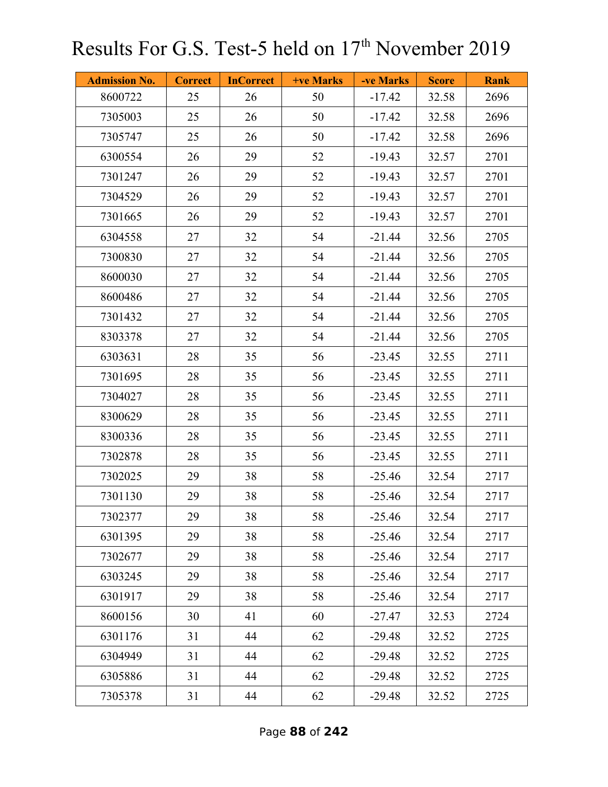| <b>Admission No.</b> | <b>Correct</b> | <b>InCorrect</b> | <b>+ve Marks</b> | -ve Marks | <b>Score</b> | <b>Rank</b> |
|----------------------|----------------|------------------|------------------|-----------|--------------|-------------|
| 8600722              | 25             | 26               | 50               | $-17.42$  | 32.58        | 2696        |
| 7305003              | 25             | 26               | 50               | $-17.42$  | 32.58        | 2696        |
| 7305747              | 25             | 26               | 50               | $-17.42$  | 32.58        | 2696        |
| 6300554              | 26             | 29               | 52               | $-19.43$  | 32.57        | 2701        |
| 7301247              | 26             | 29               | 52               | $-19.43$  | 32.57        | 2701        |
| 7304529              | 26             | 29               | 52               | $-19.43$  | 32.57        | 2701        |
| 7301665              | 26             | 29               | 52               | $-19.43$  | 32.57        | 2701        |
| 6304558              | 27             | 32               | 54               | $-21.44$  | 32.56        | 2705        |
| 7300830              | 27             | 32               | 54               | $-21.44$  | 32.56        | 2705        |
| 8600030              | 27             | 32               | 54               | $-21.44$  | 32.56        | 2705        |
| 8600486              | 27             | 32               | 54               | $-21.44$  | 32.56        | 2705        |
| 7301432              | 27             | 32               | 54               | $-21.44$  | 32.56        | 2705        |
| 8303378              | 27             | 32               | 54               | $-21.44$  | 32.56        | 2705        |
| 6303631              | 28             | 35               | 56               | $-23.45$  | 32.55        | 2711        |
| 7301695              | 28             | 35               | 56               | $-23.45$  | 32.55        | 2711        |
| 7304027              | 28             | 35               | 56               | $-23.45$  | 32.55        | 2711        |
| 8300629              | 28             | 35               | 56               | $-23.45$  | 32.55        | 2711        |
| 8300336              | 28             | 35               | 56               | $-23.45$  | 32.55        | 2711        |
| 7302878              | 28             | 35               | 56               | $-23.45$  | 32.55        | 2711        |
| 7302025              | 29             | 38               | 58               | $-25.46$  | 32.54        | 2717        |
| 7301130              | 29             | 38               | 58               | $-25.46$  | 32.54        | 2717        |
| 7302377              | 29             | 38               | 58               | $-25.46$  | 32.54        | 2717        |
| 6301395              | 29             | 38               | 58               | $-25.46$  | 32.54        | 2717        |
| 7302677              | 29             | 38               | 58               | $-25.46$  | 32.54        | 2717        |
| 6303245              | 29             | 38               | 58               | $-25.46$  | 32.54        | 2717        |
| 6301917              | 29             | 38               | 58               | $-25.46$  | 32.54        | 2717        |
| 8600156              | 30             | 41               | 60               | $-27.47$  | 32.53        | 2724        |
| 6301176              | 31             | 44               | 62               | $-29.48$  | 32.52        | 2725        |
| 6304949              | 31             | 44               | 62               | $-29.48$  | 32.52        | 2725        |
| 6305886              | 31             | 44               | 62               | $-29.48$  | 32.52        | 2725        |
| 7305378              | 31             | 44               | 62               | $-29.48$  | 32.52        | 2725        |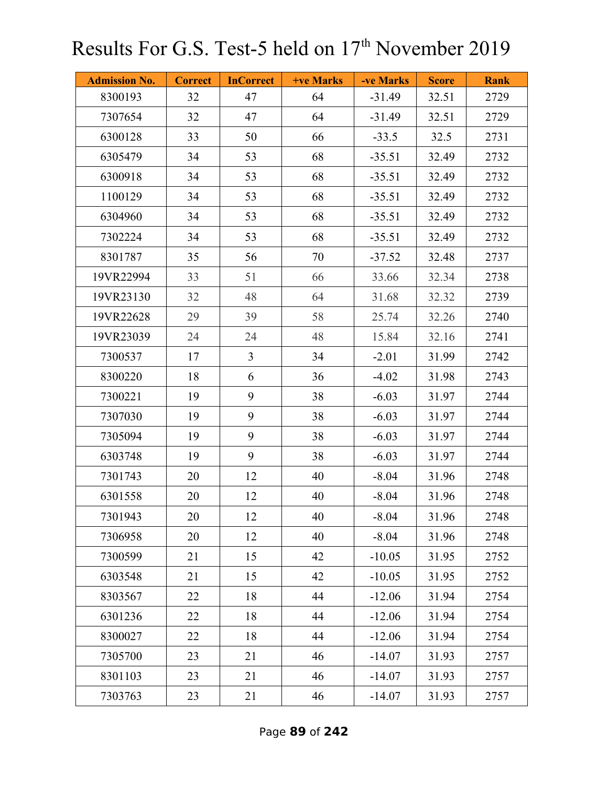| <b>Admission No.</b> | <b>Correct</b> | <b>InCorrect</b> | <b>+ve Marks</b> | -ve Marks | <b>Score</b> | <b>Rank</b> |
|----------------------|----------------|------------------|------------------|-----------|--------------|-------------|
| 8300193              | 32             | 47               | 64               | $-31.49$  | 32.51        | 2729        |
| 7307654              | 32             | 47               | 64               | $-31.49$  | 32.51        | 2729        |
| 6300128              | 33             | 50               | 66               | $-33.5$   | 32.5         | 2731        |
| 6305479              | 34             | 53               | 68               | $-35.51$  | 32.49        | 2732        |
| 6300918              | 34             | 53               | 68               | $-35.51$  | 32.49        | 2732        |
| 1100129              | 34             | 53               | 68               | $-35.51$  | 32.49        | 2732        |
| 6304960              | 34             | 53               | 68               | $-35.51$  | 32.49        | 2732        |
| 7302224              | 34             | 53               | 68               | $-35.51$  | 32.49        | 2732        |
| 8301787              | 35             | 56               | 70               | $-37.52$  | 32.48        | 2737        |
| 19VR22994            | 33             | 51               | 66               | 33.66     | 32.34        | 2738        |
| 19VR23130            | 32             | 48               | 64               | 31.68     | 32.32        | 2739        |
| 19VR22628            | 29             | 39               | 58               | 25.74     | 32.26        | 2740        |
| 19VR23039            | 24             | 24               | 48               | 15.84     | 32.16        | 2741        |
| 7300537              | 17             | $\overline{3}$   | 34               | $-2.01$   | 31.99        | 2742        |
| 8300220              | 18             | 6                | 36               | $-4.02$   | 31.98        | 2743        |
| 7300221              | 19             | 9                | 38               | $-6.03$   | 31.97        | 2744        |
| 7307030              | 19             | 9                | 38               | $-6.03$   | 31.97        | 2744        |
| 7305094              | 19             | 9                | 38               | $-6.03$   | 31.97        | 2744        |
| 6303748              | 19             | 9                | 38               | $-6.03$   | 31.97        | 2744        |
| 7301743              | 20             | 12               | 40               | $-8.04$   | 31.96        | 2748        |
| 6301558              | 20             | 12               | 40               | $-8.04$   | 31.96        | 2748        |
| 7301943              | 20             | 12               | 40               | $-8.04$   | 31.96        | 2748        |
| 7306958              | 20             | 12               | 40               | $-8.04$   | 31.96        | 2748        |
| 7300599              | 21             | 15               | 42               | $-10.05$  | 31.95        | 2752        |
| 6303548              | 21             | 15               | 42               | $-10.05$  | 31.95        | 2752        |
| 8303567              | 22             | 18               | 44               | $-12.06$  | 31.94        | 2754        |
| 6301236              | 22             | 18               | 44               | $-12.06$  | 31.94        | 2754        |
| 8300027              | 22             | 18               | 44               | $-12.06$  | 31.94        | 2754        |
| 7305700              | 23             | 21               | 46               | $-14.07$  | 31.93        | 2757        |
| 8301103              | 23             | 21               | 46               | $-14.07$  | 31.93        | 2757        |
| 7303763              | 23             | 21               | 46               | $-14.07$  | 31.93        | 2757        |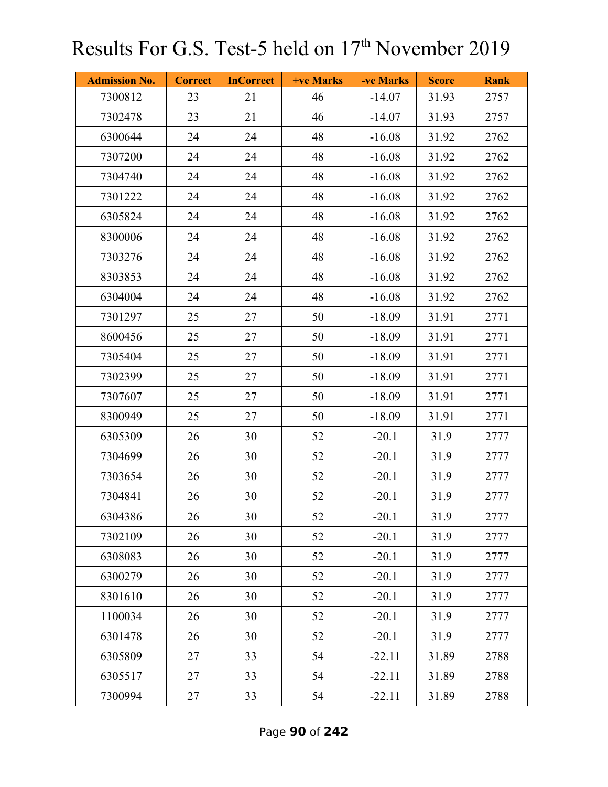| <b>Admission No.</b> | <b>Correct</b> | <b>InCorrect</b> | <b>+ve Marks</b> | -ve Marks | <b>Score</b> | <b>Rank</b> |
|----------------------|----------------|------------------|------------------|-----------|--------------|-------------|
| 7300812              | 23             | 21               | 46               | $-14.07$  | 31.93        | 2757        |
| 7302478              | 23             | 21               | 46               | $-14.07$  | 31.93        | 2757        |
| 6300644              | 24             | 24               | 48               | $-16.08$  | 31.92        | 2762        |
| 7307200              | 24             | 24               | 48               | $-16.08$  | 31.92        | 2762        |
| 7304740              | 24             | 24               | 48               | $-16.08$  | 31.92        | 2762        |
| 7301222              | 24             | 24               | 48               | $-16.08$  | 31.92        | 2762        |
| 6305824              | 24             | 24               | 48               | $-16.08$  | 31.92        | 2762        |
| 8300006              | 24             | 24               | 48               | $-16.08$  | 31.92        | 2762        |
| 7303276              | 24             | 24               | 48               | $-16.08$  | 31.92        | 2762        |
| 8303853              | 24             | 24               | 48               | $-16.08$  | 31.92        | 2762        |
| 6304004              | 24             | 24               | 48               | $-16.08$  | 31.92        | 2762        |
| 7301297              | 25             | 27               | 50               | $-18.09$  | 31.91        | 2771        |
| 8600456              | 25             | 27               | 50               | $-18.09$  | 31.91        | 2771        |
| 7305404              | 25             | 27               | 50               | $-18.09$  | 31.91        | 2771        |
| 7302399              | 25             | 27               | 50               | $-18.09$  | 31.91        | 2771        |
| 7307607              | 25             | 27               | 50               | $-18.09$  | 31.91        | 2771        |
| 8300949              | 25             | 27               | 50               | $-18.09$  | 31.91        | 2771        |
| 6305309              | 26             | 30               | 52               | $-20.1$   | 31.9         | 2777        |
| 7304699              | 26             | 30               | 52               | $-20.1$   | 31.9         | 2777        |
| 7303654              | 26             | 30               | 52               | $-20.1$   | 31.9         | 2777        |
| 7304841              | 26             | 30               | 52               | $-20.1$   | 31.9         | 2777        |
| 6304386              | 26             | 30               | 52               | $-20.1$   | 31.9         | 2777        |
| 7302109              | 26             | 30               | 52               | $-20.1$   | 31.9         | 2777        |
| 6308083              | 26             | 30               | 52               | $-20.1$   | 31.9         | 2777        |
| 6300279              | 26             | 30               | 52               | $-20.1$   | 31.9         | 2777        |
| 8301610              | 26             | 30               | 52               | $-20.1$   | 31.9         | 2777        |
| 1100034              | 26             | 30               | 52               | $-20.1$   | 31.9         | 2777        |
| 6301478              | 26             | 30               | 52               | $-20.1$   | 31.9         | 2777        |
| 6305809              | 27             | 33               | 54               | $-22.11$  | 31.89        | 2788        |
| 6305517              | 27             | 33               | 54               | $-22.11$  | 31.89        | 2788        |
| 7300994              | 27             | 33               | 54               | $-22.11$  | 31.89        | 2788        |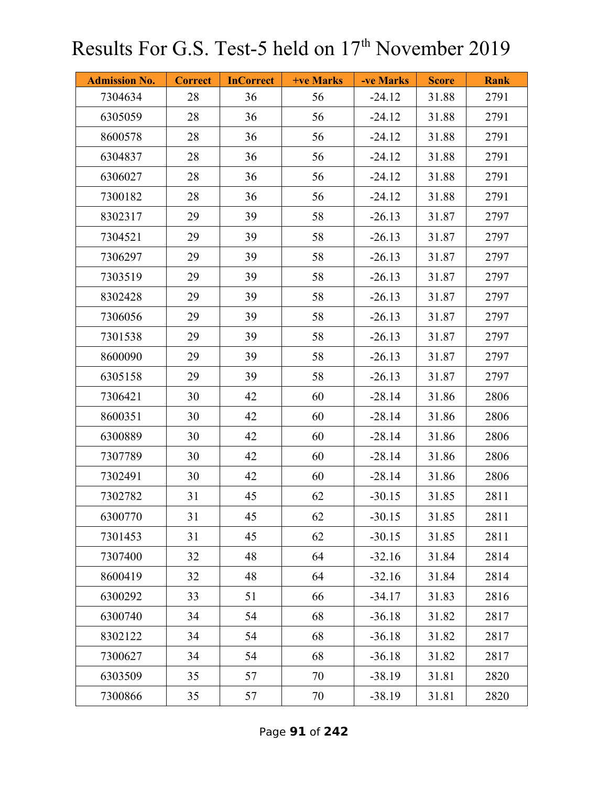| <b>Admission No.</b> | <b>Correct</b> | <b>InCorrect</b> | <b>+ve Marks</b> | -ve Marks | <b>Score</b> | <b>Rank</b> |
|----------------------|----------------|------------------|------------------|-----------|--------------|-------------|
| 7304634              | 28             | 36               | 56               | $-24.12$  | 31.88        | 2791        |
| 6305059              | 28             | 36               | 56               | $-24.12$  | 31.88        | 2791        |
| 8600578              | 28             | 36               | 56               | $-24.12$  | 31.88        | 2791        |
| 6304837              | 28             | 36               | 56               | $-24.12$  | 31.88        | 2791        |
| 6306027              | 28             | 36               | 56               | $-24.12$  | 31.88        | 2791        |
| 7300182              | 28             | 36               | 56               | $-24.12$  | 31.88        | 2791        |
| 8302317              | 29             | 39               | 58               | $-26.13$  | 31.87        | 2797        |
| 7304521              | 29             | 39               | 58               | $-26.13$  | 31.87        | 2797        |
| 7306297              | 29             | 39               | 58               | $-26.13$  | 31.87        | 2797        |
| 7303519              | 29             | 39               | 58               | $-26.13$  | 31.87        | 2797        |
| 8302428              | 29             | 39               | 58               | $-26.13$  | 31.87        | 2797        |
| 7306056              | 29             | 39               | 58               | $-26.13$  | 31.87        | 2797        |
| 7301538              | 29             | 39               | 58               | $-26.13$  | 31.87        | 2797        |
| 8600090              | 29             | 39               | 58               | $-26.13$  | 31.87        | 2797        |
| 6305158              | 29             | 39               | 58               | $-26.13$  | 31.87        | 2797        |
| 7306421              | 30             | 42               | 60               | $-28.14$  | 31.86        | 2806        |
| 8600351              | 30             | 42               | 60               | $-28.14$  | 31.86        | 2806        |
| 6300889              | 30             | 42               | 60               | $-28.14$  | 31.86        | 2806        |
| 7307789              | 30             | 42               | 60               | $-28.14$  | 31.86        | 2806        |
| 7302491              | 30             | 42               | 60               | $-28.14$  | 31.86        | 2806        |
| 7302782              | 31             | 45               | 62               | $-30.15$  | 31.85        | 2811        |
| 6300770              | 31             | 45               | 62               | $-30.15$  | 31.85        | 2811        |
| 7301453              | 31             | 45               | 62               | $-30.15$  | 31.85        | 2811        |
| 7307400              | 32             | 48               | 64               | $-32.16$  | 31.84        | 2814        |
| 8600419              | 32             | 48               | 64               | $-32.16$  | 31.84        | 2814        |
| 6300292              | 33             | 51               | 66               | $-34.17$  | 31.83        | 2816        |
| 6300740              | 34             | 54               | 68               | $-36.18$  | 31.82        | 2817        |
| 8302122              | 34             | 54               | 68               | $-36.18$  | 31.82        | 2817        |
| 7300627              | 34             | 54               | 68               | $-36.18$  | 31.82        | 2817        |
| 6303509              | 35             | 57               | 70               | $-38.19$  | 31.81        | 2820        |
| 7300866              | 35             | 57               | 70               | $-38.19$  | 31.81        | 2820        |

Page **91** of **242**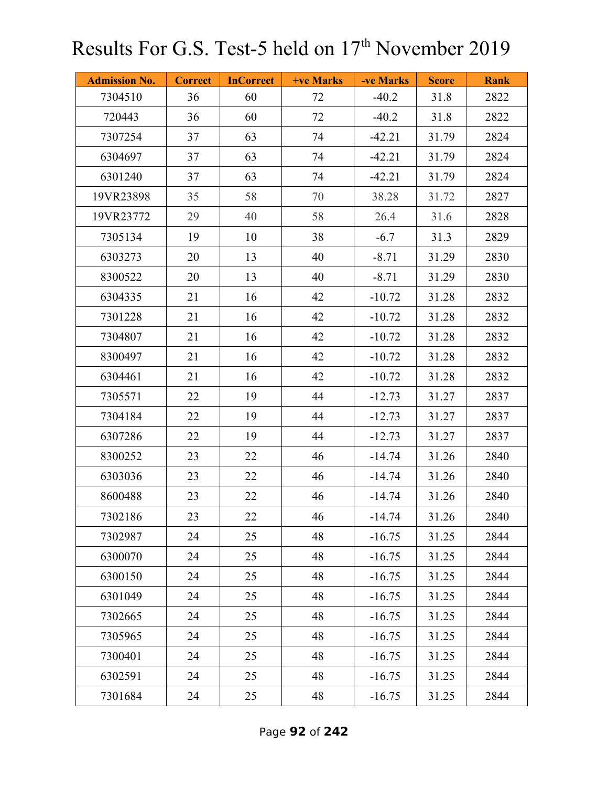| <b>Admission No.</b> | <b>Correct</b> | <b>InCorrect</b> | <b>+ve Marks</b> | -ve Marks | <b>Score</b> | <b>Rank</b> |
|----------------------|----------------|------------------|------------------|-----------|--------------|-------------|
| 7304510              | 36             | 60               | 72               | $-40.2$   | 31.8         | 2822        |
| 720443               | 36             | 60               | 72               | $-40.2$   | 31.8         | 2822        |
| 7307254              | 37             | 63               | 74               | $-42.21$  | 31.79        | 2824        |
| 6304697              | 37             | 63               | 74               | $-42.21$  | 31.79        | 2824        |
| 6301240              | 37             | 63               | 74               | $-42.21$  | 31.79        | 2824        |
| 19VR23898            | 35             | 58               | 70               | 38.28     | 31.72        | 2827        |
| 19VR23772            | 29             | 40               | 58               | 26.4      | 31.6         | 2828        |
| 7305134              | 19             | 10               | 38               | $-6.7$    | 31.3         | 2829        |
| 6303273              | 20             | 13               | 40               | $-8.71$   | 31.29        | 2830        |
| 8300522              | 20             | 13               | 40               | $-8.71$   | 31.29        | 2830        |
| 6304335              | 21             | 16               | 42               | $-10.72$  | 31.28        | 2832        |
| 7301228              | 21             | 16               | 42               | $-10.72$  | 31.28        | 2832        |
| 7304807              | 21             | 16               | 42               | $-10.72$  | 31.28        | 2832        |
| 8300497              | 21             | 16               | 42               | $-10.72$  | 31.28        | 2832        |
| 6304461              | 21             | 16               | 42               | $-10.72$  | 31.28        | 2832        |
| 7305571              | 22             | 19               | 44               | $-12.73$  | 31.27        | 2837        |
| 7304184              | 22             | 19               | 44               | $-12.73$  | 31.27        | 2837        |
| 6307286              | 22             | 19               | 44               | $-12.73$  | 31.27        | 2837        |
| 8300252              | 23             | 22               | 46               | $-14.74$  | 31.26        | 2840        |
| 6303036              | 23             | 22               | 46               | $-14.74$  | 31.26        | 2840        |
| 8600488              | 23             | 22               | 46               | $-14.74$  | 31.26        | 2840        |
| 7302186              | 23             | 22               | 46               | $-14.74$  | 31.26        | 2840        |
| 7302987              | 24             | 25               | 48               | $-16.75$  | 31.25        | 2844        |
| 6300070              | 24             | 25               | 48               | $-16.75$  | 31.25        | 2844        |
| 6300150              | 24             | 25               | 48               | $-16.75$  | 31.25        | 2844        |
| 6301049              | 24             | 25               | 48               | $-16.75$  | 31.25        | 2844        |
| 7302665              | 24             | 25               | 48               | $-16.75$  | 31.25        | 2844        |
| 7305965              | 24             | 25               | 48               | $-16.75$  | 31.25        | 2844        |
| 7300401              | 24             | 25               | 48               | $-16.75$  | 31.25        | 2844        |
| 6302591              | 24             | 25               | 48               | $-16.75$  | 31.25        | 2844        |
| 7301684              | 24             | 25               | 48               | $-16.75$  | 31.25        | 2844        |

Page **92** of **242**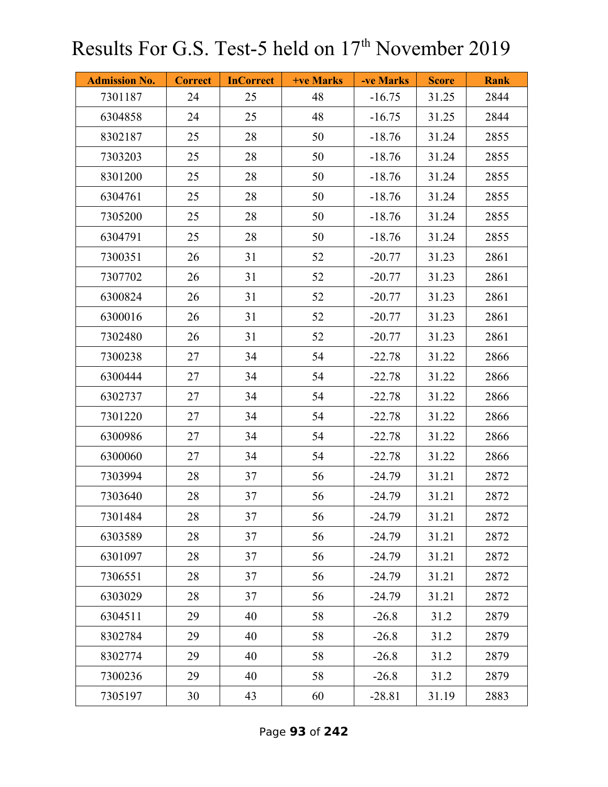| <b>Admission No.</b> | <b>Correct</b> | <b>InCorrect</b> | <b>+ve Marks</b> | -ve Marks | <b>Score</b> | <b>Rank</b> |
|----------------------|----------------|------------------|------------------|-----------|--------------|-------------|
| 7301187              | 24             | 25               | 48               | $-16.75$  | 31.25        | 2844        |
| 6304858              | 24             | 25               | 48               | $-16.75$  | 31.25        | 2844        |
| 8302187              | 25             | 28               | 50               | $-18.76$  | 31.24        | 2855        |
| 7303203              | 25             | 28               | 50               | $-18.76$  | 31.24        | 2855        |
| 8301200              | 25             | 28               | 50               | $-18.76$  | 31.24        | 2855        |
| 6304761              | 25             | 28               | 50               | $-18.76$  | 31.24        | 2855        |
| 7305200              | 25             | 28               | 50               | $-18.76$  | 31.24        | 2855        |
| 6304791              | 25             | 28               | 50               | $-18.76$  | 31.24        | 2855        |
| 7300351              | 26             | 31               | 52               | $-20.77$  | 31.23        | 2861        |
| 7307702              | 26             | 31               | 52               | $-20.77$  | 31.23        | 2861        |
| 6300824              | 26             | 31               | 52               | $-20.77$  | 31.23        | 2861        |
| 6300016              | 26             | 31               | 52               | $-20.77$  | 31.23        | 2861        |
| 7302480              | 26             | 31               | 52               | $-20.77$  | 31.23        | 2861        |
| 7300238              | 27             | 34               | 54               | $-22.78$  | 31.22        | 2866        |
| 6300444              | 27             | 34               | 54               | $-22.78$  | 31.22        | 2866        |
| 6302737              | 27             | 34               | 54               | $-22.78$  | 31.22        | 2866        |
| 7301220              | 27             | 34               | 54               | $-22.78$  | 31.22        | 2866        |
| 6300986              | 27             | 34               | 54               | $-22.78$  | 31.22        | 2866        |
| 6300060              | 27             | 34               | 54               | $-22.78$  | 31.22        | 2866        |
| 7303994              | 28             | 37               | 56               | $-24.79$  | 31.21        | 2872        |
| 7303640              | 28             | 37               | 56               | $-24.79$  | 31.21        | 2872        |
| 7301484              | 28             | 37               | 56               | $-24.79$  | 31.21        | 2872        |
| 6303589              | 28             | 37               | 56               | $-24.79$  | 31.21        | 2872        |
| 6301097              | 28             | 37               | 56               | $-24.79$  | 31.21        | 2872        |
| 7306551              | 28             | 37               | 56               | $-24.79$  | 31.21        | 2872        |
| 6303029              | 28             | 37               | 56               | $-24.79$  | 31.21        | 2872        |
| 6304511              | 29             | 40               | 58               | $-26.8$   | 31.2         | 2879        |
| 8302784              | 29             | 40               | 58               | $-26.8$   | 31.2         | 2879        |
| 8302774              | 29             | 40               | 58               | $-26.8$   | 31.2         | 2879        |
| 7300236              | 29             | 40               | 58               | $-26.8$   | 31.2         | 2879        |
| 7305197              | 30             | 43               | 60               | $-28.81$  | 31.19        | 2883        |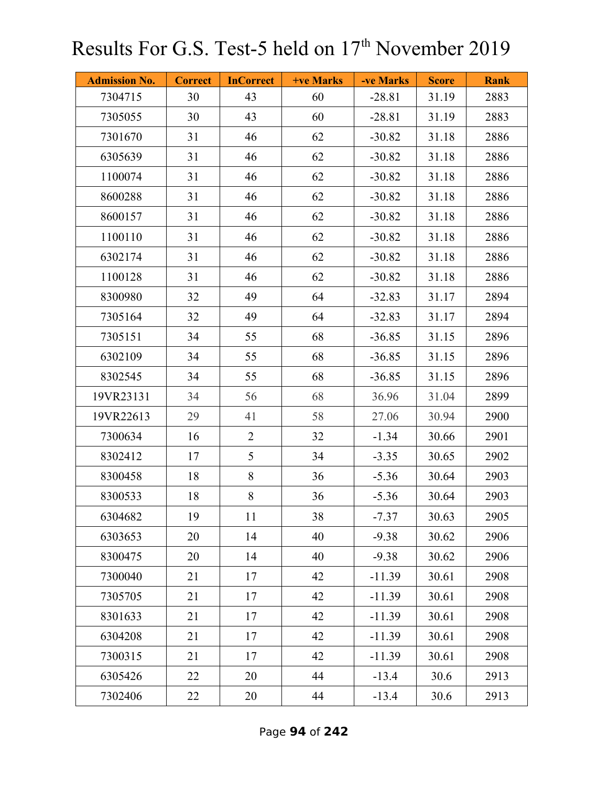| <b>Admission No.</b> | <b>Correct</b> | <b>InCorrect</b> | +ve Marks | -ve Marks | <b>Score</b> | <b>Rank</b> |
|----------------------|----------------|------------------|-----------|-----------|--------------|-------------|
| 7304715              | 30             | 43               | 60        | $-28.81$  | 31.19        | 2883        |
| 7305055              | 30             | 43               | 60        | $-28.81$  | 31.19        | 2883        |
| 7301670              | 31             | 46               | 62        | $-30.82$  | 31.18        | 2886        |
| 6305639              | 31             | 46               | 62        | $-30.82$  | 31.18        | 2886        |
| 1100074              | 31             | 46               | 62        | $-30.82$  | 31.18        | 2886        |
| 8600288              | 31             | 46               | 62        | $-30.82$  | 31.18        | 2886        |
| 8600157              | 31             | 46               | 62        | $-30.82$  | 31.18        | 2886        |
| 1100110              | 31             | 46               | 62        | $-30.82$  | 31.18        | 2886        |
| 6302174              | 31             | 46               | 62        | $-30.82$  | 31.18        | 2886        |
| 1100128              | 31             | 46               | 62        | $-30.82$  | 31.18        | 2886        |
| 8300980              | 32             | 49               | 64        | $-32.83$  | 31.17        | 2894        |
| 7305164              | 32             | 49               | 64        | $-32.83$  | 31.17        | 2894        |
| 7305151              | 34             | 55               | 68        | $-36.85$  | 31.15        | 2896        |
| 6302109              | 34             | 55               | 68        | $-36.85$  | 31.15        | 2896        |
| 8302545              | 34             | 55               | 68        | $-36.85$  | 31.15        | 2896        |
| 19VR23131            | 34             | 56               | 68        | 36.96     | 31.04        | 2899        |
| 19VR22613            | 29             | 41               | 58        | 27.06     | 30.94        | 2900        |
| 7300634              | 16             | $\overline{2}$   | 32        | $-1.34$   | 30.66        | 2901        |
| 8302412              | 17             | 5                | 34        | $-3.35$   | 30.65        | 2902        |
| 8300458              | 18             | 8                | 36        | $-5.36$   | 30.64        | 2903        |
| 8300533              | 18             | 8                | 36        | $-5.36$   | 30.64        | 2903        |
| 6304682              | 19             | 11               | 38        | $-7.37$   | 30.63        | 2905        |
| 6303653              | 20             | 14               | 40        | $-9.38$   | 30.62        | 2906        |
| 8300475              | 20             | 14               | 40        | $-9.38$   | 30.62        | 2906        |
| 7300040              | 21             | 17               | 42        | $-11.39$  | 30.61        | 2908        |
| 7305705              | 21             | 17               | 42        | $-11.39$  | 30.61        | 2908        |
| 8301633              | 21             | 17               | 42        | $-11.39$  | 30.61        | 2908        |
| 6304208              | 21             | 17               | 42        | $-11.39$  | 30.61        | 2908        |
| 7300315              | 21             | 17               | 42        | $-11.39$  | 30.61        | 2908        |
| 6305426              | 22             | 20               | 44        | $-13.4$   | 30.6         | 2913        |
| 7302406              | 22             | 20               | 44        | $-13.4$   | 30.6         | 2913        |

Page **94** of **242**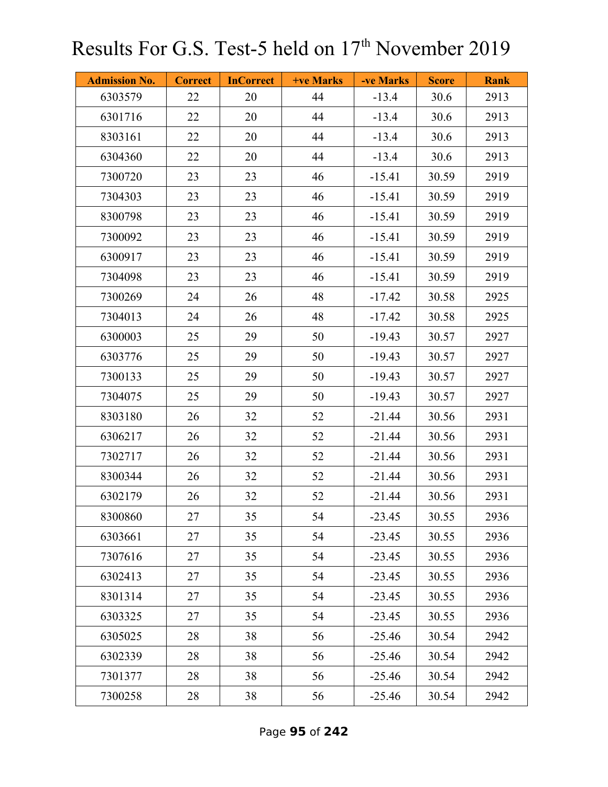| <b>Admission No.</b> | <b>Correct</b> | <b>InCorrect</b> | <b>+ve Marks</b> | -ve Marks | <b>Score</b> | <b>Rank</b> |
|----------------------|----------------|------------------|------------------|-----------|--------------|-------------|
| 6303579              | 22             | 20               | 44               | $-13.4$   | 30.6         | 2913        |
| 6301716              | 22             | 20               | 44               | $-13.4$   | 30.6         | 2913        |
| 8303161              | 22             | 20               | 44               | $-13.4$   | 30.6         | 2913        |
| 6304360              | 22             | 20               | 44               | $-13.4$   | 30.6         | 2913        |
| 7300720              | 23             | 23               | 46               | $-15.41$  | 30.59        | 2919        |
| 7304303              | 23             | 23               | 46               | $-15.41$  | 30.59        | 2919        |
| 8300798              | 23             | 23               | 46               | $-15.41$  | 30.59        | 2919        |
| 7300092              | 23             | 23               | 46               | $-15.41$  | 30.59        | 2919        |
| 6300917              | 23             | 23               | 46               | $-15.41$  | 30.59        | 2919        |
| 7304098              | 23             | 23               | 46               | $-15.41$  | 30.59        | 2919        |
| 7300269              | 24             | 26               | 48               | $-17.42$  | 30.58        | 2925        |
| 7304013              | 24             | 26               | 48               | $-17.42$  | 30.58        | 2925        |
| 6300003              | 25             | 29               | 50               | $-19.43$  | 30.57        | 2927        |
| 6303776              | 25             | 29               | 50               | $-19.43$  | 30.57        | 2927        |
| 7300133              | 25             | 29               | 50               | $-19.43$  | 30.57        | 2927        |
| 7304075              | 25             | 29               | 50               | $-19.43$  | 30.57        | 2927        |
| 8303180              | 26             | 32               | 52               | $-21.44$  | 30.56        | 2931        |
| 6306217              | 26             | 32               | 52               | $-21.44$  | 30.56        | 2931        |
| 7302717              | 26             | 32               | 52               | $-21.44$  | 30.56        | 2931        |
| 8300344              | 26             | 32               | 52               | $-21.44$  | 30.56        | 2931        |
| 6302179              | 26             | 32               | 52               | $-21.44$  | 30.56        | 2931        |
| 8300860              | 27             | 35               | 54               | $-23.45$  | 30.55        | 2936        |
| 6303661              | 27             | 35               | 54               | $-23.45$  | 30.55        | 2936        |
| 7307616              | 27             | 35               | 54               | $-23.45$  | 30.55        | 2936        |
| 6302413              | 27             | 35               | 54               | $-23.45$  | 30.55        | 2936        |
| 8301314              | 27             | 35               | 54               | $-23.45$  | 30.55        | 2936        |
| 6303325              | 27             | 35               | 54               | $-23.45$  | 30.55        | 2936        |
| 6305025              | 28             | 38               | 56               | $-25.46$  | 30.54        | 2942        |
| 6302339              | 28             | 38               | 56               | $-25.46$  | 30.54        | 2942        |
| 7301377              | 28             | 38               | 56               | $-25.46$  | 30.54        | 2942        |
| 7300258              | 28             | 38               | 56               | $-25.46$  | 30.54        | 2942        |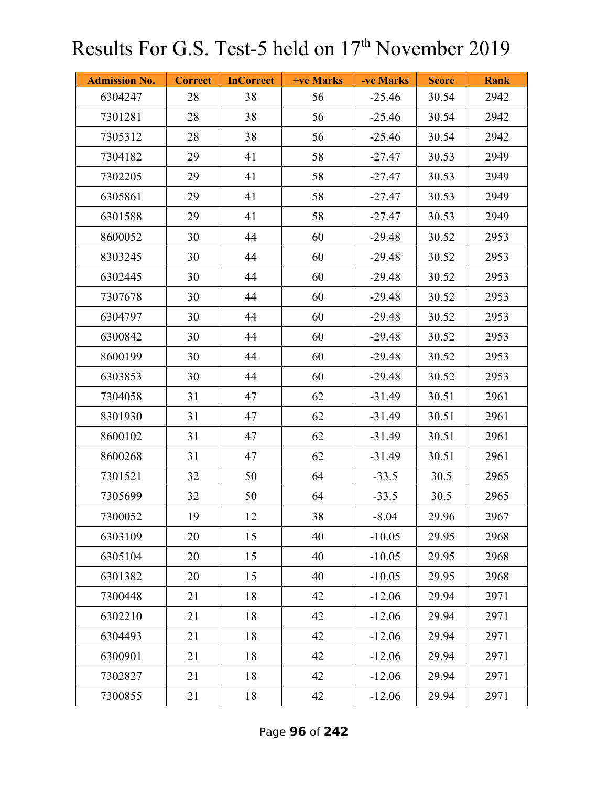| <b>Admission No.</b> | <b>Correct</b> | <b>InCorrect</b> | +ve Marks | -ve Marks | <b>Score</b> | <b>Rank</b> |
|----------------------|----------------|------------------|-----------|-----------|--------------|-------------|
| 6304247              | 28             | 38               | 56        | $-25.46$  | 30.54        | 2942        |
| 7301281              | 28             | 38               | 56        | $-25.46$  | 30.54        | 2942        |
| 7305312              | 28             | 38               | 56        | $-25.46$  | 30.54        | 2942        |
| 7304182              | 29             | 41               | 58        | $-27.47$  | 30.53        | 2949        |
| 7302205              | 29             | 41               | 58        | $-27.47$  | 30.53        | 2949        |
| 6305861              | 29             | 41               | 58        | $-27.47$  | 30.53        | 2949        |
| 6301588              | 29             | 41               | 58        | $-27.47$  | 30.53        | 2949        |
| 8600052              | 30             | 44               | 60        | $-29.48$  | 30.52        | 2953        |
| 8303245              | 30             | 44               | 60        | $-29.48$  | 30.52        | 2953        |
| 6302445              | 30             | 44               | 60        | $-29.48$  | 30.52        | 2953        |
| 7307678              | 30             | 44               | 60        | $-29.48$  | 30.52        | 2953        |
| 6304797              | 30             | 44               | 60        | $-29.48$  | 30.52        | 2953        |
| 6300842              | 30             | 44               | 60        | $-29.48$  | 30.52        | 2953        |
| 8600199              | 30             | 44               | 60        | $-29.48$  | 30.52        | 2953        |
| 6303853              | 30             | 44               | 60        | $-29.48$  | 30.52        | 2953        |
| 7304058              | 31             | 47               | 62        | $-31.49$  | 30.51        | 2961        |
| 8301930              | 31             | 47               | 62        | $-31.49$  | 30.51        | 2961        |
| 8600102              | 31             | 47               | 62        | $-31.49$  | 30.51        | 2961        |
| 8600268              | 31             | 47               | 62        | $-31.49$  | 30.51        | 2961        |
| 7301521              | 32             | 50               | 64        | $-33.5$   | 30.5         | 2965        |
| 7305699              | 32             | 50               | 64        | $-33.5$   | 30.5         | 2965        |
| 7300052              | 19             | 12               | 38        | $-8.04$   | 29.96        | 2967        |
| 6303109              | 20             | 15               | 40        | $-10.05$  | 29.95        | 2968        |
| 6305104              | 20             | 15               | 40        | $-10.05$  | 29.95        | 2968        |
| 6301382              | 20             | 15               | 40        | $-10.05$  | 29.95        | 2968        |
| 7300448              | 21             | 18               | 42        | $-12.06$  | 29.94        | 2971        |
| 6302210              | 21             | 18               | 42        | $-12.06$  | 29.94        | 2971        |
| 6304493              | 21             | 18               | 42        | $-12.06$  | 29.94        | 2971        |
| 6300901              | 21             | 18               | 42        | $-12.06$  | 29.94        | 2971        |
| 7302827              | 21             | 18               | 42        | $-12.06$  | 29.94        | 2971        |
| 7300855              | 21             | 18               | 42        | $-12.06$  | 29.94        | 2971        |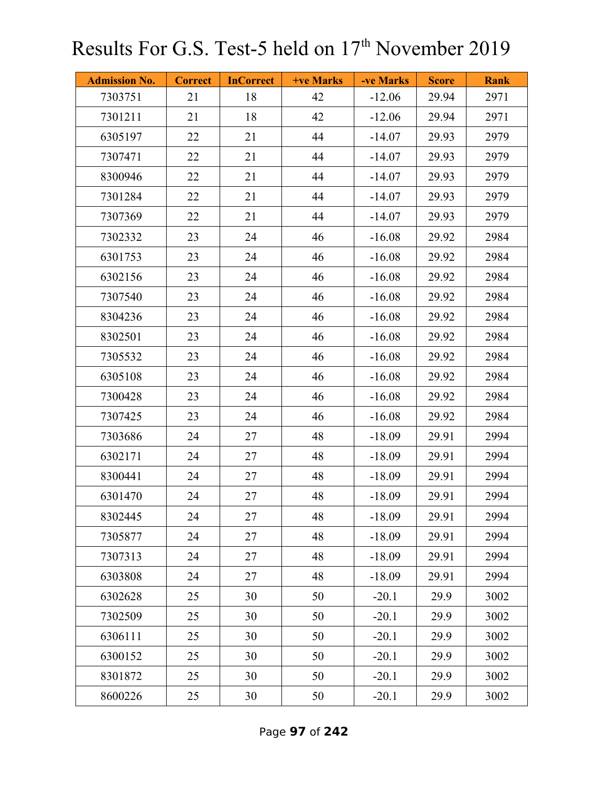| <b>Admission No.</b> | <b>Correct</b> | <b>InCorrect</b> | +ve Marks | -ve Marks | <b>Score</b> | <b>Rank</b> |
|----------------------|----------------|------------------|-----------|-----------|--------------|-------------|
| 7303751              | 21             | 18               | 42        | $-12.06$  | 29.94        | 2971        |
| 7301211              | 21             | 18               | 42        | $-12.06$  | 29.94        | 2971        |
| 6305197              | 22             | 21               | 44        | $-14.07$  | 29.93        | 2979        |
| 7307471              | 22             | 21               | 44        | $-14.07$  | 29.93        | 2979        |
| 8300946              | 22             | 21               | 44        | $-14.07$  | 29.93        | 2979        |
| 7301284              | 22             | 21               | 44        | $-14.07$  | 29.93        | 2979        |
| 7307369              | 22             | 21               | 44        | $-14.07$  | 29.93        | 2979        |
| 7302332              | 23             | 24               | 46        | $-16.08$  | 29.92        | 2984        |
| 6301753              | 23             | 24               | 46        | $-16.08$  | 29.92        | 2984        |
| 6302156              | 23             | 24               | 46        | $-16.08$  | 29.92        | 2984        |
| 7307540              | 23             | 24               | 46        | $-16.08$  | 29.92        | 2984        |
| 8304236              | 23             | 24               | 46        | $-16.08$  | 29.92        | 2984        |
| 8302501              | 23             | 24               | 46        | $-16.08$  | 29.92        | 2984        |
| 7305532              | 23             | 24               | 46        | $-16.08$  | 29.92        | 2984        |
| 6305108              | 23             | 24               | 46        | $-16.08$  | 29.92        | 2984        |
| 7300428              | 23             | 24               | 46        | $-16.08$  | 29.92        | 2984        |
| 7307425              | 23             | 24               | 46        | $-16.08$  | 29.92        | 2984        |
| 7303686              | 24             | 27               | 48        | $-18.09$  | 29.91        | 2994        |
| 6302171              | 24             | 27               | 48        | $-18.09$  | 29.91        | 2994        |
| 8300441              | 24             | 27               | 48        | $-18.09$  | 29.91        | 2994        |
| 6301470              | 24             | 27               | 48        | $-18.09$  | 29.91        | 2994        |
| 8302445              | 24             | 27               | 48        | $-18.09$  | 29.91        | 2994        |
| 7305877              | 24             | 27               | 48        | $-18.09$  | 29.91        | 2994        |
| 7307313              | 24             | 27               | 48        | $-18.09$  | 29.91        | 2994        |
| 6303808              | 24             | 27               | 48        | $-18.09$  | 29.91        | 2994        |
| 6302628              | 25             | 30               | 50        | $-20.1$   | 29.9         | 3002        |
| 7302509              | 25             | 30               | 50        | $-20.1$   | 29.9         | 3002        |
| 6306111              | 25             | 30               | 50        | $-20.1$   | 29.9         | 3002        |
| 6300152              | 25             | 30               | 50        | $-20.1$   | 29.9         | 3002        |
| 8301872              | 25             | 30               | 50        | $-20.1$   | 29.9         | 3002        |
| 8600226              | 25             | 30               | 50        | $-20.1$   | 29.9         | 3002        |

Page **97** of **242**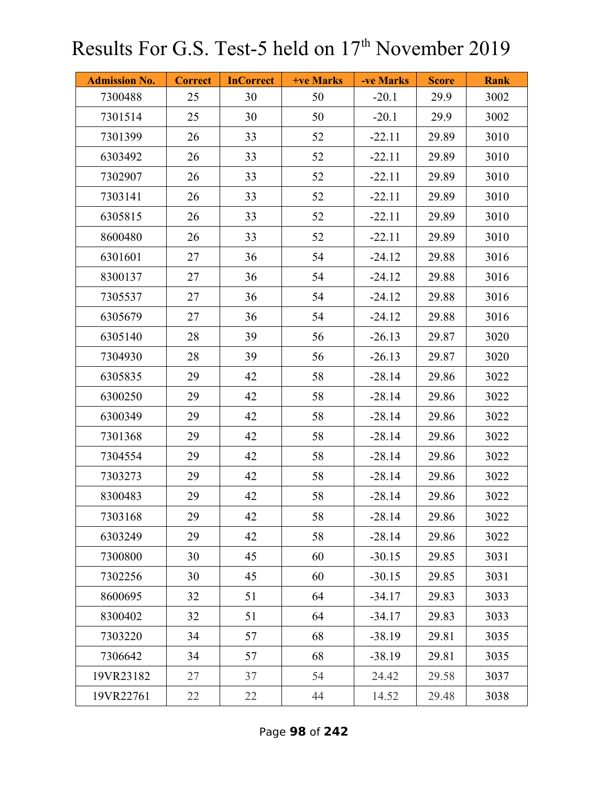| <b>Admission No.</b> | <b>Correct</b> | <b>InCorrect</b> | <b>+ve Marks</b> | -ve Marks | <b>Score</b> | <b>Rank</b> |
|----------------------|----------------|------------------|------------------|-----------|--------------|-------------|
| 7300488              | 25             | 30               | 50               | $-20.1$   | 29.9         | 3002        |
| 7301514              | 25             | 30               | 50               | $-20.1$   | 29.9         | 3002        |
| 7301399              | 26             | 33               | 52               | $-22.11$  | 29.89        | 3010        |
| 6303492              | 26             | 33               | 52               | $-22.11$  | 29.89        | 3010        |
| 7302907              | 26             | 33               | 52               | $-22.11$  | 29.89        | 3010        |
| 7303141              | 26             | 33               | 52               | $-22.11$  | 29.89        | 3010        |
| 6305815              | 26             | 33               | 52               | $-22.11$  | 29.89        | 3010        |
| 8600480              | 26             | 33               | 52               | $-22.11$  | 29.89        | 3010        |
| 6301601              | 27             | 36               | 54               | $-24.12$  | 29.88        | 3016        |
| 8300137              | 27             | 36               | 54               | $-24.12$  | 29.88        | 3016        |
| 7305537              | 27             | 36               | 54               | $-24.12$  | 29.88        | 3016        |
| 6305679              | 27             | 36               | 54               | $-24.12$  | 29.88        | 3016        |
| 6305140              | 28             | 39               | 56               | $-26.13$  | 29.87        | 3020        |
| 7304930              | 28             | 39               | 56               | $-26.13$  | 29.87        | 3020        |
| 6305835              | 29             | 42               | 58               | $-28.14$  | 29.86        | 3022        |
| 6300250              | 29             | 42               | 58               | $-28.14$  | 29.86        | 3022        |
| 6300349              | 29             | 42               | 58               | $-28.14$  | 29.86        | 3022        |
| 7301368              | 29             | 42               | 58               | $-28.14$  | 29.86        | 3022        |
| 7304554              | 29             | 42               | 58               | $-28.14$  | 29.86        | 3022        |
| 7303273              | 29             | 42               | 58               | $-28.14$  | 29.86        | 3022        |
| 8300483              | 29             | 42               | 58               | $-28.14$  | 29.86        | 3022        |
| 7303168              | 29             | 42               | 58               | $-28.14$  | 29.86        | 3022        |
| 6303249              | 29             | 42               | 58               | $-28.14$  | 29.86        | 3022        |
| 7300800              | 30             | 45               | 60               | $-30.15$  | 29.85        | 3031        |
| 7302256              | 30             | 45               | 60               | $-30.15$  | 29.85        | 3031        |
| 8600695              | 32             | 51               | 64               | $-34.17$  | 29.83        | 3033        |
| 8300402              | 32             | 51               | 64               | $-34.17$  | 29.83        | 3033        |
| 7303220              | 34             | 57               | 68               | $-38.19$  | 29.81        | 3035        |
| 7306642              | 34             | 57               | 68               | $-38.19$  | 29.81        | 3035        |
| 19VR23182            | 27             | 37               | 54               | 24.42     | 29.58        | 3037        |
| 19VR22761            | 22             | 22               | 44               | 14.52     | 29.48        | 3038        |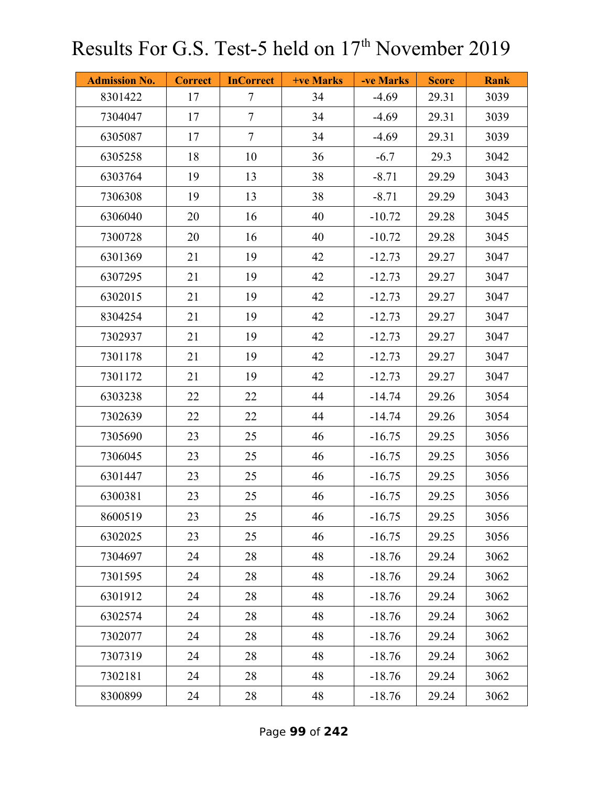| <b>Admission No.</b> | <b>Correct</b> | <b>InCorrect</b> | +ve Marks | -ve Marks | <b>Score</b> | <b>Rank</b> |
|----------------------|----------------|------------------|-----------|-----------|--------------|-------------|
| 8301422              | 17             | $\tau$           | 34        | $-4.69$   | 29.31        | 3039        |
| 7304047              | 17             | $\tau$           | 34        | $-4.69$   | 29.31        | 3039        |
| 6305087              | 17             | $\overline{7}$   | 34        | $-4.69$   | 29.31        | 3039        |
| 6305258              | 18             | 10               | 36        | $-6.7$    | 29.3         | 3042        |
| 6303764              | 19             | 13               | 38        | $-8.71$   | 29.29        | 3043        |
| 7306308              | 19             | 13               | 38        | $-8.71$   | 29.29        | 3043        |
| 6306040              | 20             | 16               | 40        | $-10.72$  | 29.28        | 3045        |
| 7300728              | 20             | 16               | 40        | $-10.72$  | 29.28        | 3045        |
| 6301369              | 21             | 19               | 42        | $-12.73$  | 29.27        | 3047        |
| 6307295              | 21             | 19               | 42        | $-12.73$  | 29.27        | 3047        |
| 6302015              | 21             | 19               | 42        | $-12.73$  | 29.27        | 3047        |
| 8304254              | 21             | 19               | 42        | $-12.73$  | 29.27        | 3047        |
| 7302937              | 21             | 19               | 42        | $-12.73$  | 29.27        | 3047        |
| 7301178              | 21             | 19               | 42        | $-12.73$  | 29.27        | 3047        |
| 7301172              | 21             | 19               | 42        | $-12.73$  | 29.27        | 3047        |
| 6303238              | 22             | 22               | 44        | $-14.74$  | 29.26        | 3054        |
| 7302639              | 22             | 22               | 44        | $-14.74$  | 29.26        | 3054        |
| 7305690              | 23             | 25               | 46        | $-16.75$  | 29.25        | 3056        |
| 7306045              | 23             | 25               | 46        | $-16.75$  | 29.25        | 3056        |
| 6301447              | 23             | 25               | 46        | $-16.75$  | 29.25        | 3056        |
| 6300381              | 23             | 25               | 46        | $-16.75$  | 29.25        | 3056        |
| 8600519              | 23             | 25               | 46        | $-16.75$  | 29.25        | 3056        |
| 6302025              | 23             | 25               | 46        | $-16.75$  | 29.25        | 3056        |
| 7304697              | 24             | 28               | 48        | $-18.76$  | 29.24        | 3062        |
| 7301595              | 24             | 28               | 48        | $-18.76$  | 29.24        | 3062        |
| 6301912              | 24             | 28               | 48        | $-18.76$  | 29.24        | 3062        |
| 6302574              | 24             | 28               | 48        | $-18.76$  | 29.24        | 3062        |
| 7302077              | 24             | 28               | 48        | $-18.76$  | 29.24        | 3062        |
| 7307319              | 24             | 28               | 48        | $-18.76$  | 29.24        | 3062        |
| 7302181              | 24             | 28               | 48        | $-18.76$  | 29.24        | 3062        |
| 8300899              | 24             | 28               | 48        | $-18.76$  | 29.24        | 3062        |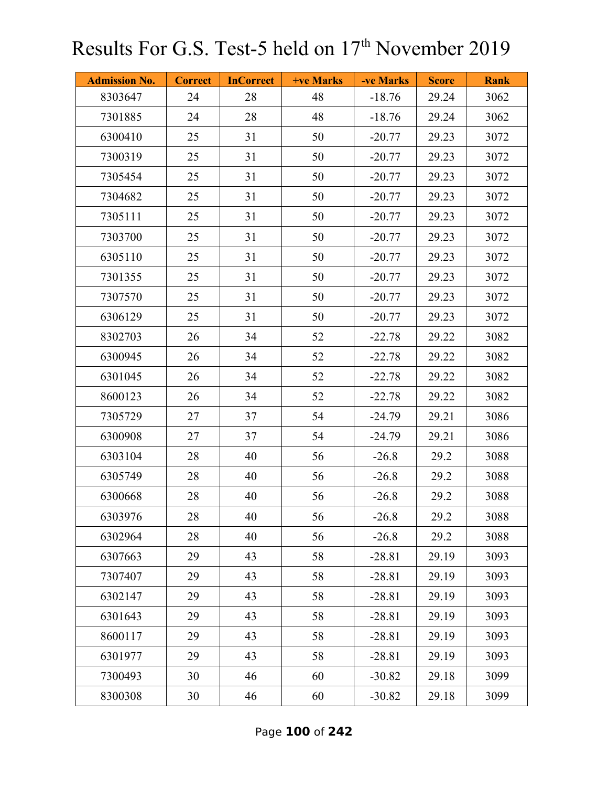| <b>Admission No.</b> | <b>Correct</b> | <b>InCorrect</b> | <b>+ve Marks</b> | -ve Marks | <b>Score</b> | <b>Rank</b> |
|----------------------|----------------|------------------|------------------|-----------|--------------|-------------|
| 8303647              | 24             | 28               | 48               | $-18.76$  | 29.24        | 3062        |
| 7301885              | 24             | 28               | 48               | $-18.76$  | 29.24        | 3062        |
| 6300410              | 25             | 31               | 50               | $-20.77$  | 29.23        | 3072        |
| 7300319              | 25             | 31               | 50               | $-20.77$  | 29.23        | 3072        |
| 7305454              | 25             | 31               | 50               | $-20.77$  | 29.23        | 3072        |
| 7304682              | 25             | 31               | 50               | $-20.77$  | 29.23        | 3072        |
| 7305111              | 25             | 31               | 50               | $-20.77$  | 29.23        | 3072        |
| 7303700              | 25             | 31               | 50               | $-20.77$  | 29.23        | 3072        |
| 6305110              | 25             | 31               | 50               | $-20.77$  | 29.23        | 3072        |
| 7301355              | 25             | 31               | 50               | $-20.77$  | 29.23        | 3072        |
| 7307570              | 25             | 31               | 50               | $-20.77$  | 29.23        | 3072        |
| 6306129              | 25             | 31               | 50               | $-20.77$  | 29.23        | 3072        |
| 8302703              | 26             | 34               | 52               | $-22.78$  | 29.22        | 3082        |
| 6300945              | 26             | 34               | 52               | $-22.78$  | 29.22        | 3082        |
| 6301045              | 26             | 34               | 52               | $-22.78$  | 29.22        | 3082        |
| 8600123              | 26             | 34               | 52               | $-22.78$  | 29.22        | 3082        |
| 7305729              | 27             | 37               | 54               | $-24.79$  | 29.21        | 3086        |
| 6300908              | 27             | 37               | 54               | $-24.79$  | 29.21        | 3086        |
| 6303104              | 28             | 40               | 56               | $-26.8$   | 29.2         | 3088        |
| 6305749              | 28             | 40               | 56               | $-26.8$   | 29.2         | 3088        |
| 6300668              | 28             | 40               | 56               | $-26.8$   | 29.2         | 3088        |
| 6303976              | 28             | 40               | 56               | $-26.8$   | 29.2         | 3088        |
| 6302964              | 28             | 40               | 56               | $-26.8$   | 29.2         | 3088        |
| 6307663              | 29             | 43               | 58               | $-28.81$  | 29.19        | 3093        |
| 7307407              | 29             | 43               | 58               | $-28.81$  | 29.19        | 3093        |
| 6302147              | 29             | 43               | 58               | $-28.81$  | 29.19        | 3093        |
| 6301643              | 29             | 43               | 58               | $-28.81$  | 29.19        | 3093        |
| 8600117              | 29             | 43               | 58               | $-28.81$  | 29.19        | 3093        |
| 6301977              | 29             | 43               | 58               | $-28.81$  | 29.19        | 3093        |
| 7300493              | 30             | 46               | 60               | $-30.82$  | 29.18        | 3099        |
| 8300308              | 30             | 46               | 60               | $-30.82$  | 29.18        | 3099        |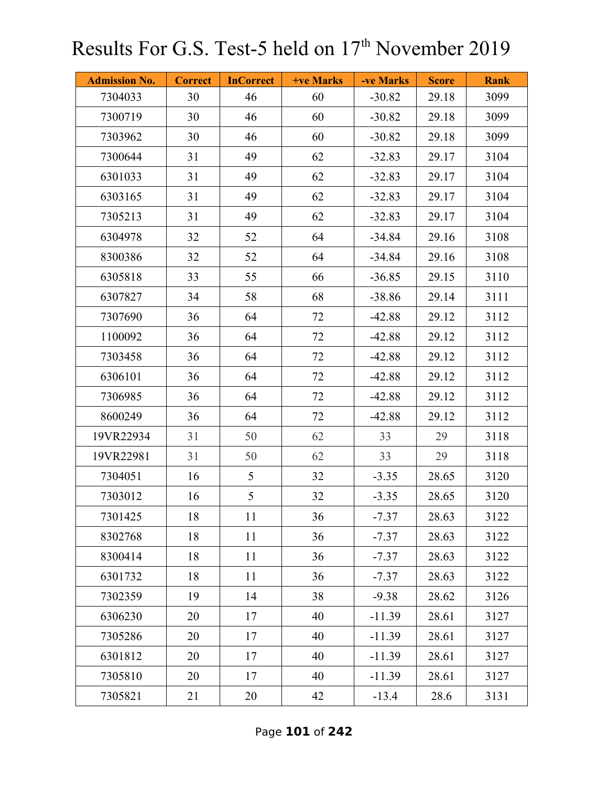| <b>Admission No.</b> | <b>Correct</b> | <b>InCorrect</b> | +ve Marks | -ve Marks | <b>Score</b> | <b>Rank</b> |
|----------------------|----------------|------------------|-----------|-----------|--------------|-------------|
| 7304033              | 30             | 46               | 60        | $-30.82$  | 29.18        | 3099        |
| 7300719              | 30             | 46               | 60        | $-30.82$  | 29.18        | 3099        |
| 7303962              | 30             | 46               | 60        | $-30.82$  | 29.18        | 3099        |
| 7300644              | 31             | 49               | 62        | $-32.83$  | 29.17        | 3104        |
| 6301033              | 31             | 49               | 62        | $-32.83$  | 29.17        | 3104        |
| 6303165              | 31             | 49               | 62        | $-32.83$  | 29.17        | 3104        |
| 7305213              | 31             | 49               | 62        | $-32.83$  | 29.17        | 3104        |
| 6304978              | 32             | 52               | 64        | $-34.84$  | 29.16        | 3108        |
| 8300386              | 32             | 52               | 64        | $-34.84$  | 29.16        | 3108        |
| 6305818              | 33             | 55               | 66        | $-36.85$  | 29.15        | 3110        |
| 6307827              | 34             | 58               | 68        | $-38.86$  | 29.14        | 3111        |
| 7307690              | 36             | 64               | 72        | $-42.88$  | 29.12        | 3112        |
| 1100092              | 36             | 64               | 72        | $-42.88$  | 29.12        | 3112        |
| 7303458              | 36             | 64               | 72        | $-42.88$  | 29.12        | 3112        |
| 6306101              | 36             | 64               | 72        | $-42.88$  | 29.12        | 3112        |
| 7306985              | 36             | 64               | 72        | $-42.88$  | 29.12        | 3112        |
| 8600249              | 36             | 64               | 72        | $-42.88$  | 29.12        | 3112        |
| 19VR22934            | 31             | 50               | 62        | 33        | 29           | 3118        |
| 19VR22981            | 31             | 50               | 62        | 33        | 29           | 3118        |
| 7304051              | 16             | 5                | 32        | $-3.35$   | 28.65        | 3120        |
| 7303012              | 16             | 5                | 32        | $-3.35$   | 28.65        | 3120        |
| 7301425              | 18             | 11               | 36        | $-7.37$   | 28.63        | 3122        |
| 8302768              | 18             | 11               | 36        | $-7.37$   | 28.63        | 3122        |
| 8300414              | 18             | 11               | 36        | $-7.37$   | 28.63        | 3122        |
| 6301732              | 18             | 11               | 36        | $-7.37$   | 28.63        | 3122        |
| 7302359              | 19             | 14               | 38        | $-9.38$   | 28.62        | 3126        |
| 6306230              | 20             | 17               | 40        | $-11.39$  | 28.61        | 3127        |
| 7305286              | 20             | 17               | 40        | $-11.39$  | 28.61        | 3127        |
| 6301812              | 20             | 17               | 40        | $-11.39$  | 28.61        | 3127        |
| 7305810              | 20             | 17               | 40        | $-11.39$  | 28.61        | 3127        |
| 7305821              | 21             | 20               | 42        | $-13.4$   | 28.6         | 3131        |

Page **101** of **242**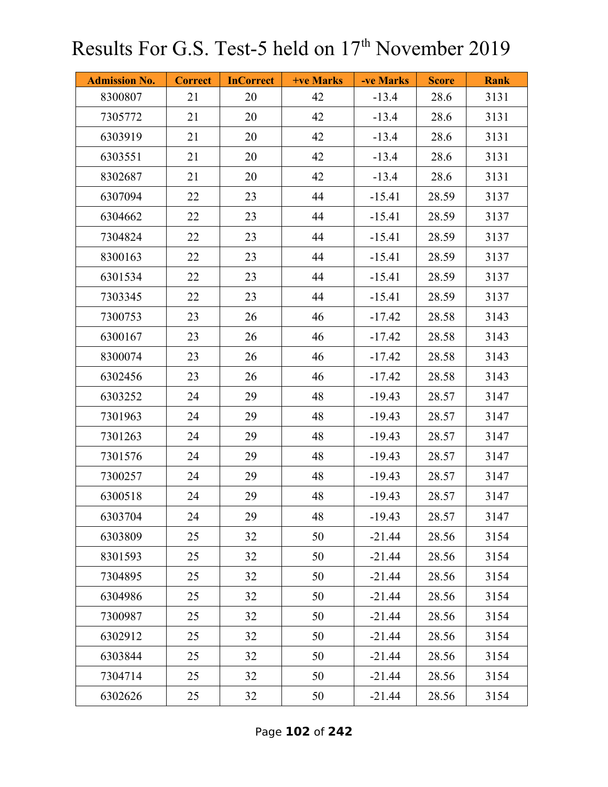| <b>Admission No.</b> | <b>Correct</b> | <b>InCorrect</b> | <b>+ve Marks</b> | -ve Marks | <b>Score</b> | <b>Rank</b> |
|----------------------|----------------|------------------|------------------|-----------|--------------|-------------|
| 8300807              | 21             | 20               | 42               | $-13.4$   | 28.6         | 3131        |
| 7305772              | 21             | 20               | 42               | $-13.4$   | 28.6         | 3131        |
| 6303919              | 21             | 20               | 42               | $-13.4$   | 28.6         | 3131        |
| 6303551              | 21             | 20               | 42               | $-13.4$   | 28.6         | 3131        |
| 8302687              | 21             | 20               | 42               | $-13.4$   | 28.6         | 3131        |
| 6307094              | 22             | 23               | 44               | $-15.41$  | 28.59        | 3137        |
| 6304662              | 22             | 23               | 44               | $-15.41$  | 28.59        | 3137        |
| 7304824              | 22             | 23               | 44               | $-15.41$  | 28.59        | 3137        |
| 8300163              | 22             | 23               | 44               | $-15.41$  | 28.59        | 3137        |
| 6301534              | 22             | 23               | 44               | $-15.41$  | 28.59        | 3137        |
| 7303345              | 22             | 23               | 44               | $-15.41$  | 28.59        | 3137        |
| 7300753              | 23             | 26               | 46               | $-17.42$  | 28.58        | 3143        |
| 6300167              | 23             | 26               | 46               | $-17.42$  | 28.58        | 3143        |
| 8300074              | 23             | 26               | 46               | $-17.42$  | 28.58        | 3143        |
| 6302456              | 23             | 26               | 46               | $-17.42$  | 28.58        | 3143        |
| 6303252              | 24             | 29               | 48               | $-19.43$  | 28.57        | 3147        |
| 7301963              | 24             | 29               | 48               | $-19.43$  | 28.57        | 3147        |
| 7301263              | 24             | 29               | 48               | $-19.43$  | 28.57        | 3147        |
| 7301576              | 24             | 29               | 48               | $-19.43$  | 28.57        | 3147        |
| 7300257              | 24             | 29               | 48               | $-19.43$  | 28.57        | 3147        |
| 6300518              | 24             | 29               | 48               | $-19.43$  | 28.57        | 3147        |
| 6303704              | 24             | 29               | 48               | $-19.43$  | 28.57        | 3147        |
| 6303809              | 25             | 32               | 50               | $-21.44$  | 28.56        | 3154        |
| 8301593              | 25             | 32               | 50               | $-21.44$  | 28.56        | 3154        |
| 7304895              | 25             | 32               | 50               | $-21.44$  | 28.56        | 3154        |
| 6304986              | 25             | 32               | 50               | $-21.44$  | 28.56        | 3154        |
| 7300987              | 25             | 32               | 50               | $-21.44$  | 28.56        | 3154        |
| 6302912              | 25             | 32               | 50               | $-21.44$  | 28.56        | 3154        |
| 6303844              | 25             | 32               | 50               | $-21.44$  | 28.56        | 3154        |
| 7304714              | 25             | 32               | 50               | $-21.44$  | 28.56        | 3154        |
| 6302626              | 25             | 32               | 50               | $-21.44$  | 28.56        | 3154        |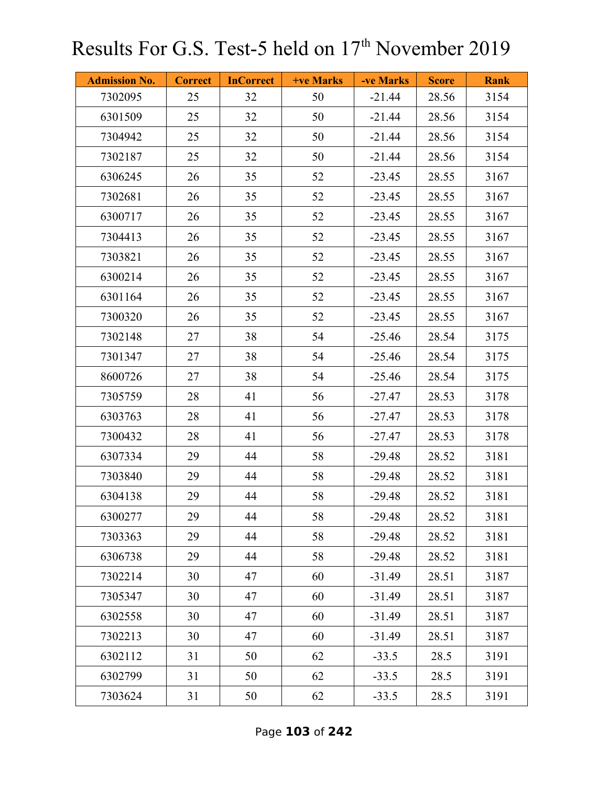| <b>Admission No.</b> | <b>Correct</b> | <b>InCorrect</b> | <b>+ve Marks</b> | -ve Marks | <b>Score</b> | <b>Rank</b> |
|----------------------|----------------|------------------|------------------|-----------|--------------|-------------|
| 7302095              | 25             | 32               | 50               | $-21.44$  | 28.56        | 3154        |
| 6301509              | 25             | 32               | 50               | $-21.44$  | 28.56        | 3154        |
| 7304942              | 25             | 32               | 50               | $-21.44$  | 28.56        | 3154        |
| 7302187              | 25             | 32               | 50               | $-21.44$  | 28.56        | 3154        |
| 6306245              | 26             | 35               | 52               | $-23.45$  | 28.55        | 3167        |
| 7302681              | 26             | 35               | 52               | $-23.45$  | 28.55        | 3167        |
| 6300717              | 26             | 35               | 52               | $-23.45$  | 28.55        | 3167        |
| 7304413              | 26             | 35               | 52               | $-23.45$  | 28.55        | 3167        |
| 7303821              | 26             | 35               | 52               | $-23.45$  | 28.55        | 3167        |
| 6300214              | 26             | 35               | 52               | $-23.45$  | 28.55        | 3167        |
| 6301164              | 26             | 35               | 52               | $-23.45$  | 28.55        | 3167        |
| 7300320              | 26             | 35               | 52               | $-23.45$  | 28.55        | 3167        |
| 7302148              | 27             | 38               | 54               | $-25.46$  | 28.54        | 3175        |
| 7301347              | 27             | 38               | 54               | $-25.46$  | 28.54        | 3175        |
| 8600726              | 27             | 38               | 54               | $-25.46$  | 28.54        | 3175        |
| 7305759              | 28             | 41               | 56               | $-27.47$  | 28.53        | 3178        |
| 6303763              | 28             | 41               | 56               | $-27.47$  | 28.53        | 3178        |
| 7300432              | 28             | 41               | 56               | $-27.47$  | 28.53        | 3178        |
| 6307334              | 29             | 44               | 58               | $-29.48$  | 28.52        | 3181        |
| 7303840              | 29             | 44               | 58               | $-29.48$  | 28.52        | 3181        |
| 6304138              | 29             | 44               | 58               | $-29.48$  | 28.52        | 3181        |
| 6300277              | 29             | 44               | 58               | $-29.48$  | 28.52        | 3181        |
| 7303363              | 29             | 44               | 58               | $-29.48$  | 28.52        | 3181        |
| 6306738              | 29             | 44               | 58               | $-29.48$  | 28.52        | 3181        |
| 7302214              | 30             | 47               | 60               | $-31.49$  | 28.51        | 3187        |
| 7305347              | 30             | 47               | 60               | $-31.49$  | 28.51        | 3187        |
| 6302558              | 30             | 47               | 60               | $-31.49$  | 28.51        | 3187        |
| 7302213              | 30             | 47               | 60               | $-31.49$  | 28.51        | 3187        |
| 6302112              | 31             | 50               | 62               | $-33.5$   | 28.5         | 3191        |
| 6302799              | 31             | 50               | 62               | $-33.5$   | 28.5         | 3191        |
| 7303624              | 31             | 50               | 62               | $-33.5$   | 28.5         | 3191        |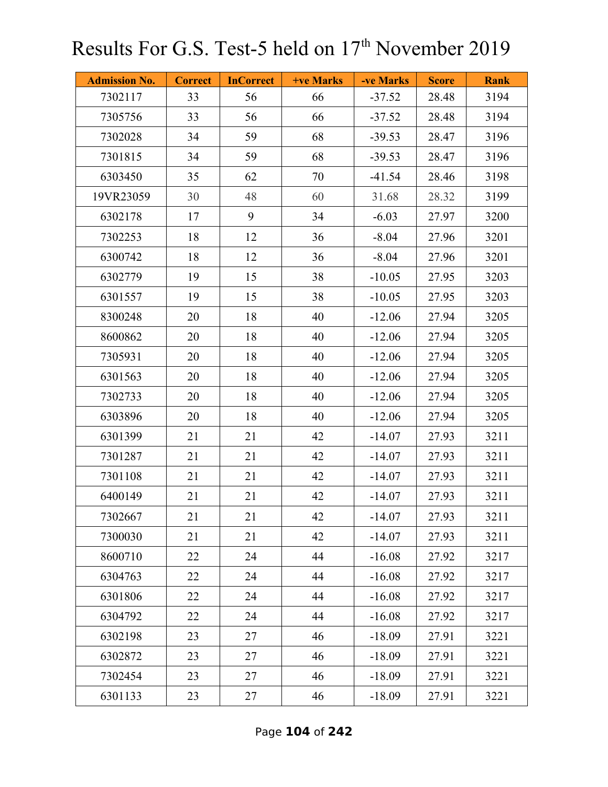| <b>Admission No.</b> | <b>Correct</b> | <b>InCorrect</b> | +ve Marks | -ve Marks | <b>Score</b> | <b>Rank</b> |
|----------------------|----------------|------------------|-----------|-----------|--------------|-------------|
| 7302117              | 33             | 56               | 66        | $-37.52$  | 28.48        | 3194        |
| 7305756              | 33             | 56               | 66        | $-37.52$  | 28.48        | 3194        |
| 7302028              | 34             | 59               | 68        | $-39.53$  | 28.47        | 3196        |
| 7301815              | 34             | 59               | 68        | $-39.53$  | 28.47        | 3196        |
| 6303450              | 35             | 62               | 70        | $-41.54$  | 28.46        | 3198        |
| 19VR23059            | 30             | 48               | 60        | 31.68     | 28.32        | 3199        |
| 6302178              | 17             | 9                | 34        | $-6.03$   | 27.97        | 3200        |
| 7302253              | 18             | 12               | 36        | $-8.04$   | 27.96        | 3201        |
| 6300742              | 18             | 12               | 36        | $-8.04$   | 27.96        | 3201        |
| 6302779              | 19             | 15               | 38        | $-10.05$  | 27.95        | 3203        |
| 6301557              | 19             | 15               | 38        | $-10.05$  | 27.95        | 3203        |
| 8300248              | 20             | 18               | 40        | $-12.06$  | 27.94        | 3205        |
| 8600862              | 20             | 18               | 40        | $-12.06$  | 27.94        | 3205        |
| 7305931              | 20             | 18               | 40        | $-12.06$  | 27.94        | 3205        |
| 6301563              | 20             | 18               | 40        | $-12.06$  | 27.94        | 3205        |
| 7302733              | 20             | 18               | 40        | $-12.06$  | 27.94        | 3205        |
| 6303896              | 20             | 18               | 40        | $-12.06$  | 27.94        | 3205        |
| 6301399              | 21             | 21               | 42        | $-14.07$  | 27.93        | 3211        |
| 7301287              | 21             | 21               | 42        | $-14.07$  | 27.93        | 3211        |
| 7301108              | 21             | 21               | 42        | $-14.07$  | 27.93        | 3211        |
| 6400149              | 21             | 21               | 42        | $-14.07$  | 27.93        | 3211        |
| 7302667              | 21             | 21               | 42        | $-14.07$  | 27.93        | 3211        |
| 7300030              | 21             | 21               | 42        | $-14.07$  | 27.93        | 3211        |
| 8600710              | 22             | 24               | 44        | $-16.08$  | 27.92        | 3217        |
| 6304763              | 22             | 24               | 44        | $-16.08$  | 27.92        | 3217        |
| 6301806              | 22             | 24               | 44        | $-16.08$  | 27.92        | 3217        |
| 6304792              | 22             | 24               | 44        | $-16.08$  | 27.92        | 3217        |
| 6302198              | 23             | 27               | 46        | $-18.09$  | 27.91        | 3221        |
| 6302872              | 23             | 27               | 46        | $-18.09$  | 27.91        | 3221        |
| 7302454              | 23             | 27               | 46        | $-18.09$  | 27.91        | 3221        |
| 6301133              | 23             | 27               | 46        | $-18.09$  | 27.91        | 3221        |

Page **104** of **242**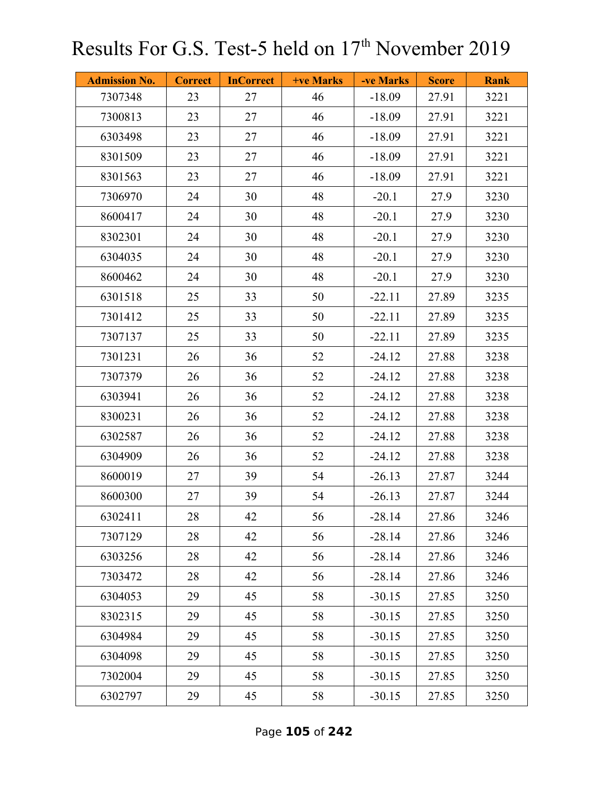| <b>Admission No.</b> | <b>Correct</b> | <b>InCorrect</b> | <b>+ve Marks</b> | -ve Marks | <b>Score</b> | <b>Rank</b> |
|----------------------|----------------|------------------|------------------|-----------|--------------|-------------|
| 7307348              | 23             | 27               | 46               | $-18.09$  | 27.91        | 3221        |
| 7300813              | 23             | 27               | 46               | $-18.09$  | 27.91        | 3221        |
| 6303498              | 23             | 27               | 46               | $-18.09$  | 27.91        | 3221        |
| 8301509              | 23             | 27               | 46               | $-18.09$  | 27.91        | 3221        |
| 8301563              | 23             | 27               | 46               | $-18.09$  | 27.91        | 3221        |
| 7306970              | 24             | 30               | 48               | $-20.1$   | 27.9         | 3230        |
| 8600417              | 24             | 30               | 48               | $-20.1$   | 27.9         | 3230        |
| 8302301              | 24             | 30               | 48               | $-20.1$   | 27.9         | 3230        |
| 6304035              | 24             | 30               | 48               | $-20.1$   | 27.9         | 3230        |
| 8600462              | 24             | 30               | 48               | $-20.1$   | 27.9         | 3230        |
| 6301518              | 25             | 33               | 50               | $-22.11$  | 27.89        | 3235        |
| 7301412              | 25             | 33               | 50               | $-22.11$  | 27.89        | 3235        |
| 7307137              | 25             | 33               | 50               | $-22.11$  | 27.89        | 3235        |
| 7301231              | 26             | 36               | 52               | $-24.12$  | 27.88        | 3238        |
| 7307379              | 26             | 36               | 52               | $-24.12$  | 27.88        | 3238        |
| 6303941              | 26             | 36               | 52               | $-24.12$  | 27.88        | 3238        |
| 8300231              | 26             | 36               | 52               | $-24.12$  | 27.88        | 3238        |
| 6302587              | 26             | 36               | 52               | $-24.12$  | 27.88        | 3238        |
| 6304909              | 26             | 36               | 52               | $-24.12$  | 27.88        | 3238        |
| 8600019              | 27             | 39               | 54               | $-26.13$  | 27.87        | 3244        |
| 8600300              | 27             | 39               | 54               | $-26.13$  | 27.87        | 3244        |
| 6302411              | 28             | 42               | 56               | $-28.14$  | 27.86        | 3246        |
| 7307129              | 28             | 42               | 56               | $-28.14$  | 27.86        | 3246        |
| 6303256              | 28             | 42               | 56               | $-28.14$  | 27.86        | 3246        |
| 7303472              | 28             | 42               | 56               | $-28.14$  | 27.86        | 3246        |
| 6304053              | 29             | 45               | 58               | $-30.15$  | 27.85        | 3250        |
| 8302315              | 29             | 45               | 58               | $-30.15$  | 27.85        | 3250        |
| 6304984              | 29             | 45               | 58               | $-30.15$  | 27.85        | 3250        |
| 6304098              | 29             | 45               | 58               | $-30.15$  | 27.85        | 3250        |
| 7302004              | 29             | 45               | 58               | $-30.15$  | 27.85        | 3250        |
| 6302797              | 29             | 45               | 58               | $-30.15$  | 27.85        | 3250        |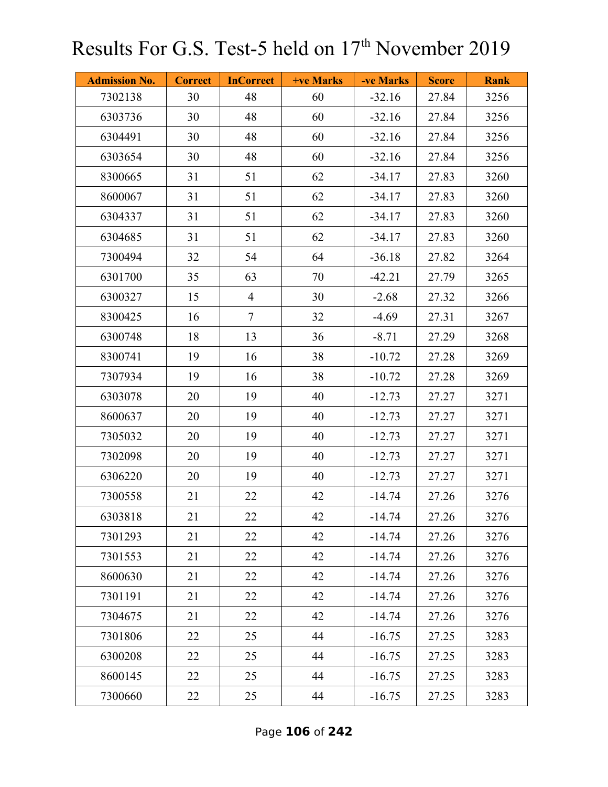| <b>Admission No.</b> | <b>Correct</b> | <b>InCorrect</b> | +ve Marks | -ve Marks | <b>Score</b> | <b>Rank</b> |
|----------------------|----------------|------------------|-----------|-----------|--------------|-------------|
| 7302138              | 30             | 48               | 60        | $-32.16$  | 27.84        | 3256        |
| 6303736              | 30             | 48               | 60        | $-32.16$  | 27.84        | 3256        |
| 6304491              | 30             | 48               | 60        | $-32.16$  | 27.84        | 3256        |
| 6303654              | 30             | 48               | 60        | $-32.16$  | 27.84        | 3256        |
| 8300665              | 31             | 51               | 62        | $-34.17$  | 27.83        | 3260        |
| 8600067              | 31             | 51               | 62        | $-34.17$  | 27.83        | 3260        |
| 6304337              | 31             | 51               | 62        | $-34.17$  | 27.83        | 3260        |
| 6304685              | 31             | 51               | 62        | $-34.17$  | 27.83        | 3260        |
| 7300494              | 32             | 54               | 64        | $-36.18$  | 27.82        | 3264        |
| 6301700              | 35             | 63               | 70        | $-42.21$  | 27.79        | 3265        |
| 6300327              | 15             | $\overline{4}$   | 30        | $-2.68$   | 27.32        | 3266        |
| 8300425              | 16             | $\tau$           | 32        | $-4.69$   | 27.31        | 3267        |
| 6300748              | 18             | 13               | 36        | $-8.71$   | 27.29        | 3268        |
| 8300741              | 19             | 16               | 38        | $-10.72$  | 27.28        | 3269        |
| 7307934              | 19             | 16               | 38        | $-10.72$  | 27.28        | 3269        |
| 6303078              | 20             | 19               | 40        | $-12.73$  | 27.27        | 3271        |
| 8600637              | 20             | 19               | 40        | $-12.73$  | 27.27        | 3271        |
| 7305032              | 20             | 19               | 40        | $-12.73$  | 27.27        | 3271        |
| 7302098              | 20             | 19               | 40        | $-12.73$  | 27.27        | 3271        |
| 6306220              | 20             | 19               | 40        | $-12.73$  | 27.27        | 3271        |
| 7300558              | 21             | 22               | 42        | $-14.74$  | 27.26        | 3276        |
| 6303818              | 21             | 22               | 42        | $-14.74$  | 27.26        | 3276        |
| 7301293              | 21             | 22               | 42        | $-14.74$  | 27.26        | 3276        |
| 7301553              | 21             | 22               | 42        | $-14.74$  | 27.26        | 3276        |
| 8600630              | 21             | 22               | 42        | $-14.74$  | 27.26        | 3276        |
| 7301191              | 21             | 22               | 42        | $-14.74$  | 27.26        | 3276        |
| 7304675              | 21             | 22               | 42        | $-14.74$  | 27.26        | 3276        |
| 7301806              | 22             | 25               | 44        | $-16.75$  | 27.25        | 3283        |
| 6300208              | 22             | 25               | 44        | $-16.75$  | 27.25        | 3283        |
| 8600145              | 22             | 25               | 44        | $-16.75$  | 27.25        | 3283        |
| 7300660              | 22             | 25               | 44        | $-16.75$  | 27.25        | 3283        |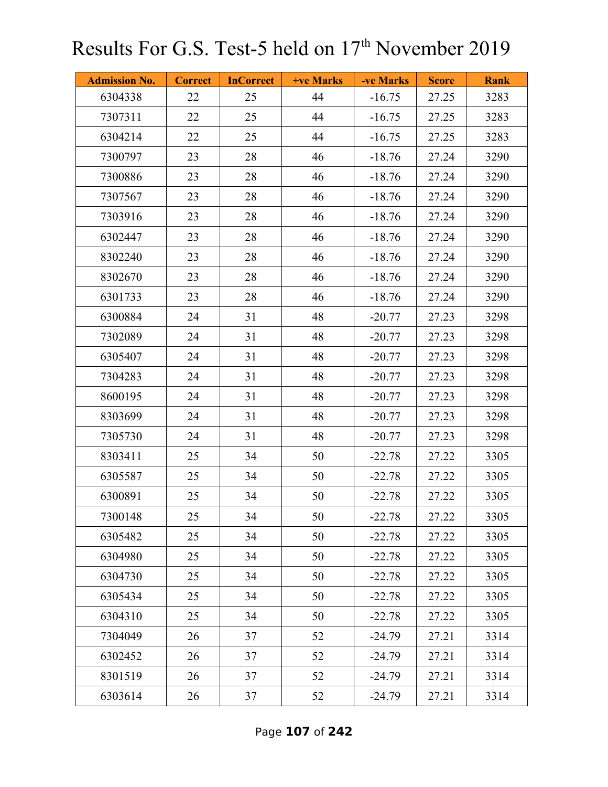| <b>Admission No.</b> | <b>Correct</b> | <b>InCorrect</b> | +ve Marks | -ve Marks | <b>Score</b> | <b>Rank</b> |
|----------------------|----------------|------------------|-----------|-----------|--------------|-------------|
| 6304338              | 22             | 25               | 44        | $-16.75$  | 27.25        | 3283        |
| 7307311              | 22             | 25               | 44        | $-16.75$  | 27.25        | 3283        |
| 6304214              | 22             | 25               | 44        | $-16.75$  | 27.25        | 3283        |
| 7300797              | 23             | 28               | 46        | $-18.76$  | 27.24        | 3290        |
| 7300886              | 23             | 28               | 46        | $-18.76$  | 27.24        | 3290        |
| 7307567              | 23             | 28               | 46        | $-18.76$  | 27.24        | 3290        |
| 7303916              | 23             | 28               | 46        | $-18.76$  | 27.24        | 3290        |
| 6302447              | 23             | 28               | 46        | $-18.76$  | 27.24        | 3290        |
| 8302240              | 23             | 28               | 46        | $-18.76$  | 27.24        | 3290        |
| 8302670              | 23             | 28               | 46        | $-18.76$  | 27.24        | 3290        |
| 6301733              | 23             | 28               | 46        | $-18.76$  | 27.24        | 3290        |
| 6300884              | 24             | 31               | 48        | $-20.77$  | 27.23        | 3298        |
| 7302089              | 24             | 31               | 48        | $-20.77$  | 27.23        | 3298        |
| 6305407              | 24             | 31               | 48        | $-20.77$  | 27.23        | 3298        |
| 7304283              | 24             | 31               | 48        | $-20.77$  | 27.23        | 3298        |
| 8600195              | 24             | 31               | 48        | $-20.77$  | 27.23        | 3298        |
| 8303699              | 24             | 31               | 48        | $-20.77$  | 27.23        | 3298        |
| 7305730              | 24             | 31               | 48        | $-20.77$  | 27.23        | 3298        |
| 8303411              | 25             | 34               | 50        | $-22.78$  | 27.22        | 3305        |
| 6305587              | 25             | 34               | 50        | $-22.78$  | 27.22        | 3305        |
| 6300891              | 25             | 34               | 50        | $-22.78$  | 27.22        | 3305        |
| 7300148              | 25             | 34               | 50        | $-22.78$  | 27.22        | 3305        |
| 6305482              | 25             | 34               | 50        | $-22.78$  | 27.22        | 3305        |
| 6304980              | 25             | 34               | 50        | $-22.78$  | 27.22        | 3305        |
| 6304730              | 25             | 34               | 50        | $-22.78$  | 27.22        | 3305        |
| 6305434              | 25             | 34               | 50        | $-22.78$  | 27.22        | 3305        |
| 6304310              | 25             | 34               | 50        | $-22.78$  | 27.22        | 3305        |
| 7304049              | 26             | 37               | 52        | $-24.79$  | 27.21        | 3314        |
| 6302452              | 26             | 37               | 52        | $-24.79$  | 27.21        | 3314        |
| 8301519              | 26             | 37               | 52        | $-24.79$  | 27.21        | 3314        |
| 6303614              | 26             | 37               | 52        | $-24.79$  | 27.21        | 3314        |

Page **107** of **242**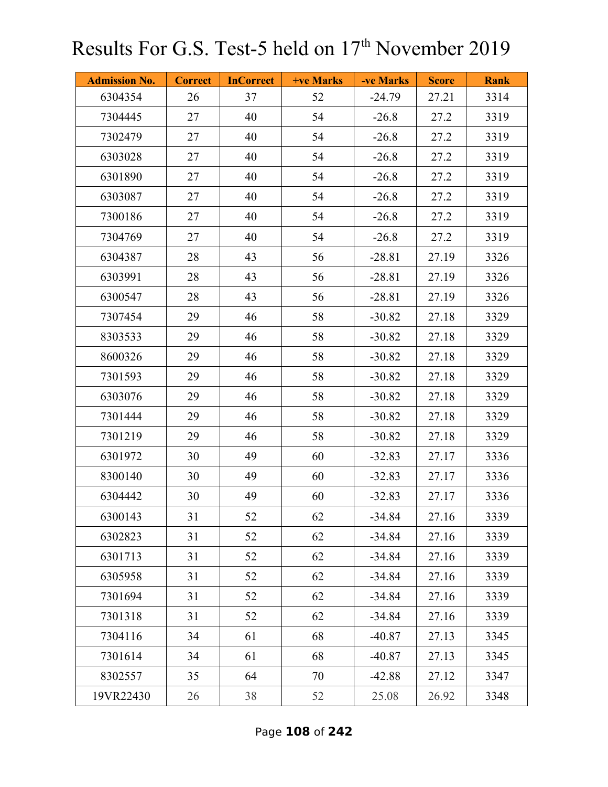| <b>Admission No.</b> | <b>Correct</b> | <b>InCorrect</b> | <b>+ve Marks</b> | -ve Marks | <b>Score</b> | <b>Rank</b> |
|----------------------|----------------|------------------|------------------|-----------|--------------|-------------|
| 6304354              | 26             | 37               | 52               | $-24.79$  | 27.21        | 3314        |
| 7304445              | 27             | 40               | 54               | $-26.8$   | 27.2         | 3319        |
| 7302479              | 27             | 40               | 54               | $-26.8$   | 27.2         | 3319        |
| 6303028              | 27             | 40               | 54               | $-26.8$   | 27.2         | 3319        |
| 6301890              | 27             | 40               | 54               | $-26.8$   | 27.2         | 3319        |
| 6303087              | 27             | 40               | 54               | $-26.8$   | 27.2         | 3319        |
| 7300186              | 27             | 40               | 54               | $-26.8$   | 27.2         | 3319        |
| 7304769              | 27             | 40               | 54               | $-26.8$   | 27.2         | 3319        |
| 6304387              | 28             | 43               | 56               | $-28.81$  | 27.19        | 3326        |
| 6303991              | 28             | 43               | 56               | $-28.81$  | 27.19        | 3326        |
| 6300547              | 28             | 43               | 56               | $-28.81$  | 27.19        | 3326        |
| 7307454              | 29             | 46               | 58               | $-30.82$  | 27.18        | 3329        |
| 8303533              | 29             | 46               | 58               | $-30.82$  | 27.18        | 3329        |
| 8600326              | 29             | 46               | 58               | $-30.82$  | 27.18        | 3329        |
| 7301593              | 29             | 46               | 58               | $-30.82$  | 27.18        | 3329        |
| 6303076              | 29             | 46               | 58               | $-30.82$  | 27.18        | 3329        |
| 7301444              | 29             | 46               | 58               | $-30.82$  | 27.18        | 3329        |
| 7301219              | 29             | 46               | 58               | $-30.82$  | 27.18        | 3329        |
| 6301972              | 30             | 49               | 60               | $-32.83$  | 27.17        | 3336        |
| 8300140              | 30             | 49               | 60               | $-32.83$  | 27.17        | 3336        |
| 6304442              | 30             | 49               | 60               | $-32.83$  | 27.17        | 3336        |
| 6300143              | 31             | 52               | 62               | $-34.84$  | 27.16        | 3339        |
| 6302823              | 31             | 52               | 62               | $-34.84$  | 27.16        | 3339        |
| 6301713              | 31             | 52               | 62               | $-34.84$  | 27.16        | 3339        |
| 6305958              | 31             | 52               | 62               | $-34.84$  | 27.16        | 3339        |
| 7301694              | 31             | 52               | 62               | $-34.84$  | 27.16        | 3339        |
| 7301318              | 31             | 52               | 62               | $-34.84$  | 27.16        | 3339        |
| 7304116              | 34             | 61               | 68               | $-40.87$  | 27.13        | 3345        |
| 7301614              | 34             | 61               | 68               | $-40.87$  | 27.13        | 3345        |
| 8302557              | 35             | 64               | 70               | $-42.88$  | 27.12        | 3347        |
| 19VR22430            | 26             | 38               | 52               | 25.08     | 26.92        | 3348        |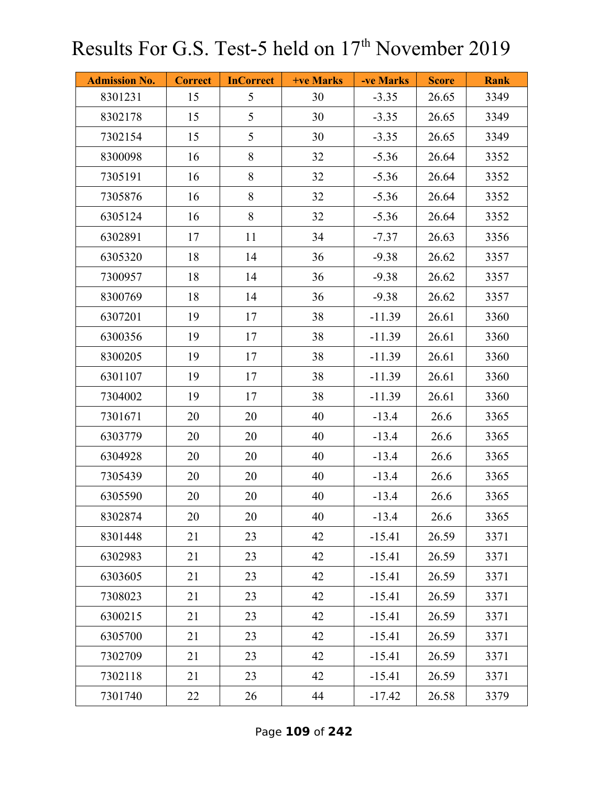| <b>Admission No.</b> | <b>Correct</b> | <b>InCorrect</b> | <b>+ve Marks</b> | -ve Marks | <b>Score</b> | <b>Rank</b> |
|----------------------|----------------|------------------|------------------|-----------|--------------|-------------|
| 8301231              | 15             | 5                | 30               | $-3.35$   | 26.65        | 3349        |
| 8302178              | 15             | 5                | 30               | $-3.35$   | 26.65        | 3349        |
| 7302154              | 15             | 5                | 30               | $-3.35$   | 26.65        | 3349        |
| 8300098              | 16             | 8                | 32               | $-5.36$   | 26.64        | 3352        |
| 7305191              | 16             | $8\,$            | 32               | $-5.36$   | 26.64        | 3352        |
| 7305876              | 16             | 8                | 32               | $-5.36$   | 26.64        | 3352        |
| 6305124              | 16             | 8                | 32               | $-5.36$   | 26.64        | 3352        |
| 6302891              | 17             | 11               | 34               | $-7.37$   | 26.63        | 3356        |
| 6305320              | 18             | 14               | 36               | $-9.38$   | 26.62        | 3357        |
| 7300957              | 18             | 14               | 36               | $-9.38$   | 26.62        | 3357        |
| 8300769              | 18             | 14               | 36               | $-9.38$   | 26.62        | 3357        |
| 6307201              | 19             | 17               | 38               | $-11.39$  | 26.61        | 3360        |
| 6300356              | 19             | 17               | 38               | $-11.39$  | 26.61        | 3360        |
| 8300205              | 19             | 17               | 38               | $-11.39$  | 26.61        | 3360        |
| 6301107              | 19             | 17               | 38               | $-11.39$  | 26.61        | 3360        |
| 7304002              | 19             | 17               | 38               | $-11.39$  | 26.61        | 3360        |
| 7301671              | 20             | 20               | 40               | $-13.4$   | 26.6         | 3365        |
| 6303779              | 20             | 20               | 40               | $-13.4$   | 26.6         | 3365        |
| 6304928              | 20             | 20               | 40               | $-13.4$   | 26.6         | 3365        |
| 7305439              | 20             | 20               | 40               | $-13.4$   | 26.6         | 3365        |
| 6305590              | 20             | 20               | 40               | $-13.4$   | 26.6         | 3365        |
| 8302874              | 20             | 20               | 40               | $-13.4$   | 26.6         | 3365        |
| 8301448              | 21             | 23               | 42               | $-15.41$  | 26.59        | 3371        |
| 6302983              | 21             | 23               | 42               | $-15.41$  | 26.59        | 3371        |
| 6303605              | 21             | 23               | 42               | $-15.41$  | 26.59        | 3371        |
| 7308023              | 21             | 23               | 42               | $-15.41$  | 26.59        | 3371        |
| 6300215              | 21             | 23               | 42               | $-15.41$  | 26.59        | 3371        |
| 6305700              | 21             | 23               | 42               | $-15.41$  | 26.59        | 3371        |
| 7302709              | 21             | 23               | 42               | $-15.41$  | 26.59        | 3371        |
| 7302118              | 21             | 23               | 42               | $-15.41$  | 26.59        | 3371        |
| 7301740              | 22             | 26               | 44               | $-17.42$  | 26.58        | 3379        |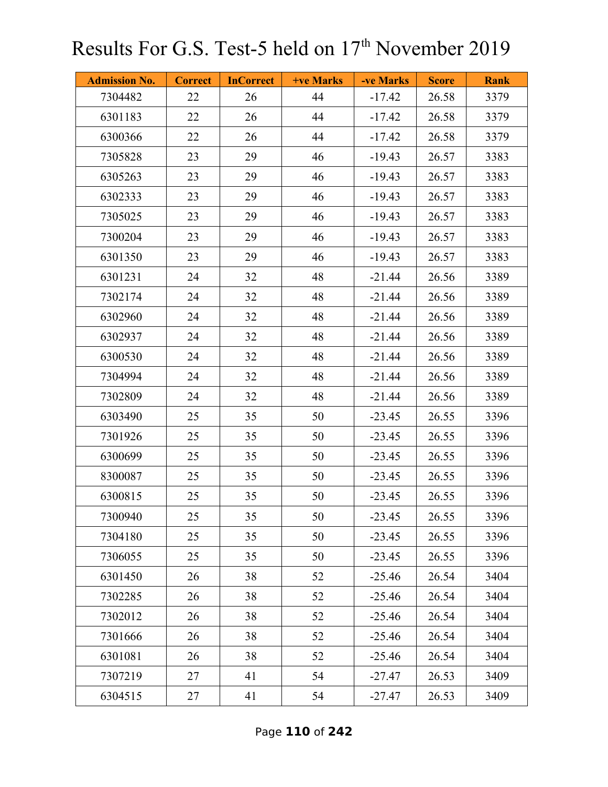| <b>Admission No.</b> | <b>Correct</b> | <b>InCorrect</b> | <b>+ve Marks</b> | -ve Marks | <b>Score</b> | <b>Rank</b> |
|----------------------|----------------|------------------|------------------|-----------|--------------|-------------|
| 7304482              | 22             | 26               | 44               | $-17.42$  | 26.58        | 3379        |
| 6301183              | 22             | 26               | 44               | $-17.42$  | 26.58        | 3379        |
| 6300366              | 22             | 26               | 44               | $-17.42$  | 26.58        | 3379        |
| 7305828              | 23             | 29               | 46               | $-19.43$  | 26.57        | 3383        |
| 6305263              | 23             | 29               | 46               | $-19.43$  | 26.57        | 3383        |
| 6302333              | 23             | 29               | 46               | $-19.43$  | 26.57        | 3383        |
| 7305025              | 23             | 29               | 46               | $-19.43$  | 26.57        | 3383        |
| 7300204              | 23             | 29               | 46               | $-19.43$  | 26.57        | 3383        |
| 6301350              | 23             | 29               | 46               | $-19.43$  | 26.57        | 3383        |
| 6301231              | 24             | 32               | 48               | $-21.44$  | 26.56        | 3389        |
| 7302174              | 24             | 32               | 48               | $-21.44$  | 26.56        | 3389        |
| 6302960              | 24             | 32               | 48               | $-21.44$  | 26.56        | 3389        |
| 6302937              | 24             | 32               | 48               | $-21.44$  | 26.56        | 3389        |
| 6300530              | 24             | 32               | 48               | $-21.44$  | 26.56        | 3389        |
| 7304994              | 24             | 32               | 48               | $-21.44$  | 26.56        | 3389        |
| 7302809              | 24             | 32               | 48               | $-21.44$  | 26.56        | 3389        |
| 6303490              | 25             | 35               | 50               | $-23.45$  | 26.55        | 3396        |
| 7301926              | 25             | 35               | 50               | $-23.45$  | 26.55        | 3396        |
| 6300699              | 25             | 35               | 50               | $-23.45$  | 26.55        | 3396        |
| 8300087              | 25             | 35               | 50               | $-23.45$  | 26.55        | 3396        |
| 6300815              | 25             | 35               | 50               | $-23.45$  | 26.55        | 3396        |
| 7300940              | 25             | 35               | 50               | $-23.45$  | 26.55        | 3396        |
| 7304180              | 25             | 35               | 50               | $-23.45$  | 26.55        | 3396        |
| 7306055              | 25             | 35               | 50               | $-23.45$  | 26.55        | 3396        |
| 6301450              | 26             | 38               | 52               | $-25.46$  | 26.54        | 3404        |
| 7302285              | 26             | 38               | 52               | $-25.46$  | 26.54        | 3404        |
| 7302012              | 26             | 38               | 52               | $-25.46$  | 26.54        | 3404        |
| 7301666              | 26             | 38               | 52               | $-25.46$  | 26.54        | 3404        |
| 6301081              | 26             | 38               | 52               | $-25.46$  | 26.54        | 3404        |
| 7307219              | 27             | 41               | 54               | $-27.47$  | 26.53        | 3409        |
| 6304515              | 27             | 41               | 54               | $-27.47$  | 26.53        | 3409        |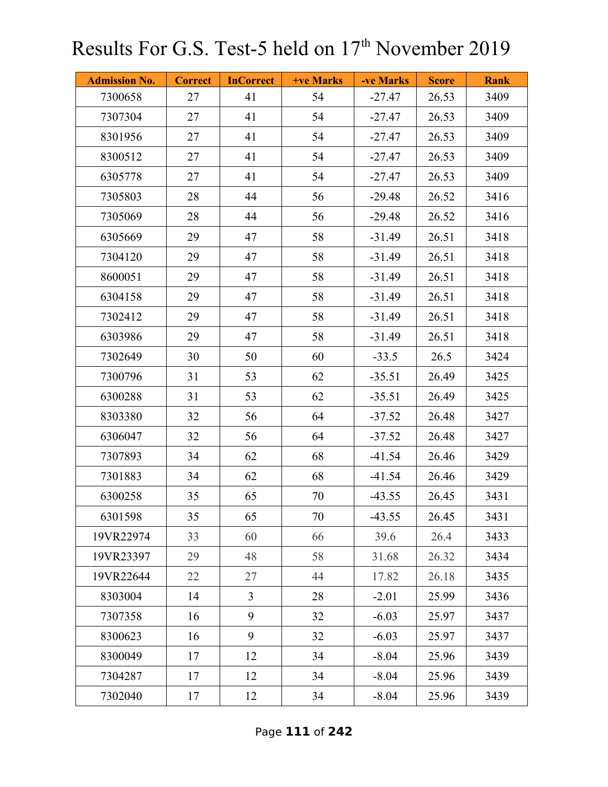| <b>Admission No.</b> | <b>Correct</b> | <b>InCorrect</b> | <b>+ve Marks</b> | -ve Marks | <b>Score</b> | <b>Rank</b> |
|----------------------|----------------|------------------|------------------|-----------|--------------|-------------|
| 7300658              | 27             | 41               | 54               | $-27.47$  | 26.53        | 3409        |
| 7307304              | 27             | 41               | 54               | $-27.47$  | 26.53        | 3409        |
| 8301956              | 27             | 41               | 54               | $-27.47$  | 26.53        | 3409        |
| 8300512              | 27             | 41               | 54               | $-27.47$  | 26.53        | 3409        |
| 6305778              | 27             | 41               | 54               | $-27.47$  | 26.53        | 3409        |
| 7305803              | 28             | 44               | 56               | $-29.48$  | 26.52        | 3416        |
| 7305069              | 28             | 44               | 56               | $-29.48$  | 26.52        | 3416        |
| 6305669              | 29             | 47               | 58               | $-31.49$  | 26.51        | 3418        |
| 7304120              | 29             | 47               | 58               | $-31.49$  | 26.51        | 3418        |
| 8600051              | 29             | 47               | 58               | $-31.49$  | 26.51        | 3418        |
| 6304158              | 29             | 47               | 58               | $-31.49$  | 26.51        | 3418        |
| 7302412              | 29             | 47               | 58               | $-31.49$  | 26.51        | 3418        |
| 6303986              | 29             | 47               | 58               | $-31.49$  | 26.51        | 3418        |
| 7302649              | 30             | 50               | 60               | $-33.5$   | 26.5         | 3424        |
| 7300796              | 31             | 53               | 62               | $-35.51$  | 26.49        | 3425        |
| 6300288              | 31             | 53               | 62               | $-35.51$  | 26.49        | 3425        |
| 8303380              | 32             | 56               | 64               | $-37.52$  | 26.48        | 3427        |
| 6306047              | 32             | 56               | 64               | $-37.52$  | 26.48        | 3427        |
| 7307893              | 34             | 62               | 68               | $-41.54$  | 26.46        | 3429        |
| 7301883              | 34             | 62               | 68               | $-41.54$  | 26.46        | 3429        |
| 6300258              | 35             | 65               | 70               | $-43.55$  | 26.45        | 3431        |
| 6301598              | 35             | 65               | 70               | $-43.55$  | 26.45        | 3431        |
| 19VR22974            | 33             | 60               | 66               | 39.6      | 26.4         | 3433        |
| 19VR23397            | 29             | 48               | 58               | 31.68     | 26.32        | 3434        |
| 19VR22644            | 22             | 27               | 44               | 17.82     | 26.18        | 3435        |
| 8303004              | 14             | $\overline{3}$   | 28               | $-2.01$   | 25.99        | 3436        |
| 7307358              | 16             | 9                | 32               | $-6.03$   | 25.97        | 3437        |
| 8300623              | 16             | 9                | 32               | $-6.03$   | 25.97        | 3437        |
| 8300049              | 17             | 12               | 34               | $-8.04$   | 25.96        | 3439        |
| 7304287              | 17             | 12               | 34               | $-8.04$   | 25.96        | 3439        |
| 7302040              | 17             | 12               | 34               | $-8.04$   | 25.96        | 3439        |

Page **111** of **242**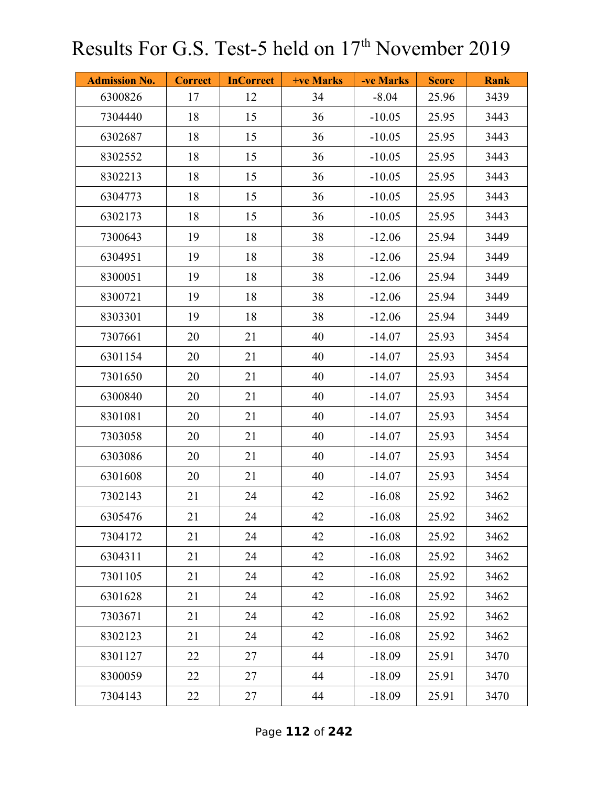| <b>Admission No.</b> | <b>Correct</b> | <b>InCorrect</b> | +ve Marks | -ve Marks | <b>Score</b> | <b>Rank</b> |
|----------------------|----------------|------------------|-----------|-----------|--------------|-------------|
| 6300826              | 17             | 12               | 34        | $-8.04$   | 25.96        | 3439        |
| 7304440              | 18             | 15               | 36        | $-10.05$  | 25.95        | 3443        |
| 6302687              | 18             | 15               | 36        | $-10.05$  | 25.95        | 3443        |
| 8302552              | 18             | 15               | 36        | $-10.05$  | 25.95        | 3443        |
| 8302213              | 18             | 15               | 36        | $-10.05$  | 25.95        | 3443        |
| 6304773              | 18             | 15               | 36        | $-10.05$  | 25.95        | 3443        |
| 6302173              | 18             | 15               | 36        | $-10.05$  | 25.95        | 3443        |
| 7300643              | 19             | 18               | 38        | $-12.06$  | 25.94        | 3449        |
| 6304951              | 19             | 18               | 38        | $-12.06$  | 25.94        | 3449        |
| 8300051              | 19             | 18               | 38        | $-12.06$  | 25.94        | 3449        |
| 8300721              | 19             | 18               | 38        | $-12.06$  | 25.94        | 3449        |
| 8303301              | 19             | 18               | 38        | $-12.06$  | 25.94        | 3449        |
| 7307661              | 20             | 21               | 40        | $-14.07$  | 25.93        | 3454        |
| 6301154              | 20             | 21               | 40        | $-14.07$  | 25.93        | 3454        |
| 7301650              | 20             | 21               | 40        | $-14.07$  | 25.93        | 3454        |
| 6300840              | 20             | 21               | 40        | $-14.07$  | 25.93        | 3454        |
| 8301081              | 20             | 21               | 40        | $-14.07$  | 25.93        | 3454        |
| 7303058              | 20             | 21               | 40        | $-14.07$  | 25.93        | 3454        |
| 6303086              | 20             | 21               | 40        | $-14.07$  | 25.93        | 3454        |
| 6301608              | 20             | 21               | 40        | $-14.07$  | 25.93        | 3454        |
| 7302143              | 21             | 24               | 42        | $-16.08$  | 25.92        | 3462        |
| 6305476              | 21             | 24               | 42        | $-16.08$  | 25.92        | 3462        |
| 7304172              | 21             | 24               | 42        | $-16.08$  | 25.92        | 3462        |
| 6304311              | 21             | 24               | 42        | $-16.08$  | 25.92        | 3462        |
| 7301105              | 21             | 24               | 42        | $-16.08$  | 25.92        | 3462        |
| 6301628              | 21             | 24               | 42        | $-16.08$  | 25.92        | 3462        |
| 7303671              | 21             | 24               | 42        | $-16.08$  | 25.92        | 3462        |
| 8302123              | 21             | 24               | 42        | $-16.08$  | 25.92        | 3462        |
| 8301127              | 22             | 27               | 44        | $-18.09$  | 25.91        | 3470        |
| 8300059              | 22             | 27               | 44        | $-18.09$  | 25.91        | 3470        |
| 7304143              | 22             | 27               | 44        | $-18.09$  | 25.91        | 3470        |

Page **112** of **242**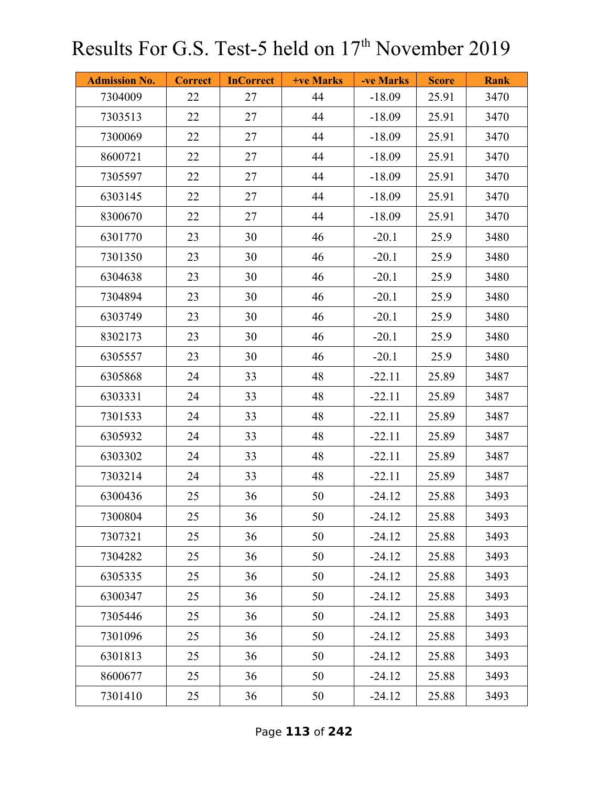| <b>Admission No.</b> | <b>Correct</b> | <b>InCorrect</b> | +ve Marks | -ve Marks | <b>Score</b> | <b>Rank</b> |
|----------------------|----------------|------------------|-----------|-----------|--------------|-------------|
| 7304009              | 22             | 27               | 44        | $-18.09$  | 25.91        | 3470        |
| 7303513              | 22             | 27               | 44        | $-18.09$  | 25.91        | 3470        |
| 7300069              | 22             | 27               | 44        | $-18.09$  | 25.91        | 3470        |
| 8600721              | 22             | 27               | 44        | $-18.09$  | 25.91        | 3470        |
| 7305597              | 22             | 27               | 44        | $-18.09$  | 25.91        | 3470        |
| 6303145              | 22             | 27               | 44        | $-18.09$  | 25.91        | 3470        |
| 8300670              | 22             | 27               | 44        | $-18.09$  | 25.91        | 3470        |
| 6301770              | 23             | 30               | 46        | $-20.1$   | 25.9         | 3480        |
| 7301350              | 23             | 30               | 46        | $-20.1$   | 25.9         | 3480        |
| 6304638              | 23             | 30               | 46        | $-20.1$   | 25.9         | 3480        |
| 7304894              | 23             | 30               | 46        | $-20.1$   | 25.9         | 3480        |
| 6303749              | 23             | 30               | 46        | $-20.1$   | 25.9         | 3480        |
| 8302173              | 23             | 30               | 46        | $-20.1$   | 25.9         | 3480        |
| 6305557              | 23             | 30               | 46        | $-20.1$   | 25.9         | 3480        |
| 6305868              | 24             | 33               | 48        | $-22.11$  | 25.89        | 3487        |
| 6303331              | 24             | 33               | 48        | $-22.11$  | 25.89        | 3487        |
| 7301533              | 24             | 33               | 48        | $-22.11$  | 25.89        | 3487        |
| 6305932              | 24             | 33               | 48        | $-22.11$  | 25.89        | 3487        |
| 6303302              | 24             | 33               | 48        | $-22.11$  | 25.89        | 3487        |
| 7303214              | 24             | 33               | 48        | $-22.11$  | 25.89        | 3487        |
| 6300436              | 25             | 36               | 50        | $-24.12$  | 25.88        | 3493        |
| 7300804              | 25             | 36               | 50        | $-24.12$  | 25.88        | 3493        |
| 7307321              | 25             | 36               | 50        | $-24.12$  | 25.88        | 3493        |
| 7304282              | 25             | 36               | 50        | $-24.12$  | 25.88        | 3493        |
| 6305335              | 25             | 36               | 50        | $-24.12$  | 25.88        | 3493        |
| 6300347              | 25             | 36               | 50        | $-24.12$  | 25.88        | 3493        |
| 7305446              | 25             | 36               | 50        | $-24.12$  | 25.88        | 3493        |
| 7301096              | 25             | 36               | 50        | $-24.12$  | 25.88        | 3493        |
| 6301813              | 25             | 36               | 50        | $-24.12$  | 25.88        | 3493        |
| 8600677              | 25             | 36               | 50        | $-24.12$  | 25.88        | 3493        |
| 7301410              | 25             | 36               | 50        | $-24.12$  | 25.88        | 3493        |

Page **113** of **242**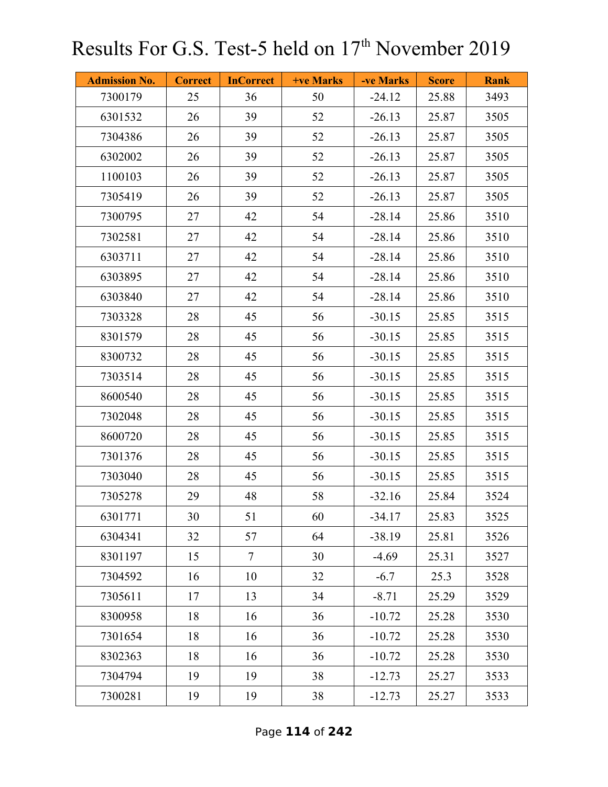| <b>Admission No.</b> | <b>Correct</b> | <b>InCorrect</b> | <b>+ve Marks</b> | -ve Marks | <b>Score</b> | <b>Rank</b> |
|----------------------|----------------|------------------|------------------|-----------|--------------|-------------|
| 7300179              | 25             | 36               | 50               | $-24.12$  | 25.88        | 3493        |
| 6301532              | 26             | 39               | 52               | $-26.13$  | 25.87        | 3505        |
| 7304386              | 26             | 39               | 52               | $-26.13$  | 25.87        | 3505        |
| 6302002              | 26             | 39               | 52               | $-26.13$  | 25.87        | 3505        |
| 1100103              | 26             | 39               | 52               | $-26.13$  | 25.87        | 3505        |
| 7305419              | 26             | 39               | 52               | $-26.13$  | 25.87        | 3505        |
| 7300795              | 27             | 42               | 54               | $-28.14$  | 25.86        | 3510        |
| 7302581              | 27             | 42               | 54               | $-28.14$  | 25.86        | 3510        |
| 6303711              | 27             | 42               | 54               | $-28.14$  | 25.86        | 3510        |
| 6303895              | 27             | 42               | 54               | $-28.14$  | 25.86        | 3510        |
| 6303840              | 27             | 42               | 54               | $-28.14$  | 25.86        | 3510        |
| 7303328              | 28             | 45               | 56               | $-30.15$  | 25.85        | 3515        |
| 8301579              | 28             | 45               | 56               | $-30.15$  | 25.85        | 3515        |
| 8300732              | 28             | 45               | 56               | $-30.15$  | 25.85        | 3515        |
| 7303514              | 28             | 45               | 56               | $-30.15$  | 25.85        | 3515        |
| 8600540              | 28             | 45               | 56               | $-30.15$  | 25.85        | 3515        |
| 7302048              | 28             | 45               | 56               | $-30.15$  | 25.85        | 3515        |
| 8600720              | 28             | 45               | 56               | $-30.15$  | 25.85        | 3515        |
| 7301376              | 28             | 45               | 56               | $-30.15$  | 25.85        | 3515        |
| 7303040              | 28             | 45               | 56               | $-30.15$  | 25.85        | 3515        |
| 7305278              | 29             | 48               | 58               | $-32.16$  | 25.84        | 3524        |
| 6301771              | 30             | 51               | 60               | $-34.17$  | 25.83        | 3525        |
| 6304341              | 32             | 57               | 64               | $-38.19$  | 25.81        | 3526        |
| 8301197              | 15             | $\overline{7}$   | 30               | $-4.69$   | 25.31        | 3527        |
| 7304592              | 16             | 10               | 32               | $-6.7$    | 25.3         | 3528        |
| 7305611              | 17             | 13               | 34               | $-8.71$   | 25.29        | 3529        |
| 8300958              | 18             | 16               | 36               | $-10.72$  | 25.28        | 3530        |
| 7301654              | 18             | 16               | 36               | $-10.72$  | 25.28        | 3530        |
| 8302363              | 18             | 16               | 36               | $-10.72$  | 25.28        | 3530        |
| 7304794              | 19             | 19               | 38               | $-12.73$  | 25.27        | 3533        |
| 7300281              | 19             | 19               | 38               | $-12.73$  | 25.27        | 3533        |

Page **114** of **242**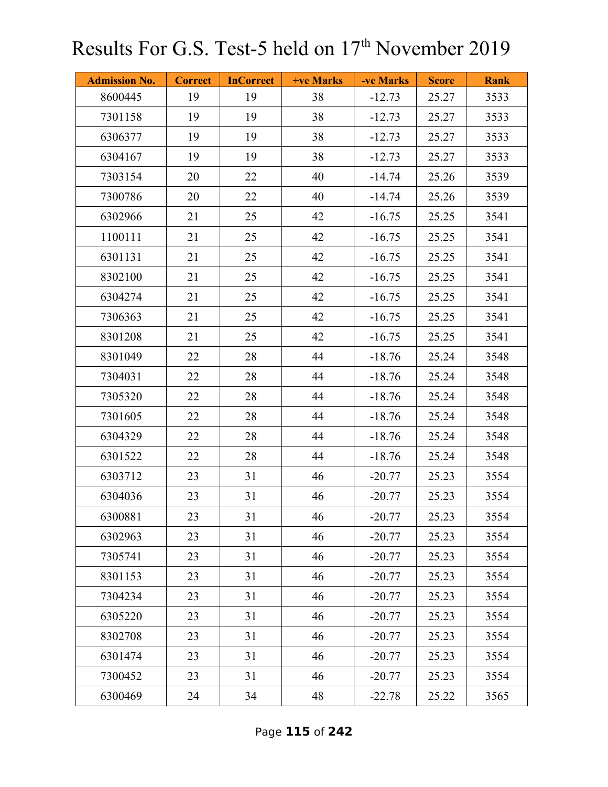| <b>Admission No.</b> | <b>Correct</b> | <b>InCorrect</b> | <b>+ve Marks</b> | -ve Marks | <b>Score</b> | <b>Rank</b> |
|----------------------|----------------|------------------|------------------|-----------|--------------|-------------|
| 8600445              | 19             | 19               | 38               | $-12.73$  | 25.27        | 3533        |
| 7301158              | 19             | 19               | 38               | $-12.73$  | 25.27        | 3533        |
| 6306377              | 19             | 19               | 38               | $-12.73$  | 25.27        | 3533        |
| 6304167              | 19             | 19               | 38               | $-12.73$  | 25.27        | 3533        |
| 7303154              | 20             | 22               | 40               | $-14.74$  | 25.26        | 3539        |
| 7300786              | 20             | 22               | 40               | $-14.74$  | 25.26        | 3539        |
| 6302966              | 21             | 25               | 42               | $-16.75$  | 25.25        | 3541        |
| 1100111              | 21             | 25               | 42               | $-16.75$  | 25.25        | 3541        |
| 6301131              | 21             | 25               | 42               | $-16.75$  | 25.25        | 3541        |
| 8302100              | 21             | 25               | 42               | $-16.75$  | 25.25        | 3541        |
| 6304274              | 21             | 25               | 42               | $-16.75$  | 25.25        | 3541        |
| 7306363              | 21             | 25               | 42               | $-16.75$  | 25.25        | 3541        |
| 8301208              | 21             | 25               | 42               | $-16.75$  | 25.25        | 3541        |
| 8301049              | 22             | 28               | 44               | $-18.76$  | 25.24        | 3548        |
| 7304031              | 22             | 28               | 44               | $-18.76$  | 25.24        | 3548        |
| 7305320              | 22             | 28               | 44               | $-18.76$  | 25.24        | 3548        |
| 7301605              | 22             | 28               | 44               | $-18.76$  | 25.24        | 3548        |
| 6304329              | 22             | 28               | 44               | $-18.76$  | 25.24        | 3548        |
| 6301522              | 22             | 28               | 44               | $-18.76$  | 25.24        | 3548        |
| 6303712              | 23             | 31               | 46               | $-20.77$  | 25.23        | 3554        |
| 6304036              | 23             | 31               | 46               | $-20.77$  | 25.23        | 3554        |
| 6300881              | 23             | 31               | 46               | $-20.77$  | 25.23        | 3554        |
| 6302963              | 23             | 31               | 46               | $-20.77$  | 25.23        | 3554        |
| 7305741              | 23             | 31               | 46               | $-20.77$  | 25.23        | 3554        |
| 8301153              | 23             | 31               | 46               | $-20.77$  | 25.23        | 3554        |
| 7304234              | 23             | 31               | 46               | $-20.77$  | 25.23        | 3554        |
| 6305220              | 23             | 31               | 46               | $-20.77$  | 25.23        | 3554        |
| 8302708              | 23             | 31               | 46               | $-20.77$  | 25.23        | 3554        |
| 6301474              | 23             | 31               | 46               | $-20.77$  | 25.23        | 3554        |
| 7300452              | 23             | 31               | 46               | $-20.77$  | 25.23        | 3554        |
| 6300469              | 24             | 34               | 48               | $-22.78$  | 25.22        | 3565        |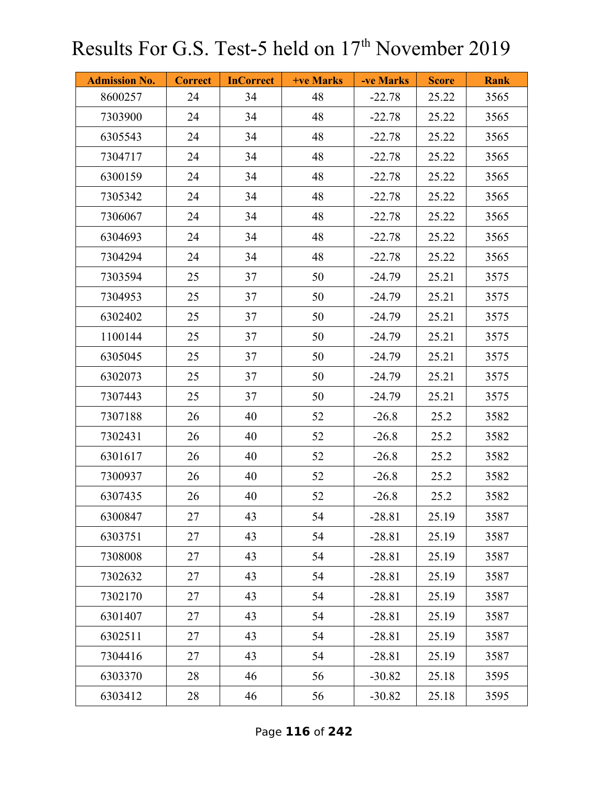| <b>Admission No.</b> | <b>Correct</b> | <b>InCorrect</b> | <b>+ve Marks</b> | -ve Marks | <b>Score</b> | <b>Rank</b> |
|----------------------|----------------|------------------|------------------|-----------|--------------|-------------|
| 8600257              | 24             | 34               | 48               | $-22.78$  | 25.22        | 3565        |
| 7303900              | 24             | 34               | 48               | $-22.78$  | 25.22        | 3565        |
| 6305543              | 24             | 34               | 48               | $-22.78$  | 25.22        | 3565        |
| 7304717              | 24             | 34               | 48               | $-22.78$  | 25.22        | 3565        |
| 6300159              | 24             | 34               | 48               | $-22.78$  | 25.22        | 3565        |
| 7305342              | 24             | 34               | 48               | $-22.78$  | 25.22        | 3565        |
| 7306067              | 24             | 34               | 48               | $-22.78$  | 25.22        | 3565        |
| 6304693              | 24             | 34               | 48               | $-22.78$  | 25.22        | 3565        |
| 7304294              | 24             | 34               | 48               | $-22.78$  | 25.22        | 3565        |
| 7303594              | 25             | 37               | 50               | $-24.79$  | 25.21        | 3575        |
| 7304953              | 25             | 37               | 50               | $-24.79$  | 25.21        | 3575        |
| 6302402              | 25             | 37               | 50               | $-24.79$  | 25.21        | 3575        |
| 1100144              | 25             | 37               | 50               | $-24.79$  | 25.21        | 3575        |
| 6305045              | 25             | 37               | 50               | $-24.79$  | 25.21        | 3575        |
| 6302073              | 25             | 37               | 50               | $-24.79$  | 25.21        | 3575        |
| 7307443              | 25             | 37               | 50               | $-24.79$  | 25.21        | 3575        |
| 7307188              | 26             | 40               | 52               | $-26.8$   | 25.2         | 3582        |
| 7302431              | 26             | 40               | 52               | $-26.8$   | 25.2         | 3582        |
| 6301617              | 26             | 40               | 52               | $-26.8$   | 25.2         | 3582        |
| 7300937              | 26             | 40               | 52               | $-26.8$   | 25.2         | 3582        |
| 6307435              | 26             | 40               | 52               | $-26.8$   | 25.2         | 3582        |
| 6300847              | 27             | 43               | 54               | $-28.81$  | 25.19        | 3587        |
| 6303751              | 27             | 43               | 54               | $-28.81$  | 25.19        | 3587        |
| 7308008              | 27             | 43               | 54               | $-28.81$  | 25.19        | 3587        |
| 7302632              | 27             | 43               | 54               | $-28.81$  | 25.19        | 3587        |
| 7302170              | 27             | 43               | 54               | $-28.81$  | 25.19        | 3587        |
| 6301407              | 27             | 43               | 54               | $-28.81$  | 25.19        | 3587        |
| 6302511              | 27             | 43               | 54               | $-28.81$  | 25.19        | 3587        |
| 7304416              | 27             | 43               | 54               | $-28.81$  | 25.19        | 3587        |
| 6303370              | 28             | 46               | 56               | $-30.82$  | 25.18        | 3595        |
| 6303412              | 28             | 46               | 56               | $-30.82$  | 25.18        | 3595        |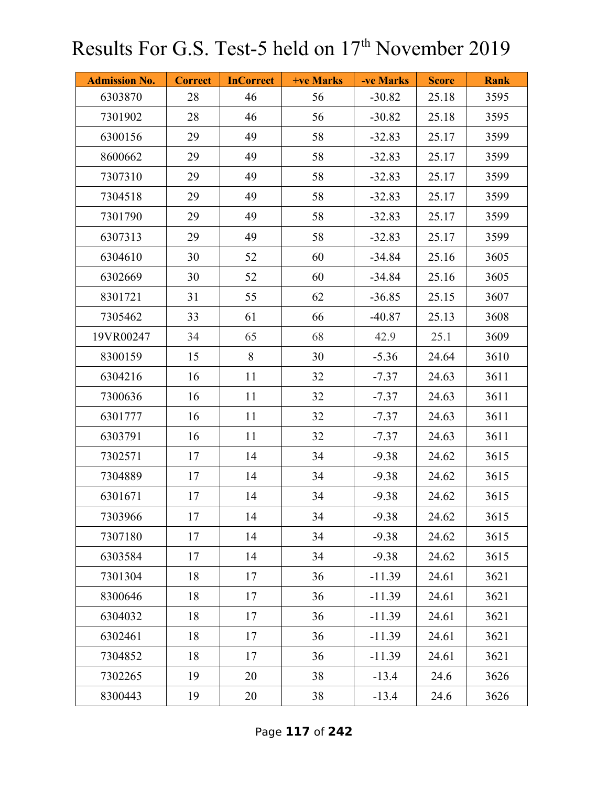| <b>Admission No.</b> | <b>Correct</b> | <b>InCorrect</b> | +ve Marks | -ve Marks | <b>Score</b> | <b>Rank</b> |
|----------------------|----------------|------------------|-----------|-----------|--------------|-------------|
| 6303870              | 28             | 46               | 56        | $-30.82$  | 25.18        | 3595        |
| 7301902              | 28             | 46               | 56        | $-30.82$  | 25.18        | 3595        |
| 6300156              | 29             | 49               | 58        | $-32.83$  | 25.17        | 3599        |
| 8600662              | 29             | 49               | 58        | $-32.83$  | 25.17        | 3599        |
| 7307310              | 29             | 49               | 58        | $-32.83$  | 25.17        | 3599        |
| 7304518              | 29             | 49               | 58        | $-32.83$  | 25.17        | 3599        |
| 7301790              | 29             | 49               | 58        | $-32.83$  | 25.17        | 3599        |
| 6307313              | 29             | 49               | 58        | $-32.83$  | 25.17        | 3599        |
| 6304610              | 30             | 52               | 60        | $-34.84$  | 25.16        | 3605        |
| 6302669              | 30             | 52               | 60        | $-34.84$  | 25.16        | 3605        |
| 8301721              | 31             | 55               | 62        | $-36.85$  | 25.15        | 3607        |
| 7305462              | 33             | 61               | 66        | $-40.87$  | 25.13        | 3608        |
| 19VR00247            | 34             | 65               | 68        | 42.9      | 25.1         | 3609        |
| 8300159              | 15             | 8                | 30        | $-5.36$   | 24.64        | 3610        |
| 6304216              | 16             | 11               | 32        | $-7.37$   | 24.63        | 3611        |
| 7300636              | 16             | 11               | 32        | $-7.37$   | 24.63        | 3611        |
| 6301777              | 16             | 11               | 32        | $-7.37$   | 24.63        | 3611        |
| 6303791              | 16             | 11               | 32        | $-7.37$   | 24.63        | 3611        |
| 7302571              | 17             | 14               | 34        | $-9.38$   | 24.62        | 3615        |
| 7304889              | 17             | 14               | 34        | $-9.38$   | 24.62        | 3615        |
| 6301671              | 17             | 14               | 34        | $-9.38$   | 24.62        | 3615        |
| 7303966              | 17             | 14               | 34        | $-9.38$   | 24.62        | 3615        |
| 7307180              | 17             | 14               | 34        | $-9.38$   | 24.62        | 3615        |
| 6303584              | 17             | 14               | 34        | $-9.38$   | 24.62        | 3615        |
| 7301304              | 18             | 17               | 36        | $-11.39$  | 24.61        | 3621        |
| 8300646              | 18             | 17               | 36        | $-11.39$  | 24.61        | 3621        |
| 6304032              | 18             | 17               | 36        | $-11.39$  | 24.61        | 3621        |
| 6302461              | 18             | 17               | 36        | $-11.39$  | 24.61        | 3621        |
| 7304852              | 18             | 17               | 36        | $-11.39$  | 24.61        | 3621        |
| 7302265              | 19             | 20               | 38        | $-13.4$   | 24.6         | 3626        |
| 8300443              | 19             | 20               | 38        | $-13.4$   | 24.6         | 3626        |

Page **117** of **242**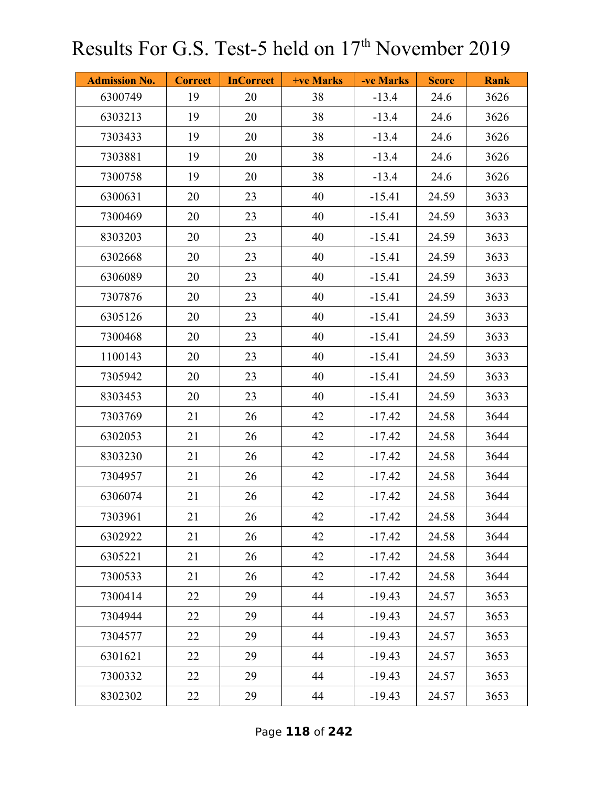| <b>Admission No.</b> | <b>Correct</b> | <b>InCorrect</b> | <b>+ve Marks</b> | -ve Marks | <b>Score</b> | <b>Rank</b> |
|----------------------|----------------|------------------|------------------|-----------|--------------|-------------|
| 6300749              | 19             | 20               | 38               | $-13.4$   | 24.6         | 3626        |
| 6303213              | 19             | 20               | 38               | $-13.4$   | 24.6         | 3626        |
| 7303433              | 19             | 20               | 38               | $-13.4$   | 24.6         | 3626        |
| 7303881              | 19             | 20               | 38               | $-13.4$   | 24.6         | 3626        |
| 7300758              | 19             | 20               | 38               | $-13.4$   | 24.6         | 3626        |
| 6300631              | 20             | 23               | 40               | $-15.41$  | 24.59        | 3633        |
| 7300469              | 20             | 23               | 40               | $-15.41$  | 24.59        | 3633        |
| 8303203              | 20             | 23               | 40               | $-15.41$  | 24.59        | 3633        |
| 6302668              | 20             | 23               | 40               | $-15.41$  | 24.59        | 3633        |
| 6306089              | 20             | 23               | 40               | $-15.41$  | 24.59        | 3633        |
| 7307876              | 20             | 23               | 40               | $-15.41$  | 24.59        | 3633        |
| 6305126              | 20             | 23               | 40               | $-15.41$  | 24.59        | 3633        |
| 7300468              | 20             | 23               | 40               | $-15.41$  | 24.59        | 3633        |
| 1100143              | 20             | 23               | 40               | $-15.41$  | 24.59        | 3633        |
| 7305942              | 20             | 23               | 40               | $-15.41$  | 24.59        | 3633        |
| 8303453              | 20             | 23               | 40               | $-15.41$  | 24.59        | 3633        |
| 7303769              | 21             | 26               | 42               | $-17.42$  | 24.58        | 3644        |
| 6302053              | 21             | 26               | 42               | $-17.42$  | 24.58        | 3644        |
| 8303230              | 21             | 26               | 42               | $-17.42$  | 24.58        | 3644        |
| 7304957              | 21             | 26               | 42               | $-17.42$  | 24.58        | 3644        |
| 6306074              | 21             | 26               | 42               | $-17.42$  | 24.58        | 3644        |
| 7303961              | 21             | 26               | 42               | $-17.42$  | 24.58        | 3644        |
| 6302922              | 21             | 26               | 42               | $-17.42$  | 24.58        | 3644        |
| 6305221              | 21             | 26               | 42               | $-17.42$  | 24.58        | 3644        |
| 7300533              | 21             | 26               | 42               | $-17.42$  | 24.58        | 3644        |
| 7300414              | 22             | 29               | 44               | $-19.43$  | 24.57        | 3653        |
| 7304944              | 22             | 29               | 44               | $-19.43$  | 24.57        | 3653        |
| 7304577              | 22             | 29               | 44               | $-19.43$  | 24.57        | 3653        |
| 6301621              | 22             | 29               | 44               | $-19.43$  | 24.57        | 3653        |
| 7300332              | 22             | 29               | 44               | $-19.43$  | 24.57        | 3653        |
| 8302302              | 22             | 29               | 44               | $-19.43$  | 24.57        | 3653        |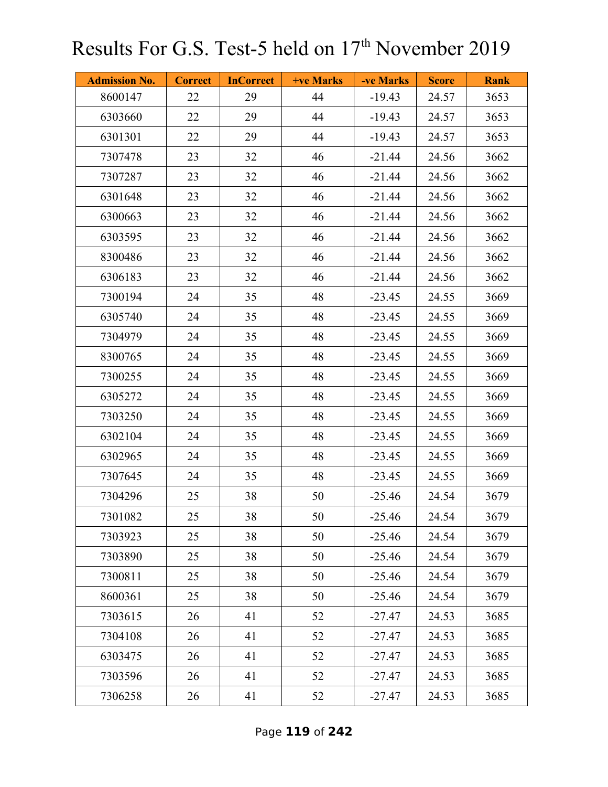| <b>Admission No.</b> | <b>Correct</b> | <b>InCorrect</b> | <b>+ve Marks</b> | -ve Marks | <b>Score</b> | <b>Rank</b> |
|----------------------|----------------|------------------|------------------|-----------|--------------|-------------|
| 8600147              | 22             | 29               | 44               | $-19.43$  | 24.57        | 3653        |
| 6303660              | 22             | 29               | 44               | $-19.43$  | 24.57        | 3653        |
| 6301301              | 22             | 29               | 44               | $-19.43$  | 24.57        | 3653        |
| 7307478              | 23             | 32               | 46               | $-21.44$  | 24.56        | 3662        |
| 7307287              | 23             | 32               | 46               | $-21.44$  | 24.56        | 3662        |
| 6301648              | 23             | 32               | 46               | $-21.44$  | 24.56        | 3662        |
| 6300663              | 23             | 32               | 46               | $-21.44$  | 24.56        | 3662        |
| 6303595              | 23             | 32               | 46               | $-21.44$  | 24.56        | 3662        |
| 8300486              | 23             | 32               | 46               | $-21.44$  | 24.56        | 3662        |
| 6306183              | 23             | 32               | 46               | $-21.44$  | 24.56        | 3662        |
| 7300194              | 24             | 35               | 48               | $-23.45$  | 24.55        | 3669        |
| 6305740              | 24             | 35               | 48               | $-23.45$  | 24.55        | 3669        |
| 7304979              | 24             | 35               | 48               | $-23.45$  | 24.55        | 3669        |
| 8300765              | 24             | 35               | 48               | $-23.45$  | 24.55        | 3669        |
| 7300255              | 24             | 35               | 48               | $-23.45$  | 24.55        | 3669        |
| 6305272              | 24             | 35               | 48               | $-23.45$  | 24.55        | 3669        |
| 7303250              | 24             | 35               | 48               | $-23.45$  | 24.55        | 3669        |
| 6302104              | 24             | 35               | 48               | $-23.45$  | 24.55        | 3669        |
| 6302965              | 24             | 35               | 48               | $-23.45$  | 24.55        | 3669        |
| 7307645              | 24             | 35               | 48               | $-23.45$  | 24.55        | 3669        |
| 7304296              | 25             | 38               | 50               | $-25.46$  | 24.54        | 3679        |
| 7301082              | 25             | 38               | 50               | $-25.46$  | 24.54        | 3679        |
| 7303923              | 25             | 38               | 50               | $-25.46$  | 24.54        | 3679        |
| 7303890              | 25             | 38               | 50               | $-25.46$  | 24.54        | 3679        |
| 7300811              | 25             | 38               | 50               | $-25.46$  | 24.54        | 3679        |
| 8600361              | 25             | 38               | 50               | $-25.46$  | 24.54        | 3679        |
| 7303615              | 26             | 41               | 52               | $-27.47$  | 24.53        | 3685        |
| 7304108              | 26             | 41               | 52               | $-27.47$  | 24.53        | 3685        |
| 6303475              | 26             | 41               | 52               | $-27.47$  | 24.53        | 3685        |
| 7303596              | 26             | 41               | 52               | $-27.47$  | 24.53        | 3685        |
| 7306258              | 26             | 41               | 52               | $-27.47$  | 24.53        | 3685        |

Page **119** of **242**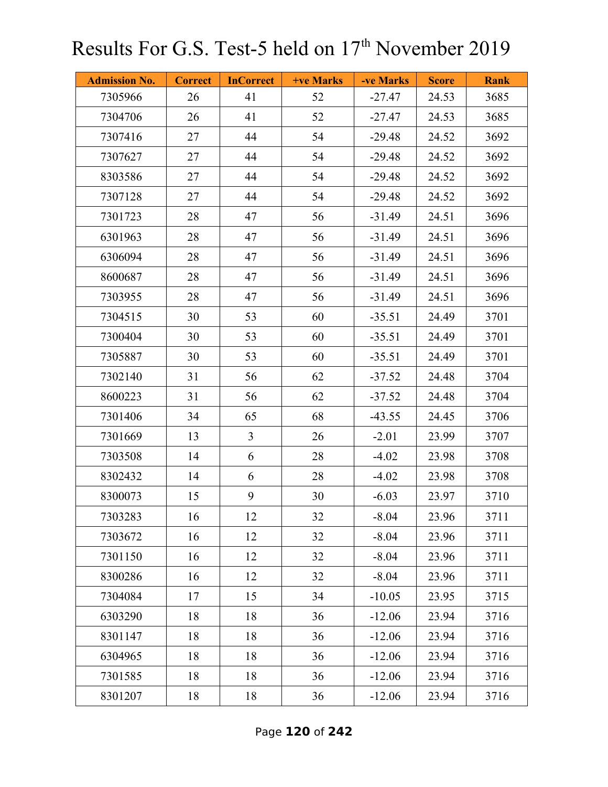| <b>Admission No.</b> | <b>Correct</b> | <b>InCorrect</b> | <b>+ve Marks</b> | -ve Marks | <b>Score</b> | <b>Rank</b> |
|----------------------|----------------|------------------|------------------|-----------|--------------|-------------|
| 7305966              | 26             | 41               | 52               | $-27.47$  | 24.53        | 3685        |
| 7304706              | 26             | 41               | 52               | $-27.47$  | 24.53        | 3685        |
| 7307416              | 27             | 44               | 54               | $-29.48$  | 24.52        | 3692        |
| 7307627              | 27             | 44               | 54               | $-29.48$  | 24.52        | 3692        |
| 8303586              | 27             | 44               | 54               | $-29.48$  | 24.52        | 3692        |
| 7307128              | 27             | 44               | 54               | $-29.48$  | 24.52        | 3692        |
| 7301723              | 28             | 47               | 56               | $-31.49$  | 24.51        | 3696        |
| 6301963              | 28             | 47               | 56               | $-31.49$  | 24.51        | 3696        |
| 6306094              | 28             | 47               | 56               | $-31.49$  | 24.51        | 3696        |
| 8600687              | 28             | 47               | 56               | $-31.49$  | 24.51        | 3696        |
| 7303955              | 28             | 47               | 56               | $-31.49$  | 24.51        | 3696        |
| 7304515              | 30             | 53               | 60               | $-35.51$  | 24.49        | 3701        |
| 7300404              | 30             | 53               | 60               | $-35.51$  | 24.49        | 3701        |
| 7305887              | 30             | 53               | 60               | $-35.51$  | 24.49        | 3701        |
| 7302140              | 31             | 56               | 62               | $-37.52$  | 24.48        | 3704        |
| 8600223              | 31             | 56               | 62               | $-37.52$  | 24.48        | 3704        |
| 7301406              | 34             | 65               | 68               | $-43.55$  | 24.45        | 3706        |
| 7301669              | 13             | $\overline{3}$   | 26               | $-2.01$   | 23.99        | 3707        |
| 7303508              | 14             | 6                | 28               | $-4.02$   | 23.98        | 3708        |
| 8302432              | 14             | 6                | 28               | $-4.02$   | 23.98        | 3708        |
| 8300073              | 15             | 9                | 30               | $-6.03$   | 23.97        | 3710        |
| 7303283              | 16             | 12               | 32               | $-8.04$   | 23.96        | 3711        |
| 7303672              | 16             | 12               | 32               | $-8.04$   | 23.96        | 3711        |
| 7301150              | 16             | 12               | 32               | $-8.04$   | 23.96        | 3711        |
| 8300286              | 16             | 12               | 32               | $-8.04$   | 23.96        | 3711        |
| 7304084              | 17             | 15               | 34               | $-10.05$  | 23.95        | 3715        |
| 6303290              | 18             | 18               | 36               | $-12.06$  | 23.94        | 3716        |
| 8301147              | 18             | 18               | 36               | $-12.06$  | 23.94        | 3716        |
| 6304965              | 18             | 18               | 36               | $-12.06$  | 23.94        | 3716        |
| 7301585              | 18             | 18               | 36               | $-12.06$  | 23.94        | 3716        |
| 8301207              | 18             | 18               | 36               | $-12.06$  | 23.94        | 3716        |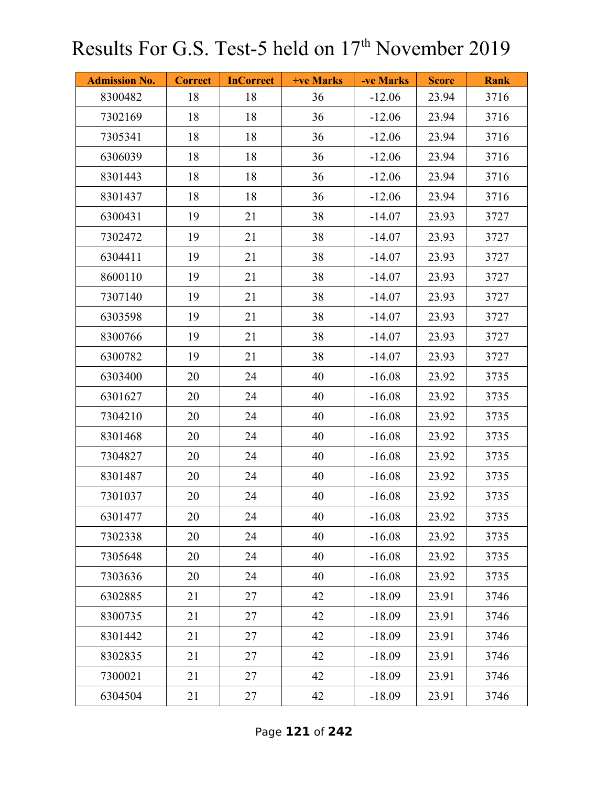| <b>Admission No.</b> | <b>Correct</b> | <b>InCorrect</b> | +ve Marks | -ve Marks | <b>Score</b> | <b>Rank</b> |
|----------------------|----------------|------------------|-----------|-----------|--------------|-------------|
| 8300482              | 18             | 18               | 36        | $-12.06$  | 23.94        | 3716        |
| 7302169              | 18             | 18               | 36        | $-12.06$  | 23.94        | 3716        |
| 7305341              | 18             | 18               | 36        | $-12.06$  | 23.94        | 3716        |
| 6306039              | 18             | 18               | 36        | $-12.06$  | 23.94        | 3716        |
| 8301443              | 18             | 18               | 36        | $-12.06$  | 23.94        | 3716        |
| 8301437              | 18             | 18               | 36        | $-12.06$  | 23.94        | 3716        |
| 6300431              | 19             | 21               | 38        | $-14.07$  | 23.93        | 3727        |
| 7302472              | 19             | 21               | 38        | $-14.07$  | 23.93        | 3727        |
| 6304411              | 19             | 21               | 38        | $-14.07$  | 23.93        | 3727        |
| 8600110              | 19             | 21               | 38        | $-14.07$  | 23.93        | 3727        |
| 7307140              | 19             | 21               | 38        | $-14.07$  | 23.93        | 3727        |
| 6303598              | 19             | 21               | 38        | $-14.07$  | 23.93        | 3727        |
| 8300766              | 19             | 21               | 38        | $-14.07$  | 23.93        | 3727        |
| 6300782              | 19             | 21               | 38        | $-14.07$  | 23.93        | 3727        |
| 6303400              | 20             | 24               | 40        | $-16.08$  | 23.92        | 3735        |
| 6301627              | 20             | 24               | 40        | $-16.08$  | 23.92        | 3735        |
| 7304210              | 20             | 24               | 40        | $-16.08$  | 23.92        | 3735        |
| 8301468              | 20             | 24               | 40        | $-16.08$  | 23.92        | 3735        |
| 7304827              | 20             | 24               | 40        | $-16.08$  | 23.92        | 3735        |
| 8301487              | 20             | 24               | 40        | $-16.08$  | 23.92        | 3735        |
| 7301037              | 20             | 24               | 40        | $-16.08$  | 23.92        | 3735        |
| 6301477              | 20             | 24               | 40        | $-16.08$  | 23.92        | 3735        |
| 7302338              | 20             | 24               | 40        | $-16.08$  | 23.92        | 3735        |
| 7305648              | 20             | 24               | 40        | $-16.08$  | 23.92        | 3735        |
| 7303636              | 20             | 24               | 40        | $-16.08$  | 23.92        | 3735        |
| 6302885              | 21             | 27               | 42        | $-18.09$  | 23.91        | 3746        |
| 8300735              | 21             | 27               | 42        | $-18.09$  | 23.91        | 3746        |
| 8301442              | 21             | 27               | 42        | $-18.09$  | 23.91        | 3746        |
| 8302835              | 21             | 27               | 42        | $-18.09$  | 23.91        | 3746        |
| 7300021              | 21             | 27               | 42        | $-18.09$  | 23.91        | 3746        |
| 6304504              | 21             | 27               | 42        | $-18.09$  | 23.91        | 3746        |

Page **121** of **242**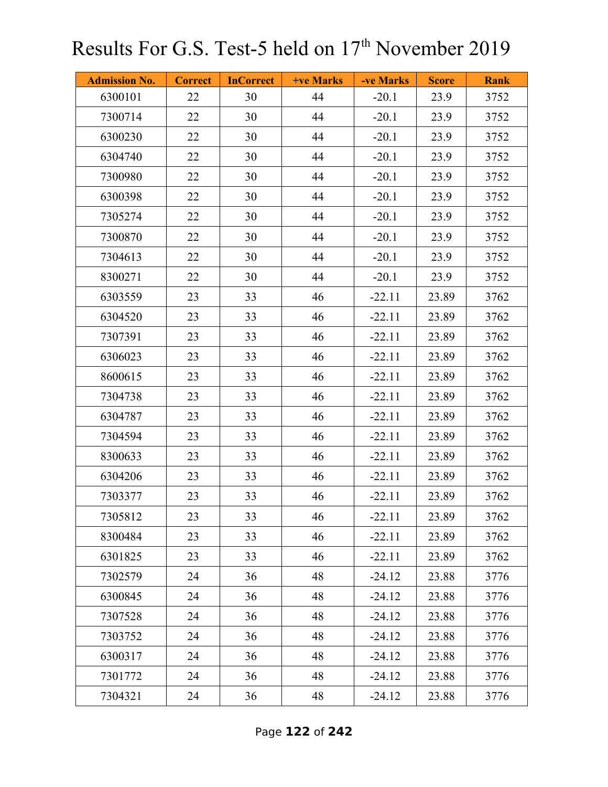| <b>Admission No.</b> | <b>Correct</b> | <b>InCorrect</b> | <b>+ve Marks</b> | -ve Marks | <b>Score</b> | <b>Rank</b> |
|----------------------|----------------|------------------|------------------|-----------|--------------|-------------|
| 6300101              | 22             | 30               | 44               | $-20.1$   | 23.9         | 3752        |
| 7300714              | 22             | 30               | 44               | $-20.1$   | 23.9         | 3752        |
| 6300230              | 22             | 30               | 44               | $-20.1$   | 23.9         | 3752        |
| 6304740              | 22             | 30               | 44               | $-20.1$   | 23.9         | 3752        |
| 7300980              | 22             | 30               | 44               | $-20.1$   | 23.9         | 3752        |
| 6300398              | 22             | 30               | 44               | $-20.1$   | 23.9         | 3752        |
| 7305274              | 22             | 30               | 44               | $-20.1$   | 23.9         | 3752        |
| 7300870              | 22             | 30               | 44               | $-20.1$   | 23.9         | 3752        |
| 7304613              | 22             | 30               | 44               | $-20.1$   | 23.9         | 3752        |
| 8300271              | 22             | 30               | 44               | $-20.1$   | 23.9         | 3752        |
| 6303559              | 23             | 33               | 46               | $-22.11$  | 23.89        | 3762        |
| 6304520              | 23             | 33               | 46               | $-22.11$  | 23.89        | 3762        |
| 7307391              | 23             | 33               | 46               | $-22.11$  | 23.89        | 3762        |
| 6306023              | 23             | 33               | 46               | $-22.11$  | 23.89        | 3762        |
| 8600615              | 23             | 33               | 46               | $-22.11$  | 23.89        | 3762        |
| 7304738              | 23             | 33               | 46               | $-22.11$  | 23.89        | 3762        |
| 6304787              | 23             | 33               | 46               | $-22.11$  | 23.89        | 3762        |
| 7304594              | 23             | 33               | 46               | $-22.11$  | 23.89        | 3762        |
| 8300633              | 23             | 33               | 46               | $-22.11$  | 23.89        | 3762        |
| 6304206              | 23             | 33               | 46               | $-22.11$  | 23.89        | 3762        |
| 7303377              | 23             | 33               | 46               | $-22.11$  | 23.89        | 3762        |
| 7305812              | 23             | 33               | 46               | $-22.11$  | 23.89        | 3762        |
| 8300484              | 23             | 33               | 46               | $-22.11$  | 23.89        | 3762        |
| 6301825              | 23             | 33               | 46               | $-22.11$  | 23.89        | 3762        |
| 7302579              | 24             | 36               | 48               | $-24.12$  | 23.88        | 3776        |
| 6300845              | 24             | 36               | 48               | $-24.12$  | 23.88        | 3776        |
| 7307528              | 24             | 36               | 48               | $-24.12$  | 23.88        | 3776        |
| 7303752              | 24             | 36               | 48               | $-24.12$  | 23.88        | 3776        |
| 6300317              | 24             | 36               | 48               | $-24.12$  | 23.88        | 3776        |
| 7301772              | 24             | 36               | 48               | $-24.12$  | 23.88        | 3776        |
| 7304321              | 24             | 36               | 48               | $-24.12$  | 23.88        | 3776        |

Page **122** of **242**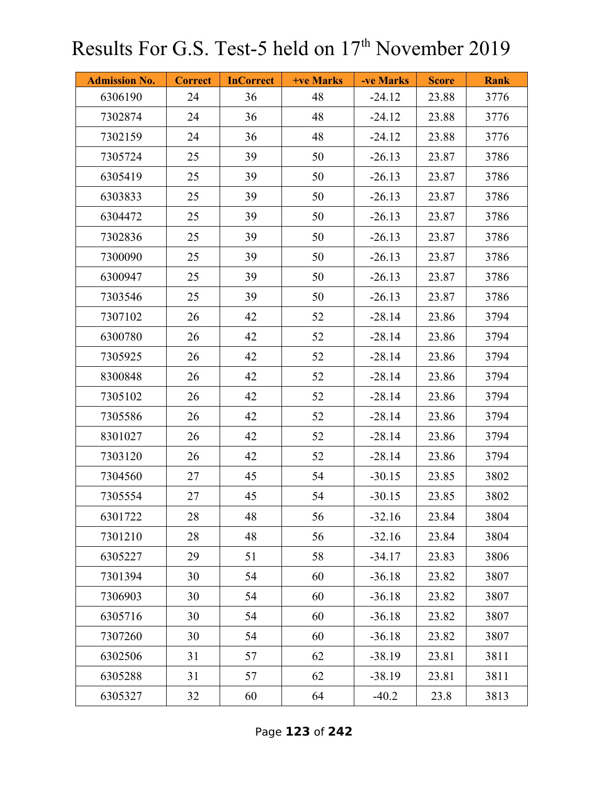| <b>Admission No.</b> | <b>Correct</b> | <b>InCorrect</b> | <b>+ve Marks</b> | -ve Marks | <b>Score</b> | <b>Rank</b> |
|----------------------|----------------|------------------|------------------|-----------|--------------|-------------|
| 6306190              | 24             | 36               | 48               | $-24.12$  | 23.88        | 3776        |
| 7302874              | 24             | 36               | 48               | $-24.12$  | 23.88        | 3776        |
| 7302159              | 24             | 36               | 48               | $-24.12$  | 23.88        | 3776        |
| 7305724              | 25             | 39               | 50               | $-26.13$  | 23.87        | 3786        |
| 6305419              | 25             | 39               | 50               | $-26.13$  | 23.87        | 3786        |
| 6303833              | 25             | 39               | 50               | $-26.13$  | 23.87        | 3786        |
| 6304472              | 25             | 39               | 50               | $-26.13$  | 23.87        | 3786        |
| 7302836              | 25             | 39               | 50               | $-26.13$  | 23.87        | 3786        |
| 7300090              | 25             | 39               | 50               | $-26.13$  | 23.87        | 3786        |
| 6300947              | 25             | 39               | 50               | $-26.13$  | 23.87        | 3786        |
| 7303546              | 25             | 39               | 50               | $-26.13$  | 23.87        | 3786        |
| 7307102              | 26             | 42               | 52               | $-28.14$  | 23.86        | 3794        |
| 6300780              | 26             | 42               | 52               | $-28.14$  | 23.86        | 3794        |
| 7305925              | 26             | 42               | 52               | $-28.14$  | 23.86        | 3794        |
| 8300848              | 26             | 42               | 52               | $-28.14$  | 23.86        | 3794        |
| 7305102              | 26             | 42               | 52               | $-28.14$  | 23.86        | 3794        |
| 7305586              | 26             | 42               | 52               | $-28.14$  | 23.86        | 3794        |
| 8301027              | 26             | 42               | 52               | $-28.14$  | 23.86        | 3794        |
| 7303120              | 26             | 42               | 52               | $-28.14$  | 23.86        | 3794        |
| 7304560              | 27             | 45               | 54               | $-30.15$  | 23.85        | 3802        |
| 7305554              | 27             | 45               | 54               | $-30.15$  | 23.85        | 3802        |
| 6301722              | 28             | 48               | 56               | $-32.16$  | 23.84        | 3804        |
| 7301210              | 28             | 48               | 56               | $-32.16$  | 23.84        | 3804        |
| 6305227              | 29             | 51               | 58               | $-34.17$  | 23.83        | 3806        |
| 7301394              | 30             | 54               | 60               | $-36.18$  | 23.82        | 3807        |
| 7306903              | 30             | 54               | 60               | $-36.18$  | 23.82        | 3807        |
| 6305716              | 30             | 54               | 60               | $-36.18$  | 23.82        | 3807        |
| 7307260              | 30             | 54               | 60               | $-36.18$  | 23.82        | 3807        |
| 6302506              | 31             | 57               | 62               | $-38.19$  | 23.81        | 3811        |
| 6305288              | 31             | 57               | 62               | $-38.19$  | 23.81        | 3811        |
| 6305327              | 32             | 60               | 64               | $-40.2$   | 23.8         | 3813        |

Page **123** of **242**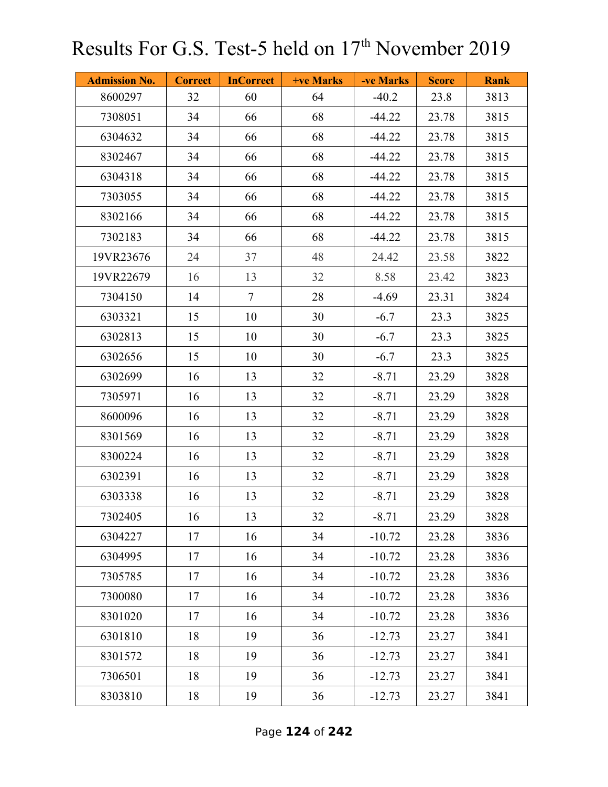| <b>Admission No.</b> | <b>Correct</b> | <b>InCorrect</b> | +ve Marks | -ve Marks | <b>Score</b> | <b>Rank</b> |
|----------------------|----------------|------------------|-----------|-----------|--------------|-------------|
| 8600297              | 32             | 60               | 64        | $-40.2$   | 23.8         | 3813        |
| 7308051              | 34             | 66               | 68        | $-44.22$  | 23.78        | 3815        |
| 6304632              | 34             | 66               | 68        | $-44.22$  | 23.78        | 3815        |
| 8302467              | 34             | 66               | 68        | $-44.22$  | 23.78        | 3815        |
| 6304318              | 34             | 66               | 68        | $-44.22$  | 23.78        | 3815        |
| 7303055              | 34             | 66               | 68        | $-44.22$  | 23.78        | 3815        |
| 8302166              | 34             | 66               | 68        | $-44.22$  | 23.78        | 3815        |
| 7302183              | 34             | 66               | 68        | $-44.22$  | 23.78        | 3815        |
| 19VR23676            | 24             | 37               | 48        | 24.42     | 23.58        | 3822        |
| 19VR22679            | 16             | 13               | 32        | 8.58      | 23.42        | 3823        |
| 7304150              | 14             | $\tau$           | 28        | $-4.69$   | 23.31        | 3824        |
| 6303321              | 15             | 10               | 30        | $-6.7$    | 23.3         | 3825        |
| 6302813              | 15             | 10               | 30        | $-6.7$    | 23.3         | 3825        |
| 6302656              | 15             | 10               | 30        | $-6.7$    | 23.3         | 3825        |
| 6302699              | 16             | 13               | 32        | $-8.71$   | 23.29        | 3828        |
| 7305971              | 16             | 13               | 32        | $-8.71$   | 23.29        | 3828        |
| 8600096              | 16             | 13               | 32        | $-8.71$   | 23.29        | 3828        |
| 8301569              | 16             | 13               | 32        | $-8.71$   | 23.29        | 3828        |
| 8300224              | 16             | 13               | 32        | $-8.71$   | 23.29        | 3828        |
| 6302391              | 16             | 13               | 32        | $-8.71$   | 23.29        | 3828        |
| 6303338              | 16             | 13               | 32        | $-8.71$   | 23.29        | 3828        |
| 7302405              | 16             | 13               | 32        | $-8.71$   | 23.29        | 3828        |
| 6304227              | 17             | 16               | 34        | $-10.72$  | 23.28        | 3836        |
| 6304995              | 17             | 16               | 34        | $-10.72$  | 23.28        | 3836        |
| 7305785              | 17             | 16               | 34        | $-10.72$  | 23.28        | 3836        |
| 7300080              | 17             | 16               | 34        | $-10.72$  | 23.28        | 3836        |
| 8301020              | 17             | 16               | 34        | $-10.72$  | 23.28        | 3836        |
| 6301810              | 18             | 19               | 36        | $-12.73$  | 23.27        | 3841        |
| 8301572              | 18             | 19               | 36        | $-12.73$  | 23.27        | 3841        |
| 7306501              | 18             | 19               | 36        | $-12.73$  | 23.27        | 3841        |
| 8303810              | 18             | 19               | 36        | $-12.73$  | 23.27        | 3841        |

Page **124** of **242**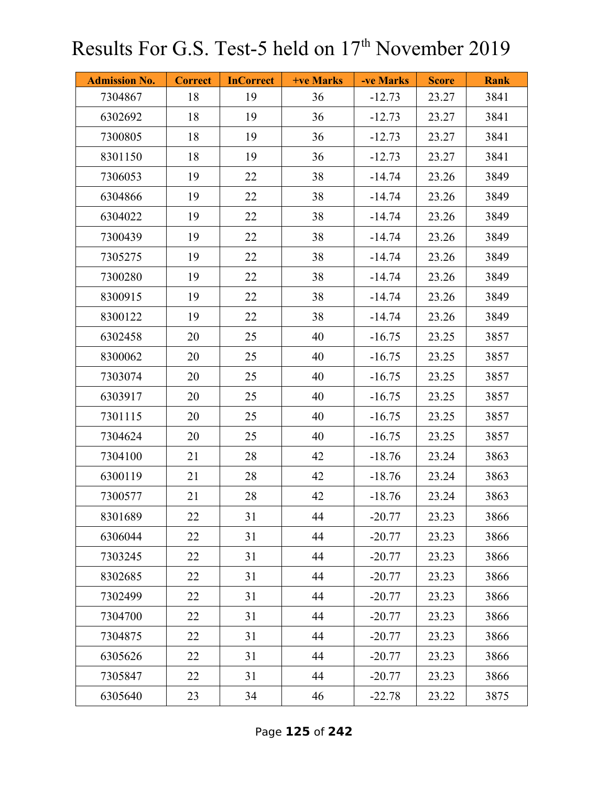| <b>Admission No.</b> | <b>Correct</b> | <b>InCorrect</b> | <b>+ve Marks</b> | -ve Marks | <b>Score</b> | <b>Rank</b> |
|----------------------|----------------|------------------|------------------|-----------|--------------|-------------|
| 7304867              | 18             | 19               | 36               | $-12.73$  | 23.27        | 3841        |
| 6302692              | 18             | 19               | 36               | $-12.73$  | 23.27        | 3841        |
| 7300805              | 18             | 19               | 36               | $-12.73$  | 23.27        | 3841        |
| 8301150              | 18             | 19               | 36               | $-12.73$  | 23.27        | 3841        |
| 7306053              | 19             | 22               | 38               | $-14.74$  | 23.26        | 3849        |
| 6304866              | 19             | 22               | 38               | $-14.74$  | 23.26        | 3849        |
| 6304022              | 19             | 22               | 38               | $-14.74$  | 23.26        | 3849        |
| 7300439              | 19             | 22               | 38               | $-14.74$  | 23.26        | 3849        |
| 7305275              | 19             | 22               | 38               | $-14.74$  | 23.26        | 3849        |
| 7300280              | 19             | 22               | 38               | $-14.74$  | 23.26        | 3849        |
| 8300915              | 19             | 22               | 38               | $-14.74$  | 23.26        | 3849        |
| 8300122              | 19             | 22               | 38               | $-14.74$  | 23.26        | 3849        |
| 6302458              | 20             | 25               | 40               | $-16.75$  | 23.25        | 3857        |
| 8300062              | 20             | 25               | 40               | $-16.75$  | 23.25        | 3857        |
| 7303074              | 20             | 25               | 40               | $-16.75$  | 23.25        | 3857        |
| 6303917              | 20             | 25               | 40               | $-16.75$  | 23.25        | 3857        |
| 7301115              | 20             | 25               | 40               | $-16.75$  | 23.25        | 3857        |
| 7304624              | 20             | 25               | 40               | $-16.75$  | 23.25        | 3857        |
| 7304100              | 21             | 28               | 42               | $-18.76$  | 23.24        | 3863        |
| 6300119              | 21             | 28               | 42               | $-18.76$  | 23.24        | 3863        |
| 7300577              | 21             | 28               | 42               | $-18.76$  | 23.24        | 3863        |
| 8301689              | 22             | 31               | 44               | $-20.77$  | 23.23        | 3866        |
| 6306044              | 22             | 31               | 44               | $-20.77$  | 23.23        | 3866        |
| 7303245              | 22             | 31               | 44               | $-20.77$  | 23.23        | 3866        |
| 8302685              | 22             | 31               | 44               | $-20.77$  | 23.23        | 3866        |
| 7302499              | 22             | 31               | 44               | $-20.77$  | 23.23        | 3866        |
| 7304700              | 22             | 31               | 44               | $-20.77$  | 23.23        | 3866        |
| 7304875              | 22             | 31               | 44               | $-20.77$  | 23.23        | 3866        |
| 6305626              | 22             | 31               | 44               | $-20.77$  | 23.23        | 3866        |
| 7305847              | 22             | 31               | 44               | $-20.77$  | 23.23        | 3866        |
| 6305640              | 23             | 34               | 46               | $-22.78$  | 23.22        | 3875        |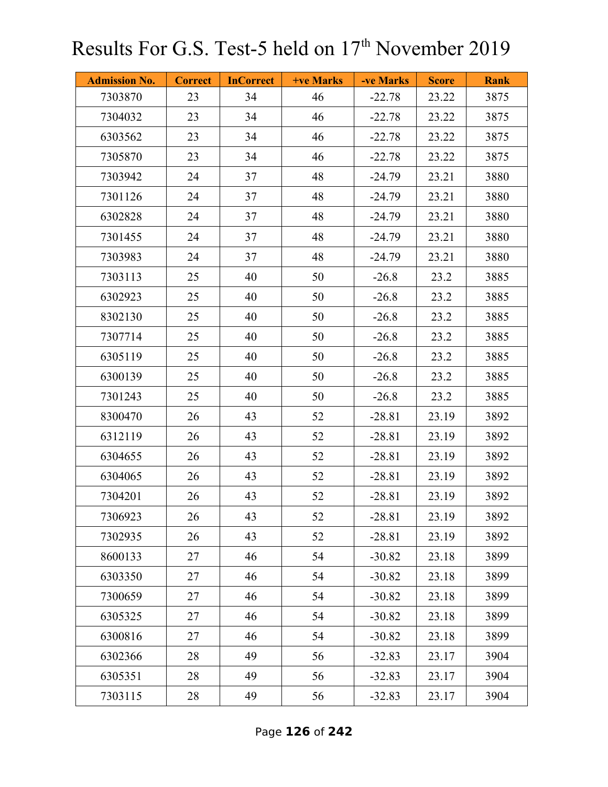| <b>Admission No.</b> | <b>Correct</b> | <b>InCorrect</b> | <b>+ve Marks</b> | -ve Marks | <b>Score</b> | <b>Rank</b> |
|----------------------|----------------|------------------|------------------|-----------|--------------|-------------|
| 7303870              | 23             | 34               | 46               | $-22.78$  | 23.22        | 3875        |
| 7304032              | 23             | 34               | 46               | $-22.78$  | 23.22        | 3875        |
| 6303562              | 23             | 34               | 46               | $-22.78$  | 23.22        | 3875        |
| 7305870              | 23             | 34               | 46               | $-22.78$  | 23.22        | 3875        |
| 7303942              | 24             | 37               | 48               | $-24.79$  | 23.21        | 3880        |
| 7301126              | 24             | 37               | 48               | $-24.79$  | 23.21        | 3880        |
| 6302828              | 24             | 37               | 48               | $-24.79$  | 23.21        | 3880        |
| 7301455              | 24             | 37               | 48               | $-24.79$  | 23.21        | 3880        |
| 7303983              | 24             | 37               | 48               | $-24.79$  | 23.21        | 3880        |
| 7303113              | 25             | 40               | 50               | $-26.8$   | 23.2         | 3885        |
| 6302923              | 25             | 40               | 50               | $-26.8$   | 23.2         | 3885        |
| 8302130              | 25             | 40               | 50               | $-26.8$   | 23.2         | 3885        |
| 7307714              | 25             | 40               | 50               | $-26.8$   | 23.2         | 3885        |
| 6305119              | 25             | 40               | 50               | $-26.8$   | 23.2         | 3885        |
| 6300139              | 25             | 40               | 50               | $-26.8$   | 23.2         | 3885        |
| 7301243              | 25             | 40               | 50               | $-26.8$   | 23.2         | 3885        |
| 8300470              | 26             | 43               | 52               | $-28.81$  | 23.19        | 3892        |
| 6312119              | 26             | 43               | 52               | $-28.81$  | 23.19        | 3892        |
| 6304655              | 26             | 43               | 52               | $-28.81$  | 23.19        | 3892        |
| 6304065              | 26             | 43               | 52               | $-28.81$  | 23.19        | 3892        |
| 7304201              | 26             | 43               | 52               | $-28.81$  | 23.19        | 3892        |
| 7306923              | 26             | 43               | 52               | $-28.81$  | 23.19        | 3892        |
| 7302935              | 26             | 43               | 52               | $-28.81$  | 23.19        | 3892        |
| 8600133              | 27             | 46               | 54               | $-30.82$  | 23.18        | 3899        |
| 6303350              | 27             | 46               | 54               | $-30.82$  | 23.18        | 3899        |
| 7300659              | 27             | 46               | 54               | $-30.82$  | 23.18        | 3899        |
| 6305325              | 27             | 46               | 54               | $-30.82$  | 23.18        | 3899        |
| 6300816              | 27             | 46               | 54               | $-30.82$  | 23.18        | 3899        |
| 6302366              | 28             | 49               | 56               | $-32.83$  | 23.17        | 3904        |
| 6305351              | 28             | 49               | 56               | $-32.83$  | 23.17        | 3904        |
| 7303115              | 28             | 49               | 56               | $-32.83$  | 23.17        | 3904        |

Page **126** of **242**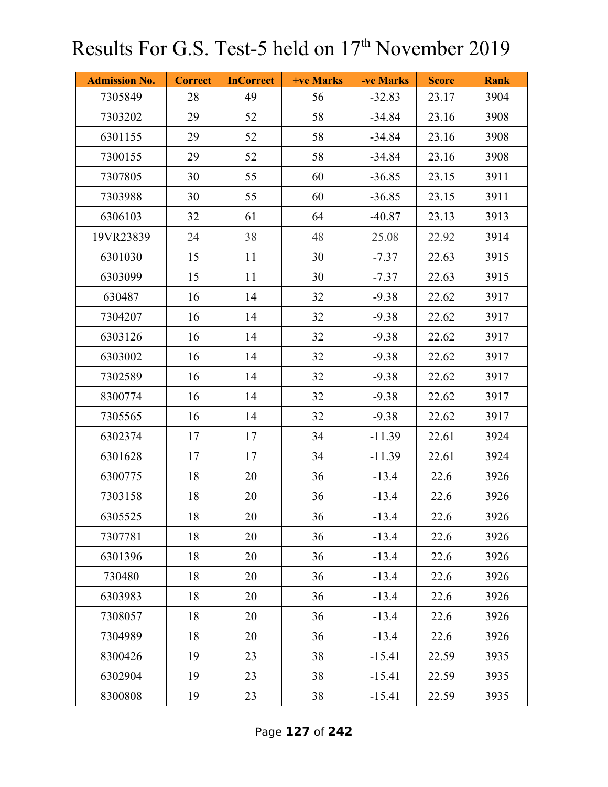| <b>Admission No.</b> | <b>Correct</b> | <b>InCorrect</b> | <b>+ve Marks</b> | -ve Marks | <b>Score</b> | <b>Rank</b> |
|----------------------|----------------|------------------|------------------|-----------|--------------|-------------|
| 7305849              | 28             | 49               | 56               | $-32.83$  | 23.17        | 3904        |
| 7303202              | 29             | 52               | 58               | $-34.84$  | 23.16        | 3908        |
| 6301155              | 29             | 52               | 58               | $-34.84$  | 23.16        | 3908        |
| 7300155              | 29             | 52               | 58               | $-34.84$  | 23.16        | 3908        |
| 7307805              | 30             | 55               | 60               | $-36.85$  | 23.15        | 3911        |
| 7303988              | 30             | 55               | 60               | $-36.85$  | 23.15        | 3911        |
| 6306103              | 32             | 61               | 64               | $-40.87$  | 23.13        | 3913        |
| 19VR23839            | 24             | 38               | 48               | 25.08     | 22.92        | 3914        |
| 6301030              | 15             | 11               | 30               | $-7.37$   | 22.63        | 3915        |
| 6303099              | 15             | 11               | 30               | $-7.37$   | 22.63        | 3915        |
| 630487               | 16             | 14               | 32               | $-9.38$   | 22.62        | 3917        |
| 7304207              | 16             | 14               | 32               | $-9.38$   | 22.62        | 3917        |
| 6303126              | 16             | 14               | 32               | $-9.38$   | 22.62        | 3917        |
| 6303002              | 16             | 14               | 32               | $-9.38$   | 22.62        | 3917        |
| 7302589              | 16             | 14               | 32               | $-9.38$   | 22.62        | 3917        |
| 8300774              | 16             | 14               | 32               | $-9.38$   | 22.62        | 3917        |
| 7305565              | 16             | 14               | 32               | $-9.38$   | 22.62        | 3917        |
| 6302374              | 17             | 17               | 34               | $-11.39$  | 22.61        | 3924        |
| 6301628              | 17             | 17               | 34               | $-11.39$  | 22.61        | 3924        |
| 6300775              | 18             | 20               | 36               | $-13.4$   | 22.6         | 3926        |
| 7303158              | 18             | 20               | 36               | $-13.4$   | 22.6         | 3926        |
| 6305525              | 18             | 20               | 36               | $-13.4$   | 22.6         | 3926        |
| 7307781              | 18             | 20               | 36               | $-13.4$   | 22.6         | 3926        |
| 6301396              | 18             | 20               | 36               | $-13.4$   | 22.6         | 3926        |
| 730480               | 18             | 20               | 36               | $-13.4$   | 22.6         | 3926        |
| 6303983              | 18             | 20               | 36               | $-13.4$   | 22.6         | 3926        |
| 7308057              | 18             | 20               | 36               | $-13.4$   | 22.6         | 3926        |
| 7304989              | 18             | 20               | 36               | $-13.4$   | 22.6         | 3926        |
| 8300426              | 19             | 23               | 38               | $-15.41$  | 22.59        | 3935        |
| 6302904              | 19             | 23               | 38               | $-15.41$  | 22.59        | 3935        |
| 8300808              | 19             | 23               | 38               | $-15.41$  | 22.59        | 3935        |

Page **127** of **242**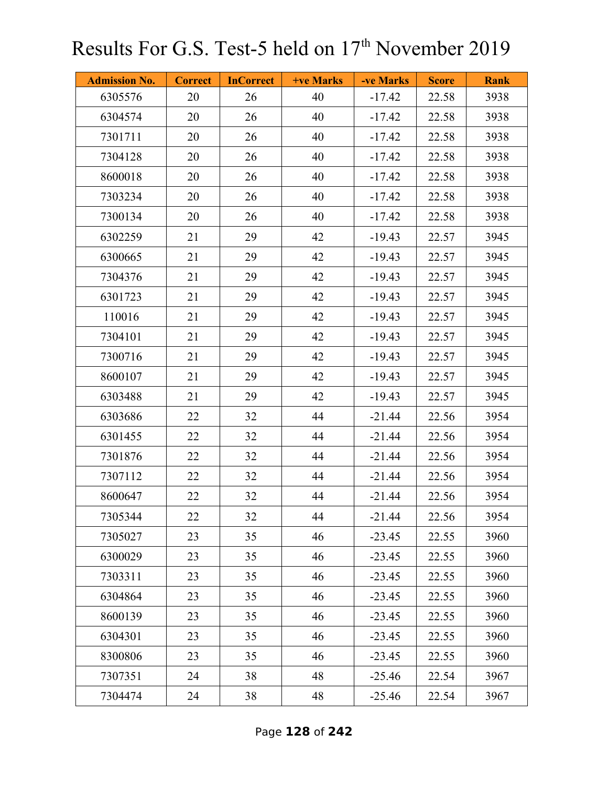| <b>Admission No.</b> | <b>Correct</b> | <b>InCorrect</b> | <b>+ve Marks</b> | -ve Marks | <b>Score</b> | <b>Rank</b> |
|----------------------|----------------|------------------|------------------|-----------|--------------|-------------|
| 6305576              | 20             | 26               | 40               | $-17.42$  | 22.58        | 3938        |
| 6304574              | 20             | 26               | 40               | $-17.42$  | 22.58        | 3938        |
| 7301711              | 20             | 26               | 40               | $-17.42$  | 22.58        | 3938        |
| 7304128              | 20             | 26               | 40               | $-17.42$  | 22.58        | 3938        |
| 8600018              | 20             | 26               | 40               | $-17.42$  | 22.58        | 3938        |
| 7303234              | 20             | 26               | 40               | $-17.42$  | 22.58        | 3938        |
| 7300134              | 20             | 26               | 40               | $-17.42$  | 22.58        | 3938        |
| 6302259              | 21             | 29               | 42               | $-19.43$  | 22.57        | 3945        |
| 6300665              | 21             | 29               | 42               | $-19.43$  | 22.57        | 3945        |
| 7304376              | 21             | 29               | 42               | $-19.43$  | 22.57        | 3945        |
| 6301723              | 21             | 29               | 42               | $-19.43$  | 22.57        | 3945        |
| 110016               | 21             | 29               | 42               | $-19.43$  | 22.57        | 3945        |
| 7304101              | 21             | 29               | 42               | $-19.43$  | 22.57        | 3945        |
| 7300716              | 21             | 29               | 42               | $-19.43$  | 22.57        | 3945        |
| 8600107              | 21             | 29               | 42               | $-19.43$  | 22.57        | 3945        |
| 6303488              | 21             | 29               | 42               | $-19.43$  | 22.57        | 3945        |
| 6303686              | 22             | 32               | 44               | $-21.44$  | 22.56        | 3954        |
| 6301455              | 22             | 32               | 44               | $-21.44$  | 22.56        | 3954        |
| 7301876              | 22             | 32               | 44               | $-21.44$  | 22.56        | 3954        |
| 7307112              | 22             | 32               | 44               | $-21.44$  | 22.56        | 3954        |
| 8600647              | 22             | 32               | 44               | $-21.44$  | 22.56        | 3954        |
| 7305344              | 22             | 32               | 44               | $-21.44$  | 22.56        | 3954        |
| 7305027              | 23             | 35               | 46               | $-23.45$  | 22.55        | 3960        |
| 6300029              | 23             | 35               | 46               | $-23.45$  | 22.55        | 3960        |
| 7303311              | 23             | 35               | 46               | $-23.45$  | 22.55        | 3960        |
| 6304864              | 23             | 35               | 46               | $-23.45$  | 22.55        | 3960        |
| 8600139              | 23             | 35               | 46               | $-23.45$  | 22.55        | 3960        |
| 6304301              | 23             | 35               | 46               | $-23.45$  | 22.55        | 3960        |
| 8300806              | 23             | 35               | 46               | $-23.45$  | 22.55        | 3960        |
| 7307351              | 24             | 38               | 48               | $-25.46$  | 22.54        | 3967        |
| 7304474              | 24             | 38               | 48               | $-25.46$  | 22.54        | 3967        |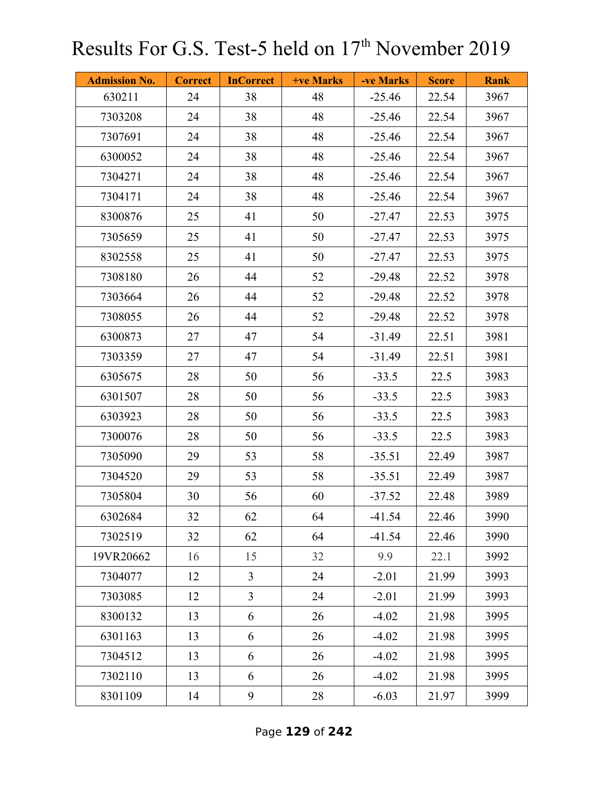| <b>Admission No.</b> | <b>Correct</b> | <b>InCorrect</b> | <b>+ve Marks</b> | -ve Marks | <b>Score</b> | <b>Rank</b> |
|----------------------|----------------|------------------|------------------|-----------|--------------|-------------|
| 630211               | 24             | 38               | 48               | $-25.46$  | 22.54        | 3967        |
| 7303208              | 24             | 38               | 48               | $-25.46$  | 22.54        | 3967        |
| 7307691              | 24             | 38               | 48               | $-25.46$  | 22.54        | 3967        |
| 6300052              | 24             | 38               | 48               | $-25.46$  | 22.54        | 3967        |
| 7304271              | 24             | 38               | 48               | $-25.46$  | 22.54        | 3967        |
| 7304171              | 24             | 38               | 48               | $-25.46$  | 22.54        | 3967        |
| 8300876              | 25             | 41               | 50               | $-27.47$  | 22.53        | 3975        |
| 7305659              | 25             | 41               | 50               | $-27.47$  | 22.53        | 3975        |
| 8302558              | 25             | 41               | 50               | $-27.47$  | 22.53        | 3975        |
| 7308180              | 26             | 44               | 52               | $-29.48$  | 22.52        | 3978        |
| 7303664              | 26             | 44               | 52               | $-29.48$  | 22.52        | 3978        |
| 7308055              | 26             | 44               | 52               | $-29.48$  | 22.52        | 3978        |
| 6300873              | 27             | 47               | 54               | $-31.49$  | 22.51        | 3981        |
| 7303359              | 27             | 47               | 54               | $-31.49$  | 22.51        | 3981        |
| 6305675              | 28             | 50               | 56               | $-33.5$   | 22.5         | 3983        |
| 6301507              | 28             | 50               | 56               | $-33.5$   | 22.5         | 3983        |
| 6303923              | 28             | 50               | 56               | $-33.5$   | 22.5         | 3983        |
| 7300076              | 28             | 50               | 56               | $-33.5$   | 22.5         | 3983        |
| 7305090              | 29             | 53               | 58               | $-35.51$  | 22.49        | 3987        |
| 7304520              | 29             | 53               | 58               | $-35.51$  | 22.49        | 3987        |
| 7305804              | 30             | 56               | 60               | $-37.52$  | 22.48        | 3989        |
| 6302684              | 32             | 62               | 64               | $-41.54$  | 22.46        | 3990        |
| 7302519              | 32             | 62               | 64               | $-41.54$  | 22.46        | 3990        |
| 19VR20662            | 16             | 15               | 32               | 9.9       | 22.1         | 3992        |
| 7304077              | 12             | $\overline{3}$   | 24               | $-2.01$   | 21.99        | 3993        |
| 7303085              | 12             | $\overline{3}$   | 24               | $-2.01$   | 21.99        | 3993        |
| 8300132              | 13             | 6                | 26               | $-4.02$   | 21.98        | 3995        |
| 6301163              | 13             | 6                | 26               | $-4.02$   | 21.98        | 3995        |
| 7304512              | 13             | 6                | 26               | $-4.02$   | 21.98        | 3995        |
| 7302110              | 13             | 6                | 26               | $-4.02$   | 21.98        | 3995        |
| 8301109              | 14             | 9                | 28               | $-6.03$   | 21.97        | 3999        |

Page **129** of **242**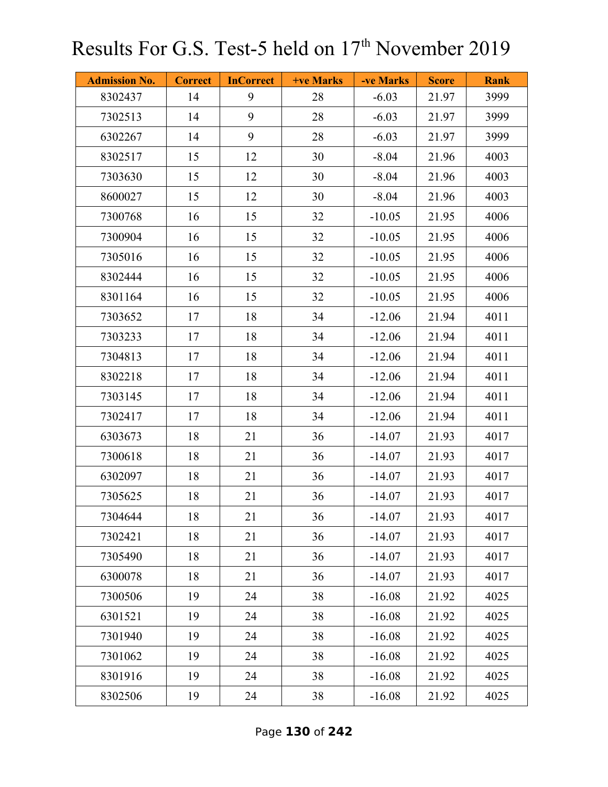| <b>Admission No.</b> | <b>Correct</b> | <b>InCorrect</b> | <b>+ve Marks</b> | -ve Marks | <b>Score</b> | <b>Rank</b> |
|----------------------|----------------|------------------|------------------|-----------|--------------|-------------|
| 8302437              | 14             | 9                | 28               | $-6.03$   | 21.97        | 3999        |
| 7302513              | 14             | 9                | 28               | $-6.03$   | 21.97        | 3999        |
| 6302267              | 14             | 9                | 28               | $-6.03$   | 21.97        | 3999        |
| 8302517              | 15             | 12               | 30               | $-8.04$   | 21.96        | 4003        |
| 7303630              | 15             | 12               | 30               | $-8.04$   | 21.96        | 4003        |
| 8600027              | 15             | 12               | 30               | $-8.04$   | 21.96        | 4003        |
| 7300768              | 16             | 15               | 32               | $-10.05$  | 21.95        | 4006        |
| 7300904              | 16             | 15               | 32               | $-10.05$  | 21.95        | 4006        |
| 7305016              | 16             | 15               | 32               | $-10.05$  | 21.95        | 4006        |
| 8302444              | 16             | 15               | 32               | $-10.05$  | 21.95        | 4006        |
| 8301164              | 16             | 15               | 32               | $-10.05$  | 21.95        | 4006        |
| 7303652              | 17             | 18               | 34               | $-12.06$  | 21.94        | 4011        |
| 7303233              | 17             | 18               | 34               | $-12.06$  | 21.94        | 4011        |
| 7304813              | 17             | 18               | 34               | $-12.06$  | 21.94        | 4011        |
| 8302218              | 17             | 18               | 34               | $-12.06$  | 21.94        | 4011        |
| 7303145              | 17             | 18               | 34               | $-12.06$  | 21.94        | 4011        |
| 7302417              | 17             | 18               | 34               | $-12.06$  | 21.94        | 4011        |
| 6303673              | 18             | 21               | 36               | $-14.07$  | 21.93        | 4017        |
| 7300618              | 18             | 21               | 36               | $-14.07$  | 21.93        | 4017        |
| 6302097              | 18             | 21               | 36               | $-14.07$  | 21.93        | 4017        |
| 7305625              | 18             | 21               | 36               | $-14.07$  | 21.93        | 4017        |
| 7304644              | 18             | 21               | 36               | $-14.07$  | 21.93        | 4017        |
| 7302421              | 18             | 21               | 36               | $-14.07$  | 21.93        | 4017        |
| 7305490              | 18             | 21               | 36               | $-14.07$  | 21.93        | 4017        |
| 6300078              | 18             | 21               | 36               | $-14.07$  | 21.93        | 4017        |
| 7300506              | 19             | 24               | 38               | $-16.08$  | 21.92        | 4025        |
| 6301521              | 19             | 24               | 38               | $-16.08$  | 21.92        | 4025        |
| 7301940              | 19             | 24               | 38               | $-16.08$  | 21.92        | 4025        |
| 7301062              | 19             | 24               | 38               | $-16.08$  | 21.92        | 4025        |
| 8301916              | 19             | 24               | 38               | $-16.08$  | 21.92        | 4025        |
| 8302506              | 19             | 24               | 38               | $-16.08$  | 21.92        | 4025        |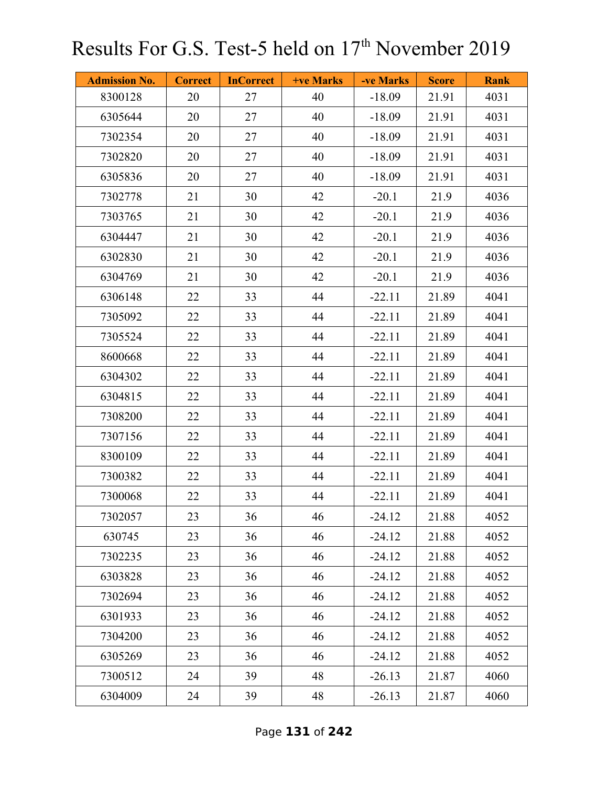| <b>Admission No.</b> | <b>Correct</b> | <b>InCorrect</b> | <b>+ve Marks</b> | -ve Marks | <b>Score</b> | <b>Rank</b> |
|----------------------|----------------|------------------|------------------|-----------|--------------|-------------|
| 8300128              | 20             | 27               | 40               | $-18.09$  | 21.91        | 4031        |
| 6305644              | 20             | 27               | 40               | $-18.09$  | 21.91        | 4031        |
| 7302354              | 20             | 27               | 40               | $-18.09$  | 21.91        | 4031        |
| 7302820              | 20             | 27               | 40               | $-18.09$  | 21.91        | 4031        |
| 6305836              | 20             | 27               | 40               | $-18.09$  | 21.91        | 4031        |
| 7302778              | 21             | 30               | 42               | $-20.1$   | 21.9         | 4036        |
| 7303765              | 21             | 30               | 42               | $-20.1$   | 21.9         | 4036        |
| 6304447              | 21             | 30               | 42               | $-20.1$   | 21.9         | 4036        |
| 6302830              | 21             | 30               | 42               | $-20.1$   | 21.9         | 4036        |
| 6304769              | 21             | 30               | 42               | $-20.1$   | 21.9         | 4036        |
| 6306148              | 22             | 33               | 44               | $-22.11$  | 21.89        | 4041        |
| 7305092              | 22             | 33               | 44               | $-22.11$  | 21.89        | 4041        |
| 7305524              | 22             | 33               | 44               | $-22.11$  | 21.89        | 4041        |
| 8600668              | 22             | 33               | 44               | $-22.11$  | 21.89        | 4041        |
| 6304302              | 22             | 33               | 44               | $-22.11$  | 21.89        | 4041        |
| 6304815              | 22             | 33               | 44               | $-22.11$  | 21.89        | 4041        |
| 7308200              | 22             | 33               | 44               | $-22.11$  | 21.89        | 4041        |
| 7307156              | 22             | 33               | 44               | $-22.11$  | 21.89        | 4041        |
| 8300109              | 22             | 33               | 44               | $-22.11$  | 21.89        | 4041        |
| 7300382              | 22             | 33               | 44               | $-22.11$  | 21.89        | 4041        |
| 7300068              | 22             | 33               | 44               | $-22.11$  | 21.89        | 4041        |
| 7302057              | 23             | 36               | 46               | $-24.12$  | 21.88        | 4052        |
| 630745               | 23             | 36               | 46               | $-24.12$  | 21.88        | 4052        |
| 7302235              | 23             | 36               | 46               | $-24.12$  | 21.88        | 4052        |
| 6303828              | 23             | 36               | 46               | $-24.12$  | 21.88        | 4052        |
| 7302694              | 23             | 36               | 46               | $-24.12$  | 21.88        | 4052        |
| 6301933              | 23             | 36               | 46               | $-24.12$  | 21.88        | 4052        |
| 7304200              | 23             | 36               | 46               | $-24.12$  | 21.88        | 4052        |
| 6305269              | 23             | 36               | 46               | $-24.12$  | 21.88        | 4052        |
| 7300512              | 24             | 39               | 48               | $-26.13$  | 21.87        | 4060        |
| 6304009              | 24             | 39               | 48               | $-26.13$  | 21.87        | 4060        |

Page **131** of **242**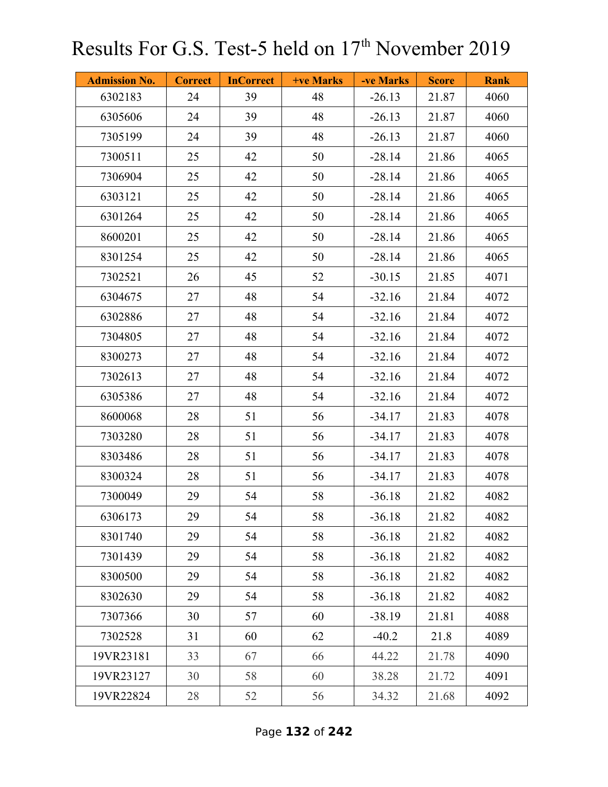| <b>Admission No.</b> | <b>Correct</b> | <b>InCorrect</b> | <b>+ve Marks</b> | -ve Marks | <b>Score</b> | <b>Rank</b> |
|----------------------|----------------|------------------|------------------|-----------|--------------|-------------|
| 6302183              | 24             | 39               | 48               | $-26.13$  | 21.87        | 4060        |
| 6305606              | 24             | 39               | 48               | $-26.13$  | 21.87        | 4060        |
| 7305199              | 24             | 39               | 48               | $-26.13$  | 21.87        | 4060        |
| 7300511              | 25             | 42               | 50               | $-28.14$  | 21.86        | 4065        |
| 7306904              | 25             | 42               | 50               | $-28.14$  | 21.86        | 4065        |
| 6303121              | 25             | 42               | 50               | $-28.14$  | 21.86        | 4065        |
| 6301264              | 25             | 42               | 50               | $-28.14$  | 21.86        | 4065        |
| 8600201              | 25             | 42               | 50               | $-28.14$  | 21.86        | 4065        |
| 8301254              | 25             | 42               | 50               | $-28.14$  | 21.86        | 4065        |
| 7302521              | 26             | 45               | 52               | $-30.15$  | 21.85        | 4071        |
| 6304675              | 27             | 48               | 54               | $-32.16$  | 21.84        | 4072        |
| 6302886              | 27             | 48               | 54               | $-32.16$  | 21.84        | 4072        |
| 7304805              | 27             | 48               | 54               | $-32.16$  | 21.84        | 4072        |
| 8300273              | 27             | 48               | 54               | $-32.16$  | 21.84        | 4072        |
| 7302613              | 27             | 48               | 54               | $-32.16$  | 21.84        | 4072        |
| 6305386              | 27             | 48               | 54               | $-32.16$  | 21.84        | 4072        |
| 8600068              | 28             | 51               | 56               | $-34.17$  | 21.83        | 4078        |
| 7303280              | 28             | 51               | 56               | $-34.17$  | 21.83        | 4078        |
| 8303486              | 28             | 51               | 56               | $-34.17$  | 21.83        | 4078        |
| 8300324              | 28             | 51               | 56               | $-34.17$  | 21.83        | 4078        |
| 7300049              | 29             | 54               | 58               | $-36.18$  | 21.82        | 4082        |
| 6306173              | 29             | 54               | 58               | $-36.18$  | 21.82        | 4082        |
| 8301740              | 29             | 54               | 58               | $-36.18$  | 21.82        | 4082        |
| 7301439              | 29             | 54               | 58               | $-36.18$  | 21.82        | 4082        |
| 8300500              | 29             | 54               | 58               | $-36.18$  | 21.82        | 4082        |
| 8302630              | 29             | 54               | 58               | $-36.18$  | 21.82        | 4082        |
| 7307366              | 30             | 57               | 60               | $-38.19$  | 21.81        | 4088        |
| 7302528              | 31             | 60               | 62               | $-40.2$   | 21.8         | 4089        |
| 19VR23181            | 33             | 67               | 66               | 44.22     | 21.78        | 4090        |
| 19VR23127            | 30             | 58               | 60               | 38.28     | 21.72        | 4091        |
| 19VR22824            | 28             | 52               | 56               | 34.32     | 21.68        | 4092        |

Page **132** of **242**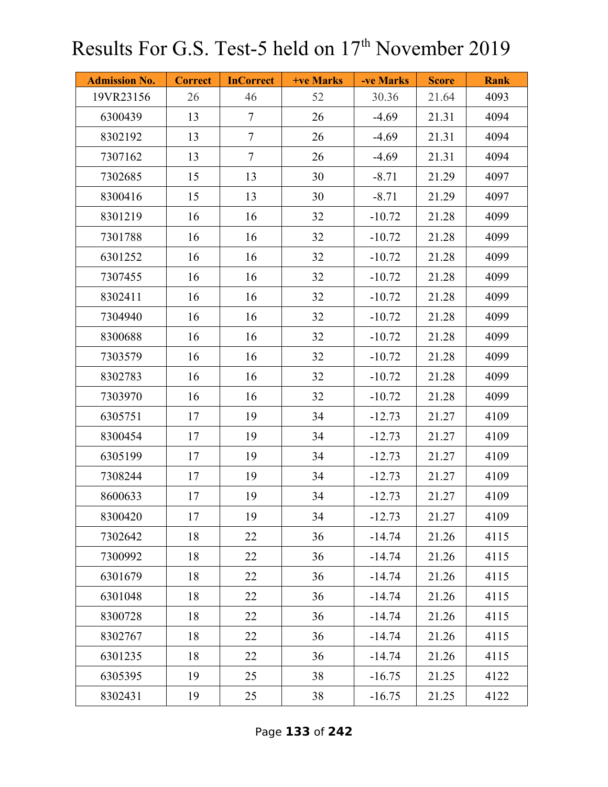| <b>Admission No.</b> | <b>Correct</b> | <b>InCorrect</b> | <b>+ve Marks</b> | -ve Marks | <b>Score</b> | <b>Rank</b> |
|----------------------|----------------|------------------|------------------|-----------|--------------|-------------|
| 19VR23156            | 26             | 46               | 52               | 30.36     | 21.64        | 4093        |
| 6300439              | 13             | $\tau$           | 26               | $-4.69$   | 21.31        | 4094        |
| 8302192              | 13             | $\tau$           | 26               | $-4.69$   | 21.31        | 4094        |
| 7307162              | 13             | $\tau$           | 26               | $-4.69$   | 21.31        | 4094        |
| 7302685              | 15             | 13               | 30               | $-8.71$   | 21.29        | 4097        |
| 8300416              | 15             | 13               | 30               | $-8.71$   | 21.29        | 4097        |
| 8301219              | 16             | 16               | 32               | $-10.72$  | 21.28        | 4099        |
| 7301788              | 16             | 16               | 32               | $-10.72$  | 21.28        | 4099        |
| 6301252              | 16             | 16               | 32               | $-10.72$  | 21.28        | 4099        |
| 7307455              | 16             | 16               | 32               | $-10.72$  | 21.28        | 4099        |
| 8302411              | 16             | 16               | 32               | $-10.72$  | 21.28        | 4099        |
| 7304940              | 16             | 16               | 32               | $-10.72$  | 21.28        | 4099        |
| 8300688              | 16             | 16               | 32               | $-10.72$  | 21.28        | 4099        |
| 7303579              | 16             | 16               | 32               | $-10.72$  | 21.28        | 4099        |
| 8302783              | 16             | 16               | 32               | $-10.72$  | 21.28        | 4099        |
| 7303970              | 16             | 16               | 32               | $-10.72$  | 21.28        | 4099        |
| 6305751              | 17             | 19               | 34               | $-12.73$  | 21.27        | 4109        |
| 8300454              | 17             | 19               | 34               | $-12.73$  | 21.27        | 4109        |
| 6305199              | 17             | 19               | 34               | $-12.73$  | 21.27        | 4109        |
| 7308244              | 17             | 19               | 34               | $-12.73$  | 21.27        | 4109        |
| 8600633              | 17             | 19               | 34               | $-12.73$  | 21.27        | 4109        |
| 8300420              | 17             | 19               | 34               | $-12.73$  | 21.27        | 4109        |
| 7302642              | 18             | 22               | 36               | $-14.74$  | 21.26        | 4115        |
| 7300992              | 18             | 22               | 36               | $-14.74$  | 21.26        | 4115        |
| 6301679              | 18             | 22               | 36               | $-14.74$  | 21.26        | 4115        |
| 6301048              | 18             | 22               | 36               | $-14.74$  | 21.26        | 4115        |
| 8300728              | 18             | 22               | 36               | $-14.74$  | 21.26        | 4115        |
| 8302767              | 18             | 22               | 36               | $-14.74$  | 21.26        | 4115        |
| 6301235              | 18             | 22               | 36               | $-14.74$  | 21.26        | 4115        |
| 6305395              | 19             | 25               | 38               | $-16.75$  | 21.25        | 4122        |
| 8302431              | 19             | 25               | 38               | $-16.75$  | 21.25        | 4122        |

Page **133** of **242**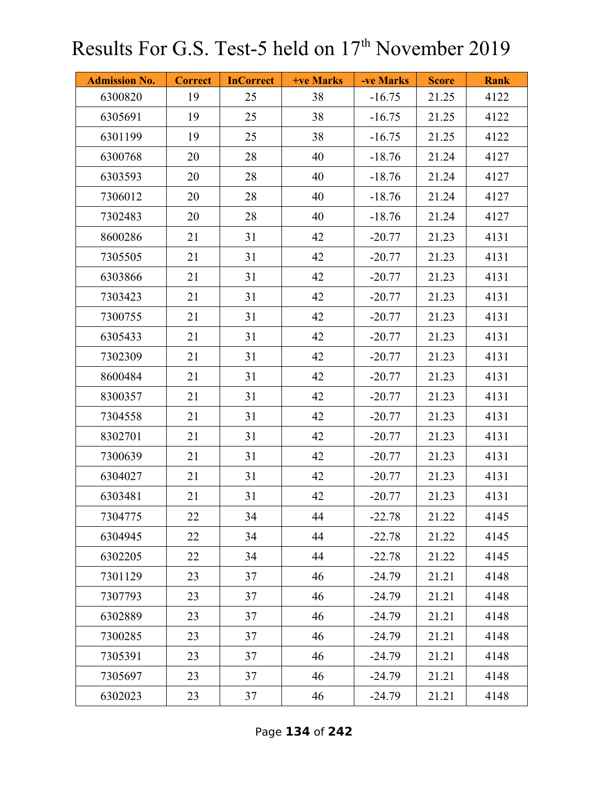| <b>Admission No.</b> | <b>Correct</b> | <b>InCorrect</b> | <b>+ve Marks</b> | -ve Marks | <b>Score</b> | <b>Rank</b> |
|----------------------|----------------|------------------|------------------|-----------|--------------|-------------|
| 6300820              | 19             | 25               | 38               | $-16.75$  | 21.25        | 4122        |
| 6305691              | 19             | 25               | 38               | $-16.75$  | 21.25        | 4122        |
| 6301199              | 19             | 25               | 38               | $-16.75$  | 21.25        | 4122        |
| 6300768              | 20             | 28               | 40               | $-18.76$  | 21.24        | 4127        |
| 6303593              | 20             | 28               | 40               | $-18.76$  | 21.24        | 4127        |
| 7306012              | 20             | 28               | 40               | $-18.76$  | 21.24        | 4127        |
| 7302483              | 20             | 28               | 40               | $-18.76$  | 21.24        | 4127        |
| 8600286              | 21             | 31               | 42               | $-20.77$  | 21.23        | 4131        |
| 7305505              | 21             | 31               | 42               | $-20.77$  | 21.23        | 4131        |
| 6303866              | 21             | 31               | 42               | $-20.77$  | 21.23        | 4131        |
| 7303423              | 21             | 31               | 42               | $-20.77$  | 21.23        | 4131        |
| 7300755              | 21             | 31               | 42               | $-20.77$  | 21.23        | 4131        |
| 6305433              | 21             | 31               | 42               | $-20.77$  | 21.23        | 4131        |
| 7302309              | 21             | 31               | 42               | $-20.77$  | 21.23        | 4131        |
| 8600484              | 21             | 31               | 42               | $-20.77$  | 21.23        | 4131        |
| 8300357              | 21             | 31               | 42               | $-20.77$  | 21.23        | 4131        |
| 7304558              | 21             | 31               | 42               | $-20.77$  | 21.23        | 4131        |
| 8302701              | 21             | 31               | 42               | $-20.77$  | 21.23        | 4131        |
| 7300639              | 21             | 31               | 42               | $-20.77$  | 21.23        | 4131        |
| 6304027              | 21             | 31               | 42               | $-20.77$  | 21.23        | 4131        |
| 6303481              | 21             | 31               | 42               | $-20.77$  | 21.23        | 4131        |
| 7304775              | 22             | 34               | 44               | $-22.78$  | 21.22        | 4145        |
| 6304945              | 22             | 34               | 44               | $-22.78$  | 21.22        | 4145        |
| 6302205              | 22             | 34               | 44               | $-22.78$  | 21.22        | 4145        |
| 7301129              | 23             | 37               | 46               | $-24.79$  | 21.21        | 4148        |
| 7307793              | 23             | 37               | 46               | $-24.79$  | 21.21        | 4148        |
| 6302889              | 23             | 37               | 46               | $-24.79$  | 21.21        | 4148        |
| 7300285              | 23             | 37               | 46               | $-24.79$  | 21.21        | 4148        |
| 7305391              | 23             | 37               | 46               | $-24.79$  | 21.21        | 4148        |
| 7305697              | 23             | 37               | 46               | $-24.79$  | 21.21        | 4148        |
| 6302023              | 23             | 37               | 46               | $-24.79$  | 21.21        | 4148        |

Page **134** of **242**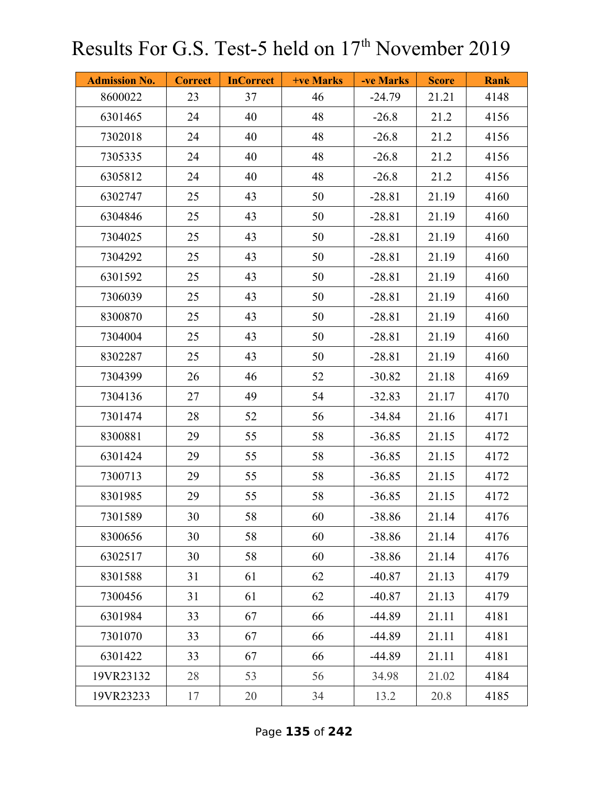| <b>Admission No.</b> | <b>Correct</b> | <b>InCorrect</b> | <b>+ve Marks</b> | -ve Marks | <b>Score</b> | <b>Rank</b> |
|----------------------|----------------|------------------|------------------|-----------|--------------|-------------|
| 8600022              | 23             | 37               | 46               | $-24.79$  | 21.21        | 4148        |
| 6301465              | 24             | 40               | 48               | $-26.8$   | 21.2         | 4156        |
| 7302018              | 24             | 40               | 48               | $-26.8$   | 21.2         | 4156        |
| 7305335              | 24             | 40               | 48               | $-26.8$   | 21.2         | 4156        |
| 6305812              | 24             | 40               | 48               | $-26.8$   | 21.2         | 4156        |
| 6302747              | 25             | 43               | 50               | $-28.81$  | 21.19        | 4160        |
| 6304846              | 25             | 43               | 50               | $-28.81$  | 21.19        | 4160        |
| 7304025              | 25             | 43               | 50               | $-28.81$  | 21.19        | 4160        |
| 7304292              | 25             | 43               | 50               | $-28.81$  | 21.19        | 4160        |
| 6301592              | 25             | 43               | 50               | $-28.81$  | 21.19        | 4160        |
| 7306039              | 25             | 43               | 50               | $-28.81$  | 21.19        | 4160        |
| 8300870              | 25             | 43               | 50               | $-28.81$  | 21.19        | 4160        |
| 7304004              | 25             | 43               | 50               | $-28.81$  | 21.19        | 4160        |
| 8302287              | 25             | 43               | 50               | $-28.81$  | 21.19        | 4160        |
| 7304399              | 26             | 46               | 52               | $-30.82$  | 21.18        | 4169        |
| 7304136              | 27             | 49               | 54               | $-32.83$  | 21.17        | 4170        |
| 7301474              | 28             | 52               | 56               | $-34.84$  | 21.16        | 4171        |
| 8300881              | 29             | 55               | 58               | $-36.85$  | 21.15        | 4172        |
| 6301424              | 29             | 55               | 58               | $-36.85$  | 21.15        | 4172        |
| 7300713              | 29             | 55               | 58               | $-36.85$  | 21.15        | 4172        |
| 8301985              | 29             | 55               | 58               | $-36.85$  | 21.15        | 4172        |
| 7301589              | 30             | 58               | 60               | $-38.86$  | 21.14        | 4176        |
| 8300656              | 30             | 58               | 60               | $-38.86$  | 21.14        | 4176        |
| 6302517              | 30             | 58               | 60               | $-38.86$  | 21.14        | 4176        |
| 8301588              | 31             | 61               | 62               | $-40.87$  | 21.13        | 4179        |
| 7300456              | 31             | 61               | 62               | $-40.87$  | 21.13        | 4179        |
| 6301984              | 33             | 67               | 66               | $-44.89$  | 21.11        | 4181        |
| 7301070              | 33             | 67               | 66               | $-44.89$  | 21.11        | 4181        |
| 6301422              | 33             | 67               | 66               | $-44.89$  | 21.11        | 4181        |
| 19VR23132            | 28             | 53               | 56               | 34.98     | 21.02        | 4184        |
| 19VR23233            | 17             | 20               | 34               | 13.2      | 20.8         | 4185        |

Page **135** of **242**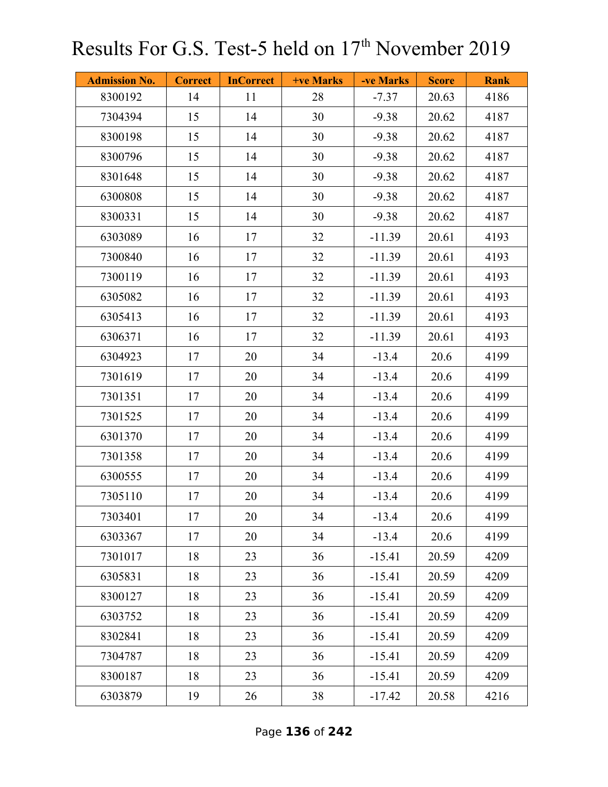| <b>Admission No.</b> | <b>Correct</b> | <b>InCorrect</b> | <b>+ve Marks</b> | -ve Marks | <b>Score</b> | <b>Rank</b> |
|----------------------|----------------|------------------|------------------|-----------|--------------|-------------|
| 8300192              | 14             | 11               | 28               | $-7.37$   | 20.63        | 4186        |
| 7304394              | 15             | 14               | 30               | $-9.38$   | 20.62        | 4187        |
| 8300198              | 15             | 14               | 30               | $-9.38$   | 20.62        | 4187        |
| 8300796              | 15             | 14               | 30               | $-9.38$   | 20.62        | 4187        |
| 8301648              | 15             | 14               | 30               | $-9.38$   | 20.62        | 4187        |
| 6300808              | 15             | 14               | 30               | $-9.38$   | 20.62        | 4187        |
| 8300331              | 15             | 14               | 30               | $-9.38$   | 20.62        | 4187        |
| 6303089              | 16             | 17               | 32               | $-11.39$  | 20.61        | 4193        |
| 7300840              | 16             | 17               | 32               | $-11.39$  | 20.61        | 4193        |
| 7300119              | 16             | 17               | 32               | $-11.39$  | 20.61        | 4193        |
| 6305082              | 16             | 17               | 32               | $-11.39$  | 20.61        | 4193        |
| 6305413              | 16             | 17               | 32               | $-11.39$  | 20.61        | 4193        |
| 6306371              | 16             | 17               | 32               | $-11.39$  | 20.61        | 4193        |
| 6304923              | 17             | 20               | 34               | $-13.4$   | 20.6         | 4199        |
| 7301619              | 17             | 20               | 34               | $-13.4$   | 20.6         | 4199        |
| 7301351              | 17             | 20               | 34               | $-13.4$   | 20.6         | 4199        |
| 7301525              | 17             | 20               | 34               | $-13.4$   | 20.6         | 4199        |
| 6301370              | 17             | 20               | 34               | $-13.4$   | 20.6         | 4199        |
| 7301358              | 17             | 20               | 34               | $-13.4$   | 20.6         | 4199        |
| 6300555              | 17             | 20               | 34               | $-13.4$   | 20.6         | 4199        |
| 7305110              | 17             | 20               | 34               | $-13.4$   | 20.6         | 4199        |
| 7303401              | 17             | 20               | 34               | $-13.4$   | 20.6         | 4199        |
| 6303367              | 17             | 20               | 34               | $-13.4$   | 20.6         | 4199        |
| 7301017              | 18             | 23               | 36               | $-15.41$  | 20.59        | 4209        |
| 6305831              | 18             | 23               | 36               | $-15.41$  | 20.59        | 4209        |
| 8300127              | 18             | 23               | 36               | $-15.41$  | 20.59        | 4209        |
| 6303752              | 18             | 23               | 36               | $-15.41$  | 20.59        | 4209        |
| 8302841              | 18             | 23               | 36               | $-15.41$  | 20.59        | 4209        |
| 7304787              | 18             | 23               | 36               | $-15.41$  | 20.59        | 4209        |
| 8300187              | 18             | 23               | 36               | $-15.41$  | 20.59        | 4209        |
| 6303879              | 19             | 26               | 38               | $-17.42$  | 20.58        | 4216        |

Page **136** of **242**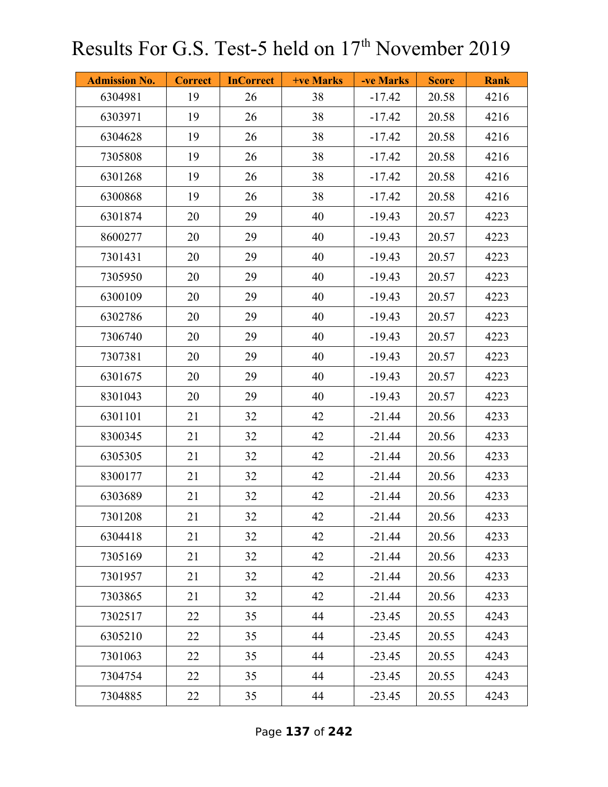| <b>Admission No.</b> | <b>Correct</b> | <b>InCorrect</b> | <b>+ve Marks</b> | -ve Marks | <b>Score</b> | <b>Rank</b> |
|----------------------|----------------|------------------|------------------|-----------|--------------|-------------|
| 6304981              | 19             | 26               | 38               | $-17.42$  | 20.58        | 4216        |
| 6303971              | 19             | 26               | 38               | $-17.42$  | 20.58        | 4216        |
| 6304628              | 19             | 26               | 38               | $-17.42$  | 20.58        | 4216        |
| 7305808              | 19             | 26               | 38               | $-17.42$  | 20.58        | 4216        |
| 6301268              | 19             | 26               | 38               | $-17.42$  | 20.58        | 4216        |
| 6300868              | 19             | 26               | 38               | $-17.42$  | 20.58        | 4216        |
| 6301874              | 20             | 29               | 40               | $-19.43$  | 20.57        | 4223        |
| 8600277              | 20             | 29               | 40               | $-19.43$  | 20.57        | 4223        |
| 7301431              | 20             | 29               | 40               | $-19.43$  | 20.57        | 4223        |
| 7305950              | 20             | 29               | 40               | $-19.43$  | 20.57        | 4223        |
| 6300109              | 20             | 29               | 40               | $-19.43$  | 20.57        | 4223        |
| 6302786              | 20             | 29               | 40               | $-19.43$  | 20.57        | 4223        |
| 7306740              | 20             | 29               | 40               | $-19.43$  | 20.57        | 4223        |
| 7307381              | 20             | 29               | 40               | $-19.43$  | 20.57        | 4223        |
| 6301675              | 20             | 29               | 40               | $-19.43$  | 20.57        | 4223        |
| 8301043              | 20             | 29               | 40               | $-19.43$  | 20.57        | 4223        |
| 6301101              | 21             | 32               | 42               | $-21.44$  | 20.56        | 4233        |
| 8300345              | 21             | 32               | 42               | $-21.44$  | 20.56        | 4233        |
| 6305305              | 21             | 32               | 42               | $-21.44$  | 20.56        | 4233        |
| 8300177              | 21             | 32               | 42               | $-21.44$  | 20.56        | 4233        |
| 6303689              | 21             | 32               | 42               | $-21.44$  | 20.56        | 4233        |
| 7301208              | 21             | 32               | 42               | $-21.44$  | 20.56        | 4233        |
| 6304418              | 21             | 32               | 42               | $-21.44$  | 20.56        | 4233        |
| 7305169              | 21             | 32               | 42               | $-21.44$  | 20.56        | 4233        |
| 7301957              | 21             | 32               | 42               | $-21.44$  | 20.56        | 4233        |
| 7303865              | 21             | 32               | 42               | $-21.44$  | 20.56        | 4233        |
| 7302517              | 22             | 35               | 44               | $-23.45$  | 20.55        | 4243        |
| 6305210              | 22             | 35               | 44               | $-23.45$  | 20.55        | 4243        |
| 7301063              | 22             | 35               | 44               | $-23.45$  | 20.55        | 4243        |
| 7304754              | 22             | 35               | 44               | $-23.45$  | 20.55        | 4243        |
| 7304885              | 22             | 35               | 44               | $-23.45$  | 20.55        | 4243        |

Page **137** of **242**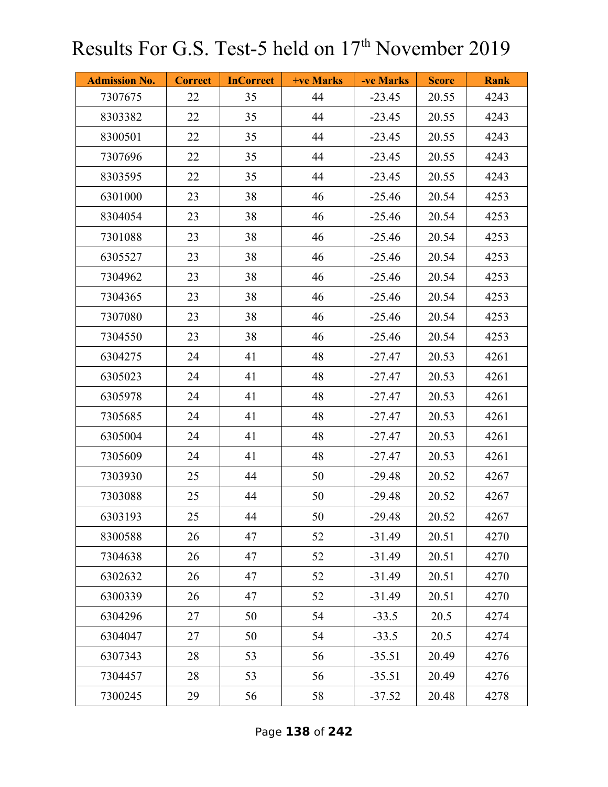| <b>Admission No.</b> | <b>Correct</b> | <b>InCorrect</b> | +ve Marks | -ve Marks | <b>Score</b> | <b>Rank</b> |
|----------------------|----------------|------------------|-----------|-----------|--------------|-------------|
| 7307675              | 22             | 35               | 44        | $-23.45$  | 20.55        | 4243        |
| 8303382              | 22             | 35               | 44        | $-23.45$  | 20.55        | 4243        |
| 8300501              | 22             | 35               | 44        | $-23.45$  | 20.55        | 4243        |
| 7307696              | 22             | 35               | 44        | $-23.45$  | 20.55        | 4243        |
| 8303595              | 22             | 35               | 44        | $-23.45$  | 20.55        | 4243        |
| 6301000              | 23             | 38               | 46        | $-25.46$  | 20.54        | 4253        |
| 8304054              | 23             | 38               | 46        | $-25.46$  | 20.54        | 4253        |
| 7301088              | 23             | 38               | 46        | $-25.46$  | 20.54        | 4253        |
| 6305527              | 23             | 38               | 46        | $-25.46$  | 20.54        | 4253        |
| 7304962              | 23             | 38               | 46        | $-25.46$  | 20.54        | 4253        |
| 7304365              | 23             | 38               | 46        | $-25.46$  | 20.54        | 4253        |
| 7307080              | 23             | 38               | 46        | $-25.46$  | 20.54        | 4253        |
| 7304550              | 23             | 38               | 46        | $-25.46$  | 20.54        | 4253        |
| 6304275              | 24             | 41               | 48        | $-27.47$  | 20.53        | 4261        |
| 6305023              | 24             | 41               | 48        | $-27.47$  | 20.53        | 4261        |
| 6305978              | 24             | 41               | 48        | $-27.47$  | 20.53        | 4261        |
| 7305685              | 24             | 41               | 48        | $-27.47$  | 20.53        | 4261        |
| 6305004              | 24             | 41               | 48        | $-27.47$  | 20.53        | 4261        |
| 7305609              | 24             | 41               | 48        | $-27.47$  | 20.53        | 4261        |
| 7303930              | 25             | 44               | 50        | $-29.48$  | 20.52        | 4267        |
| 7303088              | 25             | 44               | 50        | $-29.48$  | 20.52        | 4267        |
| 6303193              | 25             | 44               | 50        | $-29.48$  | 20.52        | 4267        |
| 8300588              | 26             | 47               | 52        | $-31.49$  | 20.51        | 4270        |
| 7304638              | 26             | 47               | 52        | $-31.49$  | 20.51        | 4270        |
| 6302632              | 26             | 47               | 52        | $-31.49$  | 20.51        | 4270        |
| 6300339              | 26             | 47               | 52        | $-31.49$  | 20.51        | 4270        |
| 6304296              | 27             | 50               | 54        | $-33.5$   | 20.5         | 4274        |
| 6304047              | 27             | 50               | 54        | $-33.5$   | 20.5         | 4274        |
| 6307343              | 28             | 53               | 56        | $-35.51$  | 20.49        | 4276        |
| 7304457              | 28             | 53               | 56        | $-35.51$  | 20.49        | 4276        |
| 7300245              | 29             | 56               | 58        | $-37.52$  | 20.48        | 4278        |

Page **138** of **242**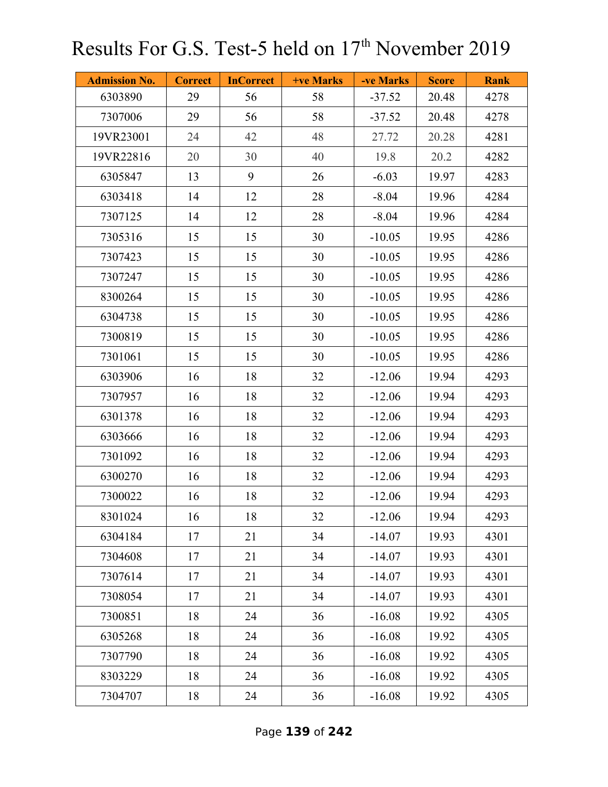| <b>Admission No.</b> | <b>Correct</b> | <b>InCorrect</b> | +ve Marks | -ve Marks | <b>Score</b> | <b>Rank</b> |
|----------------------|----------------|------------------|-----------|-----------|--------------|-------------|
| 6303890              | 29             | 56               | 58        | $-37.52$  | 20.48        | 4278        |
| 7307006              | 29             | 56               | 58        | $-37.52$  | 20.48        | 4278        |
| 19VR23001            | 24             | 42               | 48        | 27.72     | 20.28        | 4281        |
| 19VR22816            | 20             | 30               | 40        | 19.8      | 20.2         | 4282        |
| 6305847              | 13             | 9                | 26        | $-6.03$   | 19.97        | 4283        |
| 6303418              | 14             | 12               | 28        | $-8.04$   | 19.96        | 4284        |
| 7307125              | 14             | 12               | 28        | $-8.04$   | 19.96        | 4284        |
| 7305316              | 15             | 15               | 30        | $-10.05$  | 19.95        | 4286        |
| 7307423              | 15             | 15               | 30        | $-10.05$  | 19.95        | 4286        |
| 7307247              | 15             | 15               | 30        | $-10.05$  | 19.95        | 4286        |
| 8300264              | 15             | 15               | 30        | $-10.05$  | 19.95        | 4286        |
| 6304738              | 15             | 15               | 30        | $-10.05$  | 19.95        | 4286        |
| 7300819              | 15             | 15               | 30        | $-10.05$  | 19.95        | 4286        |
| 7301061              | 15             | 15               | 30        | $-10.05$  | 19.95        | 4286        |
| 6303906              | 16             | 18               | 32        | $-12.06$  | 19.94        | 4293        |
| 7307957              | 16             | 18               | 32        | $-12.06$  | 19.94        | 4293        |
| 6301378              | 16             | 18               | 32        | $-12.06$  | 19.94        | 4293        |
| 6303666              | 16             | 18               | 32        | $-12.06$  | 19.94        | 4293        |
| 7301092              | 16             | 18               | 32        | $-12.06$  | 19.94        | 4293        |
| 6300270              | 16             | 18               | 32        | $-12.06$  | 19.94        | 4293        |
| 7300022              | 16             | 18               | 32        | $-12.06$  | 19.94        | 4293        |
| 8301024              | 16             | 18               | 32        | $-12.06$  | 19.94        | 4293        |
| 6304184              | 17             | 21               | 34        | $-14.07$  | 19.93        | 4301        |
| 7304608              | 17             | 21               | 34        | $-14.07$  | 19.93        | 4301        |
| 7307614              | 17             | 21               | 34        | $-14.07$  | 19.93        | 4301        |
| 7308054              | 17             | 21               | 34        | $-14.07$  | 19.93        | 4301        |
| 7300851              | 18             | 24               | 36        | $-16.08$  | 19.92        | 4305        |
| 6305268              | 18             | 24               | 36        | $-16.08$  | 19.92        | 4305        |
| 7307790              | 18             | 24               | 36        | $-16.08$  | 19.92        | 4305        |
| 8303229              | 18             | 24               | 36        | $-16.08$  | 19.92        | 4305        |
| 7304707              | 18             | 24               | 36        | $-16.08$  | 19.92        | 4305        |

Page **139** of **242**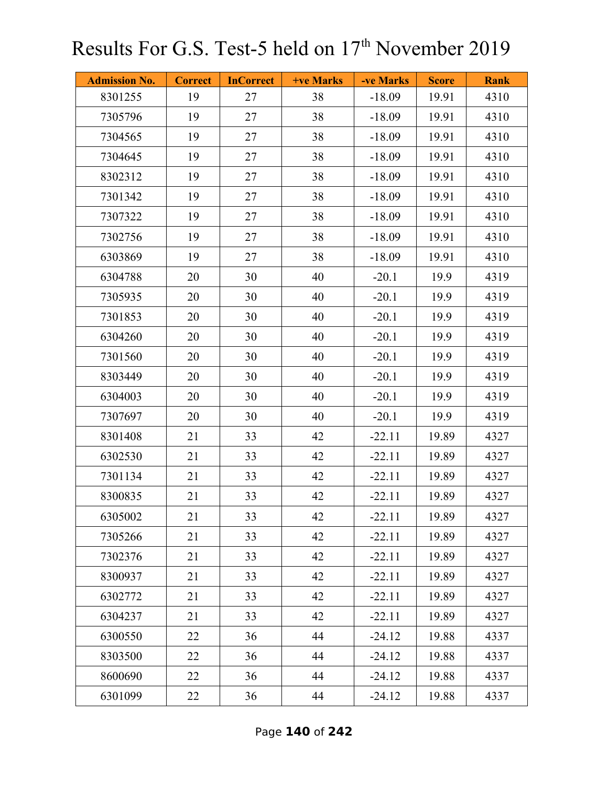| <b>Admission No.</b> | <b>Correct</b> | <b>InCorrect</b> | <b>+ve Marks</b> | -ve Marks | <b>Score</b> | <b>Rank</b> |
|----------------------|----------------|------------------|------------------|-----------|--------------|-------------|
| 8301255              | 19             | 27               | 38               | $-18.09$  | 19.91        | 4310        |
| 7305796              | 19             | 27               | 38               | $-18.09$  | 19.91        | 4310        |
| 7304565              | 19             | 27               | 38               | $-18.09$  | 19.91        | 4310        |
| 7304645              | 19             | 27               | 38               | $-18.09$  | 19.91        | 4310        |
| 8302312              | 19             | 27               | 38               | $-18.09$  | 19.91        | 4310        |
| 7301342              | 19             | 27               | 38               | $-18.09$  | 19.91        | 4310        |
| 7307322              | 19             | 27               | 38               | $-18.09$  | 19.91        | 4310        |
| 7302756              | 19             | 27               | 38               | $-18.09$  | 19.91        | 4310        |
| 6303869              | 19             | 27               | 38               | $-18.09$  | 19.91        | 4310        |
| 6304788              | 20             | 30               | 40               | $-20.1$   | 19.9         | 4319        |
| 7305935              | 20             | 30               | 40               | $-20.1$   | 19.9         | 4319        |
| 7301853              | 20             | 30               | 40               | $-20.1$   | 19.9         | 4319        |
| 6304260              | 20             | 30               | 40               | $-20.1$   | 19.9         | 4319        |
| 7301560              | 20             | 30               | 40               | $-20.1$   | 19.9         | 4319        |
| 8303449              | 20             | 30               | 40               | $-20.1$   | 19.9         | 4319        |
| 6304003              | 20             | 30               | 40               | $-20.1$   | 19.9         | 4319        |
| 7307697              | 20             | 30               | 40               | $-20.1$   | 19.9         | 4319        |
| 8301408              | 21             | 33               | 42               | $-22.11$  | 19.89        | 4327        |
| 6302530              | 21             | 33               | 42               | $-22.11$  | 19.89        | 4327        |
| 7301134              | 21             | 33               | 42               | $-22.11$  | 19.89        | 4327        |
| 8300835              | 21             | 33               | 42               | $-22.11$  | 19.89        | 4327        |
| 6305002              | 21             | 33               | 42               | $-22.11$  | 19.89        | 4327        |
| 7305266              | 21             | 33               | 42               | $-22.11$  | 19.89        | 4327        |
| 7302376              | 21             | 33               | 42               | $-22.11$  | 19.89        | 4327        |
| 8300937              | 21             | 33               | 42               | $-22.11$  | 19.89        | 4327        |
| 6302772              | 21             | 33               | 42               | $-22.11$  | 19.89        | 4327        |
| 6304237              | 21             | 33               | 42               | $-22.11$  | 19.89        | 4327        |
| 6300550              | 22             | 36               | 44               | $-24.12$  | 19.88        | 4337        |
| 8303500              | 22             | 36               | 44               | $-24.12$  | 19.88        | 4337        |
| 8600690              | 22             | 36               | 44               | $-24.12$  | 19.88        | 4337        |
| 6301099              | 22             | 36               | 44               | $-24.12$  | 19.88        | 4337        |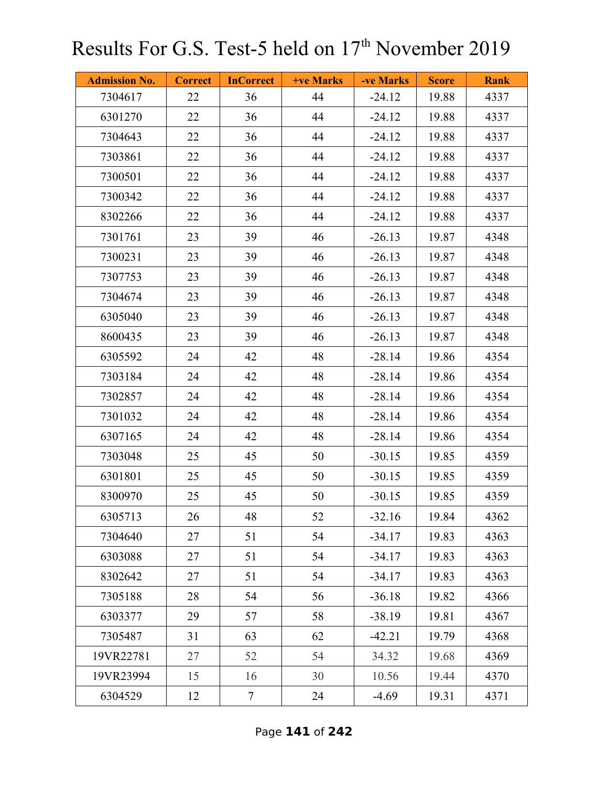| <b>Admission No.</b> | <b>Correct</b> | <b>InCorrect</b> | <b>+ve Marks</b> | -ve Marks | <b>Score</b> | <b>Rank</b> |
|----------------------|----------------|------------------|------------------|-----------|--------------|-------------|
| 7304617              | 22             | 36               | 44               | $-24.12$  | 19.88        | 4337        |
| 6301270              | 22             | 36               | 44               | $-24.12$  | 19.88        | 4337        |
| 7304643              | 22             | 36               | 44               | $-24.12$  | 19.88        | 4337        |
| 7303861              | 22             | 36               | 44               | $-24.12$  | 19.88        | 4337        |
| 7300501              | 22             | 36               | 44               | $-24.12$  | 19.88        | 4337        |
| 7300342              | 22             | 36               | 44               | $-24.12$  | 19.88        | 4337        |
| 8302266              | 22             | 36               | 44               | $-24.12$  | 19.88        | 4337        |
| 7301761              | 23             | 39               | 46               | $-26.13$  | 19.87        | 4348        |
| 7300231              | 23             | 39               | 46               | $-26.13$  | 19.87        | 4348        |
| 7307753              | 23             | 39               | 46               | $-26.13$  | 19.87        | 4348        |
| 7304674              | 23             | 39               | 46               | $-26.13$  | 19.87        | 4348        |
| 6305040              | 23             | 39               | 46               | $-26.13$  | 19.87        | 4348        |
| 8600435              | 23             | 39               | 46               | $-26.13$  | 19.87        | 4348        |
| 6305592              | 24             | 42               | 48               | $-28.14$  | 19.86        | 4354        |
| 7303184              | 24             | 42               | 48               | $-28.14$  | 19.86        | 4354        |
| 7302857              | 24             | 42               | 48               | $-28.14$  | 19.86        | 4354        |
| 7301032              | 24             | 42               | 48               | $-28.14$  | 19.86        | 4354        |
| 6307165              | 24             | 42               | 48               | $-28.14$  | 19.86        | 4354        |
| 7303048              | 25             | 45               | 50               | $-30.15$  | 19.85        | 4359        |
| 6301801              | 25             | 45               | 50               | $-30.15$  | 19.85        | 4359        |
| 8300970              | 25             | 45               | 50               | $-30.15$  | 19.85        | 4359        |
| 6305713              | 26             | 48               | 52               | $-32.16$  | 19.84        | 4362        |
| 7304640              | 27             | 51               | 54               | $-34.17$  | 19.83        | 4363        |
| 6303088              | 27             | 51               | 54               | $-34.17$  | 19.83        | 4363        |
| 8302642              | 27             | 51               | 54               | $-34.17$  | 19.83        | 4363        |
| 7305188              | 28             | 54               | 56               | $-36.18$  | 19.82        | 4366        |
| 6303377              | 29             | 57               | 58               | $-38.19$  | 19.81        | 4367        |
| 7305487              | 31             | 63               | 62               | $-42.21$  | 19.79        | 4368        |
| 19VR22781            | 27             | 52               | 54               | 34.32     | 19.68        | 4369        |
| 19VR23994            | 15             | 16               | 30               | 10.56     | 19.44        | 4370        |
| 6304529              | 12             | $\overline{7}$   | 24               | $-4.69$   | 19.31        | 4371        |

Page **141** of **242**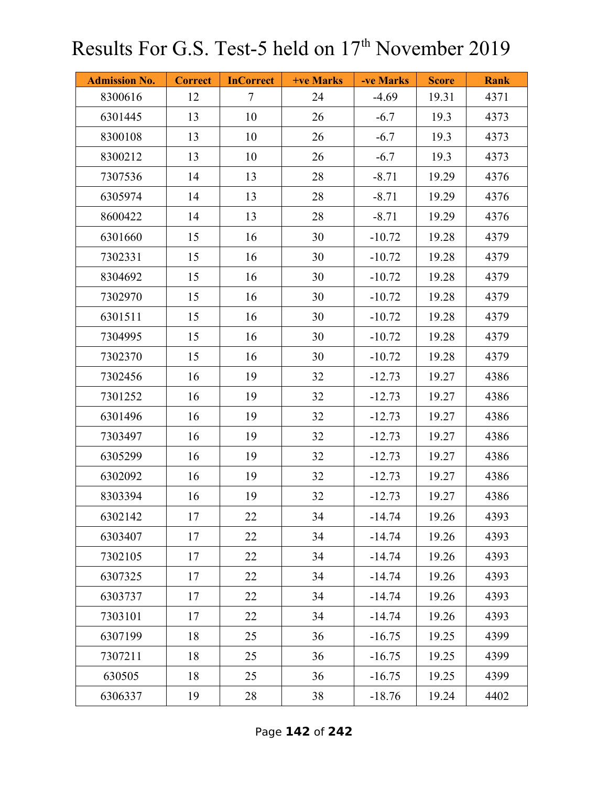| <b>Admission No.</b> | <b>Correct</b> | <b>InCorrect</b>         | <b>+ve Marks</b> | -ve Marks | <b>Score</b> | <b>Rank</b> |
|----------------------|----------------|--------------------------|------------------|-----------|--------------|-------------|
| 8300616              | 12             | $\overline{\mathcal{L}}$ | 24               | $-4.69$   | 19.31        | 4371        |
| 6301445              | 13             | 10                       | 26               | $-6.7$    | 19.3         | 4373        |
| 8300108              | 13             | 10                       | 26               | $-6.7$    | 19.3         | 4373        |
| 8300212              | 13             | 10                       | 26               | $-6.7$    | 19.3         | 4373        |
| 7307536              | 14             | 13                       | 28               | $-8.71$   | 19.29        | 4376        |
| 6305974              | 14             | 13                       | 28               | $-8.71$   | 19.29        | 4376        |
| 8600422              | 14             | 13                       | 28               | $-8.71$   | 19.29        | 4376        |
| 6301660              | 15             | 16                       | 30               | $-10.72$  | 19.28        | 4379        |
| 7302331              | 15             | 16                       | 30               | $-10.72$  | 19.28        | 4379        |
| 8304692              | 15             | 16                       | 30               | $-10.72$  | 19.28        | 4379        |
| 7302970              | 15             | 16                       | 30               | $-10.72$  | 19.28        | 4379        |
| 6301511              | 15             | 16                       | 30               | $-10.72$  | 19.28        | 4379        |
| 7304995              | 15             | 16                       | 30               | $-10.72$  | 19.28        | 4379        |
| 7302370              | 15             | 16                       | 30               | $-10.72$  | 19.28        | 4379        |
| 7302456              | 16             | 19                       | 32               | $-12.73$  | 19.27        | 4386        |
| 7301252              | 16             | 19                       | 32               | $-12.73$  | 19.27        | 4386        |
| 6301496              | 16             | 19                       | 32               | $-12.73$  | 19.27        | 4386        |
| 7303497              | 16             | 19                       | 32               | $-12.73$  | 19.27        | 4386        |
| 6305299              | 16             | 19                       | 32               | $-12.73$  | 19.27        | 4386        |
| 6302092              | 16             | 19                       | 32               | $-12.73$  | 19.27        | 4386        |
| 8303394              | 16             | 19                       | 32               | $-12.73$  | 19.27        | 4386        |
| 6302142              | 17             | 22                       | 34               | $-14.74$  | 19.26        | 4393        |
| 6303407              | 17             | 22                       | 34               | $-14.74$  | 19.26        | 4393        |
| 7302105              | 17             | 22                       | 34               | $-14.74$  | 19.26        | 4393        |
| 6307325              | 17             | 22                       | 34               | $-14.74$  | 19.26        | 4393        |
| 6303737              | 17             | 22                       | 34               | $-14.74$  | 19.26        | 4393        |
| 7303101              | 17             | 22                       | 34               | $-14.74$  | 19.26        | 4393        |
| 6307199              | 18             | 25                       | 36               | $-16.75$  | 19.25        | 4399        |
| 7307211              | 18             | 25                       | 36               | $-16.75$  | 19.25        | 4399        |
| 630505               | 18             | 25                       | 36               | $-16.75$  | 19.25        | 4399        |
| 6306337              | 19             | 28                       | 38               | $-18.76$  | 19.24        | 4402        |

Page **142** of **242**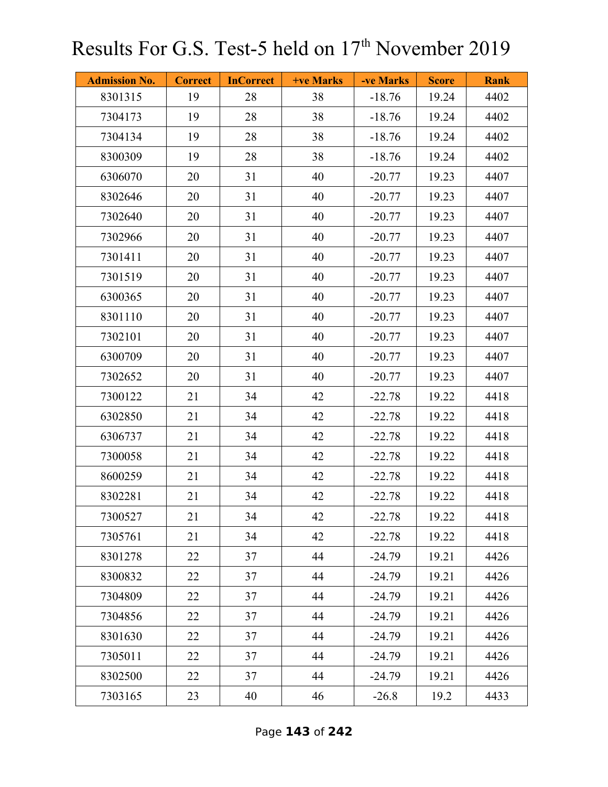| <b>Admission No.</b> | <b>Correct</b> | <b>InCorrect</b> | <b>+ve Marks</b> | -ve Marks | <b>Score</b> | <b>Rank</b> |
|----------------------|----------------|------------------|------------------|-----------|--------------|-------------|
| 8301315              | 19             | 28               | 38               | $-18.76$  | 19.24        | 4402        |
| 7304173              | 19             | 28               | 38               | $-18.76$  | 19.24        | 4402        |
| 7304134              | 19             | 28               | 38               | $-18.76$  | 19.24        | 4402        |
| 8300309              | 19             | 28               | 38               | $-18.76$  | 19.24        | 4402        |
| 6306070              | 20             | 31               | 40               | $-20.77$  | 19.23        | 4407        |
| 8302646              | 20             | 31               | 40               | $-20.77$  | 19.23        | 4407        |
| 7302640              | 20             | 31               | 40               | $-20.77$  | 19.23        | 4407        |
| 7302966              | 20             | 31               | 40               | $-20.77$  | 19.23        | 4407        |
| 7301411              | 20             | 31               | 40               | $-20.77$  | 19.23        | 4407        |
| 7301519              | 20             | 31               | 40               | $-20.77$  | 19.23        | 4407        |
| 6300365              | 20             | 31               | 40               | $-20.77$  | 19.23        | 4407        |
| 8301110              | 20             | 31               | 40               | $-20.77$  | 19.23        | 4407        |
| 7302101              | 20             | 31               | 40               | $-20.77$  | 19.23        | 4407        |
| 6300709              | 20             | 31               | 40               | $-20.77$  | 19.23        | 4407        |
| 7302652              | 20             | 31               | 40               | $-20.77$  | 19.23        | 4407        |
| 7300122              | 21             | 34               | 42               | $-22.78$  | 19.22        | 4418        |
| 6302850              | 21             | 34               | 42               | $-22.78$  | 19.22        | 4418        |
| 6306737              | 21             | 34               | 42               | $-22.78$  | 19.22        | 4418        |
| 7300058              | 21             | 34               | 42               | $-22.78$  | 19.22        | 4418        |
| 8600259              | 21             | 34               | 42               | $-22.78$  | 19.22        | 4418        |
| 8302281              | 21             | 34               | 42               | $-22.78$  | 19.22        | 4418        |
| 7300527              | 21             | 34               | 42               | $-22.78$  | 19.22        | 4418        |
| 7305761              | 21             | 34               | 42               | $-22.78$  | 19.22        | 4418        |
| 8301278              | 22             | 37               | 44               | $-24.79$  | 19.21        | 4426        |
| 8300832              | 22             | 37               | 44               | $-24.79$  | 19.21        | 4426        |
| 7304809              | 22             | 37               | 44               | $-24.79$  | 19.21        | 4426        |
| 7304856              | 22             | 37               | 44               | $-24.79$  | 19.21        | 4426        |
| 8301630              | 22             | 37               | 44               | $-24.79$  | 19.21        | 4426        |
| 7305011              | 22             | 37               | 44               | $-24.79$  | 19.21        | 4426        |
| 8302500              | 22             | 37               | 44               | $-24.79$  | 19.21        | 4426        |
| 7303165              | 23             | 40               | 46               | $-26.8$   | 19.2         | 4433        |

Page **143** of **242**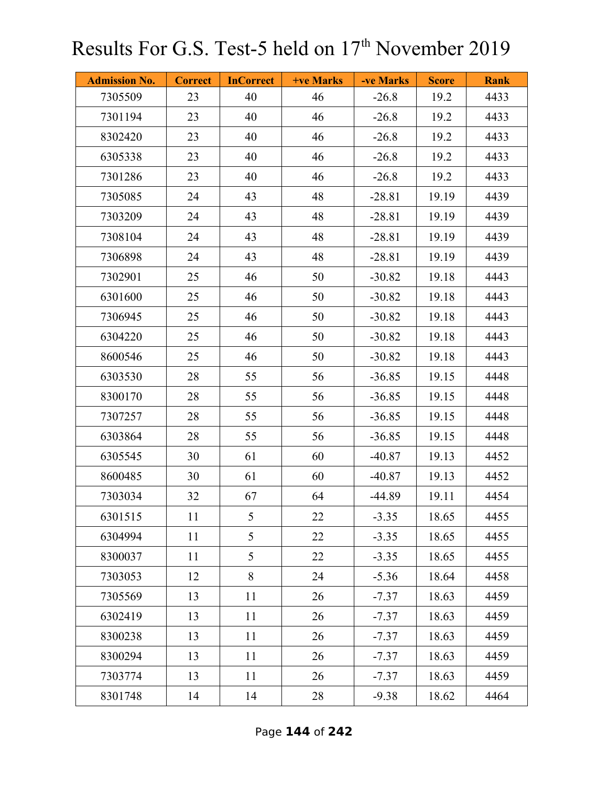| <b>Admission No.</b> | <b>Correct</b> | <b>InCorrect</b> | +ve Marks | -ve Marks | <b>Score</b> | <b>Rank</b> |
|----------------------|----------------|------------------|-----------|-----------|--------------|-------------|
| 7305509              | 23             | 40               | 46        | $-26.8$   | 19.2         | 4433        |
| 7301194              | 23             | 40               | 46        | $-26.8$   | 19.2         | 4433        |
| 8302420              | 23             | 40               | 46        | $-26.8$   | 19.2         | 4433        |
| 6305338              | 23             | 40               | 46        | $-26.8$   | 19.2         | 4433        |
| 7301286              | 23             | 40               | 46        | $-26.8$   | 19.2         | 4433        |
| 7305085              | 24             | 43               | 48        | $-28.81$  | 19.19        | 4439        |
| 7303209              | 24             | 43               | 48        | $-28.81$  | 19.19        | 4439        |
| 7308104              | 24             | 43               | 48        | $-28.81$  | 19.19        | 4439        |
| 7306898              | 24             | 43               | 48        | $-28.81$  | 19.19        | 4439        |
| 7302901              | 25             | 46               | 50        | $-30.82$  | 19.18        | 4443        |
| 6301600              | 25             | 46               | 50        | $-30.82$  | 19.18        | 4443        |
| 7306945              | 25             | 46               | 50        | $-30.82$  | 19.18        | 4443        |
| 6304220              | 25             | 46               | 50        | $-30.82$  | 19.18        | 4443        |
| 8600546              | 25             | 46               | 50        | $-30.82$  | 19.18        | 4443        |
| 6303530              | 28             | 55               | 56        | $-36.85$  | 19.15        | 4448        |
| 8300170              | 28             | 55               | 56        | $-36.85$  | 19.15        | 4448        |
| 7307257              | 28             | 55               | 56        | $-36.85$  | 19.15        | 4448        |
| 6303864              | 28             | 55               | 56        | $-36.85$  | 19.15        | 4448        |
| 6305545              | 30             | 61               | 60        | $-40.87$  | 19.13        | 4452        |
| 8600485              | 30             | 61               | 60        | $-40.87$  | 19.13        | 4452        |
| 7303034              | 32             | 67               | 64        | $-44.89$  | 19.11        | 4454        |
| 6301515              | 11             | 5                | 22        | $-3.35$   | 18.65        | 4455        |
| 6304994              | 11             | 5                | 22        | $-3.35$   | 18.65        | 4455        |
| 8300037              | 11             | 5                | 22        | $-3.35$   | 18.65        | 4455        |
| 7303053              | 12             | 8                | 24        | $-5.36$   | 18.64        | 4458        |
| 7305569              | 13             | 11               | 26        | $-7.37$   | 18.63        | 4459        |
| 6302419              | 13             | 11               | 26        | $-7.37$   | 18.63        | 4459        |
| 8300238              | 13             | 11               | 26        | $-7.37$   | 18.63        | 4459        |
| 8300294              | 13             | 11               | 26        | $-7.37$   | 18.63        | 4459        |
| 7303774              | 13             | 11               | 26        | $-7.37$   | 18.63        | 4459        |
| 8301748              | 14             | 14               | 28        | $-9.38$   | 18.62        | 4464        |

Page **144** of **242**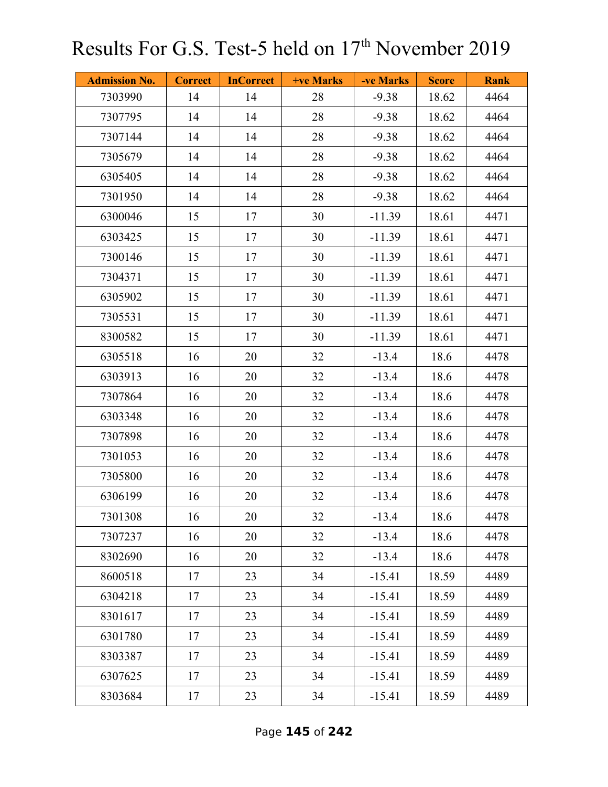| <b>Admission No.</b> | <b>Correct</b> | <b>InCorrect</b> | <b>+ve Marks</b> | -ve Marks | <b>Score</b> | <b>Rank</b> |
|----------------------|----------------|------------------|------------------|-----------|--------------|-------------|
| 7303990              | 14             | 14               | 28               | $-9.38$   | 18.62        | 4464        |
| 7307795              | 14             | 14               | 28               | $-9.38$   | 18.62        | 4464        |
| 7307144              | 14             | 14               | 28               | $-9.38$   | 18.62        | 4464        |
| 7305679              | 14             | 14               | 28               | $-9.38$   | 18.62        | 4464        |
| 6305405              | 14             | 14               | 28               | $-9.38$   | 18.62        | 4464        |
| 7301950              | 14             | 14               | 28               | $-9.38$   | 18.62        | 4464        |
| 6300046              | 15             | 17               | 30               | $-11.39$  | 18.61        | 4471        |
| 6303425              | 15             | 17               | 30               | $-11.39$  | 18.61        | 4471        |
| 7300146              | 15             | 17               | 30               | $-11.39$  | 18.61        | 4471        |
| 7304371              | 15             | 17               | 30               | $-11.39$  | 18.61        | 4471        |
| 6305902              | 15             | 17               | 30               | $-11.39$  | 18.61        | 4471        |
| 7305531              | 15             | 17               | 30               | $-11.39$  | 18.61        | 4471        |
| 8300582              | 15             | 17               | 30               | $-11.39$  | 18.61        | 4471        |
| 6305518              | 16             | 20               | 32               | $-13.4$   | 18.6         | 4478        |
| 6303913              | 16             | 20               | 32               | $-13.4$   | 18.6         | 4478        |
| 7307864              | 16             | 20               | 32               | $-13.4$   | 18.6         | 4478        |
| 6303348              | 16             | 20               | 32               | $-13.4$   | 18.6         | 4478        |
| 7307898              | 16             | 20               | 32               | $-13.4$   | 18.6         | 4478        |
| 7301053              | 16             | 20               | 32               | $-13.4$   | 18.6         | 4478        |
| 7305800              | 16             | 20               | 32               | $-13.4$   | 18.6         | 4478        |
| 6306199              | 16             | 20               | 32               | $-13.4$   | 18.6         | 4478        |
| 7301308              | 16             | 20               | 32               | $-13.4$   | 18.6         | 4478        |
| 7307237              | 16             | 20               | 32               | $-13.4$   | 18.6         | 4478        |
| 8302690              | 16             | 20               | 32               | $-13.4$   | 18.6         | 4478        |
| 8600518              | 17             | 23               | 34               | $-15.41$  | 18.59        | 4489        |
| 6304218              | 17             | 23               | 34               | $-15.41$  | 18.59        | 4489        |
| 8301617              | 17             | 23               | 34               | $-15.41$  | 18.59        | 4489        |
| 6301780              | 17             | 23               | 34               | $-15.41$  | 18.59        | 4489        |
| 8303387              | 17             | 23               | 34               | $-15.41$  | 18.59        | 4489        |
| 6307625              | 17             | 23               | 34               | $-15.41$  | 18.59        | 4489        |
| 8303684              | 17             | 23               | 34               | $-15.41$  | 18.59        | 4489        |

Page **145** of **242**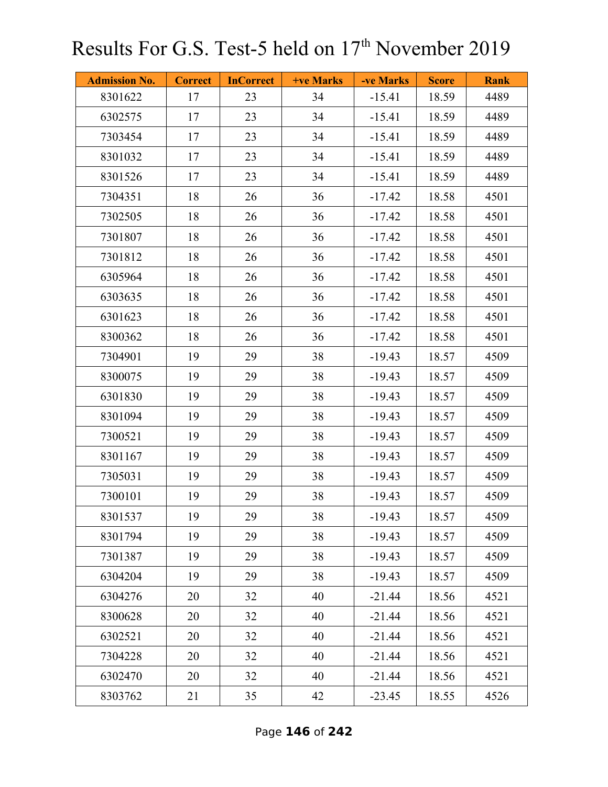| <b>Admission No.</b> | <b>Correct</b> | <b>InCorrect</b> | <b>+ve Marks</b> | -ve Marks | <b>Score</b> | <b>Rank</b> |
|----------------------|----------------|------------------|------------------|-----------|--------------|-------------|
| 8301622              | 17             | 23               | 34               | $-15.41$  | 18.59        | 4489        |
| 6302575              | 17             | 23               | 34               | $-15.41$  | 18.59        | 4489        |
| 7303454              | 17             | 23               | 34               | $-15.41$  | 18.59        | 4489        |
| 8301032              | 17             | 23               | 34               | $-15.41$  | 18.59        | 4489        |
| 8301526              | 17             | 23               | 34               | $-15.41$  | 18.59        | 4489        |
| 7304351              | 18             | 26               | 36               | $-17.42$  | 18.58        | 4501        |
| 7302505              | 18             | 26               | 36               | $-17.42$  | 18.58        | 4501        |
| 7301807              | 18             | 26               | 36               | $-17.42$  | 18.58        | 4501        |
| 7301812              | 18             | 26               | 36               | $-17.42$  | 18.58        | 4501        |
| 6305964              | 18             | 26               | 36               | $-17.42$  | 18.58        | 4501        |
| 6303635              | 18             | 26               | 36               | $-17.42$  | 18.58        | 4501        |
| 6301623              | 18             | 26               | 36               | $-17.42$  | 18.58        | 4501        |
| 8300362              | 18             | 26               | 36               | $-17.42$  | 18.58        | 4501        |
| 7304901              | 19             | 29               | 38               | $-19.43$  | 18.57        | 4509        |
| 8300075              | 19             | 29               | 38               | $-19.43$  | 18.57        | 4509        |
| 6301830              | 19             | 29               | 38               | $-19.43$  | 18.57        | 4509        |
| 8301094              | 19             | 29               | 38               | $-19.43$  | 18.57        | 4509        |
| 7300521              | 19             | 29               | 38               | $-19.43$  | 18.57        | 4509        |
| 8301167              | 19             | 29               | 38               | $-19.43$  | 18.57        | 4509        |
| 7305031              | 19             | 29               | 38               | $-19.43$  | 18.57        | 4509        |
| 7300101              | 19             | 29               | 38               | $-19.43$  | 18.57        | 4509        |
| 8301537              | 19             | 29               | 38               | $-19.43$  | 18.57        | 4509        |
| 8301794              | 19             | 29               | 38               | $-19.43$  | 18.57        | 4509        |
| 7301387              | 19             | 29               | 38               | $-19.43$  | 18.57        | 4509        |
| 6304204              | 19             | 29               | 38               | $-19.43$  | 18.57        | 4509        |
| 6304276              | 20             | 32               | 40               | $-21.44$  | 18.56        | 4521        |
| 8300628              | 20             | 32               | 40               | $-21.44$  | 18.56        | 4521        |
| 6302521              | 20             | 32               | 40               | $-21.44$  | 18.56        | 4521        |
| 7304228              | 20             | 32               | 40               | $-21.44$  | 18.56        | 4521        |
| 6302470              | 20             | 32               | 40               | $-21.44$  | 18.56        | 4521        |
| 8303762              | 21             | 35               | 42               | $-23.45$  | 18.55        | 4526        |

Page **146** of **242**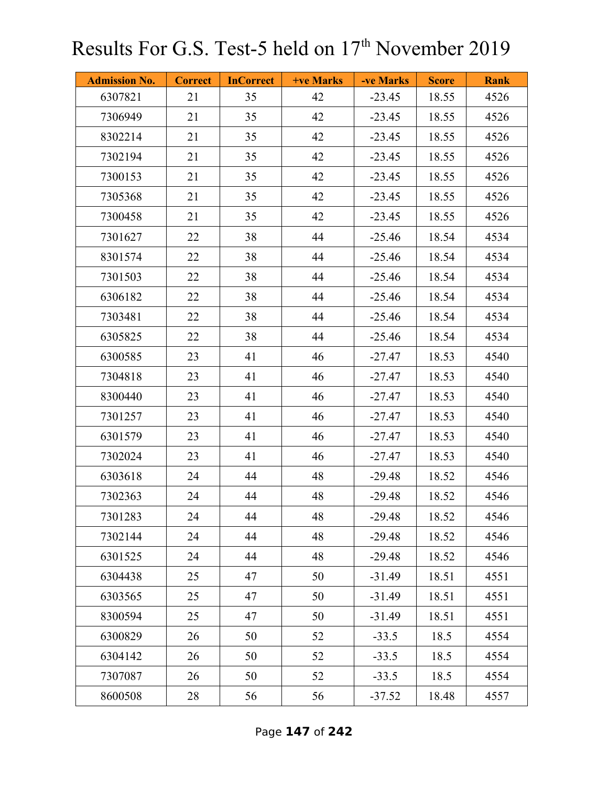| <b>Admission No.</b> | <b>Correct</b> | <b>InCorrect</b> | <b>+ve Marks</b> | -ve Marks | <b>Score</b> | <b>Rank</b> |
|----------------------|----------------|------------------|------------------|-----------|--------------|-------------|
| 6307821              | 21             | 35               | 42               | $-23.45$  | 18.55        | 4526        |
| 7306949              | 21             | 35               | 42               | $-23.45$  | 18.55        | 4526        |
| 8302214              | 21             | 35               | 42               | $-23.45$  | 18.55        | 4526        |
| 7302194              | 21             | 35               | 42               | $-23.45$  | 18.55        | 4526        |
| 7300153              | 21             | 35               | 42               | $-23.45$  | 18.55        | 4526        |
| 7305368              | 21             | 35               | 42               | $-23.45$  | 18.55        | 4526        |
| 7300458              | 21             | 35               | 42               | $-23.45$  | 18.55        | 4526        |
| 7301627              | 22             | 38               | 44               | $-25.46$  | 18.54        | 4534        |
| 8301574              | 22             | 38               | 44               | $-25.46$  | 18.54        | 4534        |
| 7301503              | 22             | 38               | 44               | $-25.46$  | 18.54        | 4534        |
| 6306182              | 22             | 38               | 44               | $-25.46$  | 18.54        | 4534        |
| 7303481              | 22             | 38               | 44               | $-25.46$  | 18.54        | 4534        |
| 6305825              | 22             | 38               | 44               | $-25.46$  | 18.54        | 4534        |
| 6300585              | 23             | 41               | 46               | $-27.47$  | 18.53        | 4540        |
| 7304818              | 23             | 41               | 46               | $-27.47$  | 18.53        | 4540        |
| 8300440              | 23             | 41               | 46               | $-27.47$  | 18.53        | 4540        |
| 7301257              | 23             | 41               | 46               | $-27.47$  | 18.53        | 4540        |
| 6301579              | 23             | 41               | 46               | $-27.47$  | 18.53        | 4540        |
| 7302024              | 23             | 41               | 46               | $-27.47$  | 18.53        | 4540        |
| 6303618              | 24             | 44               | 48               | $-29.48$  | 18.52        | 4546        |
| 7302363              | 24             | 44               | 48               | $-29.48$  | 18.52        | 4546        |
| 7301283              | 24             | 44               | 48               | $-29.48$  | 18.52        | 4546        |
| 7302144              | 24             | 44               | 48               | $-29.48$  | 18.52        | 4546        |
| 6301525              | 24             | 44               | 48               | $-29.48$  | 18.52        | 4546        |
| 6304438              | 25             | 47               | 50               | $-31.49$  | 18.51        | 4551        |
| 6303565              | 25             | 47               | 50               | $-31.49$  | 18.51        | 4551        |
| 8300594              | 25             | 47               | 50               | $-31.49$  | 18.51        | 4551        |
| 6300829              | 26             | 50               | 52               | $-33.5$   | 18.5         | 4554        |
| 6304142              | 26             | 50               | 52               | $-33.5$   | 18.5         | 4554        |
| 7307087              | 26             | 50               | 52               | $-33.5$   | 18.5         | 4554        |
| 8600508              | 28             | 56               | 56               | $-37.52$  | 18.48        | 4557        |

Page **147** of **242**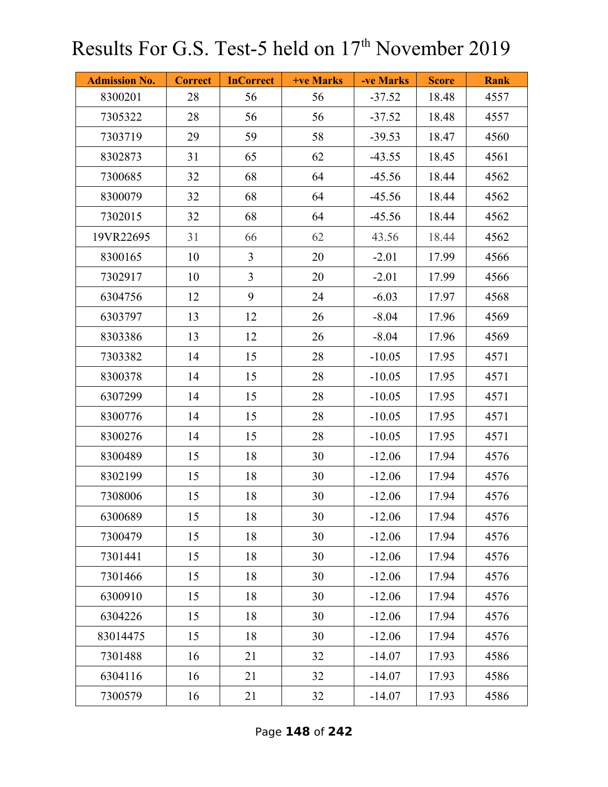| <b>Admission No.</b> | <b>Correct</b> | <b>InCorrect</b> | <b>+ve Marks</b> | -ve Marks | <b>Score</b> | <b>Rank</b> |
|----------------------|----------------|------------------|------------------|-----------|--------------|-------------|
| 8300201              | 28             | 56               | 56               | $-37.52$  | 18.48        | 4557        |
| 7305322              | 28             | 56               | 56               | $-37.52$  | 18.48        | 4557        |
| 7303719              | 29             | 59               | 58               | $-39.53$  | 18.47        | 4560        |
| 8302873              | 31             | 65               | 62               | $-43.55$  | 18.45        | 4561        |
| 7300685              | 32             | 68               | 64               | $-45.56$  | 18.44        | 4562        |
| 8300079              | 32             | 68               | 64               | $-45.56$  | 18.44        | 4562        |
| 7302015              | 32             | 68               | 64               | $-45.56$  | 18.44        | 4562        |
| 19VR22695            | 31             | 66               | 62               | 43.56     | 18.44        | 4562        |
| 8300165              | 10             | $\overline{3}$   | 20               | $-2.01$   | 17.99        | 4566        |
| 7302917              | 10             | $\overline{3}$   | 20               | $-2.01$   | 17.99        | 4566        |
| 6304756              | 12             | 9                | 24               | $-6.03$   | 17.97        | 4568        |
| 6303797              | 13             | 12               | 26               | $-8.04$   | 17.96        | 4569        |
| 8303386              | 13             | 12               | 26               | $-8.04$   | 17.96        | 4569        |
| 7303382              | 14             | 15               | 28               | $-10.05$  | 17.95        | 4571        |
| 8300378              | 14             | 15               | 28               | $-10.05$  | 17.95        | 4571        |
| 6307299              | 14             | 15               | 28               | $-10.05$  | 17.95        | 4571        |
| 8300776              | 14             | 15               | 28               | $-10.05$  | 17.95        | 4571        |
| 8300276              | 14             | 15               | 28               | $-10.05$  | 17.95        | 4571        |
| 8300489              | 15             | 18               | 30               | $-12.06$  | 17.94        | 4576        |
| 8302199              | 15             | 18               | 30               | $-12.06$  | 17.94        | 4576        |
| 7308006              | 15             | 18               | 30               | $-12.06$  | 17.94        | 4576        |
| 6300689              | 15             | 18               | 30               | $-12.06$  | 17.94        | 4576        |
| 7300479              | 15             | 18               | 30               | $-12.06$  | 17.94        | 4576        |
| 7301441              | 15             | 18               | 30               | $-12.06$  | 17.94        | 4576        |
| 7301466              | 15             | 18               | 30               | $-12.06$  | 17.94        | 4576        |
| 6300910              | 15             | 18               | 30               | $-12.06$  | 17.94        | 4576        |
| 6304226              | 15             | 18               | 30               | $-12.06$  | 17.94        | 4576        |
| 83014475             | 15             | 18               | 30               | $-12.06$  | 17.94        | 4576        |
| 7301488              | 16             | 21               | 32               | $-14.07$  | 17.93        | 4586        |
| 6304116              | 16             | 21               | 32               | $-14.07$  | 17.93        | 4586        |
| 7300579              | 16             | 21               | 32               | $-14.07$  | 17.93        | 4586        |

Page **148** of **242**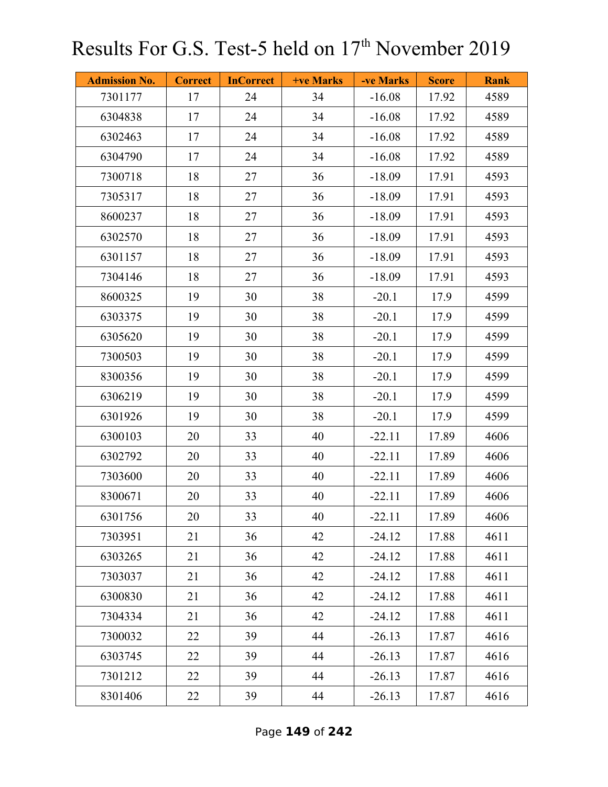| <b>Admission No.</b> | <b>Correct</b> | <b>InCorrect</b> | +ve Marks | -ve Marks | <b>Score</b> | <b>Rank</b> |
|----------------------|----------------|------------------|-----------|-----------|--------------|-------------|
| 7301177              | 17             | 24               | 34        | $-16.08$  | 17.92        | 4589        |
| 6304838              | 17             | 24               | 34        | $-16.08$  | 17.92        | 4589        |
| 6302463              | 17             | 24               | 34        | $-16.08$  | 17.92        | 4589        |
| 6304790              | 17             | 24               | 34        | $-16.08$  | 17.92        | 4589        |
| 7300718              | 18             | 27               | 36        | $-18.09$  | 17.91        | 4593        |
| 7305317              | 18             | 27               | 36        | $-18.09$  | 17.91        | 4593        |
| 8600237              | 18             | 27               | 36        | $-18.09$  | 17.91        | 4593        |
| 6302570              | 18             | 27               | 36        | $-18.09$  | 17.91        | 4593        |
| 6301157              | 18             | 27               | 36        | $-18.09$  | 17.91        | 4593        |
| 7304146              | 18             | 27               | 36        | $-18.09$  | 17.91        | 4593        |
| 8600325              | 19             | 30               | 38        | $-20.1$   | 17.9         | 4599        |
| 6303375              | 19             | 30               | 38        | $-20.1$   | 17.9         | 4599        |
| 6305620              | 19             | 30               | 38        | $-20.1$   | 17.9         | 4599        |
| 7300503              | 19             | 30               | 38        | $-20.1$   | 17.9         | 4599        |
| 8300356              | 19             | 30               | 38        | $-20.1$   | 17.9         | 4599        |
| 6306219              | 19             | 30               | 38        | $-20.1$   | 17.9         | 4599        |
| 6301926              | 19             | 30               | 38        | $-20.1$   | 17.9         | 4599        |
| 6300103              | 20             | 33               | 40        | $-22.11$  | 17.89        | 4606        |
| 6302792              | 20             | 33               | 40        | $-22.11$  | 17.89        | 4606        |
| 7303600              | 20             | 33               | 40        | $-22.11$  | 17.89        | 4606        |
| 8300671              | 20             | 33               | 40        | $-22.11$  | 17.89        | 4606        |
| 6301756              | 20             | 33               | 40        | $-22.11$  | 17.89        | 4606        |
| 7303951              | 21             | 36               | 42        | $-24.12$  | 17.88        | 4611        |
| 6303265              | 21             | 36               | 42        | $-24.12$  | 17.88        | 4611        |
| 7303037              | 21             | 36               | 42        | $-24.12$  | 17.88        | 4611        |
| 6300830              | 21             | 36               | 42        | $-24.12$  | 17.88        | 4611        |
| 7304334              | 21             | 36               | 42        | $-24.12$  | 17.88        | 4611        |
| 7300032              | 22             | 39               | 44        | $-26.13$  | 17.87        | 4616        |
| 6303745              | 22             | 39               | 44        | $-26.13$  | 17.87        | 4616        |
| 7301212              | 22             | 39               | 44        | $-26.13$  | 17.87        | 4616        |
| 8301406              | 22             | 39               | 44        | $-26.13$  | 17.87        | 4616        |

Page **149** of **242**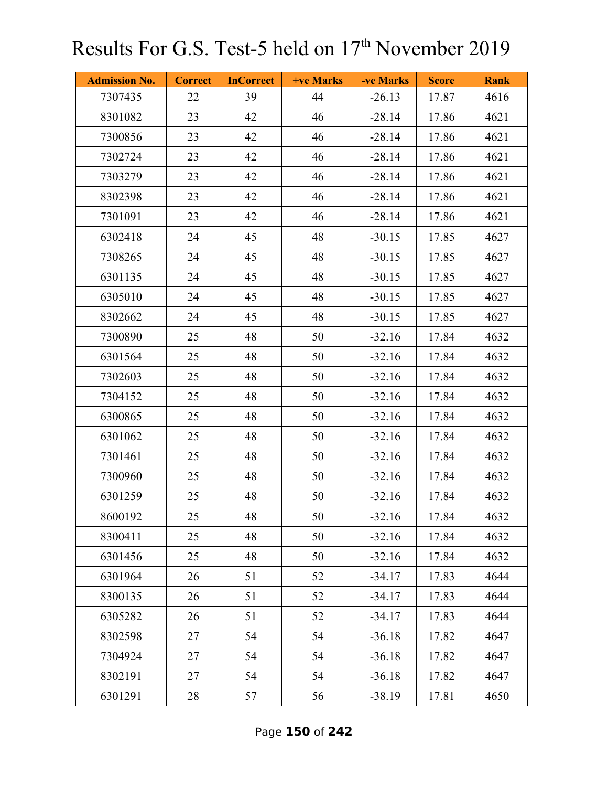| <b>Admission No.</b> | <b>Correct</b> | <b>InCorrect</b> | <b>+ve Marks</b> | -ve Marks | <b>Score</b> | <b>Rank</b> |
|----------------------|----------------|------------------|------------------|-----------|--------------|-------------|
| 7307435              | 22             | 39               | 44               | $-26.13$  | 17.87        | 4616        |
| 8301082              | 23             | 42               | 46               | $-28.14$  | 17.86        | 4621        |
| 7300856              | 23             | 42               | 46               | $-28.14$  | 17.86        | 4621        |
| 7302724              | 23             | 42               | 46               | $-28.14$  | 17.86        | 4621        |
| 7303279              | 23             | 42               | 46               | $-28.14$  | 17.86        | 4621        |
| 8302398              | 23             | 42               | 46               | $-28.14$  | 17.86        | 4621        |
| 7301091              | 23             | 42               | 46               | $-28.14$  | 17.86        | 4621        |
| 6302418              | 24             | 45               | 48               | $-30.15$  | 17.85        | 4627        |
| 7308265              | 24             | 45               | 48               | $-30.15$  | 17.85        | 4627        |
| 6301135              | 24             | 45               | 48               | $-30.15$  | 17.85        | 4627        |
| 6305010              | 24             | 45               | 48               | $-30.15$  | 17.85        | 4627        |
| 8302662              | 24             | 45               | 48               | $-30.15$  | 17.85        | 4627        |
| 7300890              | 25             | 48               | 50               | $-32.16$  | 17.84        | 4632        |
| 6301564              | 25             | 48               | 50               | $-32.16$  | 17.84        | 4632        |
| 7302603              | 25             | 48               | 50               | $-32.16$  | 17.84        | 4632        |
| 7304152              | 25             | 48               | 50               | $-32.16$  | 17.84        | 4632        |
| 6300865              | 25             | 48               | 50               | $-32.16$  | 17.84        | 4632        |
| 6301062              | 25             | 48               | 50               | $-32.16$  | 17.84        | 4632        |
| 7301461              | 25             | 48               | 50               | $-32.16$  | 17.84        | 4632        |
| 7300960              | 25             | 48               | 50               | $-32.16$  | 17.84        | 4632        |
| 6301259              | 25             | 48               | 50               | $-32.16$  | 17.84        | 4632        |
| 8600192              | 25             | 48               | 50               | $-32.16$  | 17.84        | 4632        |
| 8300411              | 25             | 48               | 50               | $-32.16$  | 17.84        | 4632        |
| 6301456              | 25             | 48               | 50               | $-32.16$  | 17.84        | 4632        |
| 6301964              | 26             | 51               | 52               | $-34.17$  | 17.83        | 4644        |
| 8300135              | 26             | 51               | 52               | $-34.17$  | 17.83        | 4644        |
| 6305282              | 26             | 51               | 52               | $-34.17$  | 17.83        | 4644        |
| 8302598              | 27             | 54               | 54               | $-36.18$  | 17.82        | 4647        |
| 7304924              | 27             | 54               | 54               | $-36.18$  | 17.82        | 4647        |
| 8302191              | 27             | 54               | 54               | $-36.18$  | 17.82        | 4647        |
| 6301291              | 28             | 57               | 56               | $-38.19$  | 17.81        | 4650        |

Page **150** of **242**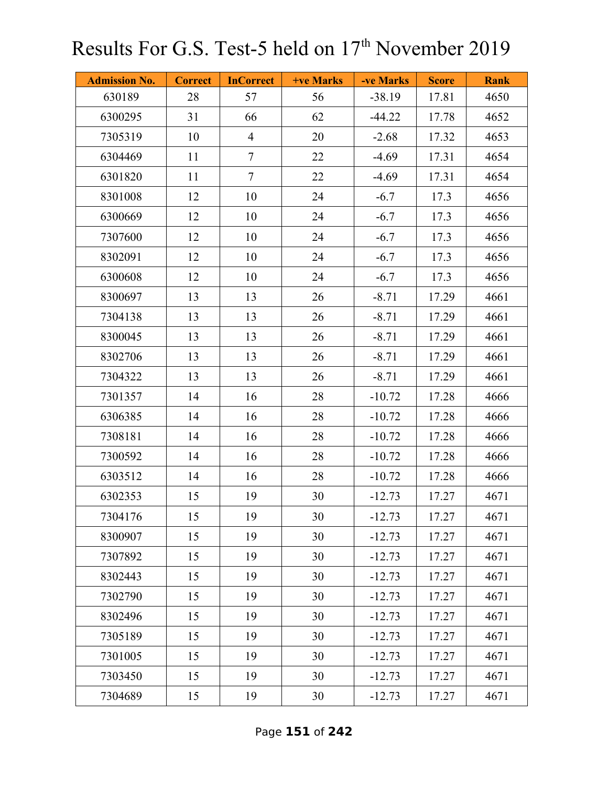| <b>Admission No.</b> | <b>Correct</b> | <b>InCorrect</b> | <b>+ve Marks</b> | -ve Marks | <b>Score</b> | <b>Rank</b> |
|----------------------|----------------|------------------|------------------|-----------|--------------|-------------|
| 630189               | 28             | 57               | 56               | $-38.19$  | 17.81        | 4650        |
| 6300295              | 31             | 66               | 62               | $-44.22$  | 17.78        | 4652        |
| 7305319              | 10             | $\overline{4}$   | 20               | $-2.68$   | 17.32        | 4653        |
| 6304469              | 11             | $\overline{7}$   | 22               | $-4.69$   | 17.31        | 4654        |
| 6301820              | 11             | $\tau$           | 22               | $-4.69$   | 17.31        | 4654        |
| 8301008              | 12             | 10               | 24               | $-6.7$    | 17.3         | 4656        |
| 6300669              | 12             | 10               | 24               | $-6.7$    | 17.3         | 4656        |
| 7307600              | 12             | 10               | 24               | $-6.7$    | 17.3         | 4656        |
| 8302091              | 12             | 10               | 24               | $-6.7$    | 17.3         | 4656        |
| 6300608              | 12             | 10               | 24               | $-6.7$    | 17.3         | 4656        |
| 8300697              | 13             | 13               | 26               | $-8.71$   | 17.29        | 4661        |
| 7304138              | 13             | 13               | 26               | $-8.71$   | 17.29        | 4661        |
| 8300045              | 13             | 13               | 26               | $-8.71$   | 17.29        | 4661        |
| 8302706              | 13             | 13               | 26               | $-8.71$   | 17.29        | 4661        |
| 7304322              | 13             | 13               | 26               | $-8.71$   | 17.29        | 4661        |
| 7301357              | 14             | 16               | 28               | $-10.72$  | 17.28        | 4666        |
| 6306385              | 14             | 16               | 28               | $-10.72$  | 17.28        | 4666        |
| 7308181              | 14             | 16               | 28               | $-10.72$  | 17.28        | 4666        |
| 7300592              | 14             | 16               | 28               | $-10.72$  | 17.28        | 4666        |
| 6303512              | 14             | 16               | 28               | $-10.72$  | 17.28        | 4666        |
| 6302353              | 15             | 19               | 30               | $-12.73$  | 17.27        | 4671        |
| 7304176              | 15             | 19               | 30               | $-12.73$  | 17.27        | 4671        |
| 8300907              | 15             | 19               | 30               | $-12.73$  | 17.27        | 4671        |
| 7307892              | 15             | 19               | 30               | $-12.73$  | 17.27        | 4671        |
| 8302443              | 15             | 19               | 30               | $-12.73$  | 17.27        | 4671        |
| 7302790              | 15             | 19               | 30               | $-12.73$  | 17.27        | 4671        |
| 8302496              | 15             | 19               | 30               | $-12.73$  | 17.27        | 4671        |
| 7305189              | 15             | 19               | 30               | $-12.73$  | 17.27        | 4671        |
| 7301005              | 15             | 19               | 30               | $-12.73$  | 17.27        | 4671        |
| 7303450              | 15             | 19               | 30               | $-12.73$  | 17.27        | 4671        |
| 7304689              | 15             | 19               | 30               | $-12.73$  | 17.27        | 4671        |

Page **151** of **242**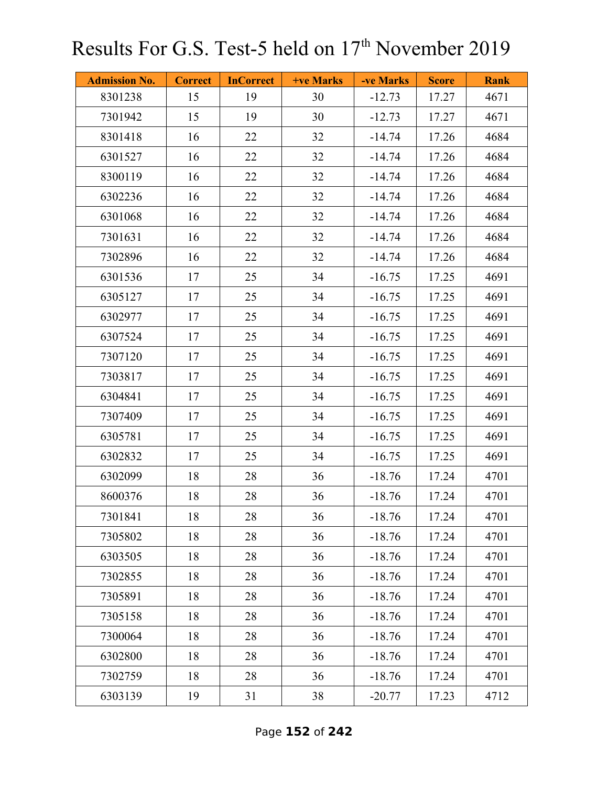| <b>Admission No.</b> | <b>Correct</b> | <b>InCorrect</b> | +ve Marks | -ve Marks | <b>Score</b> | <b>Rank</b> |
|----------------------|----------------|------------------|-----------|-----------|--------------|-------------|
| 8301238              | 15             | 19               | 30        | $-12.73$  | 17.27        | 4671        |
| 7301942              | 15             | 19               | 30        | $-12.73$  | 17.27        | 4671        |
| 8301418              | 16             | 22               | 32        | $-14.74$  | 17.26        | 4684        |
| 6301527              | 16             | 22               | 32        | $-14.74$  | 17.26        | 4684        |
| 8300119              | 16             | 22               | 32        | $-14.74$  | 17.26        | 4684        |
| 6302236              | 16             | 22               | 32        | $-14.74$  | 17.26        | 4684        |
| 6301068              | 16             | 22               | 32        | $-14.74$  | 17.26        | 4684        |
| 7301631              | 16             | 22               | 32        | $-14.74$  | 17.26        | 4684        |
| 7302896              | 16             | 22               | 32        | $-14.74$  | 17.26        | 4684        |
| 6301536              | 17             | 25               | 34        | $-16.75$  | 17.25        | 4691        |
| 6305127              | 17             | 25               | 34        | $-16.75$  | 17.25        | 4691        |
| 6302977              | 17             | 25               | 34        | $-16.75$  | 17.25        | 4691        |
| 6307524              | 17             | 25               | 34        | $-16.75$  | 17.25        | 4691        |
| 7307120              | 17             | 25               | 34        | $-16.75$  | 17.25        | 4691        |
| 7303817              | 17             | 25               | 34        | $-16.75$  | 17.25        | 4691        |
| 6304841              | 17             | 25               | 34        | $-16.75$  | 17.25        | 4691        |
| 7307409              | 17             | 25               | 34        | $-16.75$  | 17.25        | 4691        |
| 6305781              | 17             | 25               | 34        | $-16.75$  | 17.25        | 4691        |
| 6302832              | 17             | 25               | 34        | $-16.75$  | 17.25        | 4691        |
| 6302099              | 18             | 28               | 36        | $-18.76$  | 17.24        | 4701        |
| 8600376              | 18             | 28               | 36        | $-18.76$  | 17.24        | 4701        |
| 7301841              | 18             | 28               | 36        | $-18.76$  | 17.24        | 4701        |
| 7305802              | 18             | 28               | 36        | $-18.76$  | 17.24        | 4701        |
| 6303505              | 18             | 28               | 36        | $-18.76$  | 17.24        | 4701        |
| 7302855              | 18             | 28               | 36        | $-18.76$  | 17.24        | 4701        |
| 7305891              | 18             | 28               | 36        | $-18.76$  | 17.24        | 4701        |
| 7305158              | 18             | 28               | 36        | $-18.76$  | 17.24        | 4701        |
| 7300064              | 18             | 28               | 36        | $-18.76$  | 17.24        | 4701        |
| 6302800              | 18             | 28               | 36        | $-18.76$  | 17.24        | 4701        |
| 7302759              | 18             | 28               | 36        | $-18.76$  | 17.24        | 4701        |
| 6303139              | 19             | 31               | 38        | $-20.77$  | 17.23        | 4712        |

Page **152** of **242**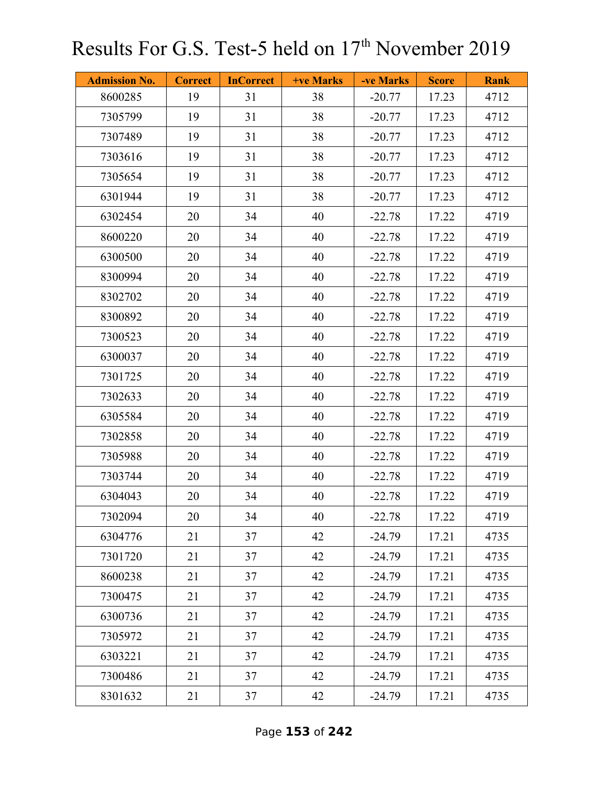| <b>Admission No.</b> | <b>Correct</b> | <b>InCorrect</b> | +ve Marks | -ve Marks | <b>Score</b> | <b>Rank</b> |
|----------------------|----------------|------------------|-----------|-----------|--------------|-------------|
| 8600285              | 19             | 31               | 38        | $-20.77$  | 17.23        | 4712        |
| 7305799              | 19             | 31               | 38        | $-20.77$  | 17.23        | 4712        |
| 7307489              | 19             | 31               | 38        | $-20.77$  | 17.23        | 4712        |
| 7303616              | 19             | 31               | 38        | $-20.77$  | 17.23        | 4712        |
| 7305654              | 19             | 31               | 38        | $-20.77$  | 17.23        | 4712        |
| 6301944              | 19             | 31               | 38        | $-20.77$  | 17.23        | 4712        |
| 6302454              | 20             | 34               | 40        | $-22.78$  | 17.22        | 4719        |
| 8600220              | 20             | 34               | 40        | $-22.78$  | 17.22        | 4719        |
| 6300500              | 20             | 34               | 40        | $-22.78$  | 17.22        | 4719        |
| 8300994              | 20             | 34               | 40        | $-22.78$  | 17.22        | 4719        |
| 8302702              | 20             | 34               | 40        | $-22.78$  | 17.22        | 4719        |
| 8300892              | 20             | 34               | 40        | $-22.78$  | 17.22        | 4719        |
| 7300523              | 20             | 34               | 40        | $-22.78$  | 17.22        | 4719        |
| 6300037              | 20             | 34               | 40        | $-22.78$  | 17.22        | 4719        |
| 7301725              | 20             | 34               | 40        | $-22.78$  | 17.22        | 4719        |
| 7302633              | 20             | 34               | 40        | $-22.78$  | 17.22        | 4719        |
| 6305584              | 20             | 34               | 40        | $-22.78$  | 17.22        | 4719        |
| 7302858              | 20             | 34               | 40        | $-22.78$  | 17.22        | 4719        |
| 7305988              | 20             | 34               | 40        | $-22.78$  | 17.22        | 4719        |
| 7303744              | 20             | 34               | 40        | $-22.78$  | 17.22        | 4719        |
| 6304043              | 20             | 34               | 40        | $-22.78$  | 17.22        | 4719        |
| 7302094              | 20             | 34               | 40        | $-22.78$  | 17.22        | 4719        |
| 6304776              | 21             | 37               | 42        | $-24.79$  | 17.21        | 4735        |
| 7301720              | 21             | 37               | 42        | $-24.79$  | 17.21        | 4735        |
| 8600238              | 21             | 37               | 42        | $-24.79$  | 17.21        | 4735        |
| 7300475              | 21             | 37               | 42        | $-24.79$  | 17.21        | 4735        |
| 6300736              | 21             | 37               | 42        | $-24.79$  | 17.21        | 4735        |
| 7305972              | 21             | 37               | 42        | $-24.79$  | 17.21        | 4735        |
| 6303221              | 21             | 37               | 42        | $-24.79$  | 17.21        | 4735        |
| 7300486              | 21             | 37               | 42        | $-24.79$  | 17.21        | 4735        |
| 8301632              | 21             | 37               | 42        | $-24.79$  | 17.21        | 4735        |

Page **153** of **242**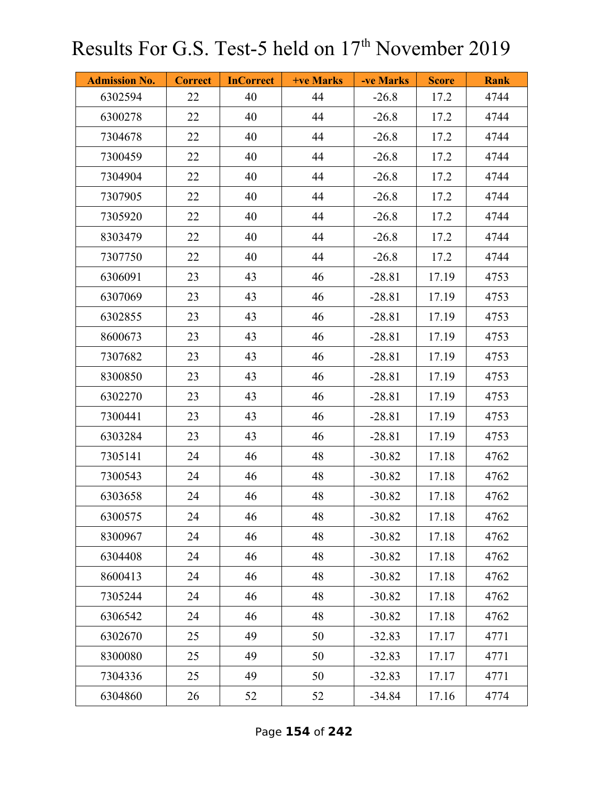| <b>Admission No.</b> | <b>Correct</b> | <b>InCorrect</b> | +ve Marks | -ve Marks | <b>Score</b> | <b>Rank</b> |
|----------------------|----------------|------------------|-----------|-----------|--------------|-------------|
| 6302594              | 22             | 40               | 44        | $-26.8$   | 17.2         | 4744        |
| 6300278              | 22             | 40               | 44        | $-26.8$   | 17.2         | 4744        |
| 7304678              | 22             | 40               | 44        | $-26.8$   | 17.2         | 4744        |
| 7300459              | 22             | 40               | 44        | $-26.8$   | 17.2         | 4744        |
| 7304904              | 22             | 40               | 44        | $-26.8$   | 17.2         | 4744        |
| 7307905              | 22             | 40               | 44        | $-26.8$   | 17.2         | 4744        |
| 7305920              | 22             | 40               | 44        | $-26.8$   | 17.2         | 4744        |
| 8303479              | 22             | 40               | 44        | $-26.8$   | 17.2         | 4744        |
| 7307750              | 22             | 40               | 44        | $-26.8$   | 17.2         | 4744        |
| 6306091              | 23             | 43               | 46        | $-28.81$  | 17.19        | 4753        |
| 6307069              | 23             | 43               | 46        | $-28.81$  | 17.19        | 4753        |
| 6302855              | 23             | 43               | 46        | $-28.81$  | 17.19        | 4753        |
| 8600673              | 23             | 43               | 46        | $-28.81$  | 17.19        | 4753        |
| 7307682              | 23             | 43               | 46        | $-28.81$  | 17.19        | 4753        |
| 8300850              | 23             | 43               | 46        | $-28.81$  | 17.19        | 4753        |
| 6302270              | 23             | 43               | 46        | $-28.81$  | 17.19        | 4753        |
| 7300441              | 23             | 43               | 46        | $-28.81$  | 17.19        | 4753        |
| 6303284              | 23             | 43               | 46        | $-28.81$  | 17.19        | 4753        |
| 7305141              | 24             | 46               | 48        | $-30.82$  | 17.18        | 4762        |
| 7300543              | 24             | 46               | 48        | $-30.82$  | 17.18        | 4762        |
| 6303658              | 24             | 46               | 48        | $-30.82$  | 17.18        | 4762        |
| 6300575              | 24             | 46               | 48        | $-30.82$  | 17.18        | 4762        |
| 8300967              | 24             | 46               | 48        | $-30.82$  | 17.18        | 4762        |
| 6304408              | 24             | 46               | 48        | $-30.82$  | 17.18        | 4762        |
| 8600413              | 24             | 46               | 48        | $-30.82$  | 17.18        | 4762        |
| 7305244              | 24             | 46               | 48        | $-30.82$  | 17.18        | 4762        |
| 6306542              | 24             | 46               | 48        | $-30.82$  | 17.18        | 4762        |
| 6302670              | 25             | 49               | 50        | $-32.83$  | 17.17        | 4771        |
| 8300080              | 25             | 49               | 50        | $-32.83$  | 17.17        | 4771        |
| 7304336              | 25             | 49               | 50        | $-32.83$  | 17.17        | 4771        |
| 6304860              | 26             | 52               | 52        | $-34.84$  | 17.16        | 4774        |

Page **154** of **242**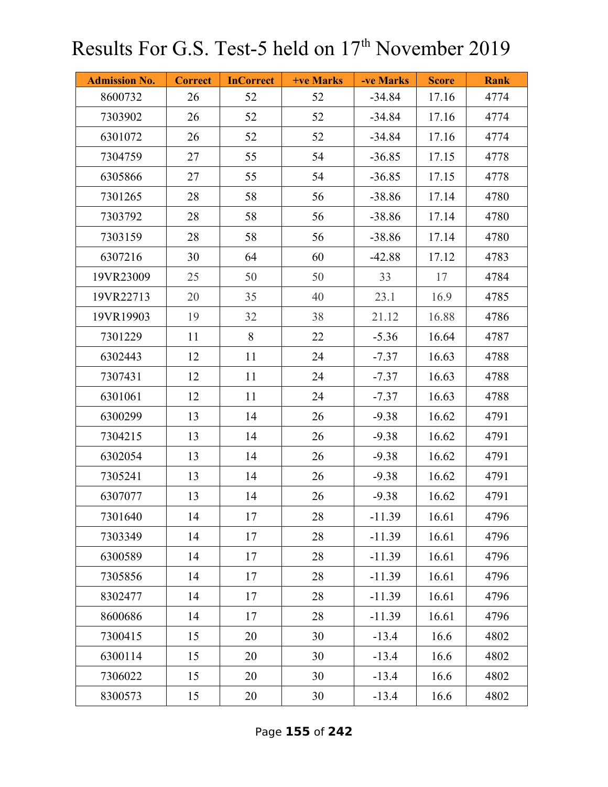| <b>Admission No.</b> | <b>Correct</b> | <b>InCorrect</b> | <b>+ve Marks</b> | -ve Marks | <b>Score</b> | <b>Rank</b> |
|----------------------|----------------|------------------|------------------|-----------|--------------|-------------|
| 8600732              | 26             | 52               | 52               | $-34.84$  | 17.16        | 4774        |
| 7303902              | 26             | 52               | 52               | $-34.84$  | 17.16        | 4774        |
| 6301072              | 26             | 52               | 52               | $-34.84$  | 17.16        | 4774        |
| 7304759              | 27             | 55               | 54               | $-36.85$  | 17.15        | 4778        |
| 6305866              | 27             | 55               | 54               | $-36.85$  | 17.15        | 4778        |
| 7301265              | 28             | 58               | 56               | $-38.86$  | 17.14        | 4780        |
| 7303792              | 28             | 58               | 56               | $-38.86$  | 17.14        | 4780        |
| 7303159              | 28             | 58               | 56               | $-38.86$  | 17.14        | 4780        |
| 6307216              | 30             | 64               | 60               | $-42.88$  | 17.12        | 4783        |
| 19VR23009            | 25             | 50               | 50               | 33        | 17           | 4784        |
| 19VR22713            | 20             | 35               | 40               | 23.1      | 16.9         | 4785        |
| 19VR19903            | 19             | 32               | 38               | 21.12     | 16.88        | 4786        |
| 7301229              | 11             | $\,8\,$          | 22               | $-5.36$   | 16.64        | 4787        |
| 6302443              | 12             | 11               | 24               | $-7.37$   | 16.63        | 4788        |
| 7307431              | 12             | 11               | 24               | $-7.37$   | 16.63        | 4788        |
| 6301061              | 12             | 11               | 24               | $-7.37$   | 16.63        | 4788        |
| 6300299              | 13             | 14               | 26               | $-9.38$   | 16.62        | 4791        |
| 7304215              | 13             | 14               | 26               | $-9.38$   | 16.62        | 4791        |
| 6302054              | 13             | 14               | 26               | $-9.38$   | 16.62        | 4791        |
| 7305241              | 13             | 14               | 26               | $-9.38$   | 16.62        | 4791        |
| 6307077              | 13             | 14               | 26               | $-9.38$   | 16.62        | 4791        |
| 7301640              | 14             | 17               | 28               | $-11.39$  | 16.61        | 4796        |
| 7303349              | 14             | 17               | 28               | $-11.39$  | 16.61        | 4796        |
| 6300589              | 14             | 17               | 28               | $-11.39$  | 16.61        | 4796        |
| 7305856              | 14             | 17               | 28               | $-11.39$  | 16.61        | 4796        |
| 8302477              | 14             | 17               | 28               | $-11.39$  | 16.61        | 4796        |
| 8600686              | 14             | 17               | 28               | $-11.39$  | 16.61        | 4796        |
| 7300415              | 15             | 20               | 30               | $-13.4$   | 16.6         | 4802        |
| 6300114              | 15             | 20               | 30               | $-13.4$   | 16.6         | 4802        |
| 7306022              | 15             | 20               | 30               | $-13.4$   | 16.6         | 4802        |
| 8300573              | 15             | 20               | 30               | $-13.4$   | 16.6         | 4802        |

Page **155** of **242**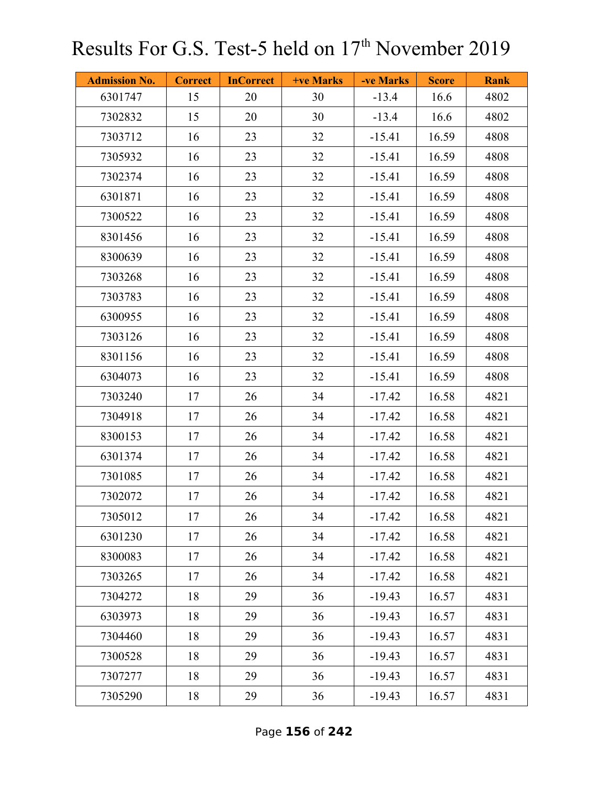| <b>Admission No.</b> | <b>Correct</b> | <b>InCorrect</b> | <b>+ve Marks</b> | -ve Marks | <b>Score</b> | <b>Rank</b> |
|----------------------|----------------|------------------|------------------|-----------|--------------|-------------|
| 6301747              | 15             | 20               | 30               | $-13.4$   | 16.6         | 4802        |
| 7302832              | 15             | 20               | 30               | $-13.4$   | 16.6         | 4802        |
| 7303712              | 16             | 23               | 32               | $-15.41$  | 16.59        | 4808        |
| 7305932              | 16             | 23               | 32               | $-15.41$  | 16.59        | 4808        |
| 7302374              | 16             | 23               | 32               | $-15.41$  | 16.59        | 4808        |
| 6301871              | 16             | 23               | 32               | $-15.41$  | 16.59        | 4808        |
| 7300522              | 16             | 23               | 32               | $-15.41$  | 16.59        | 4808        |
| 8301456              | 16             | 23               | 32               | $-15.41$  | 16.59        | 4808        |
| 8300639              | 16             | 23               | 32               | $-15.41$  | 16.59        | 4808        |
| 7303268              | 16             | 23               | 32               | $-15.41$  | 16.59        | 4808        |
| 7303783              | 16             | 23               | 32               | $-15.41$  | 16.59        | 4808        |
| 6300955              | 16             | 23               | 32               | $-15.41$  | 16.59        | 4808        |
| 7303126              | 16             | 23               | 32               | $-15.41$  | 16.59        | 4808        |
| 8301156              | 16             | 23               | 32               | $-15.41$  | 16.59        | 4808        |
| 6304073              | 16             | 23               | 32               | $-15.41$  | 16.59        | 4808        |
| 7303240              | 17             | 26               | 34               | $-17.42$  | 16.58        | 4821        |
| 7304918              | 17             | 26               | 34               | $-17.42$  | 16.58        | 4821        |
| 8300153              | 17             | 26               | 34               | $-17.42$  | 16.58        | 4821        |
| 6301374              | 17             | 26               | 34               | $-17.42$  | 16.58        | 4821        |
| 7301085              | 17             | 26               | 34               | $-17.42$  | 16.58        | 4821        |
| 7302072              | 17             | 26               | 34               | $-17.42$  | 16.58        | 4821        |
| 7305012              | 17             | 26               | 34               | $-17.42$  | 16.58        | 4821        |
| 6301230              | 17             | 26               | 34               | $-17.42$  | 16.58        | 4821        |
| 8300083              | 17             | 26               | 34               | $-17.42$  | 16.58        | 4821        |
| 7303265              | 17             | 26               | 34               | $-17.42$  | 16.58        | 4821        |
| 7304272              | 18             | 29               | 36               | $-19.43$  | 16.57        | 4831        |
| 6303973              | 18             | 29               | 36               | $-19.43$  | 16.57        | 4831        |
| 7304460              | 18             | 29               | 36               | $-19.43$  | 16.57        | 4831        |
| 7300528              | 18             | 29               | 36               | $-19.43$  | 16.57        | 4831        |
| 7307277              | 18             | 29               | 36               | $-19.43$  | 16.57        | 4831        |
| 7305290              | 18             | 29               | 36               | $-19.43$  | 16.57        | 4831        |

Page **156** of **242**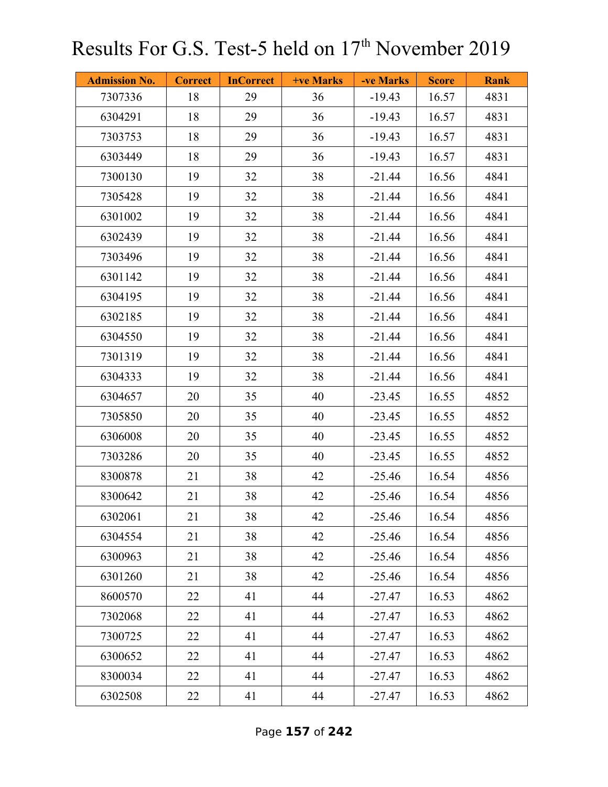| <b>Admission No.</b> | <b>Correct</b> | <b>InCorrect</b> | <b>+ve Marks</b> | -ve Marks | <b>Score</b> | <b>Rank</b> |
|----------------------|----------------|------------------|------------------|-----------|--------------|-------------|
| 7307336              | 18             | 29               | 36               | $-19.43$  | 16.57        | 4831        |
| 6304291              | 18             | 29               | 36               | $-19.43$  | 16.57        | 4831        |
| 7303753              | 18             | 29               | 36               | $-19.43$  | 16.57        | 4831        |
| 6303449              | 18             | 29               | 36               | $-19.43$  | 16.57        | 4831        |
| 7300130              | 19             | 32               | 38               | $-21.44$  | 16.56        | 4841        |
| 7305428              | 19             | 32               | 38               | $-21.44$  | 16.56        | 4841        |
| 6301002              | 19             | 32               | 38               | $-21.44$  | 16.56        | 4841        |
| 6302439              | 19             | 32               | 38               | $-21.44$  | 16.56        | 4841        |
| 7303496              | 19             | 32               | 38               | $-21.44$  | 16.56        | 4841        |
| 6301142              | 19             | 32               | 38               | $-21.44$  | 16.56        | 4841        |
| 6304195              | 19             | 32               | 38               | $-21.44$  | 16.56        | 4841        |
| 6302185              | 19             | 32               | 38               | $-21.44$  | 16.56        | 4841        |
| 6304550              | 19             | 32               | 38               | $-21.44$  | 16.56        | 4841        |
| 7301319              | 19             | 32               | 38               | $-21.44$  | 16.56        | 4841        |
| 6304333              | 19             | 32               | 38               | $-21.44$  | 16.56        | 4841        |
| 6304657              | 20             | 35               | 40               | $-23.45$  | 16.55        | 4852        |
| 7305850              | 20             | 35               | 40               | $-23.45$  | 16.55        | 4852        |
| 6306008              | 20             | 35               | 40               | $-23.45$  | 16.55        | 4852        |
| 7303286              | 20             | 35               | 40               | $-23.45$  | 16.55        | 4852        |
| 8300878              | 21             | 38               | 42               | $-25.46$  | 16.54        | 4856        |
| 8300642              | 21             | 38               | 42               | $-25.46$  | 16.54        | 4856        |
| 6302061              | 21             | 38               | 42               | $-25.46$  | 16.54        | 4856        |
| 6304554              | 21             | 38               | 42               | $-25.46$  | 16.54        | 4856        |
| 6300963              | 21             | 38               | 42               | $-25.46$  | 16.54        | 4856        |
| 6301260              | 21             | 38               | 42               | $-25.46$  | 16.54        | 4856        |
| 8600570              | 22             | 41               | 44               | $-27.47$  | 16.53        | 4862        |
| 7302068              | 22             | 41               | 44               | $-27.47$  | 16.53        | 4862        |
| 7300725              | 22             | 41               | 44               | $-27.47$  | 16.53        | 4862        |
| 6300652              | 22             | 41               | 44               | $-27.47$  | 16.53        | 4862        |
| 8300034              | 22             | 41               | 44               | $-27.47$  | 16.53        | 4862        |
| 6302508              | 22             | 41               | 44               | $-27.47$  | 16.53        | 4862        |

Page **157** of **242**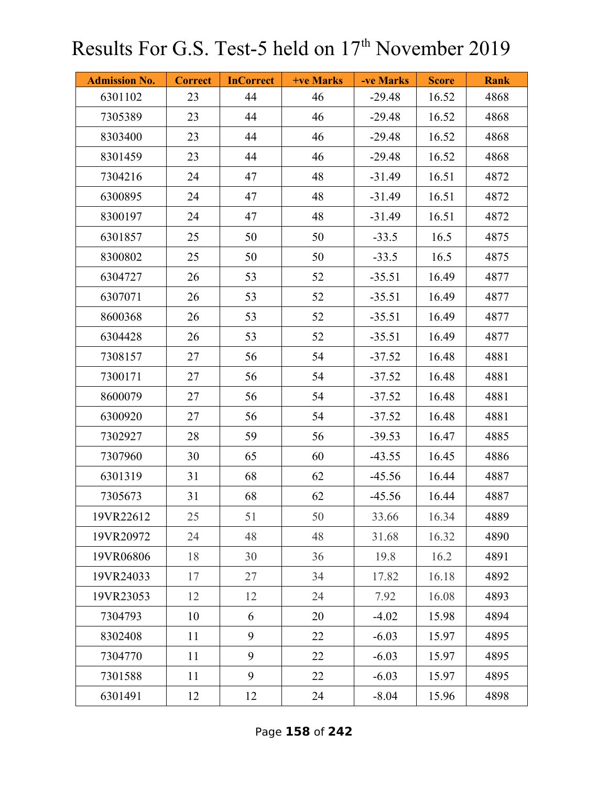| <b>Admission No.</b> | <b>Correct</b> | <b>InCorrect</b> | +ve Marks | -ve Marks | <b>Score</b> | <b>Rank</b> |
|----------------------|----------------|------------------|-----------|-----------|--------------|-------------|
| 6301102              | 23             | 44               | 46        | $-29.48$  | 16.52        | 4868        |
| 7305389              | 23             | 44               | 46        | $-29.48$  | 16.52        | 4868        |
| 8303400              | 23             | 44               | 46        | $-29.48$  | 16.52        | 4868        |
| 8301459              | 23             | 44               | 46        | $-29.48$  | 16.52        | 4868        |
| 7304216              | 24             | 47               | 48        | $-31.49$  | 16.51        | 4872        |
| 6300895              | 24             | 47               | 48        | $-31.49$  | 16.51        | 4872        |
| 8300197              | 24             | 47               | 48        | $-31.49$  | 16.51        | 4872        |
| 6301857              | 25             | 50               | 50        | $-33.5$   | 16.5         | 4875        |
| 8300802              | 25             | 50               | 50        | $-33.5$   | 16.5         | 4875        |
| 6304727              | 26             | 53               | 52        | $-35.51$  | 16.49        | 4877        |
| 6307071              | 26             | 53               | 52        | $-35.51$  | 16.49        | 4877        |
| 8600368              | 26             | 53               | 52        | $-35.51$  | 16.49        | 4877        |
| 6304428              | 26             | 53               | 52        | $-35.51$  | 16.49        | 4877        |
| 7308157              | 27             | 56               | 54        | $-37.52$  | 16.48        | 4881        |
| 7300171              | 27             | 56               | 54        | $-37.52$  | 16.48        | 4881        |
| 8600079              | 27             | 56               | 54        | $-37.52$  | 16.48        | 4881        |
| 6300920              | 27             | 56               | 54        | $-37.52$  | 16.48        | 4881        |
| 7302927              | 28             | 59               | 56        | $-39.53$  | 16.47        | 4885        |
| 7307960              | 30             | 65               | 60        | $-43.55$  | 16.45        | 4886        |
| 6301319              | 31             | 68               | 62        | $-45.56$  | 16.44        | 4887        |
| 7305673              | 31             | 68               | 62        | $-45.56$  | 16.44        | 4887        |
| 19VR22612            | 25             | 51               | 50        | 33.66     | 16.34        | 4889        |
| 19VR20972            | 24             | 48               | 48        | 31.68     | 16.32        | 4890        |
| 19VR06806            | 18             | 30               | 36        | 19.8      | 16.2         | 4891        |
| 19VR24033            | 17             | 27               | 34        | 17.82     | 16.18        | 4892        |
| 19VR23053            | 12             | 12               | 24        | 7.92      | 16.08        | 4893        |
| 7304793              | 10             | 6                | 20        | $-4.02$   | 15.98        | 4894        |
| 8302408              | 11             | 9                | 22        | $-6.03$   | 15.97        | 4895        |
| 7304770              | 11             | 9                | 22        | $-6.03$   | 15.97        | 4895        |
| 7301588              | 11             | 9                | 22        | $-6.03$   | 15.97        | 4895        |
| 6301491              | 12             | 12               | 24        | $-8.04$   | 15.96        | 4898        |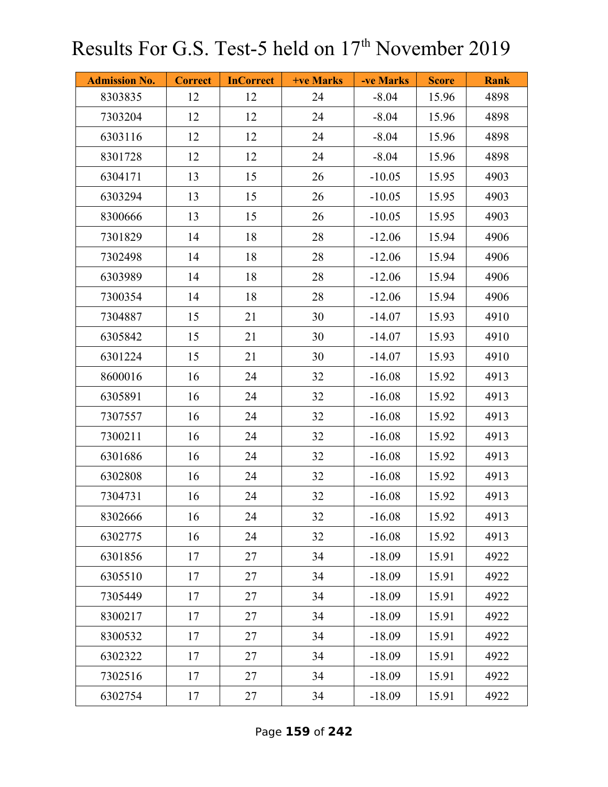| <b>Admission No.</b> | <b>Correct</b> | <b>InCorrect</b> | +ve Marks | -ve Marks | <b>Score</b> | <b>Rank</b> |
|----------------------|----------------|------------------|-----------|-----------|--------------|-------------|
| 8303835              | 12             | 12               | 24        | $-8.04$   | 15.96        | 4898        |
| 7303204              | 12             | 12               | 24        | $-8.04$   | 15.96        | 4898        |
| 6303116              | 12             | 12               | 24        | $-8.04$   | 15.96        | 4898        |
| 8301728              | 12             | 12               | 24        | $-8.04$   | 15.96        | 4898        |
| 6304171              | 13             | 15               | 26        | $-10.05$  | 15.95        | 4903        |
| 6303294              | 13             | 15               | 26        | $-10.05$  | 15.95        | 4903        |
| 8300666              | 13             | 15               | 26        | $-10.05$  | 15.95        | 4903        |
| 7301829              | 14             | 18               | 28        | $-12.06$  | 15.94        | 4906        |
| 7302498              | 14             | 18               | 28        | $-12.06$  | 15.94        | 4906        |
| 6303989              | 14             | 18               | 28        | $-12.06$  | 15.94        | 4906        |
| 7300354              | 14             | 18               | 28        | $-12.06$  | 15.94        | 4906        |
| 7304887              | 15             | 21               | 30        | $-14.07$  | 15.93        | 4910        |
| 6305842              | 15             | 21               | 30        | $-14.07$  | 15.93        | 4910        |
| 6301224              | 15             | 21               | 30        | $-14.07$  | 15.93        | 4910        |
| 8600016              | 16             | 24               | 32        | $-16.08$  | 15.92        | 4913        |
| 6305891              | 16             | 24               | 32        | $-16.08$  | 15.92        | 4913        |
| 7307557              | 16             | 24               | 32        | $-16.08$  | 15.92        | 4913        |
| 7300211              | 16             | 24               | 32        | $-16.08$  | 15.92        | 4913        |
| 6301686              | 16             | 24               | 32        | $-16.08$  | 15.92        | 4913        |
| 6302808              | 16             | 24               | 32        | $-16.08$  | 15.92        | 4913        |
| 7304731              | 16             | 24               | 32        | $-16.08$  | 15.92        | 4913        |
| 8302666              | 16             | 24               | 32        | $-16.08$  | 15.92        | 4913        |
| 6302775              | 16             | 24               | 32        | $-16.08$  | 15.92        | 4913        |
| 6301856              | 17             | 27               | 34        | $-18.09$  | 15.91        | 4922        |
| 6305510              | 17             | 27               | 34        | $-18.09$  | 15.91        | 4922        |
| 7305449              | 17             | 27               | 34        | $-18.09$  | 15.91        | 4922        |
| 8300217              | 17             | 27               | 34        | $-18.09$  | 15.91        | 4922        |
| 8300532              | 17             | 27               | 34        | $-18.09$  | 15.91        | 4922        |
| 6302322              | 17             | 27               | 34        | $-18.09$  | 15.91        | 4922        |
| 7302516              | 17             | 27               | 34        | $-18.09$  | 15.91        | 4922        |
| 6302754              | 17             | 27               | 34        | $-18.09$  | 15.91        | 4922        |

Page **159** of **242**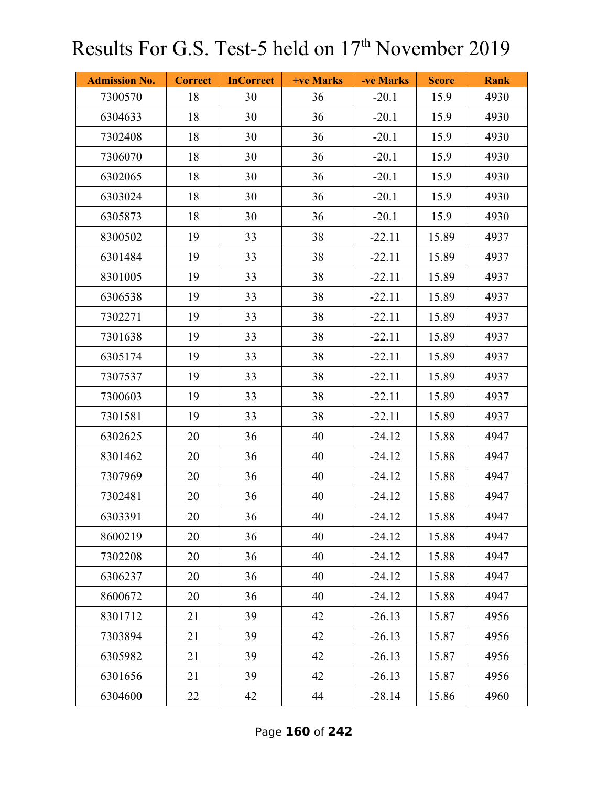| <b>Admission No.</b> | <b>Correct</b> | <b>InCorrect</b> | <b>+ve Marks</b> | -ve Marks | <b>Score</b> | <b>Rank</b> |
|----------------------|----------------|------------------|------------------|-----------|--------------|-------------|
| 7300570              | 18             | 30               | 36               | $-20.1$   | 15.9         | 4930        |
| 6304633              | 18             | 30               | 36               | $-20.1$   | 15.9         | 4930        |
| 7302408              | 18             | 30               | 36               | $-20.1$   | 15.9         | 4930        |
| 7306070              | 18             | 30               | 36               | $-20.1$   | 15.9         | 4930        |
| 6302065              | 18             | 30               | 36               | $-20.1$   | 15.9         | 4930        |
| 6303024              | 18             | 30               | 36               | $-20.1$   | 15.9         | 4930        |
| 6305873              | 18             | 30               | 36               | $-20.1$   | 15.9         | 4930        |
| 8300502              | 19             | 33               | 38               | $-22.11$  | 15.89        | 4937        |
| 6301484              | 19             | 33               | 38               | $-22.11$  | 15.89        | 4937        |
| 8301005              | 19             | 33               | 38               | $-22.11$  | 15.89        | 4937        |
| 6306538              | 19             | 33               | 38               | $-22.11$  | 15.89        | 4937        |
| 7302271              | 19             | 33               | 38               | $-22.11$  | 15.89        | 4937        |
| 7301638              | 19             | 33               | 38               | $-22.11$  | 15.89        | 4937        |
| 6305174              | 19             | 33               | 38               | $-22.11$  | 15.89        | 4937        |
| 7307537              | 19             | 33               | 38               | $-22.11$  | 15.89        | 4937        |
| 7300603              | 19             | 33               | 38               | $-22.11$  | 15.89        | 4937        |
| 7301581              | 19             | 33               | 38               | $-22.11$  | 15.89        | 4937        |
| 6302625              | 20             | 36               | 40               | $-24.12$  | 15.88        | 4947        |
| 8301462              | 20             | 36               | 40               | $-24.12$  | 15.88        | 4947        |
| 7307969              | 20             | 36               | 40               | $-24.12$  | 15.88        | 4947        |
| 7302481              | 20             | 36               | 40               | $-24.12$  | 15.88        | 4947        |
| 6303391              | 20             | 36               | 40               | $-24.12$  | 15.88        | 4947        |
| 8600219              | 20             | 36               | 40               | $-24.12$  | 15.88        | 4947        |
| 7302208              | 20             | 36               | 40               | $-24.12$  | 15.88        | 4947        |
| 6306237              | 20             | 36               | 40               | $-24.12$  | 15.88        | 4947        |
| 8600672              | 20             | 36               | 40               | $-24.12$  | 15.88        | 4947        |
| 8301712              | 21             | 39               | 42               | $-26.13$  | 15.87        | 4956        |
| 7303894              | 21             | 39               | 42               | $-26.13$  | 15.87        | 4956        |
| 6305982              | 21             | 39               | 42               | $-26.13$  | 15.87        | 4956        |
| 6301656              | 21             | 39               | 42               | $-26.13$  | 15.87        | 4956        |
| 6304600              | 22             | 42               | 44               | $-28.14$  | 15.86        | 4960        |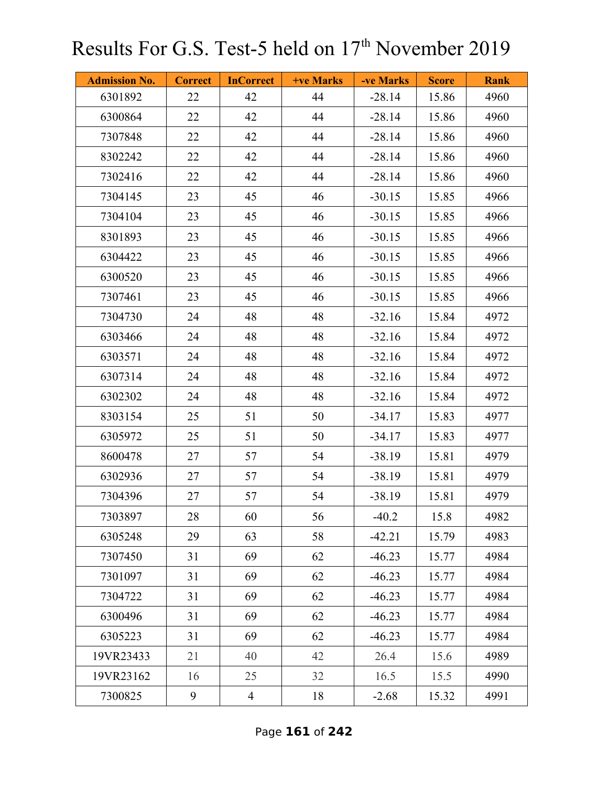| <b>Admission No.</b> | <b>Correct</b> | <b>InCorrect</b> | +ve Marks | -ve Marks | <b>Score</b> | <b>Rank</b> |
|----------------------|----------------|------------------|-----------|-----------|--------------|-------------|
| 6301892              | 22             | 42               | 44        | $-28.14$  | 15.86        | 4960        |
| 6300864              | 22             | 42               | 44        | $-28.14$  | 15.86        | 4960        |
| 7307848              | 22             | 42               | 44        | $-28.14$  | 15.86        | 4960        |
| 8302242              | 22             | 42               | 44        | $-28.14$  | 15.86        | 4960        |
| 7302416              | 22             | 42               | 44        | $-28.14$  | 15.86        | 4960        |
| 7304145              | 23             | 45               | 46        | $-30.15$  | 15.85        | 4966        |
| 7304104              | 23             | 45               | 46        | $-30.15$  | 15.85        | 4966        |
| 8301893              | 23             | 45               | 46        | $-30.15$  | 15.85        | 4966        |
| 6304422              | 23             | 45               | 46        | $-30.15$  | 15.85        | 4966        |
| 6300520              | 23             | 45               | 46        | $-30.15$  | 15.85        | 4966        |
| 7307461              | 23             | 45               | 46        | $-30.15$  | 15.85        | 4966        |
| 7304730              | 24             | 48               | 48        | $-32.16$  | 15.84        | 4972        |
| 6303466              | 24             | 48               | 48        | $-32.16$  | 15.84        | 4972        |
| 6303571              | 24             | 48               | 48        | $-32.16$  | 15.84        | 4972        |
| 6307314              | 24             | 48               | 48        | $-32.16$  | 15.84        | 4972        |
| 6302302              | 24             | 48               | 48        | $-32.16$  | 15.84        | 4972        |
| 8303154              | 25             | 51               | 50        | $-34.17$  | 15.83        | 4977        |
| 6305972              | 25             | 51               | 50        | $-34.17$  | 15.83        | 4977        |
| 8600478              | 27             | 57               | 54        | $-38.19$  | 15.81        | 4979        |
| 6302936              | 27             | 57               | 54        | $-38.19$  | 15.81        | 4979        |
| 7304396              | 27             | 57               | 54        | $-38.19$  | 15.81        | 4979        |
| 7303897              | 28             | 60               | 56        | $-40.2$   | 15.8         | 4982        |
| 6305248              | 29             | 63               | 58        | $-42.21$  | 15.79        | 4983        |
| 7307450              | 31             | 69               | 62        | $-46.23$  | 15.77        | 4984        |
| 7301097              | 31             | 69               | 62        | $-46.23$  | 15.77        | 4984        |
| 7304722              | 31             | 69               | 62        | $-46.23$  | 15.77        | 4984        |
| 6300496              | 31             | 69               | 62        | $-46.23$  | 15.77        | 4984        |
| 6305223              | 31             | 69               | 62        | $-46.23$  | 15.77        | 4984        |
| 19VR23433            | 21             | 40               | 42        | 26.4      | 15.6         | 4989        |
| 19VR23162            | 16             | 25               | 32        | 16.5      | 15.5         | 4990        |
| 7300825              | 9              | $\overline{4}$   | 18        | $-2.68$   | 15.32        | 4991        |

Page **161** of **242**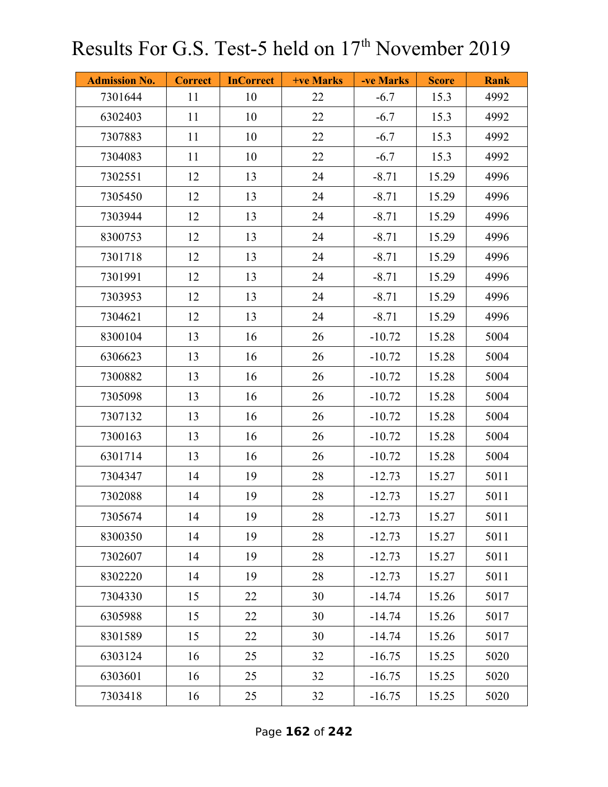| <b>Admission No.</b> | <b>Correct</b> | <b>InCorrect</b> | <b>+ve Marks</b> | -ve Marks | <b>Score</b> | <b>Rank</b> |
|----------------------|----------------|------------------|------------------|-----------|--------------|-------------|
| 7301644              | 11             | 10               | 22               | $-6.7$    | 15.3         | 4992        |
| 6302403              | 11             | 10               | 22               | $-6.7$    | 15.3         | 4992        |
| 7307883              | 11             | 10               | 22               | $-6.7$    | 15.3         | 4992        |
| 7304083              | 11             | 10               | 22               | $-6.7$    | 15.3         | 4992        |
| 7302551              | 12             | 13               | 24               | $-8.71$   | 15.29        | 4996        |
| 7305450              | 12             | 13               | 24               | $-8.71$   | 15.29        | 4996        |
| 7303944              | 12             | 13               | 24               | $-8.71$   | 15.29        | 4996        |
| 8300753              | 12             | 13               | 24               | $-8.71$   | 15.29        | 4996        |
| 7301718              | 12             | 13               | 24               | $-8.71$   | 15.29        | 4996        |
| 7301991              | 12             | 13               | 24               | $-8.71$   | 15.29        | 4996        |
| 7303953              | 12             | 13               | 24               | $-8.71$   | 15.29        | 4996        |
| 7304621              | 12             | 13               | 24               | $-8.71$   | 15.29        | 4996        |
| 8300104              | 13             | 16               | 26               | $-10.72$  | 15.28        | 5004        |
| 6306623              | 13             | 16               | 26               | $-10.72$  | 15.28        | 5004        |
| 7300882              | 13             | 16               | 26               | $-10.72$  | 15.28        | 5004        |
| 7305098              | 13             | 16               | 26               | $-10.72$  | 15.28        | 5004        |
| 7307132              | 13             | 16               | 26               | $-10.72$  | 15.28        | 5004        |
| 7300163              | 13             | 16               | 26               | $-10.72$  | 15.28        | 5004        |
| 6301714              | 13             | 16               | 26               | $-10.72$  | 15.28        | 5004        |
| 7304347              | 14             | 19               | 28               | $-12.73$  | 15.27        | 5011        |
| 7302088              | 14             | 19               | 28               | $-12.73$  | 15.27        | 5011        |
| 7305674              | 14             | 19               | 28               | $-12.73$  | 15.27        | 5011        |
| 8300350              | 14             | 19               | 28               | $-12.73$  | 15.27        | 5011        |
| 7302607              | 14             | 19               | 28               | $-12.73$  | 15.27        | 5011        |
| 8302220              | 14             | 19               | 28               | $-12.73$  | 15.27        | 5011        |
| 7304330              | 15             | 22               | 30               | $-14.74$  | 15.26        | 5017        |
| 6305988              | 15             | 22               | 30               | $-14.74$  | 15.26        | 5017        |
| 8301589              | 15             | 22               | 30               | $-14.74$  | 15.26        | 5017        |
| 6303124              | 16             | 25               | 32               | $-16.75$  | 15.25        | 5020        |
| 6303601              | 16             | 25               | 32               | $-16.75$  | 15.25        | 5020        |
| 7303418              | 16             | 25               | 32               | $-16.75$  | 15.25        | 5020        |

Page **162** of **242**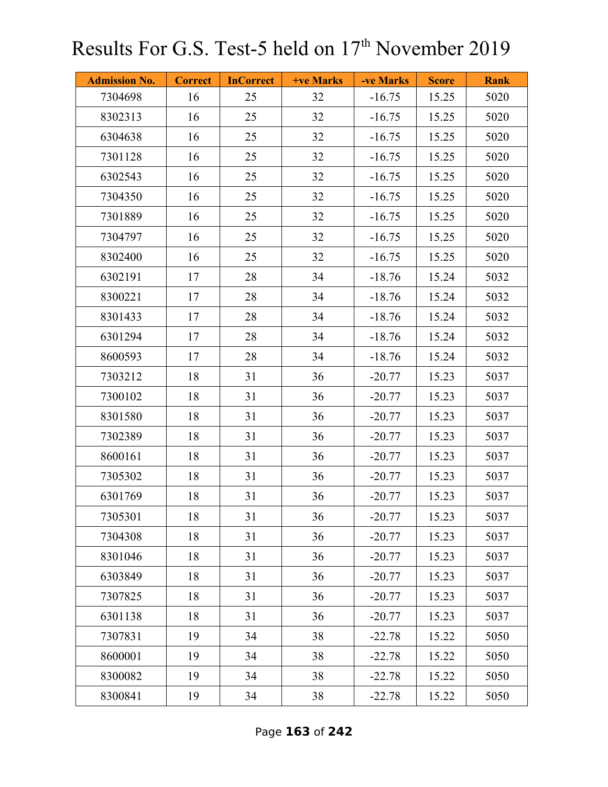| <b>Admission No.</b> | <b>Correct</b> | <b>InCorrect</b> | <b>+ve Marks</b> | -ve Marks | <b>Score</b> | <b>Rank</b> |
|----------------------|----------------|------------------|------------------|-----------|--------------|-------------|
| 7304698              | 16             | 25               | 32               | $-16.75$  | 15.25        | 5020        |
| 8302313              | 16             | 25               | 32               | $-16.75$  | 15.25        | 5020        |
| 6304638              | 16             | 25               | 32               | $-16.75$  | 15.25        | 5020        |
| 7301128              | 16             | 25               | 32               | $-16.75$  | 15.25        | 5020        |
| 6302543              | 16             | 25               | 32               | $-16.75$  | 15.25        | 5020        |
| 7304350              | 16             | 25               | 32               | $-16.75$  | 15.25        | 5020        |
| 7301889              | 16             | 25               | 32               | $-16.75$  | 15.25        | 5020        |
| 7304797              | 16             | 25               | 32               | $-16.75$  | 15.25        | 5020        |
| 8302400              | 16             | 25               | 32               | $-16.75$  | 15.25        | 5020        |
| 6302191              | 17             | 28               | 34               | $-18.76$  | 15.24        | 5032        |
| 8300221              | 17             | 28               | 34               | $-18.76$  | 15.24        | 5032        |
| 8301433              | 17             | 28               | 34               | $-18.76$  | 15.24        | 5032        |
| 6301294              | 17             | 28               | 34               | $-18.76$  | 15.24        | 5032        |
| 8600593              | 17             | 28               | 34               | $-18.76$  | 15.24        | 5032        |
| 7303212              | 18             | 31               | 36               | $-20.77$  | 15.23        | 5037        |
| 7300102              | 18             | 31               | 36               | $-20.77$  | 15.23        | 5037        |
| 8301580              | 18             | 31               | 36               | $-20.77$  | 15.23        | 5037        |
| 7302389              | 18             | 31               | 36               | $-20.77$  | 15.23        | 5037        |
| 8600161              | 18             | 31               | 36               | $-20.77$  | 15.23        | 5037        |
| 7305302              | 18             | 31               | 36               | $-20.77$  | 15.23        | 5037        |
| 6301769              | 18             | 31               | 36               | $-20.77$  | 15.23        | 5037        |
| 7305301              | 18             | 31               | 36               | $-20.77$  | 15.23        | 5037        |
| 7304308              | 18             | 31               | 36               | $-20.77$  | 15.23        | 5037        |
| 8301046              | 18             | 31               | 36               | $-20.77$  | 15.23        | 5037        |
| 6303849              | 18             | 31               | 36               | $-20.77$  | 15.23        | 5037        |
| 7307825              | 18             | 31               | 36               | $-20.77$  | 15.23        | 5037        |
| 6301138              | 18             | 31               | 36               | $-20.77$  | 15.23        | 5037        |
| 7307831              | 19             | 34               | 38               | $-22.78$  | 15.22        | 5050        |
| 8600001              | 19             | 34               | 38               | $-22.78$  | 15.22        | 5050        |
| 8300082              | 19             | 34               | 38               | $-22.78$  | 15.22        | 5050        |
| 8300841              | 19             | 34               | 38               | $-22.78$  | 15.22        | 5050        |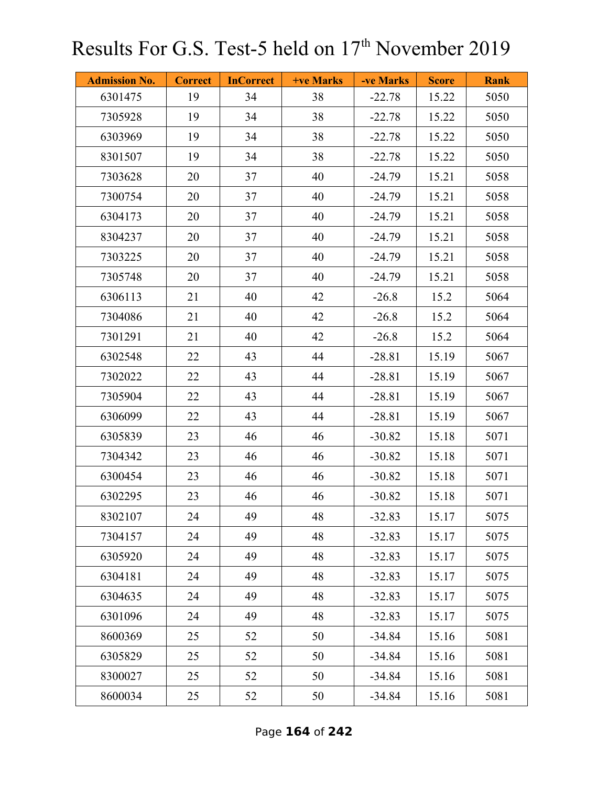| <b>Admission No.</b> | <b>Correct</b> | <b>InCorrect</b> | <b>+ve Marks</b> | -ve Marks | <b>Score</b> | <b>Rank</b> |
|----------------------|----------------|------------------|------------------|-----------|--------------|-------------|
| 6301475              | 19             | 34               | 38               | $-22.78$  | 15.22        | 5050        |
| 7305928              | 19             | 34               | 38               | $-22.78$  | 15.22        | 5050        |
| 6303969              | 19             | 34               | 38               | $-22.78$  | 15.22        | 5050        |
| 8301507              | 19             | 34               | 38               | $-22.78$  | 15.22        | 5050        |
| 7303628              | 20             | 37               | 40               | $-24.79$  | 15.21        | 5058        |
| 7300754              | 20             | 37               | 40               | $-24.79$  | 15.21        | 5058        |
| 6304173              | 20             | 37               | 40               | $-24.79$  | 15.21        | 5058        |
| 8304237              | 20             | 37               | 40               | $-24.79$  | 15.21        | 5058        |
| 7303225              | 20             | 37               | 40               | $-24.79$  | 15.21        | 5058        |
| 7305748              | 20             | 37               | 40               | $-24.79$  | 15.21        | 5058        |
| 6306113              | 21             | 40               | 42               | $-26.8$   | 15.2         | 5064        |
| 7304086              | 21             | 40               | 42               | $-26.8$   | 15.2         | 5064        |
| 7301291              | 21             | 40               | 42               | $-26.8$   | 15.2         | 5064        |
| 6302548              | 22             | 43               | 44               | $-28.81$  | 15.19        | 5067        |
| 7302022              | 22             | 43               | 44               | $-28.81$  | 15.19        | 5067        |
| 7305904              | 22             | 43               | 44               | $-28.81$  | 15.19        | 5067        |
| 6306099              | 22             | 43               | 44               | $-28.81$  | 15.19        | 5067        |
| 6305839              | 23             | 46               | 46               | $-30.82$  | 15.18        | 5071        |
| 7304342              | 23             | 46               | 46               | $-30.82$  | 15.18        | 5071        |
| 6300454              | 23             | 46               | 46               | $-30.82$  | 15.18        | 5071        |
| 6302295              | 23             | 46               | 46               | $-30.82$  | 15.18        | 5071        |
| 8302107              | 24             | 49               | 48               | $-32.83$  | 15.17        | 5075        |
| 7304157              | 24             | 49               | 48               | $-32.83$  | 15.17        | 5075        |
| 6305920              | 24             | 49               | 48               | $-32.83$  | 15.17        | 5075        |
| 6304181              | 24             | 49               | 48               | $-32.83$  | 15.17        | 5075        |
| 6304635              | 24             | 49               | 48               | $-32.83$  | 15.17        | 5075        |
| 6301096              | 24             | 49               | 48               | $-32.83$  | 15.17        | 5075        |
| 8600369              | 25             | 52               | 50               | $-34.84$  | 15.16        | 5081        |
| 6305829              | 25             | 52               | 50               | $-34.84$  | 15.16        | 5081        |
| 8300027              | 25             | 52               | 50               | $-34.84$  | 15.16        | 5081        |
| 8600034              | 25             | 52               | 50               | $-34.84$  | 15.16        | 5081        |

Page **164** of **242**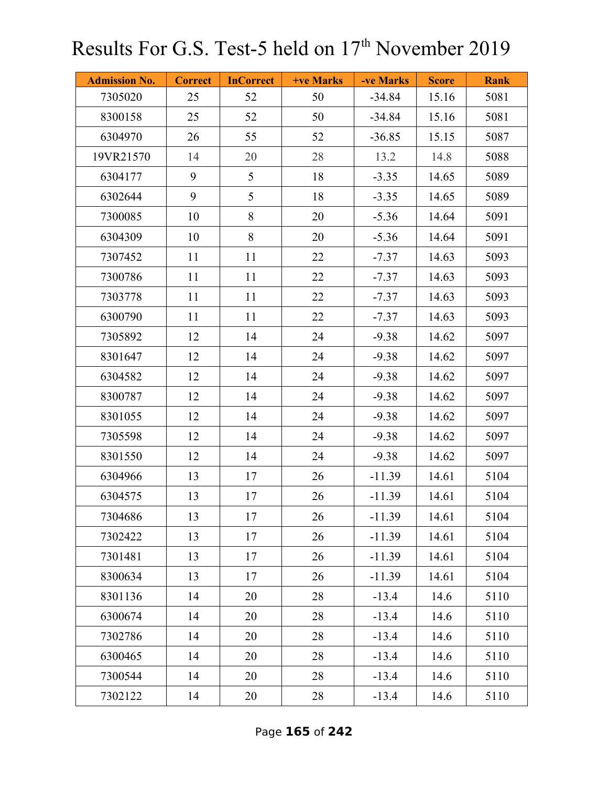| <b>Admission No.</b> | <b>Correct</b> | <b>InCorrect</b> | +ve Marks | -ve Marks | <b>Score</b> | <b>Rank</b> |
|----------------------|----------------|------------------|-----------|-----------|--------------|-------------|
| 7305020              | 25             | 52               | 50        | $-34.84$  | 15.16        | 5081        |
| 8300158              | 25             | 52               | 50        | $-34.84$  | 15.16        | 5081        |
| 6304970              | 26             | 55               | 52        | $-36.85$  | 15.15        | 5087        |
| 19VR21570            | 14             | 20               | 28        | 13.2      | 14.8         | 5088        |
| 6304177              | 9              | 5                | 18        | $-3.35$   | 14.65        | 5089        |
| 6302644              | 9              | 5                | 18        | $-3.35$   | 14.65        | 5089        |
| 7300085              | 10             | 8                | 20        | $-5.36$   | 14.64        | 5091        |
| 6304309              | 10             | 8                | 20        | $-5.36$   | 14.64        | 5091        |
| 7307452              | 11             | 11               | 22        | $-7.37$   | 14.63        | 5093        |
| 7300786              | 11             | 11               | 22        | $-7.37$   | 14.63        | 5093        |
| 7303778              | 11             | 11               | 22        | $-7.37$   | 14.63        | 5093        |
| 6300790              | 11             | 11               | 22        | $-7.37$   | 14.63        | 5093        |
| 7305892              | 12             | 14               | 24        | $-9.38$   | 14.62        | 5097        |
| 8301647              | 12             | 14               | 24        | $-9.38$   | 14.62        | 5097        |
| 6304582              | 12             | 14               | 24        | $-9.38$   | 14.62        | 5097        |
| 8300787              | 12             | 14               | 24        | $-9.38$   | 14.62        | 5097        |
| 8301055              | 12             | 14               | 24        | $-9.38$   | 14.62        | 5097        |
| 7305598              | 12             | 14               | 24        | $-9.38$   | 14.62        | 5097        |
| 8301550              | 12             | 14               | 24        | $-9.38$   | 14.62        | 5097        |
| 6304966              | 13             | 17               | 26        | $-11.39$  | 14.61        | 5104        |
| 6304575              | 13             | 17               | 26        | $-11.39$  | 14.61        | 5104        |
| 7304686              | 13             | 17               | 26        | $-11.39$  | 14.61        | 5104        |
| 7302422              | 13             | 17               | 26        | $-11.39$  | 14.61        | 5104        |
| 7301481              | 13             | 17               | 26        | $-11.39$  | 14.61        | 5104        |
| 8300634              | 13             | 17               | 26        | $-11.39$  | 14.61        | 5104        |
| 8301136              | 14             | 20               | 28        | $-13.4$   | 14.6         | 5110        |
| 6300674              | 14             | 20               | 28        | $-13.4$   | 14.6         | 5110        |
| 7302786              | 14             | 20               | 28        | $-13.4$   | 14.6         | 5110        |
| 6300465              | 14             | 20               | 28        | $-13.4$   | 14.6         | 5110        |
| 7300544              | 14             | 20               | 28        | $-13.4$   | 14.6         | 5110        |
| 7302122              | 14             | 20               | 28        | $-13.4$   | 14.6         | 5110        |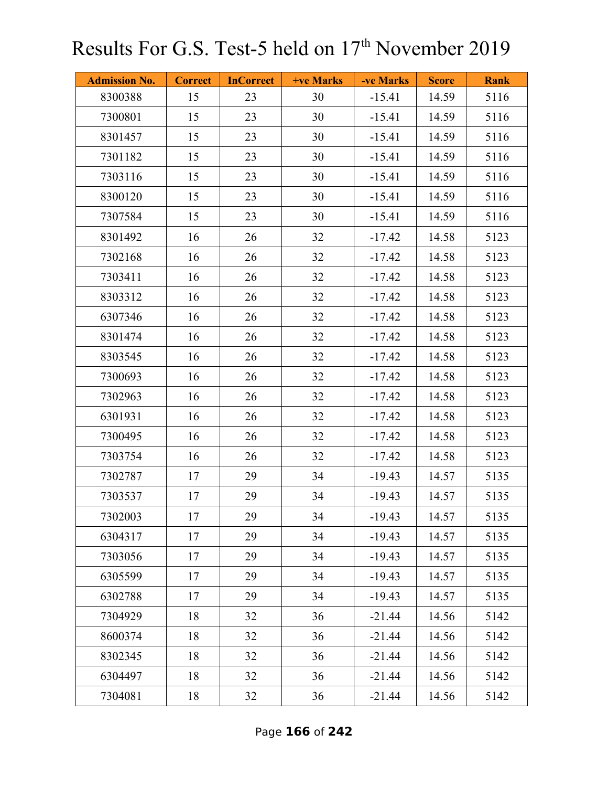| <b>Admission No.</b> | <b>Correct</b> | <b>InCorrect</b> | <b>+ve Marks</b> | -ve Marks | <b>Score</b> | <b>Rank</b> |
|----------------------|----------------|------------------|------------------|-----------|--------------|-------------|
| 8300388              | 15             | 23               | 30               | $-15.41$  | 14.59        | 5116        |
| 7300801              | 15             | 23               | 30               | $-15.41$  | 14.59        | 5116        |
| 8301457              | 15             | 23               | 30               | $-15.41$  | 14.59        | 5116        |
| 7301182              | 15             | 23               | 30               | $-15.41$  | 14.59        | 5116        |
| 7303116              | 15             | 23               | 30               | $-15.41$  | 14.59        | 5116        |
| 8300120              | 15             | 23               | 30               | $-15.41$  | 14.59        | 5116        |
| 7307584              | 15             | 23               | 30               | $-15.41$  | 14.59        | 5116        |
| 8301492              | 16             | 26               | 32               | $-17.42$  | 14.58        | 5123        |
| 7302168              | 16             | 26               | 32               | $-17.42$  | 14.58        | 5123        |
| 7303411              | 16             | 26               | 32               | $-17.42$  | 14.58        | 5123        |
| 8303312              | 16             | 26               | 32               | $-17.42$  | 14.58        | 5123        |
| 6307346              | 16             | 26               | 32               | $-17.42$  | 14.58        | 5123        |
| 8301474              | 16             | 26               | 32               | $-17.42$  | 14.58        | 5123        |
| 8303545              | 16             | 26               | 32               | $-17.42$  | 14.58        | 5123        |
| 7300693              | 16             | 26               | 32               | $-17.42$  | 14.58        | 5123        |
| 7302963              | 16             | 26               | 32               | $-17.42$  | 14.58        | 5123        |
| 6301931              | 16             | 26               | 32               | $-17.42$  | 14.58        | 5123        |
| 7300495              | 16             | 26               | 32               | $-17.42$  | 14.58        | 5123        |
| 7303754              | 16             | 26               | 32               | $-17.42$  | 14.58        | 5123        |
| 7302787              | 17             | 29               | 34               | $-19.43$  | 14.57        | 5135        |
| 7303537              | 17             | 29               | 34               | $-19.43$  | 14.57        | 5135        |
| 7302003              | 17             | 29               | 34               | $-19.43$  | 14.57        | 5135        |
| 6304317              | 17             | 29               | 34               | $-19.43$  | 14.57        | 5135        |
| 7303056              | 17             | 29               | 34               | $-19.43$  | 14.57        | 5135        |
| 6305599              | 17             | 29               | 34               | $-19.43$  | 14.57        | 5135        |
| 6302788              | 17             | 29               | 34               | $-19.43$  | 14.57        | 5135        |
| 7304929              | 18             | 32               | 36               | $-21.44$  | 14.56        | 5142        |
| 8600374              | 18             | 32               | 36               | $-21.44$  | 14.56        | 5142        |
| 8302345              | 18             | 32               | 36               | $-21.44$  | 14.56        | 5142        |
| 6304497              | 18             | 32               | 36               | $-21.44$  | 14.56        | 5142        |
| 7304081              | 18             | 32               | 36               | $-21.44$  | 14.56        | 5142        |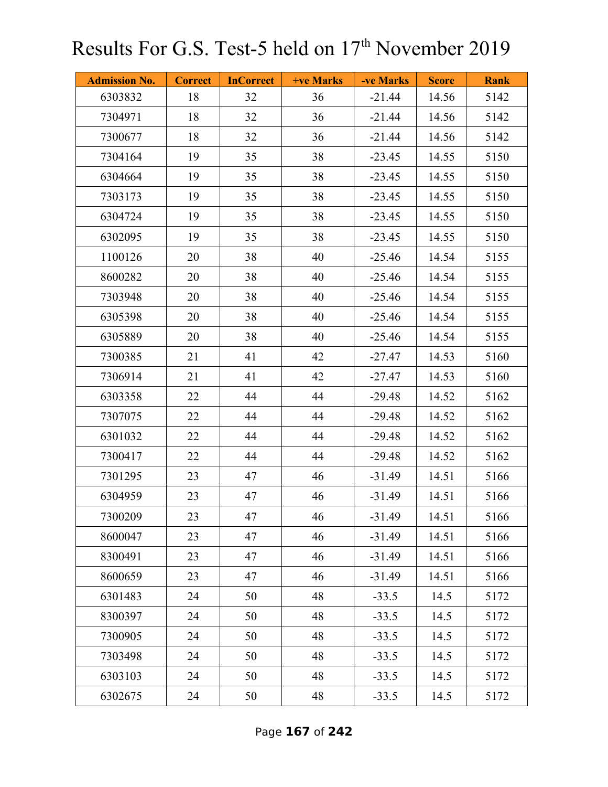| <b>Admission No.</b> | <b>Correct</b> | <b>InCorrect</b> | <b>+ve Marks</b> | -ve Marks | <b>Score</b> | <b>Rank</b> |
|----------------------|----------------|------------------|------------------|-----------|--------------|-------------|
| 6303832              | 18             | 32               | 36               | $-21.44$  | 14.56        | 5142        |
| 7304971              | 18             | 32               | 36               | $-21.44$  | 14.56        | 5142        |
| 7300677              | 18             | 32               | 36               | $-21.44$  | 14.56        | 5142        |
| 7304164              | 19             | 35               | 38               | $-23.45$  | 14.55        | 5150        |
| 6304664              | 19             | 35               | 38               | $-23.45$  | 14.55        | 5150        |
| 7303173              | 19             | 35               | 38               | $-23.45$  | 14.55        | 5150        |
| 6304724              | 19             | 35               | 38               | $-23.45$  | 14.55        | 5150        |
| 6302095              | 19             | 35               | 38               | $-23.45$  | 14.55        | 5150        |
| 1100126              | 20             | 38               | 40               | $-25.46$  | 14.54        | 5155        |
| 8600282              | 20             | 38               | 40               | $-25.46$  | 14.54        | 5155        |
| 7303948              | 20             | 38               | 40               | $-25.46$  | 14.54        | 5155        |
| 6305398              | 20             | 38               | 40               | $-25.46$  | 14.54        | 5155        |
| 6305889              | 20             | 38               | 40               | $-25.46$  | 14.54        | 5155        |
| 7300385              | 21             | 41               | 42               | $-27.47$  | 14.53        | 5160        |
| 7306914              | 21             | 41               | 42               | $-27.47$  | 14.53        | 5160        |
| 6303358              | 22             | 44               | 44               | $-29.48$  | 14.52        | 5162        |
| 7307075              | 22             | 44               | 44               | $-29.48$  | 14.52        | 5162        |
| 6301032              | 22             | 44               | 44               | $-29.48$  | 14.52        | 5162        |
| 7300417              | 22             | 44               | 44               | $-29.48$  | 14.52        | 5162        |
| 7301295              | 23             | 47               | 46               | $-31.49$  | 14.51        | 5166        |
| 6304959              | 23             | 47               | 46               | $-31.49$  | 14.51        | 5166        |
| 7300209              | 23             | 47               | 46               | $-31.49$  | 14.51        | 5166        |
| 8600047              | 23             | 47               | 46               | $-31.49$  | 14.51        | 5166        |
| 8300491              | 23             | 47               | 46               | $-31.49$  | 14.51        | 5166        |
| 8600659              | 23             | 47               | 46               | $-31.49$  | 14.51        | 5166        |
| 6301483              | 24             | 50               | 48               | $-33.5$   | 14.5         | 5172        |
| 8300397              | 24             | 50               | 48               | $-33.5$   | 14.5         | 5172        |
| 7300905              | 24             | 50               | 48               | $-33.5$   | 14.5         | 5172        |
| 7303498              | 24             | 50               | 48               | $-33.5$   | 14.5         | 5172        |
| 6303103              | 24             | 50               | 48               | $-33.5$   | 14.5         | 5172        |
| 6302675              | 24             | 50               | 48               | $-33.5$   | 14.5         | 5172        |

Page **167** of **242**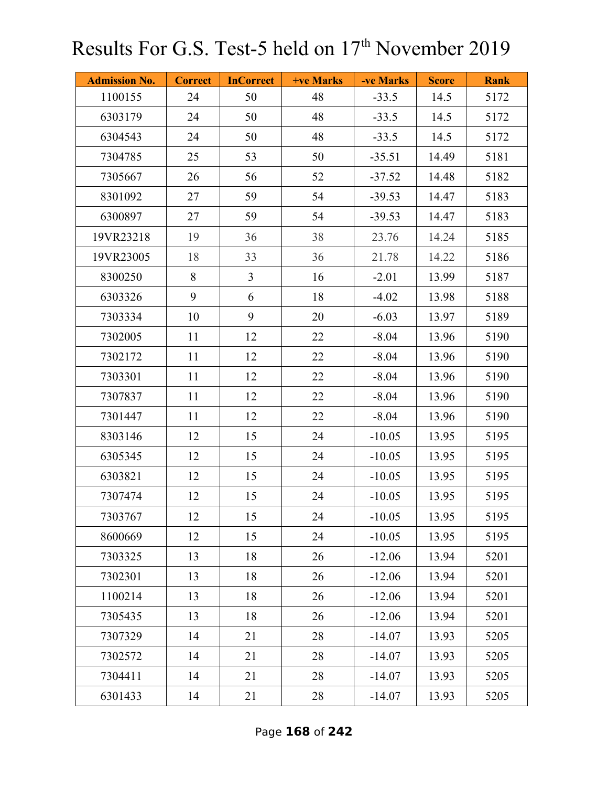| <b>Admission No.</b> | <b>Correct</b> | <b>InCorrect</b> | <b>+ve Marks</b> | -ve Marks | <b>Score</b> | <b>Rank</b> |
|----------------------|----------------|------------------|------------------|-----------|--------------|-------------|
| 1100155              | 24             | 50               | 48               | $-33.5$   | 14.5         | 5172        |
| 6303179              | 24             | 50               | 48               | $-33.5$   | 14.5         | 5172        |
| 6304543              | 24             | 50               | 48               | $-33.5$   | 14.5         | 5172        |
| 7304785              | 25             | 53               | 50               | $-35.51$  | 14.49        | 5181        |
| 7305667              | 26             | 56               | 52               | $-37.52$  | 14.48        | 5182        |
| 8301092              | 27             | 59               | 54               | $-39.53$  | 14.47        | 5183        |
| 6300897              | 27             | 59               | 54               | $-39.53$  | 14.47        | 5183        |
| 19VR23218            | 19             | 36               | 38               | 23.76     | 14.24        | 5185        |
| 19VR23005            | 18             | 33               | 36               | 21.78     | 14.22        | 5186        |
| 8300250              | 8              | $\overline{3}$   | 16               | $-2.01$   | 13.99        | 5187        |
| 6303326              | 9              | 6                | 18               | $-4.02$   | 13.98        | 5188        |
| 7303334              | 10             | 9                | 20               | $-6.03$   | 13.97        | 5189        |
| 7302005              | 11             | 12               | 22               | $-8.04$   | 13.96        | 5190        |
| 7302172              | 11             | 12               | 22               | $-8.04$   | 13.96        | 5190        |
| 7303301              | 11             | 12               | 22               | $-8.04$   | 13.96        | 5190        |
| 7307837              | 11             | 12               | 22               | $-8.04$   | 13.96        | 5190        |
| 7301447              | 11             | 12               | 22               | $-8.04$   | 13.96        | 5190        |
| 8303146              | 12             | 15               | 24               | $-10.05$  | 13.95        | 5195        |
| 6305345              | 12             | 15               | 24               | $-10.05$  | 13.95        | 5195        |
| 6303821              | 12             | 15               | 24               | $-10.05$  | 13.95        | 5195        |
| 7307474              | 12             | 15               | 24               | $-10.05$  | 13.95        | 5195        |
| 7303767              | 12             | 15               | 24               | $-10.05$  | 13.95        | 5195        |
| 8600669              | 12             | 15               | 24               | $-10.05$  | 13.95        | 5195        |
| 7303325              | 13             | 18               | 26               | $-12.06$  | 13.94        | 5201        |
| 7302301              | 13             | 18               | 26               | $-12.06$  | 13.94        | 5201        |
| 1100214              | 13             | 18               | 26               | $-12.06$  | 13.94        | 5201        |
| 7305435              | 13             | 18               | 26               | $-12.06$  | 13.94        | 5201        |
| 7307329              | 14             | 21               | 28               | $-14.07$  | 13.93        | 5205        |
| 7302572              | 14             | 21               | 28               | $-14.07$  | 13.93        | 5205        |
| 7304411              | 14             | 21               | 28               | $-14.07$  | 13.93        | 5205        |
| 6301433              | 14             | 21               | 28               | $-14.07$  | 13.93        | 5205        |

Page **168** of **242**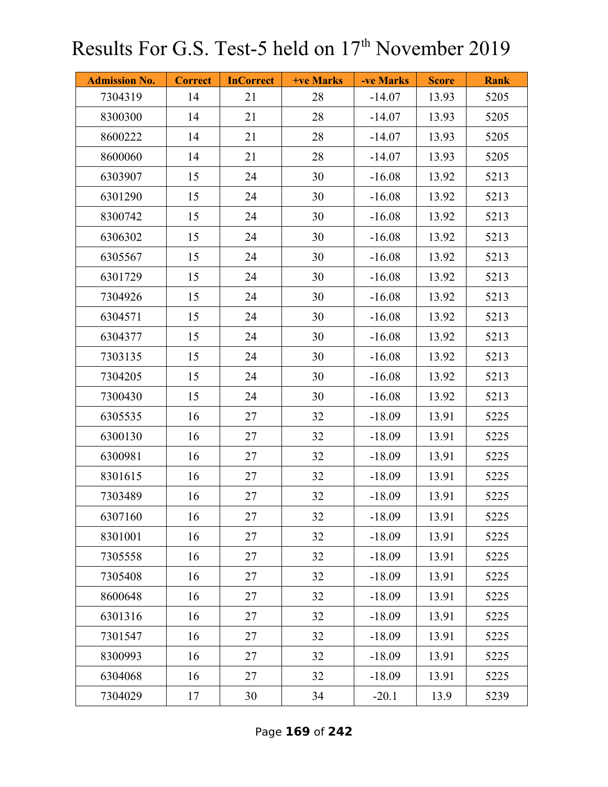| <b>Admission No.</b> | <b>Correct</b> | <b>InCorrect</b> | <b>+ve Marks</b> | -ve Marks | <b>Score</b> | <b>Rank</b> |
|----------------------|----------------|------------------|------------------|-----------|--------------|-------------|
| 7304319              | 14             | 21               | 28               | $-14.07$  | 13.93        | 5205        |
| 8300300              | 14             | 21               | 28               | $-14.07$  | 13.93        | 5205        |
| 8600222              | 14             | 21               | 28               | $-14.07$  | 13.93        | 5205        |
| 8600060              | 14             | 21               | 28               | $-14.07$  | 13.93        | 5205        |
| 6303907              | 15             | 24               | 30               | $-16.08$  | 13.92        | 5213        |
| 6301290              | 15             | 24               | 30               | $-16.08$  | 13.92        | 5213        |
| 8300742              | 15             | 24               | 30               | $-16.08$  | 13.92        | 5213        |
| 6306302              | 15             | 24               | 30               | $-16.08$  | 13.92        | 5213        |
| 6305567              | 15             | 24               | 30               | $-16.08$  | 13.92        | 5213        |
| 6301729              | 15             | 24               | 30               | $-16.08$  | 13.92        | 5213        |
| 7304926              | 15             | 24               | 30               | $-16.08$  | 13.92        | 5213        |
| 6304571              | 15             | 24               | 30               | $-16.08$  | 13.92        | 5213        |
| 6304377              | 15             | 24               | 30               | $-16.08$  | 13.92        | 5213        |
| 7303135              | 15             | 24               | 30               | $-16.08$  | 13.92        | 5213        |
| 7304205              | 15             | 24               | 30               | $-16.08$  | 13.92        | 5213        |
| 7300430              | 15             | 24               | 30               | $-16.08$  | 13.92        | 5213        |
| 6305535              | 16             | 27               | 32               | $-18.09$  | 13.91        | 5225        |
| 6300130              | 16             | 27               | 32               | $-18.09$  | 13.91        | 5225        |
| 6300981              | 16             | 27               | 32               | $-18.09$  | 13.91        | 5225        |
| 8301615              | 16             | 27               | 32               | $-18.09$  | 13.91        | 5225        |
| 7303489              | 16             | 27               | 32               | $-18.09$  | 13.91        | 5225        |
| 6307160              | 16             | 27               | 32               | $-18.09$  | 13.91        | 5225        |
| 8301001              | 16             | 27               | 32               | $-18.09$  | 13.91        | 5225        |
| 7305558              | 16             | 27               | 32               | $-18.09$  | 13.91        | 5225        |
| 7305408              | 16             | 27               | 32               | $-18.09$  | 13.91        | 5225        |
| 8600648              | 16             | 27               | 32               | $-18.09$  | 13.91        | 5225        |
| 6301316              | 16             | 27               | 32               | $-18.09$  | 13.91        | 5225        |
| 7301547              | 16             | 27               | 32               | $-18.09$  | 13.91        | 5225        |
| 8300993              | 16             | 27               | 32               | $-18.09$  | 13.91        | 5225        |
| 6304068              | 16             | 27               | 32               | $-18.09$  | 13.91        | 5225        |
| 7304029              | 17             | 30               | 34               | $-20.1$   | 13.9         | 5239        |

Page **169** of **242**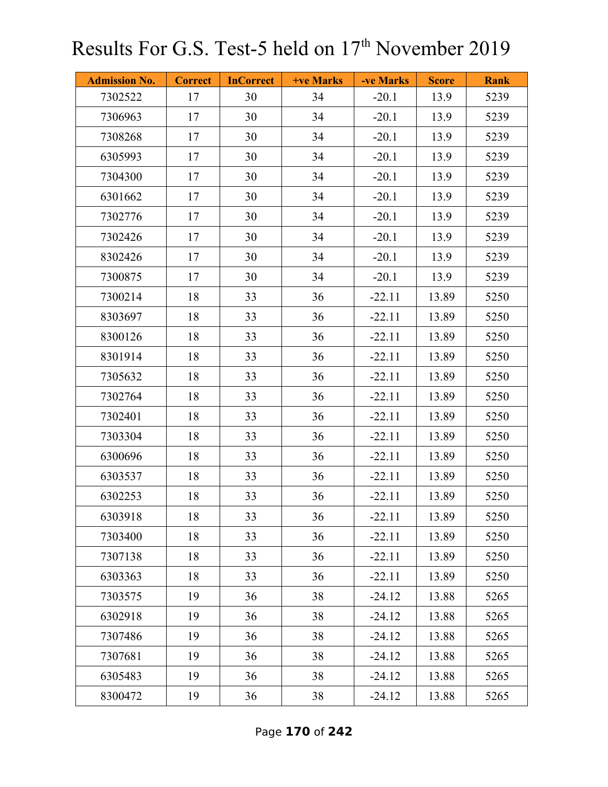| <b>Admission No.</b> | <b>Correct</b> | <b>InCorrect</b> | <b>+ve Marks</b> | -ve Marks | <b>Score</b> | <b>Rank</b> |
|----------------------|----------------|------------------|------------------|-----------|--------------|-------------|
| 7302522              | 17             | 30               | 34               | $-20.1$   | 13.9         | 5239        |
| 7306963              | 17             | 30               | 34               | $-20.1$   | 13.9         | 5239        |
| 7308268              | 17             | 30               | 34               | $-20.1$   | 13.9         | 5239        |
| 6305993              | 17             | 30               | 34               | $-20.1$   | 13.9         | 5239        |
| 7304300              | 17             | 30               | 34               | $-20.1$   | 13.9         | 5239        |
| 6301662              | 17             | 30               | 34               | $-20.1$   | 13.9         | 5239        |
| 7302776              | 17             | 30               | 34               | $-20.1$   | 13.9         | 5239        |
| 7302426              | 17             | 30               | 34               | $-20.1$   | 13.9         | 5239        |
| 8302426              | 17             | 30               | 34               | $-20.1$   | 13.9         | 5239        |
| 7300875              | 17             | 30               | 34               | $-20.1$   | 13.9         | 5239        |
| 7300214              | 18             | 33               | 36               | $-22.11$  | 13.89        | 5250        |
| 8303697              | 18             | 33               | 36               | $-22.11$  | 13.89        | 5250        |
| 8300126              | 18             | 33               | 36               | $-22.11$  | 13.89        | 5250        |
| 8301914              | 18             | 33               | 36               | $-22.11$  | 13.89        | 5250        |
| 7305632              | 18             | 33               | 36               | $-22.11$  | 13.89        | 5250        |
| 7302764              | 18             | 33               | 36               | $-22.11$  | 13.89        | 5250        |
| 7302401              | 18             | 33               | 36               | $-22.11$  | 13.89        | 5250        |
| 7303304              | 18             | 33               | 36               | $-22.11$  | 13.89        | 5250        |
| 6300696              | 18             | 33               | 36               | $-22.11$  | 13.89        | 5250        |
| 6303537              | 18             | 33               | 36               | $-22.11$  | 13.89        | 5250        |
| 6302253              | 18             | 33               | 36               | $-22.11$  | 13.89        | 5250        |
| 6303918              | 18             | 33               | 36               | $-22.11$  | 13.89        | 5250        |
| 7303400              | 18             | 33               | 36               | $-22.11$  | 13.89        | 5250        |
| 7307138              | 18             | 33               | 36               | $-22.11$  | 13.89        | 5250        |
| 6303363              | 18             | 33               | 36               | $-22.11$  | 13.89        | 5250        |
| 7303575              | 19             | 36               | 38               | $-24.12$  | 13.88        | 5265        |
| 6302918              | 19             | 36               | 38               | $-24.12$  | 13.88        | 5265        |
| 7307486              | 19             | 36               | 38               | $-24.12$  | 13.88        | 5265        |
| 7307681              | 19             | 36               | 38               | $-24.12$  | 13.88        | 5265        |
| 6305483              | 19             | 36               | 38               | $-24.12$  | 13.88        | 5265        |
| 8300472              | 19             | 36               | 38               | $-24.12$  | 13.88        | 5265        |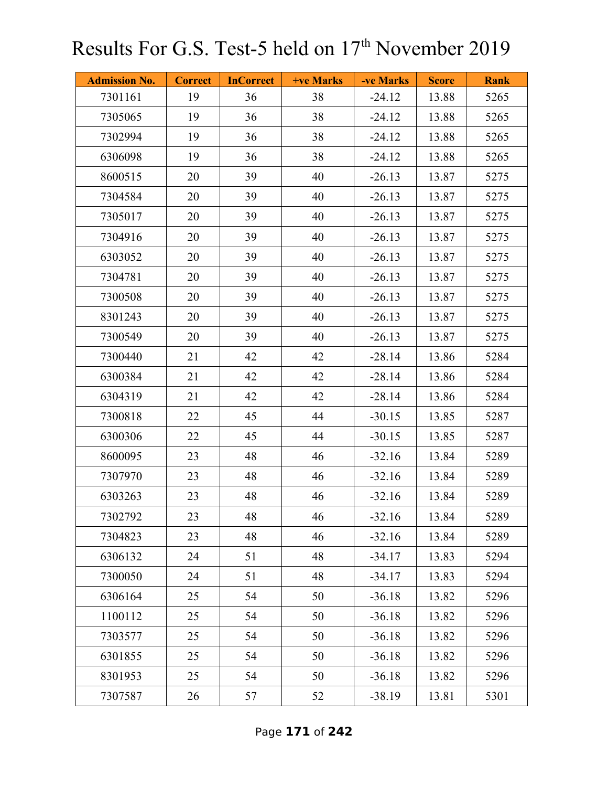| <b>Admission No.</b> | <b>Correct</b> | <b>InCorrect</b> | <b>+ve Marks</b> | -ve Marks | <b>Score</b> | <b>Rank</b> |
|----------------------|----------------|------------------|------------------|-----------|--------------|-------------|
| 7301161              | 19             | 36               | 38               | $-24.12$  | 13.88        | 5265        |
| 7305065              | 19             | 36               | 38               | $-24.12$  | 13.88        | 5265        |
| 7302994              | 19             | 36               | 38               | $-24.12$  | 13.88        | 5265        |
| 6306098              | 19             | 36               | 38               | $-24.12$  | 13.88        | 5265        |
| 8600515              | 20             | 39               | 40               | $-26.13$  | 13.87        | 5275        |
| 7304584              | 20             | 39               | 40               | $-26.13$  | 13.87        | 5275        |
| 7305017              | 20             | 39               | 40               | $-26.13$  | 13.87        | 5275        |
| 7304916              | 20             | 39               | 40               | $-26.13$  | 13.87        | 5275        |
| 6303052              | 20             | 39               | 40               | $-26.13$  | 13.87        | 5275        |
| 7304781              | 20             | 39               | 40               | $-26.13$  | 13.87        | 5275        |
| 7300508              | 20             | 39               | 40               | $-26.13$  | 13.87        | 5275        |
| 8301243              | 20             | 39               | 40               | $-26.13$  | 13.87        | 5275        |
| 7300549              | 20             | 39               | 40               | $-26.13$  | 13.87        | 5275        |
| 7300440              | 21             | 42               | 42               | $-28.14$  | 13.86        | 5284        |
| 6300384              | 21             | 42               | 42               | $-28.14$  | 13.86        | 5284        |
| 6304319              | 21             | 42               | 42               | $-28.14$  | 13.86        | 5284        |
| 7300818              | 22             | 45               | 44               | $-30.15$  | 13.85        | 5287        |
| 6300306              | 22             | 45               | 44               | $-30.15$  | 13.85        | 5287        |
| 8600095              | 23             | 48               | 46               | $-32.16$  | 13.84        | 5289        |
| 7307970              | 23             | 48               | 46               | $-32.16$  | 13.84        | 5289        |
| 6303263              | 23             | 48               | 46               | $-32.16$  | 13.84        | 5289        |
| 7302792              | 23             | 48               | 46               | $-32.16$  | 13.84        | 5289        |
| 7304823              | 23             | 48               | 46               | $-32.16$  | 13.84        | 5289        |
| 6306132              | 24             | 51               | 48               | $-34.17$  | 13.83        | 5294        |
| 7300050              | 24             | 51               | 48               | $-34.17$  | 13.83        | 5294        |
| 6306164              | 25             | 54               | 50               | $-36.18$  | 13.82        | 5296        |
| 1100112              | 25             | 54               | 50               | $-36.18$  | 13.82        | 5296        |
| 7303577              | 25             | 54               | 50               | $-36.18$  | 13.82        | 5296        |
| 6301855              | 25             | 54               | 50               | $-36.18$  | 13.82        | 5296        |
| 8301953              | 25             | 54               | 50               | $-36.18$  | 13.82        | 5296        |
| 7307587              | 26             | 57               | 52               | $-38.19$  | 13.81        | 5301        |

Page **171** of **242**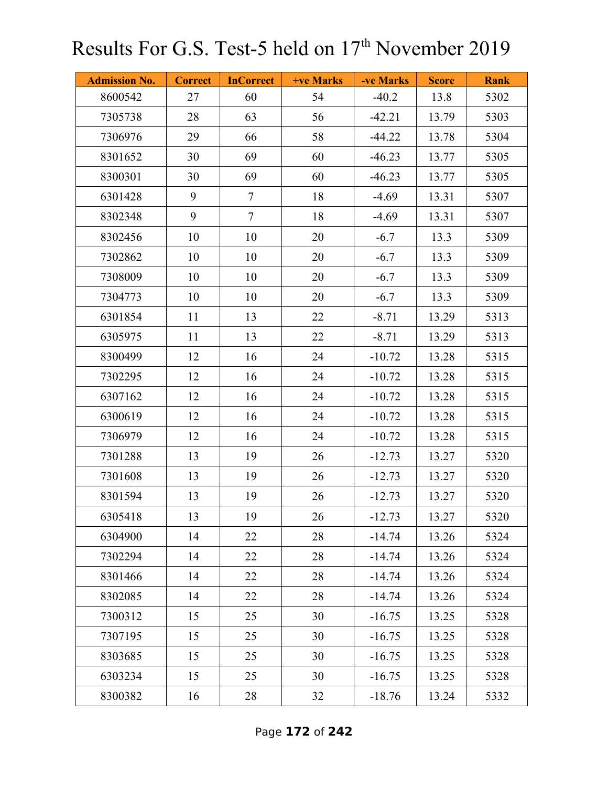| <b>Admission No.</b> | <b>Correct</b> | <b>InCorrect</b> | <b>+ve Marks</b> | -ve Marks | <b>Score</b> | <b>Rank</b> |
|----------------------|----------------|------------------|------------------|-----------|--------------|-------------|
| 8600542              | 27             | 60               | 54               | $-40.2$   | 13.8         | 5302        |
| 7305738              | 28             | 63               | 56               | $-42.21$  | 13.79        | 5303        |
| 7306976              | 29             | 66               | 58               | $-44.22$  | 13.78        | 5304        |
| 8301652              | 30             | 69               | 60               | $-46.23$  | 13.77        | 5305        |
| 8300301              | 30             | 69               | 60               | $-46.23$  | 13.77        | 5305        |
| 6301428              | 9              | $\overline{7}$   | 18               | $-4.69$   | 13.31        | 5307        |
| 8302348              | 9              | $\overline{7}$   | 18               | $-4.69$   | 13.31        | 5307        |
| 8302456              | 10             | 10               | 20               | $-6.7$    | 13.3         | 5309        |
| 7302862              | 10             | 10               | 20               | $-6.7$    | 13.3         | 5309        |
| 7308009              | 10             | 10               | 20               | $-6.7$    | 13.3         | 5309        |
| 7304773              | 10             | 10               | 20               | $-6.7$    | 13.3         | 5309        |
| 6301854              | 11             | 13               | 22               | $-8.71$   | 13.29        | 5313        |
| 6305975              | 11             | 13               | 22               | $-8.71$   | 13.29        | 5313        |
| 8300499              | 12             | 16               | 24               | $-10.72$  | 13.28        | 5315        |
| 7302295              | 12             | 16               | 24               | $-10.72$  | 13.28        | 5315        |
| 6307162              | 12             | 16               | 24               | $-10.72$  | 13.28        | 5315        |
| 6300619              | 12             | 16               | 24               | $-10.72$  | 13.28        | 5315        |
| 7306979              | 12             | 16               | 24               | $-10.72$  | 13.28        | 5315        |
| 7301288              | 13             | 19               | 26               | $-12.73$  | 13.27        | 5320        |
| 7301608              | 13             | 19               | 26               | $-12.73$  | 13.27        | 5320        |
| 8301594              | 13             | 19               | 26               | $-12.73$  | 13.27        | 5320        |
| 6305418              | 13             | 19               | 26               | $-12.73$  | 13.27        | 5320        |
| 6304900              | 14             | 22               | 28               | $-14.74$  | 13.26        | 5324        |
| 7302294              | 14             | 22               | 28               | $-14.74$  | 13.26        | 5324        |
| 8301466              | 14             | 22               | 28               | $-14.74$  | 13.26        | 5324        |
| 8302085              | 14             | 22               | 28               | $-14.74$  | 13.26        | 5324        |
| 7300312              | 15             | 25               | 30               | $-16.75$  | 13.25        | 5328        |
| 7307195              | 15             | 25               | 30               | $-16.75$  | 13.25        | 5328        |
| 8303685              | 15             | 25               | 30               | $-16.75$  | 13.25        | 5328        |
| 6303234              | 15             | 25               | 30               | $-16.75$  | 13.25        | 5328        |
| 8300382              | 16             | 28               | 32               | $-18.76$  | 13.24        | 5332        |

Page **172** of **242**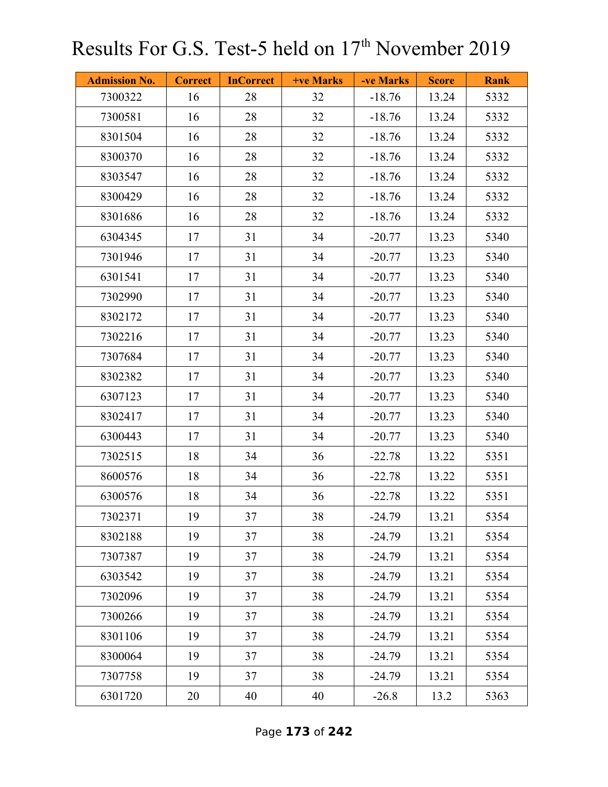| <b>Admission No.</b> | <b>Correct</b> | <b>InCorrect</b> | <b>+ve Marks</b> | -ve Marks | <b>Score</b> | <b>Rank</b> |
|----------------------|----------------|------------------|------------------|-----------|--------------|-------------|
| 7300322              | 16             | 28               | 32               | $-18.76$  | 13.24        | 5332        |
| 7300581              | 16             | 28               | 32               | $-18.76$  | 13.24        | 5332        |
| 8301504              | 16             | 28               | 32               | $-18.76$  | 13.24        | 5332        |
| 8300370              | 16             | 28               | 32               | $-18.76$  | 13.24        | 5332        |
| 8303547              | 16             | 28               | 32               | $-18.76$  | 13.24        | 5332        |
| 8300429              | 16             | 28               | 32               | $-18.76$  | 13.24        | 5332        |
| 8301686              | 16             | 28               | 32               | $-18.76$  | 13.24        | 5332        |
| 6304345              | 17             | 31               | 34               | $-20.77$  | 13.23        | 5340        |
| 7301946              | 17             | 31               | 34               | $-20.77$  | 13.23        | 5340        |
| 6301541              | 17             | 31               | 34               | $-20.77$  | 13.23        | 5340        |
| 7302990              | 17             | 31               | 34               | $-20.77$  | 13.23        | 5340        |
| 8302172              | 17             | 31               | 34               | $-20.77$  | 13.23        | 5340        |
| 7302216              | 17             | 31               | 34               | $-20.77$  | 13.23        | 5340        |
| 7307684              | 17             | 31               | 34               | $-20.77$  | 13.23        | 5340        |
| 8302382              | 17             | 31               | 34               | $-20.77$  | 13.23        | 5340        |
| 6307123              | 17             | 31               | 34               | $-20.77$  | 13.23        | 5340        |
| 8302417              | 17             | 31               | 34               | $-20.77$  | 13.23        | 5340        |
| 6300443              | 17             | 31               | 34               | $-20.77$  | 13.23        | 5340        |
| 7302515              | 18             | 34               | 36               | $-22.78$  | 13.22        | 5351        |
| 8600576              | 18             | 34               | 36               | $-22.78$  | 13.22        | 5351        |
| 6300576              | 18             | 34               | 36               | $-22.78$  | 13.22        | 5351        |
| 7302371              | 19             | 37               | 38               | $-24.79$  | 13.21        | 5354        |
| 8302188              | 19             | 37               | 38               | $-24.79$  | 13.21        | 5354        |
| 7307387              | 19             | 37               | 38               | $-24.79$  | 13.21        | 5354        |
| 6303542              | 19             | 37               | 38               | $-24.79$  | 13.21        | 5354        |
| 7302096              | 19             | 37               | 38               | $-24.79$  | 13.21        | 5354        |
| 7300266              | 19             | 37               | 38               | $-24.79$  | 13.21        | 5354        |
| 8301106              | 19             | 37               | 38               | $-24.79$  | 13.21        | 5354        |
| 8300064              | 19             | 37               | 38               | $-24.79$  | 13.21        | 5354        |
| 7307758              | 19             | 37               | 38               | $-24.79$  | 13.21        | 5354        |
| 6301720              | 20             | 40               | 40               | $-26.8$   | 13.2         | 5363        |

Page **173** of **242**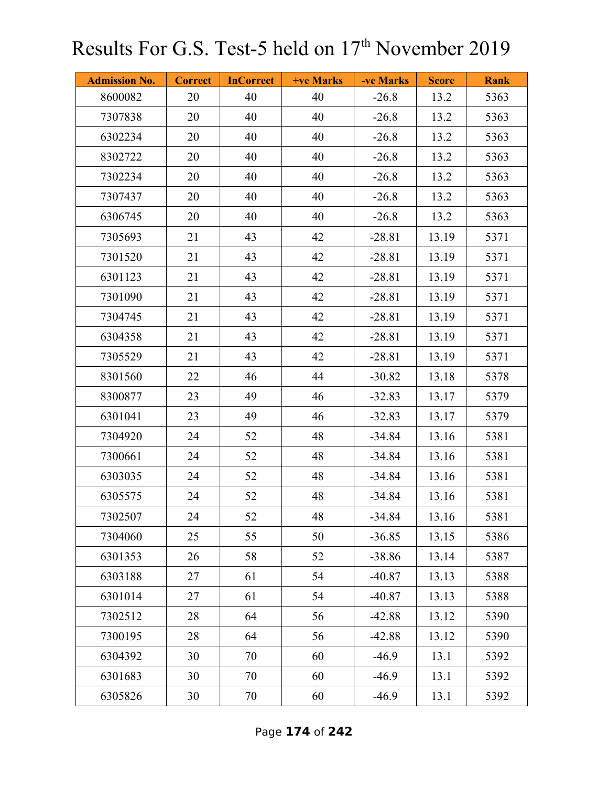| <b>Admission No.</b> | <b>Correct</b> | <b>InCorrect</b> | <b>+ve Marks</b> | -ve Marks | <b>Score</b> | <b>Rank</b> |
|----------------------|----------------|------------------|------------------|-----------|--------------|-------------|
| 8600082              | 20             | 40               | 40               | $-26.8$   | 13.2         | 5363        |
| 7307838              | 20             | 40               | 40               | $-26.8$   | 13.2         | 5363        |
| 6302234              | 20             | 40               | 40               | $-26.8$   | 13.2         | 5363        |
| 8302722              | 20             | 40               | 40               | $-26.8$   | 13.2         | 5363        |
| 7302234              | 20             | 40               | 40               | $-26.8$   | 13.2         | 5363        |
| 7307437              | 20             | 40               | 40               | $-26.8$   | 13.2         | 5363        |
| 6306745              | 20             | 40               | 40               | $-26.8$   | 13.2         | 5363        |
| 7305693              | 21             | 43               | 42               | $-28.81$  | 13.19        | 5371        |
| 7301520              | 21             | 43               | 42               | $-28.81$  | 13.19        | 5371        |
| 6301123              | 21             | 43               | 42               | $-28.81$  | 13.19        | 5371        |
| 7301090              | 21             | 43               | 42               | $-28.81$  | 13.19        | 5371        |
| 7304745              | 21             | 43               | 42               | $-28.81$  | 13.19        | 5371        |
| 6304358              | 21             | 43               | 42               | $-28.81$  | 13.19        | 5371        |
| 7305529              | 21             | 43               | 42               | $-28.81$  | 13.19        | 5371        |
| 8301560              | 22             | 46               | 44               | $-30.82$  | 13.18        | 5378        |
| 8300877              | 23             | 49               | 46               | $-32.83$  | 13.17        | 5379        |
| 6301041              | 23             | 49               | 46               | $-32.83$  | 13.17        | 5379        |
| 7304920              | 24             | 52               | 48               | $-34.84$  | 13.16        | 5381        |
| 7300661              | 24             | 52               | 48               | $-34.84$  | 13.16        | 5381        |
| 6303035              | 24             | 52               | 48               | $-34.84$  | 13.16        | 5381        |
| 6305575              | 24             | 52               | 48               | $-34.84$  | 13.16        | 5381        |
| 7302507              | 24             | 52               | 48               | $-34.84$  | 13.16        | 5381        |
| 7304060              | 25             | 55               | 50               | $-36.85$  | 13.15        | 5386        |
| 6301353              | 26             | 58               | 52               | $-38.86$  | 13.14        | 5387        |
| 6303188              | 27             | 61               | 54               | $-40.87$  | 13.13        | 5388        |
| 6301014              | 27             | 61               | 54               | $-40.87$  | 13.13        | 5388        |
| 7302512              | 28             | 64               | 56               | $-42.88$  | 13.12        | 5390        |
| 7300195              | 28             | 64               | 56               | $-42.88$  | 13.12        | 5390        |
| 6304392              | 30             | 70               | 60               | $-46.9$   | 13.1         | 5392        |
| 6301683              | 30             | 70               | 60               | $-46.9$   | 13.1         | 5392        |
| 6305826              | 30             | 70               | 60               | $-46.9$   | 13.1         | 5392        |

Page **174** of **242**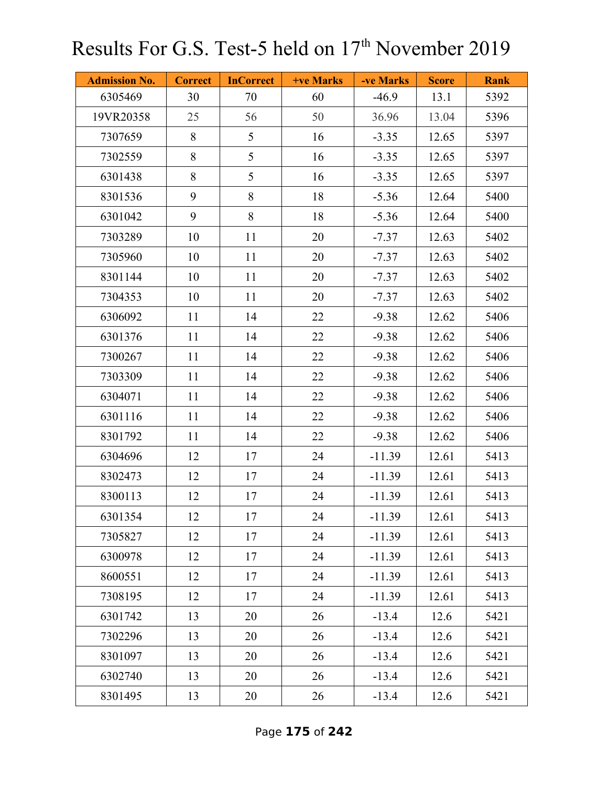| <b>Admission No.</b> | <b>Correct</b> | <b>InCorrect</b> | <b>+ve Marks</b> | -ve Marks | <b>Score</b> | <b>Rank</b> |
|----------------------|----------------|------------------|------------------|-----------|--------------|-------------|
| 6305469              | 30             | 70               | 60               | $-46.9$   | 13.1         | 5392        |
| 19VR20358            | 25             | 56               | 50               | 36.96     | 13.04        | 5396        |
| 7307659              | 8              | 5                | 16               | $-3.35$   | 12.65        | 5397        |
| 7302559              | 8              | 5                | 16               | $-3.35$   | 12.65        | 5397        |
| 6301438              | 8              | 5                | 16               | $-3.35$   | 12.65        | 5397        |
| 8301536              | 9              | 8                | 18               | $-5.36$   | 12.64        | 5400        |
| 6301042              | 9              | 8                | 18               | $-5.36$   | 12.64        | 5400        |
| 7303289              | 10             | 11               | 20               | $-7.37$   | 12.63        | 5402        |
| 7305960              | 10             | 11               | 20               | $-7.37$   | 12.63        | 5402        |
| 8301144              | 10             | 11               | 20               | $-7.37$   | 12.63        | 5402        |
| 7304353              | 10             | 11               | 20               | $-7.37$   | 12.63        | 5402        |
| 6306092              | 11             | 14               | 22               | $-9.38$   | 12.62        | 5406        |
| 6301376              | 11             | 14               | 22               | $-9.38$   | 12.62        | 5406        |
| 7300267              | 11             | 14               | 22               | $-9.38$   | 12.62        | 5406        |
| 7303309              | 11             | 14               | 22               | $-9.38$   | 12.62        | 5406        |
| 6304071              | 11             | 14               | 22               | $-9.38$   | 12.62        | 5406        |
| 6301116              | 11             | 14               | 22               | $-9.38$   | 12.62        | 5406        |
| 8301792              | 11             | 14               | 22               | $-9.38$   | 12.62        | 5406        |
| 6304696              | 12             | 17               | 24               | $-11.39$  | 12.61        | 5413        |
| 8302473              | 12             | 17               | 24               | $-11.39$  | 12.61        | 5413        |
| 8300113              | 12             | 17               | 24               | $-11.39$  | 12.61        | 5413        |
| 6301354              | 12             | 17               | 24               | $-11.39$  | 12.61        | 5413        |
| 7305827              | 12             | 17               | 24               | $-11.39$  | 12.61        | 5413        |
| 6300978              | 12             | 17               | 24               | $-11.39$  | 12.61        | 5413        |
| 8600551              | 12             | 17               | 24               | $-11.39$  | 12.61        | 5413        |
| 7308195              | 12             | 17               | 24               | $-11.39$  | 12.61        | 5413        |
| 6301742              | 13             | 20               | 26               | $-13.4$   | 12.6         | 5421        |
| 7302296              | 13             | 20               | 26               | $-13.4$   | 12.6         | 5421        |
| 8301097              | 13             | 20               | 26               | $-13.4$   | 12.6         | 5421        |
| 6302740              | 13             | 20               | 26               | $-13.4$   | 12.6         | 5421        |
| 8301495              | 13             | 20               | 26               | $-13.4$   | 12.6         | 5421        |

Page **175** of **242**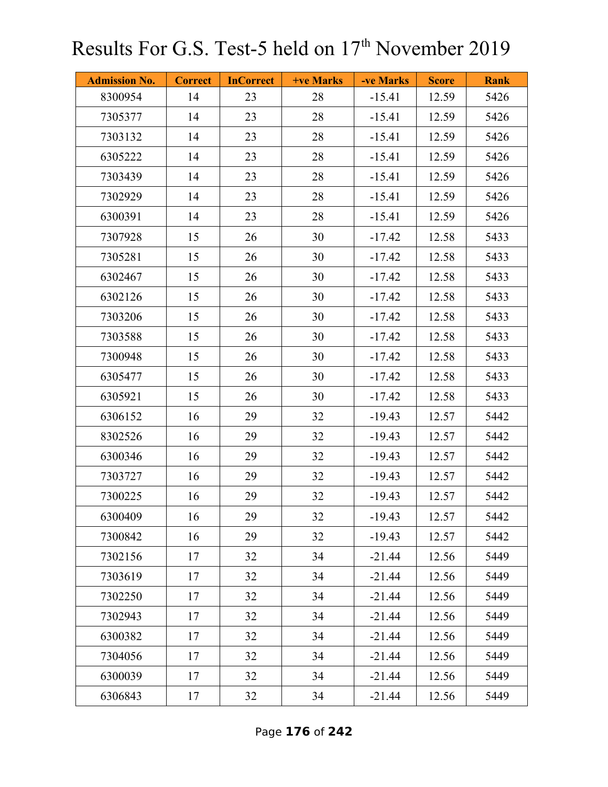| <b>Admission No.</b> | <b>Correct</b> | <b>InCorrect</b> | <b>+ve Marks</b> | -ve Marks | <b>Score</b> | <b>Rank</b> |
|----------------------|----------------|------------------|------------------|-----------|--------------|-------------|
| 8300954              | 14             | 23               | 28               | $-15.41$  | 12.59        | 5426        |
| 7305377              | 14             | 23               | 28               | $-15.41$  | 12.59        | 5426        |
| 7303132              | 14             | 23               | 28               | $-15.41$  | 12.59        | 5426        |
| 6305222              | 14             | 23               | 28               | $-15.41$  | 12.59        | 5426        |
| 7303439              | 14             | 23               | 28               | $-15.41$  | 12.59        | 5426        |
| 7302929              | 14             | 23               | 28               | $-15.41$  | 12.59        | 5426        |
| 6300391              | 14             | 23               | 28               | $-15.41$  | 12.59        | 5426        |
| 7307928              | 15             | 26               | 30               | $-17.42$  | 12.58        | 5433        |
| 7305281              | 15             | 26               | 30               | $-17.42$  | 12.58        | 5433        |
| 6302467              | 15             | 26               | 30               | $-17.42$  | 12.58        | 5433        |
| 6302126              | 15             | 26               | 30               | $-17.42$  | 12.58        | 5433        |
| 7303206              | 15             | 26               | 30               | $-17.42$  | 12.58        | 5433        |
| 7303588              | 15             | 26               | 30               | $-17.42$  | 12.58        | 5433        |
| 7300948              | 15             | 26               | 30               | $-17.42$  | 12.58        | 5433        |
| 6305477              | 15             | 26               | 30               | $-17.42$  | 12.58        | 5433        |
| 6305921              | 15             | 26               | 30               | $-17.42$  | 12.58        | 5433        |
| 6306152              | 16             | 29               | 32               | $-19.43$  | 12.57        | 5442        |
| 8302526              | 16             | 29               | 32               | $-19.43$  | 12.57        | 5442        |
| 6300346              | 16             | 29               | 32               | $-19.43$  | 12.57        | 5442        |
| 7303727              | 16             | 29               | 32               | $-19.43$  | 12.57        | 5442        |
| 7300225              | 16             | 29               | 32               | $-19.43$  | 12.57        | 5442        |
| 6300409              | 16             | 29               | 32               | $-19.43$  | 12.57        | 5442        |
| 7300842              | 16             | 29               | 32               | $-19.43$  | 12.57        | 5442        |
| 7302156              | 17             | 32               | 34               | $-21.44$  | 12.56        | 5449        |
| 7303619              | 17             | 32               | 34               | $-21.44$  | 12.56        | 5449        |
| 7302250              | 17             | 32               | 34               | $-21.44$  | 12.56        | 5449        |
| 7302943              | 17             | 32               | 34               | $-21.44$  | 12.56        | 5449        |
| 6300382              | 17             | 32               | 34               | $-21.44$  | 12.56        | 5449        |
| 7304056              | 17             | 32               | 34               | $-21.44$  | 12.56        | 5449        |
| 6300039              | 17             | 32               | 34               | $-21.44$  | 12.56        | 5449        |
| 6306843              | 17             | 32               | 34               | $-21.44$  | 12.56        | 5449        |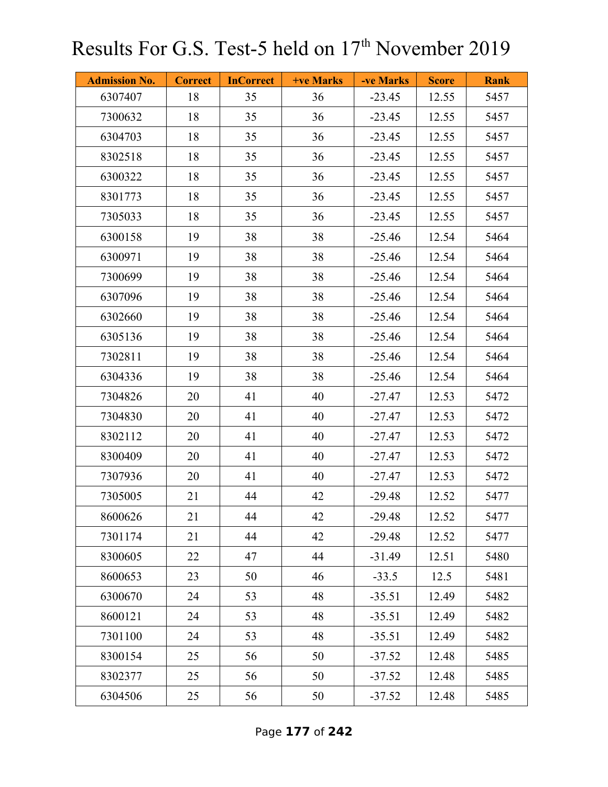| <b>Admission No.</b> | <b>Correct</b> | <b>InCorrect</b> | <b>+ve Marks</b> | -ve Marks | <b>Score</b> | <b>Rank</b> |
|----------------------|----------------|------------------|------------------|-----------|--------------|-------------|
| 6307407              | 18             | 35               | 36               | $-23.45$  | 12.55        | 5457        |
| 7300632              | 18             | 35               | 36               | $-23.45$  | 12.55        | 5457        |
| 6304703              | 18             | 35               | 36               | $-23.45$  | 12.55        | 5457        |
| 8302518              | 18             | 35               | 36               | $-23.45$  | 12.55        | 5457        |
| 6300322              | 18             | 35               | 36               | $-23.45$  | 12.55        | 5457        |
| 8301773              | 18             | 35               | 36               | $-23.45$  | 12.55        | 5457        |
| 7305033              | 18             | 35               | 36               | $-23.45$  | 12.55        | 5457        |
| 6300158              | 19             | 38               | 38               | $-25.46$  | 12.54        | 5464        |
| 6300971              | 19             | 38               | 38               | $-25.46$  | 12.54        | 5464        |
| 7300699              | 19             | 38               | 38               | $-25.46$  | 12.54        | 5464        |
| 6307096              | 19             | 38               | 38               | $-25.46$  | 12.54        | 5464        |
| 6302660              | 19             | 38               | 38               | $-25.46$  | 12.54        | 5464        |
| 6305136              | 19             | 38               | 38               | $-25.46$  | 12.54        | 5464        |
| 7302811              | 19             | 38               | 38               | $-25.46$  | 12.54        | 5464        |
| 6304336              | 19             | 38               | 38               | $-25.46$  | 12.54        | 5464        |
| 7304826              | 20             | 41               | 40               | $-27.47$  | 12.53        | 5472        |
| 7304830              | 20             | 41               | 40               | $-27.47$  | 12.53        | 5472        |
| 8302112              | 20             | 41               | 40               | $-27.47$  | 12.53        | 5472        |
| 8300409              | 20             | 41               | 40               | $-27.47$  | 12.53        | 5472        |
| 7307936              | 20             | 41               | 40               | $-27.47$  | 12.53        | 5472        |
| 7305005              | 21             | 44               | 42               | $-29.48$  | 12.52        | 5477        |
| 8600626              | 21             | 44               | 42               | $-29.48$  | 12.52        | 5477        |
| 7301174              | 21             | 44               | 42               | $-29.48$  | 12.52        | 5477        |
| 8300605              | 22             | 47               | 44               | $-31.49$  | 12.51        | 5480        |
| 8600653              | 23             | 50               | 46               | $-33.5$   | 12.5         | 5481        |
| 6300670              | 24             | 53               | 48               | $-35.51$  | 12.49        | 5482        |
| 8600121              | 24             | 53               | 48               | $-35.51$  | 12.49        | 5482        |
| 7301100              | 24             | 53               | 48               | $-35.51$  | 12.49        | 5482        |
| 8300154              | 25             | 56               | 50               | $-37.52$  | 12.48        | 5485        |
| 8302377              | 25             | 56               | 50               | $-37.52$  | 12.48        | 5485        |
| 6304506              | 25             | 56               | 50               | $-37.52$  | 12.48        | 5485        |

Page **177** of **242**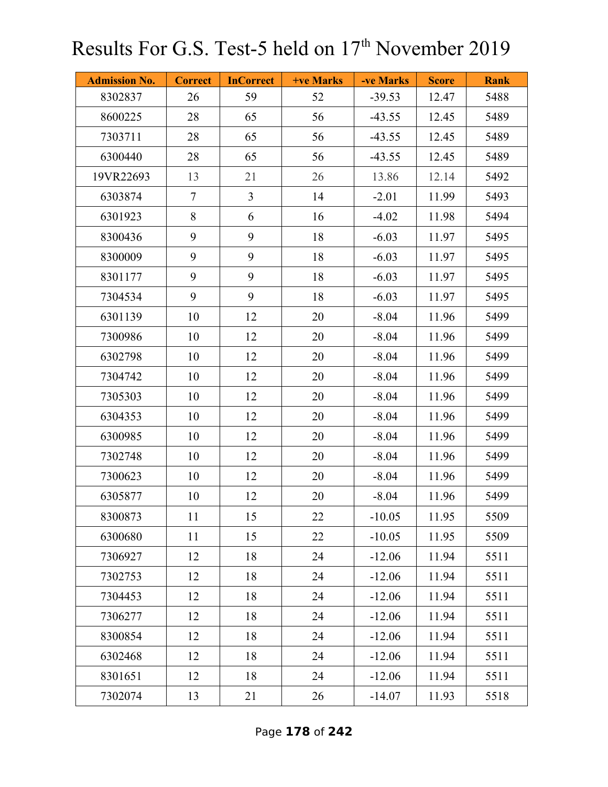| <b>Admission No.</b> | <b>Correct</b> | <b>InCorrect</b> | <b>+ve Marks</b> | -ve Marks | <b>Score</b> | <b>Rank</b> |
|----------------------|----------------|------------------|------------------|-----------|--------------|-------------|
| 8302837              | 26             | 59               | 52               | $-39.53$  | 12.47        | 5488        |
| 8600225              | 28             | 65               | 56               | $-43.55$  | 12.45        | 5489        |
| 7303711              | 28             | 65               | 56               | $-43.55$  | 12.45        | 5489        |
| 6300440              | 28             | 65               | 56               | $-43.55$  | 12.45        | 5489        |
| 19VR22693            | 13             | 21               | 26               | 13.86     | 12.14        | 5492        |
| 6303874              | $\tau$         | $\overline{3}$   | 14               | $-2.01$   | 11.99        | 5493        |
| 6301923              | 8              | 6                | 16               | $-4.02$   | 11.98        | 5494        |
| 8300436              | 9              | 9                | 18               | $-6.03$   | 11.97        | 5495        |
| 8300009              | 9              | 9                | 18               | $-6.03$   | 11.97        | 5495        |
| 8301177              | 9              | 9                | 18               | $-6.03$   | 11.97        | 5495        |
| 7304534              | 9              | 9                | 18               | $-6.03$   | 11.97        | 5495        |
| 6301139              | 10             | 12               | 20               | $-8.04$   | 11.96        | 5499        |
| 7300986              | 10             | 12               | 20               | $-8.04$   | 11.96        | 5499        |
| 6302798              | 10             | 12               | 20               | $-8.04$   | 11.96        | 5499        |
| 7304742              | 10             | 12               | 20               | $-8.04$   | 11.96        | 5499        |
| 7305303              | 10             | 12               | 20               | $-8.04$   | 11.96        | 5499        |
| 6304353              | 10             | 12               | 20               | $-8.04$   | 11.96        | 5499        |
| 6300985              | 10             | 12               | 20               | $-8.04$   | 11.96        | 5499        |
| 7302748              | 10             | 12               | 20               | $-8.04$   | 11.96        | 5499        |
| 7300623              | 10             | 12               | 20               | $-8.04$   | 11.96        | 5499        |
| 6305877              | 10             | 12               | 20               | $-8.04$   | 11.96        | 5499        |
| 8300873              | 11             | 15               | 22               | $-10.05$  | 11.95        | 5509        |
| 6300680              | 11             | 15               | 22               | $-10.05$  | 11.95        | 5509        |
| 7306927              | 12             | 18               | 24               | $-12.06$  | 11.94        | 5511        |
| 7302753              | 12             | 18               | 24               | $-12.06$  | 11.94        | 5511        |
| 7304453              | 12             | 18               | 24               | $-12.06$  | 11.94        | 5511        |
| 7306277              | 12             | 18               | 24               | $-12.06$  | 11.94        | 5511        |
| 8300854              | 12             | 18               | 24               | $-12.06$  | 11.94        | 5511        |
| 6302468              | 12             | 18               | 24               | $-12.06$  | 11.94        | 5511        |
| 8301651              | 12             | 18               | 24               | $-12.06$  | 11.94        | 5511        |
| 7302074              | 13             | 21               | 26               | $-14.07$  | 11.93        | 5518        |

Page **178** of **242**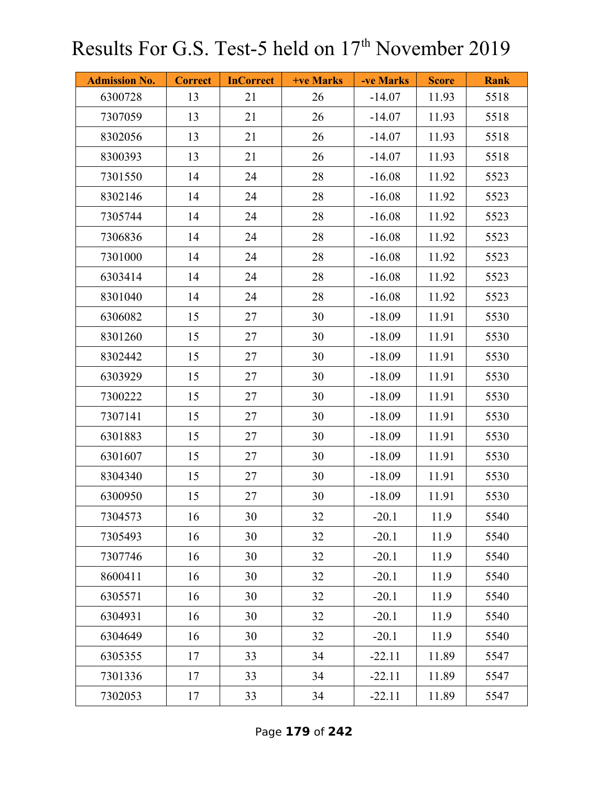| <b>Admission No.</b> | <b>Correct</b> | <b>InCorrect</b> | <b>+ve Marks</b> | -ve Marks | <b>Score</b> | <b>Rank</b> |
|----------------------|----------------|------------------|------------------|-----------|--------------|-------------|
| 6300728              | 13             | 21               | 26               | $-14.07$  | 11.93        | 5518        |
| 7307059              | 13             | 21               | 26               | $-14.07$  | 11.93        | 5518        |
| 8302056              | 13             | 21               | 26               | $-14.07$  | 11.93        | 5518        |
| 8300393              | 13             | 21               | 26               | $-14.07$  | 11.93        | 5518        |
| 7301550              | 14             | 24               | 28               | $-16.08$  | 11.92        | 5523        |
| 8302146              | 14             | 24               | 28               | $-16.08$  | 11.92        | 5523        |
| 7305744              | 14             | 24               | 28               | $-16.08$  | 11.92        | 5523        |
| 7306836              | 14             | 24               | 28               | $-16.08$  | 11.92        | 5523        |
| 7301000              | 14             | 24               | 28               | $-16.08$  | 11.92        | 5523        |
| 6303414              | 14             | 24               | 28               | $-16.08$  | 11.92        | 5523        |
| 8301040              | 14             | 24               | 28               | $-16.08$  | 11.92        | 5523        |
| 6306082              | 15             | 27               | 30               | $-18.09$  | 11.91        | 5530        |
| 8301260              | 15             | 27               | 30               | $-18.09$  | 11.91        | 5530        |
| 8302442              | 15             | 27               | 30               | $-18.09$  | 11.91        | 5530        |
| 6303929              | 15             | 27               | 30               | $-18.09$  | 11.91        | 5530        |
| 7300222              | 15             | 27               | 30               | $-18.09$  | 11.91        | 5530        |
| 7307141              | 15             | 27               | 30               | $-18.09$  | 11.91        | 5530        |
| 6301883              | 15             | 27               | 30               | $-18.09$  | 11.91        | 5530        |
| 6301607              | 15             | 27               | 30               | $-18.09$  | 11.91        | 5530        |
| 8304340              | 15             | 27               | 30               | $-18.09$  | 11.91        | 5530        |
| 6300950              | 15             | 27               | 30               | $-18.09$  | 11.91        | 5530        |
| 7304573              | 16             | 30               | 32               | $-20.1$   | 11.9         | 5540        |
| 7305493              | 16             | 30               | 32               | $-20.1$   | 11.9         | 5540        |
| 7307746              | 16             | 30               | 32               | $-20.1$   | 11.9         | 5540        |
| 8600411              | 16             | 30               | 32               | $-20.1$   | 11.9         | 5540        |
| 6305571              | 16             | 30               | 32               | $-20.1$   | 11.9         | 5540        |
| 6304931              | 16             | 30               | 32               | $-20.1$   | 11.9         | 5540        |
| 6304649              | 16             | 30               | 32               | $-20.1$   | 11.9         | 5540        |
| 6305355              | 17             | 33               | 34               | $-22.11$  | 11.89        | 5547        |
| 7301336              | 17             | 33               | 34               | $-22.11$  | 11.89        | 5547        |
| 7302053              | 17             | 33               | 34               | $-22.11$  | 11.89        | 5547        |

Page **179** of **242**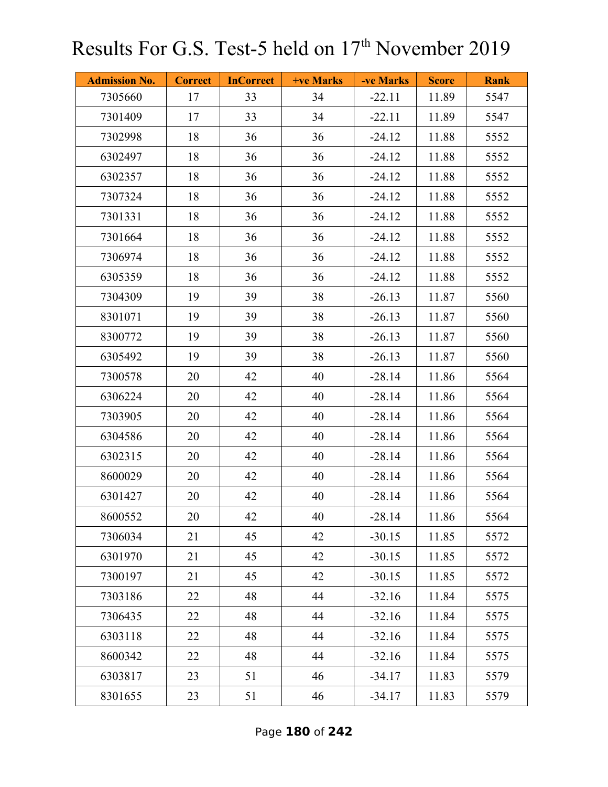| <b>Admission No.</b> | <b>Correct</b> | <b>InCorrect</b> | <b>+ve Marks</b> | -ve Marks | <b>Score</b> | <b>Rank</b> |
|----------------------|----------------|------------------|------------------|-----------|--------------|-------------|
| 7305660              | 17             | 33               | 34               | $-22.11$  | 11.89        | 5547        |
| 7301409              | 17             | 33               | 34               | $-22.11$  | 11.89        | 5547        |
| 7302998              | 18             | 36               | 36               | $-24.12$  | 11.88        | 5552        |
| 6302497              | 18             | 36               | 36               | $-24.12$  | 11.88        | 5552        |
| 6302357              | 18             | 36               | 36               | $-24.12$  | 11.88        | 5552        |
| 7307324              | 18             | 36               | 36               | $-24.12$  | 11.88        | 5552        |
| 7301331              | 18             | 36               | 36               | $-24.12$  | 11.88        | 5552        |
| 7301664              | 18             | 36               | 36               | $-24.12$  | 11.88        | 5552        |
| 7306974              | 18             | 36               | 36               | $-24.12$  | 11.88        | 5552        |
| 6305359              | 18             | 36               | 36               | $-24.12$  | 11.88        | 5552        |
| 7304309              | 19             | 39               | 38               | $-26.13$  | 11.87        | 5560        |
| 8301071              | 19             | 39               | 38               | $-26.13$  | 11.87        | 5560        |
| 8300772              | 19             | 39               | 38               | $-26.13$  | 11.87        | 5560        |
| 6305492              | 19             | 39               | 38               | $-26.13$  | 11.87        | 5560        |
| 7300578              | 20             | 42               | 40               | $-28.14$  | 11.86        | 5564        |
| 6306224              | 20             | 42               | 40               | $-28.14$  | 11.86        | 5564        |
| 7303905              | 20             | 42               | 40               | $-28.14$  | 11.86        | 5564        |
| 6304586              | 20             | 42               | 40               | $-28.14$  | 11.86        | 5564        |
| 6302315              | 20             | 42               | 40               | $-28.14$  | 11.86        | 5564        |
| 8600029              | 20             | 42               | 40               | $-28.14$  | 11.86        | 5564        |
| 6301427              | 20             | 42               | 40               | $-28.14$  | 11.86        | 5564        |
| 8600552              | 20             | 42               | 40               | $-28.14$  | 11.86        | 5564        |
| 7306034              | 21             | 45               | 42               | $-30.15$  | 11.85        | 5572        |
| 6301970              | 21             | 45               | 42               | $-30.15$  | 11.85        | 5572        |
| 7300197              | 21             | 45               | 42               | $-30.15$  | 11.85        | 5572        |
| 7303186              | 22             | 48               | 44               | $-32.16$  | 11.84        | 5575        |
| 7306435              | 22             | 48               | 44               | $-32.16$  | 11.84        | 5575        |
| 6303118              | 22             | 48               | 44               | $-32.16$  | 11.84        | 5575        |
| 8600342              | 22             | 48               | 44               | $-32.16$  | 11.84        | 5575        |
| 6303817              | 23             | 51               | 46               | $-34.17$  | 11.83        | 5579        |
| 8301655              | 23             | 51               | 46               | $-34.17$  | 11.83        | 5579        |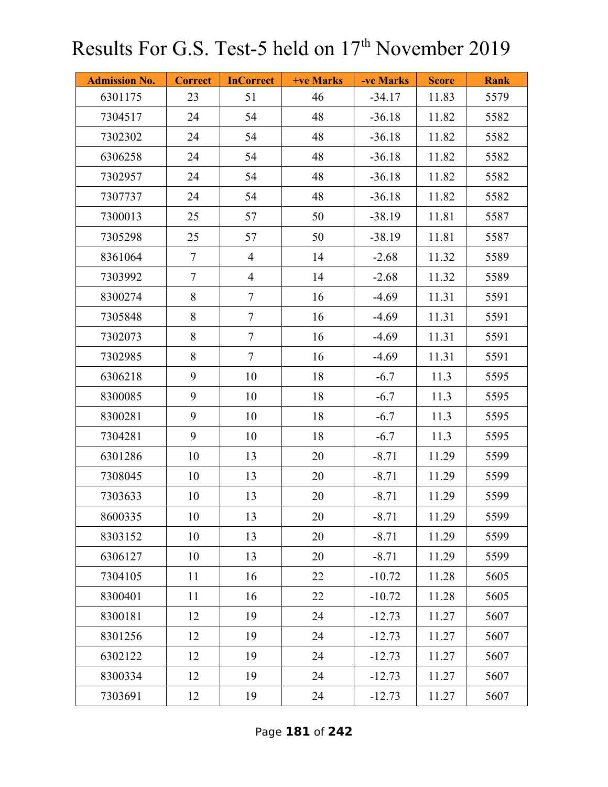| <b>Admission No.</b> | <b>Correct</b> | <b>InCorrect</b> | <b>+ve Marks</b> | -ve Marks | <b>Score</b> | <b>Rank</b> |
|----------------------|----------------|------------------|------------------|-----------|--------------|-------------|
| 6301175              | 23             | 51               | 46               | $-34.17$  | 11.83        | 5579        |
| 7304517              | 24             | 54               | 48               | $-36.18$  | 11.82        | 5582        |
| 7302302              | 24             | 54               | 48               | $-36.18$  | 11.82        | 5582        |
| 6306258              | 24             | 54               | 48               | $-36.18$  | 11.82        | 5582        |
| 7302957              | 24             | 54               | 48               | $-36.18$  | 11.82        | 5582        |
| 7307737              | 24             | 54               | 48               | $-36.18$  | 11.82        | 5582        |
| 7300013              | 25             | 57               | 50               | $-38.19$  | 11.81        | 5587        |
| 7305298              | 25             | 57               | 50               | $-38.19$  | 11.81        | 5587        |
| 8361064              | $\tau$         | $\overline{4}$   | 14               | $-2.68$   | 11.32        | 5589        |
| 7303992              | $\overline{7}$ | $\overline{4}$   | 14               | $-2.68$   | 11.32        | 5589        |
| 8300274              | 8              | $\tau$           | 16               | $-4.69$   | 11.31        | 5591        |
| 7305848              | 8              | $\tau$           | 16               | $-4.69$   | 11.31        | 5591        |
| 7302073              | 8              | $\overline{7}$   | 16               | $-4.69$   | 11.31        | 5591        |
| 7302985              | 8              | $\tau$           | 16               | $-4.69$   | 11.31        | 5591        |
| 6306218              | 9              | 10               | 18               | $-6.7$    | 11.3         | 5595        |
| 8300085              | 9              | 10               | 18               | $-6.7$    | 11.3         | 5595        |
| 8300281              | 9              | 10               | 18               | $-6.7$    | 11.3         | 5595        |
| 7304281              | 9              | 10               | 18               | $-6.7$    | 11.3         | 5595        |
| 6301286              | 10             | 13               | 20               | $-8.71$   | 11.29        | 5599        |
| 7308045              | 10             | 13               | 20               | $-8.71$   | 11.29        | 5599        |
| 7303633              | 10             | 13               | 20               | $-8.71$   | 11.29        | 5599        |
| 8600335              | 10             | 13               | 20               | $-8.71$   | 11.29        | 5599        |
| 8303152              | 10             | 13               | 20               | $-8.71$   | 11.29        | 5599        |
| 6306127              | 10             | 13               | 20               | $-8.71$   | 11.29        | 5599        |
| 7304105              | 11             | 16               | 22               | $-10.72$  | 11.28        | 5605        |
| 8300401              | 11             | 16               | 22               | $-10.72$  | 11.28        | 5605        |
| 8300181              | 12             | 19               | 24               | $-12.73$  | 11.27        | 5607        |
| 8301256              | 12             | 19               | 24               | $-12.73$  | 11.27        | 5607        |
| 6302122              | 12             | 19               | 24               | $-12.73$  | 11.27        | 5607        |
| 8300334              | 12             | 19               | 24               | $-12.73$  | 11.27        | 5607        |
| 7303691              | 12             | 19               | 24               | $-12.73$  | 11.27        | 5607        |

Page **181** of **242**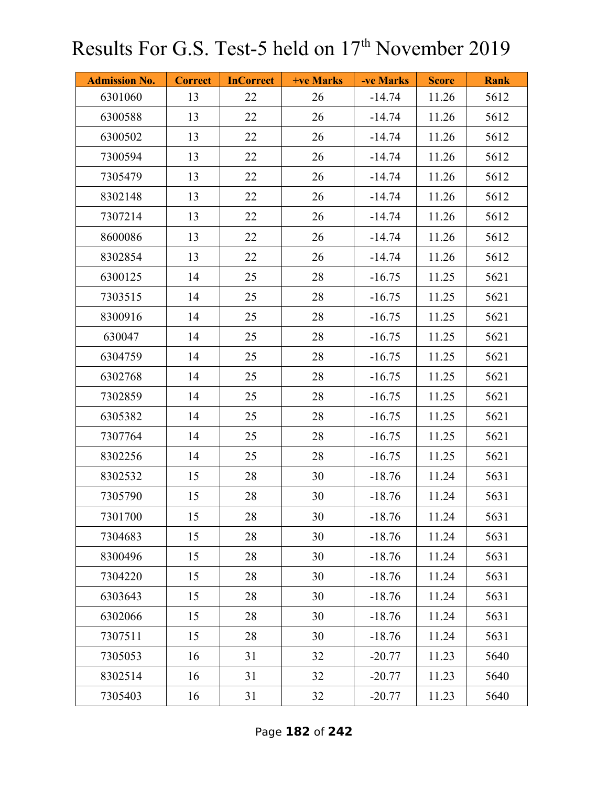| <b>Admission No.</b> | <b>Correct</b> | <b>InCorrect</b> | <b>+ve Marks</b> | -ve Marks | <b>Score</b> | <b>Rank</b> |
|----------------------|----------------|------------------|------------------|-----------|--------------|-------------|
| 6301060              | 13             | 22               | 26               | $-14.74$  | 11.26        | 5612        |
| 6300588              | 13             | 22               | 26               | $-14.74$  | 11.26        | 5612        |
| 6300502              | 13             | 22               | 26               | $-14.74$  | 11.26        | 5612        |
| 7300594              | 13             | 22               | 26               | $-14.74$  | 11.26        | 5612        |
| 7305479              | 13             | 22               | 26               | $-14.74$  | 11.26        | 5612        |
| 8302148              | 13             | 22               | 26               | $-14.74$  | 11.26        | 5612        |
| 7307214              | 13             | 22               | 26               | $-14.74$  | 11.26        | 5612        |
| 8600086              | 13             | 22               | 26               | $-14.74$  | 11.26        | 5612        |
| 8302854              | 13             | 22               | 26               | $-14.74$  | 11.26        | 5612        |
| 6300125              | 14             | 25               | 28               | $-16.75$  | 11.25        | 5621        |
| 7303515              | 14             | 25               | 28               | $-16.75$  | 11.25        | 5621        |
| 8300916              | 14             | 25               | 28               | $-16.75$  | 11.25        | 5621        |
| 630047               | 14             | 25               | 28               | $-16.75$  | 11.25        | 5621        |
| 6304759              | 14             | 25               | 28               | $-16.75$  | 11.25        | 5621        |
| 6302768              | 14             | 25               | 28               | $-16.75$  | 11.25        | 5621        |
| 7302859              | 14             | 25               | 28               | $-16.75$  | 11.25        | 5621        |
| 6305382              | 14             | 25               | 28               | $-16.75$  | 11.25        | 5621        |
| 7307764              | 14             | 25               | 28               | $-16.75$  | 11.25        | 5621        |
| 8302256              | 14             | 25               | 28               | $-16.75$  | 11.25        | 5621        |
| 8302532              | 15             | 28               | 30               | $-18.76$  | 11.24        | 5631        |
| 7305790              | 15             | 28               | 30               | $-18.76$  | 11.24        | 5631        |
| 7301700              | 15             | 28               | 30               | $-18.76$  | 11.24        | 5631        |
| 7304683              | 15             | 28               | 30               | $-18.76$  | 11.24        | 5631        |
| 8300496              | 15             | 28               | 30               | $-18.76$  | 11.24        | 5631        |
| 7304220              | 15             | 28               | 30               | $-18.76$  | 11.24        | 5631        |
| 6303643              | 15             | 28               | 30               | $-18.76$  | 11.24        | 5631        |
| 6302066              | 15             | 28               | 30               | $-18.76$  | 11.24        | 5631        |
| 7307511              | 15             | 28               | 30               | $-18.76$  | 11.24        | 5631        |
| 7305053              | 16             | 31               | 32               | $-20.77$  | 11.23        | 5640        |
| 8302514              | 16             | 31               | 32               | $-20.77$  | 11.23        | 5640        |
| 7305403              | 16             | 31               | 32               | $-20.77$  | 11.23        | 5640        |

Page **182** of **242**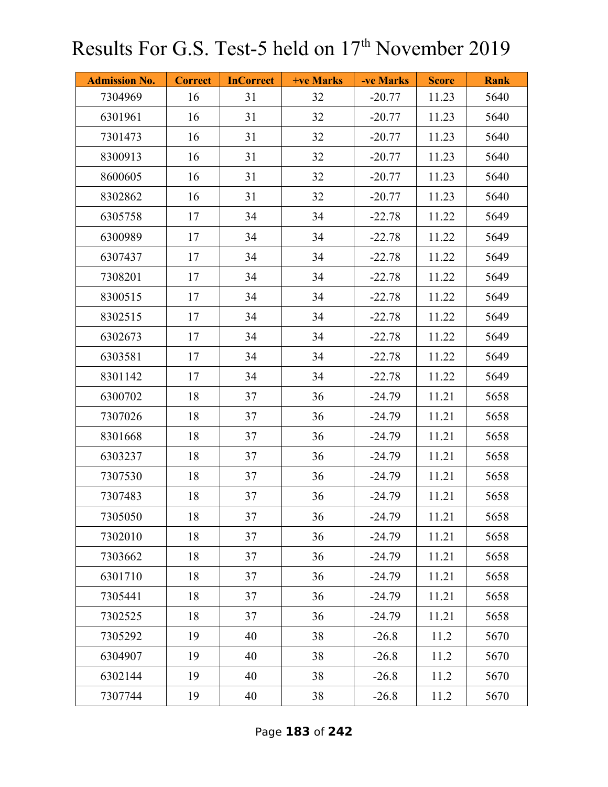| <b>Admission No.</b> | <b>Correct</b> | <b>InCorrect</b> | +ve Marks | -ve Marks | <b>Score</b> | <b>Rank</b> |
|----------------------|----------------|------------------|-----------|-----------|--------------|-------------|
| 7304969              | 16             | 31               | 32        | $-20.77$  | 11.23        | 5640        |
| 6301961              | 16             | 31               | 32        | $-20.77$  | 11.23        | 5640        |
| 7301473              | 16             | 31               | 32        | $-20.77$  | 11.23        | 5640        |
| 8300913              | 16             | 31               | 32        | $-20.77$  | 11.23        | 5640        |
| 8600605              | 16             | 31               | 32        | $-20.77$  | 11.23        | 5640        |
| 8302862              | 16             | 31               | 32        | $-20.77$  | 11.23        | 5640        |
| 6305758              | 17             | 34               | 34        | $-22.78$  | 11.22        | 5649        |
| 6300989              | 17             | 34               | 34        | $-22.78$  | 11.22        | 5649        |
| 6307437              | 17             | 34               | 34        | $-22.78$  | 11.22        | 5649        |
| 7308201              | 17             | 34               | 34        | $-22.78$  | 11.22        | 5649        |
| 8300515              | 17             | 34               | 34        | $-22.78$  | 11.22        | 5649        |
| 8302515              | 17             | 34               | 34        | $-22.78$  | 11.22        | 5649        |
| 6302673              | 17             | 34               | 34        | $-22.78$  | 11.22        | 5649        |
| 6303581              | 17             | 34               | 34        | $-22.78$  | 11.22        | 5649        |
| 8301142              | 17             | 34               | 34        | $-22.78$  | 11.22        | 5649        |
| 6300702              | 18             | 37               | 36        | $-24.79$  | 11.21        | 5658        |
| 7307026              | 18             | 37               | 36        | $-24.79$  | 11.21        | 5658        |
| 8301668              | 18             | 37               | 36        | $-24.79$  | 11.21        | 5658        |
| 6303237              | 18             | 37               | 36        | $-24.79$  | 11.21        | 5658        |
| 7307530              | 18             | 37               | 36        | $-24.79$  | 11.21        | 5658        |
| 7307483              | 18             | 37               | 36        | $-24.79$  | 11.21        | 5658        |
| 7305050              | 18             | 37               | 36        | $-24.79$  | 11.21        | 5658        |
| 7302010              | 18             | 37               | 36        | $-24.79$  | 11.21        | 5658        |
| 7303662              | 18             | 37               | 36        | $-24.79$  | 11.21        | 5658        |
| 6301710              | 18             | 37               | 36        | $-24.79$  | 11.21        | 5658        |
| 7305441              | 18             | 37               | 36        | $-24.79$  | 11.21        | 5658        |
| 7302525              | 18             | 37               | 36        | $-24.79$  | 11.21        | 5658        |
| 7305292              | 19             | 40               | 38        | $-26.8$   | 11.2         | 5670        |
| 6304907              | 19             | 40               | 38        | $-26.8$   | 11.2         | 5670        |
| 6302144              | 19             | 40               | 38        | $-26.8$   | 11.2         | 5670        |
| 7307744              | 19             | 40               | 38        | $-26.8$   | 11.2         | 5670        |

Page **183** of **242**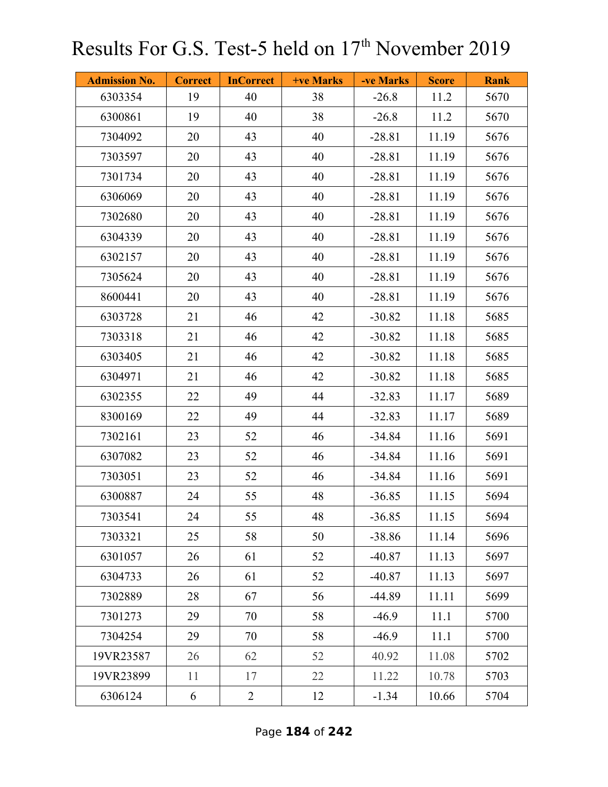| <b>Admission No.</b> | <b>Correct</b> | <b>InCorrect</b> | <b>+ve Marks</b> | -ve Marks | <b>Score</b> | <b>Rank</b> |
|----------------------|----------------|------------------|------------------|-----------|--------------|-------------|
| 6303354              | 19             | 40               | 38               | $-26.8$   | 11.2         | 5670        |
| 6300861              | 19             | 40               | 38               | $-26.8$   | 11.2         | 5670        |
| 7304092              | 20             | 43               | 40               | $-28.81$  | 11.19        | 5676        |
| 7303597              | 20             | 43               | 40               | $-28.81$  | 11.19        | 5676        |
| 7301734              | 20             | 43               | 40               | $-28.81$  | 11.19        | 5676        |
| 6306069              | 20             | 43               | 40               | $-28.81$  | 11.19        | 5676        |
| 7302680              | 20             | 43               | 40               | $-28.81$  | 11.19        | 5676        |
| 6304339              | 20             | 43               | 40               | $-28.81$  | 11.19        | 5676        |
| 6302157              | 20             | 43               | 40               | $-28.81$  | 11.19        | 5676        |
| 7305624              | 20             | 43               | 40               | $-28.81$  | 11.19        | 5676        |
| 8600441              | 20             | 43               | 40               | $-28.81$  | 11.19        | 5676        |
| 6303728              | 21             | 46               | 42               | $-30.82$  | 11.18        | 5685        |
| 7303318              | 21             | 46               | 42               | $-30.82$  | 11.18        | 5685        |
| 6303405              | 21             | 46               | 42               | $-30.82$  | 11.18        | 5685        |
| 6304971              | 21             | 46               | 42               | $-30.82$  | 11.18        | 5685        |
| 6302355              | 22             | 49               | 44               | $-32.83$  | 11.17        | 5689        |
| 8300169              | 22             | 49               | 44               | $-32.83$  | 11.17        | 5689        |
| 7302161              | 23             | 52               | 46               | $-34.84$  | 11.16        | 5691        |
| 6307082              | 23             | 52               | 46               | $-34.84$  | 11.16        | 5691        |
| 7303051              | 23             | 52               | 46               | $-34.84$  | 11.16        | 5691        |
| 6300887              | 24             | 55               | 48               | $-36.85$  | 11.15        | 5694        |
| 7303541              | 24             | 55               | 48               | $-36.85$  | 11.15        | 5694        |
| 7303321              | 25             | 58               | 50               | $-38.86$  | 11.14        | 5696        |
| 6301057              | 26             | 61               | 52               | $-40.87$  | 11.13        | 5697        |
| 6304733              | 26             | 61               | 52               | $-40.87$  | 11.13        | 5697        |
| 7302889              | 28             | 67               | 56               | $-44.89$  | 11.11        | 5699        |
| 7301273              | 29             | 70               | 58               | $-46.9$   | 11.1         | 5700        |
| 7304254              | 29             | 70               | 58               | $-46.9$   | 11.1         | 5700        |
| 19VR23587            | 26             | 62               | 52               | 40.92     | 11.08        | 5702        |
| 19VR23899            | 11             | 17               | 22               | 11.22     | 10.78        | 5703        |
| 6306124              | 6              | $\overline{2}$   | 12               | $-1.34$   | 10.66        | 5704        |

Page **184** of **242**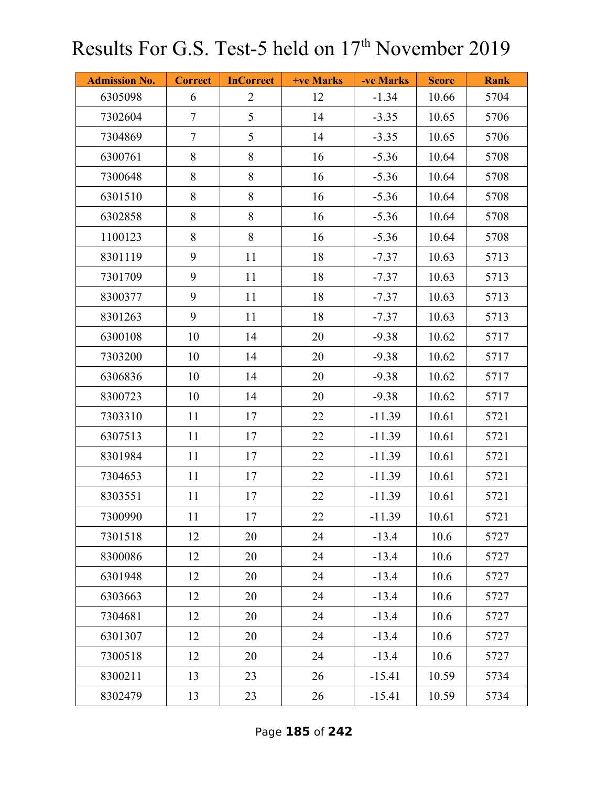| <b>Admission No.</b> | <b>Correct</b> | <b>InCorrect</b> | <b>+ve Marks</b> | -ve Marks | <b>Score</b> | <b>Rank</b> |
|----------------------|----------------|------------------|------------------|-----------|--------------|-------------|
| 6305098              | 6              | $\overline{2}$   | 12               | $-1.34$   | 10.66        | 5704        |
| 7302604              | $\tau$         | 5                | 14               | $-3.35$   | 10.65        | 5706        |
| 7304869              | $\tau$         | 5                | 14               | $-3.35$   | 10.65        | 5706        |
| 6300761              | 8              | 8                | 16               | $-5.36$   | 10.64        | 5708        |
| 7300648              | 8              | 8                | 16               | $-5.36$   | 10.64        | 5708        |
| 6301510              | 8              | 8                | 16               | $-5.36$   | 10.64        | 5708        |
| 6302858              | 8              | 8                | 16               | $-5.36$   | 10.64        | 5708        |
| 1100123              | 8              | $8\,$            | 16               | $-5.36$   | 10.64        | 5708        |
| 8301119              | 9              | 11               | 18               | $-7.37$   | 10.63        | 5713        |
| 7301709              | 9              | 11               | 18               | $-7.37$   | 10.63        | 5713        |
| 8300377              | 9              | 11               | 18               | $-7.37$   | 10.63        | 5713        |
| 8301263              | 9              | 11               | 18               | $-7.37$   | 10.63        | 5713        |
| 6300108              | 10             | 14               | 20               | $-9.38$   | 10.62        | 5717        |
| 7303200              | 10             | 14               | 20               | $-9.38$   | 10.62        | 5717        |
| 6306836              | 10             | 14               | 20               | $-9.38$   | 10.62        | 5717        |
| 8300723              | 10             | 14               | 20               | $-9.38$   | 10.62        | 5717        |
| 7303310              | 11             | 17               | 22               | $-11.39$  | 10.61        | 5721        |
| 6307513              | 11             | 17               | 22               | $-11.39$  | 10.61        | 5721        |
| 8301984              | 11             | 17               | 22               | $-11.39$  | 10.61        | 5721        |
| 7304653              | 11             | 17               | 22               | $-11.39$  | 10.61        | 5721        |
| 8303551              | 11             | 17               | 22               | $-11.39$  | 10.61        | 5721        |
| 7300990              | 11             | 17               | 22               | $-11.39$  | 10.61        | 5721        |
| 7301518              | 12             | 20               | 24               | $-13.4$   | 10.6         | 5727        |
| 8300086              | 12             | 20               | 24               | $-13.4$   | 10.6         | 5727        |
| 6301948              | 12             | 20               | 24               | $-13.4$   | 10.6         | 5727        |
| 6303663              | 12             | 20               | 24               | $-13.4$   | 10.6         | 5727        |
| 7304681              | 12             | 20               | 24               | $-13.4$   | 10.6         | 5727        |
| 6301307              | 12             | 20               | 24               | $-13.4$   | 10.6         | 5727        |
| 7300518              | 12             | 20               | 24               | $-13.4$   | 10.6         | 5727        |
| 8300211              | 13             | 23               | 26               | $-15.41$  | 10.59        | 5734        |
| 8302479              | 13             | 23               | 26               | $-15.41$  | 10.59        | 5734        |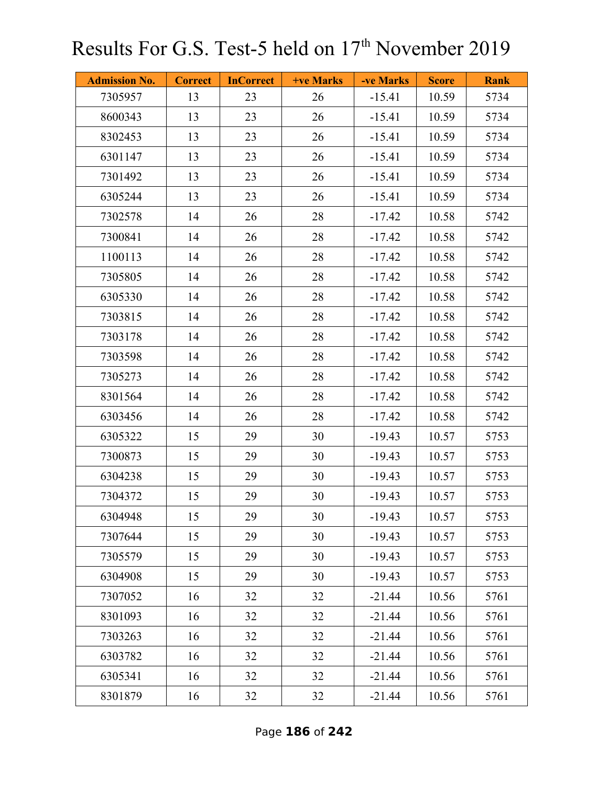| <b>Admission No.</b> | <b>Correct</b> | <b>InCorrect</b> | <b>+ve Marks</b> | -ve Marks | <b>Score</b> | <b>Rank</b> |
|----------------------|----------------|------------------|------------------|-----------|--------------|-------------|
| 7305957              | 13             | 23               | 26               | $-15.41$  | 10.59        | 5734        |
| 8600343              | 13             | 23               | 26               | $-15.41$  | 10.59        | 5734        |
| 8302453              | 13             | 23               | 26               | $-15.41$  | 10.59        | 5734        |
| 6301147              | 13             | 23               | 26               | $-15.41$  | 10.59        | 5734        |
| 7301492              | 13             | 23               | 26               | $-15.41$  | 10.59        | 5734        |
| 6305244              | 13             | 23               | 26               | $-15.41$  | 10.59        | 5734        |
| 7302578              | 14             | 26               | 28               | $-17.42$  | 10.58        | 5742        |
| 7300841              | 14             | 26               | 28               | $-17.42$  | 10.58        | 5742        |
| 1100113              | 14             | 26               | 28               | $-17.42$  | 10.58        | 5742        |
| 7305805              | 14             | 26               | 28               | $-17.42$  | 10.58        | 5742        |
| 6305330              | 14             | 26               | 28               | $-17.42$  | 10.58        | 5742        |
| 7303815              | 14             | 26               | 28               | $-17.42$  | 10.58        | 5742        |
| 7303178              | 14             | 26               | 28               | $-17.42$  | 10.58        | 5742        |
| 7303598              | 14             | 26               | 28               | $-17.42$  | 10.58        | 5742        |
| 7305273              | 14             | 26               | 28               | $-17.42$  | 10.58        | 5742        |
| 8301564              | 14             | 26               | 28               | $-17.42$  | 10.58        | 5742        |
| 6303456              | 14             | 26               | 28               | $-17.42$  | 10.58        | 5742        |
| 6305322              | 15             | 29               | 30               | $-19.43$  | 10.57        | 5753        |
| 7300873              | 15             | 29               | 30               | $-19.43$  | 10.57        | 5753        |
| 6304238              | 15             | 29               | 30               | $-19.43$  | 10.57        | 5753        |
| 7304372              | 15             | 29               | 30               | $-19.43$  | 10.57        | 5753        |
| 6304948              | 15             | 29               | 30               | $-19.43$  | 10.57        | 5753        |
| 7307644              | 15             | 29               | 30               | $-19.43$  | 10.57        | 5753        |
| 7305579              | 15             | 29               | 30               | $-19.43$  | 10.57        | 5753        |
| 6304908              | 15             | 29               | 30               | $-19.43$  | 10.57        | 5753        |
| 7307052              | 16             | 32               | 32               | $-21.44$  | 10.56        | 5761        |
| 8301093              | 16             | 32               | 32               | $-21.44$  | 10.56        | 5761        |
| 7303263              | 16             | 32               | 32               | $-21.44$  | 10.56        | 5761        |
| 6303782              | 16             | 32               | 32               | $-21.44$  | 10.56        | 5761        |
| 6305341              | 16             | 32               | 32               | $-21.44$  | 10.56        | 5761        |
| 8301879              | 16             | 32               | 32               | $-21.44$  | 10.56        | 5761        |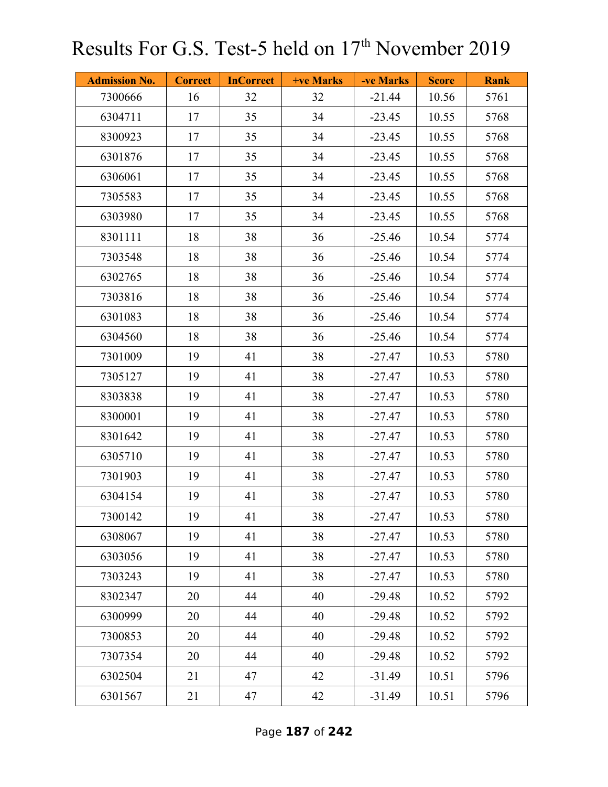| <b>Admission No.</b> | <b>Correct</b> | <b>InCorrect</b> | <b>+ve Marks</b> | -ve Marks | <b>Score</b> | <b>Rank</b> |
|----------------------|----------------|------------------|------------------|-----------|--------------|-------------|
| 7300666              | 16             | 32               | 32               | $-21.44$  | 10.56        | 5761        |
| 6304711              | 17             | 35               | 34               | $-23.45$  | 10.55        | 5768        |
| 8300923              | 17             | 35               | 34               | $-23.45$  | 10.55        | 5768        |
| 6301876              | 17             | 35               | 34               | $-23.45$  | 10.55        | 5768        |
| 6306061              | 17             | 35               | 34               | $-23.45$  | 10.55        | 5768        |
| 7305583              | 17             | 35               | 34               | $-23.45$  | 10.55        | 5768        |
| 6303980              | 17             | 35               | 34               | $-23.45$  | 10.55        | 5768        |
| 8301111              | 18             | 38               | 36               | $-25.46$  | 10.54        | 5774        |
| 7303548              | 18             | 38               | 36               | $-25.46$  | 10.54        | 5774        |
| 6302765              | 18             | 38               | 36               | $-25.46$  | 10.54        | 5774        |
| 7303816              | 18             | 38               | 36               | $-25.46$  | 10.54        | 5774        |
| 6301083              | 18             | 38               | 36               | $-25.46$  | 10.54        | 5774        |
| 6304560              | 18             | 38               | 36               | $-25.46$  | 10.54        | 5774        |
| 7301009              | 19             | 41               | 38               | $-27.47$  | 10.53        | 5780        |
| 7305127              | 19             | 41               | 38               | $-27.47$  | 10.53        | 5780        |
| 8303838              | 19             | 41               | 38               | $-27.47$  | 10.53        | 5780        |
| 8300001              | 19             | 41               | 38               | $-27.47$  | 10.53        | 5780        |
| 8301642              | 19             | 41               | 38               | $-27.47$  | 10.53        | 5780        |
| 6305710              | 19             | 41               | 38               | $-27.47$  | 10.53        | 5780        |
| 7301903              | 19             | 41               | 38               | $-27.47$  | 10.53        | 5780        |
| 6304154              | 19             | 41               | 38               | $-27.47$  | 10.53        | 5780        |
| 7300142              | 19             | 41               | 38               | $-27.47$  | 10.53        | 5780        |
| 6308067              | 19             | 41               | 38               | $-27.47$  | 10.53        | 5780        |
| 6303056              | 19             | 41               | 38               | $-27.47$  | 10.53        | 5780        |
| 7303243              | 19             | 41               | 38               | $-27.47$  | 10.53        | 5780        |
| 8302347              | 20             | 44               | 40               | $-29.48$  | 10.52        | 5792        |
| 6300999              | 20             | 44               | 40               | $-29.48$  | 10.52        | 5792        |
| 7300853              | 20             | 44               | 40               | $-29.48$  | 10.52        | 5792        |
| 7307354              | 20             | 44               | 40               | $-29.48$  | 10.52        | 5792        |
| 6302504              | 21             | 47               | 42               | $-31.49$  | 10.51        | 5796        |
| 6301567              | 21             | 47               | 42               | $-31.49$  | 10.51        | 5796        |

Page **187** of **242**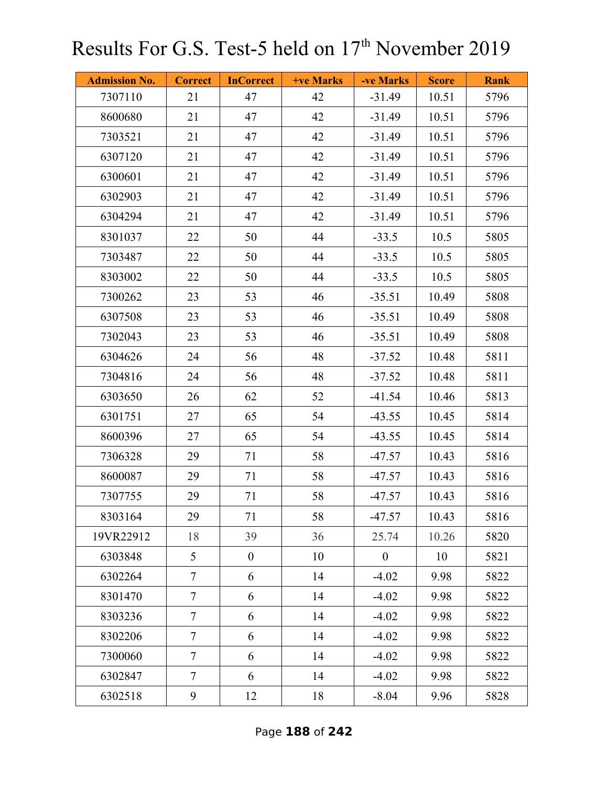| <b>Admission No.</b> | <b>Correct</b> | <b>InCorrect</b> | <b>+ve Marks</b> | -ve Marks      | <b>Score</b> | <b>Rank</b> |
|----------------------|----------------|------------------|------------------|----------------|--------------|-------------|
| 7307110              | 21             | 47               | 42               | $-31.49$       | 10.51        | 5796        |
| 8600680              | 21             | 47               | 42               | $-31.49$       | 10.51        | 5796        |
| 7303521              | 21             | 47               | 42               | $-31.49$       | 10.51        | 5796        |
| 6307120              | 21             | 47               | 42               | $-31.49$       | 10.51        | 5796        |
| 6300601              | 21             | 47               | 42               | $-31.49$       | 10.51        | 5796        |
| 6302903              | 21             | 47               | 42               | $-31.49$       | 10.51        | 5796        |
| 6304294              | 21             | 47               | 42               | $-31.49$       | 10.51        | 5796        |
| 8301037              | 22             | 50               | 44               | $-33.5$        | 10.5         | 5805        |
| 7303487              | 22             | 50               | 44               | $-33.5$        | 10.5         | 5805        |
| 8303002              | 22             | 50               | 44               | $-33.5$        | 10.5         | 5805        |
| 7300262              | 23             | 53               | 46               | $-35.51$       | 10.49        | 5808        |
| 6307508              | 23             | 53               | 46               | $-35.51$       | 10.49        | 5808        |
| 7302043              | 23             | 53               | 46               | $-35.51$       | 10.49        | 5808        |
| 6304626              | 24             | 56               | 48               | $-37.52$       | 10.48        | 5811        |
| 7304816              | 24             | 56               | 48               | $-37.52$       | 10.48        | 5811        |
| 6303650              | 26             | 62               | 52               | $-41.54$       | 10.46        | 5813        |
| 6301751              | 27             | 65               | 54               | $-43.55$       | 10.45        | 5814        |
| 8600396              | 27             | 65               | 54               | $-43.55$       | 10.45        | 5814        |
| 7306328              | 29             | 71               | 58               | -47.57         | 10.43        | 5816        |
| 8600087              | 29             | 71               | 58               | $-47.57$       | 10.43        | 5816        |
| 7307755              | 29             | 71               | 58               | $-47.57$       | 10.43        | 5816        |
| 8303164              | 29             | 71               | 58               | -47.57         | 10.43        | 5816        |
| 19VR22912            | 18             | 39               | 36               | 25.74          | 10.26        | 5820        |
| 6303848              | 5 <sup>5</sup> | $\boldsymbol{0}$ | 10               | $\overline{0}$ | 10           | 5821        |
| 6302264              | $\overline{7}$ | 6                | 14               | $-4.02$        | 9.98         | 5822        |
| 8301470              | $\tau$         | 6                | 14               | $-4.02$        | 9.98         | 5822        |
| 8303236              | $\overline{7}$ | 6                | 14               | $-4.02$        | 9.98         | 5822        |
| 8302206              | $\tau$         | 6                | 14               | $-4.02$        | 9.98         | 5822        |
| 7300060              | $\tau$         | 6                | 14               | $-4.02$        | 9.98         | 5822        |
| 6302847              | $\overline{7}$ | 6                | 14               | $-4.02$        | 9.98         | 5822        |
| 6302518              | 9              | 12               | 18               | $-8.04$        | 9.96         | 5828        |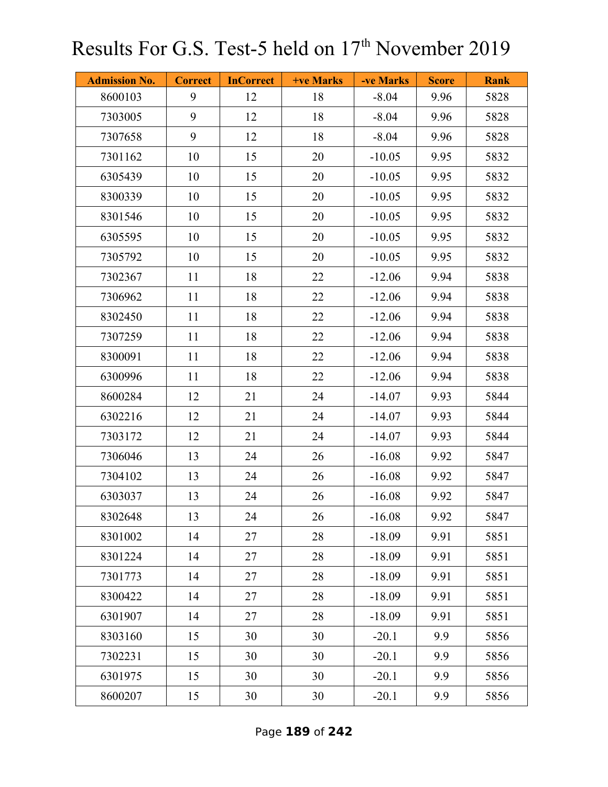| <b>Admission No.</b> | <b>Correct</b> | <b>InCorrect</b> | <b>+ve Marks</b> | -ve Marks | <b>Score</b> | <b>Rank</b> |
|----------------------|----------------|------------------|------------------|-----------|--------------|-------------|
| 8600103              | 9              | 12               | 18               | $-8.04$   | 9.96         | 5828        |
| 7303005              | 9              | 12               | 18               | $-8.04$   | 9.96         | 5828        |
| 7307658              | 9              | 12               | 18               | $-8.04$   | 9.96         | 5828        |
| 7301162              | 10             | 15               | 20               | $-10.05$  | 9.95         | 5832        |
| 6305439              | 10             | 15               | 20               | $-10.05$  | 9.95         | 5832        |
| 8300339              | 10             | 15               | 20               | $-10.05$  | 9.95         | 5832        |
| 8301546              | 10             | 15               | 20               | $-10.05$  | 9.95         | 5832        |
| 6305595              | 10             | 15               | 20               | $-10.05$  | 9.95         | 5832        |
| 7305792              | 10             | 15               | 20               | $-10.05$  | 9.95         | 5832        |
| 7302367              | 11             | 18               | 22               | $-12.06$  | 9.94         | 5838        |
| 7306962              | 11             | 18               | 22               | $-12.06$  | 9.94         | 5838        |
| 8302450              | 11             | 18               | 22               | $-12.06$  | 9.94         | 5838        |
| 7307259              | 11             | 18               | 22               | $-12.06$  | 9.94         | 5838        |
| 8300091              | 11             | 18               | 22               | $-12.06$  | 9.94         | 5838        |
| 6300996              | 11             | 18               | 22               | $-12.06$  | 9.94         | 5838        |
| 8600284              | 12             | 21               | 24               | $-14.07$  | 9.93         | 5844        |
| 6302216              | 12             | 21               | 24               | $-14.07$  | 9.93         | 5844        |
| 7303172              | 12             | 21               | 24               | $-14.07$  | 9.93         | 5844        |
| 7306046              | 13             | 24               | 26               | $-16.08$  | 9.92         | 5847        |
| 7304102              | 13             | 24               | 26               | $-16.08$  | 9.92         | 5847        |
| 6303037              | 13             | 24               | 26               | $-16.08$  | 9.92         | 5847        |
| 8302648              | 13             | 24               | 26               | $-16.08$  | 9.92         | 5847        |
| 8301002              | 14             | 27               | 28               | $-18.09$  | 9.91         | 5851        |
| 8301224              | 14             | 27               | 28               | $-18.09$  | 9.91         | 5851        |
| 7301773              | 14             | 27               | 28               | $-18.09$  | 9.91         | 5851        |
| 8300422              | 14             | 27               | 28               | $-18.09$  | 9.91         | 5851        |
| 6301907              | 14             | 27               | 28               | $-18.09$  | 9.91         | 5851        |
| 8303160              | 15             | 30               | 30               | $-20.1$   | 9.9          | 5856        |
| 7302231              | 15             | 30               | 30               | $-20.1$   | 9.9          | 5856        |
| 6301975              | 15             | 30               | 30               | $-20.1$   | 9.9          | 5856        |
| 8600207              | 15             | 30               | 30               | $-20.1$   | 9.9          | 5856        |

Page **189** of **242**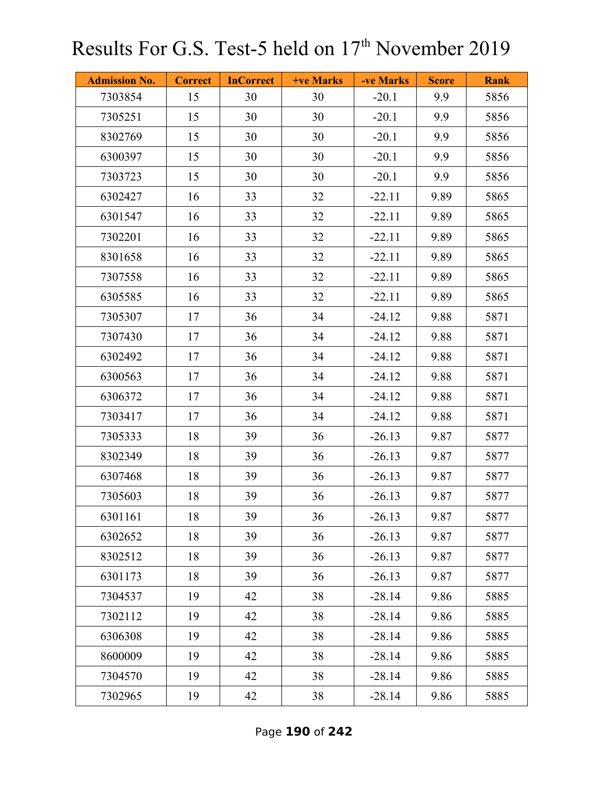| <b>Admission No.</b> | <b>Correct</b> | <b>InCorrect</b> | <b>+ve Marks</b> | -ve Marks | <b>Score</b> | <b>Rank</b> |
|----------------------|----------------|------------------|------------------|-----------|--------------|-------------|
| 7303854              | 15             | 30               | 30               | $-20.1$   | 9.9          | 5856        |
| 7305251              | 15             | 30               | 30               | $-20.1$   | 9.9          | 5856        |
| 8302769              | 15             | 30               | 30               | $-20.1$   | 9.9          | 5856        |
| 6300397              | 15             | 30               | 30               | $-20.1$   | 9.9          | 5856        |
| 7303723              | 15             | 30               | 30               | $-20.1$   | 9.9          | 5856        |
| 6302427              | 16             | 33               | 32               | $-22.11$  | 9.89         | 5865        |
| 6301547              | 16             | 33               | 32               | $-22.11$  | 9.89         | 5865        |
| 7302201              | 16             | 33               | 32               | $-22.11$  | 9.89         | 5865        |
| 8301658              | 16             | 33               | 32               | $-22.11$  | 9.89         | 5865        |
| 7307558              | 16             | 33               | 32               | $-22.11$  | 9.89         | 5865        |
| 6305585              | 16             | 33               | 32               | $-22.11$  | 9.89         | 5865        |
| 7305307              | 17             | 36               | 34               | $-24.12$  | 9.88         | 5871        |
| 7307430              | 17             | 36               | 34               | $-24.12$  | 9.88         | 5871        |
| 6302492              | 17             | 36               | 34               | $-24.12$  | 9.88         | 5871        |
| 6300563              | 17             | 36               | 34               | $-24.12$  | 9.88         | 5871        |
| 6306372              | 17             | 36               | 34               | $-24.12$  | 9.88         | 5871        |
| 7303417              | 17             | 36               | 34               | $-24.12$  | 9.88         | 5871        |
| 7305333              | 18             | 39               | 36               | $-26.13$  | 9.87         | 5877        |
| 8302349              | 18             | 39               | 36               | $-26.13$  | 9.87         | 5877        |
| 6307468              | 18             | 39               | 36               | $-26.13$  | 9.87         | 5877        |
| 7305603              | 18             | 39               | 36               | $-26.13$  | 9.87         | 5877        |
| 6301161              | 18             | 39               | 36               | $-26.13$  | 9.87         | 5877        |
| 6302652              | 18             | 39               | 36               | $-26.13$  | 9.87         | 5877        |
| 8302512              | 18             | 39               | 36               | $-26.13$  | 9.87         | 5877        |
| 6301173              | 18             | 39               | 36               | $-26.13$  | 9.87         | 5877        |
| 7304537              | 19             | 42               | 38               | $-28.14$  | 9.86         | 5885        |
| 7302112              | 19             | 42               | 38               | $-28.14$  | 9.86         | 5885        |
| 6306308              | 19             | 42               | 38               | $-28.14$  | 9.86         | 5885        |
| 8600009              | 19             | 42               | 38               | $-28.14$  | 9.86         | 5885        |
| 7304570              | 19             | 42               | 38               | $-28.14$  | 9.86         | 5885        |
| 7302965              | 19             | 42               | 38               | $-28.14$  | 9.86         | 5885        |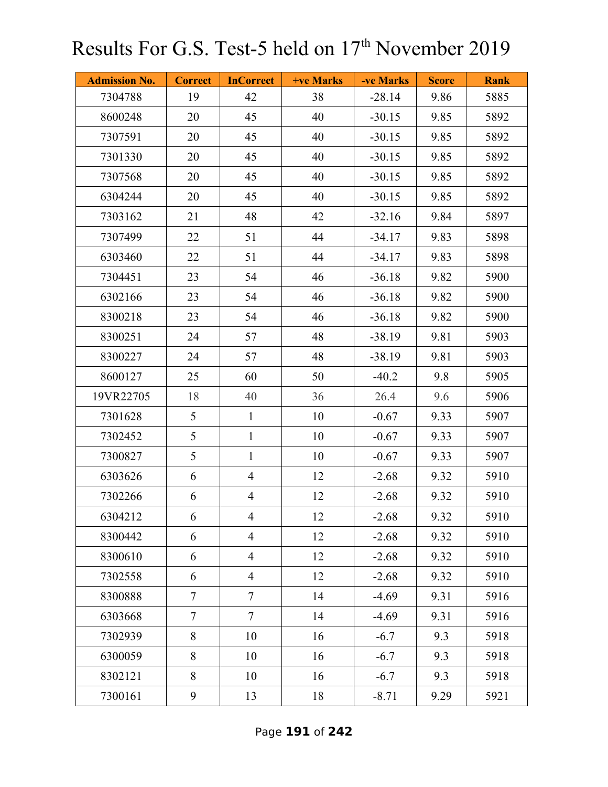| <b>Admission No.</b> | <b>Correct</b> | <b>InCorrect</b> | <b>+ve Marks</b> | -ve Marks | <b>Score</b> | <b>Rank</b> |
|----------------------|----------------|------------------|------------------|-----------|--------------|-------------|
| 7304788              | 19             | 42               | 38               | $-28.14$  | 9.86         | 5885        |
| 8600248              | 20             | 45               | 40               | $-30.15$  | 9.85         | 5892        |
| 7307591              | 20             | 45               | 40               | $-30.15$  | 9.85         | 5892        |
| 7301330              | 20             | 45               | 40               | $-30.15$  | 9.85         | 5892        |
| 7307568              | 20             | 45               | 40               | $-30.15$  | 9.85         | 5892        |
| 6304244              | 20             | 45               | 40               | $-30.15$  | 9.85         | 5892        |
| 7303162              | 21             | 48               | 42               | $-32.16$  | 9.84         | 5897        |
| 7307499              | 22             | 51               | 44               | $-34.17$  | 9.83         | 5898        |
| 6303460              | 22             | 51               | 44               | $-34.17$  | 9.83         | 5898        |
| 7304451              | 23             | 54               | 46               | $-36.18$  | 9.82         | 5900        |
| 6302166              | 23             | 54               | 46               | $-36.18$  | 9.82         | 5900        |
| 8300218              | 23             | 54               | 46               | $-36.18$  | 9.82         | 5900        |
| 8300251              | 24             | 57               | 48               | $-38.19$  | 9.81         | 5903        |
| 8300227              | 24             | 57               | 48               | $-38.19$  | 9.81         | 5903        |
| 8600127              | 25             | 60               | 50               | $-40.2$   | 9.8          | 5905        |
| 19VR22705            | 18             | 40               | 36               | 26.4      | 9.6          | 5906        |
| 7301628              | 5              | $\mathbf{1}$     | 10               | $-0.67$   | 9.33         | 5907        |
| 7302452              | 5              | $\mathbf{1}$     | 10               | $-0.67$   | 9.33         | 5907        |
| 7300827              | 5              | $\mathbf{1}$     | 10               | $-0.67$   | 9.33         | 5907        |
| 6303626              | 6              | $\overline{4}$   | 12               | $-2.68$   | 9.32         | 5910        |
| 7302266              | 6              | $\overline{4}$   | 12               | $-2.68$   | 9.32         | 5910        |
| 6304212              | 6              | $\overline{4}$   | 12               | $-2.68$   | 9.32         | 5910        |
| 8300442              | 6              | $\overline{4}$   | 12               | $-2.68$   | 9.32         | 5910        |
| 8300610              | 6              | $\overline{4}$   | 12               | $-2.68$   | 9.32         | 5910        |
| 7302558              | 6              | $\overline{4}$   | 12               | $-2.68$   | 9.32         | 5910        |
| 8300888              | $\overline{7}$ | $\overline{7}$   | 14               | $-4.69$   | 9.31         | 5916        |
| 6303668              | $\overline{7}$ | $\overline{7}$   | 14               | $-4.69$   | 9.31         | 5916        |
| 7302939              | 8              | 10               | 16               | $-6.7$    | 9.3          | 5918        |
| 6300059              | 8              | 10               | 16               | $-6.7$    | 9.3          | 5918        |
| 8302121              | 8              | 10               | 16               | $-6.7$    | 9.3          | 5918        |
| 7300161              | 9              | 13               | 18               | $-8.71$   | 9.29         | 5921        |

Page **191** of **242**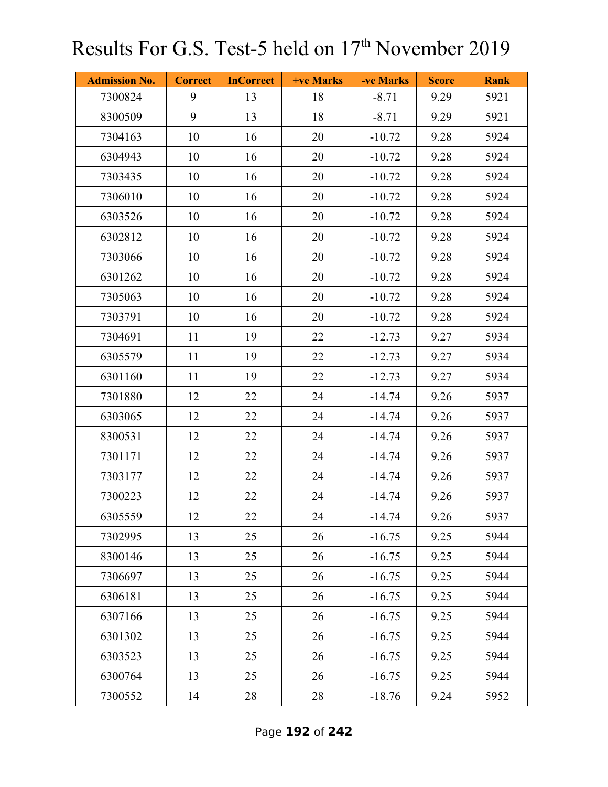| <b>Admission No.</b> | <b>Correct</b> | <b>InCorrect</b> | +ve Marks | -ve Marks | <b>Score</b> | <b>Rank</b> |
|----------------------|----------------|------------------|-----------|-----------|--------------|-------------|
| 7300824              | 9              | 13               | 18        | $-8.71$   | 9.29         | 5921        |
| 8300509              | 9              | 13               | 18        | $-8.71$   | 9.29         | 5921        |
| 7304163              | 10             | 16               | 20        | $-10.72$  | 9.28         | 5924        |
| 6304943              | 10             | 16               | 20        | $-10.72$  | 9.28         | 5924        |
| 7303435              | 10             | 16               | 20        | $-10.72$  | 9.28         | 5924        |
| 7306010              | 10             | 16               | 20        | $-10.72$  | 9.28         | 5924        |
| 6303526              | 10             | 16               | 20        | $-10.72$  | 9.28         | 5924        |
| 6302812              | 10             | 16               | 20        | $-10.72$  | 9.28         | 5924        |
| 7303066              | 10             | 16               | 20        | $-10.72$  | 9.28         | 5924        |
| 6301262              | 10             | 16               | 20        | $-10.72$  | 9.28         | 5924        |
| 7305063              | 10             | 16               | 20        | $-10.72$  | 9.28         | 5924        |
| 7303791              | 10             | 16               | 20        | $-10.72$  | 9.28         | 5924        |
| 7304691              | 11             | 19               | 22        | $-12.73$  | 9.27         | 5934        |
| 6305579              | 11             | 19               | 22        | $-12.73$  | 9.27         | 5934        |
| 6301160              | 11             | 19               | 22        | $-12.73$  | 9.27         | 5934        |
| 7301880              | 12             | 22               | 24        | $-14.74$  | 9.26         | 5937        |
| 6303065              | 12             | 22               | 24        | $-14.74$  | 9.26         | 5937        |
| 8300531              | 12             | 22               | 24        | $-14.74$  | 9.26         | 5937        |
| 7301171              | 12             | 22               | 24        | $-14.74$  | 9.26         | 5937        |
| 7303177              | 12             | 22               | 24        | $-14.74$  | 9.26         | 5937        |
| 7300223              | 12             | 22               | 24        | $-14.74$  | 9.26         | 5937        |
| 6305559              | 12             | 22               | 24        | $-14.74$  | 9.26         | 5937        |
| 7302995              | 13             | 25               | 26        | $-16.75$  | 9.25         | 5944        |
| 8300146              | 13             | 25               | 26        | $-16.75$  | 9.25         | 5944        |
| 7306697              | 13             | 25               | 26        | $-16.75$  | 9.25         | 5944        |
| 6306181              | 13             | 25               | 26        | $-16.75$  | 9.25         | 5944        |
| 6307166              | 13             | 25               | 26        | $-16.75$  | 9.25         | 5944        |
| 6301302              | 13             | 25               | 26        | $-16.75$  | 9.25         | 5944        |
| 6303523              | 13             | 25               | 26        | $-16.75$  | 9.25         | 5944        |
| 6300764              | 13             | 25               | 26        | $-16.75$  | 9.25         | 5944        |
| 7300552              | 14             | 28               | 28        | $-18.76$  | 9.24         | 5952        |

Page **192** of **242**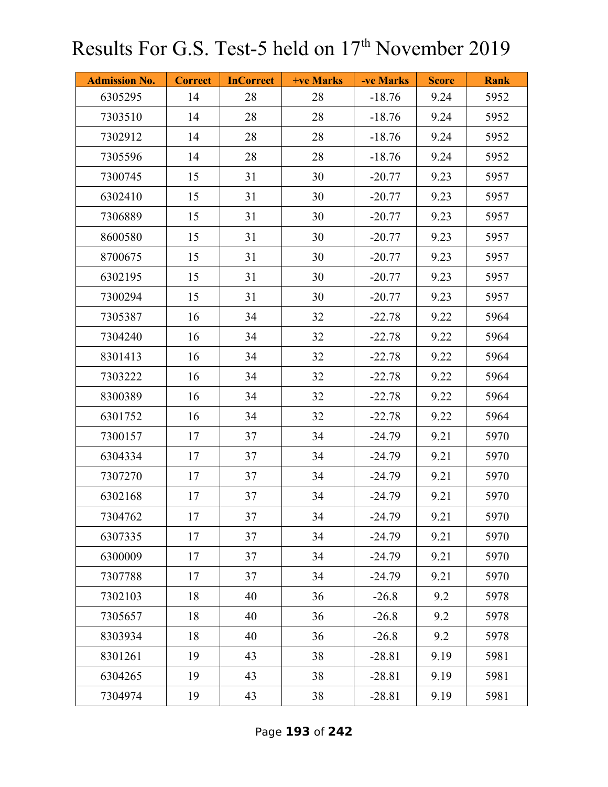| <b>Admission No.</b> | <b>Correct</b> | <b>InCorrect</b> | <b>+ve Marks</b> | -ve Marks | <b>Score</b> | <b>Rank</b> |
|----------------------|----------------|------------------|------------------|-----------|--------------|-------------|
| 6305295              | 14             | 28               | 28               | $-18.76$  | 9.24         | 5952        |
| 7303510              | 14             | 28               | 28               | $-18.76$  | 9.24         | 5952        |
| 7302912              | 14             | 28               | 28               | $-18.76$  | 9.24         | 5952        |
| 7305596              | 14             | 28               | 28               | $-18.76$  | 9.24         | 5952        |
| 7300745              | 15             | 31               | 30               | $-20.77$  | 9.23         | 5957        |
| 6302410              | 15             | 31               | 30               | $-20.77$  | 9.23         | 5957        |
| 7306889              | 15             | 31               | 30               | $-20.77$  | 9.23         | 5957        |
| 8600580              | 15             | 31               | 30               | $-20.77$  | 9.23         | 5957        |
| 8700675              | 15             | 31               | 30               | $-20.77$  | 9.23         | 5957        |
| 6302195              | 15             | 31               | 30               | $-20.77$  | 9.23         | 5957        |
| 7300294              | 15             | 31               | 30               | $-20.77$  | 9.23         | 5957        |
| 7305387              | 16             | 34               | 32               | $-22.78$  | 9.22         | 5964        |
| 7304240              | 16             | 34               | 32               | $-22.78$  | 9.22         | 5964        |
| 8301413              | 16             | 34               | 32               | $-22.78$  | 9.22         | 5964        |
| 7303222              | 16             | 34               | 32               | $-22.78$  | 9.22         | 5964        |
| 8300389              | 16             | 34               | 32               | $-22.78$  | 9.22         | 5964        |
| 6301752              | 16             | 34               | 32               | $-22.78$  | 9.22         | 5964        |
| 7300157              | 17             | 37               | 34               | $-24.79$  | 9.21         | 5970        |
| 6304334              | 17             | 37               | 34               | $-24.79$  | 9.21         | 5970        |
| 7307270              | 17             | 37               | 34               | $-24.79$  | 9.21         | 5970        |
| 6302168              | 17             | 37               | 34               | $-24.79$  | 9.21         | 5970        |
| 7304762              | 17             | 37               | 34               | $-24.79$  | 9.21         | 5970        |
| 6307335              | 17             | 37               | 34               | $-24.79$  | 9.21         | 5970        |
| 6300009              | 17             | 37               | 34               | $-24.79$  | 9.21         | 5970        |
| 7307788              | 17             | 37               | 34               | $-24.79$  | 9.21         | 5970        |
| 7302103              | 18             | 40               | 36               | $-26.8$   | 9.2          | 5978        |
| 7305657              | 18             | 40               | 36               | $-26.8$   | 9.2          | 5978        |
| 8303934              | 18             | 40               | 36               | $-26.8$   | 9.2          | 5978        |
| 8301261              | 19             | 43               | 38               | $-28.81$  | 9.19         | 5981        |
| 6304265              | 19             | 43               | 38               | $-28.81$  | 9.19         | 5981        |
| 7304974              | 19             | 43               | 38               | $-28.81$  | 9.19         | 5981        |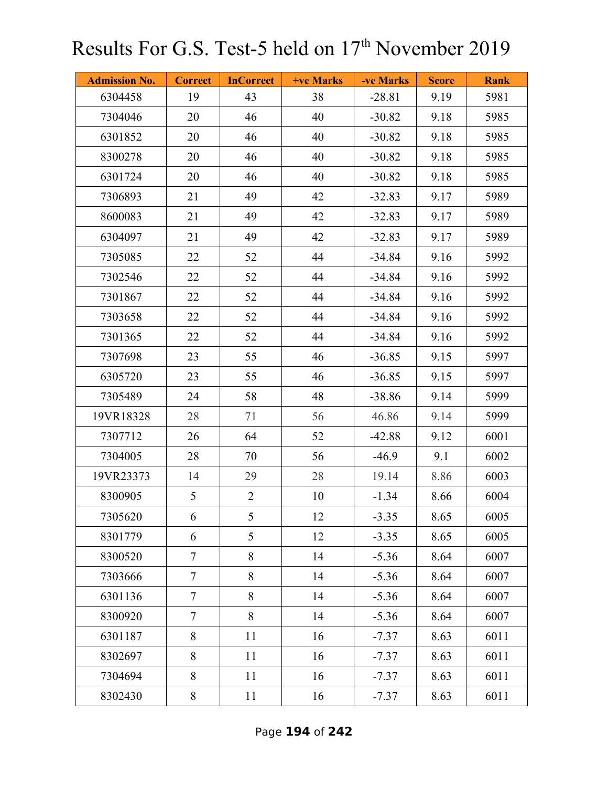| <b>Admission No.</b> | <b>Correct</b> | <b>InCorrect</b> | +ve Marks | -ve Marks | <b>Score</b> | <b>Rank</b> |
|----------------------|----------------|------------------|-----------|-----------|--------------|-------------|
| 6304458              | 19             | 43               | 38        | $-28.81$  | 9.19         | 5981        |
| 7304046              | 20             | 46               | 40        | $-30.82$  | 9.18         | 5985        |
| 6301852              | 20             | 46               | 40        | $-30.82$  | 9.18         | 5985        |
| 8300278              | 20             | 46               | 40        | $-30.82$  | 9.18         | 5985        |
| 6301724              | 20             | 46               | 40        | $-30.82$  | 9.18         | 5985        |
| 7306893              | 21             | 49               | 42        | $-32.83$  | 9.17         | 5989        |
| 8600083              | 21             | 49               | 42        | $-32.83$  | 9.17         | 5989        |
| 6304097              | 21             | 49               | 42        | $-32.83$  | 9.17         | 5989        |
| 7305085              | 22             | 52               | 44        | $-34.84$  | 9.16         | 5992        |
| 7302546              | 22             | 52               | 44        | $-34.84$  | 9.16         | 5992        |
| 7301867              | 22             | 52               | 44        | $-34.84$  | 9.16         | 5992        |
| 7303658              | 22             | 52               | 44        | $-34.84$  | 9.16         | 5992        |
| 7301365              | 22             | 52               | 44        | $-34.84$  | 9.16         | 5992        |
| 7307698              | 23             | 55               | 46        | $-36.85$  | 9.15         | 5997        |
| 6305720              | 23             | 55               | 46        | $-36.85$  | 9.15         | 5997        |
| 7305489              | 24             | 58               | 48        | $-38.86$  | 9.14         | 5999        |
| 19VR18328            | 28             | 71               | 56        | 46.86     | 9.14         | 5999        |
| 7307712              | 26             | 64               | 52        | $-42.88$  | 9.12         | 6001        |
| 7304005              | 28             | 70               | 56        | $-46.9$   | 9.1          | 6002        |
| 19VR23373            | 14             | 29               | 28        | 19.14     | 8.86         | 6003        |
| 8300905              | 5              | $\overline{2}$   | 10        | $-1.34$   | 8.66         | 6004        |
| 7305620              | 6              | 5                | 12        | $-3.35$   | 8.65         | 6005        |
| 8301779              | 6              | 5                | 12        | $-3.35$   | 8.65         | 6005        |
| 8300520              | $\overline{7}$ | 8                | 14        | $-5.36$   | 8.64         | 6007        |
| 7303666              | $\overline{7}$ | 8                | 14        | $-5.36$   | 8.64         | 6007        |
| 6301136              | $\tau$         | 8                | 14        | $-5.36$   | 8.64         | 6007        |
| 8300920              | $\overline{7}$ | 8                | 14        | $-5.36$   | 8.64         | 6007        |
| 6301187              | $8\,$          | 11               | 16        | $-7.37$   | 8.63         | 6011        |
| 8302697              | 8              | 11               | 16        | $-7.37$   | 8.63         | 6011        |
| 7304694              | 8              | 11               | 16        | $-7.37$   | 8.63         | 6011        |
| 8302430              | $8\,$          | 11               | 16        | $-7.37$   | 8.63         | 6011        |

Page **194** of **242**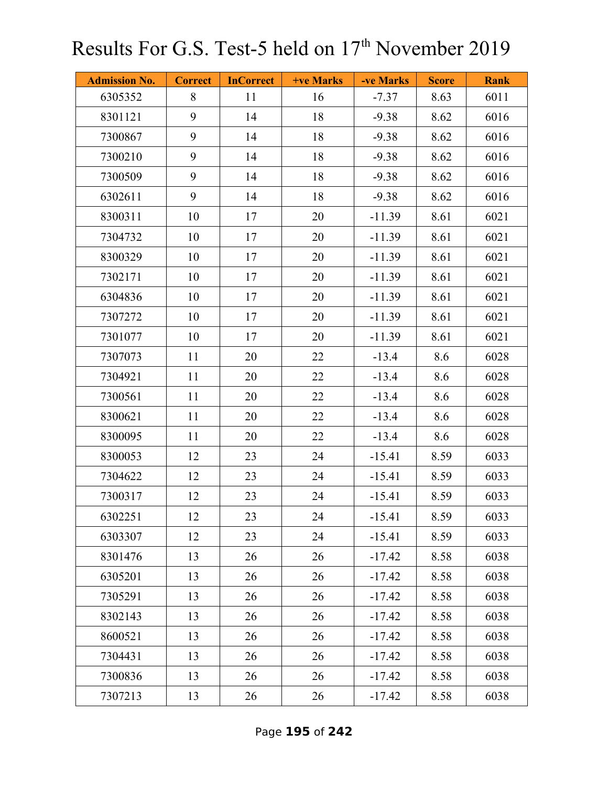| <b>Admission No.</b> | <b>Correct</b> | <b>InCorrect</b> | <b>+ve Marks</b> | -ve Marks | <b>Score</b> | <b>Rank</b> |
|----------------------|----------------|------------------|------------------|-----------|--------------|-------------|
| 6305352              | 8              | 11               | 16               | $-7.37$   | 8.63         | 6011        |
| 8301121              | 9              | 14               | 18               | $-9.38$   | 8.62         | 6016        |
| 7300867              | 9              | 14               | 18               | $-9.38$   | 8.62         | 6016        |
| 7300210              | 9              | 14               | 18               | $-9.38$   | 8.62         | 6016        |
| 7300509              | 9              | 14               | 18               | $-9.38$   | 8.62         | 6016        |
| 6302611              | 9              | 14               | 18               | $-9.38$   | 8.62         | 6016        |
| 8300311              | 10             | 17               | 20               | $-11.39$  | 8.61         | 6021        |
| 7304732              | 10             | 17               | 20               | $-11.39$  | 8.61         | 6021        |
| 8300329              | 10             | 17               | 20               | $-11.39$  | 8.61         | 6021        |
| 7302171              | 10             | 17               | 20               | $-11.39$  | 8.61         | 6021        |
| 6304836              | 10             | 17               | 20               | $-11.39$  | 8.61         | 6021        |
| 7307272              | 10             | 17               | 20               | $-11.39$  | 8.61         | 6021        |
| 7301077              | 10             | 17               | 20               | $-11.39$  | 8.61         | 6021        |
| 7307073              | 11             | 20               | 22               | $-13.4$   | 8.6          | 6028        |
| 7304921              | 11             | 20               | 22               | $-13.4$   | 8.6          | 6028        |
| 7300561              | 11             | 20               | 22               | $-13.4$   | 8.6          | 6028        |
| 8300621              | 11             | 20               | 22               | $-13.4$   | 8.6          | 6028        |
| 8300095              | 11             | 20               | 22               | $-13.4$   | 8.6          | 6028        |
| 8300053              | 12             | 23               | 24               | $-15.41$  | 8.59         | 6033        |
| 7304622              | 12             | 23               | 24               | $-15.41$  | 8.59         | 6033        |
| 7300317              | 12             | 23               | 24               | $-15.41$  | 8.59         | 6033        |
| 6302251              | 12             | 23               | 24               | $-15.41$  | 8.59         | 6033        |
| 6303307              | 12             | 23               | 24               | $-15.41$  | 8.59         | 6033        |
| 8301476              | 13             | 26               | 26               | $-17.42$  | 8.58         | 6038        |
| 6305201              | 13             | 26               | 26               | $-17.42$  | 8.58         | 6038        |
| 7305291              | 13             | 26               | 26               | $-17.42$  | 8.58         | 6038        |
| 8302143              | 13             | 26               | 26               | $-17.42$  | 8.58         | 6038        |
| 8600521              | 13             | 26               | 26               | $-17.42$  | 8.58         | 6038        |
| 7304431              | 13             | 26               | 26               | $-17.42$  | 8.58         | 6038        |
| 7300836              | 13             | 26               | 26               | $-17.42$  | 8.58         | 6038        |
| 7307213              | 13             | 26               | 26               | $-17.42$  | 8.58         | 6038        |

Page **195** of **242**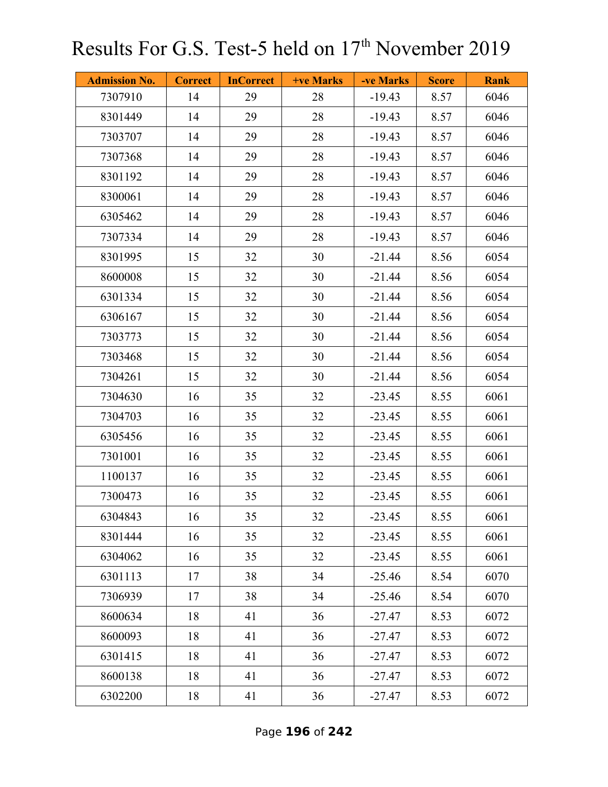| <b>Admission No.</b> | <b>Correct</b> | <b>InCorrect</b> | <b>+ve Marks</b> | -ve Marks | <b>Score</b> | <b>Rank</b> |
|----------------------|----------------|------------------|------------------|-----------|--------------|-------------|
| 7307910              | 14             | 29               | 28               | $-19.43$  | 8.57         | 6046        |
| 8301449              | 14             | 29               | 28               | $-19.43$  | 8.57         | 6046        |
| 7303707              | 14             | 29               | 28               | $-19.43$  | 8.57         | 6046        |
| 7307368              | 14             | 29               | 28               | $-19.43$  | 8.57         | 6046        |
| 8301192              | 14             | 29               | 28               | $-19.43$  | 8.57         | 6046        |
| 8300061              | 14             | 29               | 28               | $-19.43$  | 8.57         | 6046        |
| 6305462              | 14             | 29               | 28               | $-19.43$  | 8.57         | 6046        |
| 7307334              | 14             | 29               | 28               | $-19.43$  | 8.57         | 6046        |
| 8301995              | 15             | 32               | 30               | $-21.44$  | 8.56         | 6054        |
| 8600008              | 15             | 32               | 30               | $-21.44$  | 8.56         | 6054        |
| 6301334              | 15             | 32               | 30               | $-21.44$  | 8.56         | 6054        |
| 6306167              | 15             | 32               | 30               | $-21.44$  | 8.56         | 6054        |
| 7303773              | 15             | 32               | 30               | $-21.44$  | 8.56         | 6054        |
| 7303468              | 15             | 32               | 30               | $-21.44$  | 8.56         | 6054        |
| 7304261              | 15             | 32               | 30               | $-21.44$  | 8.56         | 6054        |
| 7304630              | 16             | 35               | 32               | $-23.45$  | 8.55         | 6061        |
| 7304703              | 16             | 35               | 32               | $-23.45$  | 8.55         | 6061        |
| 6305456              | 16             | 35               | 32               | $-23.45$  | 8.55         | 6061        |
| 7301001              | 16             | 35               | 32               | $-23.45$  | 8.55         | 6061        |
| 1100137              | 16             | 35               | 32               | $-23.45$  | 8.55         | 6061        |
| 7300473              | 16             | 35               | 32               | $-23.45$  | 8.55         | 6061        |
| 6304843              | 16             | 35               | 32               | $-23.45$  | 8.55         | 6061        |
| 8301444              | 16             | 35               | 32               | $-23.45$  | 8.55         | 6061        |
| 6304062              | 16             | 35               | 32               | $-23.45$  | 8.55         | 6061        |
| 6301113              | 17             | 38               | 34               | $-25.46$  | 8.54         | 6070        |
| 7306939              | 17             | 38               | 34               | $-25.46$  | 8.54         | 6070        |
| 8600634              | 18             | 41               | 36               | $-27.47$  | 8.53         | 6072        |
| 8600093              | 18             | 41               | 36               | $-27.47$  | 8.53         | 6072        |
| 6301415              | 18             | 41               | 36               | $-27.47$  | 8.53         | 6072        |
| 8600138              | 18             | 41               | 36               | $-27.47$  | 8.53         | 6072        |
| 6302200              | 18             | 41               | 36               | $-27.47$  | 8.53         | 6072        |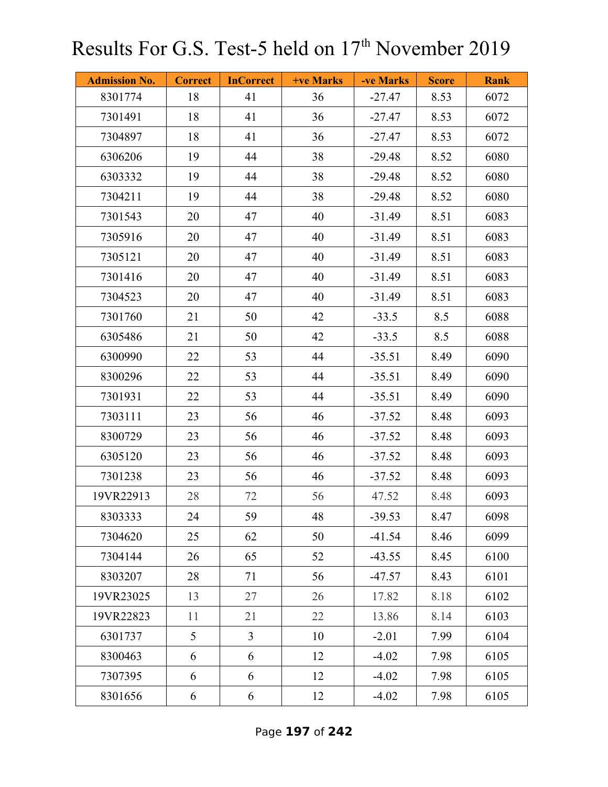| <b>Admission No.</b> | <b>Correct</b> | <b>InCorrect</b> | +ve Marks | -ve Marks | <b>Score</b> | <b>Rank</b> |
|----------------------|----------------|------------------|-----------|-----------|--------------|-------------|
| 8301774              | 18             | 41               | 36        | $-27.47$  | 8.53         | 6072        |
| 7301491              | 18             | 41               | 36        | $-27.47$  | 8.53         | 6072        |
| 7304897              | 18             | 41               | 36        | $-27.47$  | 8.53         | 6072        |
| 6306206              | 19             | 44               | 38        | $-29.48$  | 8.52         | 6080        |
| 6303332              | 19             | 44               | 38        | $-29.48$  | 8.52         | 6080        |
| 7304211              | 19             | 44               | 38        | $-29.48$  | 8.52         | 6080        |
| 7301543              | 20             | 47               | 40        | $-31.49$  | 8.51         | 6083        |
| 7305916              | 20             | 47               | 40        | $-31.49$  | 8.51         | 6083        |
| 7305121              | 20             | 47               | 40        | $-31.49$  | 8.51         | 6083        |
| 7301416              | 20             | 47               | 40        | $-31.49$  | 8.51         | 6083        |
| 7304523              | 20             | 47               | 40        | $-31.49$  | 8.51         | 6083        |
| 7301760              | 21             | 50               | 42        | $-33.5$   | 8.5          | 6088        |
| 6305486              | 21             | 50               | 42        | $-33.5$   | 8.5          | 6088        |
| 6300990              | 22             | 53               | 44        | $-35.51$  | 8.49         | 6090        |
| 8300296              | 22             | 53               | 44        | $-35.51$  | 8.49         | 6090        |
| 7301931              | 22             | 53               | 44        | $-35.51$  | 8.49         | 6090        |
| 7303111              | 23             | 56               | 46        | $-37.52$  | 8.48         | 6093        |
| 8300729              | 23             | 56               | 46        | $-37.52$  | 8.48         | 6093        |
| 6305120              | 23             | 56               | 46        | $-37.52$  | 8.48         | 6093        |
| 7301238              | 23             | 56               | 46        | $-37.52$  | 8.48         | 6093        |
| 19VR22913            | 28             | 72               | 56        | 47.52     | 8.48         | 6093        |
| 8303333              | 24             | 59               | 48        | $-39.53$  | 8.47         | 6098        |
| 7304620              | 25             | 62               | 50        | $-41.54$  | 8.46         | 6099        |
| 7304144              | 26             | 65               | 52        | $-43.55$  | 8.45         | 6100        |
| 8303207              | 28             | 71               | 56        | $-47.57$  | 8.43         | 6101        |
| 19VR23025            | 13             | 27               | 26        | 17.82     | 8.18         | 6102        |
| 19VR22823            | 11             | 21               | 22        | 13.86     | 8.14         | 6103        |
| 6301737              | 5              | $\overline{3}$   | 10        | $-2.01$   | 7.99         | 6104        |
| 8300463              | 6              | 6                | 12        | $-4.02$   | 7.98         | 6105        |
| 7307395              | 6              | 6                | 12        | $-4.02$   | 7.98         | 6105        |
| 8301656              | 6              | 6                | 12        | $-4.02$   | 7.98         | 6105        |

Page **197** of **242**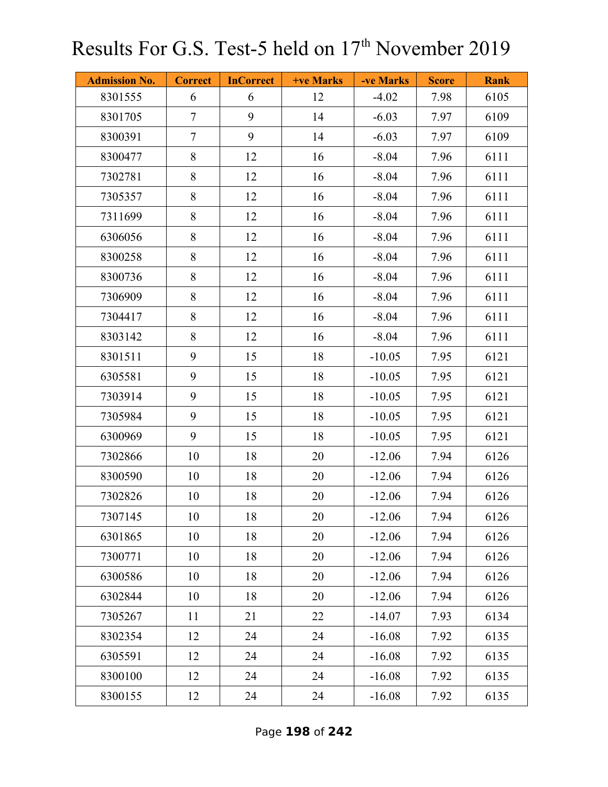| <b>Admission No.</b> | <b>Correct</b> | <b>InCorrect</b> | <b>+ve Marks</b> | -ve Marks | <b>Score</b> | <b>Rank</b> |
|----------------------|----------------|------------------|------------------|-----------|--------------|-------------|
| 8301555              | 6              | 6                | 12               | $-4.02$   | 7.98         | 6105        |
| 8301705              | $\tau$         | 9                | 14               | $-6.03$   | 7.97         | 6109        |
| 8300391              | $\overline{7}$ | 9                | 14               | $-6.03$   | 7.97         | 6109        |
| 8300477              | 8              | 12               | 16               | $-8.04$   | 7.96         | 6111        |
| 7302781              | 8              | 12               | 16               | $-8.04$   | 7.96         | 6111        |
| 7305357              | 8              | 12               | 16               | $-8.04$   | 7.96         | 6111        |
| 7311699              | 8              | 12               | 16               | $-8.04$   | 7.96         | 6111        |
| 6306056              | 8              | 12               | 16               | $-8.04$   | 7.96         | 6111        |
| 8300258              | 8              | 12               | 16               | $-8.04$   | 7.96         | 6111        |
| 8300736              | 8              | 12               | 16               | $-8.04$   | 7.96         | 6111        |
| 7306909              | 8              | 12               | 16               | $-8.04$   | 7.96         | 6111        |
| 7304417              | 8              | 12               | 16               | $-8.04$   | 7.96         | 6111        |
| 8303142              | 8              | 12               | 16               | $-8.04$   | 7.96         | 6111        |
| 8301511              | 9              | 15               | 18               | $-10.05$  | 7.95         | 6121        |
| 6305581              | 9              | 15               | 18               | $-10.05$  | 7.95         | 6121        |
| 7303914              | 9              | 15               | 18               | $-10.05$  | 7.95         | 6121        |
| 7305984              | 9              | 15               | 18               | $-10.05$  | 7.95         | 6121        |
| 6300969              | 9              | 15               | 18               | $-10.05$  | 7.95         | 6121        |
| 7302866              | 10             | 18               | 20               | $-12.06$  | 7.94         | 6126        |
| 8300590              | 10             | 18               | 20               | $-12.06$  | 7.94         | 6126        |
| 7302826              | 10             | 18               | 20               | $-12.06$  | 7.94         | 6126        |
| 7307145              | 10             | 18               | 20               | $-12.06$  | 7.94         | 6126        |
| 6301865              | 10             | 18               | 20               | $-12.06$  | 7.94         | 6126        |
| 7300771              | 10             | 18               | 20               | $-12.06$  | 7.94         | 6126        |
| 6300586              | 10             | 18               | 20               | $-12.06$  | 7.94         | 6126        |
| 6302844              | 10             | 18               | 20               | $-12.06$  | 7.94         | 6126        |
| 7305267              | 11             | 21               | 22               | $-14.07$  | 7.93         | 6134        |
| 8302354              | 12             | 24               | 24               | $-16.08$  | 7.92         | 6135        |
| 6305591              | 12             | 24               | 24               | $-16.08$  | 7.92         | 6135        |
| 8300100              | 12             | 24               | 24               | $-16.08$  | 7.92         | 6135        |
| 8300155              | 12             | 24               | 24               | $-16.08$  | 7.92         | 6135        |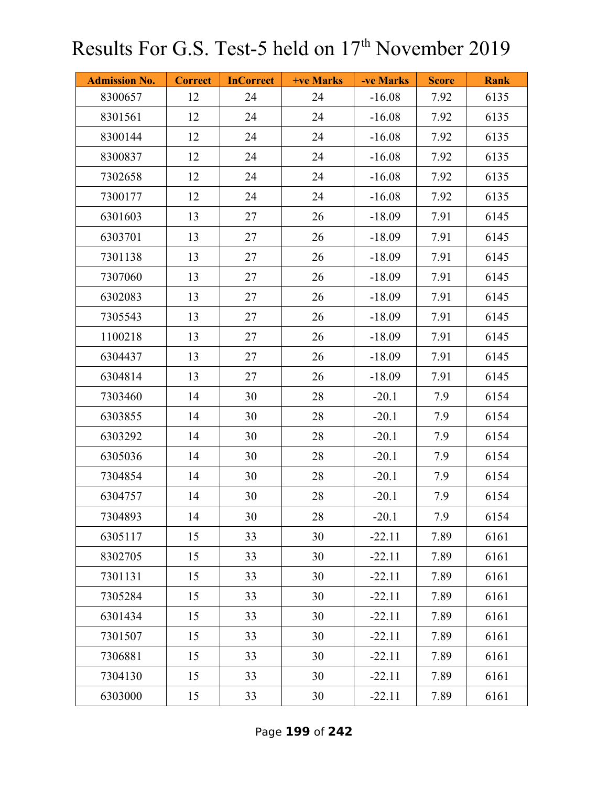| <b>Admission No.</b> | <b>Correct</b> | <b>InCorrect</b> | <b>+ve Marks</b> | -ve Marks | <b>Score</b> | <b>Rank</b> |
|----------------------|----------------|------------------|------------------|-----------|--------------|-------------|
| 8300657              | 12             | 24               | 24               | $-16.08$  | 7.92         | 6135        |
| 8301561              | 12             | 24               | 24               | $-16.08$  | 7.92         | 6135        |
| 8300144              | 12             | 24               | 24               | $-16.08$  | 7.92         | 6135        |
| 8300837              | 12             | 24               | 24               | $-16.08$  | 7.92         | 6135        |
| 7302658              | 12             | 24               | 24               | $-16.08$  | 7.92         | 6135        |
| 7300177              | 12             | 24               | 24               | $-16.08$  | 7.92         | 6135        |
| 6301603              | 13             | 27               | 26               | $-18.09$  | 7.91         | 6145        |
| 6303701              | 13             | 27               | 26               | $-18.09$  | 7.91         | 6145        |
| 7301138              | 13             | 27               | 26               | $-18.09$  | 7.91         | 6145        |
| 7307060              | 13             | 27               | 26               | $-18.09$  | 7.91         | 6145        |
| 6302083              | 13             | 27               | 26               | $-18.09$  | 7.91         | 6145        |
| 7305543              | 13             | 27               | 26               | $-18.09$  | 7.91         | 6145        |
| 1100218              | 13             | 27               | 26               | $-18.09$  | 7.91         | 6145        |
| 6304437              | 13             | 27               | 26               | $-18.09$  | 7.91         | 6145        |
| 6304814              | 13             | 27               | 26               | $-18.09$  | 7.91         | 6145        |
| 7303460              | 14             | 30               | 28               | $-20.1$   | 7.9          | 6154        |
| 6303855              | 14             | 30               | 28               | $-20.1$   | 7.9          | 6154        |
| 6303292              | 14             | 30               | 28               | $-20.1$   | 7.9          | 6154        |
| 6305036              | 14             | 30               | 28               | $-20.1$   | 7.9          | 6154        |
| 7304854              | 14             | 30               | 28               | $-20.1$   | 7.9          | 6154        |
| 6304757              | 14             | 30               | 28               | $-20.1$   | 7.9          | 6154        |
| 7304893              | 14             | 30               | 28               | $-20.1$   | 7.9          | 6154        |
| 6305117              | 15             | 33               | 30               | $-22.11$  | 7.89         | 6161        |
| 8302705              | 15             | 33               | 30               | $-22.11$  | 7.89         | 6161        |
| 7301131              | 15             | 33               | 30               | $-22.11$  | 7.89         | 6161        |
| 7305284              | 15             | 33               | 30               | $-22.11$  | 7.89         | 6161        |
| 6301434              | 15             | 33               | 30               | $-22.11$  | 7.89         | 6161        |
| 7301507              | 15             | 33               | 30               | $-22.11$  | 7.89         | 6161        |
| 7306881              | 15             | 33               | 30               | $-22.11$  | 7.89         | 6161        |
| 7304130              | 15             | 33               | 30               | $-22.11$  | 7.89         | 6161        |
| 6303000              | 15             | 33               | 30               | $-22.11$  | 7.89         | 6161        |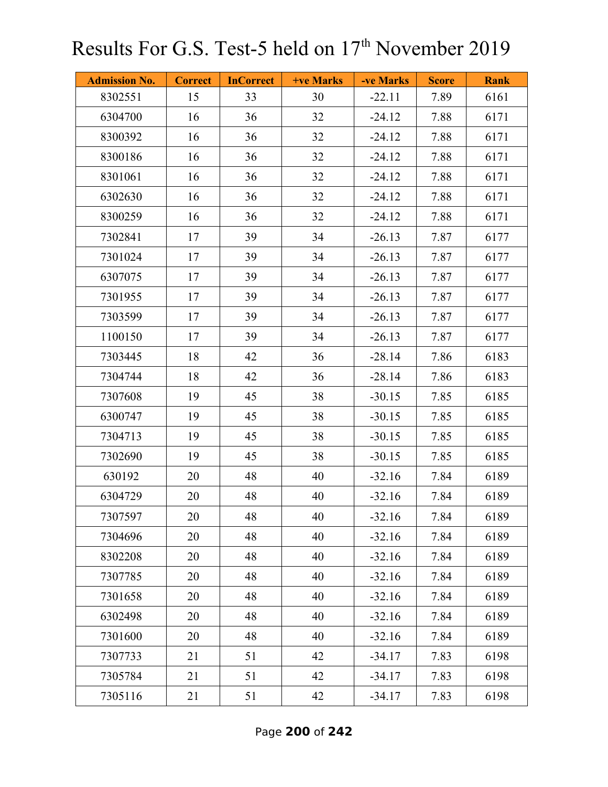| <b>Admission No.</b> | <b>Correct</b> | <b>InCorrect</b> | <b>+ve Marks</b> | -ve Marks | <b>Score</b> | <b>Rank</b> |
|----------------------|----------------|------------------|------------------|-----------|--------------|-------------|
| 8302551              | 15             | 33               | 30               | $-22.11$  | 7.89         | 6161        |
| 6304700              | 16             | 36               | 32               | $-24.12$  | 7.88         | 6171        |
| 8300392              | 16             | 36               | 32               | $-24.12$  | 7.88         | 6171        |
| 8300186              | 16             | 36               | 32               | $-24.12$  | 7.88         | 6171        |
| 8301061              | 16             | 36               | 32               | $-24.12$  | 7.88         | 6171        |
| 6302630              | 16             | 36               | 32               | $-24.12$  | 7.88         | 6171        |
| 8300259              | 16             | 36               | 32               | $-24.12$  | 7.88         | 6171        |
| 7302841              | 17             | 39               | 34               | $-26.13$  | 7.87         | 6177        |
| 7301024              | 17             | 39               | 34               | $-26.13$  | 7.87         | 6177        |
| 6307075              | 17             | 39               | 34               | $-26.13$  | 7.87         | 6177        |
| 7301955              | 17             | 39               | 34               | $-26.13$  | 7.87         | 6177        |
| 7303599              | 17             | 39               | 34               | $-26.13$  | 7.87         | 6177        |
| 1100150              | 17             | 39               | 34               | $-26.13$  | 7.87         | 6177        |
| 7303445              | 18             | 42               | 36               | $-28.14$  | 7.86         | 6183        |
| 7304744              | 18             | 42               | 36               | $-28.14$  | 7.86         | 6183        |
| 7307608              | 19             | 45               | 38               | $-30.15$  | 7.85         | 6185        |
| 6300747              | 19             | 45               | 38               | $-30.15$  | 7.85         | 6185        |
| 7304713              | 19             | 45               | 38               | $-30.15$  | 7.85         | 6185        |
| 7302690              | 19             | 45               | 38               | $-30.15$  | 7.85         | 6185        |
| 630192               | 20             | 48               | 40               | $-32.16$  | 7.84         | 6189        |
| 6304729              | 20             | 48               | 40               | $-32.16$  | 7.84         | 6189        |
| 7307597              | 20             | 48               | 40               | $-32.16$  | 7.84         | 6189        |
| 7304696              | 20             | 48               | 40               | $-32.16$  | 7.84         | 6189        |
| 8302208              | 20             | 48               | 40               | $-32.16$  | 7.84         | 6189        |
| 7307785              | 20             | 48               | 40               | $-32.16$  | 7.84         | 6189        |
| 7301658              | 20             | 48               | 40               | $-32.16$  | 7.84         | 6189        |
| 6302498              | 20             | 48               | 40               | $-32.16$  | 7.84         | 6189        |
| 7301600              | 20             | 48               | 40               | $-32.16$  | 7.84         | 6189        |
| 7307733              | 21             | 51               | 42               | $-34.17$  | 7.83         | 6198        |
| 7305784              | 21             | 51               | 42               | $-34.17$  | 7.83         | 6198        |
| 7305116              | 21             | 51               | 42               | $-34.17$  | 7.83         | 6198        |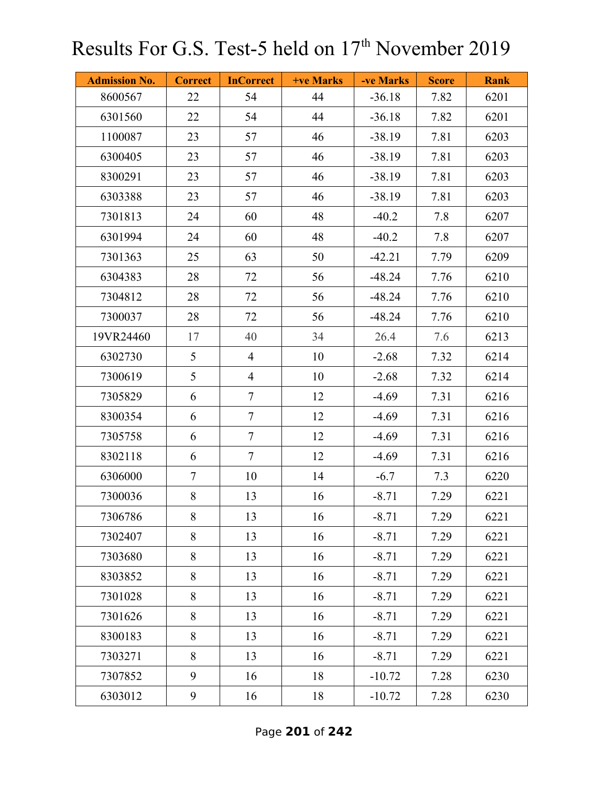| <b>Admission No.</b> | <b>Correct</b> | <b>InCorrect</b> | +ve Marks | -ve Marks | <b>Score</b> | <b>Rank</b> |
|----------------------|----------------|------------------|-----------|-----------|--------------|-------------|
| 8600567              | 22             | 54               | 44        | $-36.18$  | 7.82         | 6201        |
| 6301560              | 22             | 54               | 44        | $-36.18$  | 7.82         | 6201        |
| 1100087              | 23             | 57               | 46        | $-38.19$  | 7.81         | 6203        |
| 6300405              | 23             | 57               | 46        | $-38.19$  | 7.81         | 6203        |
| 8300291              | 23             | 57               | 46        | $-38.19$  | 7.81         | 6203        |
| 6303388              | 23             | 57               | 46        | $-38.19$  | 7.81         | 6203        |
| 7301813              | 24             | 60               | 48        | $-40.2$   | 7.8          | 6207        |
| 6301994              | 24             | 60               | 48        | $-40.2$   | 7.8          | 6207        |
| 7301363              | 25             | 63               | 50        | $-42.21$  | 7.79         | 6209        |
| 6304383              | 28             | 72               | 56        | $-48.24$  | 7.76         | 6210        |
| 7304812              | 28             | 72               | 56        | $-48.24$  | 7.76         | 6210        |
| 7300037              | 28             | 72               | 56        | $-48.24$  | 7.76         | 6210        |
| 19VR24460            | 17             | 40               | 34        | 26.4      | 7.6          | 6213        |
| 6302730              | 5              | $\overline{4}$   | 10        | $-2.68$   | 7.32         | 6214        |
| 7300619              | 5              | $\overline{4}$   | 10        | $-2.68$   | 7.32         | 6214        |
| 7305829              | 6              | $\tau$           | 12        | $-4.69$   | 7.31         | 6216        |
| 8300354              | 6              | $\tau$           | 12        | $-4.69$   | 7.31         | 6216        |
| 7305758              | 6              | $\tau$           | 12        | $-4.69$   | 7.31         | 6216        |
| 8302118              | 6              | $\tau$           | 12        | $-4.69$   | 7.31         | 6216        |
| 6306000              | $\overline{7}$ | 10               | 14        | $-6.7$    | 7.3          | 6220        |
| 7300036              | 8              | 13               | 16        | $-8.71$   | 7.29         | 6221        |
| 7306786              | 8              | 13               | 16        | $-8.71$   | 7.29         | 6221        |
| 7302407              | 8              | 13               | 16        | $-8.71$   | 7.29         | 6221        |
| 7303680              | 8              | 13               | 16        | $-8.71$   | 7.29         | 6221        |
| 8303852              | 8              | 13               | 16        | $-8.71$   | 7.29         | 6221        |
| 7301028              | 8              | 13               | 16        | $-8.71$   | 7.29         | 6221        |
| 7301626              | 8              | 13               | 16        | $-8.71$   | 7.29         | 6221        |
| 8300183              | 8              | 13               | 16        | $-8.71$   | 7.29         | 6221        |
| 7303271              | 8              | 13               | 16        | $-8.71$   | 7.29         | 6221        |
| 7307852              | 9              | 16               | 18        | $-10.72$  | 7.28         | 6230        |
| 6303012              | 9              | 16               | 18        | $-10.72$  | 7.28         | 6230        |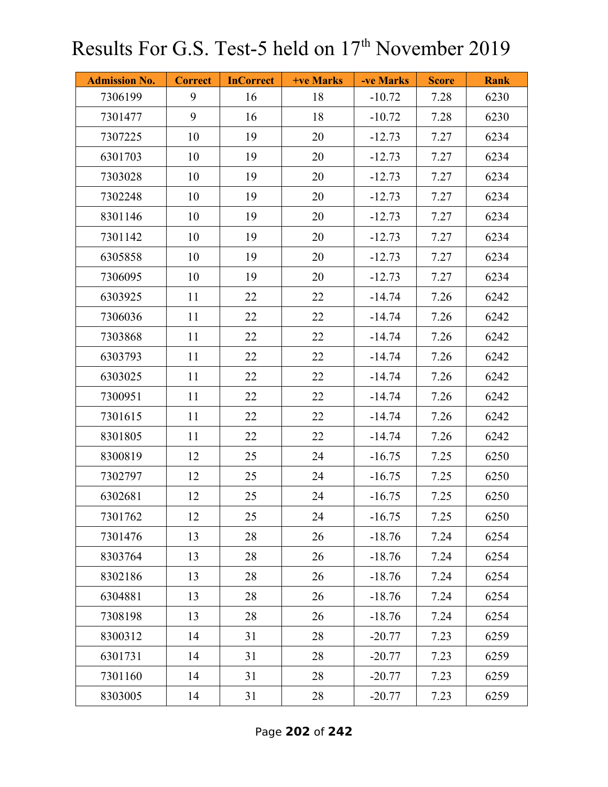| <b>Admission No.</b> | <b>Correct</b> | <b>InCorrect</b> | <b>+ve Marks</b> | -ve Marks | <b>Score</b> | <b>Rank</b> |
|----------------------|----------------|------------------|------------------|-----------|--------------|-------------|
| 7306199              | 9              | 16               | 18               | $-10.72$  | 7.28         | 6230        |
| 7301477              | 9              | 16               | 18               | $-10.72$  | 7.28         | 6230        |
| 7307225              | 10             | 19               | 20               | $-12.73$  | 7.27         | 6234        |
| 6301703              | 10             | 19               | 20               | $-12.73$  | 7.27         | 6234        |
| 7303028              | 10             | 19               | 20               | $-12.73$  | 7.27         | 6234        |
| 7302248              | 10             | 19               | 20               | $-12.73$  | 7.27         | 6234        |
| 8301146              | 10             | 19               | 20               | $-12.73$  | 7.27         | 6234        |
| 7301142              | 10             | 19               | 20               | $-12.73$  | 7.27         | 6234        |
| 6305858              | 10             | 19               | 20               | $-12.73$  | 7.27         | 6234        |
| 7306095              | 10             | 19               | 20               | $-12.73$  | 7.27         | 6234        |
| 6303925              | 11             | 22               | 22               | $-14.74$  | 7.26         | 6242        |
| 7306036              | 11             | 22               | 22               | $-14.74$  | 7.26         | 6242        |
| 7303868              | 11             | 22               | 22               | $-14.74$  | 7.26         | 6242        |
| 6303793              | 11             | 22               | 22               | $-14.74$  | 7.26         | 6242        |
| 6303025              | 11             | 22               | 22               | $-14.74$  | 7.26         | 6242        |
| 7300951              | 11             | 22               | 22               | $-14.74$  | 7.26         | 6242        |
| 7301615              | 11             | 22               | 22               | $-14.74$  | 7.26         | 6242        |
| 8301805              | 11             | 22               | 22               | $-14.74$  | 7.26         | 6242        |
| 8300819              | 12             | 25               | 24               | $-16.75$  | 7.25         | 6250        |
| 7302797              | 12             | 25               | 24               | $-16.75$  | 7.25         | 6250        |
| 6302681              | 12             | 25               | 24               | $-16.75$  | 7.25         | 6250        |
| 7301762              | 12             | 25               | 24               | $-16.75$  | 7.25         | 6250        |
| 7301476              | 13             | 28               | 26               | $-18.76$  | 7.24         | 6254        |
| 8303764              | 13             | 28               | 26               | $-18.76$  | 7.24         | 6254        |
| 8302186              | 13             | 28               | 26               | $-18.76$  | 7.24         | 6254        |
| 6304881              | 13             | 28               | 26               | $-18.76$  | 7.24         | 6254        |
| 7308198              | 13             | 28               | 26               | $-18.76$  | 7.24         | 6254        |
| 8300312              | 14             | 31               | 28               | $-20.77$  | 7.23         | 6259        |
| 6301731              | 14             | 31               | 28               | $-20.77$  | 7.23         | 6259        |
| 7301160              | 14             | 31               | 28               | $-20.77$  | 7.23         | 6259        |
| 8303005              | 14             | 31               | 28               | $-20.77$  | 7.23         | 6259        |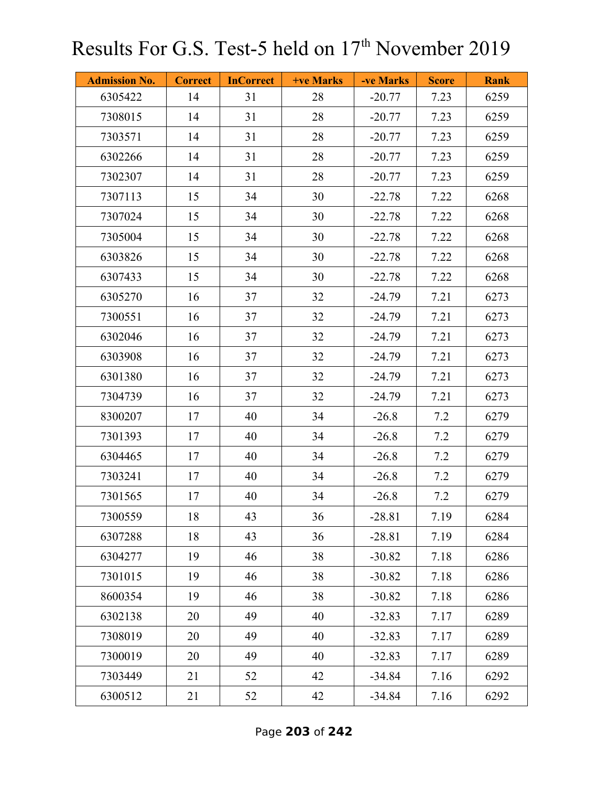| <b>Admission No.</b> | <b>Correct</b> | <b>InCorrect</b> | <b>+ve Marks</b> | -ve Marks | <b>Score</b> | <b>Rank</b> |
|----------------------|----------------|------------------|------------------|-----------|--------------|-------------|
| 6305422              | 14             | 31               | 28               | $-20.77$  | 7.23         | 6259        |
| 7308015              | 14             | 31               | 28               | $-20.77$  | 7.23         | 6259        |
| 7303571              | 14             | 31               | 28               | $-20.77$  | 7.23         | 6259        |
| 6302266              | 14             | 31               | 28               | $-20.77$  | 7.23         | 6259        |
| 7302307              | 14             | 31               | 28               | $-20.77$  | 7.23         | 6259        |
| 7307113              | 15             | 34               | 30               | $-22.78$  | 7.22         | 6268        |
| 7307024              | 15             | 34               | 30               | $-22.78$  | 7.22         | 6268        |
| 7305004              | 15             | 34               | 30               | $-22.78$  | 7.22         | 6268        |
| 6303826              | 15             | 34               | 30               | $-22.78$  | 7.22         | 6268        |
| 6307433              | 15             | 34               | 30               | $-22.78$  | 7.22         | 6268        |
| 6305270              | 16             | 37               | 32               | $-24.79$  | 7.21         | 6273        |
| 7300551              | 16             | 37               | 32               | $-24.79$  | 7.21         | 6273        |
| 6302046              | 16             | 37               | 32               | $-24.79$  | 7.21         | 6273        |
| 6303908              | 16             | 37               | 32               | $-24.79$  | 7.21         | 6273        |
| 6301380              | 16             | 37               | 32               | $-24.79$  | 7.21         | 6273        |
| 7304739              | 16             | 37               | 32               | $-24.79$  | 7.21         | 6273        |
| 8300207              | 17             | 40               | 34               | $-26.8$   | 7.2          | 6279        |
| 7301393              | 17             | 40               | 34               | $-26.8$   | 7.2          | 6279        |
| 6304465              | 17             | 40               | 34               | $-26.8$   | 7.2          | 6279        |
| 7303241              | 17             | 40               | 34               | $-26.8$   | 7.2          | 6279        |
| 7301565              | 17             | 40               | 34               | $-26.8$   | 7.2          | 6279        |
| 7300559              | 18             | 43               | 36               | $-28.81$  | 7.19         | 6284        |
| 6307288              | 18             | 43               | 36               | $-28.81$  | 7.19         | 6284        |
| 6304277              | 19             | 46               | 38               | $-30.82$  | 7.18         | 6286        |
| 7301015              | 19             | 46               | 38               | $-30.82$  | 7.18         | 6286        |
| 8600354              | 19             | 46               | 38               | $-30.82$  | 7.18         | 6286        |
| 6302138              | 20             | 49               | 40               | $-32.83$  | 7.17         | 6289        |
| 7308019              | 20             | 49               | 40               | $-32.83$  | 7.17         | 6289        |
| 7300019              | 20             | 49               | 40               | $-32.83$  | 7.17         | 6289        |
| 7303449              | 21             | 52               | 42               | $-34.84$  | 7.16         | 6292        |
| 6300512              | 21             | 52               | 42               | $-34.84$  | 7.16         | 6292        |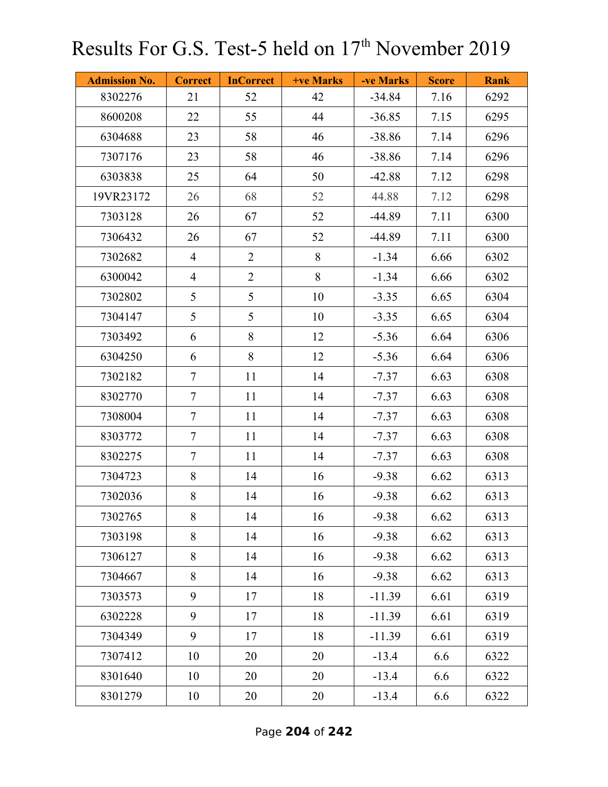| <b>Admission No.</b> | <b>Correct</b> | <b>InCorrect</b> | <b>+ve Marks</b> | -ve Marks | <b>Score</b> | <b>Rank</b> |
|----------------------|----------------|------------------|------------------|-----------|--------------|-------------|
| 8302276              | 21             | 52               | 42               | $-34.84$  | 7.16         | 6292        |
| 8600208              | 22             | 55               | 44               | $-36.85$  | 7.15         | 6295        |
| 6304688              | 23             | 58               | 46               | $-38.86$  | 7.14         | 6296        |
| 7307176              | 23             | 58               | 46               | $-38.86$  | 7.14         | 6296        |
| 6303838              | 25             | 64               | 50               | $-42.88$  | 7.12         | 6298        |
| 19VR23172            | 26             | 68               | 52               | 44.88     | 7.12         | 6298        |
| 7303128              | 26             | 67               | 52               | $-44.89$  | 7.11         | 6300        |
| 7306432              | 26             | 67               | 52               | $-44.89$  | 7.11         | 6300        |
| 7302682              | $\overline{4}$ | $\overline{2}$   | 8                | $-1.34$   | 6.66         | 6302        |
| 6300042              | $\overline{4}$ | $\overline{2}$   | 8                | $-1.34$   | 6.66         | 6302        |
| 7302802              | 5              | 5                | 10               | $-3.35$   | 6.65         | 6304        |
| 7304147              | 5              | 5                | 10               | $-3.35$   | 6.65         | 6304        |
| 7303492              | 6              | 8                | 12               | $-5.36$   | 6.64         | 6306        |
| 6304250              | 6              | 8                | 12               | $-5.36$   | 6.64         | 6306        |
| 7302182              | $\tau$         | 11               | 14               | $-7.37$   | 6.63         | 6308        |
| 8302770              | $\tau$         | 11               | 14               | $-7.37$   | 6.63         | 6308        |
| 7308004              | $\tau$         | 11               | 14               | $-7.37$   | 6.63         | 6308        |
| 8303772              | $\tau$         | 11               | 14               | $-7.37$   | 6.63         | 6308        |
| 8302275              | $\tau$         | 11               | 14               | $-7.37$   | 6.63         | 6308        |
| 7304723              | 8              | 14               | 16               | $-9.38$   | 6.62         | 6313        |
| 7302036              | 8              | 14               | 16               | $-9.38$   | 6.62         | 6313        |
| 7302765              | 8              | 14               | 16               | $-9.38$   | 6.62         | 6313        |
| 7303198              | 8              | 14               | 16               | $-9.38$   | 6.62         | 6313        |
| 7306127              | 8              | 14               | 16               | $-9.38$   | 6.62         | 6313        |
| 7304667              | 8              | 14               | 16               | $-9.38$   | 6.62         | 6313        |
| 7303573              | 9              | 17               | 18               | $-11.39$  | 6.61         | 6319        |
| 6302228              | 9              | 17               | 18               | $-11.39$  | 6.61         | 6319        |
| 7304349              | 9              | 17               | 18               | $-11.39$  | 6.61         | 6319        |
| 7307412              | 10             | 20               | 20               | $-13.4$   | 6.6          | 6322        |
| 8301640              | 10             | 20               | 20               | $-13.4$   | 6.6          | 6322        |
| 8301279              | 10             | 20               | 20               | $-13.4$   | 6.6          | 6322        |

Page **204** of **242**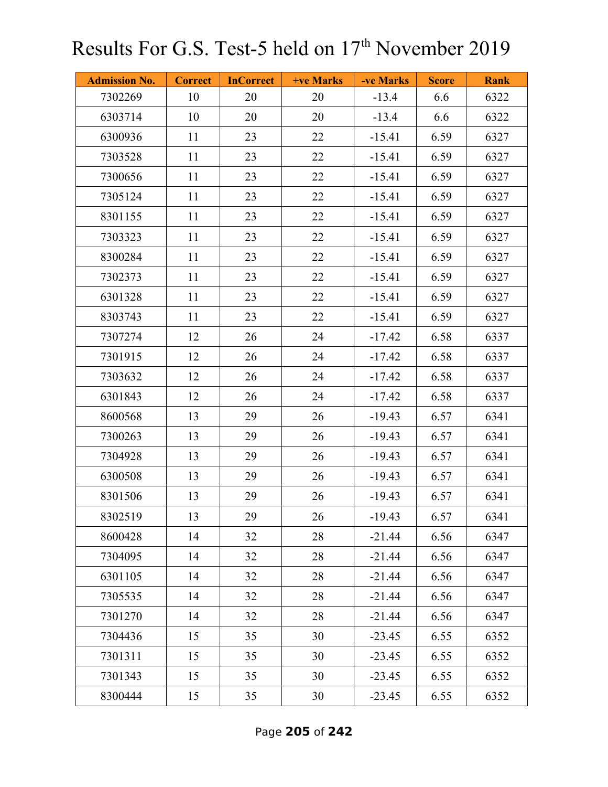| <b>Admission No.</b> | <b>Correct</b> | <b>InCorrect</b> | <b>+ve Marks</b> | -ve Marks | <b>Score</b> | <b>Rank</b> |
|----------------------|----------------|------------------|------------------|-----------|--------------|-------------|
| 7302269              | 10             | 20               | 20               | $-13.4$   | 6.6          | 6322        |
| 6303714              | 10             | 20               | 20               | $-13.4$   | 6.6          | 6322        |
| 6300936              | 11             | 23               | 22               | $-15.41$  | 6.59         | 6327        |
| 7303528              | 11             | 23               | 22               | $-15.41$  | 6.59         | 6327        |
| 7300656              | 11             | 23               | 22               | $-15.41$  | 6.59         | 6327        |
| 7305124              | 11             | 23               | 22               | $-15.41$  | 6.59         | 6327        |
| 8301155              | 11             | 23               | 22               | $-15.41$  | 6.59         | 6327        |
| 7303323              | 11             | 23               | 22               | $-15.41$  | 6.59         | 6327        |
| 8300284              | 11             | 23               | 22               | $-15.41$  | 6.59         | 6327        |
| 7302373              | 11             | 23               | 22               | $-15.41$  | 6.59         | 6327        |
| 6301328              | 11             | 23               | 22               | $-15.41$  | 6.59         | 6327        |
| 8303743              | 11             | 23               | 22               | $-15.41$  | 6.59         | 6327        |
| 7307274              | 12             | 26               | 24               | $-17.42$  | 6.58         | 6337        |
| 7301915              | 12             | 26               | 24               | $-17.42$  | 6.58         | 6337        |
| 7303632              | 12             | 26               | 24               | $-17.42$  | 6.58         | 6337        |
| 6301843              | 12             | 26               | 24               | $-17.42$  | 6.58         | 6337        |
| 8600568              | 13             | 29               | 26               | $-19.43$  | 6.57         | 6341        |
| 7300263              | 13             | 29               | 26               | $-19.43$  | 6.57         | 6341        |
| 7304928              | 13             | 29               | 26               | $-19.43$  | 6.57         | 6341        |
| 6300508              | 13             | 29               | 26               | $-19.43$  | 6.57         | 6341        |
| 8301506              | 13             | 29               | 26               | $-19.43$  | 6.57         | 6341        |
| 8302519              | 13             | 29               | 26               | $-19.43$  | 6.57         | 6341        |
| 8600428              | 14             | 32               | 28               | $-21.44$  | 6.56         | 6347        |
| 7304095              | 14             | 32               | 28               | $-21.44$  | 6.56         | 6347        |
| 6301105              | 14             | 32               | 28               | $-21.44$  | 6.56         | 6347        |
| 7305535              | 14             | 32               | 28               | $-21.44$  | 6.56         | 6347        |
| 7301270              | 14             | 32               | 28               | $-21.44$  | 6.56         | 6347        |
| 7304436              | 15             | 35               | 30               | $-23.45$  | 6.55         | 6352        |
| 7301311              | 15             | 35               | 30               | $-23.45$  | 6.55         | 6352        |
| 7301343              | 15             | 35               | 30               | $-23.45$  | 6.55         | 6352        |
| 8300444              | 15             | 35               | 30               | $-23.45$  | 6.55         | 6352        |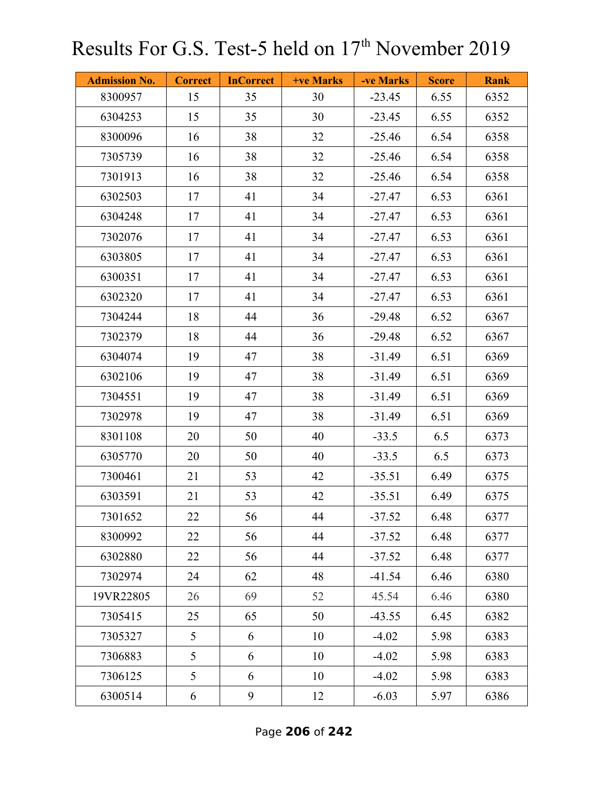| <b>Admission No.</b> | <b>Correct</b> | <b>InCorrect</b> | <b>+ve Marks</b> | -ve Marks | <b>Score</b> | <b>Rank</b> |
|----------------------|----------------|------------------|------------------|-----------|--------------|-------------|
| 8300957              | 15             | 35               | 30               | $-23.45$  | 6.55         | 6352        |
| 6304253              | 15             | 35               | 30               | $-23.45$  | 6.55         | 6352        |
| 8300096              | 16             | 38               | 32               | $-25.46$  | 6.54         | 6358        |
| 7305739              | 16             | 38               | 32               | $-25.46$  | 6.54         | 6358        |
| 7301913              | 16             | 38               | 32               | $-25.46$  | 6.54         | 6358        |
| 6302503              | 17             | 41               | 34               | $-27.47$  | 6.53         | 6361        |
| 6304248              | 17             | 41               | 34               | $-27.47$  | 6.53         | 6361        |
| 7302076              | 17             | 41               | 34               | $-27.47$  | 6.53         | 6361        |
| 6303805              | 17             | 41               | 34               | $-27.47$  | 6.53         | 6361        |
| 6300351              | 17             | 41               | 34               | $-27.47$  | 6.53         | 6361        |
| 6302320              | 17             | 41               | 34               | $-27.47$  | 6.53         | 6361        |
| 7304244              | 18             | 44               | 36               | $-29.48$  | 6.52         | 6367        |
| 7302379              | 18             | 44               | 36               | $-29.48$  | 6.52         | 6367        |
| 6304074              | 19             | 47               | 38               | $-31.49$  | 6.51         | 6369        |
| 6302106              | 19             | 47               | 38               | $-31.49$  | 6.51         | 6369        |
| 7304551              | 19             | 47               | 38               | $-31.49$  | 6.51         | 6369        |
| 7302978              | 19             | 47               | 38               | $-31.49$  | 6.51         | 6369        |
| 8301108              | 20             | 50               | 40               | $-33.5$   | 6.5          | 6373        |
| 6305770              | 20             | 50               | 40               | $-33.5$   | 6.5          | 6373        |
| 7300461              | 21             | 53               | 42               | $-35.51$  | 6.49         | 6375        |
| 6303591              | 21             | 53               | 42               | $-35.51$  | 6.49         | 6375        |
| 7301652              | 22             | 56               | 44               | $-37.52$  | 6.48         | 6377        |
| 8300992              | 22             | 56               | 44               | $-37.52$  | 6.48         | 6377        |
| 6302880              | 22             | 56               | 44               | $-37.52$  | 6.48         | 6377        |
| 7302974              | 24             | 62               | 48               | $-41.54$  | 6.46         | 6380        |
| 19VR22805            | 26             | 69               | 52               | 45.54     | 6.46         | 6380        |
| 7305415              | 25             | 65               | 50               | $-43.55$  | 6.45         | 6382        |
| 7305327              | 5              | 6                | 10               | $-4.02$   | 5.98         | 6383        |
| 7306883              | 5              | 6                | 10               | $-4.02$   | 5.98         | 6383        |
| 7306125              | 5              | 6                | 10               | $-4.02$   | 5.98         | 6383        |
| 6300514              | 6              | 9                | 12               | $-6.03$   | 5.97         | 6386        |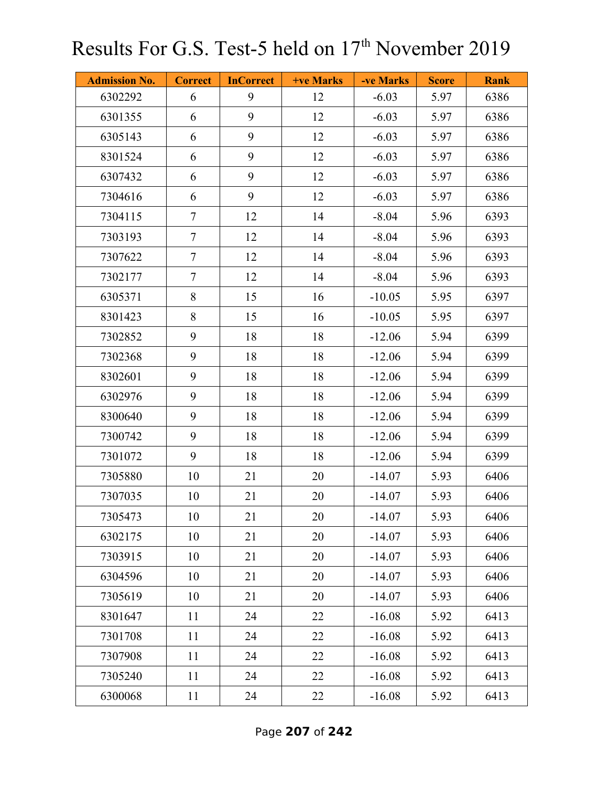| <b>Admission No.</b> | <b>Correct</b> | <b>InCorrect</b> | +ve Marks | -ve Marks | <b>Score</b> | <b>Rank</b> |
|----------------------|----------------|------------------|-----------|-----------|--------------|-------------|
| 6302292              | 6              | 9                | 12        | $-6.03$   | 5.97         | 6386        |
| 6301355              | 6              | 9                | 12        | $-6.03$   | 5.97         | 6386        |
| 6305143              | 6              | 9                | 12        | $-6.03$   | 5.97         | 6386        |
| 8301524              | 6              | 9                | 12        | $-6.03$   | 5.97         | 6386        |
| 6307432              | 6              | 9                | 12        | $-6.03$   | 5.97         | 6386        |
| 7304616              | 6              | 9                | 12        | $-6.03$   | 5.97         | 6386        |
| 7304115              | $\tau$         | 12               | 14        | $-8.04$   | 5.96         | 6393        |
| 7303193              | $\tau$         | 12               | 14        | $-8.04$   | 5.96         | 6393        |
| 7307622              | $\tau$         | 12               | 14        | $-8.04$   | 5.96         | 6393        |
| 7302177              | $\overline{7}$ | 12               | 14        | $-8.04$   | 5.96         | 6393        |
| 6305371              | 8              | 15               | 16        | $-10.05$  | 5.95         | 6397        |
| 8301423              | 8              | 15               | 16        | $-10.05$  | 5.95         | 6397        |
| 7302852              | 9              | 18               | 18        | $-12.06$  | 5.94         | 6399        |
| 7302368              | 9              | 18               | 18        | $-12.06$  | 5.94         | 6399        |
| 8302601              | 9              | 18               | 18        | $-12.06$  | 5.94         | 6399        |
| 6302976              | 9              | 18               | 18        | $-12.06$  | 5.94         | 6399        |
| 8300640              | 9              | 18               | 18        | $-12.06$  | 5.94         | 6399        |
| 7300742              | 9              | 18               | 18        | $-12.06$  | 5.94         | 6399        |
| 7301072              | 9              | 18               | 18        | $-12.06$  | 5.94         | 6399        |
| 7305880              | 10             | 21               | 20        | $-14.07$  | 5.93         | 6406        |
| 7307035              | 10             | 21               | 20        | $-14.07$  | 5.93         | 6406        |
| 7305473              | 10             | 21               | 20        | $-14.07$  | 5.93         | 6406        |
| 6302175              | 10             | 21               | 20        | $-14.07$  | 5.93         | 6406        |
| 7303915              | 10             | 21               | 20        | $-14.07$  | 5.93         | 6406        |
| 6304596              | 10             | 21               | 20        | $-14.07$  | 5.93         | 6406        |
| 7305619              | 10             | 21               | 20        | $-14.07$  | 5.93         | 6406        |
| 8301647              | 11             | 24               | 22        | $-16.08$  | 5.92         | 6413        |
| 7301708              | 11             | 24               | 22        | $-16.08$  | 5.92         | 6413        |
| 7307908              | 11             | 24               | 22        | $-16.08$  | 5.92         | 6413        |
| 7305240              | 11             | 24               | 22        | $-16.08$  | 5.92         | 6413        |
| 6300068              | 11             | 24               | 22        | $-16.08$  | 5.92         | 6413        |

Page **207** of **242**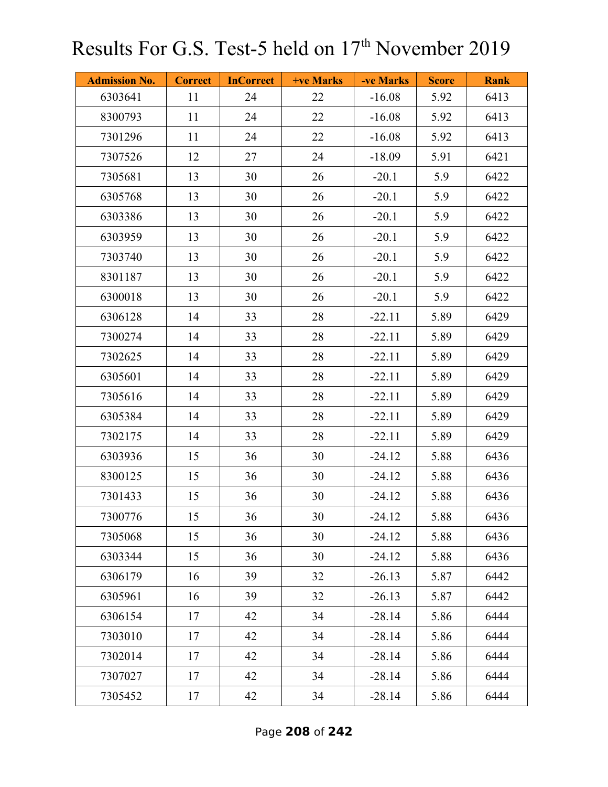| <b>Admission No.</b> | <b>Correct</b> | <b>InCorrect</b> | +ve Marks | -ve Marks | <b>Score</b> | <b>Rank</b> |
|----------------------|----------------|------------------|-----------|-----------|--------------|-------------|
| 6303641              | 11             | 24               | 22        | $-16.08$  | 5.92         | 6413        |
| 8300793              | 11             | 24               | 22        | $-16.08$  | 5.92         | 6413        |
| 7301296              | 11             | 24               | 22        | $-16.08$  | 5.92         | 6413        |
| 7307526              | 12             | 27               | 24        | $-18.09$  | 5.91         | 6421        |
| 7305681              | 13             | 30               | 26        | $-20.1$   | 5.9          | 6422        |
| 6305768              | 13             | 30               | 26        | $-20.1$   | 5.9          | 6422        |
| 6303386              | 13             | 30               | 26        | $-20.1$   | 5.9          | 6422        |
| 6303959              | 13             | 30               | 26        | $-20.1$   | 5.9          | 6422        |
| 7303740              | 13             | 30               | 26        | $-20.1$   | 5.9          | 6422        |
| 8301187              | 13             | 30               | 26        | $-20.1$   | 5.9          | 6422        |
| 6300018              | 13             | 30               | 26        | $-20.1$   | 5.9          | 6422        |
| 6306128              | 14             | 33               | 28        | $-22.11$  | 5.89         | 6429        |
| 7300274              | 14             | 33               | 28        | $-22.11$  | 5.89         | 6429        |
| 7302625              | 14             | 33               | 28        | $-22.11$  | 5.89         | 6429        |
| 6305601              | 14             | 33               | 28        | $-22.11$  | 5.89         | 6429        |
| 7305616              | 14             | 33               | 28        | $-22.11$  | 5.89         | 6429        |
| 6305384              | 14             | 33               | 28        | $-22.11$  | 5.89         | 6429        |
| 7302175              | 14             | 33               | 28        | $-22.11$  | 5.89         | 6429        |
| 6303936              | 15             | 36               | 30        | $-24.12$  | 5.88         | 6436        |
| 8300125              | 15             | 36               | 30        | $-24.12$  | 5.88         | 6436        |
| 7301433              | 15             | 36               | 30        | $-24.12$  | 5.88         | 6436        |
| 7300776              | 15             | 36               | 30        | $-24.12$  | 5.88         | 6436        |
| 7305068              | 15             | 36               | 30        | $-24.12$  | 5.88         | 6436        |
| 6303344              | 15             | 36               | 30        | $-24.12$  | 5.88         | 6436        |
| 6306179              | 16             | 39               | 32        | $-26.13$  | 5.87         | 6442        |
| 6305961              | 16             | 39               | 32        | $-26.13$  | 5.87         | 6442        |
| 6306154              | 17             | 42               | 34        | $-28.14$  | 5.86         | 6444        |
| 7303010              | 17             | 42               | 34        | $-28.14$  | 5.86         | 6444        |
| 7302014              | 17             | 42               | 34        | $-28.14$  | 5.86         | 6444        |
| 7307027              | 17             | 42               | 34        | $-28.14$  | 5.86         | 6444        |
| 7305452              | 17             | 42               | 34        | $-28.14$  | 5.86         | 6444        |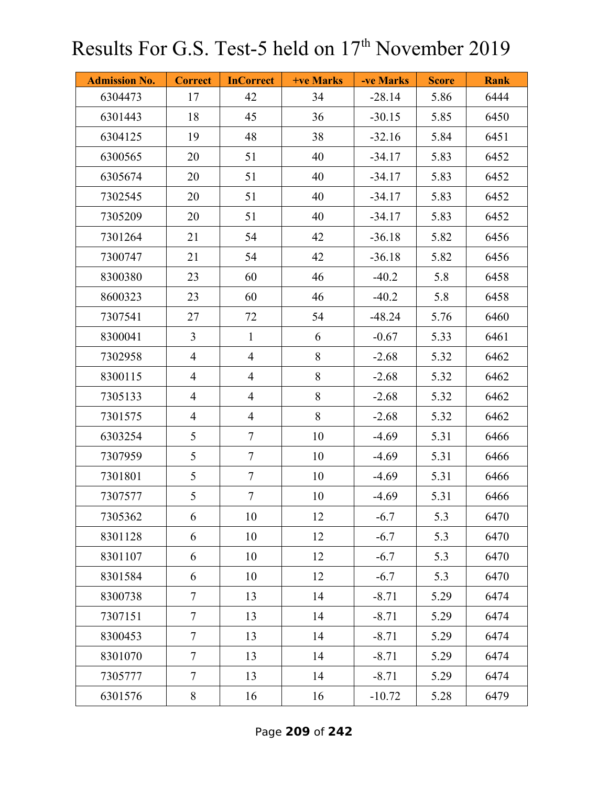| <b>Admission No.</b> | <b>Correct</b> | <b>InCorrect</b> | +ve Marks | -ve Marks | <b>Score</b> | <b>Rank</b> |
|----------------------|----------------|------------------|-----------|-----------|--------------|-------------|
| 6304473              | 17             | 42               | 34        | $-28.14$  | 5.86         | 6444        |
| 6301443              | 18             | 45               | 36        | $-30.15$  | 5.85         | 6450        |
| 6304125              | 19             | 48               | 38        | $-32.16$  | 5.84         | 6451        |
| 6300565              | 20             | 51               | 40        | $-34.17$  | 5.83         | 6452        |
| 6305674              | 20             | 51               | 40        | $-34.17$  | 5.83         | 6452        |
| 7302545              | 20             | 51               | 40        | $-34.17$  | 5.83         | 6452        |
| 7305209              | 20             | 51               | 40        | $-34.17$  | 5.83         | 6452        |
| 7301264              | 21             | 54               | 42        | $-36.18$  | 5.82         | 6456        |
| 7300747              | 21             | 54               | 42        | $-36.18$  | 5.82         | 6456        |
| 8300380              | 23             | 60               | 46        | $-40.2$   | 5.8          | 6458        |
| 8600323              | 23             | 60               | 46        | $-40.2$   | 5.8          | 6458        |
| 7307541              | 27             | 72               | 54        | $-48.24$  | 5.76         | 6460        |
| 8300041              | $\overline{3}$ | $\mathbf{1}$     | 6         | $-0.67$   | 5.33         | 6461        |
| 7302958              | $\overline{4}$ | $\overline{4}$   | 8         | $-2.68$   | 5.32         | 6462        |
| 8300115              | $\overline{4}$ | $\overline{4}$   | 8         | $-2.68$   | 5.32         | 6462        |
| 7305133              | $\overline{4}$ | $\overline{4}$   | 8         | $-2.68$   | 5.32         | 6462        |
| 7301575              | $\overline{4}$ | $\overline{4}$   | $8\,$     | $-2.68$   | 5.32         | 6462        |
| 6303254              | 5              | $\tau$           | 10        | $-4.69$   | 5.31         | 6466        |
| 7307959              | 5              | $\tau$           | 10        | $-4.69$   | 5.31         | 6466        |
| 7301801              | 5              | $\tau$           | 10        | $-4.69$   | 5.31         | 6466        |
| 7307577              | 5              | $\tau$           | 10        | $-4.69$   | 5.31         | 6466        |
| 7305362              | 6              | 10               | 12        | $-6.7$    | 5.3          | 6470        |
| 8301128              | 6              | 10               | 12        | $-6.7$    | 5.3          | 6470        |
| 8301107              | 6              | 10               | 12        | $-6.7$    | 5.3          | 6470        |
| 8301584              | 6              | 10               | 12        | $-6.7$    | 5.3          | 6470        |
| 8300738              | $\overline{7}$ | 13               | 14        | $-8.71$   | 5.29         | 6474        |
| 7307151              | $\overline{7}$ | 13               | 14        | $-8.71$   | 5.29         | 6474        |
| 8300453              | $\tau$         | 13               | 14        | $-8.71$   | 5.29         | 6474        |
| 8301070              | $\tau$         | 13               | 14        | $-8.71$   | 5.29         | 6474        |
| 7305777              | $\overline{7}$ | 13               | 14        | $-8.71$   | 5.29         | 6474        |
| 6301576              | 8              | 16               | 16        | $-10.72$  | 5.28         | 6479        |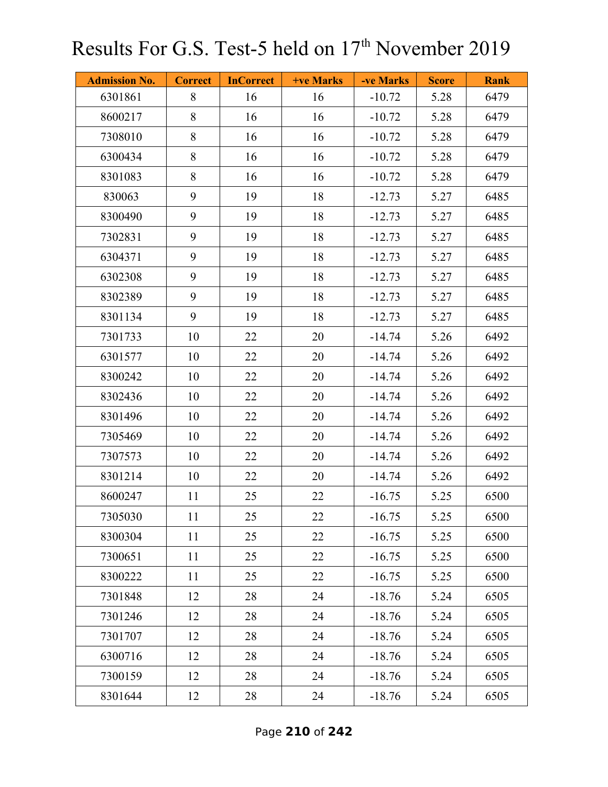| <b>Admission No.</b> | <b>Correct</b> | <b>InCorrect</b> | +ve Marks | -ve Marks | <b>Score</b> | <b>Rank</b> |
|----------------------|----------------|------------------|-----------|-----------|--------------|-------------|
| 6301861              | 8              | 16               | 16        | $-10.72$  | 5.28         | 6479        |
| 8600217              | 8              | 16               | 16        | $-10.72$  | 5.28         | 6479        |
| 7308010              | 8              | 16               | 16        | $-10.72$  | 5.28         | 6479        |
| 6300434              | 8              | 16               | 16        | $-10.72$  | 5.28         | 6479        |
| 8301083              | 8              | 16               | 16        | $-10.72$  | 5.28         | 6479        |
| 830063               | 9              | 19               | 18        | $-12.73$  | 5.27         | 6485        |
| 8300490              | 9              | 19               | 18        | $-12.73$  | 5.27         | 6485        |
| 7302831              | 9              | 19               | 18        | $-12.73$  | 5.27         | 6485        |
| 6304371              | 9              | 19               | 18        | $-12.73$  | 5.27         | 6485        |
| 6302308              | 9              | 19               | 18        | $-12.73$  | 5.27         | 6485        |
| 8302389              | 9              | 19               | 18        | $-12.73$  | 5.27         | 6485        |
| 8301134              | 9              | 19               | 18        | $-12.73$  | 5.27         | 6485        |
| 7301733              | $10\,$         | 22               | 20        | $-14.74$  | 5.26         | 6492        |
| 6301577              | 10             | 22               | 20        | $-14.74$  | 5.26         | 6492        |
| 8300242              | 10             | 22               | 20        | $-14.74$  | 5.26         | 6492        |
| 8302436              | 10             | 22               | 20        | $-14.74$  | 5.26         | 6492        |
| 8301496              | 10             | 22               | 20        | $-14.74$  | 5.26         | 6492        |
| 7305469              | 10             | 22               | 20        | $-14.74$  | 5.26         | 6492        |
| 7307573              | 10             | 22               | 20        | $-14.74$  | 5.26         | 6492        |
| 8301214              | 10             | 22               | 20        | $-14.74$  | 5.26         | 6492        |
| 8600247              | 11             | 25               | 22        | $-16.75$  | 5.25         | 6500        |
| 7305030              | 11             | 25               | 22        | $-16.75$  | 5.25         | 6500        |
| 8300304              | 11             | 25               | 22        | $-16.75$  | 5.25         | 6500        |
| 7300651              | 11             | 25               | 22        | $-16.75$  | 5.25         | 6500        |
| 8300222              | 11             | 25               | 22        | $-16.75$  | 5.25         | 6500        |
| 7301848              | 12             | 28               | 24        | $-18.76$  | 5.24         | 6505        |
| 7301246              | 12             | 28               | 24        | $-18.76$  | 5.24         | 6505        |
| 7301707              | 12             | 28               | 24        | $-18.76$  | 5.24         | 6505        |
| 6300716              | 12             | 28               | 24        | $-18.76$  | 5.24         | 6505        |
| 7300159              | 12             | 28               | 24        | $-18.76$  | 5.24         | 6505        |
| 8301644              | 12             | 28               | 24        | $-18.76$  | 5.24         | 6505        |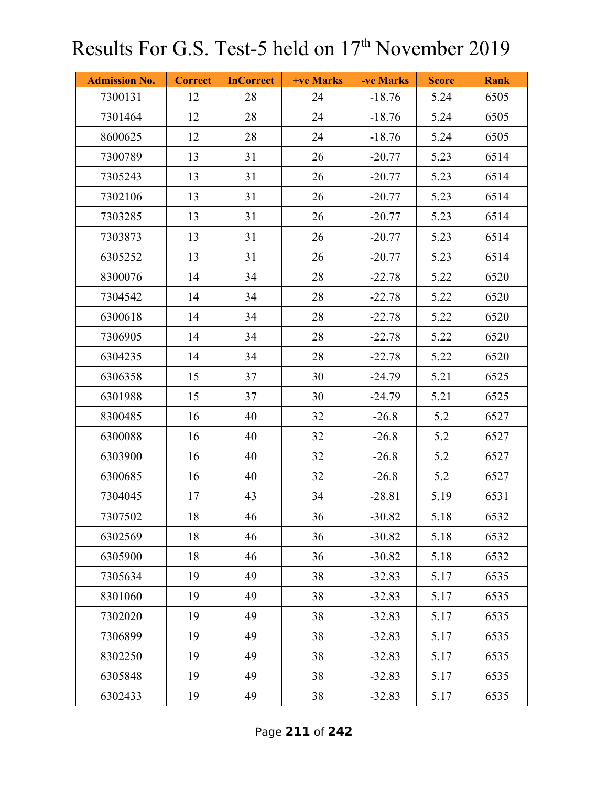| <b>Admission No.</b> | <b>Correct</b> | <b>InCorrect</b> | <b>+ve Marks</b> | -ve Marks | <b>Score</b> | <b>Rank</b> |
|----------------------|----------------|------------------|------------------|-----------|--------------|-------------|
| 7300131              | 12             | 28               | 24               | $-18.76$  | 5.24         | 6505        |
| 7301464              | 12             | 28               | 24               | $-18.76$  | 5.24         | 6505        |
| 8600625              | 12             | 28               | 24               | $-18.76$  | 5.24         | 6505        |
| 7300789              | 13             | 31               | 26               | $-20.77$  | 5.23         | 6514        |
| 7305243              | 13             | 31               | 26               | $-20.77$  | 5.23         | 6514        |
| 7302106              | 13             | 31               | 26               | $-20.77$  | 5.23         | 6514        |
| 7303285              | 13             | 31               | 26               | $-20.77$  | 5.23         | 6514        |
| 7303873              | 13             | 31               | 26               | $-20.77$  | 5.23         | 6514        |
| 6305252              | 13             | 31               | 26               | $-20.77$  | 5.23         | 6514        |
| 8300076              | 14             | 34               | 28               | $-22.78$  | 5.22         | 6520        |
| 7304542              | 14             | 34               | 28               | $-22.78$  | 5.22         | 6520        |
| 6300618              | 14             | 34               | 28               | $-22.78$  | 5.22         | 6520        |
| 7306905              | 14             | 34               | 28               | $-22.78$  | 5.22         | 6520        |
| 6304235              | 14             | 34               | 28               | $-22.78$  | 5.22         | 6520        |
| 6306358              | 15             | 37               | 30               | $-24.79$  | 5.21         | 6525        |
| 6301988              | 15             | 37               | 30               | $-24.79$  | 5.21         | 6525        |
| 8300485              | 16             | 40               | 32               | $-26.8$   | 5.2          | 6527        |
| 6300088              | 16             | 40               | 32               | $-26.8$   | 5.2          | 6527        |
| 6303900              | 16             | 40               | 32               | $-26.8$   | 5.2          | 6527        |
| 6300685              | 16             | 40               | 32               | $-26.8$   | 5.2          | 6527        |
| 7304045              | 17             | 43               | 34               | $-28.81$  | 5.19         | 6531        |
| 7307502              | 18             | 46               | 36               | $-30.82$  | 5.18         | 6532        |
| 6302569              | 18             | 46               | 36               | $-30.82$  | 5.18         | 6532        |
| 6305900              | 18             | 46               | 36               | $-30.82$  | 5.18         | 6532        |
| 7305634              | 19             | 49               | 38               | $-32.83$  | 5.17         | 6535        |
| 8301060              | 19             | 49               | 38               | $-32.83$  | 5.17         | 6535        |
| 7302020              | 19             | 49               | 38               | $-32.83$  | 5.17         | 6535        |
| 7306899              | 19             | 49               | 38               | $-32.83$  | 5.17         | 6535        |
| 8302250              | 19             | 49               | 38               | $-32.83$  | 5.17         | 6535        |
| 6305848              | 19             | 49               | 38               | $-32.83$  | 5.17         | 6535        |
| 6302433              | 19             | 49               | 38               | $-32.83$  | 5.17         | 6535        |

Page **211** of **242**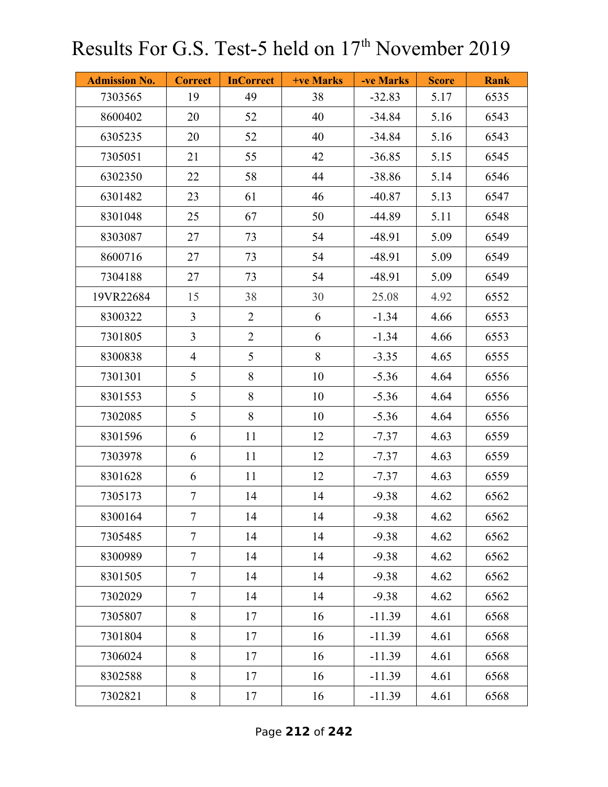| <b>Admission No.</b> | <b>Correct</b>  | <b>InCorrect</b> | +ve Marks | -ve Marks | <b>Score</b> | <b>Rank</b> |
|----------------------|-----------------|------------------|-----------|-----------|--------------|-------------|
| 7303565              | 19              | 49               | 38        | $-32.83$  | 5.17         | 6535        |
| 8600402              | 20              | 52               | 40        | $-34.84$  | 5.16         | 6543        |
| 6305235              | 20              | 52               | 40        | $-34.84$  | 5.16         | 6543        |
| 7305051              | 21              | 55               | 42        | $-36.85$  | 5.15         | 6545        |
| 6302350              | 22              | 58               | 44        | $-38.86$  | 5.14         | 6546        |
| 6301482              | 23              | 61               | 46        | $-40.87$  | 5.13         | 6547        |
| 8301048              | 25              | 67               | 50        | $-44.89$  | 5.11         | 6548        |
| 8303087              | 27              | 73               | 54        | $-48.91$  | 5.09         | 6549        |
| 8600716              | 27              | 73               | 54        | $-48.91$  | 5.09         | 6549        |
| 7304188              | 27              | 73               | 54        | $-48.91$  | 5.09         | 6549        |
| 19VR22684            | 15              | 38               | 30        | 25.08     | 4.92         | 6552        |
| 8300322              | $\overline{3}$  | $\overline{2}$   | 6         | $-1.34$   | 4.66         | 6553        |
| 7301805              | $\overline{3}$  | $\overline{2}$   | 6         | $-1.34$   | 4.66         | 6553        |
| 8300838              | $\overline{4}$  | 5                | $8\,$     | $-3.35$   | 4.65         | 6555        |
| 7301301              | 5               | 8                | 10        | $-5.36$   | 4.64         | 6556        |
| 8301553              | 5               | 8                | 10        | $-5.36$   | 4.64         | 6556        |
| 7302085              | 5               | 8                | 10        | $-5.36$   | 4.64         | 6556        |
| 8301596              | 6               | 11               | 12        | $-7.37$   | 4.63         | 6559        |
| 7303978              | 6               | 11               | 12        | $-7.37$   | 4.63         | 6559        |
| 8301628              | 6               | 11               | 12        | $-7.37$   | 4.63         | 6559        |
| 7305173              | $\tau$          | 14               | 14        | $-9.38$   | 4.62         | 6562        |
| 8300164              | $7\overline{ }$ | 14               | 14        | $-9.38$   | 4.62         | 6562        |
| 7305485              | $\tau$          | 14               | 14        | $-9.38$   | 4.62         | 6562        |
| 8300989              | $\overline{7}$  | 14               | 14        | $-9.38$   | 4.62         | 6562        |
| 8301505              | $\tau$          | 14               | 14        | $-9.38$   | 4.62         | 6562        |
| 7302029              | $\tau$          | 14               | 14        | $-9.38$   | 4.62         | 6562        |
| 7305807              | 8               | 17               | 16        | $-11.39$  | 4.61         | 6568        |
| 7301804              | 8               | 17               | 16        | $-11.39$  | 4.61         | 6568        |
| 7306024              | 8               | 17               | 16        | $-11.39$  | 4.61         | 6568        |
| 8302588              | 8               | 17               | 16        | $-11.39$  | 4.61         | 6568        |
| 7302821              | 8               | 17               | 16        | $-11.39$  | 4.61         | 6568        |

Page **212** of **242**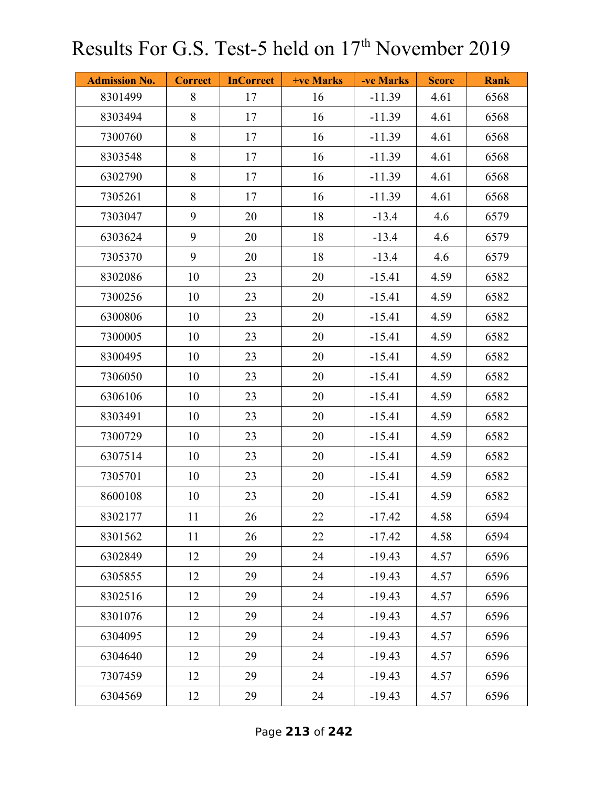| <b>Admission No.</b> | <b>Correct</b> | <b>InCorrect</b> | +ve Marks | -ve Marks | <b>Score</b> | <b>Rank</b> |
|----------------------|----------------|------------------|-----------|-----------|--------------|-------------|
| 8301499              | 8              | 17               | 16        | $-11.39$  | 4.61         | 6568        |
| 8303494              | 8              | 17               | 16        | $-11.39$  | 4.61         | 6568        |
| 7300760              | 8              | 17               | 16        | $-11.39$  | 4.61         | 6568        |
| 8303548              | 8              | 17               | 16        | $-11.39$  | 4.61         | 6568        |
| 6302790              | 8              | 17               | 16        | $-11.39$  | 4.61         | 6568        |
| 7305261              | 8              | 17               | 16        | $-11.39$  | 4.61         | 6568        |
| 7303047              | 9              | 20               | 18        | $-13.4$   | 4.6          | 6579        |
| 6303624              | 9              | 20               | 18        | $-13.4$   | 4.6          | 6579        |
| 7305370              | 9              | 20               | 18        | $-13.4$   | 4.6          | 6579        |
| 8302086              | 10             | 23               | 20        | $-15.41$  | 4.59         | 6582        |
| 7300256              | 10             | 23               | 20        | $-15.41$  | 4.59         | 6582        |
| 6300806              | 10             | 23               | 20        | $-15.41$  | 4.59         | 6582        |
| 7300005              | 10             | 23               | 20        | $-15.41$  | 4.59         | 6582        |
| 8300495              | 10             | 23               | 20        | $-15.41$  | 4.59         | 6582        |
| 7306050              | 10             | 23               | 20        | $-15.41$  | 4.59         | 6582        |
| 6306106              | 10             | 23               | 20        | $-15.41$  | 4.59         | 6582        |
| 8303491              | 10             | 23               | 20        | $-15.41$  | 4.59         | 6582        |
| 7300729              | 10             | 23               | 20        | $-15.41$  | 4.59         | 6582        |
| 6307514              | 10             | 23               | 20        | $-15.41$  | 4.59         | 6582        |
| 7305701              | 10             | 23               | 20        | $-15.41$  | 4.59         | 6582        |
| 8600108              | 10             | 23               | 20        | $-15.41$  | 4.59         | 6582        |
| 8302177              | 11             | 26               | 22        | $-17.42$  | 4.58         | 6594        |
| 8301562              | 11             | 26               | 22        | $-17.42$  | 4.58         | 6594        |
| 6302849              | 12             | 29               | 24        | $-19.43$  | 4.57         | 6596        |
| 6305855              | 12             | 29               | 24        | $-19.43$  | 4.57         | 6596        |
| 8302516              | 12             | 29               | 24        | $-19.43$  | 4.57         | 6596        |
| 8301076              | 12             | 29               | 24        | $-19.43$  | 4.57         | 6596        |
| 6304095              | 12             | 29               | 24        | $-19.43$  | 4.57         | 6596        |
| 6304640              | 12             | 29               | 24        | $-19.43$  | 4.57         | 6596        |
| 7307459              | 12             | 29               | 24        | $-19.43$  | 4.57         | 6596        |
| 6304569              | 12             | 29               | 24        | $-19.43$  | 4.57         | 6596        |

Page **213** of **242**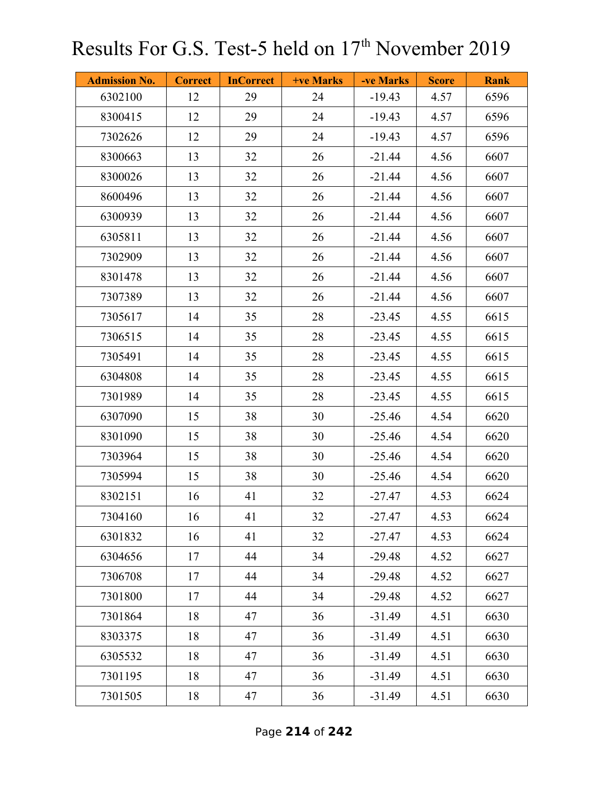| <b>Admission No.</b> | <b>Correct</b> | <b>InCorrect</b> | <b>+ve Marks</b> | -ve Marks | <b>Score</b> | <b>Rank</b> |
|----------------------|----------------|------------------|------------------|-----------|--------------|-------------|
| 6302100              | 12             | 29               | 24               | $-19.43$  | 4.57         | 6596        |
| 8300415              | 12             | 29               | 24               | $-19.43$  | 4.57         | 6596        |
| 7302626              | 12             | 29               | 24               | $-19.43$  | 4.57         | 6596        |
| 8300663              | 13             | 32               | 26               | $-21.44$  | 4.56         | 6607        |
| 8300026              | 13             | 32               | 26               | $-21.44$  | 4.56         | 6607        |
| 8600496              | 13             | 32               | 26               | $-21.44$  | 4.56         | 6607        |
| 6300939              | 13             | 32               | 26               | $-21.44$  | 4.56         | 6607        |
| 6305811              | 13             | 32               | 26               | $-21.44$  | 4.56         | 6607        |
| 7302909              | 13             | 32               | 26               | $-21.44$  | 4.56         | 6607        |
| 8301478              | 13             | 32               | 26               | $-21.44$  | 4.56         | 6607        |
| 7307389              | 13             | 32               | 26               | $-21.44$  | 4.56         | 6607        |
| 7305617              | 14             | 35               | 28               | $-23.45$  | 4.55         | 6615        |
| 7306515              | 14             | 35               | 28               | $-23.45$  | 4.55         | 6615        |
| 7305491              | 14             | 35               | 28               | $-23.45$  | 4.55         | 6615        |
| 6304808              | 14             | 35               | 28               | $-23.45$  | 4.55         | 6615        |
| 7301989              | 14             | 35               | 28               | $-23.45$  | 4.55         | 6615        |
| 6307090              | 15             | 38               | 30               | $-25.46$  | 4.54         | 6620        |
| 8301090              | 15             | 38               | 30               | $-25.46$  | 4.54         | 6620        |
| 7303964              | 15             | 38               | 30               | $-25.46$  | 4.54         | 6620        |
| 7305994              | 15             | 38               | 30               | $-25.46$  | 4.54         | 6620        |
| 8302151              | 16             | 41               | 32               | $-27.47$  | 4.53         | 6624        |
| 7304160              | 16             | 41               | 32               | $-27.47$  | 4.53         | 6624        |
| 6301832              | 16             | 41               | 32               | $-27.47$  | 4.53         | 6624        |
| 6304656              | 17             | 44               | 34               | $-29.48$  | 4.52         | 6627        |
| 7306708              | 17             | 44               | 34               | $-29.48$  | 4.52         | 6627        |
| 7301800              | 17             | 44               | 34               | $-29.48$  | 4.52         | 6627        |
| 7301864              | 18             | 47               | 36               | $-31.49$  | 4.51         | 6630        |
| 8303375              | 18             | 47               | 36               | $-31.49$  | 4.51         | 6630        |
| 6305532              | 18             | 47               | 36               | $-31.49$  | 4.51         | 6630        |
| 7301195              | 18             | 47               | 36               | $-31.49$  | 4.51         | 6630        |
| 7301505              | 18             | 47               | 36               | $-31.49$  | 4.51         | 6630        |

Page **214** of **242**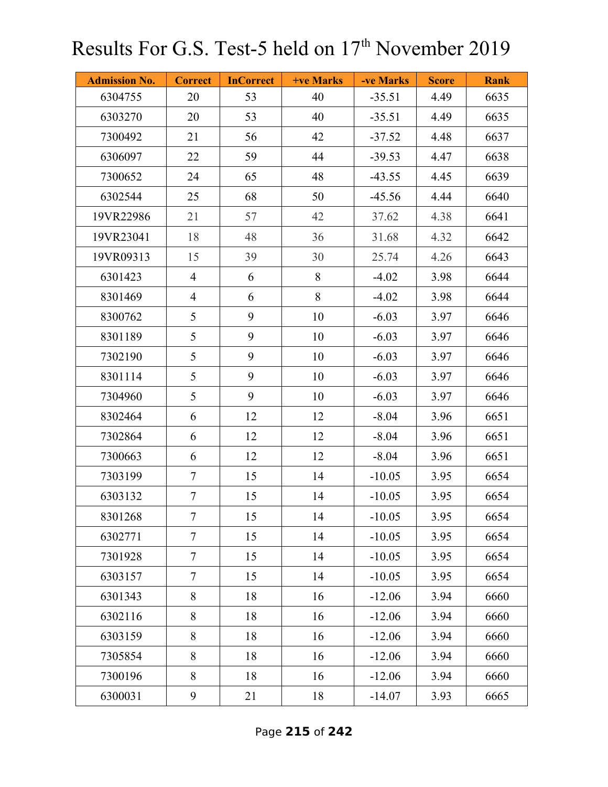| <b>Admission No.</b> | <b>Correct</b>  | <b>InCorrect</b> | +ve Marks | -ve Marks | <b>Score</b> | <b>Rank</b> |
|----------------------|-----------------|------------------|-----------|-----------|--------------|-------------|
| 6304755              | 20              | 53               | 40        | $-35.51$  | 4.49         | 6635        |
| 6303270              | 20              | 53               | 40        | $-35.51$  | 4.49         | 6635        |
| 7300492              | 21              | 56               | 42        | $-37.52$  | 4.48         | 6637        |
| 6306097              | 22              | 59               | 44        | $-39.53$  | 4.47         | 6638        |
| 7300652              | 24              | 65               | 48        | $-43.55$  | 4.45         | 6639        |
| 6302544              | 25              | 68               | 50        | $-45.56$  | 4.44         | 6640        |
| 19VR22986            | 21              | 57               | 42        | 37.62     | 4.38         | 6641        |
| 19VR23041            | 18              | 48               | 36        | 31.68     | 4.32         | 6642        |
| 19VR09313            | 15              | 39               | 30        | 25.74     | 4.26         | 6643        |
| 6301423              | $\overline{4}$  | 6                | 8         | $-4.02$   | 3.98         | 6644        |
| 8301469              | $\overline{4}$  | 6                | 8         | $-4.02$   | 3.98         | 6644        |
| 8300762              | 5               | 9                | 10        | $-6.03$   | 3.97         | 6646        |
| 8301189              | 5               | 9                | 10        | $-6.03$   | 3.97         | 6646        |
| 7302190              | 5               | 9                | 10        | $-6.03$   | 3.97         | 6646        |
| 8301114              | 5               | 9                | 10        | $-6.03$   | 3.97         | 6646        |
| 7304960              | 5               | 9                | 10        | $-6.03$   | 3.97         | 6646        |
| 8302464              | 6               | 12               | 12        | $-8.04$   | 3.96         | 6651        |
| 7302864              | 6               | 12               | 12        | $-8.04$   | 3.96         | 6651        |
| 7300663              | 6               | 12               | 12        | $-8.04$   | 3.96         | 6651        |
| 7303199              | $\overline{7}$  | 15               | 14        | $-10.05$  | 3.95         | 6654        |
| 6303132              | $\tau$          | 15               | 14        | $-10.05$  | 3.95         | 6654        |
| 8301268              | $7\phantom{.0}$ | 15               | 14        | $-10.05$  | 3.95         | 6654        |
| 6302771              | $\tau$          | 15               | 14        | $-10.05$  | 3.95         | 6654        |
| 7301928              | $\overline{7}$  | 15               | 14        | $-10.05$  | 3.95         | 6654        |
| 6303157              | $\overline{7}$  | 15               | 14        | $-10.05$  | 3.95         | 6654        |
| 6301343              | 8               | 18               | 16        | $-12.06$  | 3.94         | 6660        |
| 6302116              | 8               | 18               | 16        | $-12.06$  | 3.94         | 6660        |
| 6303159              | 8               | 18               | 16        | $-12.06$  | 3.94         | 6660        |
| 7305854              | 8               | 18               | 16        | $-12.06$  | 3.94         | 6660        |
| 7300196              | 8               | 18               | 16        | $-12.06$  | 3.94         | 6660        |
| 6300031              | 9               | 21               | 18        | $-14.07$  | 3.93         | 6665        |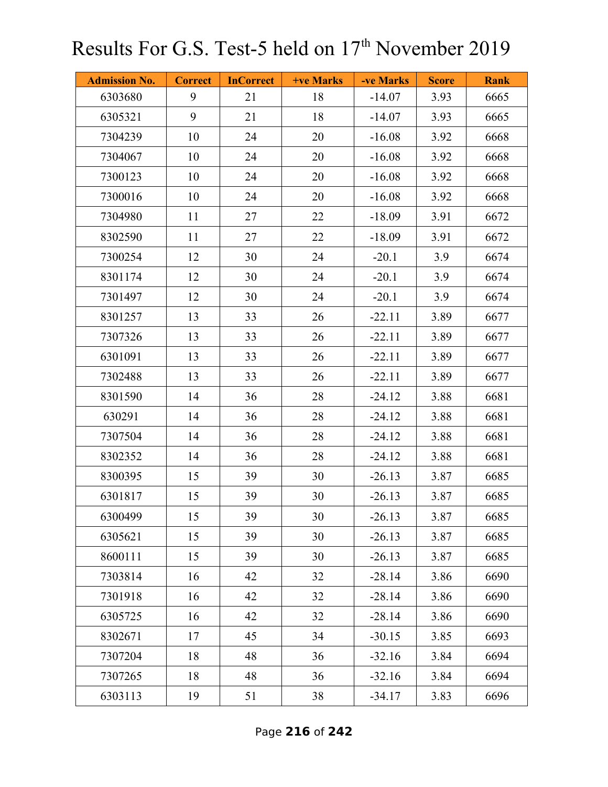| <b>Admission No.</b> | <b>Correct</b> | <b>InCorrect</b> | +ve Marks | -ve Marks | <b>Score</b> | <b>Rank</b> |
|----------------------|----------------|------------------|-----------|-----------|--------------|-------------|
| 6303680              | 9              | 21               | 18        | $-14.07$  | 3.93         | 6665        |
| 6305321              | 9              | 21               | 18        | $-14.07$  | 3.93         | 6665        |
| 7304239              | 10             | 24               | 20        | $-16.08$  | 3.92         | 6668        |
| 7304067              | 10             | 24               | 20        | $-16.08$  | 3.92         | 6668        |
| 7300123              | 10             | 24               | 20        | $-16.08$  | 3.92         | 6668        |
| 7300016              | 10             | 24               | 20        | $-16.08$  | 3.92         | 6668        |
| 7304980              | 11             | 27               | 22        | $-18.09$  | 3.91         | 6672        |
| 8302590              | 11             | 27               | 22        | $-18.09$  | 3.91         | 6672        |
| 7300254              | 12             | 30               | 24        | $-20.1$   | 3.9          | 6674        |
| 8301174              | 12             | 30               | 24        | $-20.1$   | 3.9          | 6674        |
| 7301497              | 12             | 30               | 24        | $-20.1$   | 3.9          | 6674        |
| 8301257              | 13             | 33               | 26        | $-22.11$  | 3.89         | 6677        |
| 7307326              | 13             | 33               | 26        | $-22.11$  | 3.89         | 6677        |
| 6301091              | 13             | 33               | 26        | $-22.11$  | 3.89         | 6677        |
| 7302488              | 13             | 33               | 26        | $-22.11$  | 3.89         | 6677        |
| 8301590              | 14             | 36               | 28        | $-24.12$  | 3.88         | 6681        |
| 630291               | 14             | 36               | 28        | $-24.12$  | 3.88         | 6681        |
| 7307504              | 14             | 36               | 28        | $-24.12$  | 3.88         | 6681        |
| 8302352              | 14             | 36               | 28        | $-24.12$  | 3.88         | 6681        |
| 8300395              | 15             | 39               | 30        | $-26.13$  | 3.87         | 6685        |
| 6301817              | 15             | 39               | 30        | $-26.13$  | 3.87         | 6685        |
| 6300499              | 15             | 39               | 30        | $-26.13$  | 3.87         | 6685        |
| 6305621              | 15             | 39               | 30        | $-26.13$  | 3.87         | 6685        |
| 8600111              | 15             | 39               | 30        | $-26.13$  | 3.87         | 6685        |
| 7303814              | 16             | 42               | 32        | $-28.14$  | 3.86         | 6690        |
| 7301918              | 16             | 42               | 32        | $-28.14$  | 3.86         | 6690        |
| 6305725              | 16             | 42               | 32        | $-28.14$  | 3.86         | 6690        |
| 8302671              | 17             | 45               | 34        | $-30.15$  | 3.85         | 6693        |
| 7307204              | 18             | 48               | 36        | $-32.16$  | 3.84         | 6694        |
| 7307265              | 18             | 48               | 36        | $-32.16$  | 3.84         | 6694        |
| 6303113              | 19             | 51               | 38        | $-34.17$  | 3.83         | 6696        |

Page **216** of **242**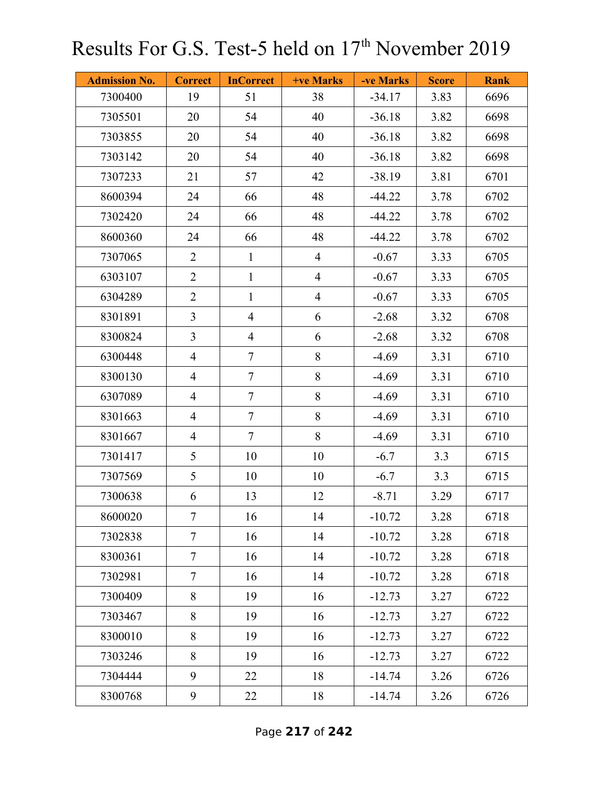| <b>Admission No.</b> | <b>Correct</b> | <b>InCorrect</b> | +ve Marks      | -ve Marks | <b>Score</b> | <b>Rank</b> |
|----------------------|----------------|------------------|----------------|-----------|--------------|-------------|
| 7300400              | 19             | 51               | 38             | $-34.17$  | 3.83         | 6696        |
| 7305501              | 20             | 54               | 40             | $-36.18$  | 3.82         | 6698        |
| 7303855              | 20             | 54               | 40             | $-36.18$  | 3.82         | 6698        |
| 7303142              | 20             | 54               | 40             | $-36.18$  | 3.82         | 6698        |
| 7307233              | 21             | 57               | 42             | $-38.19$  | 3.81         | 6701        |
| 8600394              | 24             | 66               | 48             | $-44.22$  | 3.78         | 6702        |
| 7302420              | 24             | 66               | 48             | $-44.22$  | 3.78         | 6702        |
| 8600360              | 24             | 66               | 48             | $-44.22$  | 3.78         | 6702        |
| 7307065              | $\overline{2}$ | $\mathbf{1}$     | $\overline{4}$ | $-0.67$   | 3.33         | 6705        |
| 6303107              | $\overline{2}$ | $\mathbf{1}$     | $\overline{4}$ | $-0.67$   | 3.33         | 6705        |
| 6304289              | $\overline{2}$ | $\mathbf{1}$     | $\overline{4}$ | $-0.67$   | 3.33         | 6705        |
| 8301891              | $\overline{3}$ | $\overline{4}$   | 6              | $-2.68$   | 3.32         | 6708        |
| 8300824              | $\overline{3}$ | $\overline{4}$   | 6              | $-2.68$   | 3.32         | 6708        |
| 6300448              | $\overline{4}$ | $\tau$           | 8              | $-4.69$   | 3.31         | 6710        |
| 8300130              | $\overline{4}$ | $\tau$           | 8              | $-4.69$   | 3.31         | 6710        |
| 6307089              | $\overline{4}$ | $\overline{7}$   | 8              | $-4.69$   | 3.31         | 6710        |
| 8301663              | $\overline{4}$ | $\tau$           | $8\,$          | $-4.69$   | 3.31         | 6710        |
| 8301667              | $\overline{4}$ | $\tau$           | 8              | $-4.69$   | 3.31         | 6710        |
| 7301417              | 5              | 10               | 10             | $-6.7$    | 3.3          | 6715        |
| 7307569              | 5              | 10               | 10             | $-6.7$    | 3.3          | 6715        |
| 7300638              | 6              | 13               | 12             | $-8.71$   | 3.29         | 6717        |
| 8600020              | $\overline{7}$ | 16               | 14             | $-10.72$  | 3.28         | 6718        |
| 7302838              | $\overline{7}$ | 16               | 14             | $-10.72$  | 3.28         | 6718        |
| 8300361              | $\tau$         | 16               | 14             | $-10.72$  | 3.28         | 6718        |
| 7302981              | $\tau$         | 16               | 14             | $-10.72$  | 3.28         | 6718        |
| 7300409              | 8              | 19               | 16             | $-12.73$  | 3.27         | 6722        |
| 7303467              | 8              | 19               | 16             | $-12.73$  | 3.27         | 6722        |
| 8300010              | 8              | 19               | 16             | $-12.73$  | 3.27         | 6722        |
| 7303246              | 8              | 19               | 16             | $-12.73$  | 3.27         | 6722        |
| 7304444              | 9              | 22               | 18             | $-14.74$  | 3.26         | 6726        |
| 8300768              | 9              | 22               | 18             | $-14.74$  | 3.26         | 6726        |

Page **217** of **242**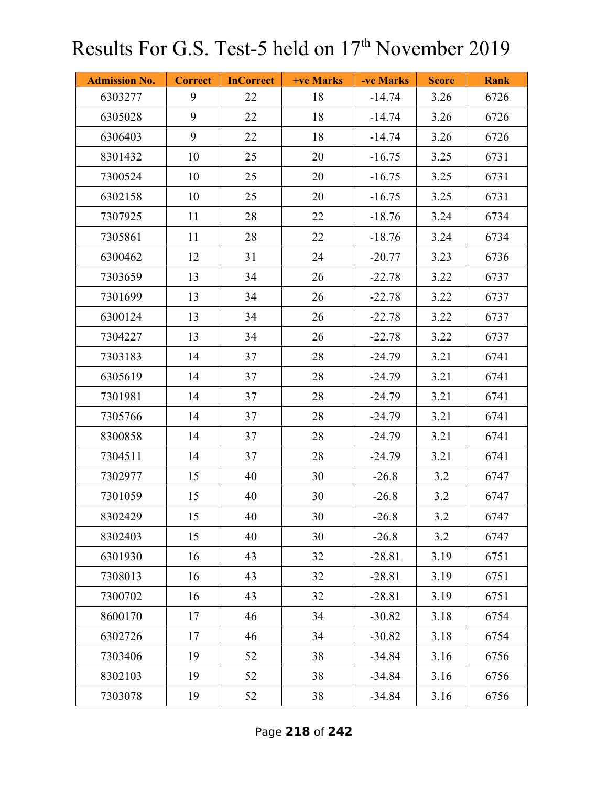| <b>Admission No.</b> | <b>Correct</b> | <b>InCorrect</b> | <b>+ve Marks</b> | -ve Marks | <b>Score</b> | <b>Rank</b> |
|----------------------|----------------|------------------|------------------|-----------|--------------|-------------|
| 6303277              | 9              | 22               | 18               | $-14.74$  | 3.26         | 6726        |
| 6305028              | 9              | 22               | 18               | $-14.74$  | 3.26         | 6726        |
| 6306403              | 9              | 22               | 18               | $-14.74$  | 3.26         | 6726        |
| 8301432              | 10             | 25               | 20               | $-16.75$  | 3.25         | 6731        |
| 7300524              | 10             | 25               | 20               | $-16.75$  | 3.25         | 6731        |
| 6302158              | 10             | 25               | 20               | $-16.75$  | 3.25         | 6731        |
| 7307925              | 11             | 28               | 22               | $-18.76$  | 3.24         | 6734        |
| 7305861              | 11             | 28               | 22               | $-18.76$  | 3.24         | 6734        |
| 6300462              | 12             | 31               | 24               | $-20.77$  | 3.23         | 6736        |
| 7303659              | 13             | 34               | 26               | $-22.78$  | 3.22         | 6737        |
| 7301699              | 13             | 34               | 26               | $-22.78$  | 3.22         | 6737        |
| 6300124              | 13             | 34               | 26               | $-22.78$  | 3.22         | 6737        |
| 7304227              | 13             | 34               | 26               | $-22.78$  | 3.22         | 6737        |
| 7303183              | 14             | 37               | 28               | $-24.79$  | 3.21         | 6741        |
| 6305619              | 14             | 37               | 28               | $-24.79$  | 3.21         | 6741        |
| 7301981              | 14             | 37               | 28               | $-24.79$  | 3.21         | 6741        |
| 7305766              | 14             | 37               | 28               | $-24.79$  | 3.21         | 6741        |
| 8300858              | 14             | 37               | 28               | $-24.79$  | 3.21         | 6741        |
| 7304511              | 14             | 37               | 28               | $-24.79$  | 3.21         | 6741        |
| 7302977              | 15             | 40               | 30               | $-26.8$   | 3.2          | 6747        |
| 7301059              | 15             | 40               | 30               | $-26.8$   | 3.2          | 6747        |
| 8302429              | 15             | 40               | 30               | $-26.8$   | 3.2          | 6747        |
| 8302403              | 15             | 40               | 30               | $-26.8$   | 3.2          | 6747        |
| 6301930              | 16             | 43               | 32               | $-28.81$  | 3.19         | 6751        |
| 7308013              | 16             | 43               | 32               | $-28.81$  | 3.19         | 6751        |
| 7300702              | 16             | 43               | 32               | $-28.81$  | 3.19         | 6751        |
| 8600170              | 17             | 46               | 34               | $-30.82$  | 3.18         | 6754        |
| 6302726              | 17             | 46               | 34               | $-30.82$  | 3.18         | 6754        |
| 7303406              | 19             | 52               | 38               | $-34.84$  | 3.16         | 6756        |
| 8302103              | 19             | 52               | 38               | $-34.84$  | 3.16         | 6756        |
| 7303078              | 19             | 52               | 38               | $-34.84$  | 3.16         | 6756        |

Page **218** of **242**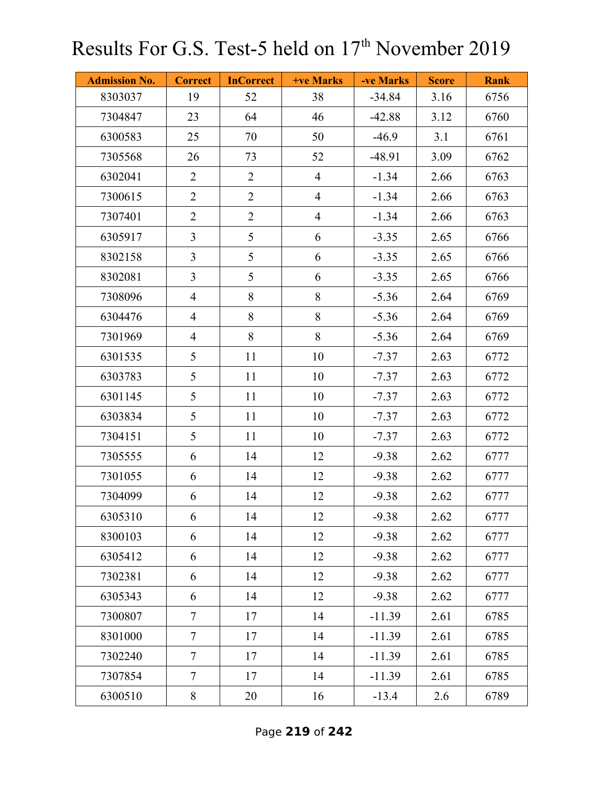| <b>Admission No.</b> | <b>Correct</b> | <b>InCorrect</b> | <b>+ve Marks</b> | -ve Marks | <b>Score</b> | <b>Rank</b> |
|----------------------|----------------|------------------|------------------|-----------|--------------|-------------|
| 8303037              | 19             | 52               | 38               | $-34.84$  | 3.16         | 6756        |
| 7304847              | 23             | 64               | 46               | $-42.88$  | 3.12         | 6760        |
| 6300583              | 25             | 70               | 50               | $-46.9$   | 3.1          | 6761        |
| 7305568              | 26             | 73               | 52               | $-48.91$  | 3.09         | 6762        |
| 6302041              | $\overline{2}$ | $\overline{2}$   | $\overline{4}$   | $-1.34$   | 2.66         | 6763        |
| 7300615              | $\overline{2}$ | $\overline{2}$   | $\overline{4}$   | $-1.34$   | 2.66         | 6763        |
| 7307401              | $\overline{2}$ | $\overline{2}$   | $\overline{4}$   | $-1.34$   | 2.66         | 6763        |
| 6305917              | $\overline{3}$ | 5                | 6                | $-3.35$   | 2.65         | 6766        |
| 8302158              | $\overline{3}$ | 5                | 6                | $-3.35$   | 2.65         | 6766        |
| 8302081              | $\overline{3}$ | 5                | 6                | $-3.35$   | 2.65         | 6766        |
| 7308096              | $\overline{4}$ | 8                | $8\,$            | $-5.36$   | 2.64         | 6769        |
| 6304476              | $\overline{4}$ | 8                | 8                | $-5.36$   | 2.64         | 6769        |
| 7301969              | $\overline{4}$ | 8                | 8                | $-5.36$   | 2.64         | 6769        |
| 6301535              | 5              | 11               | 10               | $-7.37$   | 2.63         | 6772        |
| 6303783              | 5              | 11               | 10               | $-7.37$   | 2.63         | 6772        |
| 6301145              | 5              | 11               | 10               | $-7.37$   | 2.63         | 6772        |
| 6303834              | 5              | 11               | 10               | $-7.37$   | 2.63         | 6772        |
| 7304151              | 5              | 11               | 10               | $-7.37$   | 2.63         | 6772        |
| 7305555              | 6              | 14               | 12               | $-9.38$   | 2.62         | 6777        |
| 7301055              | 6              | 14               | 12               | $-9.38$   | 2.62         | 6777        |
| 7304099              | 6              | 14               | 12               | $-9.38$   | 2.62         | 6777        |
| 6305310              | 6              | 14               | 12               | $-9.38$   | 2.62         | 6777        |
| 8300103              | 6              | 14               | 12               | $-9.38$   | 2.62         | 6777        |
| 6305412              | 6              | 14               | 12               | $-9.38$   | 2.62         | 6777        |
| 7302381              | 6              | 14               | 12               | $-9.38$   | 2.62         | 6777        |
| 6305343              | 6              | 14               | 12               | $-9.38$   | 2.62         | 6777        |
| 7300807              | $\overline{7}$ | 17               | 14               | $-11.39$  | 2.61         | 6785        |
| 8301000              | $\tau$         | 17               | 14               | $-11.39$  | 2.61         | 6785        |
| 7302240              | $\tau$         | 17               | 14               | $-11.39$  | 2.61         | 6785        |
| 7307854              | $\overline{7}$ | 17               | 14               | $-11.39$  | 2.61         | 6785        |
| 6300510              | 8              | 20               | 16               | $-13.4$   | 2.6          | 6789        |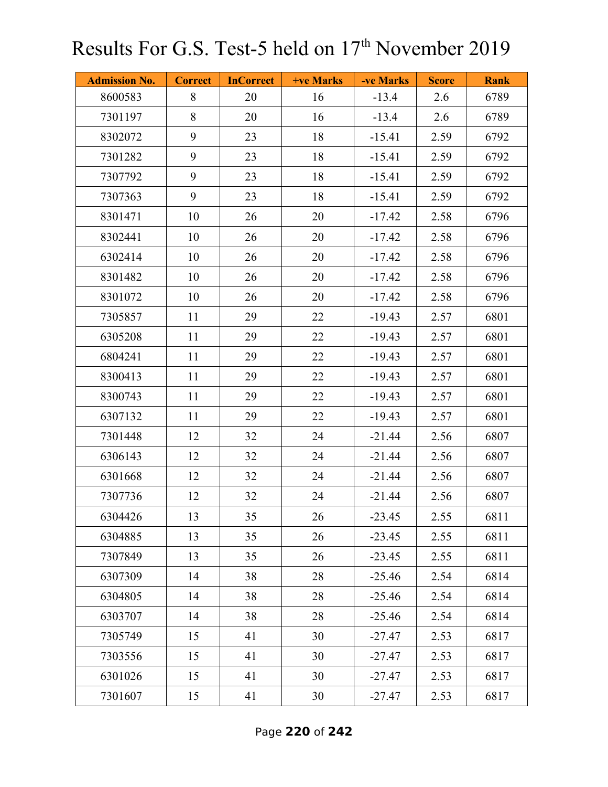| <b>Admission No.</b> | <b>Correct</b> | <b>InCorrect</b> | <b>+ve Marks</b> | -ve Marks | <b>Score</b> | <b>Rank</b> |
|----------------------|----------------|------------------|------------------|-----------|--------------|-------------|
| 8600583              | 8              | 20               | 16               | $-13.4$   | 2.6          | 6789        |
| 7301197              | 8              | 20               | 16               | $-13.4$   | 2.6          | 6789        |
| 8302072              | 9              | 23               | 18               | $-15.41$  | 2.59         | 6792        |
| 7301282              | 9              | 23               | 18               | $-15.41$  | 2.59         | 6792        |
| 7307792              | 9              | 23               | 18               | $-15.41$  | 2.59         | 6792        |
| 7307363              | 9              | 23               | 18               | $-15.41$  | 2.59         | 6792        |
| 8301471              | 10             | 26               | 20               | $-17.42$  | 2.58         | 6796        |
| 8302441              | 10             | 26               | 20               | $-17.42$  | 2.58         | 6796        |
| 6302414              | 10             | 26               | 20               | $-17.42$  | 2.58         | 6796        |
| 8301482              | 10             | 26               | 20               | $-17.42$  | 2.58         | 6796        |
| 8301072              | 10             | 26               | 20               | $-17.42$  | 2.58         | 6796        |
| 7305857              | 11             | 29               | 22               | $-19.43$  | 2.57         | 6801        |
| 6305208              | 11             | 29               | 22               | $-19.43$  | 2.57         | 6801        |
| 6804241              | 11             | 29               | 22               | $-19.43$  | 2.57         | 6801        |
| 8300413              | 11             | 29               | 22               | $-19.43$  | 2.57         | 6801        |
| 8300743              | 11             | 29               | 22               | $-19.43$  | 2.57         | 6801        |
| 6307132              | 11             | 29               | 22               | $-19.43$  | 2.57         | 6801        |
| 7301448              | 12             | 32               | 24               | $-21.44$  | 2.56         | 6807        |
| 6306143              | 12             | 32               | 24               | $-21.44$  | 2.56         | 6807        |
| 6301668              | 12             | 32               | 24               | $-21.44$  | 2.56         | 6807        |
| 7307736              | 12             | 32               | 24               | $-21.44$  | 2.56         | 6807        |
| 6304426              | 13             | 35               | 26               | $-23.45$  | 2.55         | 6811        |
| 6304885              | 13             | 35               | 26               | $-23.45$  | 2.55         | 6811        |
| 7307849              | 13             | 35               | 26               | $-23.45$  | 2.55         | 6811        |
| 6307309              | 14             | 38               | 28               | $-25.46$  | 2.54         | 6814        |
| 6304805              | 14             | 38               | 28               | $-25.46$  | 2.54         | 6814        |
| 6303707              | 14             | 38               | 28               | $-25.46$  | 2.54         | 6814        |
| 7305749              | 15             | 41               | 30               | $-27.47$  | 2.53         | 6817        |
| 7303556              | 15             | 41               | 30               | $-27.47$  | 2.53         | 6817        |
| 6301026              | 15             | 41               | 30               | $-27.47$  | 2.53         | 6817        |
| 7301607              | 15             | 41               | 30               | $-27.47$  | 2.53         | 6817        |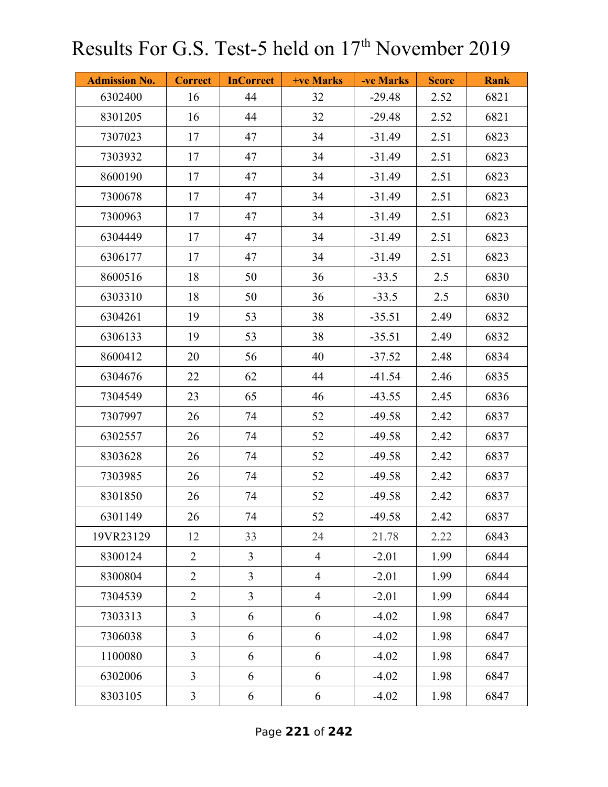| <b>Admission No.</b> | <b>Correct</b> | <b>InCorrect</b> | +ve Marks      | -ve Marks | <b>Score</b> | <b>Rank</b> |
|----------------------|----------------|------------------|----------------|-----------|--------------|-------------|
| 6302400              | 16             | 44               | 32             | $-29.48$  | 2.52         | 6821        |
| 8301205              | 16             | 44               | 32             | $-29.48$  | 2.52         | 6821        |
| 7307023              | 17             | 47               | 34             | $-31.49$  | 2.51         | 6823        |
| 7303932              | 17             | 47               | 34             | $-31.49$  | 2.51         | 6823        |
| 8600190              | 17             | 47               | 34             | $-31.49$  | 2.51         | 6823        |
| 7300678              | 17             | 47               | 34             | $-31.49$  | 2.51         | 6823        |
| 7300963              | 17             | 47               | 34             | $-31.49$  | 2.51         | 6823        |
| 6304449              | 17             | 47               | 34             | $-31.49$  | 2.51         | 6823        |
| 6306177              | 17             | 47               | 34             | $-31.49$  | 2.51         | 6823        |
| 8600516              | 18             | 50               | 36             | $-33.5$   | 2.5          | 6830        |
| 6303310              | 18             | 50               | 36             | $-33.5$   | 2.5          | 6830        |
| 6304261              | 19             | 53               | 38             | $-35.51$  | 2.49         | 6832        |
| 6306133              | 19             | 53               | 38             | $-35.51$  | 2.49         | 6832        |
| 8600412              | 20             | 56               | 40             | $-37.52$  | 2.48         | 6834        |
| 6304676              | 22             | 62               | 44             | $-41.54$  | 2.46         | 6835        |
| 7304549              | 23             | 65               | 46             | $-43.55$  | 2.45         | 6836        |
| 7307997              | 26             | 74               | 52             | $-49.58$  | 2.42         | 6837        |
| 6302557              | 26             | 74               | 52             | $-49.58$  | 2.42         | 6837        |
| 8303628              | 26             | 74               | 52             | $-49.58$  | 2.42         | 6837        |
| 7303985              | 26             | 74               | 52             | $-49.58$  | 2.42         | 6837        |
| 8301850              | 26             | 74               | 52             | $-49.58$  | 2.42         | 6837        |
| 6301149              | 26             | 74               | 52             | $-49.58$  | 2.42         | 6837        |
| 19VR23129            | 12             | 33               | 24             | 21.78     | 2.22         | 6843        |
| 8300124              | $\overline{2}$ | $\overline{3}$   | $\overline{4}$ | $-2.01$   | 1.99         | 6844        |
| 8300804              | $\overline{2}$ | $\overline{3}$   | $\overline{4}$ | $-2.01$   | 1.99         | 6844        |
| 7304539              | $\overline{2}$ | $\overline{3}$   | $\overline{4}$ | $-2.01$   | 1.99         | 6844        |
| 7303313              | $\overline{3}$ | 6                | 6              | $-4.02$   | 1.98         | 6847        |
| 7306038              | $\overline{3}$ | 6                | 6              | $-4.02$   | 1.98         | 6847        |
| 1100080              | $\overline{3}$ | 6                | 6              | $-4.02$   | 1.98         | 6847        |
| 6302006              | $\overline{3}$ | 6                | 6              | $-4.02$   | 1.98         | 6847        |
| 8303105              | $\mathfrak{Z}$ | 6                | 6              | $-4.02$   | 1.98         | 6847        |

Page **221** of **242**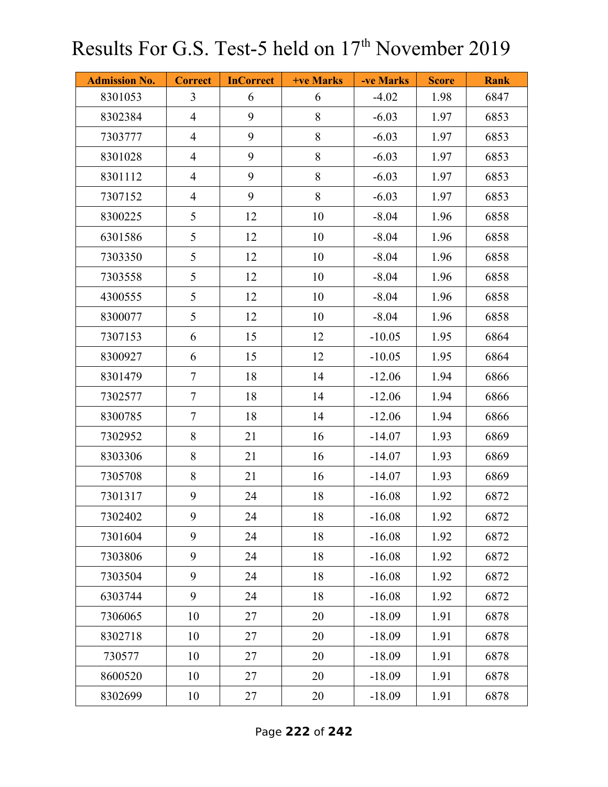| <b>Admission No.</b> | <b>Correct</b> | <b>InCorrect</b> | <b>+ve Marks</b> | -ve Marks | <b>Score</b> | <b>Rank</b> |
|----------------------|----------------|------------------|------------------|-----------|--------------|-------------|
| 8301053              | $\overline{3}$ | 6                | 6                | $-4.02$   | 1.98         | 6847        |
| 8302384              | $\overline{4}$ | 9                | 8                | $-6.03$   | 1.97         | 6853        |
| 7303777              | $\overline{4}$ | 9                | 8                | $-6.03$   | 1.97         | 6853        |
| 8301028              | $\overline{4}$ | 9                | 8                | $-6.03$   | 1.97         | 6853        |
| 8301112              | $\overline{4}$ | 9                | $8\,$            | $-6.03$   | 1.97         | 6853        |
| 7307152              | $\overline{4}$ | 9                | 8                | $-6.03$   | 1.97         | 6853        |
| 8300225              | 5              | 12               | 10               | $-8.04$   | 1.96         | 6858        |
| 6301586              | 5              | 12               | 10               | $-8.04$   | 1.96         | 6858        |
| 7303350              | 5              | 12               | 10               | $-8.04$   | 1.96         | 6858        |
| 7303558              | 5              | 12               | 10               | $-8.04$   | 1.96         | 6858        |
| 4300555              | 5              | 12               | 10               | $-8.04$   | 1.96         | 6858        |
| 8300077              | 5              | 12               | 10               | $-8.04$   | 1.96         | 6858        |
| 7307153              | 6              | 15               | 12               | $-10.05$  | 1.95         | 6864        |
| 8300927              | 6              | 15               | 12               | $-10.05$  | 1.95         | 6864        |
| 8301479              | 7              | 18               | 14               | $-12.06$  | 1.94         | 6866        |
| 7302577              | $\tau$         | 18               | 14               | $-12.06$  | 1.94         | 6866        |
| 8300785              | $\tau$         | 18               | 14               | $-12.06$  | 1.94         | 6866        |
| 7302952              | 8              | 21               | 16               | $-14.07$  | 1.93         | 6869        |
| 8303306              | 8              | 21               | 16               | $-14.07$  | 1.93         | 6869        |
| 7305708              | 8              | 21               | 16               | $-14.07$  | 1.93         | 6869        |
| 7301317              | 9              | 24               | 18               | $-16.08$  | 1.92         | 6872        |
| 7302402              | 9              | 24               | 18               | $-16.08$  | 1.92         | 6872        |
| 7301604              | 9              | 24               | 18               | $-16.08$  | 1.92         | 6872        |
| 7303806              | 9              | 24               | 18               | $-16.08$  | 1.92         | 6872        |
| 7303504              | 9              | 24               | 18               | $-16.08$  | 1.92         | 6872        |
| 6303744              | 9              | 24               | 18               | $-16.08$  | 1.92         | 6872        |
| 7306065              | 10             | 27               | 20               | $-18.09$  | 1.91         | 6878        |
| 8302718              | 10             | 27               | 20               | $-18.09$  | 1.91         | 6878        |
| 730577               | 10             | 27               | 20               | $-18.09$  | 1.91         | 6878        |
| 8600520              | 10             | 27               | 20               | $-18.09$  | 1.91         | 6878        |
| 8302699              | 10             | 27               | 20               | $-18.09$  | 1.91         | 6878        |

Page **222** of **242**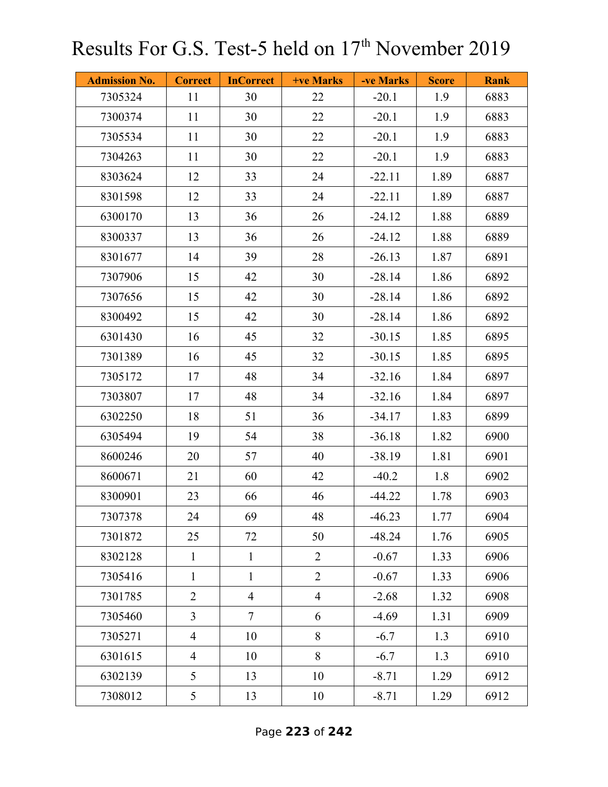| <b>Admission No.</b> | <b>Correct</b> | <b>InCorrect</b> | <b>+ve Marks</b> | -ve Marks | <b>Score</b> | <b>Rank</b> |
|----------------------|----------------|------------------|------------------|-----------|--------------|-------------|
| 7305324              | 11             | 30               | 22               | $-20.1$   | 1.9          | 6883        |
| 7300374              | 11             | 30               | 22               | $-20.1$   | 1.9          | 6883        |
| 7305534              | 11             | 30               | 22               | $-20.1$   | 1.9          | 6883        |
| 7304263              | 11             | 30               | 22               | $-20.1$   | 1.9          | 6883        |
| 8303624              | 12             | 33               | 24               | $-22.11$  | 1.89         | 6887        |
| 8301598              | 12             | 33               | 24               | $-22.11$  | 1.89         | 6887        |
| 6300170              | 13             | 36               | 26               | $-24.12$  | 1.88         | 6889        |
| 8300337              | 13             | 36               | 26               | $-24.12$  | 1.88         | 6889        |
| 8301677              | 14             | 39               | 28               | $-26.13$  | 1.87         | 6891        |
| 7307906              | 15             | 42               | 30               | $-28.14$  | 1.86         | 6892        |
| 7307656              | 15             | 42               | 30               | $-28.14$  | 1.86         | 6892        |
| 8300492              | 15             | 42               | 30               | $-28.14$  | 1.86         | 6892        |
| 6301430              | 16             | 45               | 32               | $-30.15$  | 1.85         | 6895        |
| 7301389              | 16             | 45               | 32               | $-30.15$  | 1.85         | 6895        |
| 7305172              | 17             | 48               | 34               | $-32.16$  | 1.84         | 6897        |
| 7303807              | 17             | 48               | 34               | $-32.16$  | 1.84         | 6897        |
| 6302250              | 18             | 51               | 36               | $-34.17$  | 1.83         | 6899        |
| 6305494              | 19             | 54               | 38               | $-36.18$  | 1.82         | 6900        |
| 8600246              | 20             | 57               | 40               | $-38.19$  | 1.81         | 6901        |
| 8600671              | 21             | 60               | 42               | $-40.2$   | 1.8          | 6902        |
| 8300901              | 23             | 66               | 46               | $-44.22$  | 1.78         | 6903        |
| 7307378              | 24             | 69               | 48               | $-46.23$  | 1.77         | 6904        |
| 7301872              | 25             | 72               | 50               | $-48.24$  | 1.76         | 6905        |
| 8302128              | $\mathbf{1}$   | $\mathbf{1}$     | $\overline{2}$   | $-0.67$   | 1.33         | 6906        |
| 7305416              | $\mathbf{1}$   | $\mathbf{1}$     | $\overline{2}$   | $-0.67$   | 1.33         | 6906        |
| 7301785              | $\overline{2}$ | $\overline{4}$   | $\overline{4}$   | $-2.68$   | 1.32         | 6908        |
| 7305460              | $\overline{3}$ | $\overline{7}$   | 6                | $-4.69$   | 1.31         | 6909        |
| 7305271              | $\overline{4}$ | 10               | 8                | $-6.7$    | 1.3          | 6910        |
| 6301615              | $\overline{4}$ | 10               | 8                | $-6.7$    | 1.3          | 6910        |
| 6302139              | 5              | 13               | 10               | $-8.71$   | 1.29         | 6912        |
| 7308012              | 5              | 13               | 10               | $-8.71$   | 1.29         | 6912        |

Page **223** of **242**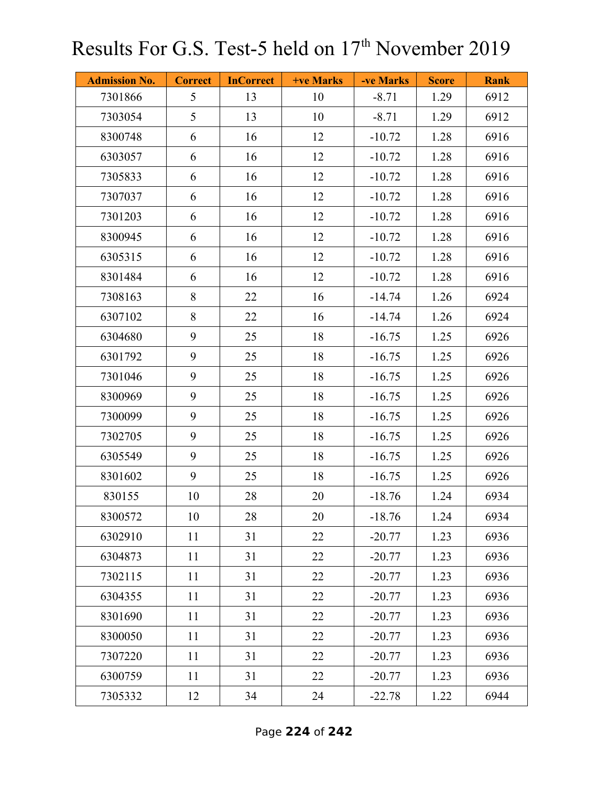| <b>Admission No.</b> | <b>Correct</b> | <b>InCorrect</b> | <b>+ve Marks</b> | -ve Marks | <b>Score</b> | <b>Rank</b> |
|----------------------|----------------|------------------|------------------|-----------|--------------|-------------|
| 7301866              | 5              | 13               | 10               | $-8.71$   | 1.29         | 6912        |
| 7303054              | 5              | 13               | 10               | $-8.71$   | 1.29         | 6912        |
| 8300748              | 6              | 16               | 12               | $-10.72$  | 1.28         | 6916        |
| 6303057              | 6              | 16               | 12               | $-10.72$  | 1.28         | 6916        |
| 7305833              | 6              | 16               | 12               | $-10.72$  | 1.28         | 6916        |
| 7307037              | 6              | 16               | 12               | $-10.72$  | 1.28         | 6916        |
| 7301203              | 6              | 16               | 12               | $-10.72$  | 1.28         | 6916        |
| 8300945              | 6              | 16               | 12               | $-10.72$  | 1.28         | 6916        |
| 6305315              | 6              | 16               | 12               | $-10.72$  | 1.28         | 6916        |
| 8301484              | 6              | 16               | 12               | $-10.72$  | 1.28         | 6916        |
| 7308163              | 8              | 22               | 16               | $-14.74$  | 1.26         | 6924        |
| 6307102              | 8              | 22               | 16               | $-14.74$  | 1.26         | 6924        |
| 6304680              | 9              | 25               | 18               | $-16.75$  | 1.25         | 6926        |
| 6301792              | 9              | 25               | 18               | $-16.75$  | 1.25         | 6926        |
| 7301046              | 9              | 25               | 18               | $-16.75$  | 1.25         | 6926        |
| 8300969              | 9              | 25               | 18               | $-16.75$  | 1.25         | 6926        |
| 7300099              | 9              | 25               | 18               | $-16.75$  | 1.25         | 6926        |
| 7302705              | 9              | 25               | 18               | $-16.75$  | 1.25         | 6926        |
| 6305549              | 9              | 25               | 18               | $-16.75$  | 1.25         | 6926        |
| 8301602              | 9              | 25               | 18               | $-16.75$  | 1.25         | 6926        |
| 830155               | 10             | 28               | 20               | $-18.76$  | 1.24         | 6934        |
| 8300572              | 10             | 28               | 20               | $-18.76$  | 1.24         | 6934        |
| 6302910              | 11             | 31               | 22               | $-20.77$  | 1.23         | 6936        |
| 6304873              | 11             | 31               | 22               | $-20.77$  | 1.23         | 6936        |
| 7302115              | 11             | 31               | 22               | $-20.77$  | 1.23         | 6936        |
| 6304355              | 11             | 31               | 22               | $-20.77$  | 1.23         | 6936        |
| 8301690              | 11             | 31               | 22               | $-20.77$  | 1.23         | 6936        |
| 8300050              | 11             | 31               | 22               | $-20.77$  | 1.23         | 6936        |
| 7307220              | 11             | 31               | 22               | $-20.77$  | 1.23         | 6936        |
| 6300759              | 11             | 31               | 22               | $-20.77$  | 1.23         | 6936        |
| 7305332              | 12             | 34               | 24               | $-22.78$  | 1.22         | 6944        |

Page **224** of **242**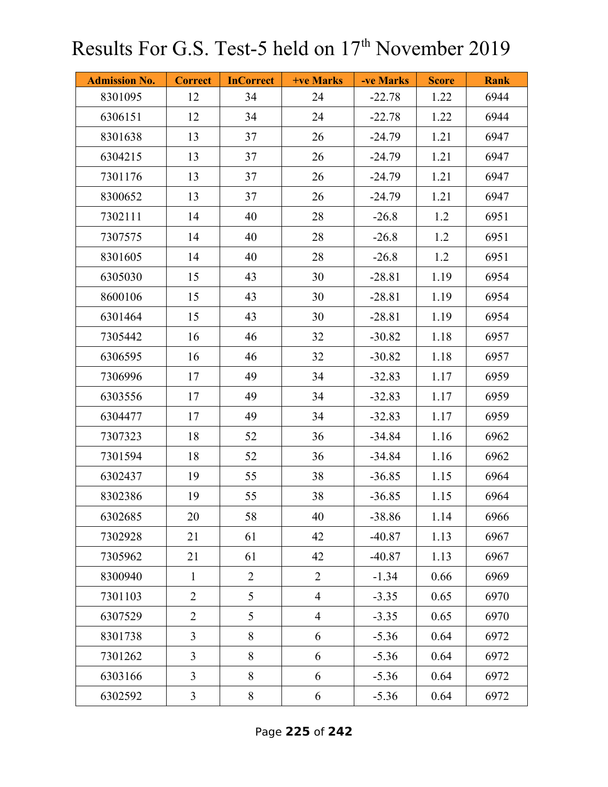| <b>Admission No.</b> | <b>Correct</b> | <b>InCorrect</b> | <b>+ve Marks</b> | -ve Marks | <b>Score</b> | <b>Rank</b> |
|----------------------|----------------|------------------|------------------|-----------|--------------|-------------|
| 8301095              | 12             | 34               | 24               | $-22.78$  | 1.22         | 6944        |
| 6306151              | 12             | 34               | 24               | $-22.78$  | 1.22         | 6944        |
| 8301638              | 13             | 37               | 26               | $-24.79$  | 1.21         | 6947        |
| 6304215              | 13             | 37               | 26               | $-24.79$  | 1.21         | 6947        |
| 7301176              | 13             | 37               | 26               | $-24.79$  | 1.21         | 6947        |
| 8300652              | 13             | 37               | 26               | $-24.79$  | 1.21         | 6947        |
| 7302111              | 14             | 40               | 28               | $-26.8$   | 1.2          | 6951        |
| 7307575              | 14             | 40               | 28               | $-26.8$   | 1.2          | 6951        |
| 8301605              | 14             | 40               | 28               | $-26.8$   | 1.2          | 6951        |
| 6305030              | 15             | 43               | 30               | $-28.81$  | 1.19         | 6954        |
| 8600106              | 15             | 43               | 30               | $-28.81$  | 1.19         | 6954        |
| 6301464              | 15             | 43               | 30               | $-28.81$  | 1.19         | 6954        |
| 7305442              | 16             | 46               | 32               | $-30.82$  | 1.18         | 6957        |
| 6306595              | 16             | 46               | 32               | $-30.82$  | 1.18         | 6957        |
| 7306996              | 17             | 49               | 34               | $-32.83$  | 1.17         | 6959        |
| 6303556              | 17             | 49               | 34               | $-32.83$  | 1.17         | 6959        |
| 6304477              | 17             | 49               | 34               | $-32.83$  | 1.17         | 6959        |
| 7307323              | 18             | 52               | 36               | $-34.84$  | 1.16         | 6962        |
| 7301594              | 18             | 52               | 36               | $-34.84$  | 1.16         | 6962        |
| 6302437              | 19             | 55               | 38               | $-36.85$  | 1.15         | 6964        |
| 8302386              | 19             | 55               | 38               | $-36.85$  | 1.15         | 6964        |
| 6302685              | 20             | 58               | 40               | $-38.86$  | 1.14         | 6966        |
| 7302928              | 21             | 61               | 42               | $-40.87$  | 1.13         | 6967        |
| 7305962              | 21             | 61               | 42               | $-40.87$  | 1.13         | 6967        |
| 8300940              | $\mathbf{1}$   | $\overline{2}$   | $\overline{2}$   | $-1.34$   | 0.66         | 6969        |
| 7301103              | $\overline{2}$ | 5                | $\overline{4}$   | $-3.35$   | 0.65         | 6970        |
| 6307529              | $\overline{2}$ | 5                | $\overline{4}$   | $-3.35$   | 0.65         | 6970        |
| 8301738              | $\overline{3}$ | 8                | 6                | $-5.36$   | 0.64         | 6972        |
| 7301262              | $\overline{3}$ | 8                | 6                | $-5.36$   | 0.64         | 6972        |
| 6303166              | $\overline{3}$ | 8                | 6                | $-5.36$   | 0.64         | 6972        |
| 6302592              | $\mathfrak{Z}$ | $8\,$            | 6                | $-5.36$   | 0.64         | 6972        |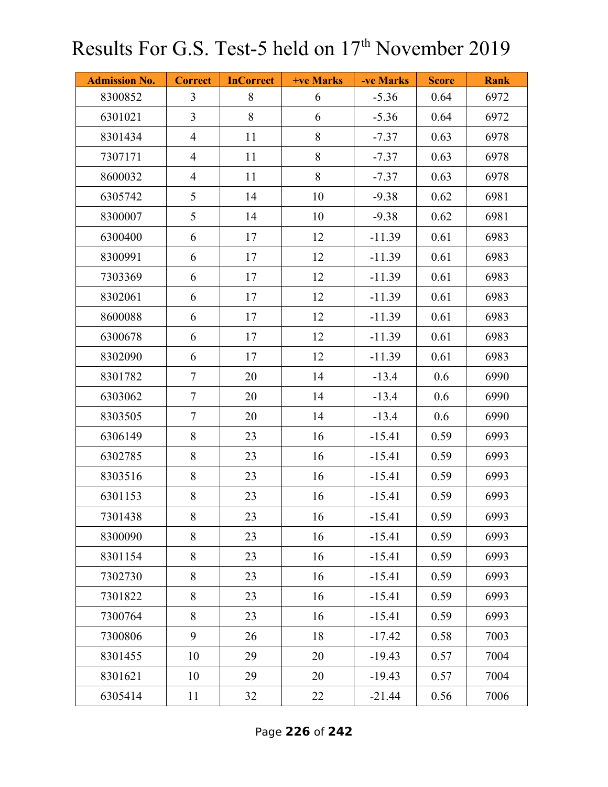| <b>Admission No.</b> | <b>Correct</b> | <b>InCorrect</b> | <b>+ve Marks</b> | -ve Marks | <b>Score</b> | <b>Rank</b> |
|----------------------|----------------|------------------|------------------|-----------|--------------|-------------|
| 8300852              | $\overline{3}$ | 8                | 6                | $-5.36$   | 0.64         | 6972        |
| 6301021              | $\overline{3}$ | 8                | 6                | $-5.36$   | 0.64         | 6972        |
| 8301434              | $\overline{4}$ | 11               | 8                | $-7.37$   | 0.63         | 6978        |
| 7307171              | $\overline{4}$ | 11               | 8                | $-7.37$   | 0.63         | 6978        |
| 8600032              | $\overline{4}$ | 11               | 8                | $-7.37$   | 0.63         | 6978        |
| 6305742              | 5              | 14               | 10               | $-9.38$   | 0.62         | 6981        |
| 8300007              | 5              | 14               | 10               | $-9.38$   | 0.62         | 6981        |
| 6300400              | 6              | 17               | 12               | $-11.39$  | 0.61         | 6983        |
| 8300991              | 6              | 17               | 12               | $-11.39$  | 0.61         | 6983        |
| 7303369              | 6              | 17               | 12               | $-11.39$  | 0.61         | 6983        |
| 8302061              | 6              | 17               | 12               | $-11.39$  | 0.61         | 6983        |
| 8600088              | 6              | 17               | 12               | $-11.39$  | 0.61         | 6983        |
| 6300678              | 6              | 17               | 12               | $-11.39$  | 0.61         | 6983        |
| 8302090              | 6              | 17               | 12               | $-11.39$  | 0.61         | 6983        |
| 8301782              | $\tau$         | 20               | 14               | $-13.4$   | 0.6          | 6990        |
| 6303062              | $\tau$         | 20               | 14               | $-13.4$   | 0.6          | 6990        |
| 8303505              | $\tau$         | 20               | 14               | $-13.4$   | 0.6          | 6990        |
| 6306149              | 8              | 23               | 16               | $-15.41$  | 0.59         | 6993        |
| 6302785              | 8              | 23               | 16               | $-15.41$  | 0.59         | 6993        |
| 8303516              | 8              | 23               | 16               | $-15.41$  | 0.59         | 6993        |
| 6301153              | 8              | 23               | 16               | $-15.41$  | 0.59         | 6993        |
| 7301438              | 8              | 23               | 16               | $-15.41$  | 0.59         | 6993        |
| 8300090              | 8              | 23               | 16               | $-15.41$  | 0.59         | 6993        |
| 8301154              | 8              | 23               | 16               | $-15.41$  | 0.59         | 6993        |
| 7302730              | 8              | 23               | 16               | $-15.41$  | 0.59         | 6993        |
| 7301822              | 8              | 23               | 16               | $-15.41$  | 0.59         | 6993        |
| 7300764              | 8              | 23               | 16               | $-15.41$  | 0.59         | 6993        |
| 7300806              | 9              | 26               | 18               | $-17.42$  | 0.58         | 7003        |
| 8301455              | 10             | 29               | 20               | $-19.43$  | 0.57         | 7004        |
| 8301621              | 10             | 29               | 20               | $-19.43$  | 0.57         | 7004        |
| 6305414              | 11             | 32               | 22               | $-21.44$  | 0.56         | 7006        |

Page **226** of **242**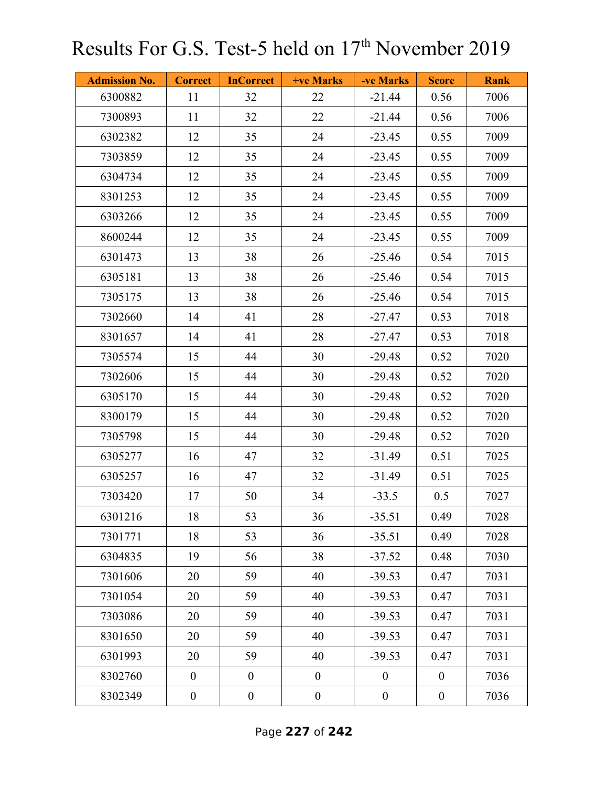| <b>Admission No.</b> | <b>Correct</b>   | <b>InCorrect</b> | <b>+ve Marks</b> | -ve Marks        | <b>Score</b>     | <b>Rank</b> |
|----------------------|------------------|------------------|------------------|------------------|------------------|-------------|
| 6300882              | 11               | 32               | 22               | $-21.44$         | 0.56             | 7006        |
| 7300893              | 11               | 32               | 22               | $-21.44$         | 0.56             | 7006        |
| 6302382              | 12               | 35               | 24               | $-23.45$         | 0.55             | 7009        |
| 7303859              | 12               | 35               | 24               | $-23.45$         | 0.55             | 7009        |
| 6304734              | 12               | 35               | 24               | $-23.45$         | 0.55             | 7009        |
| 8301253              | 12               | 35               | 24               | $-23.45$         | 0.55             | 7009        |
| 6303266              | 12               | 35               | 24               | $-23.45$         | 0.55             | 7009        |
| 8600244              | 12               | 35               | 24               | $-23.45$         | 0.55             | 7009        |
| 6301473              | 13               | 38               | 26               | $-25.46$         | 0.54             | 7015        |
| 6305181              | 13               | 38               | 26               | $-25.46$         | 0.54             | 7015        |
| 7305175              | 13               | 38               | 26               | $-25.46$         | 0.54             | 7015        |
| 7302660              | 14               | 41               | 28               | $-27.47$         | 0.53             | 7018        |
| 8301657              | 14               | 41               | 28               | $-27.47$         | 0.53             | 7018        |
| 7305574              | 15               | 44               | 30               | $-29.48$         | 0.52             | 7020        |
| 7302606              | 15               | 44               | 30               | $-29.48$         | 0.52             | 7020        |
| 6305170              | 15               | 44               | 30               | $-29.48$         | 0.52             | 7020        |
| 8300179              | 15               | 44               | 30               | $-29.48$         | 0.52             | 7020        |
| 7305798              | 15               | 44               | 30               | $-29.48$         | 0.52             | 7020        |
| 6305277              | 16               | 47               | 32               | $-31.49$         | 0.51             | 7025        |
| 6305257              | 16               | 47               | 32               | $-31.49$         | 0.51             | 7025        |
| 7303420              | 17               | 50               | 34               | $-33.5$          | 0.5              | 7027        |
| 6301216              | 18               | 53               | 36               | $-35.51$         | 0.49             | 7028        |
| 7301771              | 18               | 53               | 36               | $-35.51$         | 0.49             | 7028        |
| 6304835              | 19               | 56               | 38               | $-37.52$         | 0.48             | 7030        |
| 7301606              | 20               | 59               | 40               | $-39.53$         | 0.47             | 7031        |
| 7301054              | 20               | 59               | 40               | $-39.53$         | 0.47             | 7031        |
| 7303086              | 20               | 59               | 40               | $-39.53$         | 0.47             | 7031        |
| 8301650              | 20               | 59               | 40               | $-39.53$         | 0.47             | 7031        |
| 6301993              | 20               | 59               | 40               | $-39.53$         | 0.47             | 7031        |
| 8302760              | $\boldsymbol{0}$ | $\boldsymbol{0}$ | $\boldsymbol{0}$ | $\boldsymbol{0}$ | $\overline{0}$   | 7036        |
| 8302349              | $\boldsymbol{0}$ | $\boldsymbol{0}$ | $\boldsymbol{0}$ | $\boldsymbol{0}$ | $\boldsymbol{0}$ | 7036        |

Page **227** of **242**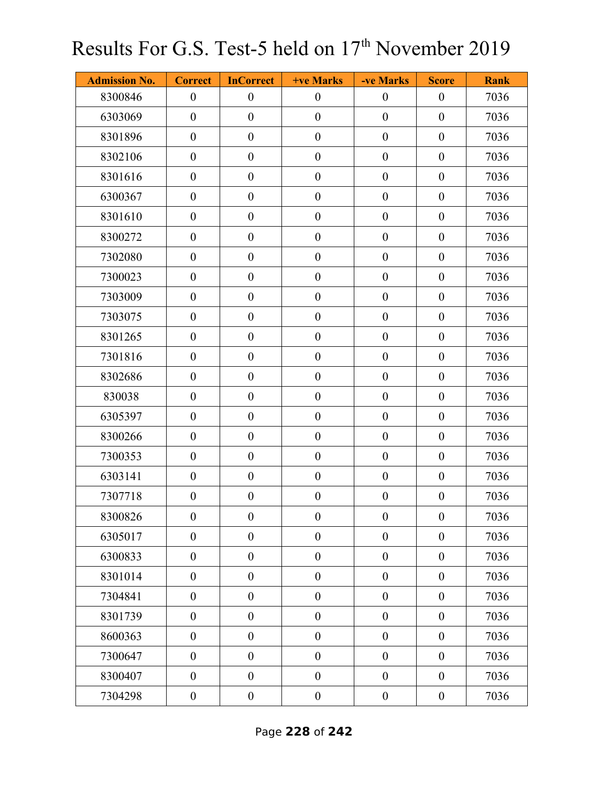| <b>Admission No.</b> | <b>Correct</b>   | <b>InCorrect</b> | <b>+ve Marks</b> | -ve Marks        | <b>Score</b>     | <b>Rank</b> |
|----------------------|------------------|------------------|------------------|------------------|------------------|-------------|
| 8300846              | $\boldsymbol{0}$ | $\boldsymbol{0}$ | $\boldsymbol{0}$ | $\boldsymbol{0}$ | $\boldsymbol{0}$ | 7036        |
| 6303069              | $\boldsymbol{0}$ | $\boldsymbol{0}$ | $\boldsymbol{0}$ | $\boldsymbol{0}$ | $\boldsymbol{0}$ | 7036        |
| 8301896              | $\boldsymbol{0}$ | $\boldsymbol{0}$ | $\boldsymbol{0}$ | $\boldsymbol{0}$ | $\boldsymbol{0}$ | 7036        |
| 8302106              | $\overline{0}$   | $\boldsymbol{0}$ | $\boldsymbol{0}$ | $\boldsymbol{0}$ | $\boldsymbol{0}$ | 7036        |
| 8301616              | $\boldsymbol{0}$ | $\boldsymbol{0}$ | $\boldsymbol{0}$ | $\boldsymbol{0}$ | $\boldsymbol{0}$ | 7036        |
| 6300367              | $\boldsymbol{0}$ | $\boldsymbol{0}$ | $\boldsymbol{0}$ | $\boldsymbol{0}$ | $\boldsymbol{0}$ | 7036        |
| 8301610              | $\overline{0}$   | $\boldsymbol{0}$ | $\boldsymbol{0}$ | $\boldsymbol{0}$ | $\boldsymbol{0}$ | 7036        |
| 8300272              | $\boldsymbol{0}$ | $\boldsymbol{0}$ | $\boldsymbol{0}$ | $\boldsymbol{0}$ | $\boldsymbol{0}$ | 7036        |
| 7302080              | $\boldsymbol{0}$ | $\boldsymbol{0}$ | $\boldsymbol{0}$ | $\boldsymbol{0}$ | $\boldsymbol{0}$ | 7036        |
| 7300023              | $\boldsymbol{0}$ | $\boldsymbol{0}$ | $\boldsymbol{0}$ | $\boldsymbol{0}$ | $\boldsymbol{0}$ | 7036        |
| 7303009              | $\boldsymbol{0}$ | $\boldsymbol{0}$ | $\boldsymbol{0}$ | $\boldsymbol{0}$ | $\boldsymbol{0}$ | 7036        |
| 7303075              | $\boldsymbol{0}$ | $\overline{0}$   | $\boldsymbol{0}$ | $\boldsymbol{0}$ | $\boldsymbol{0}$ | 7036        |
| 8301265              | $\boldsymbol{0}$ | $\boldsymbol{0}$ | $\boldsymbol{0}$ | $\boldsymbol{0}$ | $\boldsymbol{0}$ | 7036        |
| 7301816              | $\boldsymbol{0}$ | $\boldsymbol{0}$ | $\boldsymbol{0}$ | $\boldsymbol{0}$ | $\boldsymbol{0}$ | 7036        |
| 8302686              | $\boldsymbol{0}$ | $\overline{0}$   | $\boldsymbol{0}$ | $\boldsymbol{0}$ | $\boldsymbol{0}$ | 7036        |
| 830038               | $\boldsymbol{0}$ | $\boldsymbol{0}$ | $\boldsymbol{0}$ | $\boldsymbol{0}$ | $\boldsymbol{0}$ | 7036        |
| 6305397              | $\boldsymbol{0}$ | $\boldsymbol{0}$ | $\boldsymbol{0}$ | $\boldsymbol{0}$ | $\boldsymbol{0}$ | 7036        |
| 8300266              | $\boldsymbol{0}$ | $\overline{0}$   | $\boldsymbol{0}$ | $\mathbf{0}$     | $\boldsymbol{0}$ | 7036        |
| 7300353              | $\boldsymbol{0}$ | $\boldsymbol{0}$ | $\boldsymbol{0}$ | $\boldsymbol{0}$ | $\boldsymbol{0}$ | 7036        |
| 6303141              | $\boldsymbol{0}$ | $\boldsymbol{0}$ | $\boldsymbol{0}$ | $\boldsymbol{0}$ | $\boldsymbol{0}$ | 7036        |
| 7307718              | $\boldsymbol{0}$ | $\boldsymbol{0}$ | $\boldsymbol{0}$ | $\boldsymbol{0}$ | $\boldsymbol{0}$ | 7036        |
| 8300826              | $\boldsymbol{0}$ | $\boldsymbol{0}$ | $\boldsymbol{0}$ | $\boldsymbol{0}$ | $\boldsymbol{0}$ | 7036        |
| 6305017              | $\boldsymbol{0}$ | $\boldsymbol{0}$ | $\boldsymbol{0}$ | $\boldsymbol{0}$ | $\boldsymbol{0}$ | 7036        |
| 6300833              | $\boldsymbol{0}$ | $\boldsymbol{0}$ | $\boldsymbol{0}$ | $\boldsymbol{0}$ | $\boldsymbol{0}$ | 7036        |
| 8301014              | $\boldsymbol{0}$ | $\boldsymbol{0}$ | $\boldsymbol{0}$ | $\boldsymbol{0}$ | $\boldsymbol{0}$ | 7036        |
| 7304841              | $\boldsymbol{0}$ | $\boldsymbol{0}$ | $\boldsymbol{0}$ | $\boldsymbol{0}$ | $\boldsymbol{0}$ | 7036        |
| 8301739              | $\boldsymbol{0}$ | $\boldsymbol{0}$ | $\boldsymbol{0}$ | $\boldsymbol{0}$ | $\boldsymbol{0}$ | 7036        |
| 8600363              | $\boldsymbol{0}$ | $\boldsymbol{0}$ | $\boldsymbol{0}$ | $\boldsymbol{0}$ | $\boldsymbol{0}$ | 7036        |
| 7300647              | $\boldsymbol{0}$ | $\boldsymbol{0}$ | $\boldsymbol{0}$ | $\boldsymbol{0}$ | $\boldsymbol{0}$ | 7036        |
| 8300407              | $\boldsymbol{0}$ | $\overline{0}$   | $\boldsymbol{0}$ | $\boldsymbol{0}$ | $\boldsymbol{0}$ | 7036        |
| 7304298              | $\boldsymbol{0}$ | $\boldsymbol{0}$ | $\boldsymbol{0}$ | $\boldsymbol{0}$ | $\boldsymbol{0}$ | 7036        |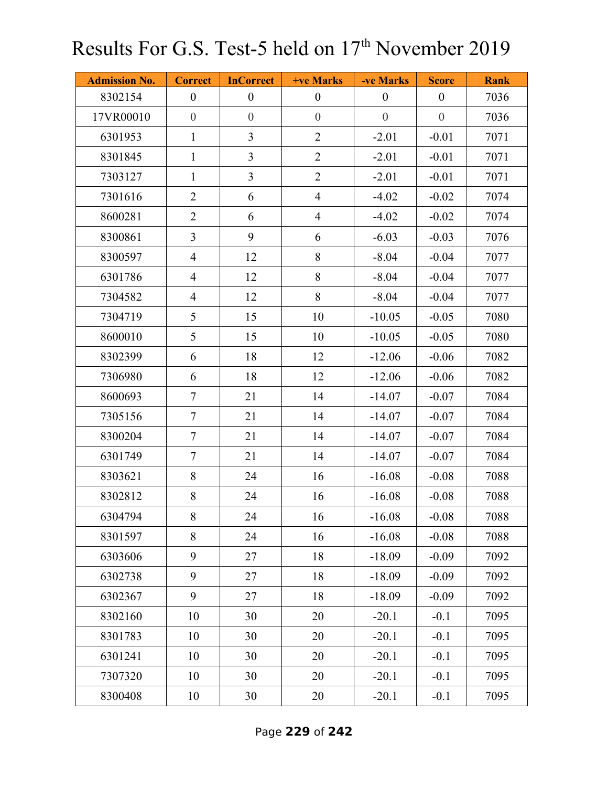| <b>Admission No.</b> | <b>Correct</b>   | <b>InCorrect</b> | <b>+ve Marks</b> | -ve Marks        | <b>Score</b>     | <b>Rank</b> |
|----------------------|------------------|------------------|------------------|------------------|------------------|-------------|
| 8302154              | $\boldsymbol{0}$ | $\boldsymbol{0}$ | $\boldsymbol{0}$ | $\boldsymbol{0}$ | $\boldsymbol{0}$ | 7036        |
| 17VR00010            | $\theta$         | $\boldsymbol{0}$ | $\boldsymbol{0}$ | $\boldsymbol{0}$ | $\theta$         | 7036        |
| 6301953              | $\mathbf{1}$     | $\overline{3}$   | $\overline{2}$   | $-2.01$          | $-0.01$          | 7071        |
| 8301845              | $\mathbf{1}$     | $\overline{3}$   | $\overline{2}$   | $-2.01$          | $-0.01$          | 7071        |
| 7303127              | $\mathbf{1}$     | $\mathfrak{Z}$   | $\overline{2}$   | $-2.01$          | $-0.01$          | 7071        |
| 7301616              | $\overline{2}$   | 6                | $\overline{4}$   | $-4.02$          | $-0.02$          | 7074        |
| 8600281              | $\overline{2}$   | 6                | $\overline{4}$   | $-4.02$          | $-0.02$          | 7074        |
| 8300861              | $\mathfrak{Z}$   | 9                | 6                | $-6.03$          | $-0.03$          | 7076        |
| 8300597              | $\overline{4}$   | 12               | 8                | $-8.04$          | $-0.04$          | 7077        |
| 6301786              | $\overline{4}$   | 12               | 8                | $-8.04$          | $-0.04$          | 7077        |
| 7304582              | $\overline{4}$   | 12               | $8\,$            | $-8.04$          | $-0.04$          | 7077        |
| 7304719              | 5                | 15               | 10               | $-10.05$         | $-0.05$          | 7080        |
| 8600010              | 5                | 15               | 10               | $-10.05$         | $-0.05$          | 7080        |
| 8302399              | 6                | 18               | 12               | $-12.06$         | $-0.06$          | 7082        |
| 7306980              | 6                | 18               | 12               | $-12.06$         | $-0.06$          | 7082        |
| 8600693              | $\tau$           | 21               | 14               | $-14.07$         | $-0.07$          | 7084        |
| 7305156              | $\tau$           | 21               | 14               | $-14.07$         | $-0.07$          | 7084        |
| 8300204              | $\tau$           | 21               | 14               | $-14.07$         | $-0.07$          | 7084        |
| 6301749              | $\tau$           | 21               | 14               | $-14.07$         | $-0.07$          | 7084        |
| 8303621              | 8                | 24               | 16               | $-16.08$         | $-0.08$          | 7088        |
| 8302812              | 8                | 24               | 16               | $-16.08$         | $-0.08$          | 7088        |
| 6304794              | 8                | 24               | 16               | $-16.08$         | $-0.08$          | 7088        |
| 8301597              | 8                | 24               | 16               | $-16.08$         | $-0.08$          | 7088        |
| 6303606              | 9                | 27               | 18               | $-18.09$         | $-0.09$          | 7092        |
| 6302738              | 9                | 27               | 18               | $-18.09$         | $-0.09$          | 7092        |
| 6302367              | 9                | 27               | 18               | $-18.09$         | $-0.09$          | 7092        |
| 8302160              | 10               | 30               | 20               | $-20.1$          | $-0.1$           | 7095        |
| 8301783              | 10               | 30               | 20               | $-20.1$          | $-0.1$           | 7095        |
| 6301241              | 10               | 30               | 20               | $-20.1$          | $-0.1$           | 7095        |
| 7307320              | 10               | 30               | 20               | $-20.1$          | $-0.1$           | 7095        |
| 8300408              | 10               | 30               | 20               | $-20.1$          | $-0.1$           | 7095        |

Page **229** of **242**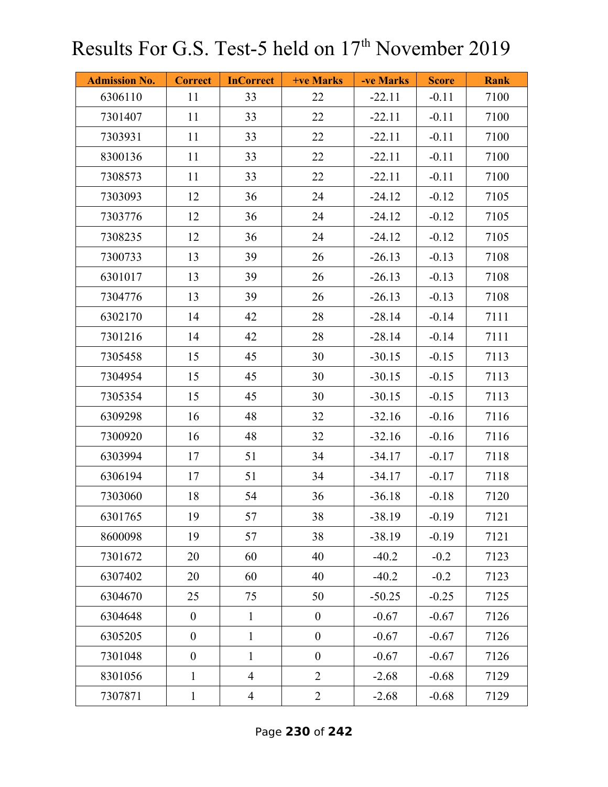| <b>Admission No.</b> | <b>Correct</b>   | <b>InCorrect</b> | +ve Marks        | -ve Marks | <b>Score</b> | <b>Rank</b> |
|----------------------|------------------|------------------|------------------|-----------|--------------|-------------|
| 6306110              | 11               | 33               | 22               | $-22.11$  | $-0.11$      | 7100        |
| 7301407              | 11               | 33               | 22               | $-22.11$  | $-0.11$      | 7100        |
| 7303931              | 11               | 33               | 22               | $-22.11$  | $-0.11$      | 7100        |
| 8300136              | 11               | 33               | 22               | $-22.11$  | $-0.11$      | 7100        |
| 7308573              | 11               | 33               | 22               | $-22.11$  | $-0.11$      | 7100        |
| 7303093              | 12               | 36               | 24               | $-24.12$  | $-0.12$      | 7105        |
| 7303776              | 12               | 36               | 24               | $-24.12$  | $-0.12$      | 7105        |
| 7308235              | 12               | 36               | 24               | $-24.12$  | $-0.12$      | 7105        |
| 7300733              | 13               | 39               | 26               | $-26.13$  | $-0.13$      | 7108        |
| 6301017              | 13               | 39               | 26               | $-26.13$  | $-0.13$      | 7108        |
| 7304776              | 13               | 39               | 26               | $-26.13$  | $-0.13$      | 7108        |
| 6302170              | 14               | 42               | 28               | $-28.14$  | $-0.14$      | 7111        |
| 7301216              | 14               | 42               | 28               | $-28.14$  | $-0.14$      | 7111        |
| 7305458              | 15               | 45               | 30               | $-30.15$  | $-0.15$      | 7113        |
| 7304954              | 15               | 45               | 30               | $-30.15$  | $-0.15$      | 7113        |
| 7305354              | 15               | 45               | 30               | $-30.15$  | $-0.15$      | 7113        |
| 6309298              | 16               | 48               | 32               | $-32.16$  | $-0.16$      | 7116        |
| 7300920              | 16               | 48               | 32               | $-32.16$  | $-0.16$      | 7116        |
| 6303994              | 17               | 51               | 34               | $-34.17$  | $-0.17$      | 7118        |
| 6306194              | 17               | 51               | 34               | $-34.17$  | $-0.17$      | 7118        |
| 7303060              | 18               | 54               | 36               | $-36.18$  | $-0.18$      | 7120        |
| 6301765              | 19               | 57               | 38               | $-38.19$  | $-0.19$      | 7121        |
| 8600098              | 19               | 57               | 38               | $-38.19$  | $-0.19$      | 7121        |
| 7301672              | 20               | 60               | 40               | $-40.2$   | $-0.2$       | 7123        |
| 6307402              | 20               | 60               | 40               | $-40.2$   | $-0.2$       | 7123        |
| 6304670              | 25               | 75               | 50               | $-50.25$  | $-0.25$      | 7125        |
| 6304648              | $\boldsymbol{0}$ | $\mathbf{1}$     | $\boldsymbol{0}$ | $-0.67$   | $-0.67$      | 7126        |
| 6305205              | $\boldsymbol{0}$ | $\mathbf{1}$     | $\boldsymbol{0}$ | $-0.67$   | $-0.67$      | 7126        |
| 7301048              | $\boldsymbol{0}$ | $\mathbf{1}$     | $\boldsymbol{0}$ | $-0.67$   | $-0.67$      | 7126        |
| 8301056              | $\mathbf{1}$     | $\overline{4}$   | $\overline{2}$   | $-2.68$   | $-0.68$      | 7129        |
| 7307871              | $\mathbf{1}$     | $\overline{4}$   | $\overline{2}$   | $-2.68$   | $-0.68$      | 7129        |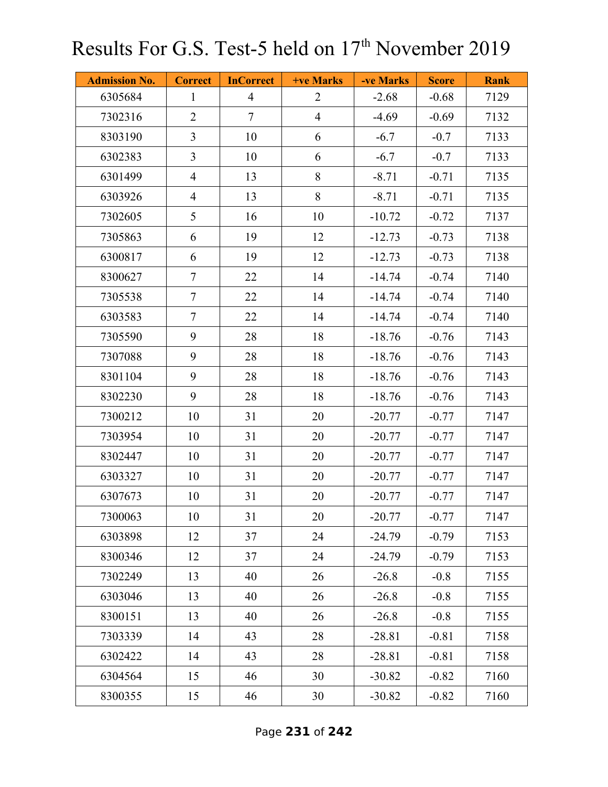| <b>Admission No.</b> | <b>Correct</b> | <b>InCorrect</b> | <b>+ve Marks</b> | -ve Marks | <b>Score</b> | <b>Rank</b> |
|----------------------|----------------|------------------|------------------|-----------|--------------|-------------|
| 6305684              | $\mathbf{1}$   | $\overline{4}$   | $\overline{2}$   | $-2.68$   | $-0.68$      | 7129        |
| 7302316              | $\overline{2}$ | $\tau$           | $\overline{4}$   | $-4.69$   | $-0.69$      | 7132        |
| 8303190              | $\overline{3}$ | 10               | 6                | $-6.7$    | $-0.7$       | 7133        |
| 6302383              | $\overline{3}$ | 10               | 6                | $-6.7$    | $-0.7$       | 7133        |
| 6301499              | $\overline{4}$ | 13               | 8                | $-8.71$   | $-0.71$      | 7135        |
| 6303926              | $\overline{4}$ | 13               | 8                | $-8.71$   | $-0.71$      | 7135        |
| 7302605              | 5              | 16               | 10               | $-10.72$  | $-0.72$      | 7137        |
| 7305863              | 6              | 19               | 12               | $-12.73$  | $-0.73$      | 7138        |
| 6300817              | 6              | 19               | 12               | $-12.73$  | $-0.73$      | 7138        |
| 8300627              | $\overline{7}$ | 22               | 14               | $-14.74$  | $-0.74$      | 7140        |
| 7305538              | $\tau$         | 22               | 14               | $-14.74$  | $-0.74$      | 7140        |
| 6303583              | $\tau$         | 22               | 14               | $-14.74$  | $-0.74$      | 7140        |
| 7305590              | 9              | 28               | 18               | $-18.76$  | $-0.76$      | 7143        |
| 7307088              | 9              | 28               | 18               | $-18.76$  | $-0.76$      | 7143        |
| 8301104              | 9              | 28               | 18               | $-18.76$  | $-0.76$      | 7143        |
| 8302230              | 9              | 28               | 18               | $-18.76$  | $-0.76$      | 7143        |
| 7300212              | 10             | 31               | 20               | $-20.77$  | $-0.77$      | 7147        |
| 7303954              | 10             | 31               | 20               | $-20.77$  | $-0.77$      | 7147        |
| 8302447              | 10             | 31               | 20               | $-20.77$  | $-0.77$      | 7147        |
| 6303327              | 10             | 31               | 20               | $-20.77$  | $-0.77$      | 7147        |
| 6307673              | 10             | 31               | 20               | $-20.77$  | $-0.77$      | 7147        |
| 7300063              | 10             | 31               | 20               | $-20.77$  | $-0.77$      | 7147        |
| 6303898              | 12             | 37               | 24               | $-24.79$  | $-0.79$      | 7153        |
| 8300346              | 12             | 37               | 24               | $-24.79$  | $-0.79$      | 7153        |
| 7302249              | 13             | 40               | 26               | $-26.8$   | $-0.8$       | 7155        |
| 6303046              | 13             | 40               | 26               | $-26.8$   | $-0.8$       | 7155        |
| 8300151              | 13             | 40               | 26               | $-26.8$   | $-0.8$       | 7155        |
| 7303339              | 14             | 43               | 28               | $-28.81$  | $-0.81$      | 7158        |
| 6302422              | 14             | 43               | 28               | $-28.81$  | $-0.81$      | 7158        |
| 6304564              | 15             | 46               | 30               | $-30.82$  | $-0.82$      | 7160        |
| 8300355              | 15             | 46               | 30               | $-30.82$  | $-0.82$      | 7160        |

Page **231** of **242**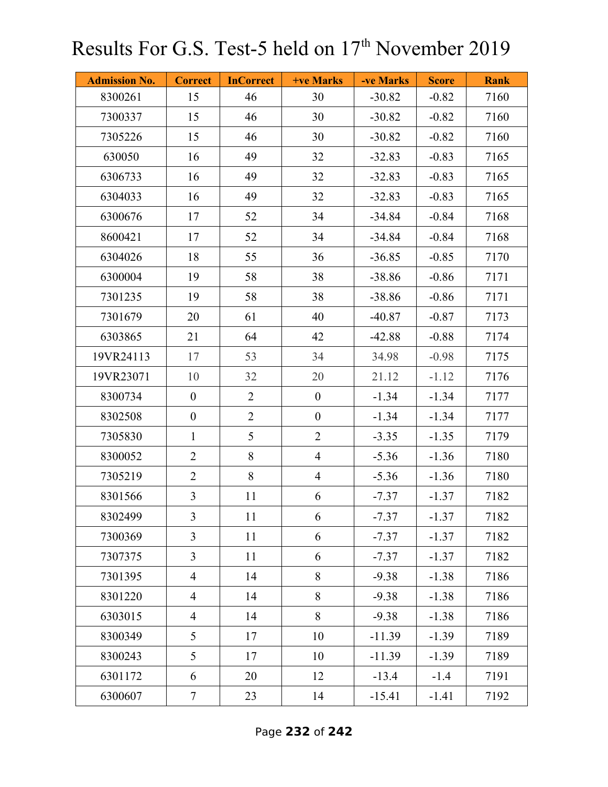| <b>Admission No.</b> | <b>Correct</b>   | <b>InCorrect</b> | <b>+ve Marks</b> | -ve Marks | <b>Score</b> | <b>Rank</b> |
|----------------------|------------------|------------------|------------------|-----------|--------------|-------------|
| 8300261              | 15               | 46               | 30               | $-30.82$  | $-0.82$      | 7160        |
| 7300337              | 15               | 46               | 30               | $-30.82$  | $-0.82$      | 7160        |
| 7305226              | 15               | 46               | 30               | $-30.82$  | $-0.82$      | 7160        |
| 630050               | 16               | 49               | 32               | $-32.83$  | $-0.83$      | 7165        |
| 6306733              | 16               | 49               | 32               | $-32.83$  | $-0.83$      | 7165        |
| 6304033              | 16               | 49               | 32               | $-32.83$  | $-0.83$      | 7165        |
| 6300676              | 17               | 52               | 34               | $-34.84$  | $-0.84$      | 7168        |
| 8600421              | 17               | 52               | 34               | $-34.84$  | $-0.84$      | 7168        |
| 6304026              | 18               | 55               | 36               | $-36.85$  | $-0.85$      | 7170        |
| 6300004              | 19               | 58               | 38               | $-38.86$  | $-0.86$      | 7171        |
| 7301235              | 19               | 58               | 38               | $-38.86$  | $-0.86$      | 7171        |
| 7301679              | 20               | 61               | 40               | $-40.87$  | $-0.87$      | 7173        |
| 6303865              | 21               | 64               | 42               | $-42.88$  | $-0.88$      | 7174        |
| 19VR24113            | 17               | 53               | 34               | 34.98     | $-0.98$      | 7175        |
| 19VR23071            | 10               | 32               | 20               | 21.12     | $-1.12$      | 7176        |
| 8300734              | $\boldsymbol{0}$ | $\overline{2}$   | $\boldsymbol{0}$ | $-1.34$   | $-1.34$      | 7177        |
| 8302508              | $\boldsymbol{0}$ | $\overline{2}$   | $\boldsymbol{0}$ | $-1.34$   | $-1.34$      | 7177        |
| 7305830              | $\mathbf{1}$     | 5                | $\overline{2}$   | $-3.35$   | $-1.35$      | 7179        |
| 8300052              | $\overline{2}$   | 8                | $\overline{4}$   | $-5.36$   | $-1.36$      | 7180        |
| 7305219              | $\overline{2}$   | 8                | $\overline{4}$   | $-5.36$   | $-1.36$      | 7180        |
| 8301566              | $\overline{3}$   | 11               | 6                | $-7.37$   | $-1.37$      | 7182        |
| 8302499              | $\mathfrak{Z}$   | 11               | 6                | $-7.37$   | $-1.37$      | 7182        |
| 7300369              | $\overline{3}$   | 11               | 6                | $-7.37$   | $-1.37$      | 7182        |
| 7307375              | $\overline{3}$   | 11               | 6                | $-7.37$   | $-1.37$      | 7182        |
| 7301395              | $\overline{4}$   | 14               | 8                | $-9.38$   | $-1.38$      | 7186        |
| 8301220              | $\overline{4}$   | 14               | 8                | $-9.38$   | $-1.38$      | 7186        |
| 6303015              | $\overline{4}$   | 14               | 8                | $-9.38$   | $-1.38$      | 7186        |
| 8300349              | 5                | 17               | 10               | $-11.39$  | $-1.39$      | 7189        |
| 8300243              | 5                | 17               | 10               | $-11.39$  | $-1.39$      | 7189        |
| 6301172              | 6                | 20               | 12               | $-13.4$   | $-1.4$       | 7191        |
| 6300607              | $\tau$           | 23               | 14               | $-15.41$  | $-1.41$      | 7192        |

Page **232** of **242**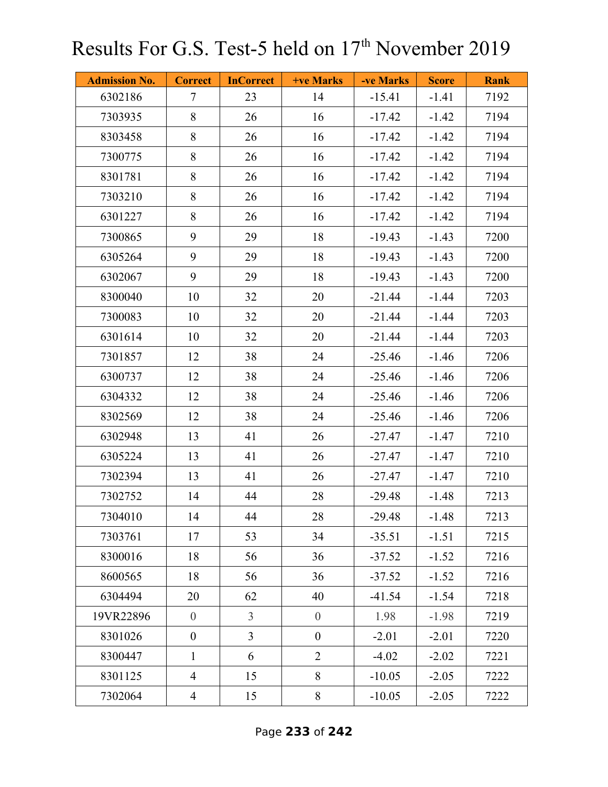| <b>Admission No.</b> | <b>Correct</b>   | <b>InCorrect</b> | <b>+ve Marks</b> | -ve Marks | <b>Score</b> | <b>Rank</b> |
|----------------------|------------------|------------------|------------------|-----------|--------------|-------------|
| 6302186              | $\tau$           | 23               | 14               | $-15.41$  | $-1.41$      | 7192        |
| 7303935              | 8                | 26               | 16               | $-17.42$  | $-1.42$      | 7194        |
| 8303458              | 8                | 26               | 16               | $-17.42$  | $-1.42$      | 7194        |
| 7300775              | 8                | 26               | 16               | $-17.42$  | $-1.42$      | 7194        |
| 8301781              | 8                | 26               | 16               | $-17.42$  | $-1.42$      | 7194        |
| 7303210              | 8                | 26               | 16               | $-17.42$  | $-1.42$      | 7194        |
| 6301227              | 8                | 26               | 16               | $-17.42$  | $-1.42$      | 7194        |
| 7300865              | 9                | 29               | 18               | $-19.43$  | $-1.43$      | 7200        |
| 6305264              | 9                | 29               | 18               | $-19.43$  | $-1.43$      | 7200        |
| 6302067              | 9                | 29               | 18               | $-19.43$  | $-1.43$      | 7200        |
| 8300040              | 10               | 32               | 20               | $-21.44$  | $-1.44$      | 7203        |
| 7300083              | 10               | 32               | 20               | $-21.44$  | $-1.44$      | 7203        |
| 6301614              | 10               | 32               | 20               | $-21.44$  | $-1.44$      | 7203        |
| 7301857              | 12               | 38               | 24               | $-25.46$  | $-1.46$      | 7206        |
| 6300737              | 12               | 38               | 24               | $-25.46$  | $-1.46$      | 7206        |
| 6304332              | 12               | 38               | 24               | $-25.46$  | $-1.46$      | 7206        |
| 8302569              | 12               | 38               | 24               | $-25.46$  | $-1.46$      | 7206        |
| 6302948              | 13               | 41               | 26               | $-27.47$  | $-1.47$      | 7210        |
| 6305224              | 13               | 41               | 26               | $-27.47$  | $-1.47$      | 7210        |
| 7302394              | 13               | 41               | 26               | $-27.47$  | $-1.47$      | 7210        |
| 7302752              | 14               | 44               | 28               | $-29.48$  | $-1.48$      | 7213        |
| 7304010              | 14               | 44               | 28               | $-29.48$  | $-1.48$      | 7213        |
| 7303761              | 17               | 53               | 34               | $-35.51$  | $-1.51$      | 7215        |
| 8300016              | 18               | 56               | 36               | $-37.52$  | $-1.52$      | 7216        |
| 8600565              | 18               | 56               | 36               | $-37.52$  | $-1.52$      | 7216        |
| 6304494              | 20               | 62               | 40               | $-41.54$  | $-1.54$      | 7218        |
| 19VR22896            | $\overline{0}$   | $\overline{3}$   | $\overline{0}$   | 1.98      | $-1.98$      | 7219        |
| 8301026              | $\boldsymbol{0}$ | $\overline{3}$   | $\boldsymbol{0}$ | $-2.01$   | $-2.01$      | 7220        |
| 8300447              | $\mathbf{1}$     | 6                | $\overline{2}$   | $-4.02$   | $-2.02$      | 7221        |
| 8301125              | $\overline{4}$   | 15               | 8                | $-10.05$  | $-2.05$      | 7222        |
| 7302064              | $\overline{4}$   | 15               | $8\,$            | $-10.05$  | $-2.05$      | 7222        |

Page **233** of **242**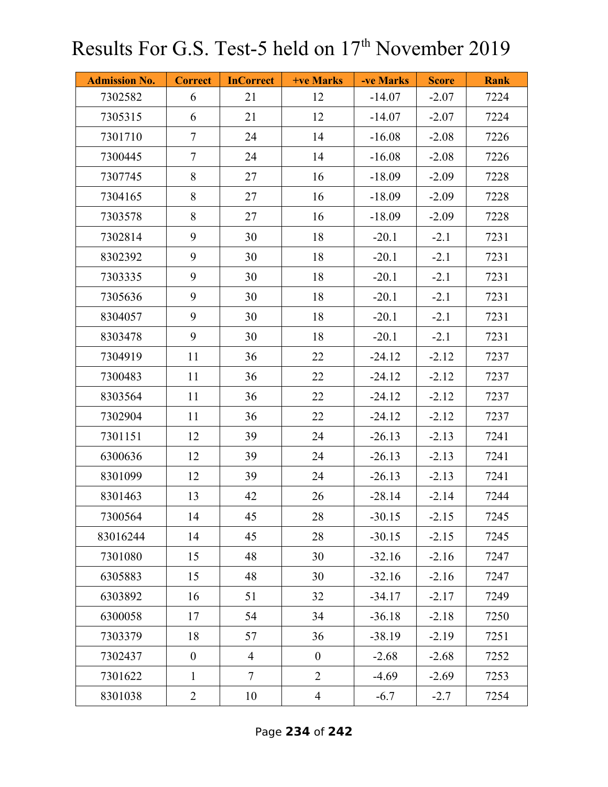| <b>Admission No.</b> | <b>Correct</b> | <b>InCorrect</b> | <b>+ve Marks</b> | -ve Marks | <b>Score</b> | <b>Rank</b> |
|----------------------|----------------|------------------|------------------|-----------|--------------|-------------|
| 7302582              | 6              | 21               | 12               | $-14.07$  | $-2.07$      | 7224        |
| 7305315              | 6              | 21               | 12               | $-14.07$  | $-2.07$      | 7224        |
| 7301710              | $\tau$         | 24               | 14               | $-16.08$  | $-2.08$      | 7226        |
| 7300445              | $\tau$         | 24               | 14               | $-16.08$  | $-2.08$      | 7226        |
| 7307745              | 8              | 27               | 16               | $-18.09$  | $-2.09$      | 7228        |
| 7304165              | 8              | 27               | 16               | $-18.09$  | $-2.09$      | 7228        |
| 7303578              | 8              | 27               | 16               | $-18.09$  | $-2.09$      | 7228        |
| 7302814              | 9              | 30               | 18               | $-20.1$   | $-2.1$       | 7231        |
| 8302392              | 9              | 30               | 18               | $-20.1$   | $-2.1$       | 7231        |
| 7303335              | 9              | 30               | 18               | $-20.1$   | $-2.1$       | 7231        |
| 7305636              | 9              | 30               | 18               | $-20.1$   | $-2.1$       | 7231        |
| 8304057              | 9              | 30               | 18               | $-20.1$   | $-2.1$       | 7231        |
| 8303478              | 9              | 30               | 18               | $-20.1$   | $-2.1$       | 7231        |
| 7304919              | 11             | 36               | 22               | $-24.12$  | $-2.12$      | 7237        |
| 7300483              | 11             | 36               | 22               | $-24.12$  | $-2.12$      | 7237        |
| 8303564              | 11             | 36               | 22               | $-24.12$  | $-2.12$      | 7237        |
| 7302904              | 11             | 36               | 22               | $-24.12$  | $-2.12$      | 7237        |
| 7301151              | 12             | 39               | 24               | $-26.13$  | $-2.13$      | 7241        |
| 6300636              | 12             | 39               | 24               | $-26.13$  | $-2.13$      | 7241        |
| 8301099              | 12             | 39               | 24               | $-26.13$  | $-2.13$      | 7241        |
| 8301463              | 13             | 42               | 26               | $-28.14$  | $-2.14$      | 7244        |
| 7300564              | 14             | 45               | 28               | $-30.15$  | $-2.15$      | 7245        |
| 83016244             | 14             | 45               | 28               | $-30.15$  | $-2.15$      | 7245        |
| 7301080              | 15             | 48               | 30               | $-32.16$  | $-2.16$      | 7247        |
| 6305883              | 15             | 48               | 30               | $-32.16$  | $-2.16$      | 7247        |
| 6303892              | 16             | 51               | 32               | $-34.17$  | $-2.17$      | 7249        |
| 6300058              | 17             | 54               | 34               | $-36.18$  | $-2.18$      | 7250        |
| 7303379              | 18             | 57               | 36               | $-38.19$  | $-2.19$      | 7251        |
| 7302437              | $\overline{0}$ | $\overline{4}$   | $\boldsymbol{0}$ | $-2.68$   | $-2.68$      | 7252        |
| 7301622              | $\mathbf{1}$   | $\overline{7}$   | $\overline{2}$   | $-4.69$   | $-2.69$      | 7253        |
| 8301038              | $\overline{2}$ | 10               | $\overline{4}$   | $-6.7$    | $-2.7$       | 7254        |

Page **234** of **242**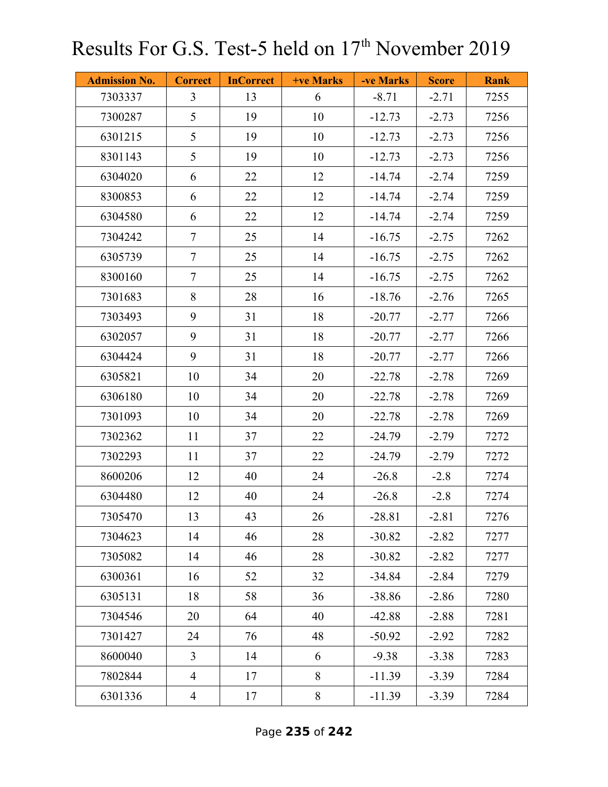| <b>Admission No.</b> | <b>Correct</b> | <b>InCorrect</b> | <b>+ve Marks</b> | -ve Marks | <b>Score</b> | <b>Rank</b> |
|----------------------|----------------|------------------|------------------|-----------|--------------|-------------|
| 7303337              | $\overline{3}$ | 13               | 6                | $-8.71$   | $-2.71$      | 7255        |
| 7300287              | 5              | 19               | 10               | $-12.73$  | $-2.73$      | 7256        |
| 6301215              | 5              | 19               | 10               | $-12.73$  | $-2.73$      | 7256        |
| 8301143              | 5              | 19               | 10               | $-12.73$  | $-2.73$      | 7256        |
| 6304020              | 6              | 22               | 12               | $-14.74$  | $-2.74$      | 7259        |
| 8300853              | 6              | 22               | 12               | $-14.74$  | $-2.74$      | 7259        |
| 6304580              | 6              | 22               | 12               | $-14.74$  | $-2.74$      | 7259        |
| 7304242              | $\tau$         | 25               | 14               | $-16.75$  | $-2.75$      | 7262        |
| 6305739              | $\tau$         | 25               | 14               | $-16.75$  | $-2.75$      | 7262        |
| 8300160              | $\tau$         | 25               | 14               | $-16.75$  | $-2.75$      | 7262        |
| 7301683              | 8              | 28               | 16               | $-18.76$  | $-2.76$      | 7265        |
| 7303493              | 9              | 31               | 18               | $-20.77$  | $-2.77$      | 7266        |
| 6302057              | 9              | 31               | 18               | $-20.77$  | $-2.77$      | 7266        |
| 6304424              | 9              | 31               | 18               | $-20.77$  | $-2.77$      | 7266        |
| 6305821              | 10             | 34               | 20               | $-22.78$  | $-2.78$      | 7269        |
| 6306180              | 10             | 34               | 20               | $-22.78$  | $-2.78$      | 7269        |
| 7301093              | 10             | 34               | 20               | $-22.78$  | $-2.78$      | 7269        |
| 7302362              | 11             | 37               | 22               | $-24.79$  | $-2.79$      | 7272        |
| 7302293              | 11             | 37               | 22               | $-24.79$  | $-2.79$      | 7272        |
| 8600206              | 12             | 40               | 24               | $-26.8$   | $-2.8$       | 7274        |
| 6304480              | 12             | 40               | 24               | $-26.8$   | $-2.8$       | 7274        |
| 7305470              | 13             | 43               | 26               | $-28.81$  | $-2.81$      | 7276        |
| 7304623              | 14             | 46               | 28               | $-30.82$  | $-2.82$      | 7277        |
| 7305082              | 14             | 46               | 28               | $-30.82$  | $-2.82$      | 7277        |
| 6300361              | 16             | 52               | 32               | $-34.84$  | $-2.84$      | 7279        |
| 6305131              | 18             | 58               | 36               | $-38.86$  | $-2.86$      | 7280        |
| 7304546              | 20             | 64               | 40               | $-42.88$  | $-2.88$      | 7281        |
| 7301427              | 24             | 76               | 48               | $-50.92$  | $-2.92$      | 7282        |
| 8600040              | $\overline{3}$ | 14               | 6                | $-9.38$   | $-3.38$      | 7283        |
| 7802844              | $\overline{4}$ | 17               | 8                | $-11.39$  | $-3.39$      | 7284        |
| 6301336              | $\overline{4}$ | 17               | $8\,$            | $-11.39$  | $-3.39$      | 7284        |

Page **235** of **242**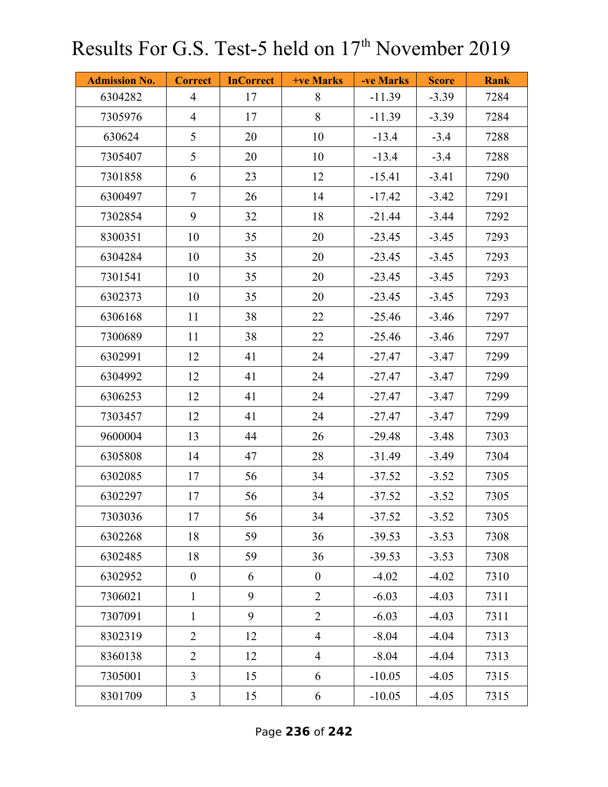| <b>Admission No.</b> | <b>Correct</b>   | <b>InCorrect</b> | <b>+ve Marks</b> | -ve Marks | <b>Score</b> | <b>Rank</b> |
|----------------------|------------------|------------------|------------------|-----------|--------------|-------------|
| 6304282              | $\overline{4}$   | 17               | 8                | $-11.39$  | $-3.39$      | 7284        |
| 7305976              | $\overline{4}$   | 17               | 8                | $-11.39$  | $-3.39$      | 7284        |
| 630624               | 5                | 20               | 10               | $-13.4$   | $-3.4$       | 7288        |
| 7305407              | 5                | 20               | 10               | $-13.4$   | $-3.4$       | 7288        |
| 7301858              | 6                | 23               | 12               | $-15.41$  | $-3.41$      | 7290        |
| 6300497              | $\tau$           | 26               | 14               | $-17.42$  | $-3.42$      | 7291        |
| 7302854              | 9                | 32               | 18               | $-21.44$  | $-3.44$      | 7292        |
| 8300351              | 10               | 35               | 20               | $-23.45$  | $-3.45$      | 7293        |
| 6304284              | 10               | 35               | 20               | $-23.45$  | $-3.45$      | 7293        |
| 7301541              | 10               | 35               | 20               | $-23.45$  | $-3.45$      | 7293        |
| 6302373              | 10               | 35               | 20               | $-23.45$  | $-3.45$      | 7293        |
| 6306168              | 11               | 38               | 22               | $-25.46$  | $-3.46$      | 7297        |
| 7300689              | 11               | 38               | 22               | $-25.46$  | $-3.46$      | 7297        |
| 6302991              | 12               | 41               | 24               | $-27.47$  | $-3.47$      | 7299        |
| 6304992              | 12               | 41               | 24               | $-27.47$  | $-3.47$      | 7299        |
| 6306253              | 12               | 41               | 24               | $-27.47$  | $-3.47$      | 7299        |
| 7303457              | 12               | 41               | 24               | $-27.47$  | $-3.47$      | 7299        |
| 9600004              | 13               | 44               | 26               | $-29.48$  | $-3.48$      | 7303        |
| 6305808              | 14               | 47               | 28               | $-31.49$  | $-3.49$      | 7304        |
| 6302085              | 17               | 56               | 34               | $-37.52$  | $-3.52$      | 7305        |
| 6302297              | 17               | 56               | 34               | $-37.52$  | $-3.52$      | 7305        |
| 7303036              | 17               | 56               | 34               | $-37.52$  | $-3.52$      | 7305        |
| 6302268              | 18               | 59               | 36               | $-39.53$  | $-3.53$      | 7308        |
| 6302485              | 18               | 59               | 36               | $-39.53$  | $-3.53$      | 7308        |
| 6302952              | $\boldsymbol{0}$ | 6                | $\boldsymbol{0}$ | $-4.02$   | $-4.02$      | 7310        |
| 7306021              | $\mathbf{1}$     | 9                | $\overline{2}$   | $-6.03$   | $-4.03$      | 7311        |
| 7307091              | $\mathbf{1}$     | 9                | $\overline{2}$   | $-6.03$   | $-4.03$      | 7311        |
| 8302319              | $\overline{2}$   | 12               | $\overline{4}$   | $-8.04$   | $-4.04$      | 7313        |
| 8360138              | $\overline{2}$   | 12               | $\overline{4}$   | $-8.04$   | $-4.04$      | 7313        |
| 7305001              | $\overline{3}$   | 15               | 6                | $-10.05$  | $-4.05$      | 7315        |
| 8301709              | $\mathfrak{Z}$   | 15               | 6                | $-10.05$  | $-4.05$      | 7315        |

Page **236** of **242**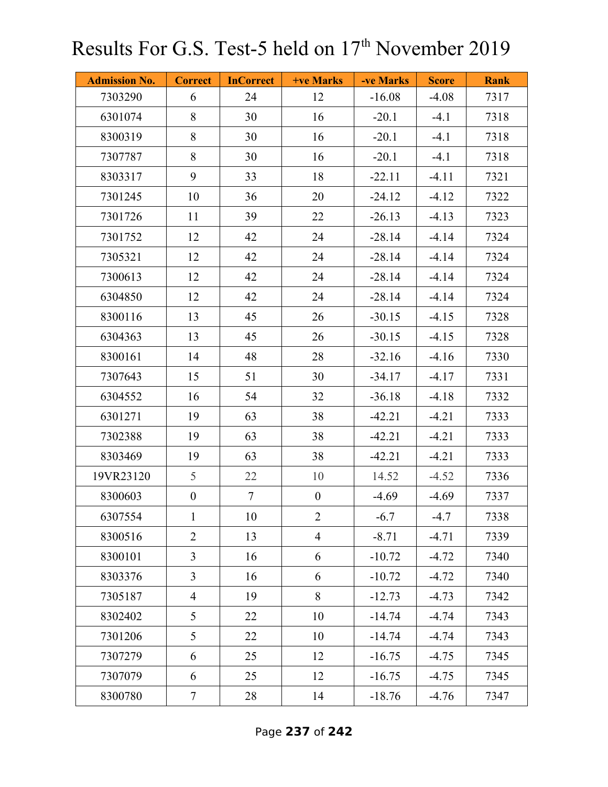| <b>Admission No.</b> | <b>Correct</b>   | <b>InCorrect</b> | <b>+ve Marks</b> | -ve Marks | <b>Score</b> | <b>Rank</b> |
|----------------------|------------------|------------------|------------------|-----------|--------------|-------------|
| 7303290              | 6                | 24               | 12               | $-16.08$  | $-4.08$      | 7317        |
| 6301074              | 8                | 30               | 16               | $-20.1$   | $-4.1$       | 7318        |
| 8300319              | 8                | 30               | 16               | $-20.1$   | $-4.1$       | 7318        |
| 7307787              | 8                | 30               | 16               | $-20.1$   | $-4.1$       | 7318        |
| 8303317              | 9                | 33               | 18               | $-22.11$  | $-4.11$      | 7321        |
| 7301245              | 10               | 36               | 20               | $-24.12$  | $-4.12$      | 7322        |
| 7301726              | 11               | 39               | 22               | $-26.13$  | $-4.13$      | 7323        |
| 7301752              | 12               | 42               | 24               | $-28.14$  | $-4.14$      | 7324        |
| 7305321              | 12               | 42               | 24               | $-28.14$  | $-4.14$      | 7324        |
| 7300613              | 12               | 42               | 24               | $-28.14$  | $-4.14$      | 7324        |
| 6304850              | 12               | 42               | 24               | $-28.14$  | $-4.14$      | 7324        |
| 8300116              | 13               | 45               | 26               | $-30.15$  | $-4.15$      | 7328        |
| 6304363              | 13               | 45               | 26               | $-30.15$  | $-4.15$      | 7328        |
| 8300161              | 14               | 48               | 28               | $-32.16$  | $-4.16$      | 7330        |
| 7307643              | 15               | 51               | 30               | $-34.17$  | $-4.17$      | 7331        |
| 6304552              | 16               | 54               | 32               | $-36.18$  | $-4.18$      | 7332        |
| 6301271              | 19               | 63               | 38               | $-42.21$  | $-4.21$      | 7333        |
| 7302388              | 19               | 63               | 38               | $-42.21$  | $-4.21$      | 7333        |
| 8303469              | 19               | 63               | 38               | $-42.21$  | $-4.21$      | 7333        |
| 19VR23120            | 5                | 22               | 10               | 14.52     | $-4.52$      | 7336        |
| 8300603              | $\boldsymbol{0}$ | $\tau$           | $\boldsymbol{0}$ | $-4.69$   | $-4.69$      | 7337        |
| 6307554              | $\mathbf{1}$     | 10               | $\overline{2}$   | $-6.7$    | $-4.7$       | 7338        |
| 8300516              | $\overline{2}$   | 13               | $\overline{4}$   | $-8.71$   | $-4.71$      | 7339        |
| 8300101              | $\overline{3}$   | 16               | 6                | $-10.72$  | $-4.72$      | 7340        |
| 8303376              | $\mathfrak{Z}$   | 16               | 6                | $-10.72$  | $-4.72$      | 7340        |
| 7305187              | $\overline{4}$   | 19               | 8                | $-12.73$  | $-4.73$      | 7342        |
| 8302402              | 5                | 22               | 10               | $-14.74$  | $-4.74$      | 7343        |
| 7301206              | 5                | 22               | 10               | $-14.74$  | $-4.74$      | 7343        |
| 7307279              | 6                | 25               | 12               | $-16.75$  | $-4.75$      | 7345        |
| 7307079              | 6                | 25               | 12               | $-16.75$  | $-4.75$      | 7345        |
| 8300780              | $\tau$           | 28               | 14               | $-18.76$  | $-4.76$      | 7347        |

Page **237** of **242**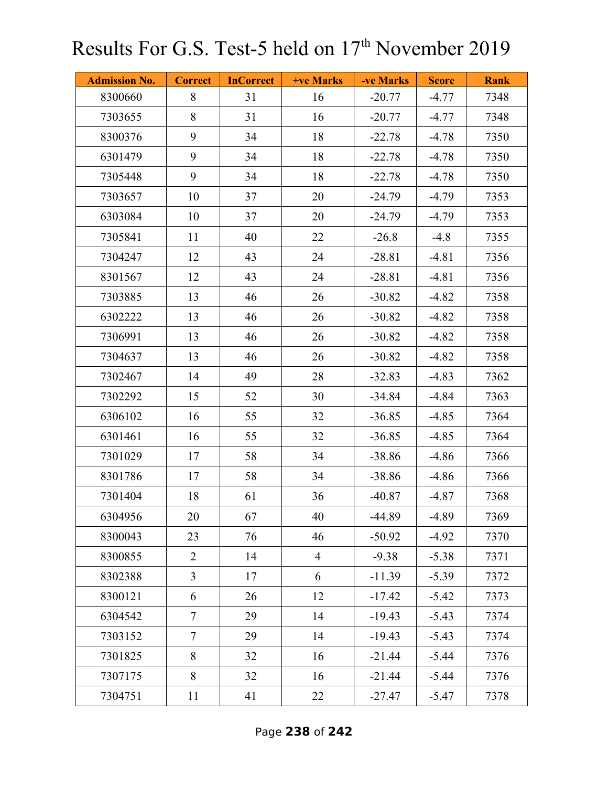| <b>Admission No.</b> | <b>Correct</b> | <b>InCorrect</b> | <b>+ve Marks</b> | -ve Marks | <b>Score</b> | <b>Rank</b> |
|----------------------|----------------|------------------|------------------|-----------|--------------|-------------|
| 8300660              | 8              | 31               | 16               | $-20.77$  | $-4.77$      | 7348        |
| 7303655              | 8              | 31               | 16               | $-20.77$  | $-4.77$      | 7348        |
| 8300376              | 9              | 34               | 18               | $-22.78$  | $-4.78$      | 7350        |
| 6301479              | 9              | 34               | 18               | $-22.78$  | $-4.78$      | 7350        |
| 7305448              | 9              | 34               | 18               | $-22.78$  | $-4.78$      | 7350        |
| 7303657              | 10             | 37               | 20               | $-24.79$  | $-4.79$      | 7353        |
| 6303084              | 10             | 37               | 20               | $-24.79$  | $-4.79$      | 7353        |
| 7305841              | 11             | 40               | 22               | $-26.8$   | $-4.8$       | 7355        |
| 7304247              | 12             | 43               | 24               | $-28.81$  | $-4.81$      | 7356        |
| 8301567              | 12             | 43               | 24               | $-28.81$  | $-4.81$      | 7356        |
| 7303885              | 13             | 46               | 26               | $-30.82$  | $-4.82$      | 7358        |
| 6302222              | 13             | 46               | 26               | $-30.82$  | $-4.82$      | 7358        |
| 7306991              | 13             | 46               | 26               | $-30.82$  | $-4.82$      | 7358        |
| 7304637              | 13             | 46               | 26               | $-30.82$  | $-4.82$      | 7358        |
| 7302467              | 14             | 49               | 28               | $-32.83$  | $-4.83$      | 7362        |
| 7302292              | 15             | 52               | 30               | $-34.84$  | $-4.84$      | 7363        |
| 6306102              | 16             | 55               | 32               | $-36.85$  | $-4.85$      | 7364        |
| 6301461              | 16             | 55               | 32               | $-36.85$  | $-4.85$      | 7364        |
| 7301029              | 17             | 58               | 34               | $-38.86$  | $-4.86$      | 7366        |
| 8301786              | 17             | 58               | 34               | $-38.86$  | $-4.86$      | 7366        |
| 7301404              | 18             | 61               | 36               | $-40.87$  | $-4.87$      | 7368        |
| 6304956              | 20             | 67               | 40               | $-44.89$  | $-4.89$      | 7369        |
| 8300043              | 23             | 76               | 46               | $-50.92$  | $-4.92$      | 7370        |
| 8300855              | $\overline{2}$ | 14               | $\overline{4}$   | $-9.38$   | $-5.38$      | 7371        |
| 8302388              | $\mathfrak{Z}$ | 17               | 6                | $-11.39$  | $-5.39$      | 7372        |
| 8300121              | 6              | 26               | 12               | $-17.42$  | $-5.42$      | 7373        |
| 6304542              | $\overline{7}$ | 29               | 14               | $-19.43$  | $-5.43$      | 7374        |
| 7303152              | $\tau$         | 29               | 14               | $-19.43$  | $-5.43$      | 7374        |
| 7301825              | 8              | 32               | 16               | $-21.44$  | $-5.44$      | 7376        |
| 7307175              | 8              | 32               | 16               | $-21.44$  | $-5.44$      | 7376        |
| 7304751              | 11             | 41               | 22               | $-27.47$  | $-5.47$      | 7378        |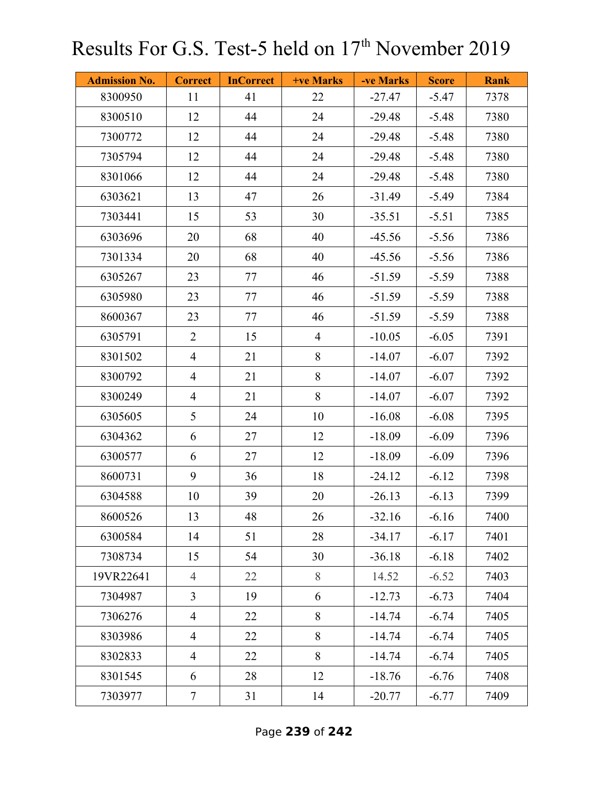| <b>Admission No.</b> | <b>Correct</b> | <b>InCorrect</b> | <b>+ve Marks</b> | -ve Marks | <b>Score</b> | <b>Rank</b> |
|----------------------|----------------|------------------|------------------|-----------|--------------|-------------|
| 8300950              | 11             | 41               | 22               | $-27.47$  | $-5.47$      | 7378        |
| 8300510              | 12             | 44               | 24               | $-29.48$  | $-5.48$      | 7380        |
| 7300772              | 12             | 44               | 24               | $-29.48$  | $-5.48$      | 7380        |
| 7305794              | 12             | 44               | 24               | $-29.48$  | $-5.48$      | 7380        |
| 8301066              | 12             | 44               | 24               | $-29.48$  | $-5.48$      | 7380        |
| 6303621              | 13             | 47               | 26               | $-31.49$  | $-5.49$      | 7384        |
| 7303441              | 15             | 53               | 30               | $-35.51$  | $-5.51$      | 7385        |
| 6303696              | 20             | 68               | 40               | $-45.56$  | $-5.56$      | 7386        |
| 7301334              | 20             | 68               | 40               | $-45.56$  | $-5.56$      | 7386        |
| 6305267              | 23             | 77               | 46               | $-51.59$  | $-5.59$      | 7388        |
| 6305980              | 23             | 77               | 46               | $-51.59$  | $-5.59$      | 7388        |
| 8600367              | 23             | 77               | 46               | $-51.59$  | $-5.59$      | 7388        |
| 6305791              | $\overline{2}$ | 15               | $\overline{4}$   | $-10.05$  | $-6.05$      | 7391        |
| 8301502              | $\overline{4}$ | 21               | 8                | $-14.07$  | $-6.07$      | 7392        |
| 8300792              | $\overline{4}$ | 21               | 8                | $-14.07$  | $-6.07$      | 7392        |
| 8300249              | $\overline{4}$ | 21               | 8                | $-14.07$  | $-6.07$      | 7392        |
| 6305605              | 5              | 24               | 10               | $-16.08$  | $-6.08$      | 7395        |
| 6304362              | 6              | 27               | 12               | $-18.09$  | $-6.09$      | 7396        |
| 6300577              | 6              | 27               | 12               | $-18.09$  | $-6.09$      | 7396        |
| 8600731              | 9              | 36               | 18               | $-24.12$  | $-6.12$      | 7398        |
| 6304588              | 10             | 39               | 20               | $-26.13$  | $-6.13$      | 7399        |
| 8600526              | 13             | 48               | 26               | $-32.16$  | $-6.16$      | 7400        |
| 6300584              | 14             | 51               | 28               | $-34.17$  | $-6.17$      | 7401        |
| 7308734              | 15             | 54               | 30               | $-36.18$  | $-6.18$      | 7402        |
| 19VR22641            | $\overline{4}$ | 22               | 8                | 14.52     | $-6.52$      | 7403        |
| 7304987              | $\overline{3}$ | 19               | 6                | $-12.73$  | $-6.73$      | 7404        |
| 7306276              | $\overline{4}$ | 22               | 8                | $-14.74$  | $-6.74$      | 7405        |
| 8303986              | $\overline{4}$ | 22               | 8                | $-14.74$  | $-6.74$      | 7405        |
| 8302833              | $\overline{4}$ | 22               | 8                | $-14.74$  | $-6.74$      | 7405        |
| 8301545              | 6              | 28               | 12               | $-18.76$  | $-6.76$      | 7408        |
| 7303977              | $\overline{7}$ | 31               | 14               | $-20.77$  | $-6.77$      | 7409        |

Page **239** of **242**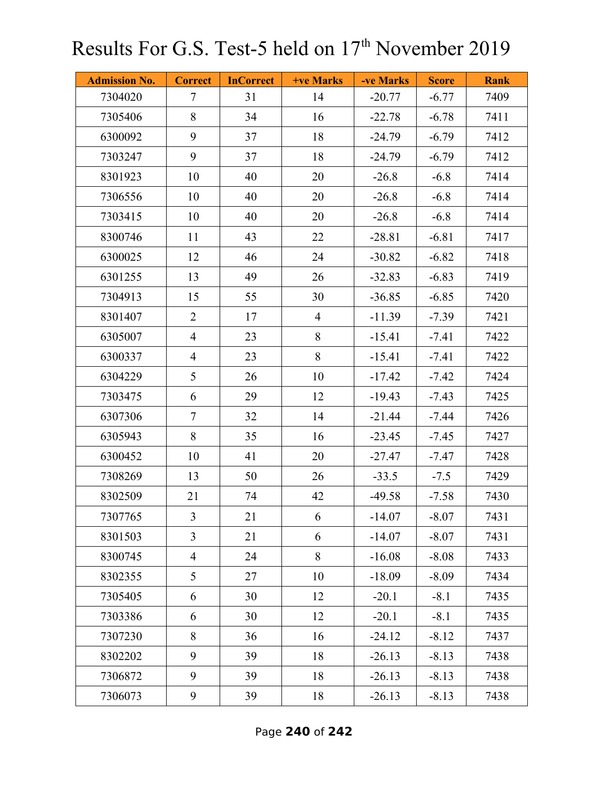| <b>Admission No.</b> | <b>Correct</b> | <b>InCorrect</b> | <b>+ve Marks</b> | -ve Marks | <b>Score</b> | <b>Rank</b> |
|----------------------|----------------|------------------|------------------|-----------|--------------|-------------|
| 7304020              | $\tau$         | 31               | 14               | $-20.77$  | $-6.77$      | 7409        |
| 7305406              | 8              | 34               | 16               | $-22.78$  | $-6.78$      | 7411        |
| 6300092              | 9              | 37               | 18               | $-24.79$  | $-6.79$      | 7412        |
| 7303247              | 9              | 37               | 18               | $-24.79$  | $-6.79$      | 7412        |
| 8301923              | 10             | 40               | 20               | $-26.8$   | $-6.8$       | 7414        |
| 7306556              | 10             | 40               | 20               | $-26.8$   | $-6.8$       | 7414        |
| 7303415              | 10             | 40               | 20               | $-26.8$   | $-6.8$       | 7414        |
| 8300746              | 11             | 43               | 22               | $-28.81$  | $-6.81$      | 7417        |
| 6300025              | 12             | 46               | 24               | $-30.82$  | $-6.82$      | 7418        |
| 6301255              | 13             | 49               | 26               | $-32.83$  | $-6.83$      | 7419        |
| 7304913              | 15             | 55               | 30               | $-36.85$  | $-6.85$      | 7420        |
| 8301407              | $\overline{2}$ | 17               | $\overline{4}$   | $-11.39$  | $-7.39$      | 7421        |
| 6305007              | $\overline{4}$ | 23               | 8                | $-15.41$  | $-7.41$      | 7422        |
| 6300337              | $\overline{4}$ | 23               | 8                | $-15.41$  | $-7.41$      | 7422        |
| 6304229              | 5              | 26               | 10               | $-17.42$  | $-7.42$      | 7424        |
| 7303475              | 6              | 29               | 12               | $-19.43$  | $-7.43$      | 7425        |
| 6307306              | $\overline{7}$ | 32               | 14               | $-21.44$  | $-7.44$      | 7426        |
| 6305943              | 8              | 35               | 16               | $-23.45$  | $-7.45$      | 7427        |
| 6300452              | 10             | 41               | 20               | $-27.47$  | $-7.47$      | 7428        |
| 7308269              | 13             | 50               | 26               | $-33.5$   | $-7.5$       | 7429        |
| 8302509              | 21             | 74               | 42               | $-49.58$  | $-7.58$      | 7430        |
| 7307765              | $\overline{3}$ | 21               | 6                | $-14.07$  | $-8.07$      | 7431        |
| 8301503              | $\overline{3}$ | 21               | 6                | $-14.07$  | $-8.07$      | 7431        |
| 8300745              | $\overline{4}$ | 24               | 8                | $-16.08$  | $-8.08$      | 7433        |
| 8302355              | 5              | 27               | 10               | $-18.09$  | $-8.09$      | 7434        |
| 7305405              | 6              | 30               | 12               | $-20.1$   | $-8.1$       | 7435        |
| 7303386              | 6              | 30               | 12               | $-20.1$   | $-8.1$       | 7435        |
| 7307230              | 8              | 36               | 16               | $-24.12$  | $-8.12$      | 7437        |
| 8302202              | 9              | 39               | 18               | $-26.13$  | $-8.13$      | 7438        |
| 7306872              | 9              | 39               | 18               | $-26.13$  | $-8.13$      | 7438        |
| 7306073              | 9              | 39               | 18               | $-26.13$  | $-8.13$      | 7438        |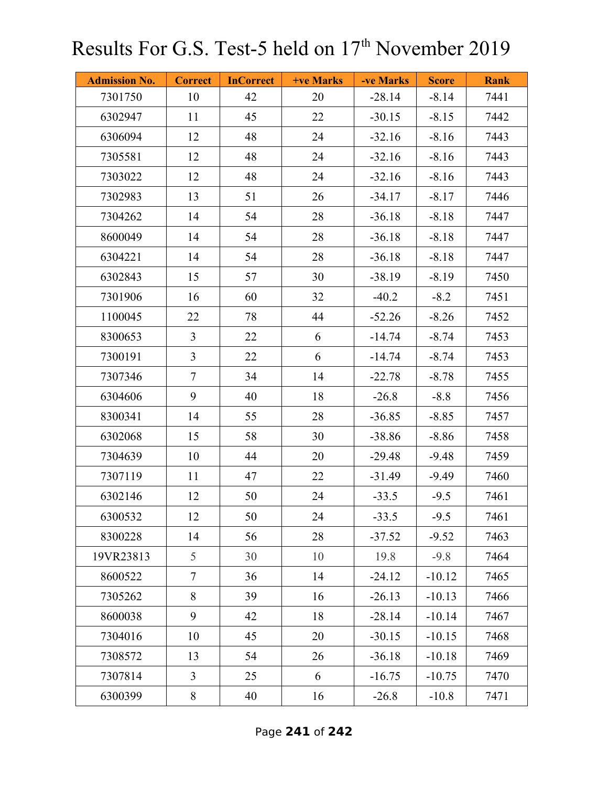| <b>Admission No.</b> | <b>Correct</b> | <b>InCorrect</b> | +ve Marks | -ve Marks | <b>Score</b> | <b>Rank</b> |
|----------------------|----------------|------------------|-----------|-----------|--------------|-------------|
| 7301750              | 10             | 42               | 20        | $-28.14$  | $-8.14$      | 7441        |
| 6302947              | 11             | 45               | 22        | $-30.15$  | $-8.15$      | 7442        |
| 6306094              | 12             | 48               | 24        | $-32.16$  | $-8.16$      | 7443        |
| 7305581              | 12             | 48               | 24        | $-32.16$  | $-8.16$      | 7443        |
| 7303022              | 12             | 48               | 24        | $-32.16$  | $-8.16$      | 7443        |
| 7302983              | 13             | 51               | 26        | $-34.17$  | $-8.17$      | 7446        |
| 7304262              | 14             | 54               | 28        | $-36.18$  | $-8.18$      | 7447        |
| 8600049              | 14             | 54               | 28        | $-36.18$  | $-8.18$      | 7447        |
| 6304221              | 14             | 54               | 28        | $-36.18$  | $-8.18$      | 7447        |
| 6302843              | 15             | 57               | 30        | $-38.19$  | $-8.19$      | 7450        |
| 7301906              | 16             | 60               | 32        | $-40.2$   | $-8.2$       | 7451        |
| 1100045              | 22             | 78               | 44        | $-52.26$  | $-8.26$      | 7452        |
| 8300653              | $\overline{3}$ | 22               | 6         | $-14.74$  | $-8.74$      | 7453        |
| 7300191              | $\overline{3}$ | 22               | 6         | $-14.74$  | $-8.74$      | 7453        |
| 7307346              | $\tau$         | 34               | 14        | $-22.78$  | $-8.78$      | 7455        |
| 6304606              | 9              | 40               | 18        | $-26.8$   | $-8.8$       | 7456        |
| 8300341              | 14             | 55               | 28        | $-36.85$  | $-8.85$      | 7457        |
| 6302068              | 15             | 58               | 30        | $-38.86$  | $-8.86$      | 7458        |
| 7304639              | 10             | 44               | 20        | $-29.48$  | $-9.48$      | 7459        |
| 7307119              | 11             | 47               | 22        | $-31.49$  | $-9.49$      | 7460        |
| 6302146              | 12             | 50               | 24        | $-33.5$   | $-9.5$       | 7461        |
| 6300532              | 12             | 50               | 24        | $-33.5$   | $-9.5$       | 7461        |
| 8300228              | 14             | 56               | 28        | $-37.52$  | $-9.52$      | 7463        |
| 19VR23813            | 5              | 30               | 10        | 19.8      | $-9.8$       | 7464        |
| 8600522              | $\tau$         | 36               | 14        | $-24.12$  | $-10.12$     | 7465        |
| 7305262              | 8              | 39               | 16        | $-26.13$  | $-10.13$     | 7466        |
| 8600038              | 9              | 42               | 18        | $-28.14$  | $-10.14$     | 7467        |
| 7304016              | 10             | 45               | 20        | $-30.15$  | $-10.15$     | 7468        |
| 7308572              | 13             | 54               | 26        | $-36.18$  | $-10.18$     | 7469        |
| 7307814              | $\overline{3}$ | 25               | 6         | $-16.75$  | $-10.75$     | 7470        |
| 6300399              | 8              | 40               | 16        | $-26.8$   | $-10.8$      | 7471        |

Page **241** of **242**